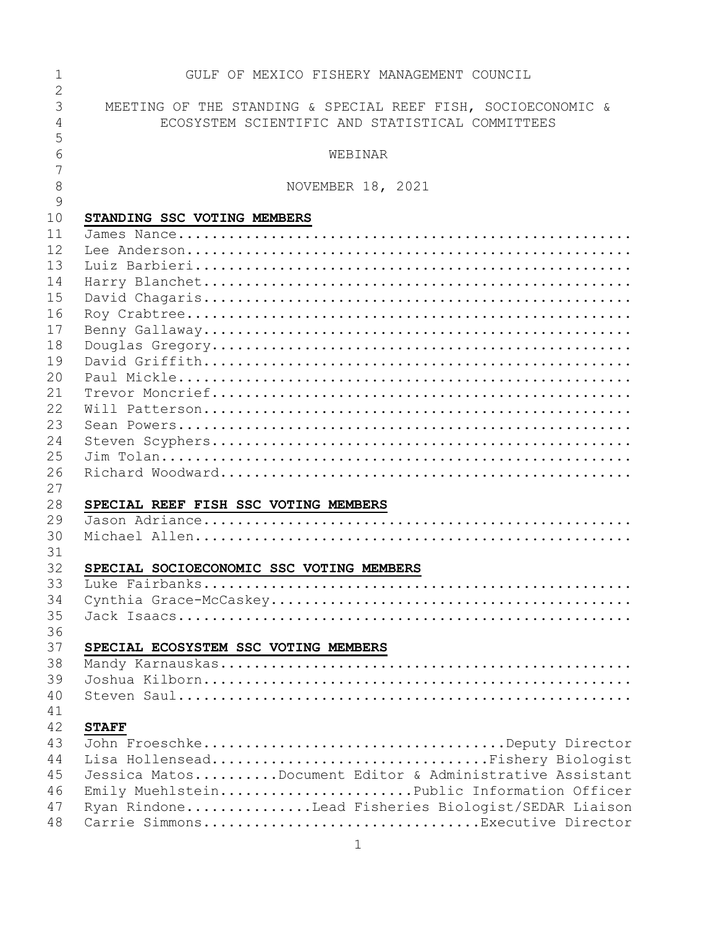| $\mathbf 1$    | GULF OF MEXICO FISHERY MANAGEMENT COUNCIL                    |
|----------------|--------------------------------------------------------------|
| $\overline{2}$ |                                                              |
| 3              | MEETING OF THE STANDING & SPECIAL REEF FISH, SOCIOECONOMIC & |
| 4              | ECOSYSTEM SCIENTIFIC AND STATISTICAL COMMITTEES              |
| 5              |                                                              |
| 6              | WEBINAR                                                      |
| 7              |                                                              |
| 8              | NOVEMBER 18, 2021                                            |
| 9              |                                                              |
| 10             | STANDING SSC VOTING MEMBERS                                  |
| 11             |                                                              |
| 12             |                                                              |
| 13             |                                                              |
|                |                                                              |
| 14             |                                                              |
| 15             |                                                              |
| 16             |                                                              |
| 17             |                                                              |
| 18             |                                                              |
| 19             |                                                              |
| 20             |                                                              |
| 21             |                                                              |
| 22             |                                                              |
| 23             |                                                              |
| 24             |                                                              |
| 25             |                                                              |
| 26             |                                                              |
| 27             |                                                              |
| 28             | SPECIAL REEF FISH SSC VOTING MEMBERS                         |
| 29             |                                                              |
| 30             |                                                              |
| 31             |                                                              |
| 32             | SPECIAL SOCIOECONOMIC SSC VOTING MEMBERS                     |
| 33             |                                                              |
| 34             |                                                              |
| 35             |                                                              |
| 36             |                                                              |
| 37             | SPECIAL ECOSYSTEM SSC VOTING MEMBERS                         |
| 38             |                                                              |
| 39             |                                                              |
| 40             |                                                              |
| 41             |                                                              |
| 42             | <b>STAFF</b>                                                 |
| 43             | John FroeschkeDeputy Director                                |
| 44             | Lisa HollenseadFishery Biologist                             |
| 45             | Jessica MatosDocument Editor & Administrative Assistant      |
| 46             | Emily MuehlsteinPublic Information Officer                   |
|                |                                                              |
| 47             | Ryan RindoneLead Fisheries Biologist/SEDAR Liaison           |
| 48             | Carrie SimmonsExecutive Director                             |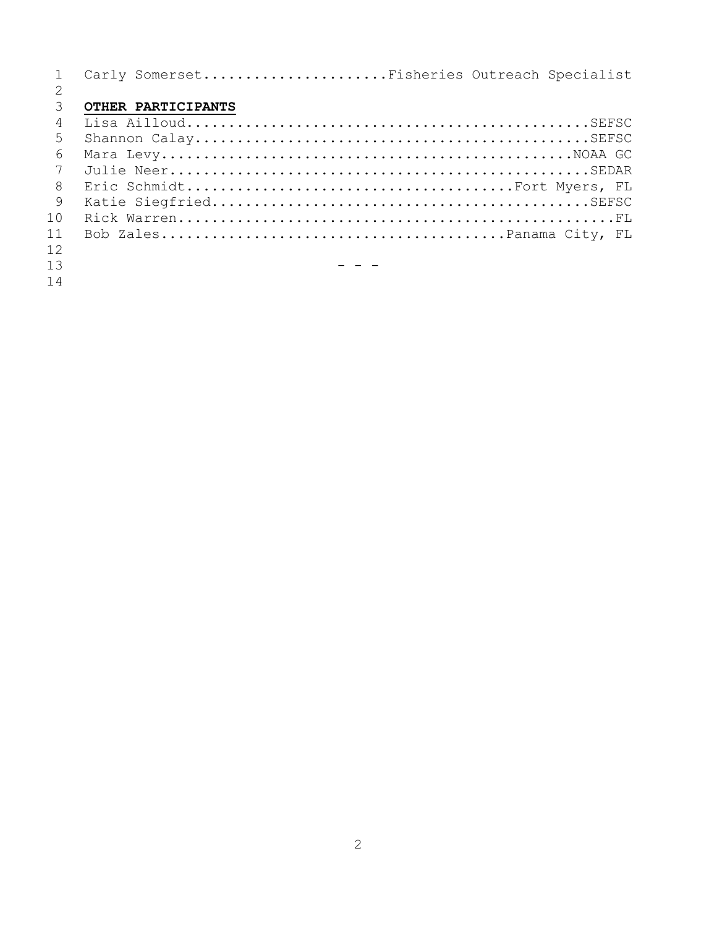|                 | Carly SomersetFisheries Outreach Specialist |
|-----------------|---------------------------------------------|
|                 |                                             |
| $\mathcal{E}$   | OTHER PARTICIPANTS                          |
| 4               |                                             |
| 5               |                                             |
| 6               |                                             |
| $7\phantom{.0}$ |                                             |
| 8               |                                             |
| 9               |                                             |
| 10              |                                             |
| 11              |                                             |
| 12              |                                             |
| 13              |                                             |
| $\sim$          |                                             |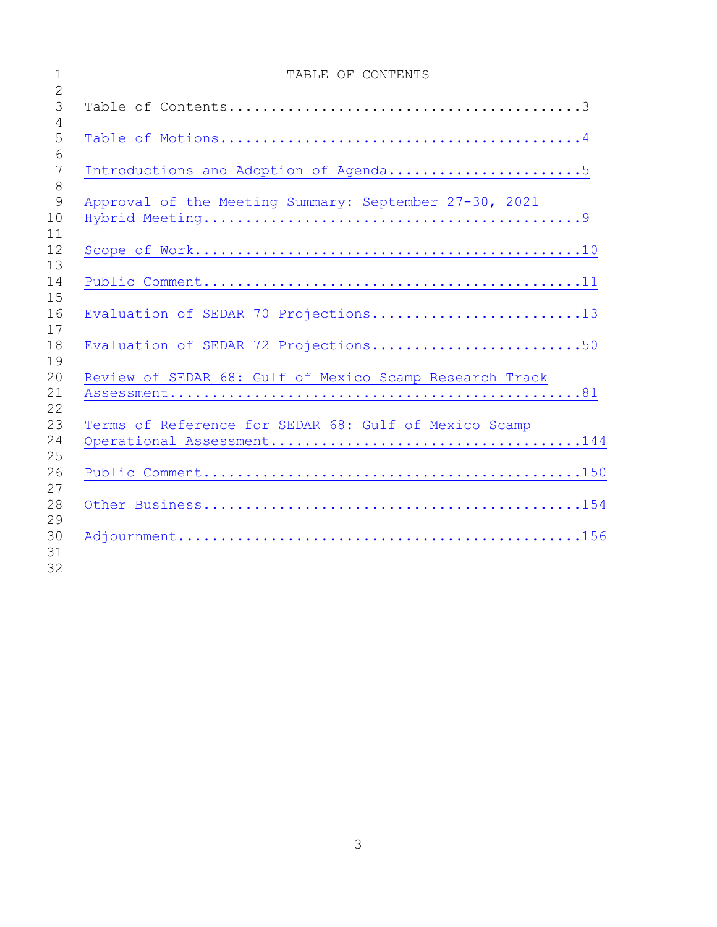| $\overline{2}$            | TABLE OF CONTENTS                                       |
|---------------------------|---------------------------------------------------------|
| 3                         |                                                         |
| 4<br>5<br>6               |                                                         |
| 7                         | Introductions and Adoption of Agenda5                   |
| 8<br>$\overline{9}$<br>10 | Approval of the Meeting Summary: September 27-30, 2021  |
| 11<br>12<br>13            |                                                         |
| 14<br>15                  |                                                         |
| 16                        | Evaluation of SEDAR 70 Projections13                    |
| 17<br>18                  | Evaluation of SEDAR 72 Projections50                    |
| 19<br>20<br>21            | Review of SEDAR 68: Gulf of Mexico Scamp Research Track |
| 22<br>23<br>24            | Terms of Reference for SEDAR 68: Gulf of Mexico Scamp   |
| 25<br>26                  |                                                         |
| 27<br>28                  |                                                         |
| 29<br>30                  |                                                         |
| 31                        |                                                         |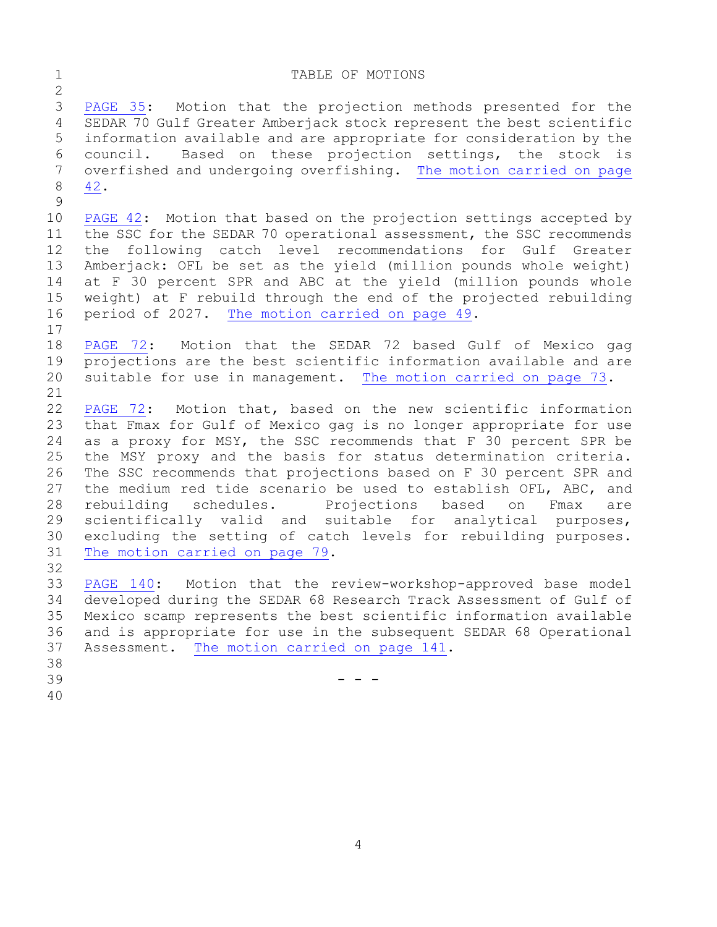#### <span id="page-3-0"></span>1 TABLE OF MOTIONS

 $\frac{2}{3}$ 3 [PAGE](#page-34-0) 35: Motion that the projection methods presented for the<br>4 SEDAR 70 Gulf Greater Amberjack stock represent the best scientific SEDAR 70 Gulf Greater Amberjack stock represent the best scientific 5 information available and are appropriate for consideration by the 6 council. Based on these projection settings, the stock is 7 overfished and undergoing overfishing. The motion carried on page<br>8 42. 8 [42.](#page-41-0)

 $\frac{9}{10}$ 10 [PAGE 42:](#page-41-1) Motion that based on the projection settings accepted by<br>11 the SSC for the SEDAR 70 operational assessment, the SSC recommends 11 the SSC for the SEDAR 70 operational assessment, the SSC recommends<br>12 the following catch level recommendations for Gulf Greater 12 the following catch level recommendations for Gulf Greater<br>13 Amberjack: OFL be set as the vield (million pounds whole weight) Amberjack: OFL be set as the yield (million pounds whole weight) 14 at F 30 percent SPR and ABC at the yield (million pounds whole<br>15 weight) at F rebuild through the end of the projected rebuilding 15 weight) at F rebuild through the end of the projected rebuilding<br>16 period of 2027. The motion carried on page 49. period of 2027. [The motion carried on page 49.](#page-48-0)

 $\begin{array}{c} 17 \\ 18 \end{array}$ 18 [PAGE 72:](#page-71-0) Motion that the SEDAR 72 based Gulf of Mexico gag<br>19 projections are the best scientific information available and are 19 projections are the best scientific information available and are<br>20 suitable for use in management. The motion carried on page 73. suitable for use in management. [The motion carried on page 73.](#page-72-0)

21<br>22 22 [PAGE 72:](#page-71-0) Motion that, based on the new scientific information<br>23 that Fmax for Gulf of Mexico gag is no longer appropriate for use 23 that Fmax for Gulf of Mexico gag is no longer appropriate for use<br>24 as a proxy for MSY, the SSC recommends that F 30 percent SPR be 24 as a proxy for MSY, the SSC recommends that F 30 percent SPR be<br>25 the MSY proxy and the basis for status determination criteria. 25 the MSY proxy and the basis for status determination criteria.<br>26 The SSC recommends that projections based on F 30 percent SPR and 26 The SSC recommends that projections based on F 30 percent SPR and<br>27 the medium red tide scenario be used to establish OFL, ABC, and 27 the medium red tide scenario be used to establish OFL, ABC, and<br>28 rebuilding schedules. Projections based on Fmax are 28 rebuilding schedules. Projections based on Fmax are<br>29 scientifically valid and suitable for analytical purposes, 29 scientifically valid and suitable for analytical purposes,<br>30 excluding the setting of catch levels for rebuilding purposes. 30 excluding the setting of catch levels for rebuilding purposes.<br>31 The motion carried on page 79. [The motion carried on page 79.](#page-78-0)

32<br>33

33 [PAGE 140:](#page-139-0) Motion that the review-workshop-approved base model<br>34 developed during the SEDAR 68 Research Track Assessment of Gulf of 34 developed during the SEDAR 68 Research Track Assessment of Gulf of 35 Mexico scamp represents the best scientific information available<br>36 and is appropriate for use in the subsequent SEDAR 68 Operational 36 and is appropriate for use in the subsequent SEDAR 68 Operational<br>37 Assessment. The motion carried on page 141. Assessment. [The motion carried on page 141.](#page-140-0)

- 38<br>39
- $39$  - -
- 40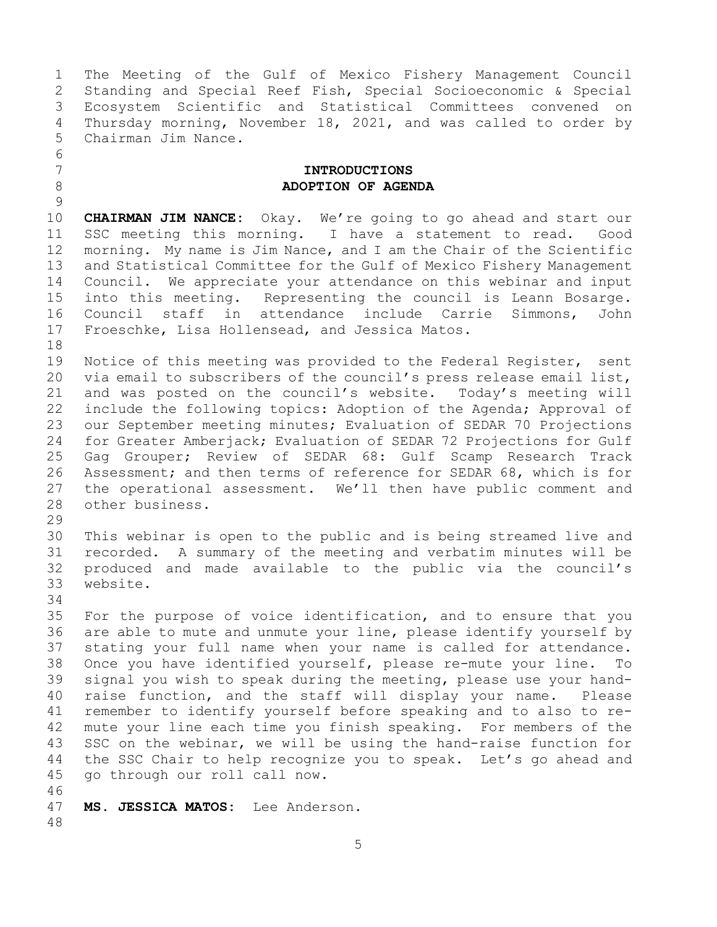1 The Meeting of the Gulf of Mexico Fishery Management Council<br>2 Standing and Special Reef Fish, Special Socioeconomic & Special 2 Standing and Special Reef Fish, Special Socioeconomic & Special 3 Ecosystem Scientific and Statistical Committees convened on<br>4 Thursday morning, November 18, 2021, and was called to order by 4 Thursday morning, November 18, 2021, and was called to order by<br>5 Chairman Jim Nance. Chairman Jim Nance.

### <span id="page-4-0"></span>7 **INTRODUCTIONS** 8 **ADOPTION OF AGENDA**

 $\frac{9}{10}$ 10 **CHAIRMAN JIM NANCE:** Okay. We're going to go ahead and start our<br>11 SSC meeting this morning. I have a statement to read. Good 11 SSC meeting this morning. I have a statement to read.<br>12 morning. My name is Jim Nance, and I am the Chair of the Scie morning. My name is Jim Nance, and I am the Chair of the Scientific 13 and Statistical Committee for the Gulf of Mexico Fishery Management 14 Council. We appreciate your attendance on this webinar and input<br>15 into this meeting. Representing the council is Leann Bosarge. 15 into this meeting. Representing the council is Leann Bosarge.<br>16 Council staff in attendance include Carrie Simmons, John 16 Council staff in attendance include Carrie Simmons, John<br>17 Froeschke, Lisa-Hollensead, and-Jessica-Matos. Froeschke, Lisa Hollensead, and Jessica Matos.

18<br>19 19 Notice of this meeting was provided to the Federal Register, sent<br>20 via email to subscribers of the council's press release email list, 20 via email to subscribers of the council's press release email list,<br>21 and was posted on the council's website. Today's meeting will 21 and was posted on the council's website. Today's meeting will<br>22 include the following topics: Adoption of the Agenda; Approval of 22 include the following topics: Adoption of the Agenda; Approval of<br>23 our September meeting minutes; Evaluation of SEDAR 70 Projections 23 our September meeting minutes; Evaluation of SEDAR 70 Projections<br>24 for Greater Amberiack: Evaluation of SEDAR 72 Projections for Gulf 24 for Greater Amberjack; Evaluation of SEDAR 72 Projections for Gulf<br>25 Gaq Grouper; Review of SEDAR 68: Gulf Scamp Research Track 25 Gag Grouper; Review of SEDAR 68: Gulf Scamp Research Track<br>26 Assessment; and then terms of reference for SEDAR 68, which is for 26 Assessment; and then terms of reference for SEDAR 68, which is for<br>27 the operational assessment. We'll then have public comment and 27 the operational assessment. We'll then have public comment and<br>28 other business. other business.

29<br>30 30 This webinar is open to the public and is being streamed live and<br>31 recorded. A summary of the meeting and verbatim minutes will be 31 recorded. A summary of the meeting and verbatim minutes will be<br>32 produced and made available to the public via the council's 32 produced and made available to the public via the council's website.

34<br>35

6<br>7

35 For the purpose of voice identification, and to ensure that you<br>36 are able to mute and unmute your line, please identify yourself by 36 are able to mute and unmute your line, please identify yourself by<br>37 stating your full name when your name is called for attendance. stating your full name when your name is called for attendance. 38 Once you have identified yourself, please re-mute your line. To<br>39 signal you wish to speak during the meeting, please use your hand-39 signal you wish to speak during the meeting, please use your hand-<br>40 raise function, and the staff will display your name. Please 40 raise function, and the staff will display your name.<br>41 remember to identify vourself before speaking and to also 41 remember to identify yourself before speaking and to also to re-<br>42 mute your line each time you finish speaking. For members of the 42 mute your line each time you finish speaking. For members of the<br>43 SSC on the webinar, we will be using the hand-raise function for 43 SSC on the webinar, we will be using the hand-raise function for<br>44 the SSC Chair to help recognize you to speak. Let's go ahead and the SSC Chair to help recognize you to speak. Let's go ahead and 45 go through our roll call now.

46<br>47 47 **MS. JESSICA MATOS:** Lee Anderson. 48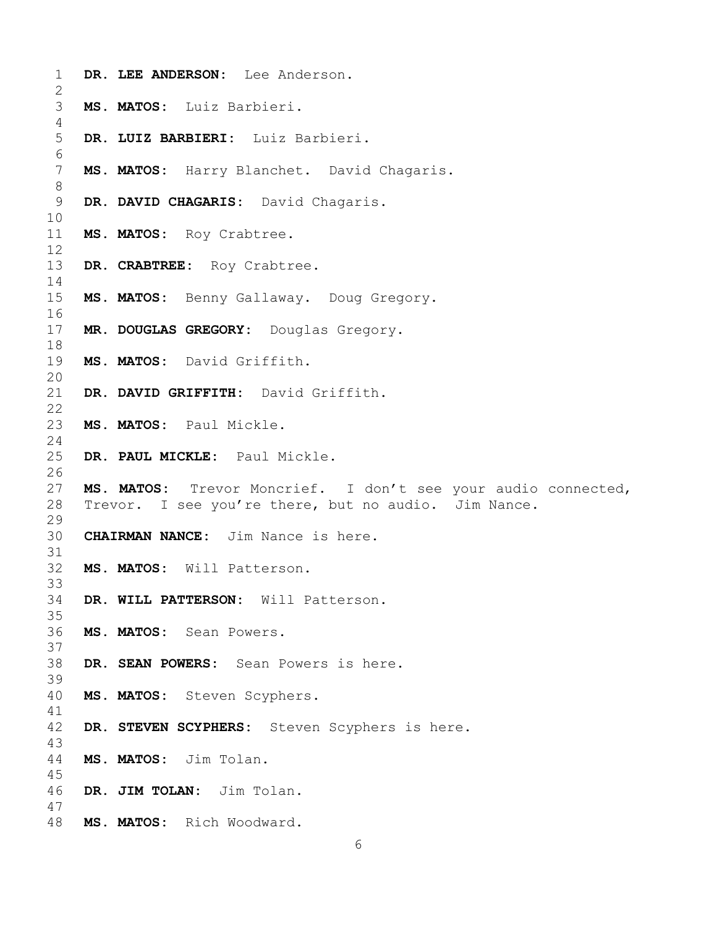| $\mathbf 1$<br>$\mathbf{2}$ | DR. LEE ANDERSON: Lee Anderson.                               |
|-----------------------------|---------------------------------------------------------------|
| 3<br>4                      | MS. MATOS: Luiz Barbieri.                                     |
| 5<br>6                      | DR. LUIZ BARBIERI: Luiz Barbieri.                             |
| 7<br>$8\,$                  | MS. MATOS: Harry Blanchet. David Chagaris.                    |
| 9<br>10                     | DR. DAVID CHAGARIS: David Chagaris.                           |
| 11<br>12                    | MS. MATOS: Roy Crabtree.                                      |
| 13<br>14                    | DR. CRABTREE: Roy Crabtree.                                   |
| 15<br>16                    | MS. MATOS: Benny Gallaway. Doug Gregory.                      |
| 17<br>18                    | MR. DOUGLAS GREGORY: Douglas Gregory.                         |
| 19<br>20                    | MS. MATOS: David Griffith.                                    |
| 21<br>22                    | DR. DAVID GRIFFITH: David Griffith.                           |
| 23<br>24                    | MS. MATOS: Paul Mickle.                                       |
| 25<br>26                    | DR. PAUL MICKLE: Paul Mickle.                                 |
| 27                          | MS. MATOS: Trevor Moncrief. I don't see your audio connected, |
| 28                          | Trevor. I see you're there, but no audio. Jim Nance.          |
| 29                          |                                                               |
| 30                          | <b>CHAIRMAN NANCE:</b> Jim Nance is here.                     |
| 31                          |                                                               |
| 32                          | MS. MATOS: Will Patterson.                                    |
| 33                          |                                                               |
| 34                          | DR. WILL PATTERSON: Will Patterson.                           |
| 35                          |                                                               |
| 36                          | MS. MATOS: Sean Powers.                                       |
| 37                          |                                                               |
| 38                          | DR. SEAN POWERS: Sean Powers is here.                         |
| 39                          |                                                               |
| 40                          | MS. MATOS: Steven Scyphers.                                   |
| 41                          |                                                               |
| 42                          | DR. STEVEN SCYPHERS: Steven Scyphers is here.                 |
| 43                          |                                                               |
| 44                          | MS. MATOS: Jim Tolan.                                         |
| 45                          |                                                               |
| 46                          | DR. JIM TOLAN: Jim Tolan.                                     |
| 47<br>48                    | MS. MATOS: Rich Woodward.                                     |
|                             |                                                               |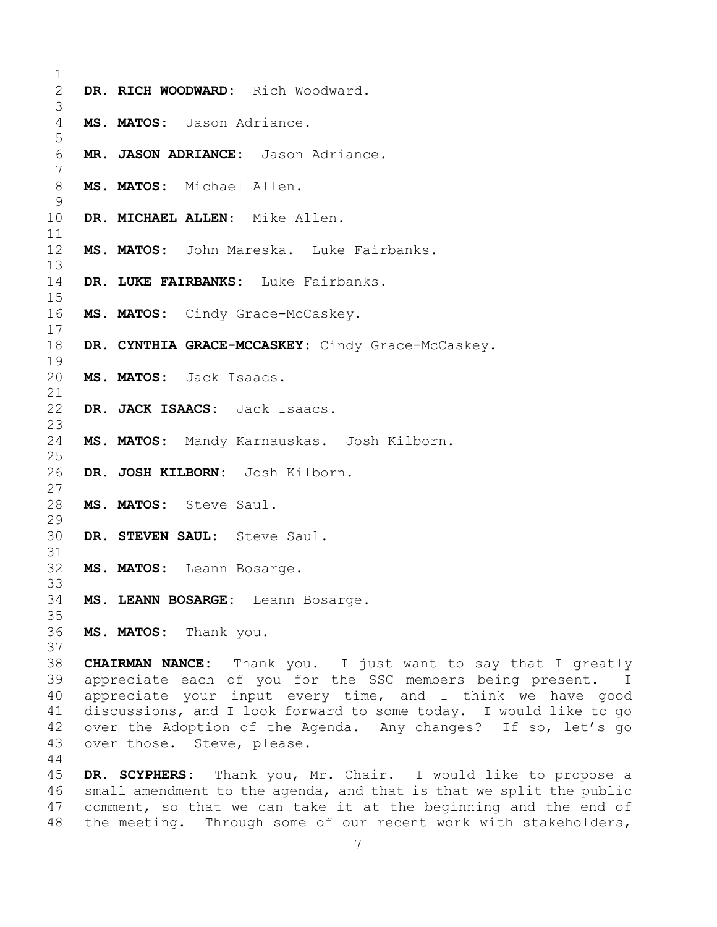| 2           | DR. RICH WOODWARD: Rich Woodward.                   |
|-------------|-----------------------------------------------------|
| 3<br>4<br>5 | MS. MATOS: Jason Adriance.                          |
| 6<br>7      | MR. JASON ADRIANCE: Jason Adriance.                 |
| 8<br>9      | MS. MATOS: Michael Allen.                           |
| 10<br>11    | DR. MICHAEL ALLEN: Mike Allen.                      |
| 12<br>13    | MS. MATOS: John Mareska. Luke Fairbanks.            |
| 14<br>15    | DR. LUKE FAIRBANKS: Luke Fairbanks.                 |
| 16<br>17    | MS. MATOS: Cindy Grace-McCaskey.                    |
| 18<br>19    | DR. CYNTHIA GRACE-MCCASKEY: Cindy Grace-McCaskey.   |
| 20<br>21    | MS. MATOS: Jack Isaacs.                             |
| 22<br>23    | DR. JACK ISAACS: Jack Isaacs.                       |
| 24<br>25    | MS. MATOS: Mandy Karnauskas. Josh Kilborn.          |
| 26<br>27    | DR. JOSH KILBORN: Josh Kilborn.                     |
| 28<br>29    | MS. MATOS: Steve Saul.                              |
| 30<br>31    | DR. STEVEN SAUL: Steve Saul.                        |
| 32<br>33    | MS. MATOS: Leann Bosarge.                           |
| 34<br>35    | MS. LEANN BOSARGE: Leann Bosarge.                   |
| 36<br>37    | MS. MATOS: Thank you.                               |
| 38          | CHAIRMAN NANCE: Thank you. I just want to say       |
|             | 20 approachate each of veu for the CCC members bein |

that I greatly 39 appreciate each of you for the SSC members being present. I<br>40 appreciate your input every time, and I think we have good 40 appreciate your input every time, and I think we have good<br>41 discussions, and I look forward to some today. I would like to go 41 discussions, and I look forward to some today. I would like to go<br>42 over the Adoption of the Agenda. Any changes? If so, let's go 42 over the Adoption of the Agenda. Any changes? If so, let's go<br>43 over those. Steve, please. over those. Steve, please.

 **DR. SCYPHERS:** Thank you, Mr. Chair. I would like to propose a 46 small amendment to the agenda, and that is that we split the public<br>47 comment, so that we can take it at the beginning and the end of 47 comment, so that we can take it at the beginning and the end of<br>48 the meeting. Through some of our recent work with stakeholders, the meeting. Through some of our recent work with stakeholders,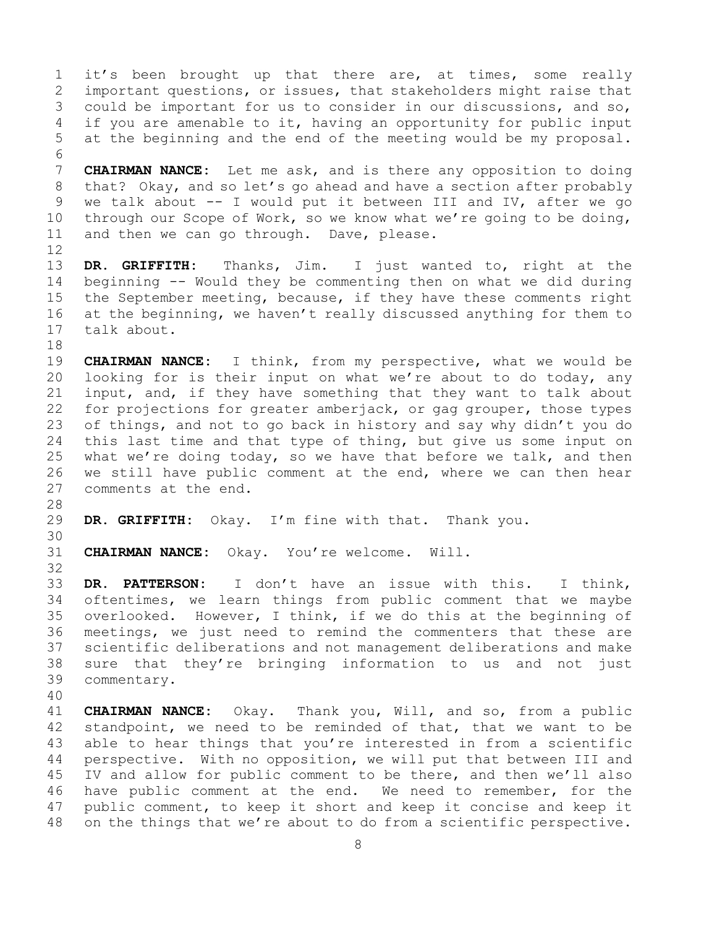1 it's been brought up that there are, at times, some really<br>2 important questions, or issues, that stakeholders might raise that 2 important questions, or issues, that stakeholders might raise that<br>3 could be important for us to consider in our discussions, and so, 3 could be important for us to consider in our discussions, and so,<br>4 if you are amenable to it, having an opportunity for public input if you are amenable to it, having an opportunity for public input 5 at the beginning and the end of the meeting would be my proposal.

6<br>7 7 **CHAIRMAN NANCE:** Let me ask, and is there any opposition to doing<br>8 that? Okay, and so let's go ahead and have a section after probably 8 that? Okay, and so let's go ahead and have a section after probably<br>9 we talk about -- I would put it between III and IV, after we go 9 we talk about -- I would put it between III and IV, after we go<br>10 through our Scope of Work, so we know what we're going to be doing, 10 through our Scope of Work, so we know what we're going to be doing,<br>11 and then we can go through. Dave, please. and then we can go through. Dave, please.

12<br>13 DR. GRIFFITH: Thanks, Jim. I just wanted to, right at the 14 beginning -- Would they be commenting then on what we did during<br>15 the September meeting, because, if they have these comments right 15 the September meeting, because, if they have these comments right<br>16 at the beginning, we haven't really discussed anything for them to 16 at the beginning, we haven't really discussed anything for them to<br>17 talk about. talk about.

18<br>19 19 **CHAIRMAN NANCE:** I think, from my perspective, what we would be<br>20 looking for is their input on what we're about to do today, any 20 looking for is their input on what we're about to do today, any<br>21 input, and, if they have something that they want to talk about 21 input, and, if they have something that they want to talk about<br>22 for projections for greater amberjack, or gag grouper, those types 22 for projections for greater amberjack, or gag grouper, those types<br>23 of things, and not to go back in history and say why didn't you do 23 of things, and not to go back in history and say why didn't you do<br>24 this last time and that type of thing, but give us some input on 24 this last time and that type of thing, but give us some input on<br>25 what we're doing today, so we have that before we talk, and then 25 what we're doing today, so we have that before we talk, and then<br>26 we still have public comment at the end, where we can then hear 26 we still have public comment at the end, where we can then hear<br>27 comments at the end. comments at the end.

- 28<br>29 DR. GRIFFITH: Okay. I'm fine with that. Thank you.
- 30<br>31

CHAIRMAN NANCE: Okay. You're welcome. Will.

32<br>33 33 **DR. PATTERSON:** I don't have an issue with this. I think, 34 oftentimes, we learn things from public comment that we maybe<br>35 overlooked. However, I think, if we do this at the beginning of 35 overlooked. However, I think, if we do this at the beginning of<br>36 meetings, we just need to remind the commenters that these are 36 meetings, we just need to remind the commenters that these are<br>37 scientific deliberations and not management deliberations and make scientific deliberations and not management deliberations and make 38 sure that they're bringing information to us and not just<br>39 commentary. commentary.

40

41 **CHAIRMAN NANCE:** Okay. Thank you, Will, and so, from a public 42 standpoint, we need to be reminded of that, that we want to be 43 able to hear things that you're interested in from a scientific 43 able to hear things that you're interested in from a scientific<br>44 perspective. With no opposition, we will put that between III and perspective. With no opposition, we will put that between III and 45 IV and allow for public comment to be there, and then we'll also 46 have public comment at the end. We need to remember, for the<br>47 public comment, to keep it short and keep it concise and keep it 47 public comment, to keep it short and keep it concise and keep it<br>48 on the things that we're about to do from a scientific perspective. on the things that we're about to do from a scientific perspective.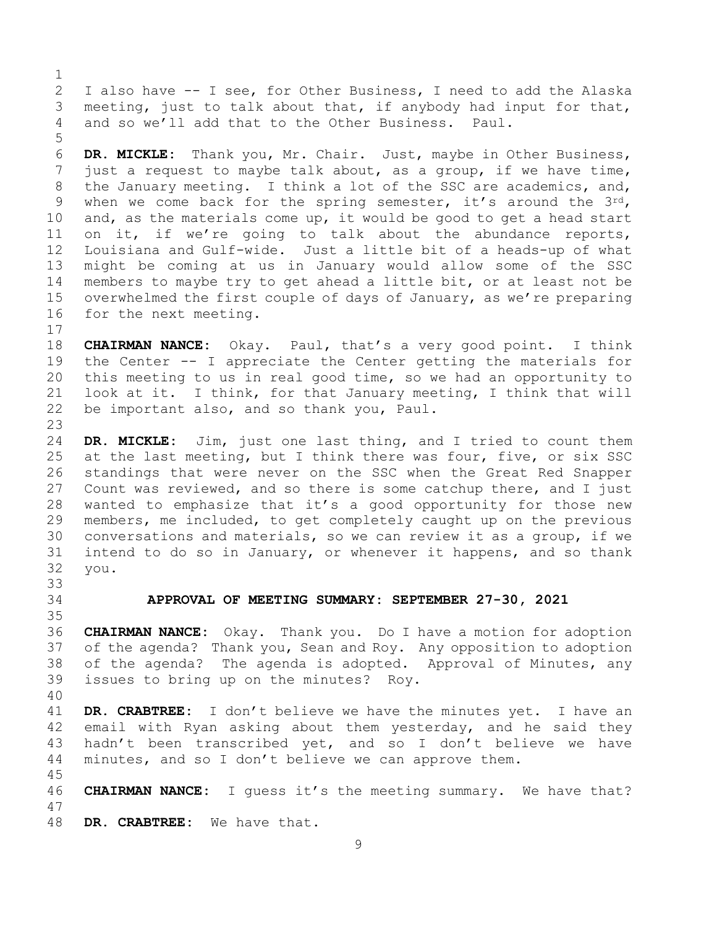$\frac{1}{2}$ 2 I also have -- I see, for Other Business, I need to add the Alaska<br>3 meeting, just to talk about that, if anybody had input for that, 3 meeting, just to talk about that, if anybody had input for that,<br>4 and so we'll add that to the Other Business. Paul. and so we'll add that to the Other Business. Paul.

6 **DR. MICKLE:** Thank you, Mr. Chair. Just, maybe in Other Business, 7 just a request to maybe talk about, as a group, if we have time,<br>8 the January meeting. I think a lot of the SSC are academics, and, 8 the January meeting. I think a lot of the SSC are academics, and,<br>9 when we come back for the spring semester, it's around the  $3^{rd}$ , 9 when we come back for the spring semester, it's around the  $3^{rd}$ , 10 and, as the materials come up, it would be good to get a head start 10 and, as the materials come up, it would be good to get a head start<br>11 on it, if we're going to talk about the abundance reports, 11 on it, if we're going to talk about the abundance reports,<br>12 Louisiana and Gulf-wide. Just a little bit of a heads-up of what Louisiana and Gulf-wide. Just a little bit of a heads-up of what 13 might be coming at us in January would allow some of the SSC 14 members to maybe try to get ahead a little bit, or at least not be<br>15 overwhelmed the first couple of davs of Januarv, as we're preparing 15 overwhelmed the first couple of days of January, as we're preparing<br>16 for the next meeting. for the next meeting.

 $\begin{array}{c} 17 \\ 18 \end{array}$ 18 **CHAIRMAN NANCE:** Okay. Paul, that's a very good point. I think<br>19 the Center -- I appreciate the Center getting the materials for 19 the Center -- I appreciate the Center getting the materials for<br>20 this meeting to us in real good time, so we had an opportunity to 20 this meeting to us in real good time, so we had an opportunity to<br>21 look at it. I think, for that January meeting, I think that will 21 look at it. I think, for that January meeting, I think that will<br>22 be important also, and so thank you, Paul. be important also, and so thank you, Paul.

23 24 **DR. MICKLE:** Jim, just one last thing, and I tried to count them<br>25 at the last meeting, but I think there was four, five, or six SSC 25 at the last meeting, but I think there was four, five, or six SSC<br>26 standings that were never on the SSC when the Great Red Snapper 26 standings that were never on the SSC when the Great Red Snapper<br>27 Count was reviewed, and so there is some catchup there, and I just Count was reviewed, and so there is some catchup there, and I just 28 wanted to emphasize that it's a good opportunity for those new<br>29 members, me included, to get completely caught up on the previous 29 members, me included, to get completely caught up on the previous<br>30 conversations and materials, so we can review it as a group, if we 30 conversations and materials, so we can review it as a group, if we<br>31 intend to do so in January, or whenever it happens, and so thank 31 intend to do so in January, or whenever it happens, and so thank<br>32 vou. you.

<span id="page-8-0"></span>33<br>34

45

5

34 **APPROVAL OF MEETING SUMMARY: SEPTEMBER 27-30, 2021**

35<br>36 CHAIRMAN NANCE: Okay. Thank you. Do I have a motion for adoption 37 of the agenda? Thank you, Sean and Roy. Any opposition to adoption 38 of the agenda? The agenda is adopted. Approval of Minutes, any<br>39 issues to bring up on the minutes? Rov. issues to bring up on the minutes? Roy.

40 41 **DR. CRABTREE:** I don't believe we have the minutes yet. I have an 42 email with Ryan asking about them yesterday, and he said they<br>43 hadn't been transcribed vet, and so I don't believe we have 43 hadn't been transcribed yet, and so I don't believe we have<br>44 minutes, and so I don't believe we can approve them. minutes, and so I don't believe we can approve them.

46 **CHAIRMAN NANCE:** I guess it's the meeting summary. We have that? 47

DR. CRABTREE: We have that.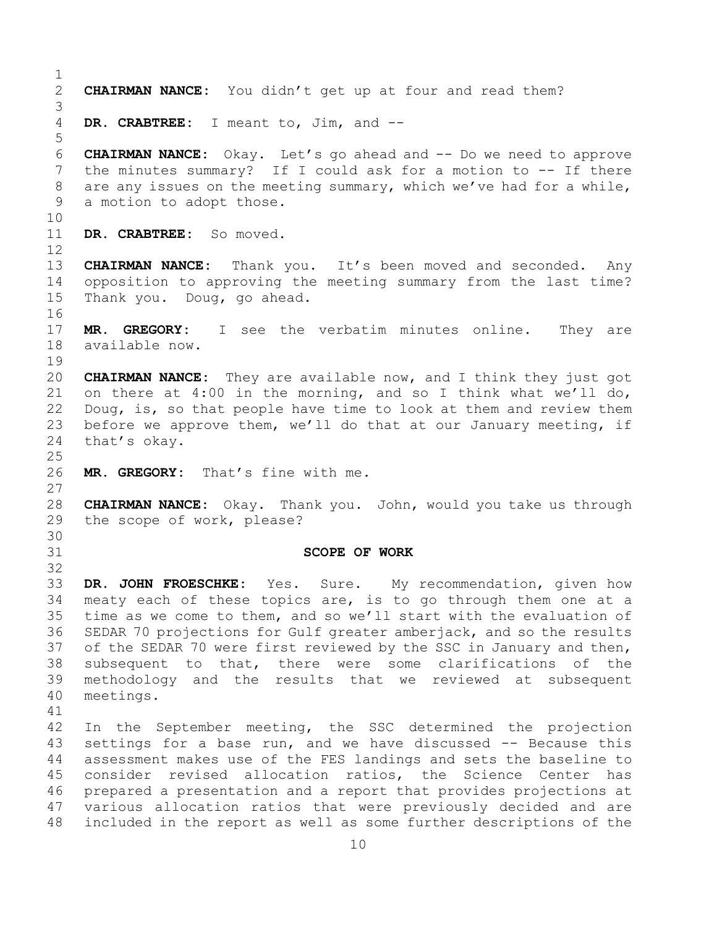<span id="page-9-0"></span> $\frac{1}{2}$ 2 **CHAIRMAN NANCE:** You didn't get up at four and read them? 3 DR. CRABTREE: I meant to, Jim, and --5 6 **CHAIRMAN NANCE:** Okay. Let's go ahead and -- Do we need to approve 7 the minutes summary? If I could ask for a motion to -- If there<br>8 are any issues on the meeting summary, which we've had for a while, 8 are any issues on the meeting summary, which we've had for a while,<br>9 a motion to adopt those. a motion to adopt those. 10<br>11 DR. CRABTREE: So moved. 12 13 **CHAIRMAN NANCE:** Thank you. It's been moved and seconded. Any 14 opposition to approving the meeting summary from the last time?<br>15 Thank vou. Doug, go ahead. Thank you. Doug, go ahead. 16<br>17 17 **MR. GREGORY:** I see the verbatim minutes online. They are<br>18 available now. available now.  $\begin{array}{c} 19 \\ 20 \end{array}$ 20 **CHAIRMAN NANCE:** They are available now, and I think they just got 21 on there at 4:00 in the morning, and so I think what we'll do,  $22$  Doug, is, so that people have time to look at them and review them 22 Doug, is, so that people have time to look at them and review them<br>23 before we approve them, we'll do that at our January meeting, if 23 before we approve them, we'll do that at our January meeting, if<br>24 that's okav. that's okay.  $\frac{25}{26}$ MR. GREGORY: That's fine with me. 27 28 **CHAIRMAN NANCE:** Okay. Thank you. John, would you take us through the scope of work, please? 30<br>31 31 **SCOPE OF WORK** 32 33 **DR. JOHN FROESCHKE:** Yes. Sure. My recommendation, given how 34 meaty each of these topics are, is to go through them one at a<br>35 time as we come to them, and so we'll start with the evaluation of 35 time as we come to them, and so we'll start with the evaluation of<br>36 SEDAR 70 projections for Gulf greater amberjack, and so the results SEDAR 70 projections for Gulf greater amberjack, and so the results 37 of the SEDAR 70 were first reviewed by the SSC in January and then, 38 subsequent to that, there were some clarifications of the<br>39 methodology and the results that we reviewed at subsequent 39 methodology and the results that we reviewed at subsequent<br>40 meetings. meetings. 41<br>42 42 In the September meeting, the SSC determined the projection<br>43 settings for a base run, and we have discussed -- Because this 43 settings for a base run, and we have discussed -- Because this<br>44 assessment makes use of the FES landings and sets the baseline to assessment makes use of the FES landings and sets the baseline to 45 consider revised allocation ratios, the Science Center has 46 prepared a presentation and a report that provides projections at<br>47 various allocation ratios that were previously decided and are 47 various allocation ratios that were previously decided and are<br>48 included in the report as well as some further descriptions of the included in the report as well as some further descriptions of the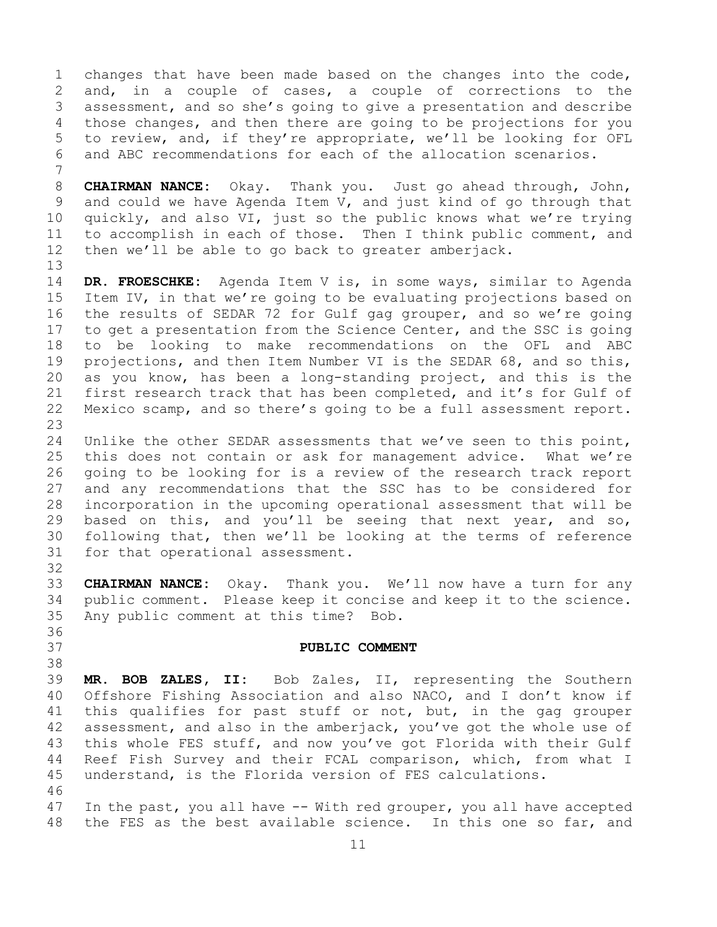1 changes that have been made based on the changes into the code,<br>2 and, in a couple of cases, a couple of corrections to the 2 and, in a couple of cases, a couple of corrections to the<br>3 assessment, and so she's going to give a presentation and describe 3 assessment, and so she's going to give a presentation and describe<br>4 those changes, and then there are going to be projections for you those changes, and then there are going to be projections for you 5 to review, and, if they're appropriate, we'll be looking for OFL 6 and ABC recommendations for each of the allocation scenarios.

7 8 **CHAIRMAN NANCE:** Okay. Thank you. Just go ahead through, John,<br>9 and could we have Agenda Item V, and just kind of go through that 9 and could we have Agenda Item V, and just kind of go through that<br>10 quickly, and also VI, just so the public knows what we're trying 10 quickly, and also VI, just so the public knows what we're trying<br>11 to accomplish in each of those. Then I think public comment, and 11 to accomplish in each of those. Then I think public comment, and<br>12 then we'll be able to go back to greater amberjack. then we'll be able to go back to greater amberjack.

14 **DR. FROESCHKE:** Agenda Item V is, in some ways, similar to Agenda 15 Item IV, in that we're going to be evaluating projections based on<br>16 the results of SEDAR 72 for Gulf gag grouper, and so we're going 16 the results of SEDAR 72 for Gulf gag grouper, and so we're going<br>17 to get a presentation from the Science Center, and the SSC is going 17 to get a presentation from the Science Center, and the SSC is going<br>18 to be looking to make recommendations on the OFL and ABC 18 to be looking to make recommendations on the OFL and ABC<br>19 projections, and then Item Number VI is the SEDAR 68, and so this, 19 projections, and then Item Number VI is the SEDAR 68, and so this,<br>20 as you know, has been a long-standing project, and this is the 20 as you know, has been a long-standing project, and this is the<br>21 first research track that has been completed, and it's for Gulf of 21 first research track that has been completed, and it's for Gulf of<br>22 Mexico scamp, and so there's going to be a full assessment report. Mexico scamp, and so there's going to be a full assessment report.

23 24 Unlike the other SEDAR assessments that we've seen to this point,<br>25 this does not contain or ask for management advice. What we're 25 this does not contain or ask for management advice. What we're<br>26 qoing to be looking for is a review of the research track report 26 going to be looking for is a review of the research track report<br>27 and any recommendations that the SSC has to be considered for and any recommendations that the SSC has to be considered for 28 incorporation in the upcoming operational assessment that will be<br>29 based on this, and you'll be seeing that next year, and so, 29 based on this, and you'll be seeing that next year, and so,<br>30 following that, then we'll be looking at the terms of reference 30 following that, then we'll be looking at the terms of reference<br>31 for that operational assessment. for that operational assessment.

32

13

33 **CHAIRMAN NANCE:** Okay. Thank you. We'll now have a turn for any 34 public comment. Please keep it concise and keep it to the science.<br>35 Any public comment at this time? Bob. Any public comment at this time? Bob. 36<br>37

#### 37 **PUBLIC COMMENT**

<span id="page-10-0"></span>38<br>39 39 **MR. BOB ZALES, II:** Bob Zales, II, representing the Southern 40 Offshore Fishing Association and also NACO, and I don't know if<br>41 this qualifies for past stuff or not, but, in the gag grouper 41 this qualifies for past stuff or not, but, in the gag grouper<br>42 assessment, and also in the amberiack, you've got the whole use of 42 assessment, and also in the amberjack, you've got the whole use of<br>43 this whole FES stuff, and now you've got Florida with their Gulf 43 this whole FES stuff, and now you've got Florida with their Gulf<br>44 Reef Fish Survey and their FCAL comparison, which, from what I Reef Fish Survey and their FCAL comparison, which, from what I 45 understand, is the Florida version of FES calculations.

46<br>47 47 In the past, you all have -- With red grouper, you all have accepted<br>48 the FES as the best available science. In this one so far, and the FES as the best available science. In this one so far, and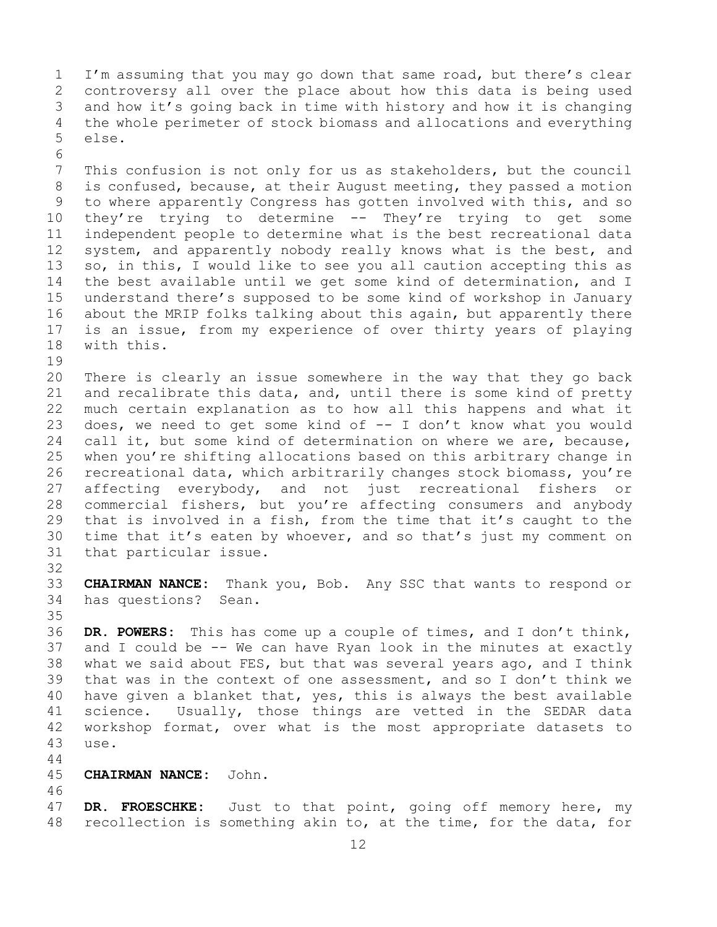1 I'm assuming that you may go down that same road, but there's clear<br>2 controversy all over the place about how this data is being used 2 controversy all over the place about how this data is being used<br>3 and how it's going back in time with history and how it is changing 3 and how it's going back in time with history and how it is changing<br>4 the whole perimeter of stock biomass and allocations and everything 4 the whole perimeter of stock biomass and allocations and everything<br>5 else. else.

6<br>7 7 This confusion is not only for us as stakeholders, but the council<br>8 is confused, because, at their August meeting, they passed a motion 8 is confused, because, at their August meeting, they passed a motion<br>9 to where apparently Congress has gotten involved with this, and so 9 to where apparently Congress has gotten involved with this, and so<br>10 thev're trying to determine -- Thev're trying to get some 10 they're trying to determine -- They're trying to get some<br>11 independent people to determine what is the best recreational data 11 independent people to determine what is the best recreational data<br>12 system, and apparently nobody really knows what is the best, and 12 system, and apparently nobody really knows what is the best, and<br>13 so, in this, I would like to see you all caution accepting this as so, in this, I would like to see you all caution accepting this as 14 the best available until we get some kind of determination, and I<br>15 understand there's supposed to be some kind of workshop in January 15 understand there's supposed to be some kind of workshop in January<br>16 about the MRIP folks talking about this again, but apparently there 16 about the MRIP folks talking about this again, but apparently there<br>17 is an issue, from my experience of over thirty years of playing 17 is an issue, from my experience of over thirty years of playing<br>18 with this. with this.

 $\begin{array}{c} 19 \\ 20 \end{array}$ 20 There is clearly an issue somewhere in the way that they go back<br>21 and recalibrate this data, and, until there is some kind of pretty 21 and recalibrate this data, and, until there is some kind of pretty<br>22 much certain explanation as to how all this happens and what it 22 much certain explanation as to how all this happens and what it<br>23 does, we need to get some kind of  $-$  I don't know what you would 23 does, we need to get some kind of  $-$  I don't know what you would  $24$  call it, but some kind of determination on where we are, because, 24 call it, but some kind of determination on where we are, because,<br>25 when you're shifting allocations based on this arbitrary change in 25 when you're shifting allocations based on this arbitrary change in<br>26 recreational data, which arbitrarily changes stock biomass, you're 26 recreational data, which arbitrarily changes stock biomass, you're<br>27 affecting everybody, and not just recreational fishers or affecting everybody, and not just recreational fishers or 28 commercial fishers, but you're affecting consumers and anybody<br>29 that is involved in a fish, from the time that it's caught to the 29 that is involved in a fish, from the time that it's caught to the<br>30 time that it's eaten by whoever, and so that's just my comment on 30 time that it's eaten by whoever, and so that's just my comment on<br>31 that particular issue. that particular issue.

32<br>33

33 **CHAIRMAN NANCE:** Thank you, Bob. Any SSC that wants to respond or has questions?

35<br>36 DR. POWERS: This has come up a couple of times, and I don't think, 37 and I could be -- We can have Ryan look in the minutes at exactly 38 what we said about FES, but that was several years ago, and I think<br>39 that was in the context of one assessment, and so I don't think we 39 that was in the context of one assessment, and so I don't think we<br>40 have given a blanket that, yes, this is always the best available 40 have given a blanket that, yes, this is always the best available<br>41 science. Usually, those things are vetted in the SEDAR data 41 science. Usually, those things are vetted in the SEDAR data<br>42 workshop format, over what is the most appropriate datasets to 42 workshop format, over what is the most appropriate datasets to<br>43 use. 43 use.

- 44
- 45 **CHAIRMAN NANCE:** John.

46<br>47 47 DR. FROESCHKE: Just to that point, going off memory here, my<br>48 recollection is something akin to, at the time, for the data, for recollection is something akin to, at the time, for the data, for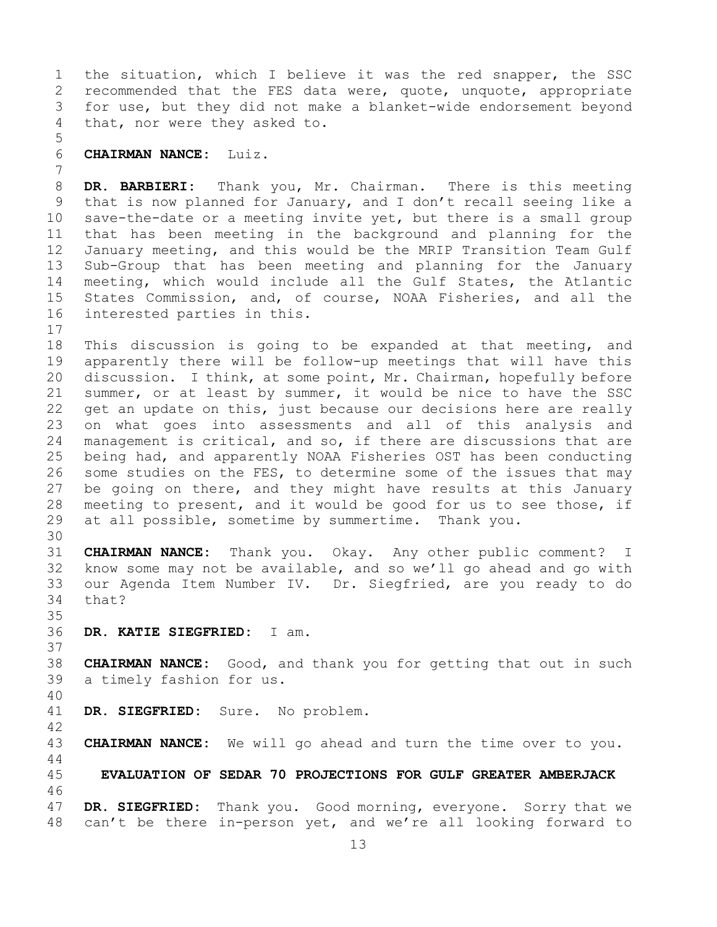1 the situation, which I believe it was the red snapper, the SSC<br>2 recommended that the FES data were, quote, unquote, appropriate 2 recommended that the FES data were, quote, unquote, appropriate<br>3 for use, but they did not make a blanket-wide endorsement beyond 3 for use, but they did not make a blanket-wide endorsement beyond<br>4 that, nor were they asked to. that, nor were they asked to.

# 5 6 **CHAIRMAN NANCE:** Luiz.

7 8 **DR. BARBIERI:** Thank you, Mr. Chairman. There is this meeting<br>9 that is now planned for January, and I don't recall seeing like a 9 that is now planned for January, and I don't recall seeing like a<br>10 save-the-date or a meeting invite yet, but there is a small group 10 save-the-date or a meeting invite yet, but there is a small group<br>11 that has been meeting in the background and planning for the 11 that has been meeting in the background and planning for the<br>12 January meeting, and this would be the MRIP Transition Team Gulf January meeting, and this would be the MRIP Transition Team Gulf 13 Sub-Group that has been meeting and planning for the January 14 meeting, which would include all the Gulf States, the Atlantic<br>15 States Commission, and, of course, NOAA Fisheries, and all the 15 States Commission, and, of course, NOAA Fisheries, and all the interested parties in this. interested parties in this.

 $\begin{array}{c} 17 \\ 18 \end{array}$ 18 This discussion is going to be expanded at that meeting, and<br>19 apparently there will be follow-up meetings that will have this 19 apparently there will be follow-up meetings that will have this<br>20 discussion. I think, at some point, Mr. Chairman, hopefully before 20 discussion. I think, at some point, Mr. Chairman, hopefully before<br>21 summer, or at least by summer, it would be nice to have the SSC 21 summer, or at least by summer, it would be nice to have the SSC<br>22 qet an update on this, just because our decisions here are really 22 get an update on this, just because our decisions here are really<br>23 on what goes into assessments and all of this analysis and 23 on what goes into assessments and all of this analysis and<br>24 management is critical, and so, if there are discussions that are 24 management is critical, and so, if there are discussions that are<br>25 being had, and apparently NOAA Fisheries OST has been conducting 25 being had, and apparently NOAA Fisheries OST has been conducting<br>26 some studies on the FES, to determine some of the issues that may 26 some studies on the FES, to determine some of the issues that may<br>27 be going on there, and they might have results at this January be going on there, and they might have results at this January 28 meeting to present, and it would be good for us to see those, if<br>29 at all possible, sometime by summertime. Thank you. at all possible, sometime by summertime. Thank you.

30<br>31 31 **CHAIRMAN NANCE:** Thank you. Okay. Any other public comment? I know some may not be available, and so we'll go ahead and go with 33 our Agenda Item Number IV. Dr. Siegfried, are you ready to do that?

35<br>36 36 **DR. KATIE SIEGFRIED:** I am.

38 **CHAIRMAN NANCE:** Good, and thank you for getting that out in such a timely fashion for us.

40

44

37

DR. SIEGFRIED: Sure. No problem.

42 CHAIRMAN NANCE: We will go ahead and turn the time over to you.

<span id="page-12-0"></span>45 **EVALUATION OF SEDAR 70 PROJECTIONS FOR GULF GREATER AMBERJACK** 46<br>47

47 **DR. SIEGFRIED:** Thank you. Good morning, everyone. Sorry that we can't be there in-person yet, and we're all looking forward to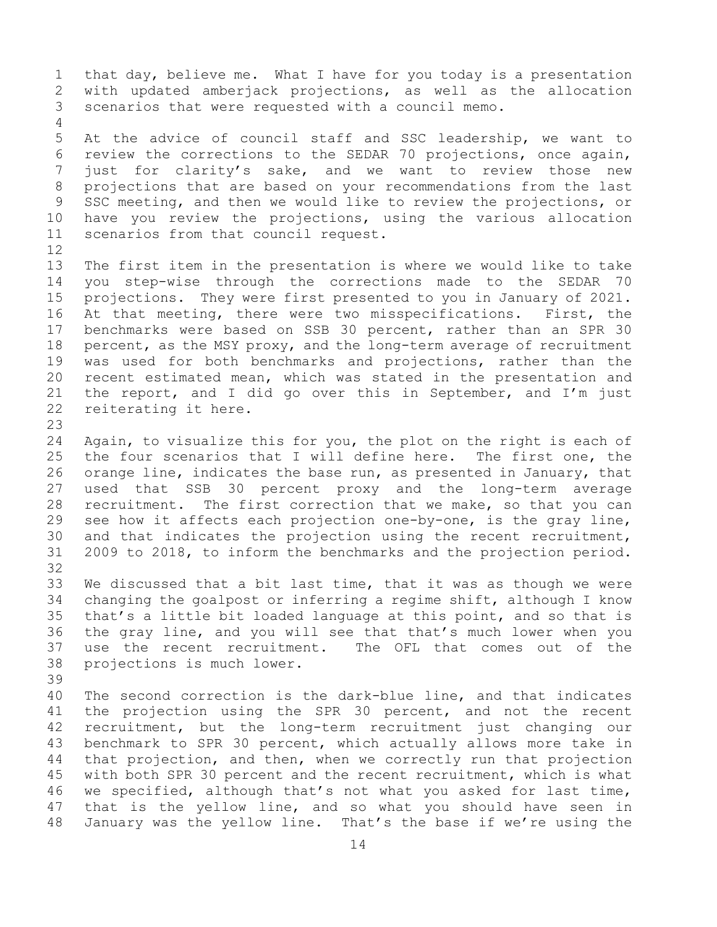1 that day, believe me. What I have for you today is a presentation<br>2 with updated amberjack projections, as well as the allocation 2 with updated amberjack projections, as well as the allocation<br>3 scenarios that were requested with a council memo. scenarios that were requested with a council memo. 4

5 At the advice of council staff and SSC leadership, we want to 6 review the corrections to the SEDAR 70 projections, once again,<br>7 iust for clarity's sake, and we want to review those new 7 just for clarity's sake, and we want to review those new<br>8 projections that are based on your recommendations from the last 8 projections that are based on your recommendations from the last<br>9 SSC meeting, and then we would like to review the projections, or 9 SSC meeting, and then we would like to review the projections, or<br>10 have you review the projections, using the various allocation 10 have you review the projections, using the various allocation<br>11 scenarios from that council request. scenarios from that council request.

12<br>13 The first item in the presentation is where we would like to take 14 you step-wise through the corrections made to the SEDAR 70<br>15 projections. They were first presented to you in January of 2021. 15 projections. They were first presented to you in January of 2021.<br>16 At that meeting, there were two misspecifications. First, the 16 At that meeting, there were two misspecifications.<br>17 benchmarks were based on SSB 30 percent, rather tha 17 benchmarks were based on SSB 30 percent, rather than an SPR 30<br>18 percent, as the MSY proxy, and the long-term average of recruitment 18 percent, as the MSY proxy, and the long-term average of recruitment<br>19 was used for both benchmarks and projections, rather than the 19 was used for both benchmarks and projections, rather than the<br>20 recent estimated mean, which was stated in the presentation and 20 recent estimated mean, which was stated in the presentation and  $21$  the report, and I did go over this in September, and I'm just 21 the report, and I did go over this in September, and I'm just  $22$  reiterating it here. reiterating it here.

23

24 Again, to visualize this for you, the plot on the right is each of<br>25 the four scenarios that I will define here. The first one, the 25 the four scenarios that I will define here.<br>26 orange line, indicates the base run, as present 26 orange line, indicates the base run, as presented in January, that<br>27 used that SSB 30 percent proxy and the long-term average used that SSB 30 percent proxy and the long-term average 28 recruitment. The first correction that we make, so that you can<br>29 see how it affects each projection one-by-one, is the gray line, 29 see how it affects each projection one-by-one, is the gray line,<br>30 and that indicates the projection using the recent recruitment, 30 and that indicates the projection using the recent recruitment,<br>31 2009 to 2018, to inform the benchmarks and the projection period. 31 2009 to 2018, to inform the benchmarks and the projection period. 32

33 We discussed that a bit last time, that it was as though we were<br>34 changing the goalpost or inferring a regime shift, although I know 34 changing the goalpost or inferring a regime shift, although I know<br>35 that's a little bit loaded language at this point, and so that is 35 that's a little bit loaded language at this point, and so that is<br>36 the gray line, and you will see that that's much lower when you 36 the gray line, and you will see that that's much lower when you<br>37 use the recent recruitment. The OFL that comes out of the use the recent recruitment. The OFL that comes out of the 38 projections is much lower.

39

40 The second correction is the dark-blue line, and that indicates<br>41 the projection using the SPR 30 percent, and not the recent 41 the projection using the SPR 30 percent, and not the recent<br>42 recruitment, but the long-term recruitment just changing our 42 recruitment, but the long-term recruitment just changing our<br>43 benchmark to SPR 30 percent, which actually allows more take in 43 benchmark to SPR 30 percent, which actually allows more take in<br>44 that projection, and then, when we correctly run that projection that projection, and then, when we correctly run that projection 45 with both SPR 30 percent and the recent recruitment, which is what 46 we specified, although that's not what you asked for last time,<br>47 that is the yellow line, and so what you should have seen in 47 that is the yellow line, and so what you should have seen in<br>48 January was the yellow line. That's the base if we're using the January was the yellow line. That's the base if we're using the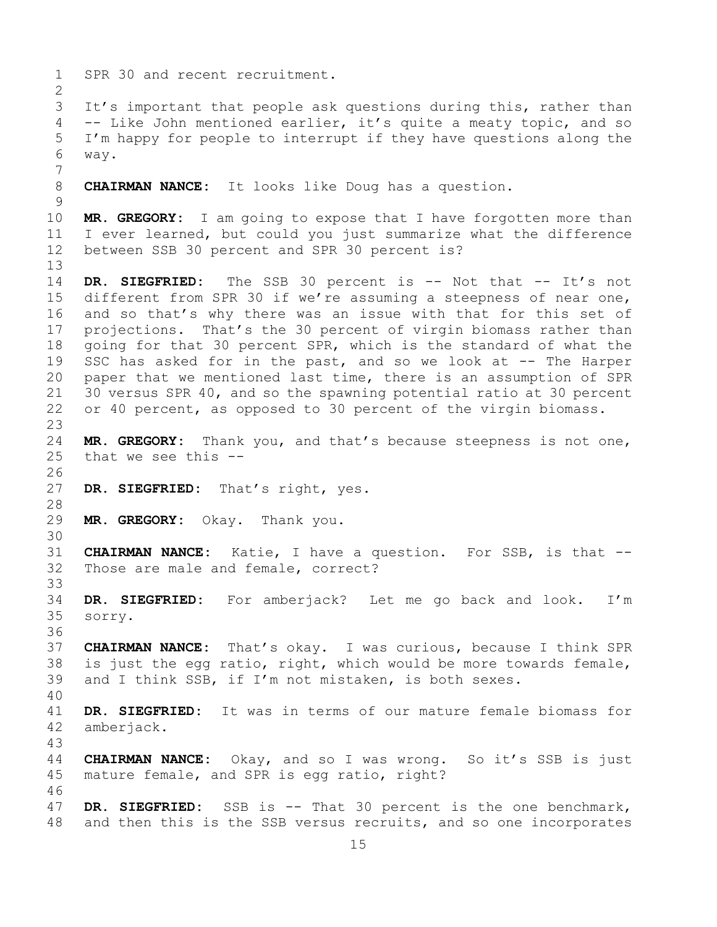1 SPR 30 and recent recruitment.  $\frac{2}{3}$ 3 It's important that people ask questions during this, rather than<br>4 -- Like John mentioned earlier, it's quite a meaty topic, and so -- Like John mentioned earlier, it's quite a meaty topic, and so 5 I'm happy for people to interrupt if they have questions along the 6 way. 7 **CHAIRMAN NANCE:** It looks like Doug has a question.  $\frac{9}{10}$ 10 **MR. GREGORY:** I am going to expose that I have forgotten more than<br>11 I ever learned, but could you just summarize what the difference 11 I ever learned, but could you just summarize what the difference<br>12 between SSB 30 percent and SPR 30 percent is? between SSB 30 percent and SPR 30 percent is? 13 14 **DR. SIEGFRIED:** The SSB 30 percent is -- Not that -- It's not<br>15 different from SPR 30 if we're assuming a steepness of near one, 15 different from SPR 30 if we're assuming a steepness of near one,<br>16 and so that's why there was an issue with that for this set of 16 and so that's why there was an issue with that for this set of<br>17 projections. That's the 30 percent of virgin biomass rather than 17 projections. That's the 30 percent of virgin biomass rather than<br>18 qoing for that 30 percent SPR, which is the standard of what the 18 going for that 30 percent SPR, which is the standard of what the<br>19 SSC has asked for in the past, and so we look at -- The Harper 19 SSC has asked for in the past, and so we look at -- The Harper<br>20 paper that we mentioned last time, there is an assumption of SPR paper that we mentioned last time, there is an assumption of SPR 21 30 versus SPR 40, and so the spawning potential ratio at 30 percent<br>22 or 40 percent, as opposed to 30 percent of the virgin biomass. or 40 percent, as opposed to 30 percent of the virgin biomass.  $\frac{23}{24}$ 24 **MR. GREGORY:** Thank you, and that's because steepness is not one,<br>25 that we see this -that we see this  $-$ -26<br>27 DR. SIEGFRIED: That's right, yes. 28<br>29 MR. GREGORY: Okay. Thank you. 30<br>31 31 **CHAIRMAN NANCE:** Katie, I have a question. For SSB, is that -- Those are male and female, correct? 33<br>34 34 **DR. SIEGFRIED:** For amberjack? Let me go back and look. I'm sorry. 36<br>37 37 **CHAIRMAN NANCE:** That's okay. I was curious, because I think SPR 38 is just the egg ratio, right, which would be more towards female,  $\frac{39}{100}$  and I think SSB, if I'm not mistaken, is both sexes. and I think SSB, if I'm not mistaken, is both sexes. 40 41 **DR. SIEGFRIED:** It was in terms of our mature female biomass for amberjack. 43 44 **CHAIRMAN NANCE:** Okay, and so I was wrong. So it's SSB is just 45 mature female, and SPR is egg ratio, right? 46<br>47 47 **DR. SIEGFRIED:** SSB is -- That 30 percent is the one benchmark,<br>48 and then this is the SSB versus recruits, and so one incorporates and then this is the SSB versus recruits, and so one incorporates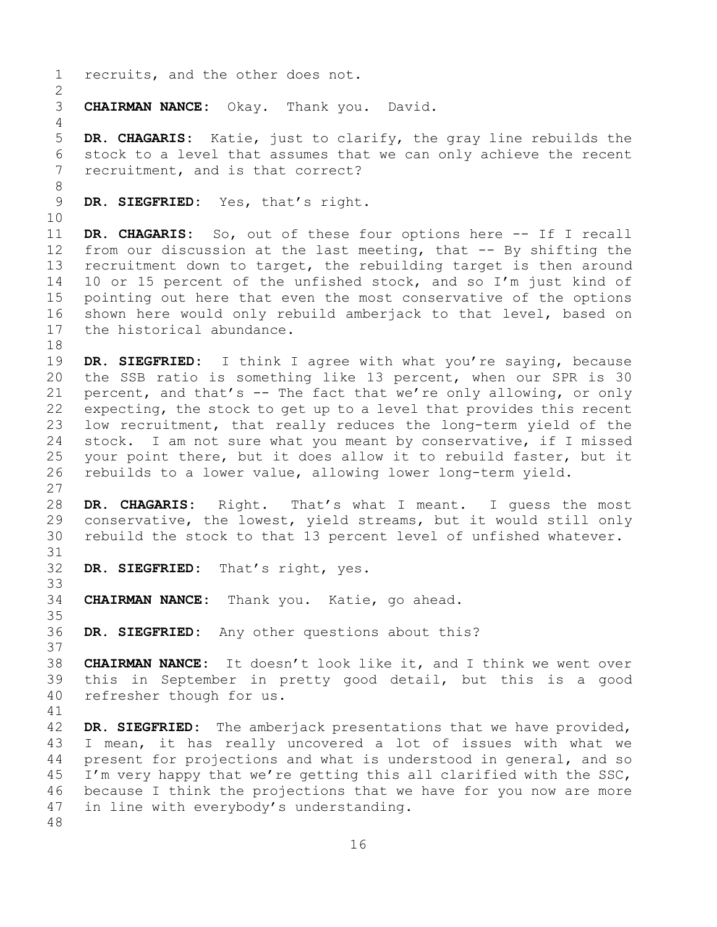1 recruits, and the other does not.  $\frac{2}{3}$ **CHAIRMAN NANCE:** Okay. Thank you. David. 4 5 **DR. CHAGARIS:** Katie, just to clarify, the gray line rebuilds the 6 stock to a level that assumes that we can only achieve the recent<br>7 recruitment, and is that correct? recruitment, and is that correct? 8<br>9 DR. SIEGFRIED: Yes, that's right. 10<br>11 11 **DR. CHAGARIS:** So, out of these four options here -- If I recall<br>12 from our discussion at the last meeting, that -- By shifting the from our discussion at the last meeting, that  $-$ - By shifting the 13 recruitment down to target, the rebuilding target is then around 14 10 or 15 percent of the unfished stock, and so I'm just kind of<br>15 pointing out here that even the most conservative of the options 15 pointing out here that even the most conservative of the options<br>16 shown here would only rebuild amberjack to that level, based on 16 shown here would only rebuild amberjack to that level, based on<br>17 the historical abundance. the historical abundance. 18<br>19 19 **DR. SIEGFRIED:** I think I agree with what you're saying, because<br>20 the SSB ratio is something like 13 percent, when our SPR is 30 the SSB ratio is something like 13 percent, when our SPR is 30 21 percent, and that's  $-$  The fact that we're only allowing, or only  $22$  expecting, the stock to get up to a level that provides this recent 22 expecting, the stock to get up to a level that provides this recent<br>23 low recruitment, that really reduces the long-term yield of the 23 low recruitment, that really reduces the long-term yield of the<br>24 stock. I am not sure what you meant by conservative, if I missed 24 stock. I am not sure what you meant by conservative, if I missed<br>25 your point there, but it does allow it to rebuild faster, but it 25 your point there, but it does allow it to rebuild faster, but it<br>26 rebuilds to a lower value, allowing lower long-term yield. rebuilds to a lower value, allowing lower long-term yield. 27 28 DR. CHAGARIS: Right. That's what I meant. I guess the most<br>29 conservative, the lowest, yield streams, but it would still only 29 conservative, the lowest, yield streams, but it would still only<br>30 rebuild the stock to that 13 percent level of unfished whatever. rebuild the stock to that 13 percent level of unfished whatever. 31<br>32 DR. SIEGFRIED: That's right, yes. 33<br>34 CHAIRMAN NANCE: Thank you. Katie, go ahead. 35<br>36 DR. SIEGFRIED: Any other questions about this? 37 38 **CHAIRMAN NANCE:** It doesn't look like it, and I think we went over 39 this in September in pretty good detail, but this is a good<br>40 refresher though for us. refresher though for us. 41<br>42 42 **DR. SIEGFRIED:** The amberjack presentations that we have provided,<br>43 I mean, it has really uncovered a lot of issues with what we 43 I mean, it has really uncovered a lot of issues with what we<br>44 present for projections and what is understood in general, and so present for projections and what is understood in general, and so 45 I'm very happy that we're getting this all clarified with the SSC, 46 because I think the projections that we have for you now are more<br>47 in line with evervbody's understanding. in line with everybody's understanding. 48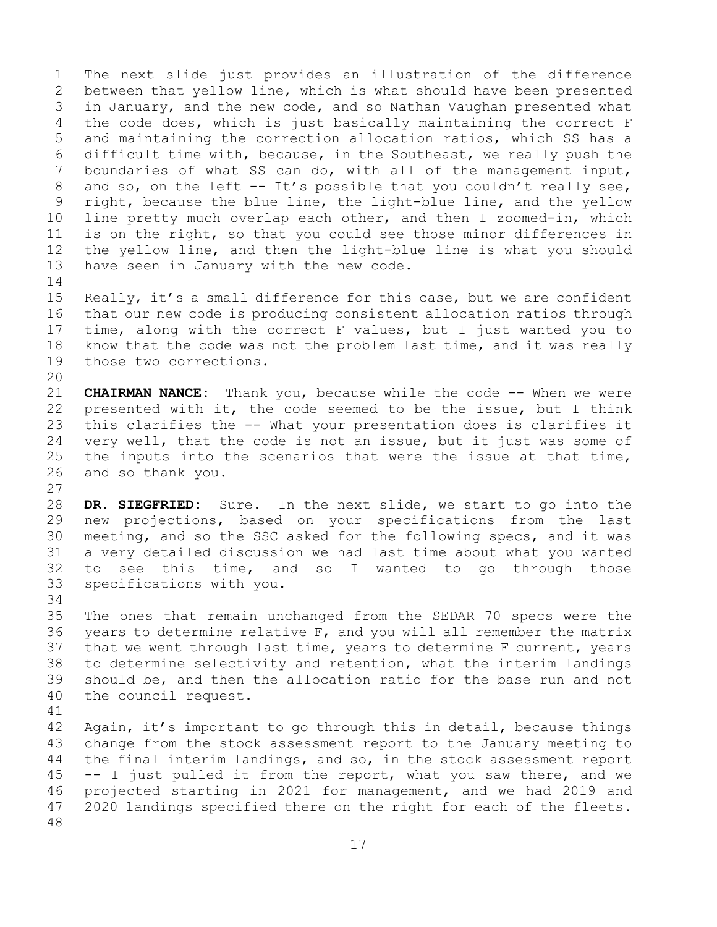1 The next slide just provides an illustration of the difference<br>2 between that yellow line, which is what should have been presented 2 between that yellow line, which is what should have been presented<br>3 in January, and the new code, and so Nathan Vaughan presented what 3 in January, and the new code, and so Nathan Vaughan presented what<br>4 the code does, which is just basically maintaining the correct F the code does, which is just basically maintaining the correct F 5 and maintaining the correction allocation ratios, which SS has a 6 difficult time with, because, in the Southeast, we really push the<br>7 boundaries of what SS can do, with all of the management input, 7 boundaries of what SS can do, with all of the management input,<br>8 and so, on the left -- It's possible that you couldn't really see, 8 and so, on the left -- It's possible that you couldn't really see,<br>9 right, because the blue line, the light-blue line, and the yellow 9 right, because the blue line, the light-blue line, and the yellow<br>10 line pretty much overlap each other, and then I zoomed-in, which 10 line pretty much overlap each other, and then I zoomed-in, which<br>11 is on the right, so that you could see those minor differences in 11 is on the right, so that you could see those minor differences in<br>12 the yellow line, and then the light-blue line is what you should 12 the yellow line, and then the light-blue line is what you should<br>13 have seen in January with the new code. have seen in January with the new code.

 $\frac{14}{15}$ 15 Really, it's a small difference for this case, but we are confident<br>16 that our new code is producing consistent allocation ratios through 16 that our new code is producing consistent allocation ratios through<br>17 time, along with the correct F values, but I just wanted you to 17 time, along with the correct F values, but I just wanted you to<br>18 know that the code was not the problem last time, and it was really 18 know that the code was not the problem last time, and it was really those two corrections. those two corrections.

20<br>21 21 **CHAIRMAN NANCE:** Thank you, because while the code -- When we were<br>22 presented with it, the code seemed to be the issue, but I think 22 presented with it, the code seemed to be the issue, but I think<br>23 this clarifies the -- What your presentation does is clarifies it 23 this clarifies the -- What your presentation does is clarifies it<br>24 very well, that the code is not an issue, but it just was some of 24 very well, that the code is not an issue, but it just was some of<br>25 the inputs into the scenarios that were the issue at that time, 25 the inputs into the scenarios that were the issue at that time,  $26$  and so thank you. and so thank you.

 $\frac{27}{28}$ 28 **DR. SIEGFRIED:** Sure. In the next slide, we start to go into the<br>29 new projections, based on your specifications from the last 29 new projections, based on your specifications from the last<br>30 meeting, and so the SSC asked for the following specs, and it was 30 meeting, and so the SSC asked for the following specs, and it was<br>31 a very detailed discussion we had last time about what you wanted 31 a very detailed discussion we had last time about what you wanted<br>32 to see this time, and so I wanted to go through those to see this time, and so I wanted to go through those 33 specifications with you.

34<br>35 35 The ones that remain unchanged from the SEDAR 70 specs were the 36 years to determine relative  $F$ , and you will all remember the matrix years to determine relative  $F$ , and you will all remember the matrix 37 that we went through last time, years to determine F current, years 38 to determine selectivity and retention, what the interim landings<br>39 should be, and then the allocation ratio for the base run and not 39 should be, and then the allocation ratio for the base run and not 40 the council request. the council request.

41<br>42 42 Again, it's important to go through this in detail, because things<br>43 change from the stock assessment report to the January meeting to 43 change from the stock assessment report to the January meeting to<br>44 the final interim landings, and so, in the stock assessment report the final interim landings, and so, in the stock assessment report 45 -- I just pulled it from the report, what you saw there, and we 46 projected starting in 2021 for management, and we had 2019 and<br>47 2020 landings specified there on the right for each of the fleets. 2020 landings specified there on the right for each of the fleets. 48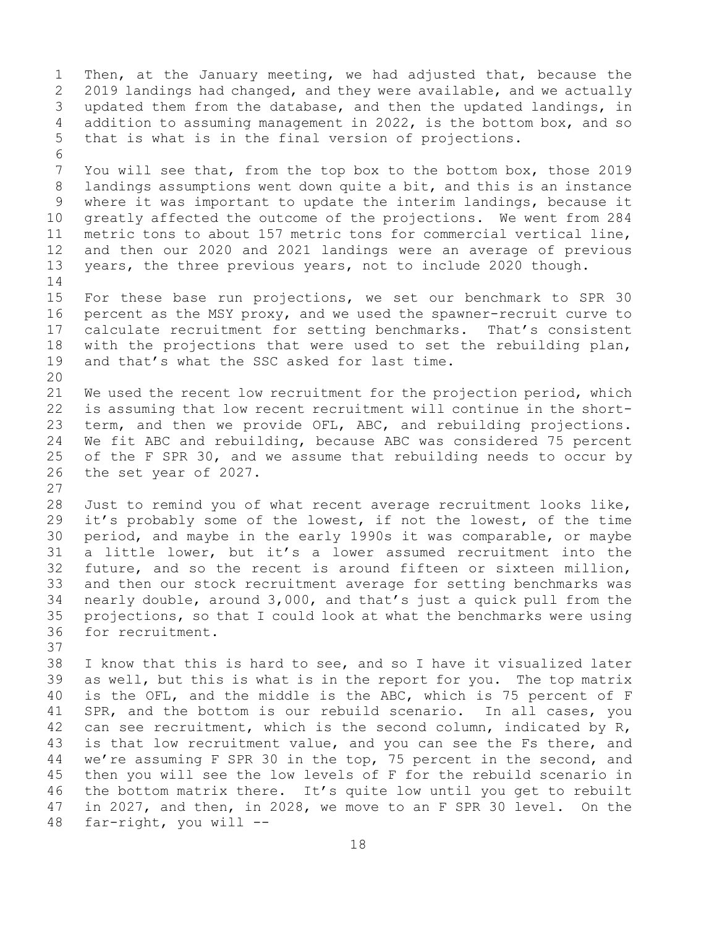1 Then, at the January meeting, we had adjusted that, because the<br>2 2019 landings had changed, and they were available, and we actually 2 2019 landings had changed, and they were available, and we actually<br>3 updated them from the database, and then the updated landings, in 3 updated them from the database, and then the updated landings, in<br>4 addition to assuming management in 2022, is the bottom box, and so addition to assuming management in 2022, is the bottom box, and so 5 that is what is in the final version of projections. 6<br>7 7 You will see that, from the top box to the bottom box, those 2019<br>8 landings assumptions went down quite a bit, and this is an instance 8 landings assumptions went down quite a bit, and this is an instance<br>9 where it was important to update the interim landings, because it 9 where it was important to update the interim landings, because it<br>10 qreatly affected the outcome of the projections. We went from 284 10 greatly affected the outcome of the projections. We went from 284<br>11 metric tons to about 157 metric tons for commercial vertical line, 11 metric tons to about 157 metric tons for commercial vertical line,<br>12 and then our 2020 and 2021 landings were an average of previous 12 and then our 2020 and 2021 landings were an average of previous<br>13 years, the three previous years, not to include 2020 though. years, the three previous years, not to include 2020 though.  $\frac{14}{15}$ 15 For these base run projections, we set our benchmark to SPR 30<br>16 percent as the MSY proxy, and we used the spawner-recruit curve to 16 percent as the MSY proxy, and we used the spawner-recruit curve to<br>17 calculate recruitment for setting benchmarks. That's consistent 17 calculate recruitment for setting benchmarks. That's consistent<br>18 with the projections that were used to set the rebuilding plan, 18 with the projections that were used to set the rebuilding plan,<br>19 and that's what the SSC asked for last time. and that's what the SSC asked for last time. 20<br>21 21 We used the recent low recruitment for the projection period, which<br>22 is assuming that low recent recruitment will continue in the short-22 is assuming that low recent recruitment will continue in the short-<br>23 term, and then we provide OFL, ABC, and rebuilding projections. 23 term, and then we provide OFL, ABC, and rebuilding projections.<br>24 We fit ABC and rebuilding, because ABC was considered 75 percent 24 We fit ABC and rebuilding, because ABC was considered 75 percent<br>25 of the F SPR 30, and we assume that rebuilding needs to occur by 25 of the F SPR 30, and we assume that rebuilding needs to occur by<br>26 the set year of 2027. the set year of 2027.  $\begin{array}{c} 27 \\ 28 \end{array}$ 28 Just to remind you of what recent average recruitment looks like,<br>29 it's probably some of the lowest, if not the lowest, of the time it's probably some of the lowest, if not the lowest, of the time 30 period, and maybe in the early 1990s it was comparable, or maybe<br>31 a little lower, but it's a lower assumed recruitment into the 31 a little lower, but it's a lower assumed recruitment into the<br>32 future, and so the recent is around fifteen or sixteen million, future, and so the recent is around fifteen or sixteen million, 33 and then our stock recruitment average for setting benchmarks was<br>34 nearly double, around 3,000, and that's just a quick pull from the 34 nearly double, around 3,000, and that's just a quick pull from the<br>35 projections, so that I could look at what the benchmarks were using 35 projections, so that I could look at what the benchmarks were using for recruitment. 37<br>38 38 I know that this is hard to see, and so I have it visualized later<br>39 as well, but this is what is in the report for you. The top matrix 39 as well, but this is what is in the report for you. The top matrix<br>40 is the OFL, and the middle is the ABC, which is 75 percent of F 40 is the OFL, and the middle is the ABC, which is 75 percent of F<br>41 SPR, and the bottom is our rebuild scenario. In all cases, you 41 SPR, and the bottom is our rebuild scenario. In all cases, you<br>42 can see recruitment, which is the second column, indicated by R, 42 can see recruitment, which is the second column, indicated by R,<br>43 is that low recruitment value, and you can see the Fs there, and 43 is that low recruitment value, and you can see the Fs there, and<br>44 we're assuming F SPR 30 in the top, 75 percent in the second, and we're assuming F SPR 30 in the top, 75 percent in the second, and 45 then you will see the low levels of F for the rebuild scenario in 46 the bottom matrix there. It's quite low until you get to rebuilt<br>47 in 2027, and then, in 2028, we move to an F SPR 30 level. On the 47 in 2027, and then, in 2028, we move to an F SPR 30 level. On the  $48$  far-right, you will  $$  $far-right, you will --$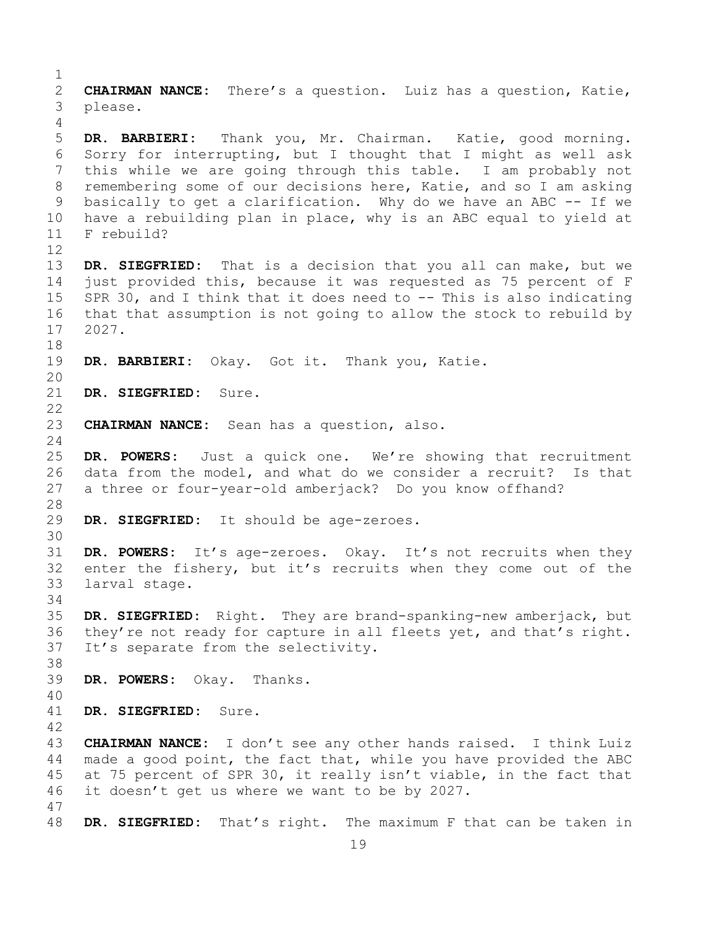$\frac{1}{2}$ 2 **CHAIRMAN NANCE:** There's a question. Luiz has a question, Katie, 3 please. 4 5 **DR. BARBIERI:** Thank you, Mr. Chairman. Katie, good morning. 6 Sorry for interrupting, but I thought that I might as well ask<br>7 this while we are going through this table. I am probably not 7 this while we are going through this table. I am probably not<br>8 remembering some of our decisions here, Katie, and so I am asking 8 remembering some of our decisions here, Katie, and so I am asking<br>9 basically to get a clarification. Why do we have an ABC -- If we 9 basically to get a clarification. Why do we have an ABC -- If we<br>10 have a rebuilding plan in place, why is an ABC equal to vield at 10 have a rebuilding plan in place, why is an ABC equal to yield at 11 F rebuild? F rebuild? 12<br>13 DR. SIEGFRIED: That is a decision that you all can make, but we 14 just provided this, because it was requested as 75 percent of F<br>15 SPR 30, and I think that it does need to -- This is also indicating 15 SPR 30, and I think that it does need to -- This is also indicating<br>16 that that assumption is not going to allow the stock to rebuild by 16 that that assumption is not going to allow the stock to rebuild by<br>17 2027. 17 2027. 18<br>19 DR. BARBIERI: Okay. Got it. Thank you, Katie. 20<br>21 DR. SIEGFRIED: Sure.  $\begin{array}{c} 22 \\ 23 \end{array}$ CHAIRMAN NANCE: Sean has a question, also.  $\frac{24}{25}$ 25 DR. POWERS: Just a quick one. We're showing that recruitment<br>26 data from the model, and what do we consider a recruit? Is that 26 data from the model, and what do we consider a recruit? Is that<br>27 a three or four-vear-old amberjack? Do you know offhand? a three or four-year-old amberjack? Do you know offhand? 28<br>29 DR. SIEGFRIED: It should be age-zeroes. 30<br>31 31 **DR. POWERS:** It's age-zeroes. Okay. It's not recruits when they enter the fishery, but it's recruits when they come out of the 33 larval stage. 34<br>35 35 DR. SIEGFRIED: Right. They are brand-spanking-new amberjack, but<br>36 they're not ready for capture in all fleets yet, and that's right. they're not ready for capture in all fleets yet, and that's right. 37 It's separate from the selectivity. 38<br>39 DR. POWERS: Okay. Thanks. 40 DR. SIEGFRIED: Sure.  $\frac{42}{43}$ 43 **CHAIRMAN NANCE:** I don't see any other hands raised. I think Luiz made a good point, the fact that, while you have provided the ABC 45 at 75 percent of SPR 30, it really isn't viable, in the fact that 46 it doesn't get us where we want to be by 2027. 47 DR. SIEGFRIED: That's right. The maximum F that can be taken in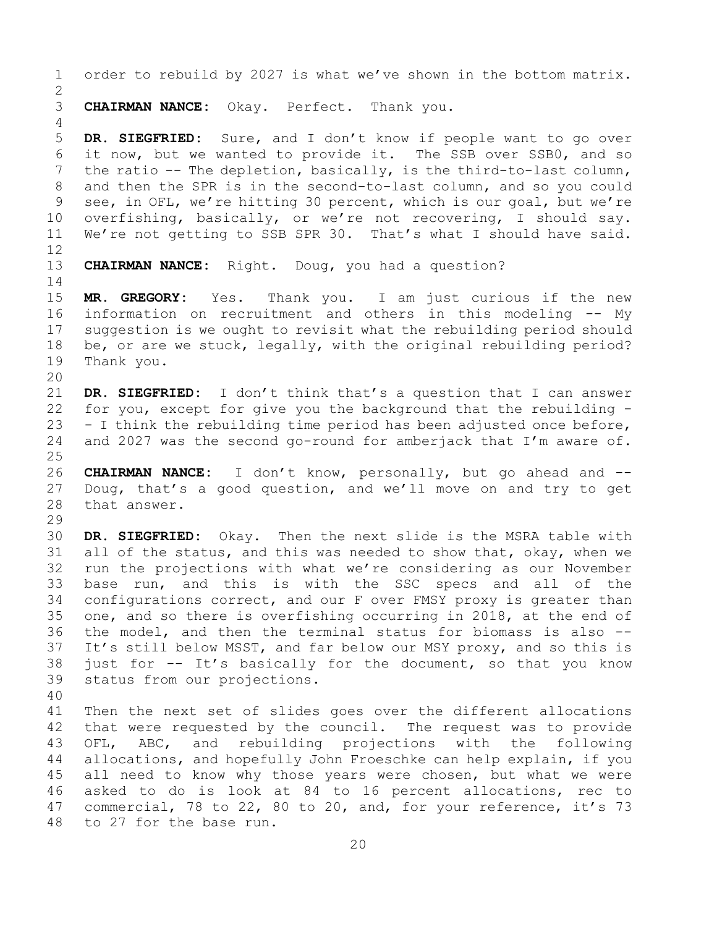1 order to rebuild by 2027 is what we've shown in the bottom matrix.  $\frac{2}{3}$ 3 **CHAIRMAN NANCE:** Okay. Perfect. Thank you. 4 5 **DR. SIEGFRIED:** Sure, and I don't know if people want to go over 6 it now, but we wanted to provide it. The SSB over SSB0, and so<br>7 the ratio -- The depletion, basically, is the third-to-last column, 7 the ratio -- The depletion, basically, is the third-to-last column,<br>8 and then the SPR is in the second-to-last column, and so you could 8 and then the SPR is in the second-to-last column, and so you could<br>9 see, in OFL, we're hitting 30 percent, which is our goal, but we're 9 see, in OFL, we're hitting 30 percent, which is our goal, but we're<br>10 overfishing, basically, or we're not recovering, I should say. 10 overfishing, basically, or we're not recovering, I should say.<br>11 We're not getting to SSB SPR 30. That's what I should have said. We're not getting to SSB SPR 30. That's what I should have said. 12<br>13 CHAIRMAN NANCE: Right. Doug, you had a question?  $\frac{14}{15}$ 15 **MR. GREGORY:** Yes. Thank you. I am just curious if the new<br>16 information on recruitment and others in this modeling -- My 16 information on recruitment and others in this modeling -- My<br>17 suggestion is we ought to revisit what the rebuilding period should 17 suggestion is we ought to revisit what the rebuilding period should<br>18 be, or are we stuck, legally, with the original rebuilding period? 18 be, or are we stuck, legally, with the original rebuilding period?<br>19 Thank you. Thank you. 20<br>21 21 **DR. SIEGFRIED:** I don't think that's a question that I can answer<br>22 for you, except for give you the background that the rebuilding -22 for you, except for give you the background that the rebuilding  $-$  23  $-$  I think the rebuilding time period has been adjusted once before, 23 - I think the rebuilding time period has been adjusted once before,<br>24 and 2027 was the second go-round for amberjack that I'm aware of. and 2027 was the second go-round for amberjack that I'm aware of.  $\frac{25}{26}$ 26 **CHAIRMAN NANCE:** I don't know, personally, but go ahead and --<br>27 Doug, that's a good question, and we'll move on and try to get Doug, that's a good question, and we'll move on and try to get 28 that answer. 29<br>30 30 **DR. SIEGFRIED:** Okay. Then the next slide is the MSRA table with<br>31 all of the status, and this was needed to show that, okay, when we 31 all of the status, and this was needed to show that, okay, when we<br>32 run the projections with what we're considering as our November run the projections with what we're considering as our November 33 base run, and this is with the SSC specs and all of the<br>34 configurations correct, and our F over FMSY proxy is greater than 34 configurations correct, and our F over FMSY proxy is greater than<br>35 one, and so there is overfishing occurring in 2018, at the end of 35 one, and so there is overfishing occurring in 2018, at the end of<br>36 the model, and then the terminal status for biomass is also --36 the model, and then the terminal status for biomass is also --<br>37 It's still below MSST, and far below our MSY proxy, and so this is It's still below MSST, and far below our MSY proxy, and so this is 38 just for  $-$  It's basically for the document, so that you know  $39$  status from our projections. status from our projections. 40 41 Then the next set of slides goes over the different allocations<br>42 that were requested by the council. The request was to provide 42 that were requested by the council. The request was to provide<br>43 OFL, ABC, and rebuilding projections with the following 43 OFL, ABC, and rebuilding projections with the following<br>44 allocations, and hopefully John Froeschke can help explain, if you allocations, and hopefully John Froeschke can help explain, if you 45 all need to know why those years were chosen, but what we were 46 asked to do is look at 84 to 16 percent allocations, rec to<br>47 commercial, 78 to 22, 80 to 20, and, for your reference, it's 73 47 commercial, 78 to 22, 80 to 20, and, for your reference, it's 73<br>48 to 27 for the base run. to 27 for the base run.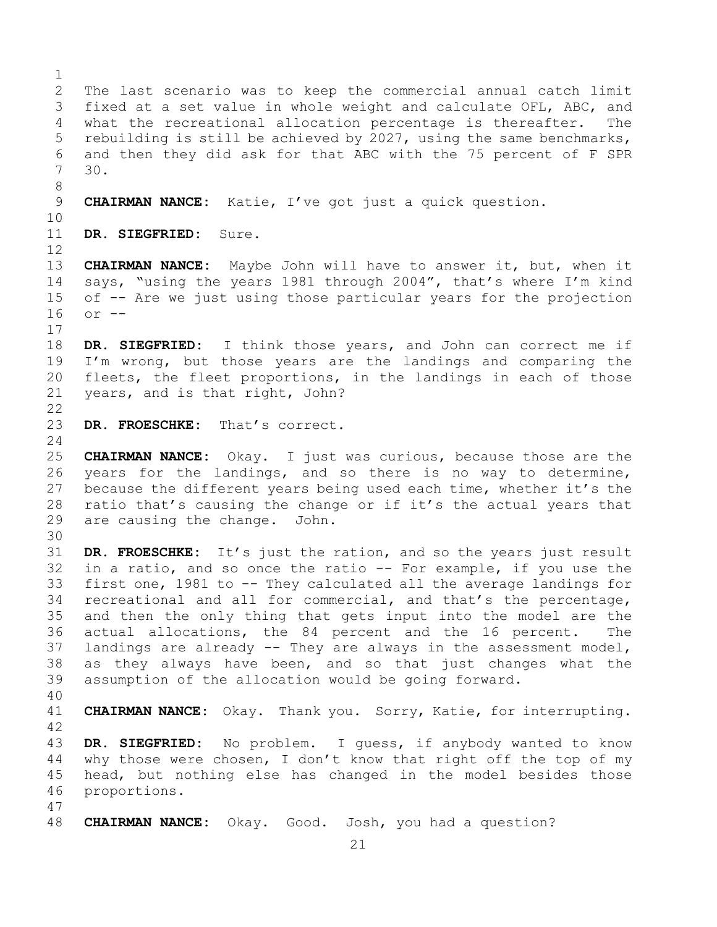$\frac{1}{2}$ 2 The last scenario was to keep the commercial annual catch limit<br>3 fixed at a set value in whole weight and calculate OFL, ABC, and 3 fixed at a set value in whole weight and calculate OFL, ABC, and<br>4 what the recreational allocation percentage is thereafter. The what the recreational allocation percentage is thereafter. 5 rebuilding is still be achieved by 2027, using the same benchmarks, 6 and then they did ask for that ABC with the 75 percent of F SPR  $30.$ 8 9 **CHAIRMAN NANCE:** Katie, I've got just a quick question. 10<br>11 DR. SIEGFRIED: Sure. 12 13 **CHAIRMAN NANCE:** Maybe John will have to answer it, but, when it 14 says, "using the years 1981 through 2004", that's where I'm kind<br>15 of -- Are we just using those particular vears for the projection 15 of -- Are we just using those particular years for the projection<br>16 or - $or$   $- \begin{array}{c} 17 \\ 18 \end{array}$ 18 **DR. SIEGFRIED:** I think those years, and John can correct me if<br>19 I'm wrong, but those years are the landings and comparing the 19 I'm wrong, but those years are the landings and comparing the<br>20 fleets, the fleet proportions, in the landings in each of those 20 fleets, the fleet proportions, in the landings in each of those<br>21 years, and is that right, John? years, and is that right, John?  $\frac{22}{23}$ DR. FROESCHKE: That's correct.  $\frac{24}{25}$ 25 **CHAIRMAN NANCE:** Okay. I just was curious, because those are the 26 years for the landings, and so there is no way to determine,<br>27 because the different years being used each time, whether it's the because the different years being used each time, whether it's the 28 ratio that's causing the change or if it's the actual years that  $29$  are causing the change. John. are causing the change. John. 30<br>31 31 **DR. FROESCHKE:** It's just the ration, and so the years just result in a ratio, and so once the ratio -- For example, if you use the 33 first one, 1981 to -- They calculated all the average landings for<br>34 recreational and all for commercial, and that's the percentage, 34 recreational and all for commercial, and that's the percentage,<br>35 and then the only thing that gets input into the model are the 35 and then the only thing that gets input into the model are the<br>36 actual allocations, the 84 percent and the 16 percent. The actual allocations, the 84 percent and the 16 percent. The 37 landings are already -- They are always in the assessment model, 38 as they always have been, and so that just changes what the<br>39 assumption of the allocation would be going forward. assumption of the allocation would be going forward. 40 CHAIRMAN NANCE: Okay. Thank you. Sorry, Katie, for interrupting. 42 43 DR. SIEGFRIED: No problem. I guess, if anybody wanted to know<br>44 why those were chosen, I don't know that right off the top of my why those were chosen, I don't know that right off the top of my 45 head, but nothing else has changed in the model besides those 46 proportions. 47 48 **CHAIRMAN NANCE:** Okay. Good. Josh, you had a question?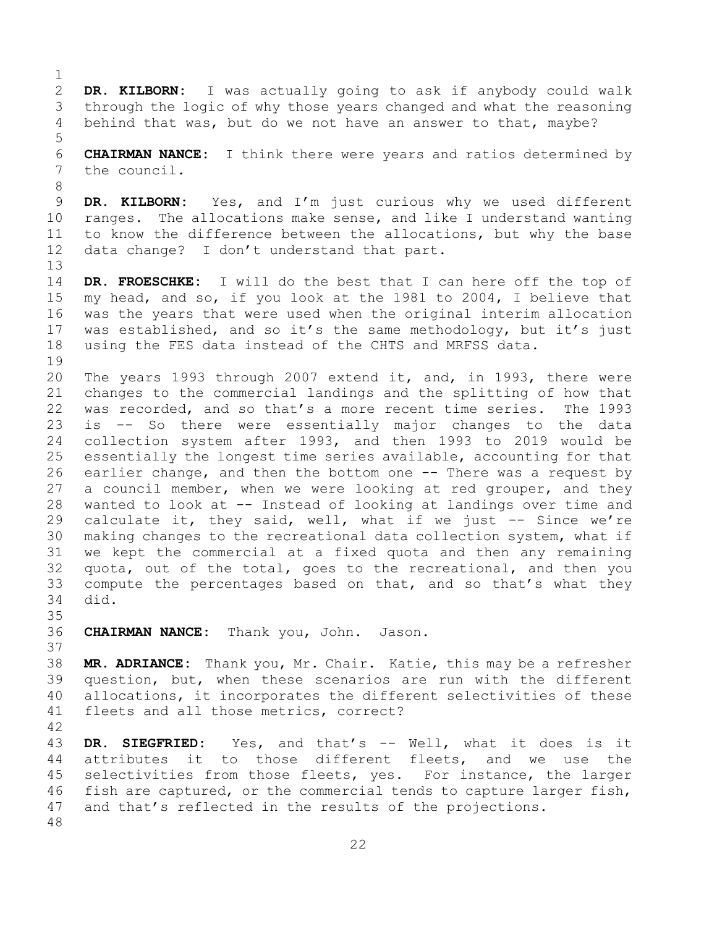$\frac{1}{2}$ 2 **DR. KILBORN:** I was actually going to ask if anybody could walk 3 through the logic of why those years changed and what the reasoning<br>4 behind that was, but do we not have an answer to that, maybe? behind that was, but do we not have an answer to that, maybe? 5 6 **CHAIRMAN NANCE:** I think there were years and ratios determined by<br>7 the council. the council. 8 9 **DR. KILBORN:** Yes, and I'm just curious why we used different<br>10 ranges. The allocations make sense, and like I understand wanting 10 ranges. The allocations make sense, and like I understand wanting<br>11 to know the difference between the allocations, but why the base 11 to know the difference between the allocations, but why the base<br>12 data change? I don't understand that part. data change? I don't understand that part. 13 14 **DR. FROESCHKE:** I will do the best that I can here off the top of 15 my head, and so, if you look at the 1981 to 2004, I believe that<br>16 was the years that were used when the original interim allocation 16 was the years that were used when the original interim allocation<br>17 was established, and so it's the same methodology, but it's just 17 was established, and so it's the same methodology, but it's just<br>18 using the FES data instead of the CHTS and MRFSS data. using the FES data instead of the CHTS and MRFSS data.  $\begin{array}{c} 19 \\ 20 \end{array}$ 20 The years 1993 through 2007 extend it, and, in 1993, there were<br>21 changes to the commercial landings and the splitting of how that 21 changes to the commercial landings and the splitting of how that<br>22 was recorded, and so that's a more recent time series. The 1993 22 was recorded, and so that's a more recent time series.<br>23 is  $-$ - So there were essentially major changes to 23 is -- So there were essentially major changes to the data<br>24 collection system after 1993, and then 1993 to 2019 would be 24 collection system after 1993, and then 1993 to 2019 would be<br>25 essentially the longest time series available, accounting for that 25 essentially the longest time series available, accounting for that<br>26 earlier change, and then the bottom one -- There was a request by 26 earlier change, and then the bottom one -- There was a request by<br>27 a council member, when we were looking at red grouper, and they a council member, when we were looking at red grouper, and they 28 wanted to look at -- Instead of looking at landings over time and<br>29 calculate it, they said, well, what if we just -- Since we're 29 calculate it, they said, well, what if we just -- Since we're<br>30 making changes to the recreational data collection system, what if 30 making changes to the recreational data collection system, what if<br>31 we kept the commercial at a fixed quota and then any remaining 31 we kept the commercial at a fixed quota and then any remaining<br>32 quota, out of the total, goes to the recreational, and then you 32 quota, out of the total, goes to the recreational, and then you<br>33 compute the percentages based on that, and so that's what they 33 compute the percentages based on that, and so that's what they<br>34 did. did. 35<br>36 36 **CHAIRMAN NANCE:** Thank you, John. Jason. 37 38 **MR. ADRIANCE:** Thank you, Mr. Chair. Katie, this may be a refresher 39 question, but, when these scenarios are run with the different<br>40 allocations, it incorporates the different selectivities of these 40 allocations, it incorporates the different selectivities of these<br>41 fleets and all those metrics, correct? fleets and all those metrics, correct?

42 43 DR. SIEGFRIED: Yes, and that's -- Well, what it does is it<br>44 attributes it to those different fleets, and we use the to those different fleets, 45 selectivities from those fleets, yes. For instance, the larger 46 fish are captured, or the commercial tends to capture larger fish,<br>47 and that's reflected in the results of the projections. and that's reflected in the results of the projections. 48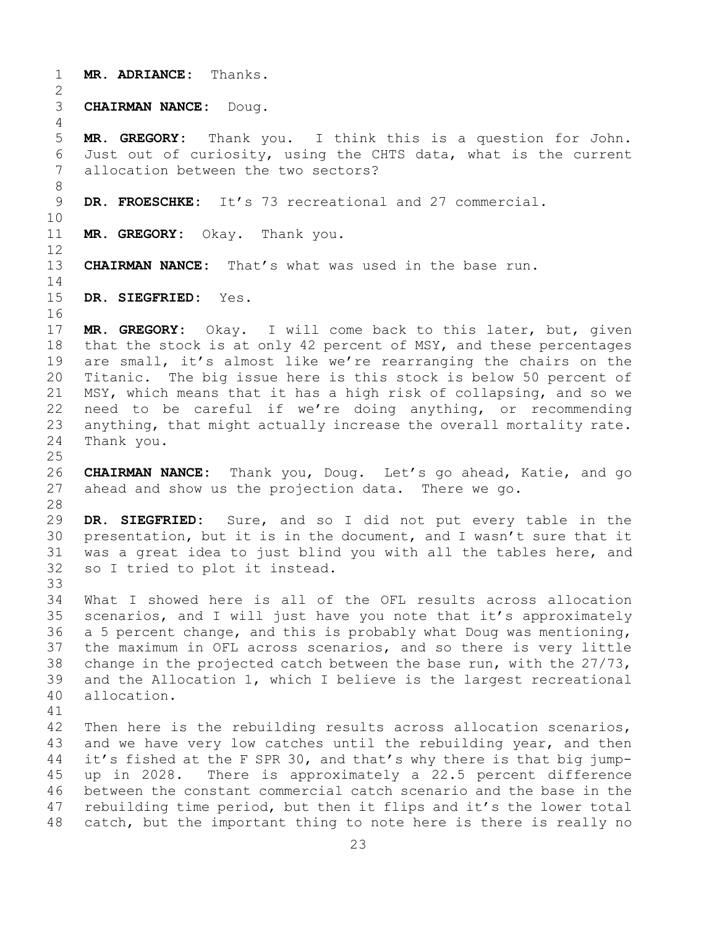- 1 **MR. ADRIANCE:** Thanks.
- $\frac{2}{3}$ 3 **CHAIRMAN NANCE:** Doug.

5 **MR. GREGORY:** Thank you. I think this is a question for John. 6 Just out of curiosity, using the CHTS data, what is the current<br>7 allocation between the two sectors? allocation between the two sectors?

8<br>9 DR. FROESCHKE: It's 73 recreational and 27 commercial.

10<br>11 MR. GREGORY: Okay. Thank you.

12<br>13 **CHAIRMAN NANCE:** That's what was used in the base run.

 $\frac{14}{15}$ 

4

15 **DR. SIEGFRIED:** Yes.

16<br>17 17 **MR. GREGORY:** Okay. I will come back to this later, but, given<br>18 that the stock is at only 42 percent of MSY, and these percentages 18 that the stock is at only 42 percent of MSY, and these percentages<br>19 are small, it's almost like we're rearranging the chairs on the 19 are small, it's almost like we're rearranging the chairs on the<br>20 Titanic. The big issue here is this stock is below 50 percent of Titanic. The big issue here is this stock is below 50 percent of 21 MSY, which means that it has a high risk of collapsing, and so we<br>22 need to be careful if we're doing anything, or recommending 22 need to be careful if we're doing anything, or recommending<br>23 anything, that might actually increase the overall mortality rate. 23 anything, that might actually increase the overall mortality rate.<br>24 Thank you. Thank you.

 $\frac{25}{26}$ 26 **CHAIRMAN NANCE:** Thank you, Doug. Let's go ahead, Katie, and go<br>27 ahead and show us the projection data. There we go. ahead and show us the projection data.

28<br>29

29 **DR. SIEGFRIED:** Sure, and so I did not put every table in the 30 presentation, but it is in the document, and I wasn't sure that it 30 presentation, but it is in the document, and I wasn't sure that it<br>31 was a great idea to just blind you with all the tables here, and 31 was a great idea to just blind you with all the tables here, and<br>32 so I tried to plot it instead. so I tried to plot it instead.

33<br>34 34 What I showed here is all of the OFL results across allocation<br>35 scenarios, and I will just have you note that it's approximately 35 scenarios, and I will just have you note that it's approximately<br>36 a 5 percent change, and this is probably what Doug was mentioning, a 5 percent change, and this is probably what Doug was mentioning, 37 the maximum in OFL across scenarios, and so there is very little 38 change in the projected catch between the base run, with the 27/73,<br>39 and the Allocation 1, which I believe is the largest recreational 39 and the Allocation 1, which I believe is the largest recreational 40 allocation. allocation.

41<br>42 42 Then here is the rebuilding results across allocation scenarios,<br>43 and we have very low catches until the rebuilding year, and then 43 and we have very low catches until the rebuilding year, and then<br>44 it's fished at the F SPR 30, and that's why there is that big jumpit's fished at the F SPR 30, and that's why there is that big jump-45 up in 2028. There is approximately a 22.5 percent difference 46 between the constant commercial catch scenario and the base in the<br>47 rebuilding time period, but then it flips and it's the lower total 47 rebuilding time period, but then it flips and it's the lower total<br>48 catch, but the important thing to note here is there is really no catch, but the important thing to note here is there is really no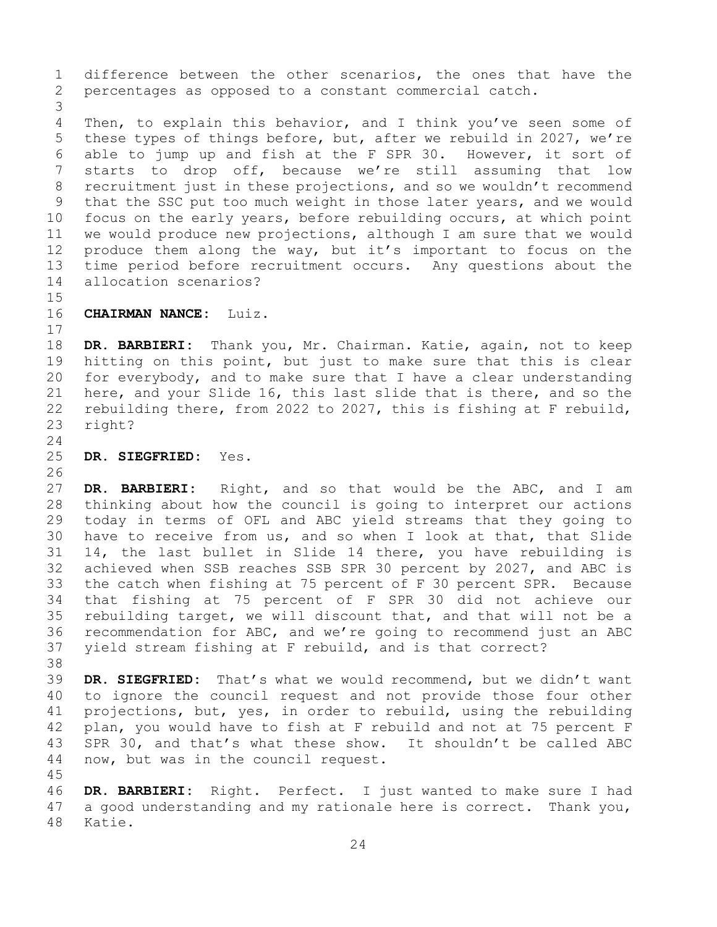1 difference between the other scenarios, the ones that have the<br>2 percentages as opposed to a constant commercial catch. percentages as opposed to a constant commercial catch.

3 Then, to explain this behavior, and I think you've seen some of 5 these types of things before, but, after we rebuild in 2027, we're 6 able to jump up and fish at the F SPR 30. However, it sort of<br>7 starts to drop off, because we're still assuming that low 7 starts to drop off, because we're still assuming that low<br>8 recruitment just in these projections, and so we wouldn't recommend 8 recruitment just in these projections, and so we wouldn't recommend<br>9 that the SSC put too much weight in those later years, and we would 9 that the SSC put too much weight in those later years, and we would<br>10 focus on the early years, before rebuilding occurs, at which point 10 focus on the early years, before rebuilding occurs, at which point<br>11 we would produce new projections, although I am sure that we would 11 we would produce new projections, although I am sure that we would<br>12 produce them along the way, but it's important to focus on the produce them along the way, but it's important to focus on the 13 time period before recruitment occurs. Any questions about the 14 allocation scenarios?

# 15<br>16 16 **CHAIRMAN NANCE:** Luiz.

 $\begin{array}{c} 17 \\ 18 \end{array}$ 

18 **DR. BARBIERI:** Thank you, Mr. Chairman. Katie, again, not to keep 19 hitting on this point, but just to make sure that this is clear<br>20 for everybody, and to make sure that I have a clear understanding 20 for everybody, and to make sure that I have a clear understanding<br>21 here, and your Slide 16, this last slide that is there, and so the 21 here, and your Slide 16, this last slide that is there, and so the<br>22 rebuilding there, from 2022 to 2027, this is fishing at F rebuild, 22 rebuilding there, from 2022 to 2027, this is fishing at F rebuild,  $23$  right? right?

 $\frac{24}{25}$ 25 **DR. SIEGFRIED:** Yes.

26<br>27

DR. BARBIERI: Right, and so that would be the ABC, and I am 28 thinking about how the council is going to interpret our actions<br>29 today in terms of OFL and ABC yield streams that they going to 29 today in terms of OFL and ABC yield streams that they going to<br>30 have to receive from us, and so when I look at that, that Slide 30 have to receive from us, and so when I look at that, that Slide<br>31 14, the last bullet in Slide 14 there, you have rebuilding is 31 14, the last bullet in Slide 14 there, you have rebuilding is<br>32 achieved when SSB reaches SSB SPR 30 percent by 2027, and ABC is achieved when SSB reaches SSB SPR 30 percent by 2027, and ABC is 33 the catch when fishing at 75 percent of F 30 percent SPR. Because<br>34 that fishing at 75 percent of F SPR 30 did not achieve our 34 that fishing at 75 percent of F SPR 30 did not achieve our 35 rebuilding target, we will discount that, and that will not be a<br>36 recommendation for ABC, and we're going to recommend just an ABC 36 recommendation for ABC, and we're going to recommend just an ABC<br>37 yield stream fishing at F rebuild, and is that correct? yield stream fishing at F rebuild, and is that correct?

38<br>39

45

39 **DR. SIEGFRIED:** That's what we would recommend, but we didn't want 40 to ignore the council request and not provide those four other<br>41 projections, but, yes, in order to rebuild, using the rebuilding 41 projections, but, yes, in order to rebuild, using the rebuilding<br>42 plan, you would have to fish at F rebuild and not at 75 percent F 42 plan, you would have to fish at F rebuild and not at 75 percent F<br>43 SPR 30, and that's what these show. It shouldn't be called ABC 43 SPR 30, and that's what these show. It shouldn't be called ABC<br>44 now, but was in the council request. now, but was in the council request.

46 DR. BARBIERI: Right. Perfect. I just wanted to make sure I had<br>47 a good understanding and my rationale here is correct. Thank you, 47 a good understanding and my rationale here is correct. Thank you,<br>48 Katie. Katie.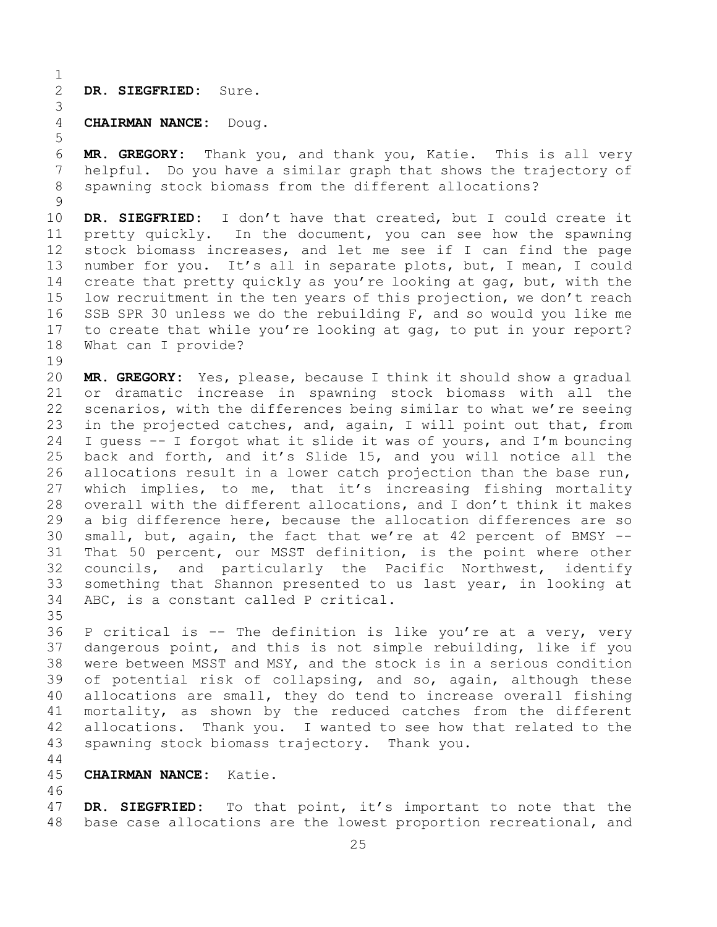$\frac{1}{2}$ 2 **DR. SIEGFRIED:** Sure.

5

## 3 4 **CHAIRMAN NANCE:** Doug.

6 **MR. GREGORY:** Thank you, and thank you, Katie. This is all very 7 helpful. Do you have a similar graph that shows the trajectory of<br>8 spawning stock biomass from the different allocations? spawning stock biomass from the different allocations?

 $\frac{9}{10}$ 10 **DR. SIEGFRIED:** I don't have that created, but I could create it<br>11 pretty quickly. In the document, you can see how the spawning 11 pretty quickly. In the document, you can see how the spawning<br>12 stock biomass increases, and let me see if I can find the page stock biomass increases, and let me see if I can find the page 13 number for you. It's all in separate plots, but, I mean, I could 14 create that pretty quickly as you're looking at gag, but, with the<br>15 low recruitment in the ten vears of this projection, we don't reach 15 low recruitment in the ten years of this projection, we don't reach<br>16 SSB SPR 30 unless we do the rebuilding F, and so would you like me 16 SSB SPR 30 unless we do the rebuilding F, and so would you like me<br>17 to create that while you're looking at gag, to put in your report? 17 to create that while you're looking at gag, to put in your report?<br>18 What can I provide? What can I provide?

19<br>20 20 **MR. GREGORY:** Yes, please, because I think it should show a gradual 21 or dramatic increase in spawning stock biomass with all the<br>22 scenarios, with the differences being similar to what we're seeing 22 scenarios, with the differences being similar to what we're seeing<br>23 in the projected catches, and, again, I will point out that, from 23 in the projected catches, and, again, I will point out that, from<br>24 I quess -- I forgot what it slide it was of vours, and I'm bouncing 24 I guess -- I forgot what it slide it was of yours, and I'm bouncing<br>25 back and forth, and it's Slide 15, and you will notice all the 25 back and forth, and it's Slide 15, and you will notice all the<br>26 allocations result in a lower catch projection than the base run, 26 allocations result in a lower catch projection than the base run,<br>27 which implies, to me, that it's increasing fishing mortality which implies, to me, that it's increasing fishing mortality 28 overall with the different allocations, and I don't think it makes<br>29 a big difference here, because the allocation differences are so 29 a big difference here, because the allocation differences are so<br>30 small, but, again, the fact that we're at 42 percent of BMSY --30 small, but, again, the fact that we're at 42 percent of BMSY --<br>31 That 50 percent, our MSST definition, is the point where other 31 That 50 percent, our MSST definition, is the point where other<br>32 councils, and particularly the Pacific Northwest, identify councils, and particularly the Pacific Northwest, identify 33 something that Shannon presented to us last year, in looking at 34 ABC, is a constant called P critical. ABC, is a constant called P critical.

35<br>36 P critical is -- The definition is like you're at a very, very 37 dangerous point, and this is not simple rebuilding, like if you 38 were between MSST and MSY, and the stock is in a serious condition<br>39 of potential risk of collapsing, and so, again, although these 39 of potential risk of collapsing, and so, again, although these<br>40 allocations are small, they do tend to increase overall fishing 40 allocations are small, they do tend to increase overall fishing<br>41 mortality, as shown by the reduced catches from the different 41 mortality, as shown by the reduced catches from the different<br>42 allocations. Thank you. I wanted to see how that related to the 42 allocations. Thank you. I wanted to see how that related to the<br>43 spawning stock biomass trajectory. Thank you. spawning stock biomass trajectory. Thank you.

44

#### 45 **CHAIRMAN NANCE:** Katie.

46<br>47 47 **DR. SIEGFRIED:** To that point, it's important to note that the<br>48 base case allocations are the lowest proportion recreational, and base case allocations are the lowest proportion recreational, and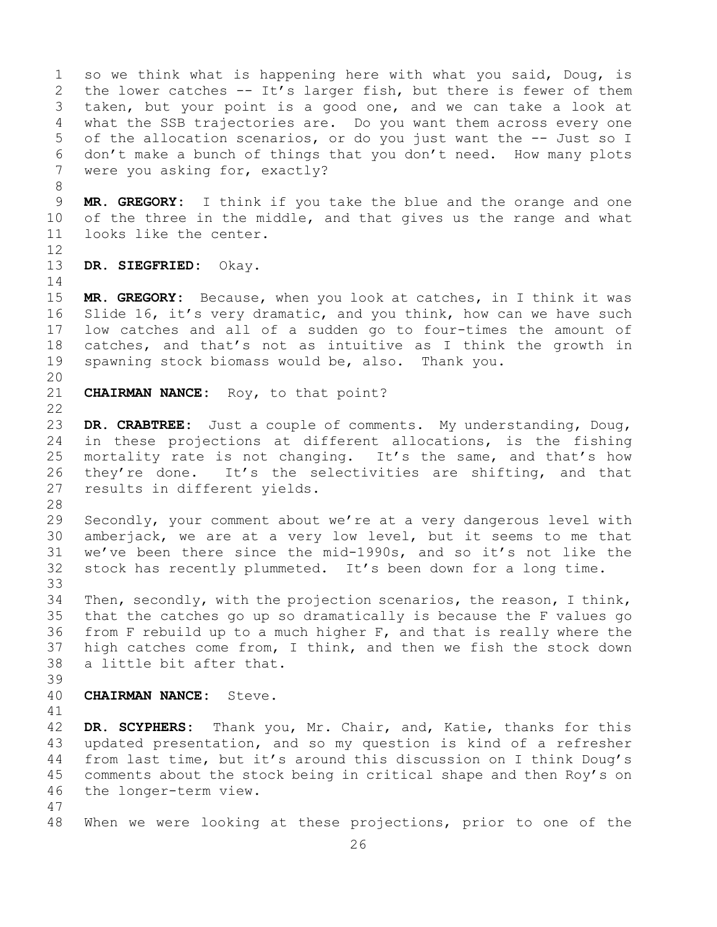1 so we think what is happening here with what you said, Doug, is<br>2 the lower catches -- It's larger fish, but there is fewer of them 2 the lower catches -- It's larger fish, but there is fewer of them<br>3 taken, but your point is a good one, and we can take a look at 3 taken, but your point is a good one, and we can take a look at<br>4 what the SSB trajectories are. Do you want them across every one what the SSB trajectories are. Do you want them across every one 5 of the allocation scenarios, or do you just want the -- Just so I 6 don't make a bunch of things that you don't need. How many plots<br>7 were vou asking for, exactly? were you asking for, exactly?

8<br>9 9 **MR. GREGORY:** I think if you take the blue and the orange and one<br>10 of the three in the middle, and that gives us the range and what 10 of the three in the middle, and that gives us the range and what<br>11 looks like the center. looks like the center.

12

13 **DR. SIEGFRIED:** Okay.

 $\frac{14}{15}$ 15 **MR. GREGORY:** Because, when you look at catches, in I think it was<br>16 Slide 16, it's very dramatic, and you think, how can we have such 16 Slide 16, it's very dramatic, and you think, how can we have such<br>17 low catches and all of a sudden go to four-times the amount of 17 low catches and all of a sudden go to four-times the amount of<br>18 catches, and that's not as intuitive as I think the growth in 18 catches, and that's not as intuitive as I think the growth in<br>19 spawning stock biomass would be, also. Thank you. spawning stock biomass would be, also. Thank you.

20<br>21

CHAIRMAN NANCE: Roy, to that point?

 $\begin{array}{c} 22 \\ 23 \end{array}$ 23 **DR. CRABTREE:** Just a couple of comments. My understanding, Doug,<br>24 in these projections at different allocations, is the fishing 24 in these projections at different allocations, is the fishing<br>25 mortality rate is not changing. It's the same, and that's how 25 mortality rate is not changing. It's the same, and that's how<br>26 they're done. It's the selectivities are shifting, and that 26 they're done. It's the selectivities are shifting, and that<br>27 results in different vields. results in different yields.

28<br>29

29 Secondly, your comment about we're at a very dangerous level with<br>30 amberjack, we are at a very low level, but it seems to me that 30 amberjack, we are at a very low level, but it seems to me that<br>31 we've been there since the mid-1990s, and so it's not like the 31 we've been there since the mid-1990s, and so it's not like the<br>32 stock has recently plummeted. It's been down for a long time. stock has recently plummeted. It's been down for a long time.

33<br>34 34 Then, secondly, with the projection scenarios, the reason, I think,<br>35 that the catches go up so dramatically is because the F values go 35 that the catches go up so dramatically is because the F values go<br>36 from F rebuild up to a much higher F, and that is really where the from F rebuild up to a much higher  $F$ , and that is really where the 37 high catches come from, I think, and then we fish the stock down 38 a little bit after that.

39

**CHAIRMAN NANCE:** Steve.

41<br>42

42 **DR. SCYPHERS:** Thank you, Mr. Chair, and, Katie, thanks for this 43 updated presentation, and so my question is kind of a refresher<br>44 from last time, but it's around this discussion on I think Doug's from last time, but it's around this discussion on I think Doug's 45 comments about the stock being in critical shape and then Roy's on 46 the longer-term view.

47 When we were looking at these projections, prior to one of the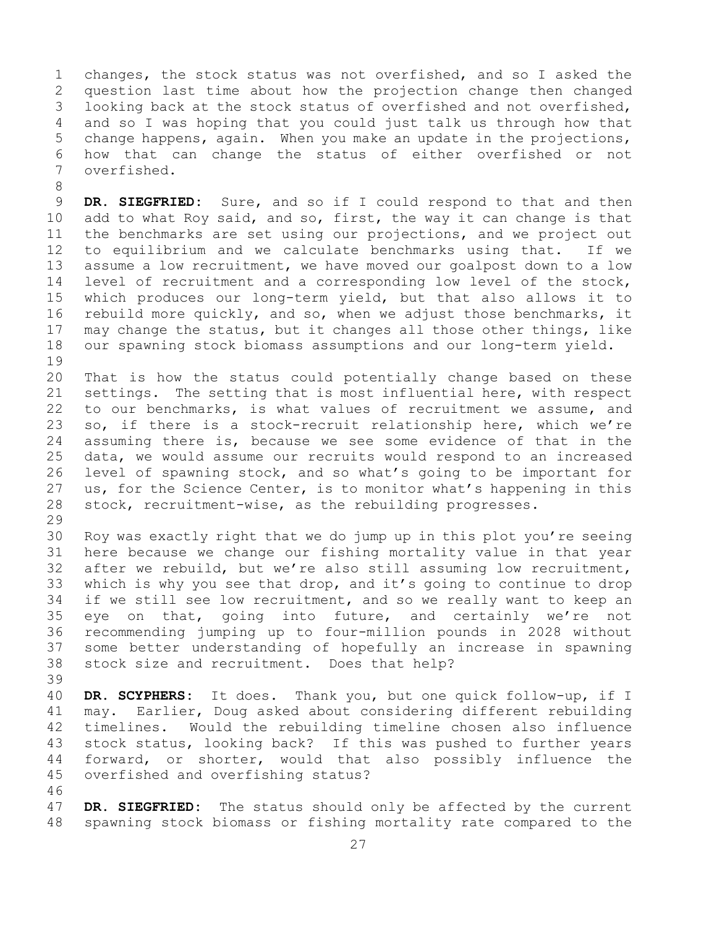1 changes, the stock status was not overfished, and so I asked the<br>2 question last time about how the projection change then changed 2 question last time about how the projection change then changed<br>3 looking back at the stock status of overfished and not overfished, 3 looking back at the stock status of overfished and not overfished,<br>4 and so I was hoping that you could just talk us through how that and so I was hoping that you could just talk us through how that 5 change happens, again. When you make an update in the projections, 6 how that can change the status of either overfished or not overfished.

8 9 **DR. SIEGFRIED:** Sure, and so if I could respond to that and then<br>10 add to what Roy said, and so, first, the way it can change is that 10 add to what Roy said, and so, first, the way it can change is that<br>11 the benchmarks are set using our projections, and we project out 11 the benchmarks are set using our projections, and we project out<br>12 to equilibrium and we calculate benchmarks using that. If we 12 to equilibrium and we calculate benchmarks using that.<br>13 assume a low recruitment, we have moved our goalpost down assume a low recruitment, we have moved our goalpost down to a low 14 level of recruitment and a corresponding low level of the stock,<br>15 which produces our long-term vield, but that also allows it to 15 which produces our long-term yield, but that also allows it to<br>16 rebuild more quickly, and so, when we adjust those benchmarks, it 16 rebuild more quickly, and so, when we adjust those benchmarks, it<br>17 may change the status, but it changes all those other things, like 17 may change the status, but it changes all those other things, like<br>18 our spawning stock biomass assumptions and our long-term yield. our spawning stock biomass assumptions and our long-term yield.

19<br>20 20 That is how the status could potentially change based on these<br>21 settings. The setting that is most influential here, with respect 21 settings. The setting that is most influential here, with respect<br>22 to our benchmarks, is what values of recruitment we assume, and 22 to our benchmarks, is what values of recruitment we assume, and<br>23 so, if there is a stock-recruit relationship here, which we're 23 so, if there is a stock-recruit relationship here, which we're<br>24 assuming there is, because we see some evidence of that in the 24 assuming there is, because we see some evidence of that in the<br>25 data, we would assume our recruits would respond to an increased 25 data, we would assume our recruits would respond to an increased<br>26 level of spawning stock, and so what's going to be important for 26 level of spawning stock, and so what's going to be important for<br>27 us, for the Science Center, is to monitor what's happening in this 27 us, for the Science Center, is to monitor what's happening in this<br>28 stock, recruitment-wise, as the rebuilding progresses. stock, recruitment-wise, as the rebuilding progresses.

29<br>30

30 Roy was exactly right that we do jump up in this plot you're seeing<br>31 here because we change our fishing mortality value in that year 31 here because we change our fishing mortality value in that year<br>32 after we rebuild, but we're also still assuming low recruitment, after we rebuild, but we're also still assuming low recruitment, 33 which is why you see that drop, and it's going to continue to drop<br>34 if we still see low recruitment, and so we really want to keep an 34 if we still see low recruitment, and so we really want to keep an<br>35 eve on that, going into future, and certainly we're not 35 eye on that, going into future, and certainly we're not<br>36 recommending jumping up to four-million pounds in 2028 without 36 recommending jumping up to four-million pounds in 2028 without some better understanding of hopefully an increase in spawning 38 stock size and recruitment. Does that help?

39

40 **DR. SCYPHERS:** It does. Thank you, but one quick follow-up, if I 41 may. Earlier, Doug asked about considering different rebuilding<br>42 timelines. Would the rebuilding timeline chosen also influence 42 timelines. Would the rebuilding timeline chosen also influence<br>43 stock status, looking back? If this was pushed to further years 43 stock status, looking back? If this was pushed to further years<br>44 forward, or shorter, would that also possibly influence the forward, or shorter, would that also possibly influence the 45 overfished and overfishing status?

46<br>47

47 **DR. SIEGFRIED:** The status should only be affected by the current<br>48 spawning stock biomass or fishing mortality rate compared to the spawning stock biomass or fishing mortality rate compared to the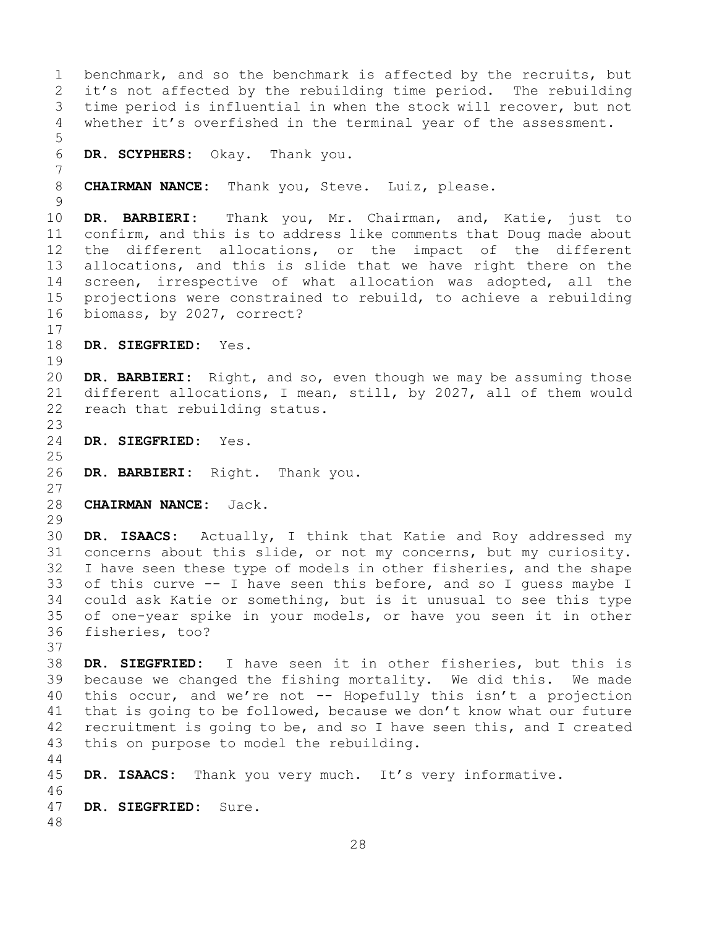1 benchmark, and so the benchmark is affected by the recruits, but<br>2 it's not affected by the rebuilding time period. The rebuilding 2 it's not affected by the rebuilding time period. The rebuilding<br>3 time period is influential in when the stock will recover, but not 3 time period is influential in when the stock will recover, but not<br>4 whether it's overfished in the terminal year of the assessment. whether it's overfished in the terminal year of the assessment. 5 6 **DR. SCYPHERS:** Okay. Thank you. 7 CHAIRMAN NANCE: Thank you, Steve. Luiz, please.  $\frac{9}{10}$ 10 **DR. BARBIERI:** Thank you, Mr. Chairman, and, Katie, just to 11 confirm, and this is to address like comments that Doug made about<br>12 the different allocations, or the impact of the different the different allocations, or the impact of the different 13 allocations, and this is slide that we have right there on the 14 screen, irrespective of what allocation was adopted, all the<br>15 projections were constrained to rebuild, to achieve a rebuilding 15 projections were constrained to rebuild, to achieve a rebuilding<br>16 biomass, by 2027, correct? biomass, by 2027, correct?  $\frac{17}{18}$ 18 **DR. SIEGFRIED:** Yes. 19<br>20 DR. BARBIERI: Right, and so, even though we may be assuming those 21 different allocations, I mean, still, by 2027, all of them would<br>22 reach that rebuilding status. reach that rebuilding status.  $\frac{23}{24}$ 24 **DR. SIEGFRIED:** Yes.  $\frac{25}{26}$ DR. BARBIERI: Right. Thank you. 27 28 **CHAIRMAN NANCE:** Jack. 29<br>30 30 **DR. ISAACS:** Actually, I think that Katie and Roy addressed my 31 concerns about this slide, or not my concerns, but my curiosity.<br>32 I have seen these tvpe of models in other fisheries, and the shape I have seen these type of models in other fisheries, and the shape 33 of this curve -- I have seen this before, and so I guess maybe I<br>34 could ask Katie or something, but is it unusual to see this type 34 could ask Katie or something, but is it unusual to see this type<br>35 of one-vear spike in your models, or have you seen it in other 35 of one-year spike in your models, or have you seen it in other fisheries, too? 37 38 **DR. SIEGFRIED:** I have seen it in other fisheries, but this is 39 because we changed the fishing mortality. We did this. We made  $40$  this occur, and we're not  $-$  Hopefully this isn't a projection 40 this occur, and we're not  $--$  Hopefully this isn't a projection<br>41 that is going to be followed, because we don't know what our future 41 that is going to be followed, because we don't know what our future<br>42 recruitment is going to be, and so I have seen this, and I created 42 recruitment is going to be, and so I have seen this, and I created<br>43 this on purpose to model the rebuilding. this on purpose to model the rebuilding. 44 45 **DR. ISAACS:** Thank you very much. It's very informative. 46<br>47 DR. SIEGFRIED: Sure. 48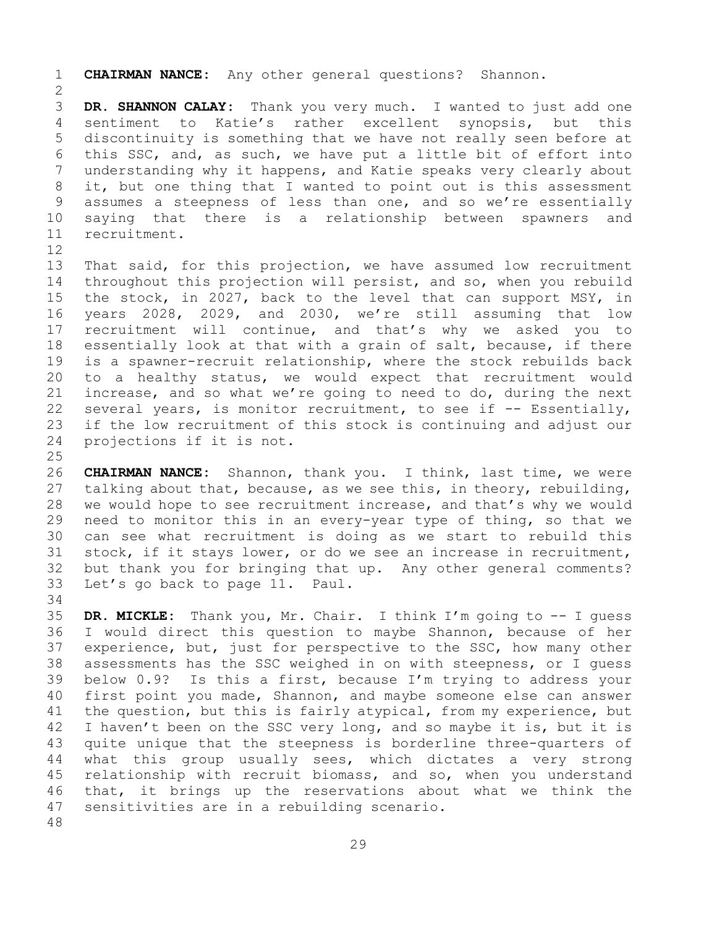1 **CHAIRMAN NANCE:** Any other general questions? Shannon.

 $\frac{2}{3}$ 3 **DR. SHANNON CALAY:** Thank you very much. I wanted to just add one sentiment to Katie's rather excellent synopsis, but this 5 discontinuity is something that we have not really seen before at 6 this SSC, and, as such, we have put a little bit of effort into<br>7 understanding why it happens, and Katie speaks very clearly about 7 understanding why it happens, and Katie speaks very clearly about<br>8 it, but one thing that I wanted to point out is this assessment 8 it, but one thing that I wanted to point out is this assessment<br>9 assumes a steepness of less than one, and so we're essentially 9 assumes a steepness of less than one, and so we're essentially<br>10 saving that there is a relationship between spawners and 10 saying that there is a relationship between spawners<br>11 recruitment. recruitment.

12<br>13 That said, for this projection, we have assumed low recruitment 14 throughout this projection will persist, and so, when you rebuild<br>15 the stock, in 2027, back to the level that can support MSY, in 15 the stock, in 2027, back to the level that can support MSY, in<br>16 years 2028, 2029, and 2030, we're still assuming that low 16 years 2028, 2029, and 2030, we're still assuming that low<br>17 recruitment will continue, and that's why we asked you to 17 recruitment will continue, and that's why we asked you to<br>18 essentially look at that with a grain of salt, because, if there 18 essentially look at that with a grain of salt, because, if there<br>19 is a spawner-recruit relationship, where the stock rebuilds back 19 is a spawner-recruit relationship, where the stock rebuilds back<br>20 to a healthy status, we would expect that recruitment would 20 to a healthy status, we would expect that recruitment would<br>21 increase, and so what we're going to need to do, during the next 21 increase, and so what we're going to need to do, during the next<br>22 several years, is monitor recruitment, to see if -- Essentially, 22 several years, is monitor recruitment, to see if -- Essentially,<br>23 if the low recruitment of this stock is continuing and adjust our 23 if the low recruitment of this stock is continuing and adjust our<br>24 projections if it is not. projections if it is not.

 $\frac{25}{26}$ 26 **CHAIRMAN NANCE:** Shannon, thank you. I think, last time, we were<br>27 talking about that, because, as we see this, in theory, rebuilding, 27 talking about that, because, as we see this, in theory, rebuilding,<br>28 we would hope to see recruitment increase, and that's why we would 28 we would hope to see recruitment increase, and that's why we would<br>29 need to monitor this in an every-year type of thing, so that we 29 need to monitor this in an every-year type of thing, so that we<br>30 can see what recruitment is doing as we start to rebuild this 30 can see what recruitment is doing as we start to rebuild this<br>31 stock, if it stays lower, or do we see an increase in recruitment, 31 stock, if it stays lower, or do we see an increase in recruitment,<br>32 but thank you for bringing that up. Any other general comments? 32 but thank you for bringing that up. Any other general comments?<br>33 Let's go back to page 11. Paul. Let's go back to page 11. Paul.

34<br>35 35 **DR. MICKLE:** Thank you, Mr. Chair. I think I'm going to -- I guess 36 I would direct this question to maybe Shannon, because of her<br>37 experience, but, just for perspective to the SSC, how many other 37 experience, but, just for perspective to the SSC, how many other<br>38 assessments has the SSC weighed in on with steepness, or I quess 38 assessments has the SSC weighed in on with steepness, or I guess<br>39 below 0.9? Is this a first, because I'm trying to address your 39 below 0.9? Is this a first, because I'm trying to address your<br>40 first point you made, Shannon, and maybe someone else can answer 40 first point you made, Shannon, and maybe someone else can answer<br>41 the question, but this is fairly atypical, from my experience, but 41 the question, but this is fairly atypical, from my experience, but<br>42 I haven't been on the SSC very long, and so maybe it is, but it is 42 I haven't been on the SSC very long, and so maybe it is, but it is<br>43 quite unique that the steepness is borderline three-quarters of 43 quite unique that the steepness is borderline three-quarters of<br>44 what this group usually sees, which dictates a very strong what this group usually sees, which dictates a very strong 45 relationship with recruit biomass, and so, when you understand 46 that, it brings up the reservations about what we think the<br>47 sensitivities are in a rebuilding scenario. sensitivities are in a rebuilding scenario.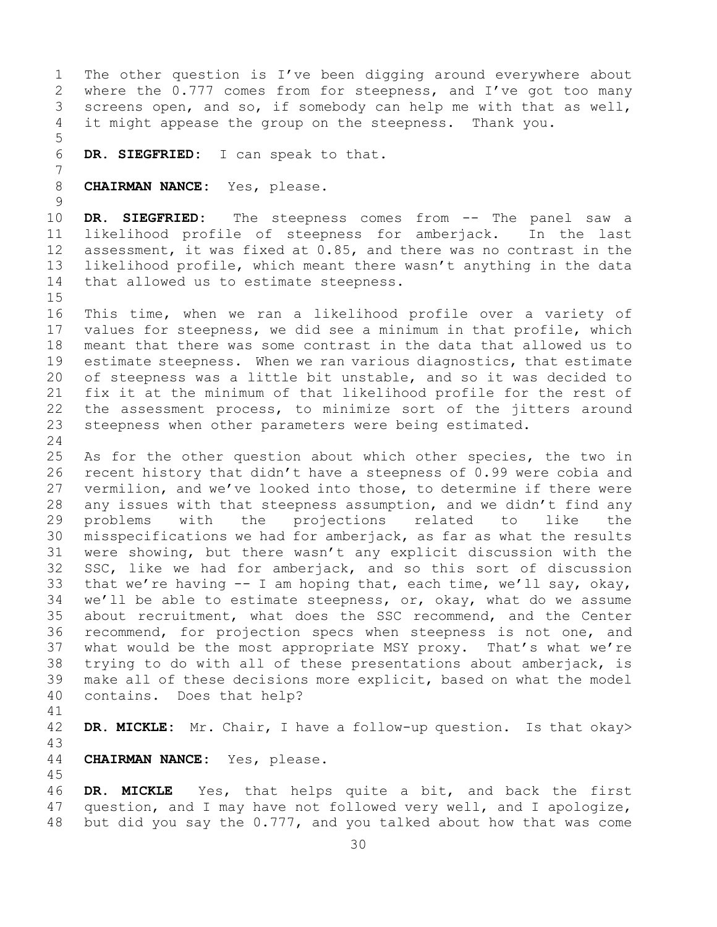1 The other question is I've been digging around everywhere about<br>2 where the 0.777 comes from for steepness, and I've got too many 2 where the 0.777 comes from for steepness, and I've got too many<br>3 screens open, and so, if somebody can help me with that as well, 3 screens open, and so, if somebody can help me with that as well,<br>4 it might appease the group on the steepness. Thank you. it might appease the group on the steepness. Thank you. 5 6 **DR. SIEGFRIED:** I can speak to that. 7 8 **CHAIRMAN NANCE:** Yes, please.  $\frac{9}{10}$ 10 **DR. SIEGFRIED:** The steepness comes from -- The panel saw a<br>11 likelihood profile of steepness for amberjack. In the last 11 likelihood profile of steepness for amberjack.<br>12 assessment, it was fixed at 0.85, and there was no co assessment, it was fixed at  $0.85$ , and there was no contrast in the 13 likelihood profile, which meant there wasn't anything in the data 14 that allowed us to estimate steepness.  $15$ <br> $16$ 16 This time, when we ran a likelihood profile over a variety of<br>17 values for steepness, we did see a minimum in that profile, which 17 values for steepness, we did see a minimum in that profile, which<br>18 meant that there was some contrast in the data that allowed us to 18 meant that there was some contrast in the data that allowed us to<br>19 estimate steepness. When we ran various diagnostics, that estimate 19 estimate steepness. When we ran various diagnostics, that estimate<br>20 of steepness was a little bit unstable, and so it was decided to 20 of steepness was a little bit unstable, and so it was decided to<br>21 fix it at the minimum of that likelihood profile for the rest of 21 fix it at the minimum of that likelihood profile for the rest of<br>22 the assessment process, to minimize sort of the jitters around 22 the assessment process, to minimize sort of the jitters around<br>23 steepness when other parameters were being estimated. steepness when other parameters were being estimated.  $\frac{24}{25}$ 25 As for the other question about which other species, the two in<br>26 recent history that didn't have a steepness of 0.99 were cobia and 26 recent history that didn't have a steepness of 0.99 were cobia and<br>27 vermilion, and we've looked into those, to determine if there were vermilion, and we've looked into those, to determine if there were 28 any issues with that steepness assumption, and we didn't find any<br>29 problems with the projections related to like the 29 problems with the projections related to like the<br>30 misspecifications. We had for amberiack, as far as what the results 30 misspecifications we had for amberjack, as far as what the results<br>31 were showing, but there wasn't any explicit discussion with the 31 were showing, but there wasn't any explicit discussion with the<br>32 SSC, like we had for amberiack, and so this sort of discussion SSC, like we had for amberjack, and so this sort of discussion 33 that we're having  $-$  I am hoping that, each time, we'll say, okay,<br>34 we'll be able to estimate steepness, or, okay, what do we assume 34 we'll be able to estimate steepness, or, okay, what do we assume<br>35 about recruitment, what does the SSC recommend, and the Center 35 about recruitment, what does the SSC recommend, and the Center<br>36 recommend, for projection specs when steepness is not one, and recommend, for projection specs when steepness is not one, and 37 what would be the most appropriate MSY proxy. That's what we're 38 trying to do with all of these presentations about amberjack, is<br>39 make all of these decisions more explicit, based on what the model 39 make all of these decisions more explicit, based on what the model<br>40 contains. Does that help? contains. Does that help? 41<br>42 DR. MICKLE: Mr. Chair, I have a follow-up question. Is that okay> 43 CHAIRMAN NANCE: Yes, please. 45 46 DR. MICKLE Yes, that helps quite a bit, and back the first<br>47 question, and I may have not followed very well, and I apologize, 47 question, and I may have not followed very well, and I apologize,<br>48 but did you say the 0.777, and you talked about how that was come but did you say the 0.777, and you talked about how that was come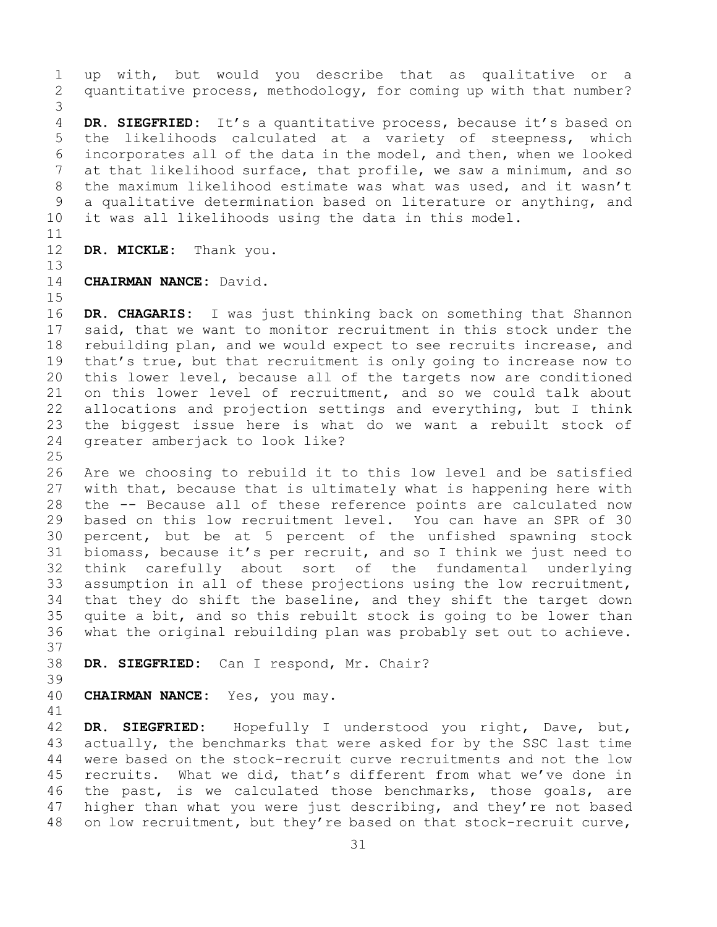1 up with, but would you describe that as qualitative or a<br>2 quantitative process, methodology, for coming up with that number? quantitative process, methodology, for coming up with that number? 3 DR. SIEGFRIED: It's a quantitative process, because it's based on 5 the likelihoods calculated at a variety of steepness, which 6 incorporates all of the data in the model, and then, when we looked<br>7 at that likelihood surface, that profile, we saw a minimum, and so 7 at that likelihood surface, that profile, we saw a minimum, and so<br>8 the maximum likelihood estimate was what was used, and it wasn't 8 the maximum likelihood estimate was what was used, and it wasn't<br>9 a qualitative determination based on literature or anything, and 9 a qualitative determination based on literature or anything, and<br>10 it was all likelihoods using the data in this model. it was all likelihoods using the data in this model.

11<br>12

13

DR. MICKLE: Thank you.

#### 14 **CHAIRMAN NANCE:** David.

15<br>16 16 **DR. CHAGARIS:** I was just thinking back on something that Shannon<br>17 said, that we want to monitor recruitment in this stock under the 17 said, that we want to monitor recruitment in this stock under the<br>18 rebuilding plan, and we would expect to see recruits increase, and 18 rebuilding plan, and we would expect to see recruits increase, and<br>19 that's true, but that recruitment is only going to increase now to 19 that's true, but that recruitment is only going to increase now to<br>20 this lower level, because all of the targets now are conditioned 20 this lower level, because all of the targets now are conditioned<br>21 on this lower level of recruitment, and so we could talk about 21 on this lower level of recruitment, and so we could talk about<br>22 allocations and projection settings and everything, but I think 22 allocations and projection settings and everything, but I think<br>23 the biggest issue here is what do we want a rebuilt stock of 23 the biggest issue here is what do we want a rebuilt stock of<br>24 qreater amberjack to look like? greater amberjack to look like?

 $\frac{25}{26}$ 26 Are we choosing to rebuild it to this low level and be satisfied<br>27 with that, because that is ultimately what is happening here with with that, because that is ultimately what is happening here with 28 the -- Because all of these reference points are calculated now<br>29 based on this low recruitment level. You can have an SPR of 30 29 based on this low recruitment level. You can have an SPR of 30<br>30 percent, but be at 5 percent of the unfished spawning stock 30 percent, but be at 5 percent of the unfished spawning stock<br>31 biomass, because it's per recruit, and so I think we just need to 31 biomass, because it's per recruit, and so I think we just need to<br>32 think carefully about sort of the fundamental underlying think carefully about sort of the fundamental underlying 33 assumption in all of these projections using the low recruitment,<br>34 that they do shift the baseline, and they shift the target down 34 that they do shift the baseline, and they shift the target down<br>35 quite a bit, and so this rebuilt stock is going to be lower than 35 quite a bit, and so this rebuilt stock is going to be lower than<br>36 what the original rebuilding plan was probably set out to achieve. what the original rebuilding plan was probably set out to achieve. 37

```
38 DR. SIEGFRIED: Can I respond, Mr. Chair?
```
39

40 **CHAIRMAN NANCE:** Yes, you may.

41<br>42 42 **DR. SIEGFRIED:** Hopefully I understood you right, Dave, but,<br>43 actually, the benchmarks that were asked for by the SSC last time 43 actually, the benchmarks that were asked for by the SSC last time<br>44 were based on the stock-recruit curve recruitments and not the low were based on the stock-recruit curve recruitments and not the low 45 recruits. What we did, that's different from what we've done in 46 the past, is we calculated those benchmarks, those goals, are<br>47 higher than what you were just describing, and they're not based 47 higher than what you were just describing, and they're not based<br>48 on low recruitment, but they're based on that stock-recruit curve, on low recruitment, but they're based on that stock-recruit curve,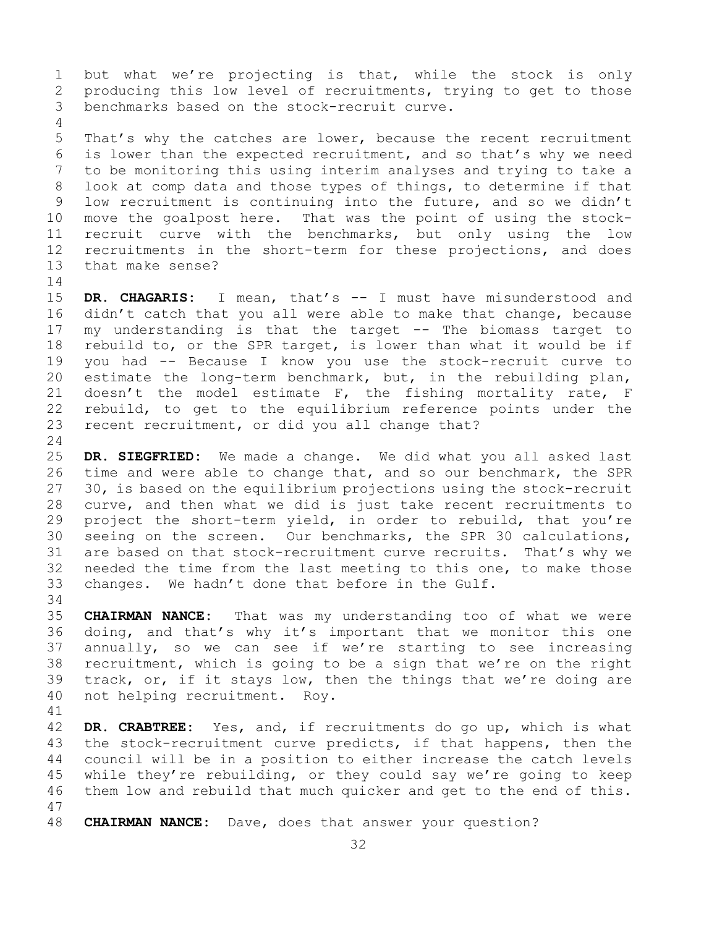1 but what we're projecting is that, while the stock is only<br>2 producing this low level of recruitments, trying to get to those 2 producing this low level of recruitments, trying to get to those<br>3 benchmarks based on the stock-recruit curve. benchmarks based on the stock-recruit curve.

5 That's why the catches are lower, because the recent recruitment 6 is lower than the expected recruitment, and so that's why we need<br>7 to be monitoring this using interim analyses and trying to take a 7 to be monitoring this using interim analyses and trying to take a<br>8 look at comp data and those types of things, to determine if that 8 look at comp data and those types of things, to determine if that<br>9 low recruitment is continuing into the future, and so we didn't 9 low recruitment is continuing into the future, and so we didn't<br>10 move the goalpost here. That was the point of using the stock-10 move the goalpost here. That was the point of using the stock-<br>11 recruit curve with the benchmarks, but only using the low 11 recruit curve with the benchmarks, but only using the low<br>12 recruitments in the short-term for these projections, and does 12 recruitments in the short-term for these projections, and does<br>13 that make sense? that make sense?

 $\frac{14}{15}$ 15 **DR. CHAGARIS:** I mean, that's -- I must have misunderstood and<br>16 didn't catch that you all were able to make that change, because 16 didn't catch that you all were able to make that change, because<br>17 my understanding is that the target -- The biomass target to 17 my understanding is that the target -- The biomass target to<br>18 rebuild to, or the SPR target, is lower than what it would be if 18 rebuild to, or the SPR target, is lower than what it would be if<br>19 you had -- Because I know you use the stock-recruit curve to 19 you had -- Because I know you use the stock-recruit curve to<br>20 estimate the long-term benchmark, but, in the rebuilding plan, 20 estimate the long-term benchmark, but, in the rebuilding plan,<br>21 doesn't the model estimate  $F$ , the fishing mortality rate, F 21 doesn't the model estimate  $F$ , the fishing mortality rate,  $F$  22 rebuild, to get to the equilibrium reference points under the 22 rebuild, to get to the equilibrium reference points under the<br>23 recent recruitment, or did you all change that? recent recruitment, or did you all change that?

 $\frac{24}{25}$ 25 **DR. SIEGFRIED:** We made a change. We did what you all asked last 26 time and were able to change that, and so our benchmark, the SPR<br>27 30, is based on the equilibrium projections using the stock-recruit 27 30, is based on the equilibrium projections using the stock-recruit 28 curve, and then what we did is just take recent recruitments to<br>29 project the short-term yield, in order to rebuild, that you're 29 project the short-term yield, in order to rebuild, that you're<br>30 seeing on the screen. Our benchmarks, the SPR 30 calculations, 30 seeing on the screen. Our benchmarks, the SPR 30 calculations,<br>31 are based on that stock-recruitment curve recruits. That's why we 31 are based on that stock-recruitment curve recruits. That's why we<br>32 needed the time from the last meeting to this one, to make those needed the time from the last meeting to this one, to make those 33 changes. We hadn't done that before in the Gulf.

34<br>35

4

35 **CHAIRMAN NANCE:** That was my understanding too of what we were<br>36 doing, and that's why it's important that we monitor this one 36 doing, and that's why it's important that we monitor this one<br>37 annually, so we can see if we're starting to see increasing annually, so we can see if we're starting to see increasing 38 recruitment, which is going to be a sign that we're on the right<br>39 track, or, if it stays low, then the things that we're doing are 39 track, or, if it stays low, then the things that we're doing are  $40$  not helping recruitment. Roy. not helping recruitment. Roy.

41<br>42 42 **DR. CRABTREE:** Yes, and, if recruitments do go up, which is what 43 the stock-recruitment curve predicts, if that happens, then the<br>44 council will be in a position to either increase the catch levels council will be in a position to either increase the catch levels 45 while they're rebuilding, or they could say we're going to keep 46 them low and rebuild that much quicker and get to the end of this. 47

**CHAIRMAN NANCE:** Dave, does that answer your question?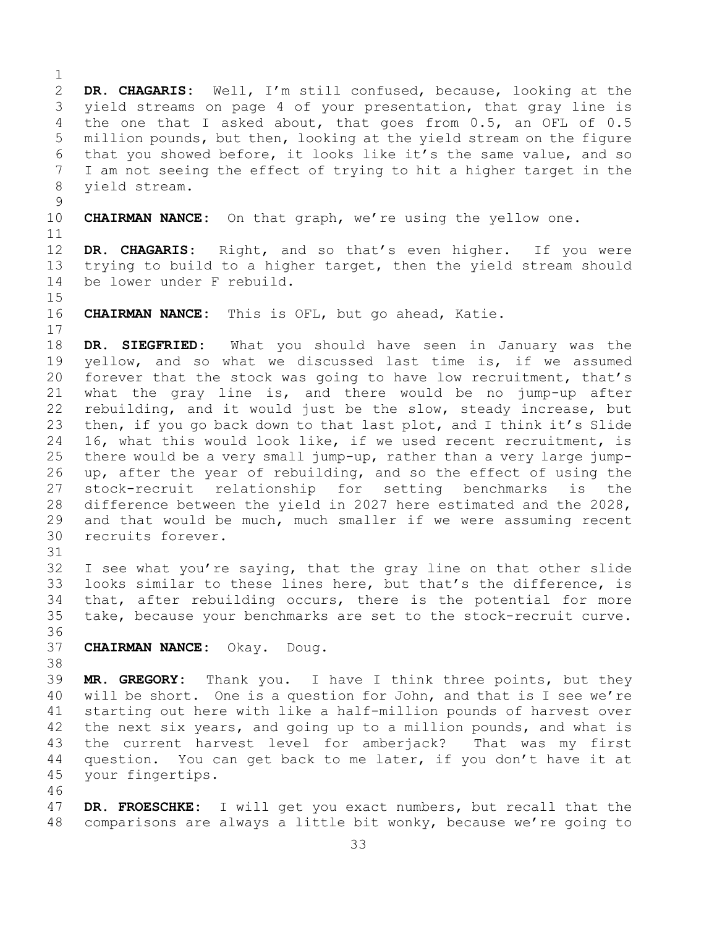$\frac{1}{2}$ 2 **DR. CHAGARIS:** Well, I'm still confused, because, looking at the 3 yield streams on page 4 of your presentation, that gray line is<br>4 the one that I asked about, that goes from 0.5, an OFL of 0.5 the one that I asked about, that goes from 0.5, an OFL of 0.5 5 million pounds, but then, looking at the yield stream on the figure 6 that you showed before, it looks like it's the same value, and so<br>7 I am not seeing the effect of trving to hit a higher target in the 7 I am not seeing the effect of trying to hit a higher target in the<br>8 yield stream. yield stream.  $\begin{array}{c} 9 \\ 10 \end{array}$ **CHAIRMAN NANCE:** On that graph, we're using the yellow one. 11<br>12 DR. CHAGARIS: Right, and so that's even higher. If you were 13 trying to build to a higher target, then the yield stream should 14 be lower under F rebuild. 15<br>16 CHAIRMAN NANCE: This is OFL, but go ahead, Katie.  $\begin{array}{c} 17 \\ 18 \end{array}$ 18 **DR. SIEGFRIED:** What you should have seen in January was the 19 yellow, and so what we discussed last time is, if we assumed<br>20 forever that the stock was going to have low recruitment, that's forever that the stock was going to have low recruitment, that's 21 what the gray line is, and there would be no jump-up after<br>22 rebuilding, and it would just be the slow, steady increase, but 22 rebuilding, and it would just be the slow, steady increase, but<br>23 then, if you go back down to that last plot, and I think it's Slide 23 then, if you go back down to that last plot, and I think it's Slide<br>24 16, what this would look like, if we used recent recruitment, is 24 16, what this would look like, if we used recent recruitment, is<br>25 there would be a very small jump-up, rather than a very large jump-25 there would be a very small jump-up, rather than a very large jump-<br>26 up, after the vear of rebuilding, and so the effect of using the 26 up, after the year of rebuilding, and so the effect of using the<br>27 stock-recruit relationship for setting benchmarks is the stock-recruit relationship for setting benchmarks is the 28 difference between the yield in 2027 here estimated and the 2028,<br>29 and that would be much, much smaller if we were assuming recent 29 and that would be much, much smaller if we were assuming recent<br>30 recruits forever. recruits forever. 31<br>32 I see what you're saying, that the gray line on that other slide 33 looks similar to these lines here, but that's the difference, is<br>34 that, after rebuilding occurs, there is the potential for more 34 that, after rebuilding occurs, there is the potential for more<br>35 take, because your benchmarks are set to the stock-recruit curve. take, because your benchmarks are set to the stock-recruit curve. 36<br>37 37 **CHAIRMAN NANCE:** Okay. Doug. 38<br>39 39 **MR. GREGORY:** Thank you. I have I think three points, but they 40 will be short. One is a question for John, and that is I see we're<br>41 starting out here with like a half-million pounds of harvest over 41 starting out here with like a half-million pounds of harvest over<br>42 the next six years, and going up to a million pounds, and what is 42 the next six years, and going up to a million pounds, and what is<br>43 the current harvest level for amberiack? That was my first 43 the current harvest level for amberjack? That was my first<br>44 question. You can get back to me later, if you don't have it at question. You can get back to me later, if you don't have it at 45 your fingertips. 46<br>47

47 **DR. FROESCHKE:** I will get you exact numbers, but recall that the comparisons are always a little bit wonky, because we're going to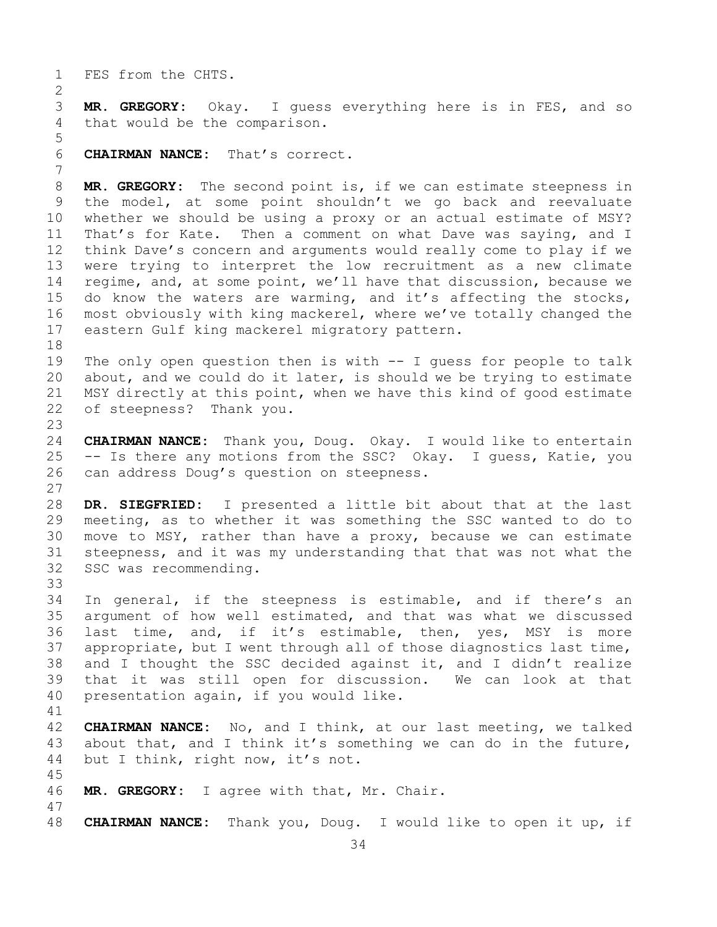1 FES from the CHTS.

 $\frac{2}{3}$ 3 **MR. GREGORY:** Okay. I guess everything here is in FES, and so that would be the comparison. that would be the comparison.

5 6 **CHAIRMAN NANCE:** That's correct.

7 8 **MR. GREGORY:** The second point is, if we can estimate steepness in<br>9 the model, at some point shouldn't we go back and reevaluate 9 the model, at some point shouldn't we go back and reevaluate<br>10 whether we should be using a proxy or an actual estimate of MSY? 10 whether we should be using a proxy or an actual estimate of MSY?<br>11 That's for Kate. Then a comment on what Dave was saving, and I 11 That's for Kate. Then a comment on what Dave was saying, and I<br>12 think Dave's concern and arguments would really come to play if we think Dave's concern and arguments would really come to play if we 13 were trying to interpret the low recruitment as a new climate 14 regime, and, at some point, we'll have that discussion, because we<br>15 do know the waters are warming, and it's affecting the stocks, 15 do know the waters are warming, and it's affecting the stocks,<br>16 most obviously with king mackerel, where we've totally changed the 16 most obviously with king mackerel, where we've totally changed the<br>17 eastern Gulf king mackerel migratory pattern. eastern Gulf king mackerel migratory pattern.

18<br>19 19 The only open question then is with -- I guess for people to talk<br>20 about, and we could do it later, is should we be trying to estimate 20 about, and we could do it later, is should we be trying to estimate<br>21 MSY directly at this point, when we have this kind of good estimate 21 MSY directly at this point, when we have this kind of good estimate<br>22 of steepness? Thank you. of steepness? Thank you.

23 24 **CHAIRMAN NANCE:** Thank you, Doug. Okay. I would like to entertain 25 -- Is there any motions from the SSC? Okay. I guess, Katie, you<br>26 can address Doug's question on steepness. can address Doug's question on steepness.

 $\begin{array}{c} 27 \\ 28 \end{array}$ 28 **DR. SIEGFRIED:** I presented a little bit about that at the last<br>29 meeting, as to whether it was something the SSC wanted to do to 29 meeting, as to whether it was something the SSC wanted to do to<br>30 move to MSY, rather than have a proxy, because we can estimate 30 move to MSY, rather than have a proxy, because we can estimate<br>31 steepness, and it was my understanding that that was not what the 31 steepness, and it was my understanding that that was not what the 32 SSC was recommending. SSC was recommending.

33<br>34 34 In general, if the steepness is estimable, and if there's an<br>35 argument of how well estimated, and that was what we discussed 35 argument of how well estimated, and that was what we discussed<br>36 last time, and, if it's estimable, then, yes, MSY is more last time, and, if it's estimable, then, yes, MSY is more 37 appropriate, but I went through all of those diagnostics last time, 38 and I thought the SSC decided against it, and I didn't realize<br>39 that it was still open for discussion. We can look at that 39 that it was still open for discussion. We can look at that<br>40 presentation again, if you would like. presentation again, if you would like.

41<br>42 42 **CHAIRMAN NANCE:** No, and I think, at our last meeting, we talked<br>43 about that, and I think it's something we can do in the future, 43 about that, and I think it's something we can do in the future,  $44$  but I think, right now, it's not. but I think, right now, it's not.

46 **MR. GREGORY:** I agree with that, Mr. Chair.

45

47 48 **CHAIRMAN NANCE:** Thank you, Doug. I would like to open it up, if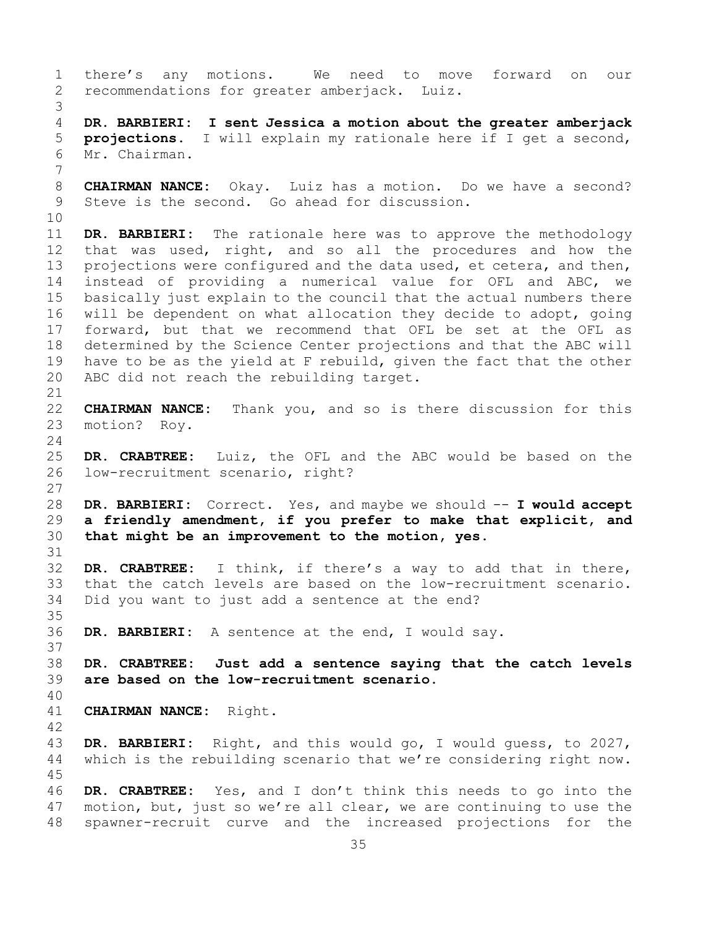<span id="page-34-0"></span>1 there's any motions. We need to move forward on our<br>2 recommendations for greater amberjack. Luiz. recommendations for greater amberjack. Luiz. 3 4 **DR. BARBIERI: I sent Jessica a motion about the greater amberjack**  5 **projections.** I will explain my rationale here if I get a second, 6 Mr. Chairman. 7 8 **CHAIRMAN NANCE:** Okay. Luiz has a motion. Do we have a second?<br>9 Steve is the second. Go ahead for discussion. Steve is the second. Go ahead for discussion. 10<br>11 11 **DR. BARBIERI:** The rationale here was to approve the methodology<br>12 that was used, right, and so all the procedures and how the that was used, right, and so all the procedures and how the 13 projections were configured and the data used, et cetera, and then, 14 instead of providing a numerical value for OFL and ABC, we<br>15 basically just explain to the council that the actual numbers there 15 basically just explain to the council that the actual numbers there<br>16 will be dependent on what allocation they decide to adopt, going 16 will be dependent on what allocation they decide to adopt, going<br>17 forward, but that we recommend that OFL be set at the OFL as 17 forward, but that we recommend that OFL be set at the OFL as<br>18 determined by the Science Center projections and that the ABC will 18 determined by the Science Center projections and that the ABC will<br>19 have to be as the yield at F rebuild, given the fact that the other 19 have to be as the yield at F rebuild, given the fact that the other<br>20 ABC did not reach the rebuilding target. ABC did not reach the rebuilding target. 21<br>22 22 **CHAIRMAN NANCE:** Thank you, and so is there discussion for this 23 motion? Roy. motion? Roy.  $\frac{24}{25}$ 25 **DR. CRABTREE:** Luiz, the OFL and the ABC would be based on the low-recruitment scenario, right? 27 28 DR. BARBIERI: Correct. Yes, and maybe we should -- I would accept<br>29 a friendly amendment, if you prefer to make that explicit, and 29 **a friendly amendment, if you prefer to make that explicit, and**  that might be an improvement to the motion, yes. 31<br>32 **DR. CRABTREE:** I think, if there's a way to add that in there, 33 that the catch levels are based on the low-recruitment scenario.<br>34 Did you want to just add a sentence at the end? Did you want to just add a sentence at the end? 35<br>36 DR. BARBIERI: A sentence at the end, I would say. 37 38 **DR. CRABTREE: Just add a sentence saying that the catch levels**  are based on the low-recruitment scenario. 40 41 **CHAIRMAN NANCE:** Right. 42 43 **DR. BARBIERI:** Right, and this would go, I would guess, to 2027, which is the rebuilding scenario that we're considering right now. 45 46 **DR. CRABTREE:** Yes, and I don't think this needs to go into the 47 motion, but, just so we're all clear, we are continuing to use the<br>48 spawner-recruit curve and the increased projections for the spawner-recruit curve and the increased projections for the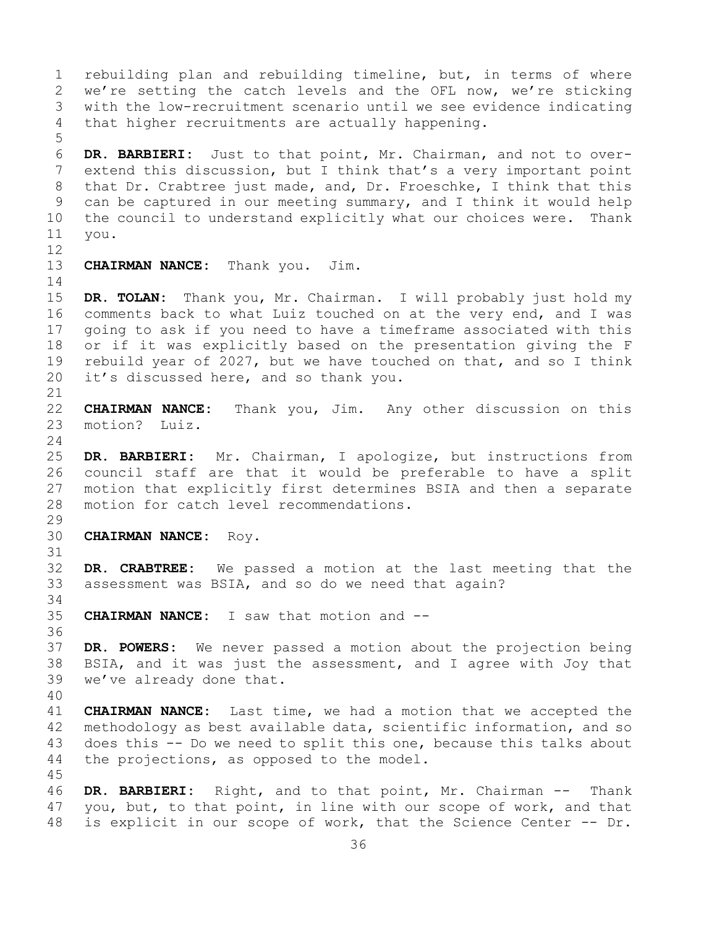36 1 rebuilding plan and rebuilding timeline, but, in terms of where<br>2 we're setting the catch levels and the OFL now, we're sticking 2 we're setting the catch levels and the OFL now, we're sticking<br>3 with the low-recruitment scenario until we see evidence indicating 3 with the low-recruitment scenario until we see evidence indicating<br>4 that higher recruitments are actually happening. that higher recruitments are actually happening. 5 6 **DR. BARBIERI:** Just to that point, Mr. Chairman, and not to over-7 extend this discussion, but I think that's a very important point<br>8 that Dr. Crabtree just made, and, Dr. Froeschke, I think that this 8 that Dr. Crabtree just made, and, Dr. Froeschke, I think that this<br>9 can be captured in our meeting summary, and I think it would help 9 can be captured in our meeting summary, and I think it would help<br>10 the council to understand explicitly what our choices were. Thank 10 the council to understand explicitly what our choices were.<br>11 you. vou. 12<br>13 **CHAIRMAN NANCE:** Thank you. Jim.  $\frac{14}{15}$ 15 **DR. TOLAN:** Thank you, Mr. Chairman. I will probably just hold my 16 comments back to what Luiz touched on at the very end, and I was<br>17 qoing to ask if you need to have a timeframe associated with this 17 going to ask if you need to have a timeframe associated with this<br>18 or if it was explicitly based on the presentation giving the F 18 or if it was explicitly based on the presentation giving the F<br>19 rebuild year of 2027, but we have touched on that, and so I think 19 rebuild year of 2027, but we have touched on that, and so I think<br>20 it's discussed here, and so thank you. it's discussed here, and so thank you. 21<br>22 22 **CHAIRMAN NANCE:** Thank you, Jim. Any other discussion on this motion? Luiz.  $\frac{24}{25}$ DR. BARBIERI: Mr. Chairman, I apologize, but instructions from 26 council staff are that it would be preferable to have a split<br>27 motion that explicitly first determines BSIA and then a separate motion that explicitly first determines BSIA and then a separate 28 motion for catch level recommendations. 29<br>30 30 **CHAIRMAN NANCE:** Roy. 31<br>32 DR. CRABTREE: We passed a motion at the last meeting that the 33 assessment was BSIA, and so do we need that again? 34<br>35 35 **CHAIRMAN NANCE:** I saw that motion and -- 36 37 **DR. POWERS:** We never passed a motion about the projection being 38 BSIA, and it was just the assessment, and I agree with Joy that<br>39 we've already done that. we've already done that. 40 41 **CHAIRMAN NANCE:** Last time, we had a motion that we accepted the 42 methodology as best available data, scientific information, and so<br>43 does this -- Do we need to split this one, because this talks about 43 does this  $-$  Do we need to split this one, because this talks about  $44$  the projections, as opposed to the model. the projections, as opposed to the model. 45 46 **DR. BARBIERI:** Right, and to that point, Mr. Chairman -- Thank 47 you, but, to that point, in line with our scope of work, and that<br>48 is explicit in our scope of work, that the Science Center -- Dr. is explicit in our scope of work, that the Science Center -- Dr.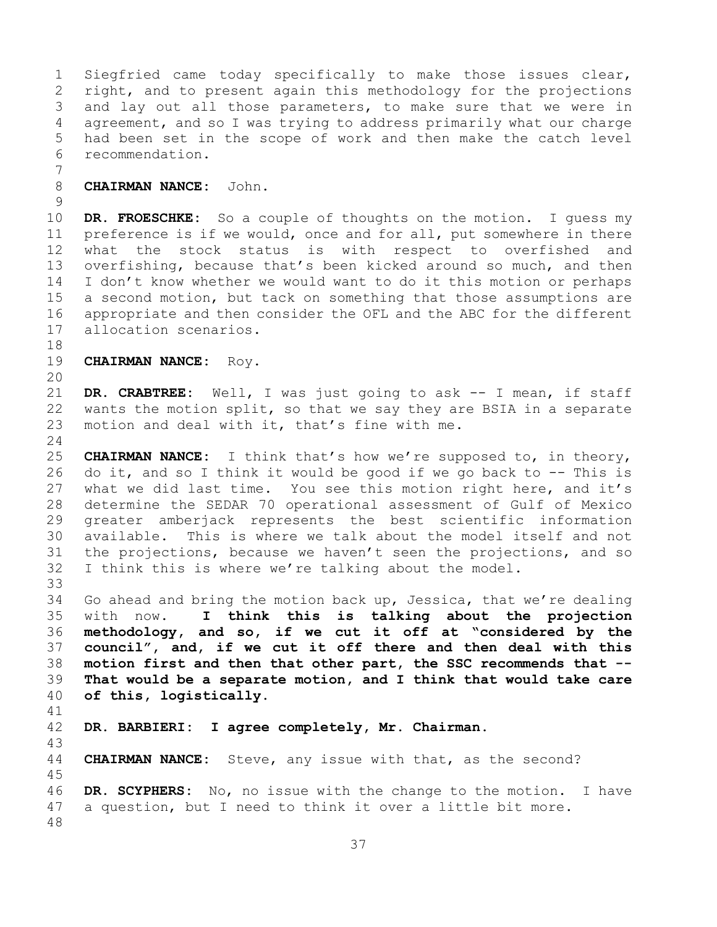1 Siegfried came today specifically to make those issues clear,<br>2 right, and to present again this methodology for the projections 2 right, and to present again this methodology for the projections<br>3 and lay out all those parameters, to make sure that we were in 3 and lay out all those parameters, to make sure that we were in<br>4 agreement, and so I was trying to address primarily what our charge agreement, and so I was trying to address primarily what our charge 5 had been set in the scope of work and then make the catch level 6 recommendation.

7 8 **CHAIRMAN NANCE:** John.

 $\frac{9}{10}$ 10 **DR. FROESCHKE:** So a couple of thoughts on the motion. I guess my<br>11 preference is if we would, once and for all, put somewhere in there 11 preference is if we would, once and for all, put somewhere in there<br>12 what the stock status is with respect to overfished and what the stock status is with respect to overfished and 13 overfishing, because that's been kicked around so much, and then 14 I don't know whether we would want to do it this motion or perhaps<br>15 a second motion, but tack on something that those assumptions are 15 a second motion, but tack on something that those assumptions are<br>16 appropriate and then consider the OFL and the ABC for the different 16 appropriate and then consider the OFL and the ABC for the different<br>17 allocation scenarios. allocation scenarios.

18<br>19 **CHAIRMAN NANCE: Roy.** 

20

21 **DR. CRABTREE:** Well, I was just going to ask -- I mean, if staff 22 wants the motion split, so that we say they are BSIA in a separate<br>23 motion and deal with it, that's fine with me. motion and deal with it, that's fine with me.

 $\frac{24}{25}$ 25 **CHAIRMAN NANCE:** I think that's how we're supposed to, in theory,<br>26 do it, and so I think it would be good if we go back to -- This is 26 do it, and so I think it would be good if we go back to -- This is<br>27 what we did last time. You see this motion right here, and it's what we did last time. You see this motion right here, and it's 28 determine the SEDAR 70 operational assessment of Gulf of Mexico 29 greater amberjack represents the best scientific information<br>30 available. This is where we talk about the model itself and not 30 available. This is where we talk about the model itself and not<br>31 the projections, because we haven't seen the projections, and so 31 the projections, because we haven't seen the projections, and so<br>32 I think this is where we're talking about the model. I think this is where we're talking about the model.

33<br>34 34 Go ahead and bring the motion back up, Jessica, that we're dealing<br>35 with now. I think this is talking about the projection with now. **I think this is talking about the projection methodology, and so, if we cut it off at "considered by the council", and, if we cut it off there and then deal with this motion first and then that other part, the SSC recommends that -- That would be a separate motion, and I think that would take care of this, logistically.**

41<br>42 42 **DR. BARBIERI: I agree completely, Mr. Chairman.** 43 **CHAIRMAN NANCE:** Steve, any issue with that, as the second? 45 46 **DR. SCYPHERS:** No, no issue with the change to the motion. I have 47 a question, but I need to think it over a little bit more. a question, but I need to think it over a little bit more. 48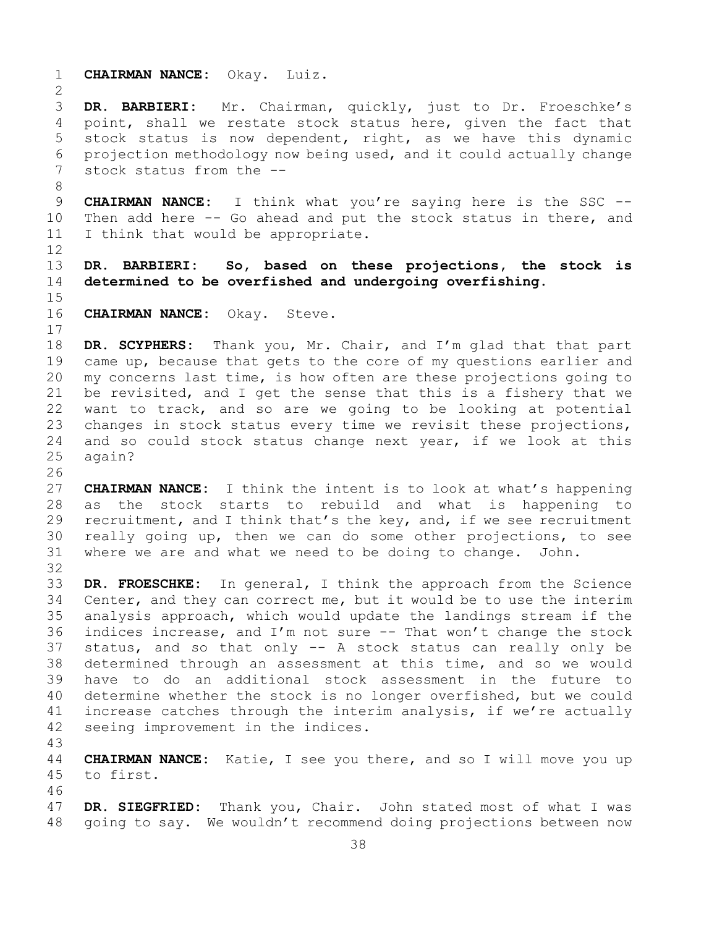1 **CHAIRMAN NANCE:** Okay. Luiz.  $\frac{2}{3}$ 3 **DR. BARBIERI:** Mr. Chairman, quickly, just to Dr. Froeschke's point, shall we restate stock status here, given the fact that 5 stock status is now dependent, right, as we have this dynamic 6 projection methodology now being used, and it could actually change<br>7 stock status from the  $$ stock status from the --8<br>9 9 **CHAIRMAN NANCE:** I think what you're saying here is the SSC --<br>10 Then add here -- Go ahead and put the stock status in there, and 10 Then add here  $-$ - Go ahead and put the stock status in there, and 11 I think that would be appropriate. I think that would be appropriate. 12 13 **DR. BARBIERI: So, based on these projections, the stock is**  14 **determined to be overfished and undergoing overfishing.**  $15$ <br> $16$ CHAIRMAN NANCE: Okay. Steve.  $\begin{array}{c} 17 \\ 18 \end{array}$ 18 **DR. SCYPHERS:** Thank you, Mr. Chair, and I'm glad that that part<br>19 came up, because that gets to the core of my questions earlier and 19 came up, because that gets to the core of my questions earlier and<br>20 my concerns last time, is how often are these projections going to my concerns last time, is how often are these projections going to 21 be revisited, and I get the sense that this is a fishery that we<br>22 want to track, and so are we going to be looking at potential 22 want to track, and so are we going to be looking at potential<br>23 changes in stock status every time we revisit these projections, 23 changes in stock status every time we revisit these projections,<br>24 and so could stock status change next vear, if we look at this 24 and so could stock status change next year, if we look at this 25 again? again? 26<br>27 CHAIRMAN NANCE: I think the intent is to look at what's happening 28 as the stock starts to rebuild and what is happening to<br>29 recruitment, and I think that's the key, and, if we see recruitment 29 recruitment, and I think that's the key, and, if we see recruitment<br>30 really going up, then we can do some other projections, to see 30 really going up, then we can do some other projections, to see<br>31 where we are and what we need to be doing to change. John. where we are and what we need to be doing to change. John. 32<br>33 33 **DR. FROESCHKE:** In general, I think the approach from the Science 34 Center, and they can correct me, but it would be to use the interim<br>35 analysis approach, which would update the landings stream if the 35 analysis approach, which would update the landings stream if the<br>36 indices increase, and I'm not sure -- That won't change the stock indices increase, and I'm not sure  $-$ - That won't change the stock 37 status, and so that only -- A stock status can really only be 38 determined through an assessment at this time, and so we would<br>39 have to do an additional stock assessment in the future to 39 have to do an additional stock assessment in the future to<br>40 determine whether the stock is no longer overfished, but we could 40 determine whether the stock is no longer overfished, but we could<br>41 increase catches through the interim analysis, if we're actually 41 increase catches through the interim analysis, if we're actually 42 seeing improvement in the indices. seeing improvement in the indices. 43 44 **CHAIRMAN NANCE:** Katie, I see you there, and so I will move you up 45 to first. 46<br>47 47 **DR. SIEGFRIED:** Thank you, Chair. John stated most of what I was<br>48 qoing to say. We wouldn't recommend doing projections between now going to say. We wouldn't recommend doing projections between now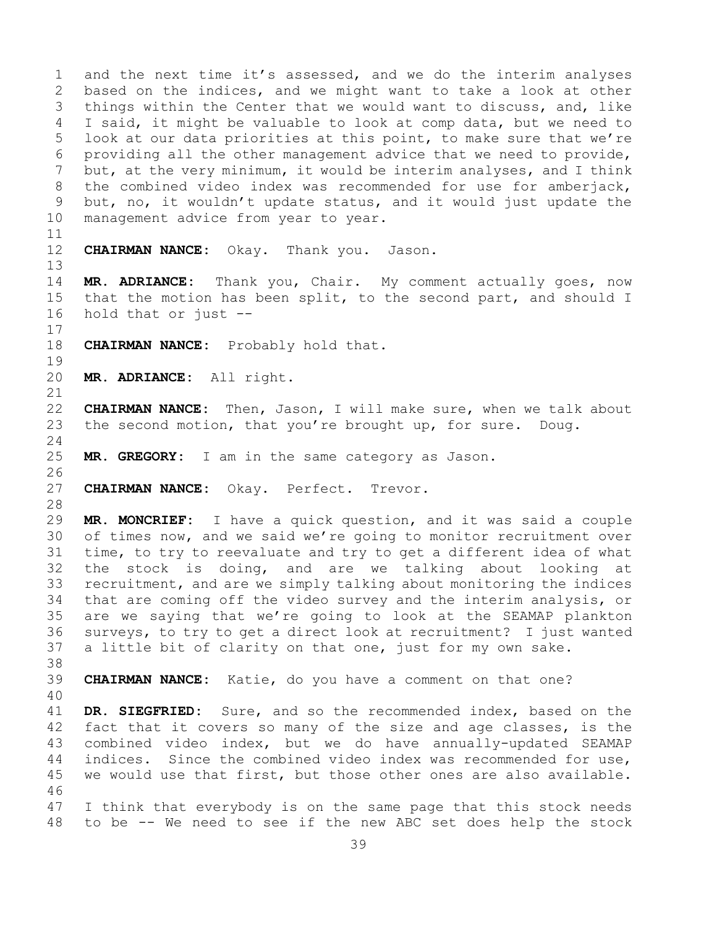1 and the next time it's assessed, and we do the interim analyses<br>2 based on the indices, and we might want to take a look at other 2 based on the indices, and we might want to take a look at other<br>3 things within the Center that we would want to discuss, and, like 3 things within the Center that we would want to discuss, and, like<br>4 I said, it might be valuable to look at comp data, but we need to I said, it might be valuable to look at comp data, but we need to 5 look at our data priorities at this point, to make sure that we're 6 providing all the other management advice that we need to provide,<br>7 but, at the verv minimum, it would be interim analyses, and I think 7 but, at the very minimum, it would be interim analyses, and I think<br>8 the combined video index was recommended for use for amberjack, 8 the combined video index was recommended for use for amberjack,<br>9 but, no, it wouldn't update status, and it would just update the 9 but, no, it wouldn't update status, and it would just update the<br>10 management advice from year to year. management advice from year to year. 11<br>12 **CHAIRMAN NANCE:** Okay. Thank you. Jason. 13 14 **MR. ADRIANCE:** Thank you, Chair. My comment actually goes, now 15 that the motion has been split, to the second part, and should I<br>16 hold that or just -hold that or just  $-$ - $\begin{array}{c} 17 \\ 18 \end{array}$ **CHAIRMAN NANCE:** Probably hold that.  $\begin{array}{c} 19 \\ 20 \end{array}$ 20 **MR. ADRIANCE:** All right. 21<br>22 22 **CHAIRMAN NANCE:** Then, Jason, I will make sure, when we talk about<br>23 the second motion, that you're brought up, for sure. Doug. the second motion, that you're brought up, for sure. Doug.  $\frac{24}{25}$ MR. GREGORY: I am in the same category as Jason. 26<br>27 CHAIRMAN NANCE: Okay. Perfect. Trevor. 28<br>29 MR. MONCRIEF: I have a quick question, and it was said a couple 30 of times now, and we said we're going to monitor recruitment over<br>31 time, to try to reevaluate and try to get a different idea of what 31 time, to try to reevaluate and try to get a different idea of what<br>32 the stock is doing, and are we talking about looking at the stock is doing, and are we talking about looking at 33 recruitment, and are we simply talking about monitoring the indices<br>34 that are coming off the video survey and the interim analysis, or 34 that are coming off the video survey and the interim analysis, or<br>35 are we saving that we're going to look at the SEAMAP plankton 35 are we saying that we're going to look at the SEAMAP plankton<br>36 surveys, to try to get a direct look at recruitment? I just wanted surveys, to try to get a direct look at recruitment? I just wanted 37 a little bit of clarity on that one, just for my own sake. 38<br>39 CHAIRMAN NANCE: Katie, do you have a comment on that one? 40 41 **DR. SIEGFRIED:** Sure, and so the recommended index, based on the 42 fact that it covers so many of the size and age classes, is the 42 fact that it covers so many of the size and age classes, is the<br>43 combined video index, but we do have annually-updated SEAMAP 43 combined video index, but we do have annually-updated SEAMAP<br>44 indices. Since the combined video index was recommended for use, indices. Since the combined video index was recommended for use, 45 we would use that first, but those other ones are also available. 46<br>47 47 I think that everybody is on the same page that this stock needs<br>48 to be -- We need to see if the new ABC set does help the stock 48 to be -- We need to see if the new ABC set does help the stock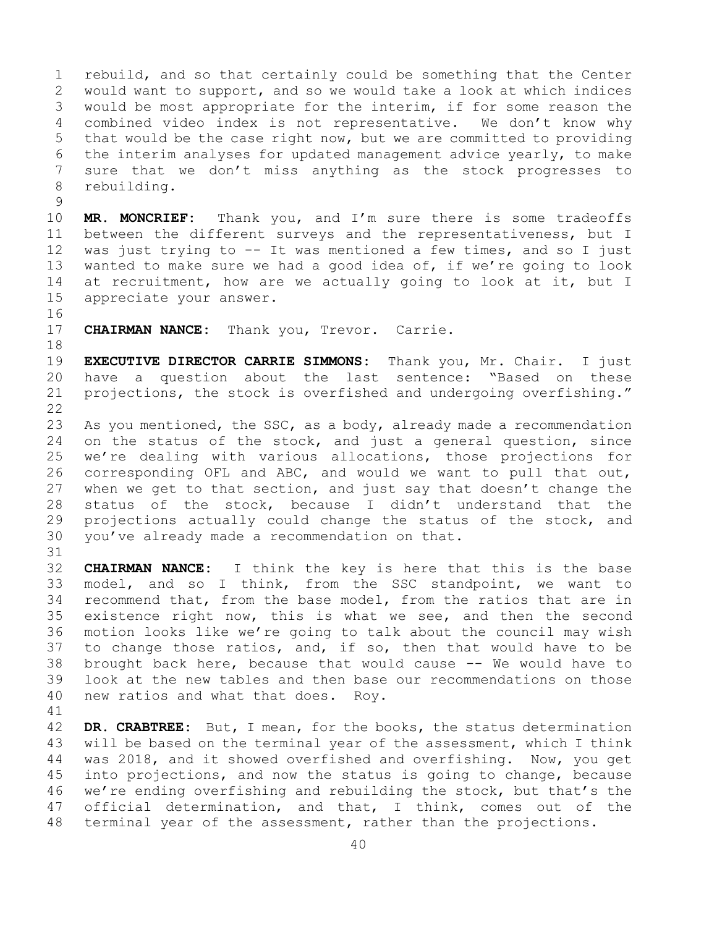1 rebuild, and so that certainly could be something that the Center<br>2 would want to support, and so we would take a look at which indices 2 would want to support, and so we would take a look at which indices<br>3 would be most appropriate for the interim, if for some reason the 3 would be most appropriate for the interim, if for some reason the<br>4 combined video index is not representative. We don't know why combined video index is not representative. 5 that would be the case right now, but we are committed to providing 6 the interim analyses for updated management advice yearly, to make<br>7 sure that we don't miss anvthing as the stock progresses to 7 sure that we don't miss anything as the stock progresses to<br>8 rebuilding. rebuilding.

 $\begin{array}{c} 9 \\ 10 \end{array}$ 10 **MR. MONCRIEF:** Thank you, and I'm sure there is some tradeoffs<br>11 between the different surveys and the representativeness, but I 11 between the different surveys and the representativeness, but I<br>12 was just trying to -- It was mentioned a few times, and so I just was just trying to  $--$  It was mentioned a few times, and so I just 13 wanted to make sure we had a good idea of, if we're going to look 14 at recruitment, how are we actually going to look at it, but I<br>15 appreciate vour answer. appreciate your answer.

16<br>17

**CHAIRMAN NANCE:** Thank you, Trevor. Carrie.

18<br>19

19 **EXECUTIVE DIRECTOR CARRIE SIMMONS:** Thank you, Mr. Chair. I just have a question about the last sentence: "Based on these 21 projections, the stock is overfished and undergoing overfishing."

 $\begin{array}{c} 22 \\ 23 \end{array}$ 23 As you mentioned, the SSC, as a body, already made a recommendation<br>24 on the status of the stock, and just a general question, since 24 on the status of the stock, and just a general question, since<br>25 we're dealing with various allocations, those projections for 25 we're dealing with various allocations, those projections for<br>26 corresponding OFL and ABC, and would we want to pull that out, 26 corresponding OFL and ABC, and would we want to pull that out,<br>27 when we get to that section, and just say that doesn't change the when we get to that section, and just say that doesn't change the 28 status of the stock, because I didn't understand that the<br>29 projections actually could change the status of the stock, and 29 projections actually could change the status of the stock, and<br>30 you've already made a recommendation on that. you've already made a recommendation on that.

31<br>32 CHAIRMAN NANCE: I think the key is here that this is the base 33 model, and so I think, from the SSC standpoint, we want to<br>34 recommend that, from the base model, from the ratios that are in 34 recommend that, from the base model, from the ratios that are in<br>35 existence right now, this is what we see, and then the second 35 existence right now, this is what we see, and then the second<br>36 motion looks like we're going to talk about the council may wish motion looks like we're going to talk about the council may wish 37 to change those ratios, and, if so, then that would have to be 38 brought back here, because that would cause -- We would have to<br>39 look at the new tables and then base our recommendations on those 39 look at the new tables and then base our recommendations on those<br>40 new ratios and what that does. Roy. new ratios and what that does. Roy.

41<br>42 42 **DR. CRABTREE:** But, I mean, for the books, the status determination<br>43 will be based on the terminal year of the assessment, which I think 43 will be based on the terminal year of the assessment, which I think<br>44 was 2018, and it showed overfished and overfishing. Now, you get was 2018, and it showed overfished and overfishing. Now, you get 45 into projections, and now the status is going to change, because 46 we're ending overfishing and rebuilding the stock, but that's the<br>47 official determination, and that, I think, comes out of the 47 official determination, and that, I think, comes out of the<br>48 terminal year of the assessment, rather than the projections. terminal year of the assessment, rather than the projections.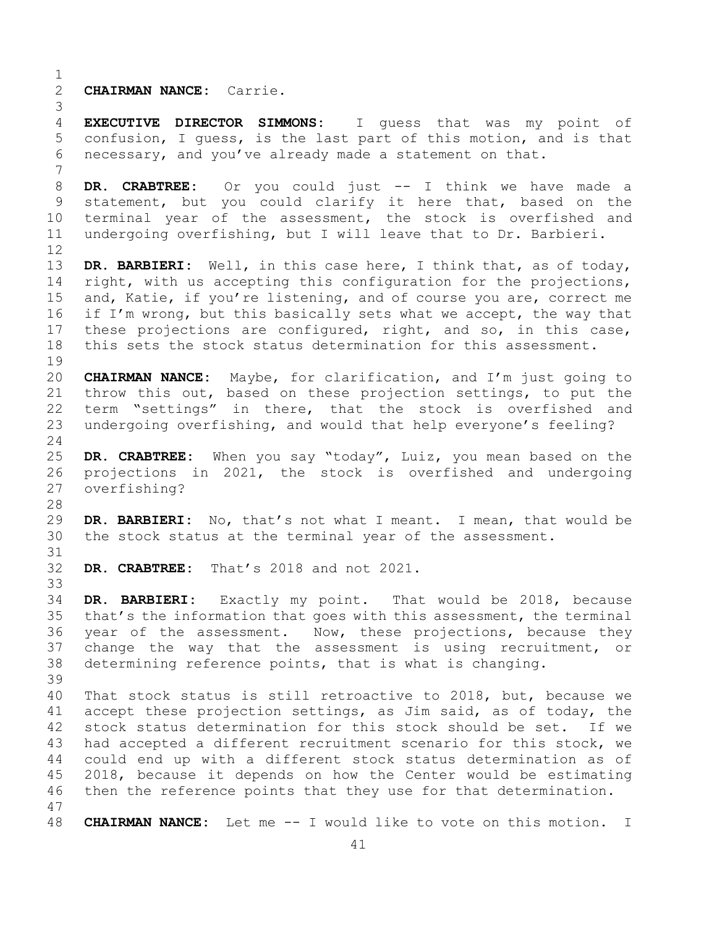$\frac{1}{2}$ 2 **CHAIRMAN NANCE:** Carrie.

3 **EXECUTIVE DIRECTOR SIMMONS:** I quess that was my point of 5 confusion, I guess, is the last part of this motion, and is that 6 necessary, and you've already made a statement on that.

7 8 **DR. CRABTREE:** Or you could just -- I think we have made a<br>9 statement, but you could clarify it here that, based on the 9 statement, but you could clarify it here that, based on the<br>10 terminal year of the assessment, the stock is overfished and 10 terminal year of the assessment, the stock is overfished and<br>11 undergoing overfishing, but I will leave that to Dr. Barbieri. undergoing overfishing, but I will leave that to Dr. Barbieri.

12<br>13 DR. BARBIERI: Well, in this case here, I think that, as of today, 14 right, with us accepting this configuration for the projections,<br>15 and, Katie, if vou're listening, and of course vou are, correct me 15 and, Katie, if you're listening, and of course you are, correct me<br>16 if I'm wrong, but this basically sets what we accept, the way that 16 if I'm wrong, but this basically sets what we accept, the way that<br>17 these projections are configured, right, and so, in this case, 17 these projections are configured, right, and so, in this case,<br>18 this sets the stock status determination for this assessment. this sets the stock status determination for this assessment.

 $\begin{array}{c} 19 \\ 20 \end{array}$ 20 **CHAIRMAN NANCE:** Maybe, for clarification, and I'm just going to 21 throw this out, based on these projection settings, to put the<br>22 term "settings" in there, that the stock is overfished and 22 term "settings" in there, that the stock is overfished and<br>23 undergoing overfishing, and would that help everyone's feeling? undergoing overfishing, and would that help everyone's feeling?

 $\frac{24}{25}$ 25 **DR. CRABTREE:** When you say "today", Luiz, you mean based on the 26 projections in 2021, the stock is overfished and undergoing<br>27 overfishing? overfishing?

28<br>29 29 **DR. BARBIERI:** No, that's not what I meant. I mean, that would be 30 the stock status at the terminal year of the assessment. the stock status at the terminal year of the assessment.

31<br>32 DR. CRABTREE: That's 2018 and not 2021.

33<br>34 34 **DR. BARBIERI:** Exactly my point. That would be 2018, because 35 that's the information that goes with this assessment, the terminal<br>36 year of the assessment. Now, these projections, because they year of the assessment. Now, these projections, because they 37 change the way that the assessment is using recruitment, or 38 determining reference points, that is what is changing.

39 40 That stock status is still retroactive to 2018, but, because we<br>41 accept these projection settings, as Jim said, as of todav, the 41 accept these projection settings, as Jim said, as of today, the<br>42 stock status determination for this stock should be set. If we 42 stock status determination for this stock should be set. If we<br>43 had accepted a different recruitment scenario for this stock, we 43 had accepted a different recruitment scenario for this stock, we<br>44 could end up with a different stock status determination as of could end up with a different stock status determination as of 45 2018, because it depends on how the Center would be estimating 46 then the reference points that they use for that determination.

47 48 **CHAIRMAN NANCE:** Let me -- I would like to vote on this motion. I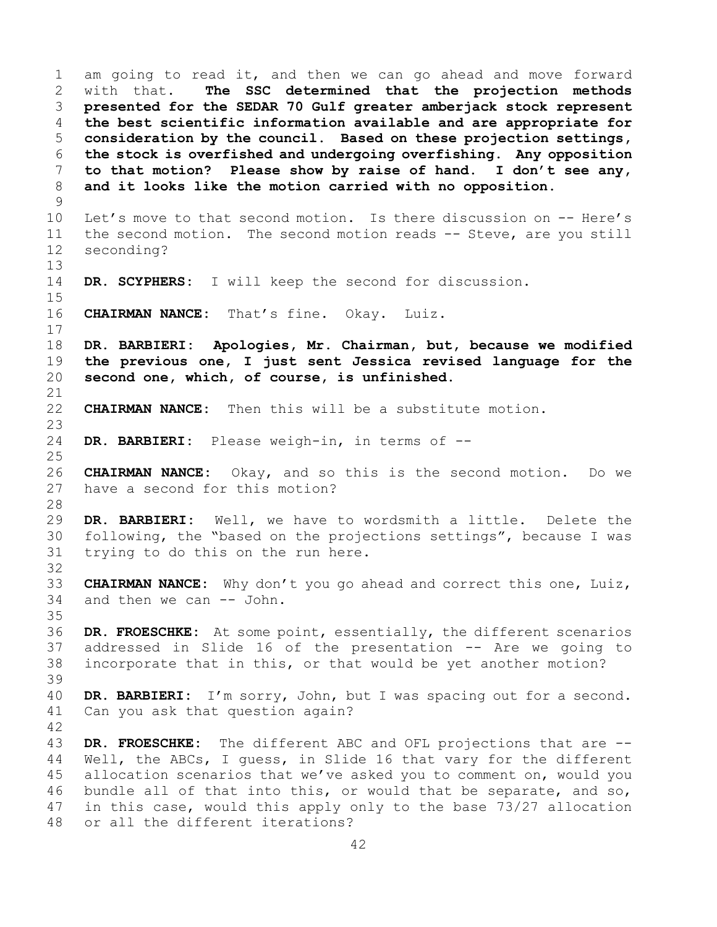1 am going to read it, and then we can go ahead and move forward<br>2 with that. The SSC determined that the projection methods 2 with that. **The SSC determined that the projection methods**  3 **presented for the SEDAR 70 Gulf greater amberjack stock represent**  4 **the best scientific information available and are appropriate for**  5 **consideration by the council. Based on these projection settings,**  6 **the stock is overfished and undergoing overfishing. Any opposition**  7 **to that motion? Please show by raise of hand. I don't see any,**  and it looks like the motion carried with no opposition.  $\begin{array}{c} 9 \\ 10 \end{array}$ 10 Let's move to that second motion. Is there discussion on -- Here's<br>11 the second motion. The second motion reads -- Steve, are you still 11 the second motion. The second motion reads -- Steve, are you still seconding? seconding? 13 14 **DR. SCYPHERS:** I will keep the second for discussion.  $15$ <br> $16$ CHAIRMAN NANCE: That's fine. Okay. Luiz.  $\begin{array}{c} 17 \\ 18 \end{array}$ 18 **DR. BARBIERI: Apologies, Mr. Chairman, but, because we modified**  19 **the previous one, I just sent Jessica revised language for the**  second one, which, of course, is unfinished. 21<br>22 **CHAIRMAN NANCE:** Then this will be a substitute motion. 23 DR. BARBIERI: Please weigh-in, in terms of -- $\frac{25}{26}$ 26 **CHAIRMAN NANCE:** Okay, and so this is the second motion. Do we have a second for this motion? 28<br>29 DR. BARBIERI: Well, we have to wordsmith a little. Delete the 30 following, the "based on the projections settings", because I was<br>31 trying to do this on the run here. trying to do this on the run here. 32 33 **CHAIRMAN NANCE:** Why don't you go ahead and correct this one, Luiz, and then we can -- John. 35<br>36 DR. FROESCHKE: At some point, essentially, the different scenarios 37 addressed in Slide 16 of the presentation -- Are we going to 38 incorporate that in this, or that would be yet another motion? 39 40 **DR. BARBIERI:** I'm sorry, John, but I was spacing out for a second. Can you ask that question again?  $\frac{42}{43}$ 43 **DR. FROESCHKE:** The different ABC and OFL projections that are -- Well, the ABCs, I quess, in Slide 16 that vary for the different 45 allocation scenarios that we've asked you to comment on, would you 46 bundle all of that into this, or would that be separate, and so,<br>47 in this case, would this apply only to the base 73/27 allocation 47 in this case, would this apply only to the base 73/27 allocation<br>48 or all the different iterations? or all the different iterations?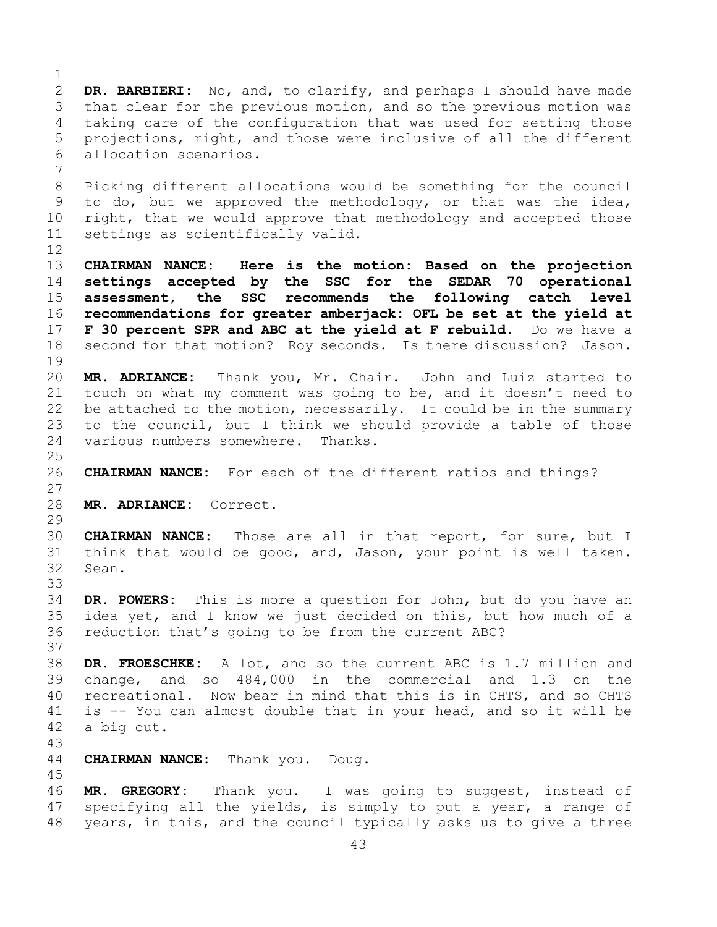$\frac{1}{2}$ 2 **DR. BARBIERI:** No, and, to clarify, and perhaps I should have made<br>3 that clear for the previous motion, and so the previous motion was 3 that clear for the previous motion, and so the previous motion was<br>4 taking care of the configuration that was used for setting those taking care of the configuration that was used for setting those 5 projections, right, and those were inclusive of all the different 6 allocation scenarios. 7 8 Picking different allocations would be something for the council<br>9 to do, but we approved the methodology, or that was the idea, 9 to do, but we approved the methodology, or that was the idea,<br>10 right, that we would approve that methodology and accepted those 10 right, that we would approve that methodology and accepted those<br>11 settings as scientifically valid. settings as scientifically valid. 12 13 **CHAIRMAN NANCE: Here is the motion: Based on the projection**  14 **settings accepted by the SSC for the SEDAR 70 operational**  15 **assessment, the SSC recommends the following catch level**  16 **recommendations for greater amberjack: OFL be set at the yield at**  17 **F 30 percent SPR and ABC at the yield at F rebuild.** Do we have a 18 second for that motion? Rov seconds. Is there discussion? Jason. second for that motion? Roy seconds. Is there discussion? Jason.  $\begin{array}{c} 19 \\ 20 \end{array}$ MR. ADRIANCE: Thank you, Mr. Chair. John and Luiz started to 21 touch on what my comment was going to be, and it doesn't need to<br>22 be attached to the motion, necessarily. It could be in the summary 22 be attached to the motion, necessarily. It could be in the summary<br>23 to the council, but I think we should provide a table of those 23 to the council, but I think we should provide a table of those<br>24 various numbers somewhere. Thanks. various numbers somewhere. Thanks.  $\frac{25}{26}$ 26 **CHAIRMAN NANCE:** For each of the different ratios and things? 27 28 **MR. ADRIANCE:** Correct. 29<br>30 30 **CHAIRMAN NANCE:** Those are all in that report, for sure, but I 31 think that would be good, and, Jason, your point is well taken.<br>32 Sean. Sean. 33<br>34 34 **DR. POWERS:** This is more a question for John, but do you have an 35 idea yet, and I know we just decided on this, but how much of a<br>36 reduction that's going to be from the current ABC? reduction that's going to be from the current ABC? 37 38 **DR. FROESCHKE:** A lot, and so the current ABC is 1.7 million and 39 change, and so 484,000 in the commercial and 1.3 on the<br>40 recreational. Now bear in mind that this is in CHTS, and so CHTS 40 recreational. Now bear in mind that this is in CHTS, and so CHTS<br>41 is -- You can almost double that in your head, and so it will be 41 is  $-$  You can almost double that in your head, and so it will be 42 a big cut. a big cut. 43 **CHAIRMAN NANCE:** Thank you. Doug. 45 46 **MR. GREGORY:** Thank you. I was going to suggest, instead of 47 specifying all the yields, is simply to put a year, a range of<br>48 years, in this, and the council typically asks us to give a three years, in this, and the council typically asks us to give a three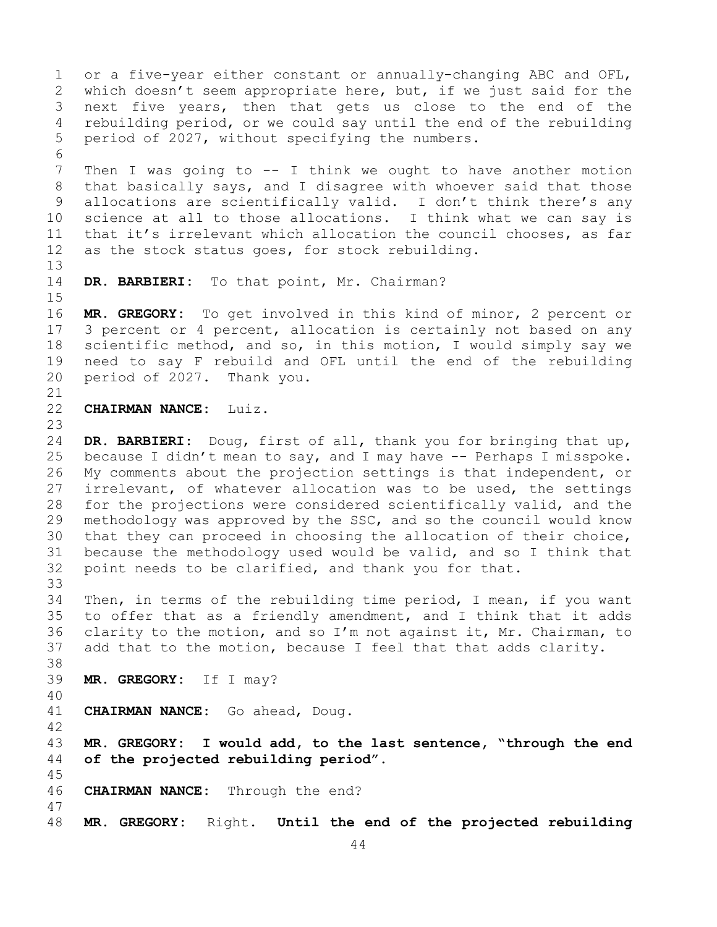44 1 or a five-year either constant or annually-changing ABC and OFL,<br>2 which doesn't seem appropriate here, but, if we just said for the 2 which doesn't seem appropriate here, but, if we just said for the<br>3 next five years, then that gets us close to the end of the 3 next five years, then that gets us close to the end of the<br>4 rebuilding period, or we could say until the end of the rebuilding rebuilding period, or we could say until the end of the rebuilding 5 period of 2027, without specifying the numbers. 6<br>7 7 Then I was going to -- I think we ought to have another motion<br>8 that basically says, and I disagree with whoever said that those 8 that basically says, and I disagree with whoever said that those<br>9 allocations are scientifically valid. I don't think there's any 9 allocations are scientifically valid. I don't think there's any<br>10 science at all to those allocations. I think what we can say is 10 science at all to those allocations. I think what we can say is<br>11 that it's irrelevant which allocation the council chooses, as far 11 that it's irrelevant which allocation the council chooses, as far<br>12 as the stock status goes, for stock rebuilding. as the stock status goes, for stock rebuilding. 13 14 **DR. BARBIERI:** To that point, Mr. Chairman?  $15$ <br> $16$ 16 **MR. GREGORY:** To get involved in this kind of minor, 2 percent or<br>17 3 percent or 4 percent, allocation is certainly not based on any 17 3 percent or 4 percent, allocation is certainly not based on any<br>18 scientific method, and so, in this motion, I would simply say we 18 scientific method, and so, in this motion, I would simply say we<br>19 need to say F rebuild and OFL until the end of the rebuilding 19 need to say F rebuild and OFL until the end of the rebuilding<br>20 period of 2027. Thank you. period of 2027. Thank you. 21<br>22 **CHAIRMAN NANCE:** Luiz. 23 24 **DR. BARBIERI:** Doug, first of all, thank you for bringing that up,<br>25 because I didn't mean to say, and I may have -- Perhaps I misspoke. 25 because I didn't mean to say, and I may have -- Perhaps I misspoke.<br>26 My comments about the projection settings is that independent, or 26 My comments about the projection settings is that independent, or<br>27 irrelevant, of whatever allocation was to be used, the settings irrelevant, of whatever allocation was to be used, the settings 28 for the projections were considered scientifically valid, and the<br>29 methodology was approved by the SSC, and so the council would know 29 methodology was approved by the SSC, and so the council would know<br>30 that they can proceed in choosing the allocation of their choice, 30 that they can proceed in choosing the allocation of their choice,<br>31 because the methodology used would be valid, and so I think that 31 because the methodology used would be valid, and so I think that<br>32 point needs to be clarified, and thank you for that. point needs to be clarified, and thank you for that. 33<br>34 34 Then, in terms of the rebuilding time period, I mean, if you want<br>35 to offer that as a friendly amendment, and I think that it adds 35 to offer that as a friendly amendment, and I think that it adds<br>36 clarity to the motion, and so I'm not against it, Mr. Chairman, to clarity to the motion, and so I'm not against it, Mr. Chairman, to 37 add that to the motion, because I feel that that adds clarity. 38<br>39 39 **MR. GREGORY:** If I may? 40 41 **CHAIRMAN NANCE:** Go ahead, Doug. 42 43 **MR. GREGORY: I would add, to the last sentence, "through the end**  of the projected rebuilding period". 45 46 **CHAIRMAN NANCE:** Through the end? 47 48 **MR. GREGORY:** Right. **Until the end of the projected rebuilding**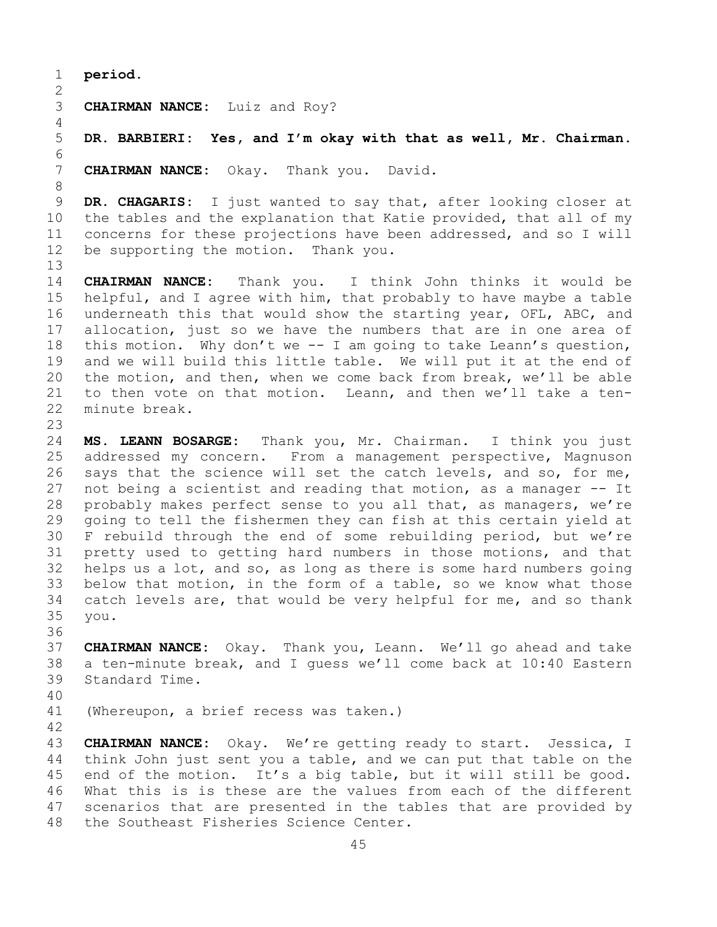1 **period.**

4

6<br>7

13

 $\frac{2}{3}$ 3 **CHAIRMAN NANCE:** Luiz and Roy?

5 **DR. BARBIERI: Yes, and I'm okay with that as well, Mr. Chairman.**

**CHAIRMAN NANCE:** Okay. Thank you. David.

8<br>9 9 **DR. CHAGARIS:** I just wanted to say that, after looking closer at 10 the tables and the explanation that Katie provided, that all of my 10 the tables and the explanation that Katie provided, that all of my<br>11 concerns for these projections have been addressed, and so I will 11 concerns for these projections have been addressed, and so I will<br>12 be supporting the motion. Thank you. be supporting the motion. Thank you.

14 **CHAIRMAN NANCE:** Thank you. I think John thinks it would be 15 helpful, and I agree with him, that probably to have maybe a table<br>16 underneath this that would show the starting year, OFL, ABC, and 16 underneath this that would show the starting year, OFL, ABC, and<br>17 allocation, just so we have the numbers that are in one area of 17 allocation, just so we have the numbers that are in one area of<br>18 this motion. Why don't we -- I am going to take Leann's question, 18 this motion. Why don't we -- I am going to take Leann's question,<br>19 and we will build this little table. We will put it at the end of 19 and we will build this little table. We will put it at the end of<br>20 the motion, and then, when we come back from break, we'll be able 20 the motion, and then, when we come back from break, we'll be able<br>21 to then vote on that motion. Leann, and then we'll take a ten-21 to then vote on that motion. Leann, and then we'll take a ten-<br>22 minute break. minute break.

23 24 **MS. LEANN BOSARGE:** Thank you, Mr. Chairman. I think you just 25 addressed my concern. From a management perspective, Magnuson<br>26 says that the science will set the catch levels, and so, for me, 26 says that the science will set the catch levels, and so, for me,<br>27 not being a scientist and reading that motion, as a manager -- It not being a scientist and reading that motion, as a manager -- It 28 probably makes perfect sense to you all that, as managers, we're<br>29 qoing to tell the fishermen they can fish at this certain yield at 29 going to tell the fishermen they can fish at this certain yield at<br>30 F rebuild through the end of some rebuilding period, but we're 30 F rebuild through the end of some rebuilding period, but we're<br>31 pretty used to getting hard numbers in those motions, and that 31 pretty used to getting hard numbers in those motions, and that<br>32 helps us a lot, and so, as long as there is some hard numbers going 32 helps us a lot, and so, as long as there is some hard numbers going<br>33 below that motion, in the form of a table, so we know what those 33 below that motion, in the form of a table, so we know what those<br>34 catch levels are, that would be very helpful for me, and so thank 34 catch levels are, that would be very helpful for me, and so thank<br>35 vou. 35 you.

36<br>37 37 **CHAIRMAN NANCE:** Okay. Thank you, Leann. We'll go ahead and take 38 a ten-minute break, and I guess we'll come back at 10:40 Eastern 39 Standard Time. Standard Time.

40

(Whereupon, a brief recess was taken.)

42 43 **CHAIRMAN NANCE:** Okay. We're getting ready to start. Jessica, I<br>44 think John just sent you a table, and we can put that table on the think John just sent you a table, and we can put that table on the 45 end of the motion. It's a big table, but it will still be good. 46 What this is is these are the values from each of the different<br>47 scenarios that are presented in the tables that are provided by 47 scenarios that are presented in the tables that are provided by<br>48 the Southeast Fisheries Science Center. the Southeast Fisheries Science Center.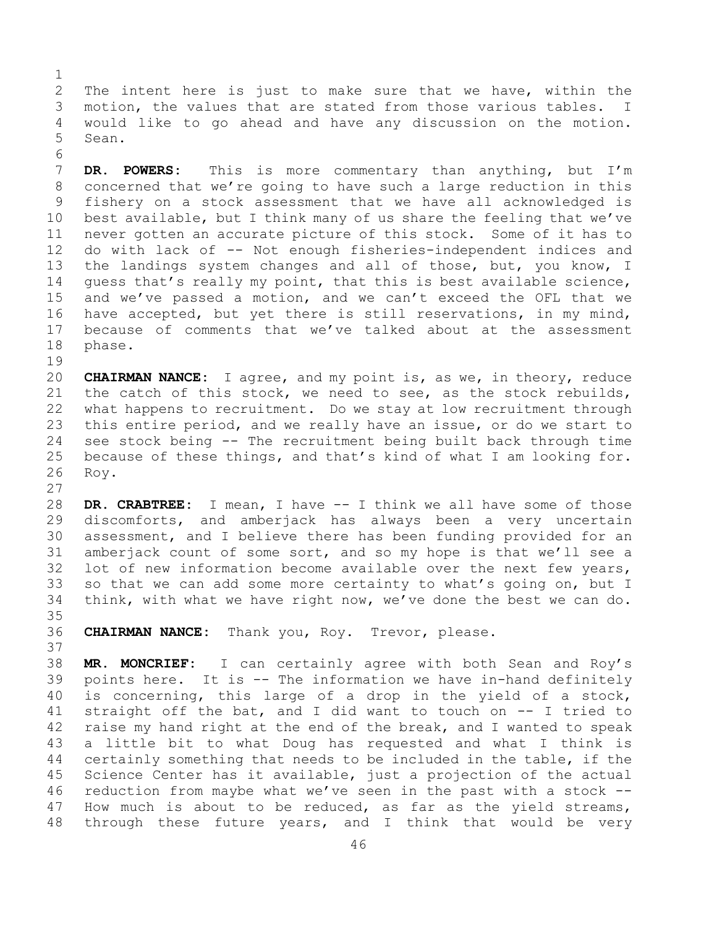$\frac{1}{2}$ 2 The intent here is just to make sure that we have, within the<br>3 motion, the values that are stated from those various tables. I 3 motion, the values that are stated from those various tables. I<br>4 would like to go ahead and have any discussion on the motion. would like to go ahead and have any discussion on the motion. 5 Sean.

6<br>7 7 **DR. POWERS:** This is more commentary than anything, but I'm<br>8 concerned that we're going to have such a large reduction in this 8 concerned that we're going to have such a large reduction in this<br>9 fishery on a stock assessment that we have all acknowledged is 9 fishery on a stock assessment that we have all acknowledged is<br>10 best available, but I think many of us share the feeling that we've 10 best available, but I think many of us share the feeling that we've<br>11 never gotten an accurate picture of this stock. Some of it has to 11 never gotten an accurate picture of this stock. Some of it has to<br>12 do with lack of -- Not enough fisheries-independent indices and 12 do with lack of -- Not enough fisheries-independent indices and 13 the landings system changes and all of those, but, you know, I 14 guess that's really my point, that this is best available science,<br>15 and we've passed a motion, and we can't exceed the OFL that we 15 and we've passed a motion, and we can't exceed the OFL that we<br>16 have accepted, but yet there is still reservations, in my mind, 16 have accepted, but yet there is still reservations, in my mind,<br>17 because of comments that we've talked about at the assessment 17 because of comments that we've talked about at the assessment<br>18 phase. phase.

 $\begin{array}{c} 19 \\ 20 \end{array}$ 20 **CHAIRMAN NANCE:** I agree, and my point is, as we, in theory, reduce 21 the catch of this stock, we need to see, as the stock rebuilds,<br>22 what happens to recruitment. Do we stay at low recruitment through 22 what happens to recruitment. Do we stay at low recruitment through<br>23 this entire period, and we really have an issue, or do we start to 23 this entire period, and we really have an issue, or do we start to<br>24 see stock being -- The recruitment being built back through time 24 see stock being -- The recruitment being built back through time<br>25 because of these things, and that's kind of what I am looking for. 25 because of these things, and that's kind of what I am looking for.<br>26 Roy. Roy.

28 **DR. CRABTREE:** I mean, I have -- I think we all have some of those 29 discomforts, and amberjack has always been a very uncertain<br>30 assessment, and I believe there has been funding provided for an 30 assessment, and I believe there has been funding provided for an<br>31 amberjack count of some sort, and so my hope is that we'll see a 31 amberjack count of some sort, and so my hope is that we'll see a<br>32 lot of new information become available over the next few vears. lot of new information become available over the next few years, 33 so that we can add some more certainty to what's going on, but I<br>34 think, with what we have right now, we've done the best we can do. think, with what we have right now, we've done the best we can do.

35<br>36 CHAIRMAN NANCE: Thank you, Roy. Trevor, please. 37

27

38 **MR. MONCRIEF:** I can certainly agree with both Sean and Roy's 39 points here. It is  $-$  The information we have in-hand definitely<br>40 is concerning, this large of a drop in the yield of a stock, 40 is concerning, this large of a drop in the yield of a stock,<br>41 straight off the bat, and I did want to touch on -- I tried to 41 straight off the bat, and I did want to touch on  $-$  I tried to 42 raise my hand right at the end of the break, and I wanted to speak 42 raise my hand right at the end of the break, and I wanted to speak<br>43 a little bit to what Doug has requested and what I think is 43 a little bit to what Doug has requested and what I think is<br>44 certainly something that needs to be included in the table, if the certainly something that needs to be included in the table, if the 45 Science Center has it available, just a projection of the actual 46 reduction from maybe what we've seen in the past with a stock  $-$ -<br>47 How much is about to be reduced, as far as the yield streams, 47 How much is about to be reduced, as far as the yield streams,<br>48 through these future years, and I think that would be very through these future years, and I think that would be very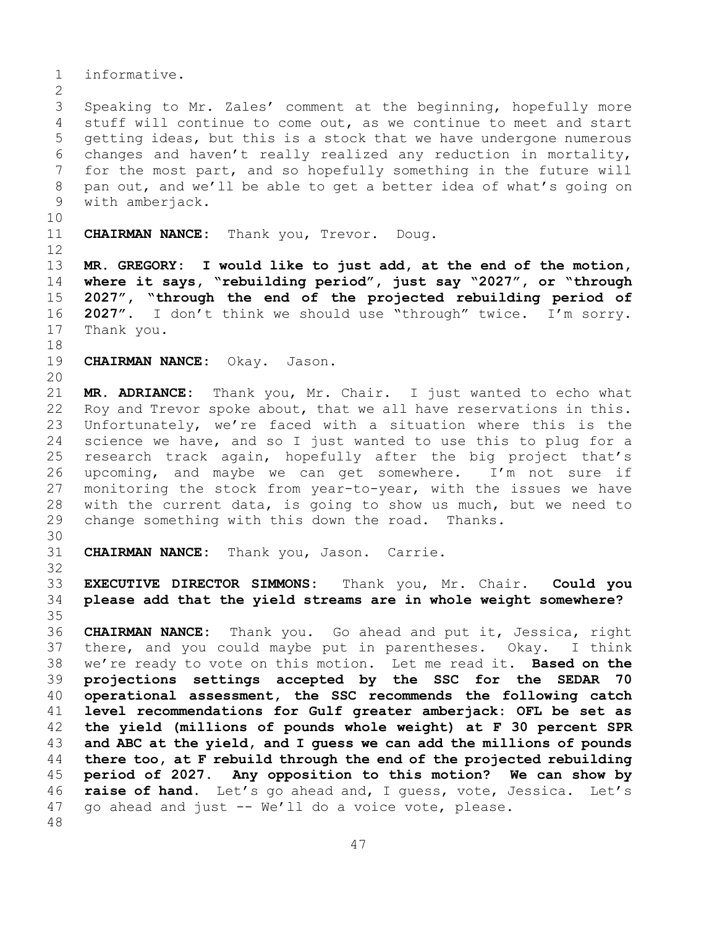1 informative.  $\frac{2}{3}$ 3 Speaking to Mr. Zales' comment at the beginning, hopefully more<br>4 stuff will continue to come out, as we continue to meet and start stuff will continue to come out, as we continue to meet and start 5 getting ideas, but this is a stock that we have undergone numerous 6 changes and haven't really realized any reduction in mortality,<br>7 for the most part, and so hopefully something in the future will 7 for the most part, and so hopefully something in the future will<br>8 pan out, and we'll be able to get a better idea of what's going on 8 pan out, and we'll be able to get a better idea of what's going on<br>9 with amberjack. with amberjack. 10<br>11 CHAIRMAN NANCE: Thank you, Trevor. Doug. 12 13 **MR. GREGORY: I would like to just add, at the end of the motion,**  14 **where it says, "rebuilding period", just say "2027", or "through**  15 **2027", "through the end of the projected rebuilding period of**  $16$  **2027".** I don't think we should use "through" twice. I'm sorry. 16 **2027".** I don't think we should use "through" twice. I'm sorry.<br>17 Thank you. Thank you. 18<br>19 CHAIRMAN NANCE: Okay. Jason. 20 21 **MR. ADRIANCE:** Thank you, Mr. Chair. I just wanted to echo what 22 Roy and Trevor spoke about, that we all have reservations in this.<br>23 Unfortunately, we're faced with a situation where this is the 23 Unfortunately, we're faced with a situation where this is the<br>24 science we have, and so I just wanted to use this to plug for a 24 science we have, and so I just wanted to use this to plug for a<br>25 research track again, hopefully after the big project that's research track again, hopefully after the big project that's 26 upcoming, and maybe we can get somewhere. I'm not sure if<br>27 monitoring the stock from year-to-year, with the issues we have monitoring the stock from year-to-year, with the issues we have 28 with the current data, is going to show us much, but we need to<br>29 change something with this down the road. Thanks. change something with this down the road. Thanks. 30<br>31 CHAIRMAN NANCE: Thank you, Jason. Carrie. 32 33 **EXECUTIVE DIRECTOR SIMMONS:** Thank you, Mr. Chair. **Could you**  34 **please add that the yield streams are in whole weight somewhere?** 35<br>36 36 **CHAIRMAN NANCE:** Thank you. Go ahead and put it, Jessica, right 37 there, and you could maybe put in parentheses. Okay. I think 38 we're ready to vote on this motion. Let me read it. **Based on the**  39 **projections settings accepted by the SSC for the SEDAR 70**  40 **operational assessment, the SSC recommends the following catch**  41 **level recommendations for Gulf greater amberjack: OFL be set as**  42 **the yield (millions of pounds whole weight) at F 30 percent SPR**  43 **and ABC at the yield, and I guess we can add the millions of pounds**  44 **there too, at F rebuild through the end of the projected rebuilding**  45 **period of 2027. Any opposition to this motion? We can show by**  46 **raise of hand.** Let's go ahead and, I guess, vote, Jessica. Let's 47 go ahead and just -- We'll do a voice vote, please. 47 go ahead and just -- We'll do a voice vote, please. 48

47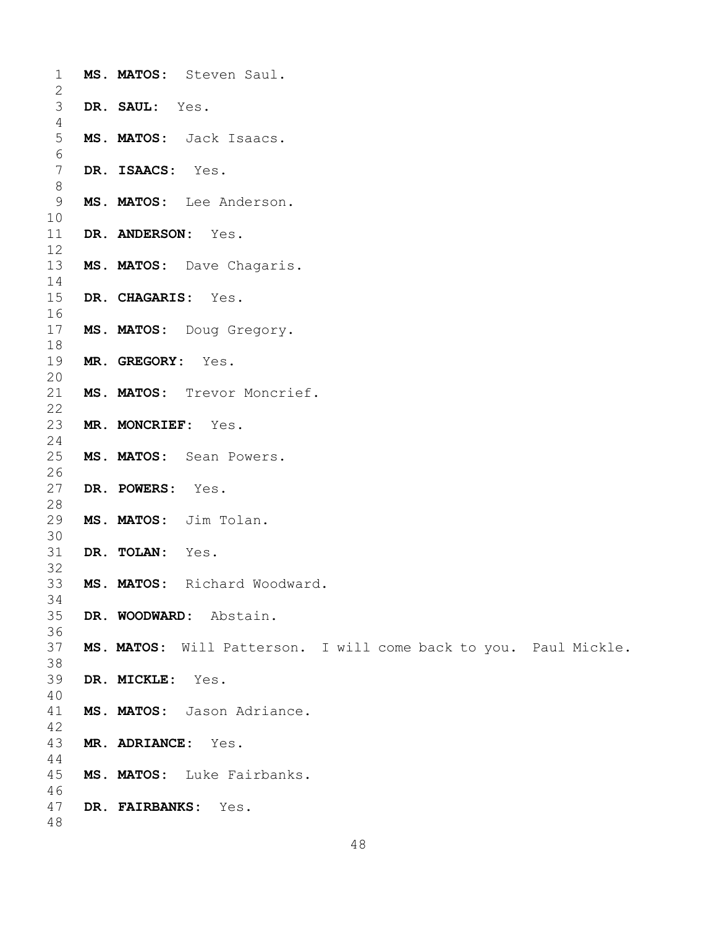| $\mathbf 1$<br>$\overline{2}$ | MS. MATOS: Steven Saul.                                          |
|-------------------------------|------------------------------------------------------------------|
| 3<br>4                        | DR. SAUL: Yes.                                                   |
| 5<br>6                        | MS. MATOS: Jack Isaacs.                                          |
| $\overline{7}$<br>8           | DR. ISAACS: Yes.                                                 |
| 9<br>10                       | MS. MATOS: Lee Anderson.                                         |
| 11<br>12                      | DR. ANDERSON: Yes.                                               |
| 13<br>14                      | MS. MATOS: Dave Chagaris.                                        |
| 15<br>16                      | DR. CHAGARIS: Yes.                                               |
| 17<br>18<br>19                | MS. MATOS: Doug Gregory.                                         |
| 20<br>21                      | MR. GREGORY: Yes.<br>MS. MATOS: Trevor Moncrief.                 |
| 22<br>23                      | MR. MONCRIEF: Yes.                                               |
| 24<br>25                      | MS. MATOS: Sean Powers.                                          |
| 26<br>27                      | DR. POWERS:<br>Yes.                                              |
| 28<br>29                      | MS. MATOS: Jim Tolan.                                            |
| 30<br>31<br>32                | DR. TOLAN: Yes.                                                  |
| 33<br>34                      | MS. MATOS: Richard Woodward.                                     |
| 35<br>36                      | DR. WOODWARD: Abstain.                                           |
| 37<br>38                      | MS. MATOS: Will Patterson. I will come back to you. Paul Mickle. |
| 39<br>40                      | DR. MICKLE: Yes.                                                 |
| 41<br>42                      | MS. MATOS: Jason Adriance.                                       |
| 43<br>44                      | MR. ADRIANCE: Yes.                                               |
| 45<br>46                      | MS. MATOS: Luke Fairbanks.                                       |
| 47<br>48                      | DR. FAIRBANKS: Yes.                                              |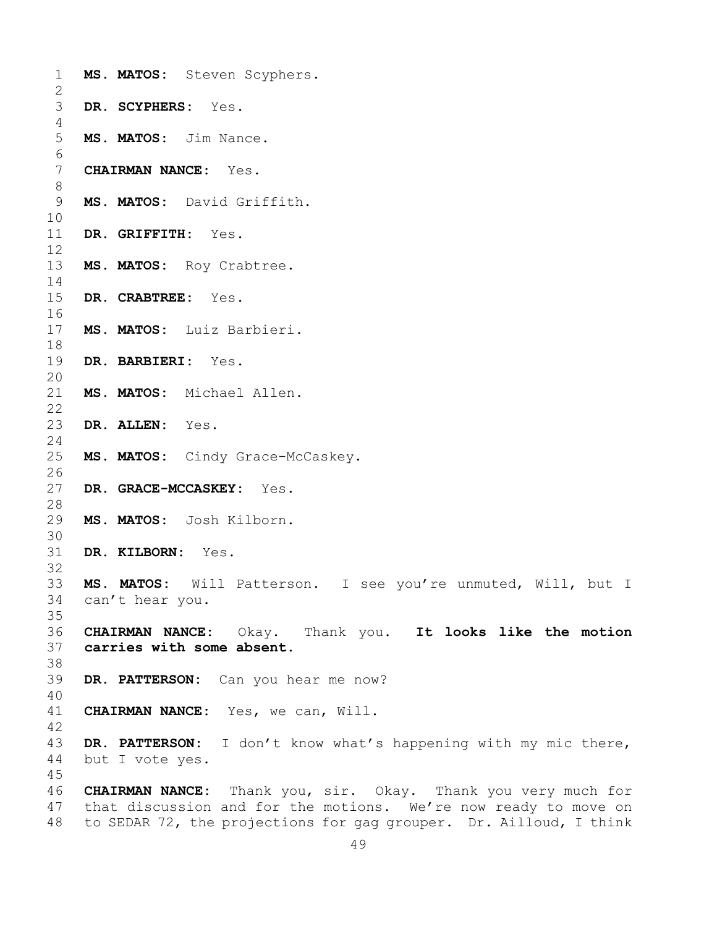| 1<br>$\mathbf{2}$        | MS. MATOS: Steven Scyphers.                                                                                                                                                                                   |
|--------------------------|---------------------------------------------------------------------------------------------------------------------------------------------------------------------------------------------------------------|
| 3<br>4                   | DR. SCYPHERS: Yes.                                                                                                                                                                                            |
| 5<br>6                   | MS. MATOS: Jim Nance.                                                                                                                                                                                         |
| $7\phantom{.0}$<br>$8\,$ | <b>CHAIRMAN NANCE:</b> Yes.                                                                                                                                                                                   |
| 9<br>10                  | MS. MATOS: David Griffith.                                                                                                                                                                                    |
| 11<br>12                 | DR. GRIFFITH: Yes.                                                                                                                                                                                            |
| 13<br>14                 | MS. MATOS: Roy Crabtree.                                                                                                                                                                                      |
| 15<br>16                 | DR. CRABTREE: Yes.                                                                                                                                                                                            |
| 17<br>18                 | MS. MATOS: Luiz Barbieri.                                                                                                                                                                                     |
| 19<br>20                 | DR. BARBIERI: Yes.                                                                                                                                                                                            |
| 21<br>22<br>23           | MS. MATOS: Michael Allen.<br>DR. ALLEN: Yes.                                                                                                                                                                  |
| 24<br>25                 | MS. MATOS: Cindy Grace-McCaskey.                                                                                                                                                                              |
| 26<br>27                 | DR. GRACE-MCCASKEY: Yes.                                                                                                                                                                                      |
| 28<br>29                 | MS. MATOS: Josh Kilborn.                                                                                                                                                                                      |
| 30<br>31                 | DR. KILBORN: Yes.                                                                                                                                                                                             |
| 32<br>33                 | MS. MATOS: Will Patterson. I see you're unmuted, Will, but I                                                                                                                                                  |
| 34<br>35<br>36           | can't hear you.<br>CHAIRMAN NANCE: Okay. Thank you. It looks like the motion                                                                                                                                  |
| 37<br>38                 | carries with some absent.                                                                                                                                                                                     |
| 39<br>40                 | DR. PATTERSON: Can you hear me now?                                                                                                                                                                           |
| 41<br>42                 | CHAIRMAN NANCE: Yes, we can, Will.                                                                                                                                                                            |
| 43<br>44<br>45           | DR. PATTERSON: I don't know what's happening with my mic there,<br>but I vote yes.                                                                                                                            |
| 46<br>47<br>48           | <b>CHAIRMAN NANCE:</b> Thank you, sir. Okay. Thank you very much for<br>that discussion and for the motions. We're now ready to move on<br>to SEDAR 72, the projections for gag grouper. Dr. Ailloud, I think |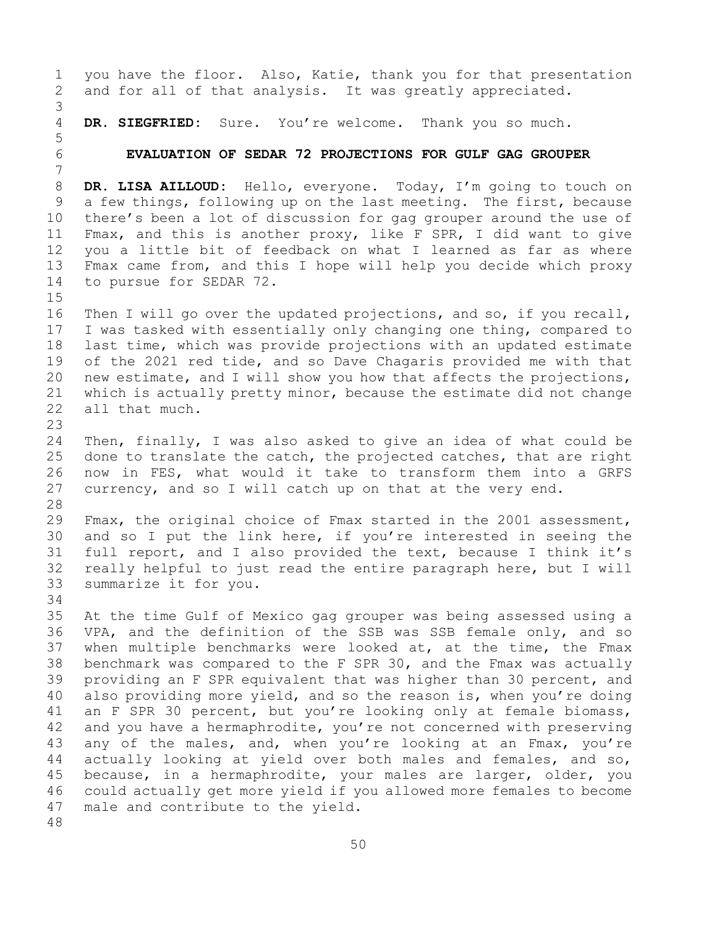1 you have the floor. Also, Katie, thank you for that presentation<br>2 and for all of that analysis. It was greatly appreciated. and for all of that analysis. It was greatly appreciated. 3 DR. SIEGFRIED: Sure. You're welcome. Thank you so much. 5 6 **EVALUATION OF SEDAR 72 PROJECTIONS FOR GULF GAG GROUPER** 7 8 **DR. LISA AILLOUD:** Hello, everyone. Today, I'm going to touch on<br>9 a few things, following up on the last meeting. The first, because 9 a few things, following up on the last meeting. The first, because<br>10 there's been a lot of discussion for gag grouper around the use of 10 there's been a lot of discussion for gag grouper around the use of<br>11 Fmax, and this is another proxy, like F SPR, I did want to give 11 Fmax, and this is another proxy, like F SPR, I did want to give<br>12 you a little bit of feedback on what I learned as far as where 12 you a little bit of feedback on what I learned as far as where<br>13 Fmax came from, and this I hope will help you decide which proxy Fmax came from, and this I hope will help you decide which proxy 14 to pursue for SEDAR 72.  $15$ <br> $16$ 16 Then I will go over the updated projections, and so, if you recall,<br>17 I was tasked with essentially only changing one thing, compared to 17 I was tasked with essentially only changing one thing, compared to<br>18 last time, which was provide projections with an updated estimate 18 last time, which was provide projections with an updated estimate<br>19 of the 2021 red tide, and so Dave Chagaris provided me with that 19 of the 2021 red tide, and so Dave Chagaris provided me with that<br>20 new estimate, and I will show you how that affects the projections, 20 new estimate, and I will show you how that affects the projections,<br>21 which is actually pretty minor, because the estimate did not change 21 which is actually pretty minor, because the estimate did not change 22 all that much. all that much. 23 24 Then, finally, I was also asked to give an idea of what could be<br>25 done to translate the catch, the projected catches, that are right 25 done to translate the catch, the projected catches, that are right<br>26 now in FES, what would it take to transform them into a GRFS 26 now in FES, what would it take to transform them into a GRFS<br>27 currency, and so I will catch up on that at the very end. currency, and so I will catch up on that at the very end. 28<br>29 29 Fmax, the original choice of Fmax started in the 2001 assessment,<br>30 and so I put the link here, if you're interested in seeing the 30 and so I put the link here, if you're interested in seeing the<br>31 full report, and I also provided the text, because I think it's 31 full report, and I also provided the text, because I think it's<br>32 really helpful to just read the entire paragraph here, but I will 32 really helpful to just read the entire paragraph here, but I will<br>33 summarize it for you. summarize it for you. 34<br>35 35 At the time Gulf of Mexico gag grouper was being assessed using a<br>36 VPA, and the definition of the SSB was SSB female only, and so 36 VPA, and the definition of the SSB was SSB female only, and so<br>37 when multiple benchmarks were looked at, at the time, the Fmax when multiple benchmarks were looked at, at the time, the Fmax 38 benchmark was compared to the F SPR 30, and the Fmax was actually<br>39 providing an F SPR equivalent that was higher than 30 percent, and 39 providing an F SPR equivalent that was higher than 30 percent, and<br>40 also providing more yield, and so the reason is, when you're doing 40 also providing more yield, and so the reason is, when you're doing<br>41 an F SPR 30 percent, but you're looking only at female biomass, 41 an F SPR 30 percent, but you're looking only at female biomass,<br>42 and you have a hermaphrodite, you're not concerned with preserving 42 and you have a hermaphrodite, you're not concerned with preserving<br>43 any of the males, and, when you're looking at an Fmax, you're 43 any of the males, and, when you're looking at an Fmax, you're<br>44 actually looking at yield over both males and females, and so, actually looking at yield over both males and females, and so, 45 because, in a hermaphrodite, your males are larger, older, you 46 could actually get more yield if you allowed more females to become<br>47 male and contribute to the yield. male and contribute to the yield. 48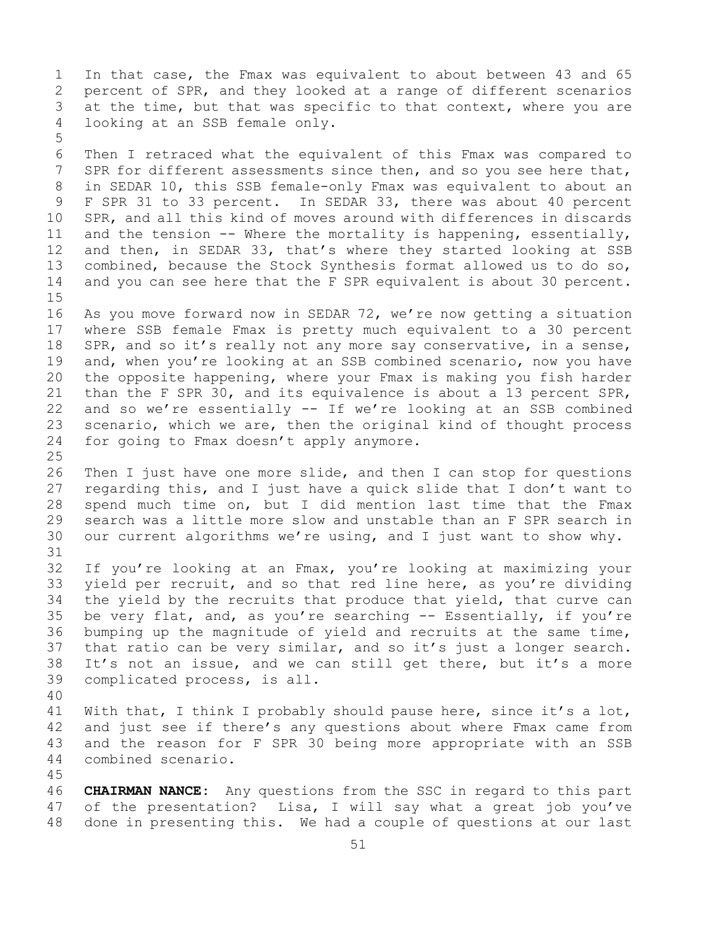1 In that case, the Fmax was equivalent to about between 43 and 65<br>2 percent of SPR, and they looked at a range of different scenarios 2 percent of SPR, and they looked at a range of different scenarios<br>3 at the time, but that was specific to that context, where you are 3 at the time, but that was specific to that context, where you are<br>4 looking at an SSB female only. looking at an SSB female only.

6 Then I retraced what the equivalent of this Fmax was compared to<br>7 SPR for different assessments since then, and so you see here that, 7 SPR for different assessments since then, and so you see here that,<br>8 in SEDAR 10, this SSB female-only Fmax was equivalent to about an 8 in SEDAR 10, this SSB female-only Fmax was equivalent to about an<br>9 F SPR 31 to 33 percent. In SEDAR 33, there was about 40 percent 9 F SPR 31 to 33 percent. In SEDAR 33, there was about 40 percent<br>10 SPR, and all this kind of moves around with differences in discards 10 SPR, and all this kind of moves around with differences in discards<br>11 and the tension -- Where the mortality is happening, essentially, 11 and the tension -- Where the mortality is happening, essentially,<br>12 and then, in SEDAR 33, that's where they started looking at SSB 12 and then, in SEDAR 33, that's where they started looking at SSB<br>13 combined, because the Stock Synthesis format allowed us to do so, combined, because the Stock Synthesis format allowed us to do so, 14 and you can see here that the F SPR equivalent is about 30 percent.

 $15$ <br> $16$ 16 As you move forward now in SEDAR 72, we're now getting a situation<br>17 where SSB female Fmax is pretty much equivalent to a 30 percent 17 where SSB female Fmax is pretty much equivalent to a 30 percent<br>18 SPR, and so it's really not any more say conservative, in a sense, 18 SPR, and so it's really not any more say conservative, in a sense,<br>19 and, when you're looking at an SSB combined scenario, now you have 19 and, when you're looking at an SSB combined scenario, now you have<br>20 the opposite happening, where your Fmax is making you fish harder 20 the opposite happening, where your Fmax is making you fish harder<br>21 than the F SPR 30, and its equivalence is about a 13 percent SPR, 21 than the F SPR 30, and its equivalence is about a 13 percent SPR,<br>22 and so we're essentially -- If we're looking at an SSB combined 22 and so we're essentially  $--$  If we're looking at an SSB combined<br>23 scenario, which we are, then the original kind of thought process 23 scenario, which we are, then the original kind of thought process<br>24 for going to Fmax doesn't apply anymore. for going to Fmax doesn't apply anymore.

 $\frac{25}{26}$ 26 Then I just have one more slide, and then I can stop for questions<br>27 Tregarding this, and I just have a quick slide that I don't want to 27 regarding this, and I just have a quick slide that I don't want to<br>28 spend much time on, but I did mention last time that the Fmax 28 spend much time on, but I did mention last time that the Fmax<br>29 search was a little more slow and unstable than an F SPR search in 29 search was a little more slow and unstable than an F SPR search in<br>30 our current algorithms we're using, and I just want to show why. our current algorithms we're using, and I just want to show why.

31<br>32 32 If you're looking at an Fmax, you're looking at maximizing your<br>33 yield per recruit, and so that red line here, as you're dividing 33 yield per recruit, and so that red line here, as you're dividing<br>34 the yield by the recruits that produce that yield, that curve can 34 the yield by the recruits that produce that yield, that curve can<br>35 be very flat, and, as you're searching -- Essentially, if you're 35 be very flat, and, as you're searching -- Essentially, if you're<br>36 bumping up the magnitude of yield and recruits at the same time, 36 bumping up the magnitude of yield and recruits at the same time,<br>37 that ratio can be very similar, and so it's just a longer search. that ratio can be very similar, and so it's just a longer search. 38 It's not an issue, and we can still get there, but it's a more<br>39 complicated process, is all. complicated process, is all.

40

5

41 With that, I think I probably should pause here, since it's a lot,<br>42 and just see if there's any questions about where Fmax came from 42 and just see if there's any questions about where Fmax came from<br>43 and the reason for F SPR 30 being more appropriate with an SSB 43 and the reason for F SPR 30 being more appropriate with an SSB<br>44 combined scenario. combined scenario.

45

46 **CHAIRMAN NANCE:** Any questions from the SSC in regard to this part<br>47 of the presentation? Lisa, I will say what a great job you've 47 of the presentation? Lisa, I will say what a great job you've<br>48 done in presenting this. We had a couple of questions at our last done in presenting this. We had a couple of questions at our last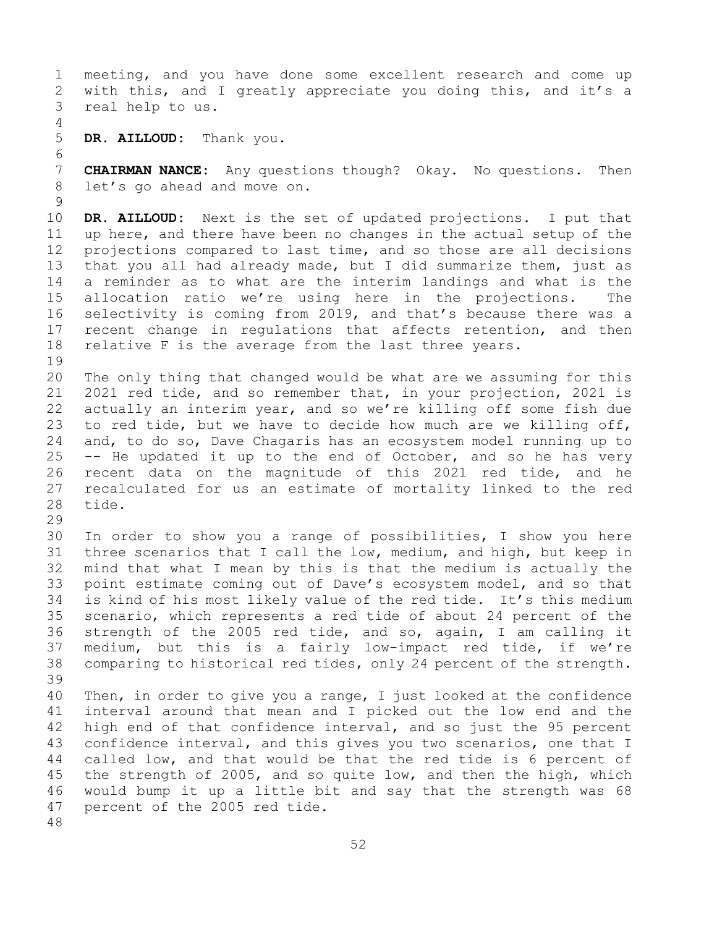1 meeting, and you have done some excellent research and come up<br>2 with this, and I greatly appreciate you doing this, and it's a 2 with this, and I greatly appreciate you doing this, and it's a real help to us. real help to us. 4<br>5 5 **DR. AILLOUD:** Thank you. 6<br>7 7 **CHAIRMAN NANCE:** Any questions though? Okay. No questions. Then<br>8 let's go ahead and move on. let's go ahead and move on.  $\frac{9}{10}$ 10 **DR. AILLOUD:** Next is the set of updated projections. I put that 11 up here, and there have been no changes in the actual setup of the<br>12 projections compared to last time, and so those are all decisions 12 projections compared to last time, and so those are all decisions<br>13 that you all had already made, but I did summarize them, just as that you all had already made, but I did summarize them, just as 14 a reminder as to what are the interim landings and what is the<br>15 allocation ratio we're using here in the projections. The 15 allocation ratio we're using here in the projections. The<br>16 selectivity is coming from 2019, and that's because there was a 16 selectivity is coming from 2019, and that's because there was a<br>17 recent change in regulations that affects retention, and then 17 recent change in regulations that affects retention, and then<br>18 relative F is the average from the last three years. relative F is the average from the last three years.  $\begin{array}{c} 19 \\ 20 \end{array}$ 20 The only thing that changed would be what are we assuming for this<br>21 2021 red tide, and so remember that, in your projection, 2021 is 21 2021 red tide, and so remember that, in your projection, 2021 is<br>22 actually an interim year, and so we're killing off some fish due 22 actually an interim year, and so we're killing off some fish due<br>23 to red tide, but we have to decide how much are we killing off, 23 to red tide, but we have to decide how much are we killing off,<br>24 and, to do so, Dave Chagaris has an ecosystem model running up to 24 and, to do so, Dave Chagaris has an ecosystem model running up to<br>25 -- He updated it up to the end of October, and so he has very 25 -- He updated it up to the end of October, and so he has very<br>26 recent data on the magnitude of this 2021 red tide, and he 26 recent data on the magnitude of this 2021 red tide, and he<br>27 recalculated for us an estimate of mortality linked to the red 27 recalculated for us an estimate of mortality linked to the red tide. 29<br>30 30 In order to show you a range of possibilities, I show you here<br>31 three scenarios that I call the low, medium, and high, but keep in 31 three scenarios that I call the low, medium, and high, but keep in<br>32 mind that what I mean by this is that the medium is actually the mind that what I mean by this is that the medium is actually the 33 point estimate coming out of Dave's ecosystem model, and so that<br>34 is kind of his most likely value of the red tide. It's this medium 34 is kind of his most likely value of the red tide. It's this medium<br>35 scenario, which represents a red tide of about 24 percent of the 35 scenario, which represents a red tide of about 24 percent of the<br>36 strength of the 2005 red tide, and so, again, I am calling it 36 strength of the 2005 red tide, and so, again, I am calling it<br>37 medium, but this is a fairly low-impact red tide, if we're medium, but this is a fairly low-impact red tide, if we're 38 comparing to historical red tides, only 24 percent of the strength. 39 40 Then, in order to give you a range, I just looked at the confidence<br>41 interval around that mean and I picked out the low end and the 41 interval around that mean and I picked out the low end and the<br>42 high end of that confidence interval, and so just the 95 percent 42 high end of that confidence interval, and so just the 95 percent<br>43 confidence interval, and this gives you two scenarios, one that I 43 confidence interval, and this gives you two scenarios, one that I<br>44 called low, and that would be that the red tide is 6 percent of called low, and that would be that the red tide is 6 percent of 45 the strength of 2005, and so quite low, and then the high, which 46 would bump it up a little bit and say that the strength was 68<br>47 percent of the 2005 red tide. percent of the 2005 red tide. 48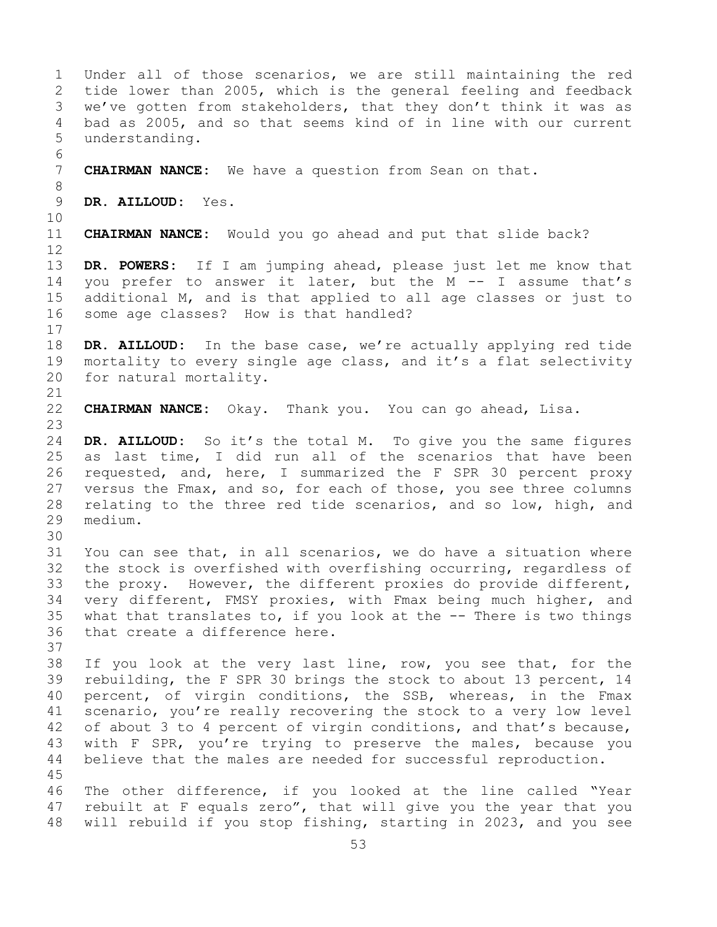1 Under all of those scenarios, we are still maintaining the red<br>2 tide lower than 2005, which is the general feeling and feedback 2 tide lower than 2005, which is the general feeling and feedback<br>3 we've gotten from stakeholders, that they don't think it was as 3 we've gotten from stakeholders, that they don't think it was as<br>4 bad as 2005, and so that seems kind of in line with our current bad as 2005, and so that seems kind of in line with our current 5 understanding. 6<br>7 7 **CHAIRMAN NANCE:** We have a question from Sean on that. 8<br>9 9 **DR. AILLOUD:** Yes. 10<br>11 CHAIRMAN NANCE: Would you go ahead and put that slide back? 12<br>13 DR. POWERS: If I am jumping ahead, please just let me know that 14 you prefer to answer it later, but the M -- I assume that's<br>15 additional M, and is that applied to all age classes or just to 15 additional M, and is that applied to all age classes or just to<br>16 some age classes? How is that handled? some age classes? How is that handled?  $\begin{array}{c} 17 \\ 18 \end{array}$ 18 **DR. AILLOUD:** In the base case, we're actually applying red tide<br>19 mortality to every single age class, and it's a flat selectivity 19 mortality to every single age class, and it's a flat selectivity<br>20 for natural mortality. for natural mortality. 21<br>22 22 **CHAIRMAN NANCE:** Okay. Thank you. You can go ahead, Lisa. 23 24 **DR. AILLOUD:** So it's the total M. To give you the same figures 25 as last time, I did run all of the scenarios that have been<br>26 requested, and, here, I summarized the F SPR 30 percent proxy 26 requested, and, here, I summarized the F SPR 30 percent proxy<br>27 versus the Fmax, and so, for each of those, you see three columns 27 versus the Fmax, and so, for each of those, you see three columns<br>28 relating to the three red tide scenarios, and so low, high, and 28 relating to the three red tide scenarios, and so low, high, and 29 medium. medium. 30<br>31 31 You can see that, in all scenarios, we do have a situation where<br>32 the stock is overfished with overfishing occurring, regardless of the stock is overfished with overfishing occurring, regardless of 33 the proxy. However, the different proxies do provide different,<br>34 very different, FMSY proxies, with Fmax being much higher, and 34 very different, FMSY proxies, with Fmax being much higher, and<br>35 what that translates to, if you look at the -- There is two things 35 what that translates to, if you look at the  $-$ - There is two things 36 that create a difference here. that create a difference here. 37<br>38 38 If you look at the very last line, row, you see that, for the<br>39 rebuilding, the F SPR 30 brings the stock to about 13 percent, 14 39 rebuilding, the F SPR 30 brings the stock to about 13 percent, 14<br>40 percent, of virgin conditions, the SSB, whereas, in the Fmax 40 percent, of virgin conditions, the SSB, whereas, in the Fmax<br>41 scenario, you're really recovering the stock to a very low level 41 scenario, you're really recovering the stock to a very low level<br>42 of about 3 to 4 percent of virgin conditions, and that's because, 42 of about 3 to 4 percent of virgin conditions, and that's because,<br>43 with F SPR, you're trying to preserve the males, because you 43 with F SPR, you're trying to preserve the males, because you<br>44 believe that the males are needed for successful reproduction. believe that the males are needed for successful reproduction. 45 46 The other difference, if you looked at the line called "Year<br>47 rebuilt at F equals zero", that will give you the year that you 47 rebuilt at F equals zero", that will give you the year that you<br>48 will rebuild if you stop fishing, starting in 2023, and you see will rebuild if you stop fishing, starting in 2023, and you see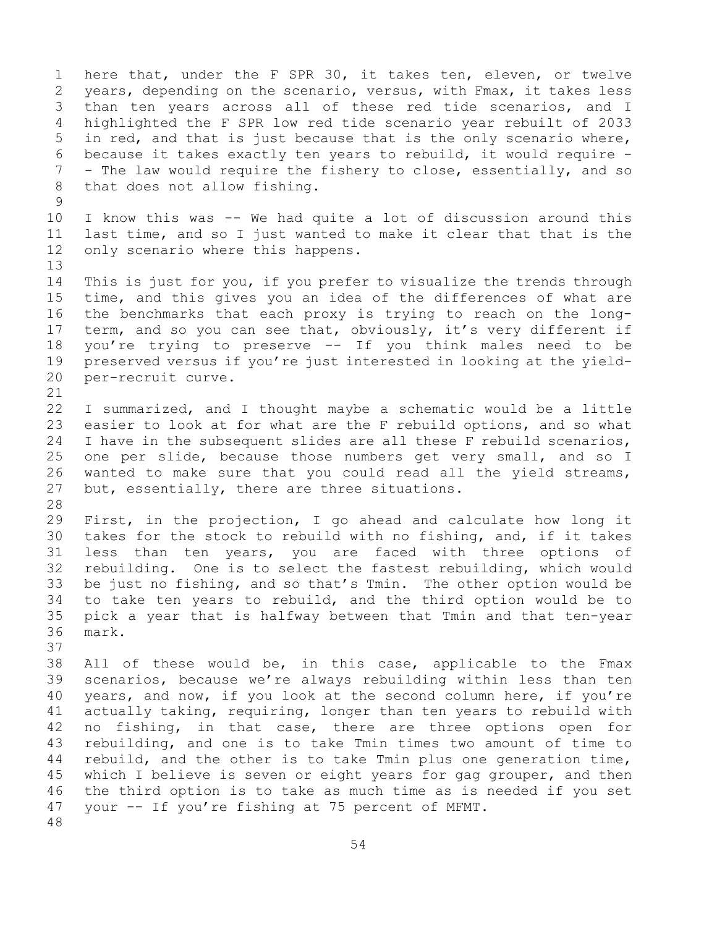1 here that, under the F SPR 30, it takes ten, eleven, or twelve<br>2 years, depending on the scenario, versus, with Fmax, it takes less 2 years, depending on the scenario, versus, with Fmax, it takes less<br>3 than ten years across all of these red tide scenarios, and I 3 than ten years across all of these red tide scenarios, and I<br>4 highlighted the F SPR low red tide scenario year rebuilt of 2033 4 highlighted the F SPR low red tide scenario year rebuilt of 2033 5 in red, and that is just because that is the only scenario where, 6 because it takes exactly ten years to rebuild, it would require -<br>7 - The law would require the fishery to close, essentially, and so 7 - The law would require the fishery to close, essentially, and so<br>8 that does not allow fishing. that does not allow fishing.  $\begin{array}{c} 9 \\ 10 \end{array}$ 10 I know this was -- We had quite a lot of discussion around this<br>11 last time, and so I just wanted to make it clear that that is the 11 last time, and so I just wanted to make it clear that that is the<br>12 only scenario where this happens. only scenario where this happens. 13 14 This is just for you, if you prefer to visualize the trends through<br>15 time, and this gives you an idea of the differences of what are 15 time, and this gives you an idea of the differences of what are<br>16 the benchmarks that each proxy is trying to reach on the long-16 the benchmarks that each proxy is trying to reach on the long-<br>17 term, and so you can see that, obviously, it's very different if 17 term, and so you can see that, obviously, it's very different if<br>18 you're trying to preserve -- If you think males need to be 18 you're trying to preserve -- If you think males need to be<br>19 preserved versus if you're just interested in looking at the vield-19 preserved versus if you're just interested in looking at the yield-<br>20 per-recruit curve. per-recruit curve. 21<br>22 22 I summarized, and I thought maybe a schematic would be a little<br>23 easier to look at for what are the F rebuild options, and so what 23 easier to look at for what are the F rebuild options, and so what<br>24 I have in the subsequent slides are all these F rebuild scenarios. 24 I have in the subsequent slides are all these F rebuild scenarios,<br>25 one per slide, because those numbers get very small, and so I 25 one per slide, because those numbers get very small, and so I<br>26 wanted to make sure that vou could read all the vield streams. 26 wanted to make sure that you could read all the yield streams,<br>27 but, essentially, there are three situations. but, essentially, there are three situations. 28<br>29 29 First, in the projection, I go ahead and calculate how long it<br>30 takes for the stock to rebuild with no fishing, and, if it takes 30 takes for the stock to rebuild with no fishing, and, if it takes<br>31 less than ten years, you are faced with three options of 31 less than ten years, you are faced with three options of rebuilding. One is to select the fastest rebuilding, which would 33 be just no fishing, and so that's Tmin. The other option would be to<br>34 to take ten years to rebuild, and the third option would be to 34 to take ten years to rebuild, and the third option would be to<br>35 pick a year that is halfway between that Tmin and that ten-year 35 pick a year that is halfway between that Tmin and that ten-year mark. 37 38 All of these would be, in this case, applicable to the Fmax<br>39 scenarios, because we're always rebuilding within less than ten 39 scenarios, because we're always rebuilding within less than ten<br>40 years, and now, if you look at the second column here, if you're 40 years, and now, if you look at the second column here, if you're<br>41 actually taking, requiring, longer than ten years to rebuild with 41 actually taking, requiring, longer than ten years to rebuild with<br>42 no fishing, in that case, there are three options open for 42 no fishing, in that case, there are three options open for<br>43 rebuilding, and one is to take Tmin times two amount of time to 43 rebuilding, and one is to take Tmin times two amount of time to<br>44 rebuild, and the other is to take Tmin plus one generation time, rebuild, and the other is to take Tmin plus one generation time, 45 which I believe is seven or eight years for gag grouper, and then 46 the third option is to take as much time as is needed if you set<br>47 vour  $-$  If you're fishing at 75 percent of MFMT. your -- If you're fishing at 75 percent of MFMT. 48

54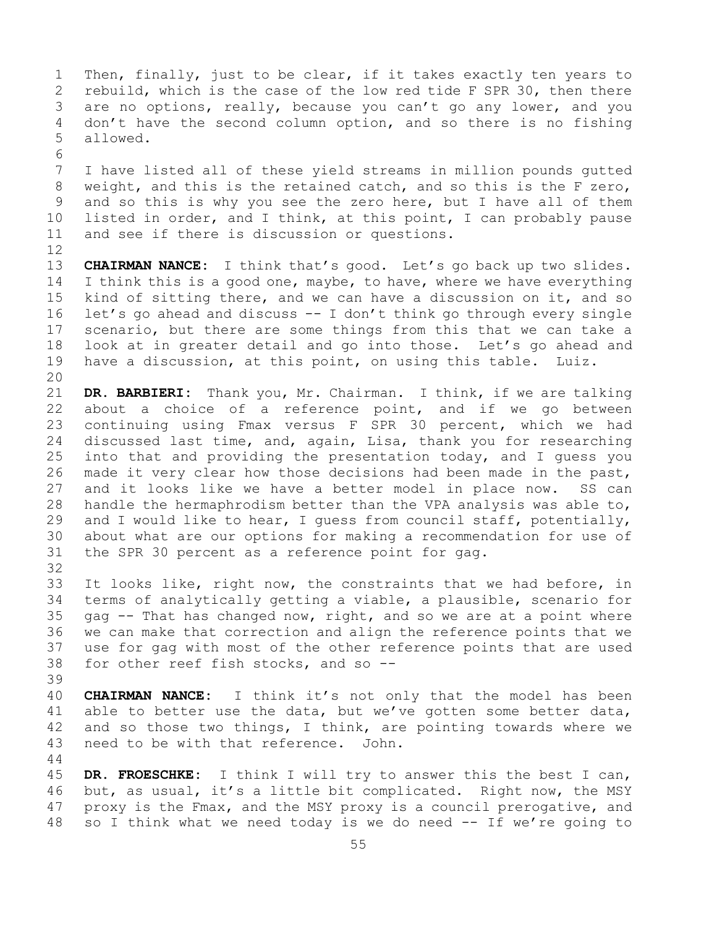1 Then, finally, just to be clear, if it takes exactly ten years to<br>2 rebuild, which is the case of the low red tide F SPR 30, then there 2 rebuild, which is the case of the low red tide F SPR 30, then there<br>3 are no options, really, because you can't go any lower, and you 3 are no options, really, because you can't go any lower, and you<br>4 don't have the second column option, and so there is no fishing don't have the second column option, and so there is no fishing 5 allowed. 6<br>7

7 I have listed all of these yield streams in million pounds gutted<br>8 weight, and this is the retained catch, and so this is the F zero, 8 weight, and this is the retained catch, and so this is the F zero,<br>9 and so this is why you see the zero here, but I have all of them 9 and so this is why you see the zero here, but I have all of them<br>10 listed in order, and I think, at this point, I can probably pause 10 listed in order, and I think, at this point, I can probably pause<br>11 and see if there is discussion or questions. and see if there is discussion or questions.

12<br>13 CHAIRMAN NANCE: I think that's good. Let's go back up two slides. 14 I think this is a good one, maybe, to have, where we have everything<br>15 kind of sitting there, and we can have a discussion on it, and so 15 kind of sitting there, and we can have a discussion on it, and so<br>16 let's go ahead and discuss -- I don't think go through every single 16 let's go ahead and discuss -- I don't think go through every single<br>17 scenario, but there are some things from this that we can take a 17 scenario, but there are some things from this that we can take a<br>18 look at in greater detail and go into those. Let's go ahead and 18 look at in greater detail and go into those. Let's go ahead and<br>19 have a discussion, at this point, on using this table. Luiz. have a discussion, at this point, on using this table. Luiz.

20<br>21 21 **DR. BARBIERI:** Thank you, Mr. Chairman. I think, if we are talking 22 about a choice of a reference point, and if we go between<br>23 continuing using Fmax versus F SPR 30 percent, which we had 23 continuing using Fmax versus F SPR 30 percent, which we had<br>24 discussed last time, and, again, Lisa, thank you for researching 24 discussed last time, and, again, Lisa, thank you for researching<br>25 into that and providing the presentation today, and I quess you 25 into that and providing the presentation today, and I guess you<br>26 made it very clear how those decisions had been made in the past, 26 made it very clear how those decisions had been made in the past,<br>27 and it looks like we have a better model in place now. SS can 27 and it looks like we have a better model in place now.<br>28 handle the hermaphrodism better than the VPA analysis was 28 handle the hermaphrodism better than the VPA analysis was able to,<br>29 and I would like to hear, I quess from council staff, potentially, 29 and I would like to hear, I guess from council staff, potentially,<br>30 about what are our options for making a recommendation for use of 30 about what are our options for making a recommendation for use of<br>31 the SPR 30 percent as a reference point for gag. the SPR 30 percent as a reference point for gag.

32<br>33 33 It looks like, right now, the constraints that we had before, in<br>34 terms of analytically getting a viable, a plausible, scenario for 34 terms of analytically getting a viable, a plausible, scenario for<br>35 qaq -- That has changed now, right, and so we are at a point where 35 gag -- That has changed now, right, and so we are at a point where<br>36 we can make that correction and align the reference points that we 36 we can make that correction and align the reference points that we<br>37 use for gag with most of the other reference points that are used use for gag with most of the other reference points that are used 38 for other reef fish stocks, and so --

39

40 **CHAIRMAN NANCE:** I think it's not only that the model has been<br>41 able to better use the data, but we've gotten some better data, 41 able to better use the data, but we've gotten some better data,<br>42 and so those two things, I think, are pointing towards where we 42 and so those two things, I think, are pointing towards where we<br>43 need to be with that reference. John. need to be with that reference. John.

44

45 **DR. FROESCHKE:** I think I will try to answer this the best I can, 46 but, as usual, it's a little bit complicated. Right now, the MSY<br>47 proxy is the Fmax, and the MSY proxy is a council prerogative, and 47 proxy is the Fmax, and the MSY proxy is a council prerogative, and<br>48 so I think what we need today is we do need -- If we're going to so I think what we need today is we do need -- If we're going to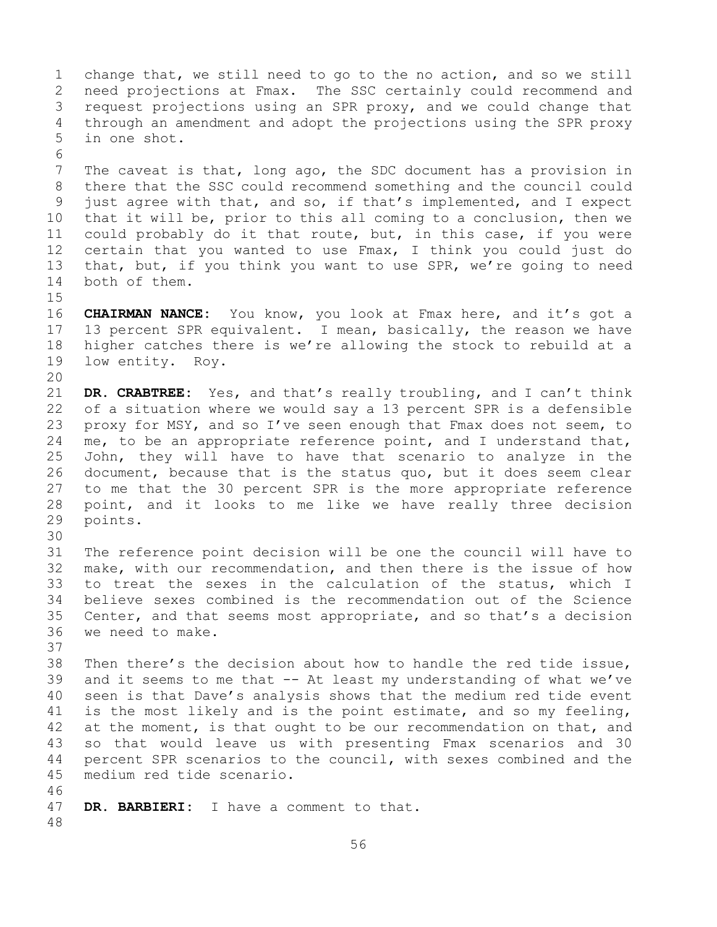1 change that, we still need to go to the no action, and so we still<br>2 need projections at Fmax. The SSC certainly could recommend and 2 need projections at Fmax. The SSC certainly could recommend and<br>3 request projections using an SPR proxy, and we could change that 3 request projections using an SPR proxy, and we could change that<br>4 through an amendment and adopt the projections using the SPR proxy through an amendment and adopt the projections using the SPR proxy 5 in one shot. 6<br>7 7 The caveat is that, long ago, the SDC document has a provision in<br>8 there that the SSC could recommend something and the council could 8 there that the SSC could recommend something and the council could<br>9 just agree with that, and so, if that's implemented, and I expect 9 just agree with that, and so, if that's implemented, and I expect<br>10 that it will be, prior to this all coming to a conclusion, then we 10 that it will be, prior to this all coming to a conclusion, then we<br>11 could probably do it that route, but, in this case, if you were 11 could probably do it that route, but, in this case, if you were<br>12 certain that you wanted to use Fmax, I think you could just do 12 certain that you wanted to use Fmax, I think you could just do<br>13 that, but, if you think you want to use SPR, we're going to need that, but, if you think you want to use SPR, we're going to need 14 both of them.  $15$ <br> $16$ 16 **CHAIRMAN NANCE:** You know, you look at Fmax here, and it's got a<br>17 13 percent SPR equivalent. I mean, basically, the reason we have 17 13 percent SPR equivalent. I mean, basically, the reason we have<br>18 higher catches there is we're allowing the stock to rebuild at a 18 higher catches there is we're allowing the stock to rebuild at a<br>19 low entity. Roy. low entity. Roy. 20<br>21 21 **DR. CRABTREE:** Yes, and that's really troubling, and I can't think<br>22 of a situation where we would say a 13 percent SPR is a defensible 22 of a situation where we would say a 13 percent SPR is a defensible<br>23 proxy for MSY, and so I've seen enough that Fmax does not seem, to 23 proxy for MSY, and so I've seen enough that Fmax does not seem, to<br>24 me, to be an appropriate reference point, and I understand that, 24 me, to be an appropriate reference point, and I understand that,<br>25 John, they will have to have that scenario to analyze in the 25 John, they will have to have that scenario to analyze in the<br>26 document, because that is the status quo, but it does seem clear 26 document, because that is the status quo, but it does seem clear<br>27 to me that the 30 percent SPR is the more appropriate reference 27 to me that the 30 percent SPR is the more appropriate reference<br>28 point, and it looks to me like we have really three decision 28 point, and it looks to me like we have really three decision<br>29 points. points. 30<br>31 31 The reference point decision will be one the council will have to<br>32 make, with our recommendation, and then there is the issue of how make, with our recommendation, and then there is the issue of how 33 to treat the sexes in the calculation of the status, which I<br>34 believe sexes combined is the recommendation out of the Science 34 believe sexes combined is the recommendation out of the Science<br>35 Center, and that seems most appropriate, and so that's a decision 35 Center, and that seems most appropriate, and so that's a decision<br>36 we need to make. we need to make. 37<br>38 38 Then there's the decision about how to handle the red tide issue,<br>39 and it seems to me that  $-$  At least my understanding of what we've 39 and it seems to me that -- At least my understanding of what we've<br>40 seen is that Dave's analysis shows that the medium red tide event 40 seen is that Dave's analysis shows that the medium red tide event<br>41 is the most likely and is the point estimate, and so my feeling, 41 is the most likely and is the point estimate, and so my feeling,<br>42 at the moment, is that ought to be our recommendation on that, and 42 at the moment, is that ought to be our recommendation on that, and<br>43 so that would leave us with presenting Fmax scenarios and 30 43 so that would leave us with presenting Fmax scenarios and 30<br>44 percent SPR scenarios to the council, with sexes combined and the percent SPR scenarios to the council, with sexes combined and the 45 medium red tide scenario. 46<br>47 DR. BARBIERI: I have a comment to that. 48

56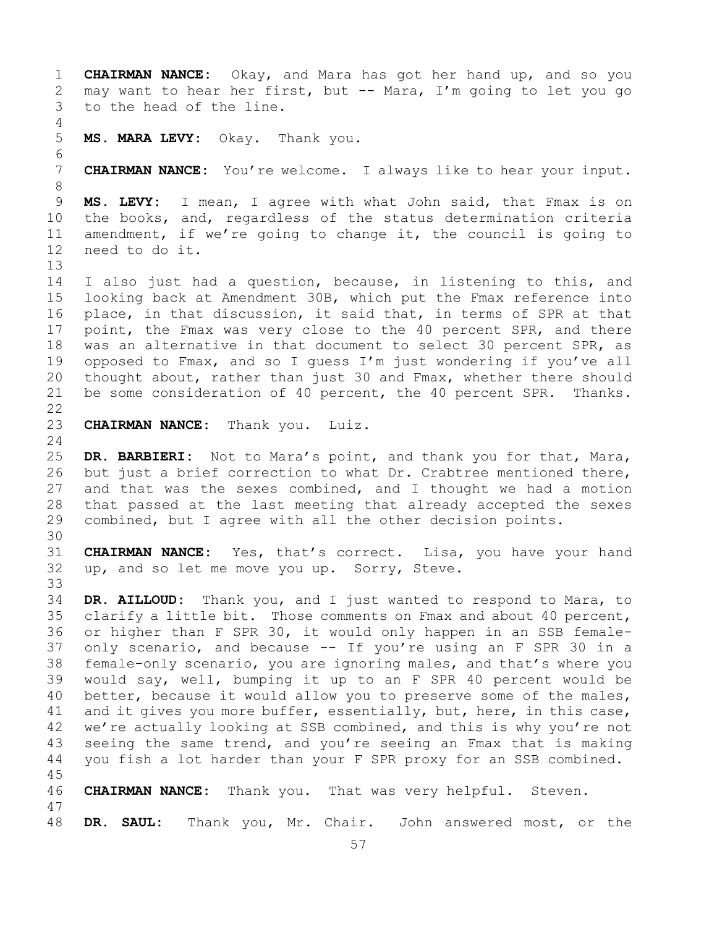1 **CHAIRMAN NANCE:** Okay, and Mara has got her hand up, and so you 2 may want to hear her first, but -- Mara, I'm going to let you go<br>3 to the head of the line. to the head of the line. 4 5 **MS. MARA LEVY:** Okay. Thank you. 6<br>7 7 **CHAIRMAN NANCE:** You're welcome. I always like to hear your input. 8<br>9 9 **MS. LEVY:** I mean, I agree with what John said, that Fmax is on<br>10 the books, and, regardless of the status determination criteria 10 the books, and, regardless of the status determination criteria<br>11 amendment, if we're going to change it, the council is going to 11 amendment, if we're going to change it, the council is going to 12 need to do it. need to do it. 13 14 I also just had a question, because, in listening to this, and<br>15 looking back at Amendment 30B, which put the Fmax reference into 15 looking back at Amendment 30B, which put the Fmax reference into<br>16 place, in that discussion, it said that, in terms of SPR at that 16 place, in that discussion, it said that, in terms of SPR at that<br>17 point, the Fmax was very close to the 40 percent SPR, and there 17 point, the Fmax was very close to the 40 percent SPR, and there<br>18 was an alternative in that document to select 30 percent SPR, as 18 was an alternative in that document to select 30 percent SPR, as<br>19 opposed to Fmax, and so I quess I'm just wondering if you've all 19 opposed to Fmax, and so I guess I'm just wondering if you've all<br>20 thought about, rather than just 30 and Fmax, whether there should 20 thought about, rather than just 30 and Fmax, whether there should<br>21 be some consideration of 40 percent, the 40 percent SPR. Thanks. be some consideration of 40 percent, the 40 percent SPR. Thanks.  $\begin{array}{c} 22 \\ 23 \end{array}$ **CHAIRMAN NANCE:** Thank you. Luiz.  $\frac{24}{25}$ 25 **DR. BARBIERI:** Not to Mara's point, and thank you for that, Mara,<br>26 but just a brief correction to what Dr. Crabtree mentioned there, 26 but just a brief correction to what Dr. Crabtree mentioned there,<br>27 and that was the sexes combined, and I thought we had a motion 27 and that was the sexes combined, and I thought we had a motion<br>28 that passed at the last meeting that already accepted the sexes 28 that passed at the last meeting that already accepted the sexes<br>29 combined, but I agree with all the other decision points. combined, but I agree with all the other decision points. 30<br>31 31 **CHAIRMAN NANCE:** Yes, that's correct. Lisa, you have your hand up, and so let me move you up. Sorry, Steve. 33<br>34 34 **DR. AILLOUD:** Thank you, and I just wanted to respond to Mara, to 35 clarify a little bit. Those comments on Fmax and about 40 percent,<br>36 or higher than F SPR 30, it would only happen in an SSB femaleor higher than F SPR 30, it would only happen in an SSB female-37 only scenario, and because -- If you're using an F SPR 30 in a 38 female-only scenario, you are ignoring males, and that's where you<br>39 would say, well, bumping it up to an F SPR 40 percent would be 39 would say, well, bumping it up to an F SPR 40 percent would be<br>40 better, because it would allow you to preserve some of the males, 40 better, because it would allow you to preserve some of the males,<br>41 and it gives you more buffer, essentially, but, here, in this case, 41 and it gives you more buffer, essentially, but, here, in this case,<br>42 we're actually looking at SSB combined, and this is why you're not 42 we're actually looking at SSB combined, and this is why you're not<br>43 seeing the same trend, and you're seeing an Fmax that is making 43 seeing the same trend, and you're seeing an Fmax that is making<br>44 vou fish a lot harder than your F SPR proxy for an SSB combined. you fish a lot harder than your F SPR proxy for an SSB combined. 45 46 **CHAIRMAN NANCE:** Thank you. That was very helpful. Steven. 47 DR. SAUL: Thank you, Mr. Chair. John answered most, or the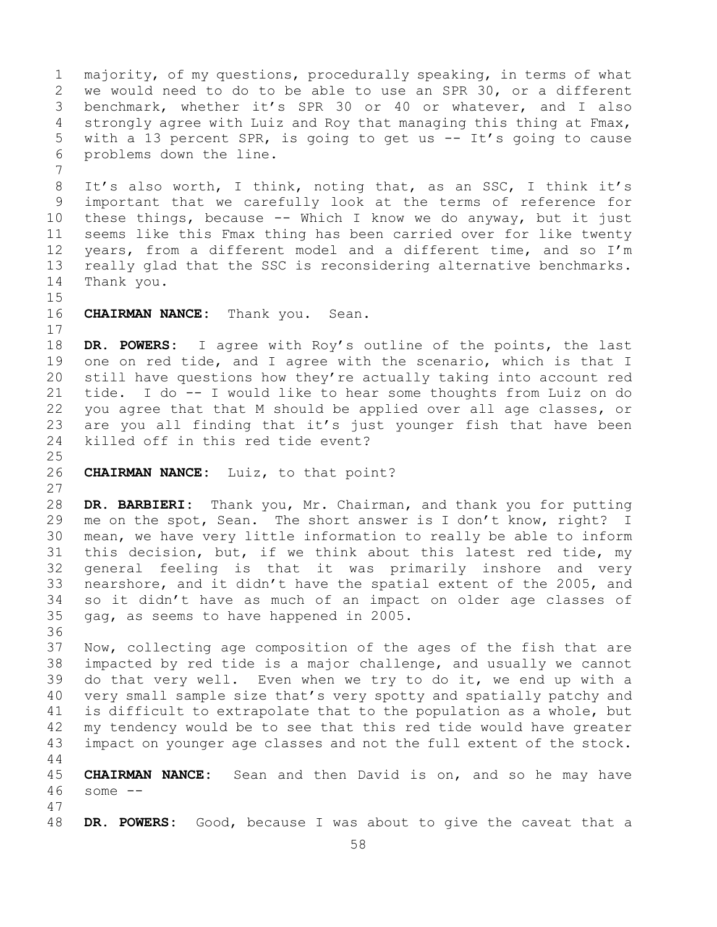1 majority, of my questions, procedurally speaking, in terms of what<br>2 we would need to do to be able to use an SPR 30, or a different 2 we would need to do to be able to use an SPR 30, or a different<br>3 benchmark, whether it's SPR 30 or 40 or whatever, and I also 3 benchmark, whether it's SPR 30 or 40 or whatever, and I also<br>4 strongly agree with Luiz and Roy that managing this thing at Fmax, 4 strongly agree with Luiz and Roy that managing this thing at Fmax,<br>5 with a 13 percent SPR, is going to get us -- It's going to cause with a 13 percent SPR, is going to get us  $-$  It's going to cause 6 problems down the line. 7 8 It's also worth, I think, noting that, as an SSC, I think it's<br>9 important that we carefully look at the terms of reference for 9 important that we carefully look at the terms of reference for<br>10 these things, because -- Which I know we do anyway, but it just 10 these things, because -- Which I know we do anyway, but it just<br>11 seems like this Fmax thing has been carried over for like twenty 11 seems like this Fmax thing has been carried over for like twenty<br>12 years, from a different model and a different time, and so I'm years, from a different model and a different time, and so I'm 13 really glad that the SSC is reconsidering alternative benchmarks. 14 Thank you.  $15$ <br> $16$ CHAIRMAN NANCE: Thank you. Sean.  $\begin{array}{c} 17 \\ 18 \end{array}$ 18 **DR. POWERS:** I agree with Roy's outline of the points, the last 19 one on red tide, and I agree with the scenario, which is that I<br>20 still have questions how they're actually taking into account red 20 still have questions how they're actually taking into account red<br>21 tide. I do -- I would like to hear some thoughts from Luiz on do 21 tide. I do -- I would like to hear some thoughts from Luiz on do<br>22 you agree that that M should be applied over all age classes, or 22 you agree that that M should be applied over all age classes, or<br>23 are you all finding that it's just younger fish that have been 23 are you all finding that it's just younger fish that have been<br>24 killed off in this red tide event? killed off in this red tide event?  $\frac{25}{26}$ 26 **CHAIRMAN NANCE:** Luiz, to that point? 27 28 **DR. BARBIERI:** Thank you, Mr. Chairman, and thank you for putting<br>29 me on the spot, Sean. The short answer is I don't know, right? I me on the spot, Sean. The short answer is I don't know, right? I 30 mean, we have very little information to really be able to inform<br>31 this decision, but, if we think about this latest red tide, my 31 this decision, but, if we think about this latest red tide, my<br>32 general feeling is that it was primarily inshore and very general feeling is that it was primarily inshore and very 33 nearshore, and it didn't have the spatial extent of the 2005, and<br>34 so it didn't have as much of an impact on older age classes of 34 so it didn't have as much of an impact on older age classes of  $35$  gag, as seems to have happened in 2005. gag, as seems to have happened in 2005. 36<br>37 Now, collecting age composition of the ages of the fish that are 38 impacted by red tide is a major challenge, and usually we cannot<br>39 do that very well. Even when we try to do it, we end up with a 39 do that very well. Even when we try to do it, we end up with a<br>40 very small sample size that's very spotty and spatially patchy and 40 very small sample size that's very spotty and spatially patchy and<br>41 is difficult to extrapolate that to the population as a whole, but 41 is difficult to extrapolate that to the population as a whole, but<br>42 my tendency would be to see that this red tide would have greater 42 my tendency would be to see that this red tide would have greater<br>43 impact on younger age classes and not the full extent of the stock. impact on younger age classes and not the full extent of the stock. 44 45 **CHAIRMAN NANCE:** Sean and then David is on, and so he may have 46 some -- 47 DR. POWERS: Good, because I was about to give the caveat that a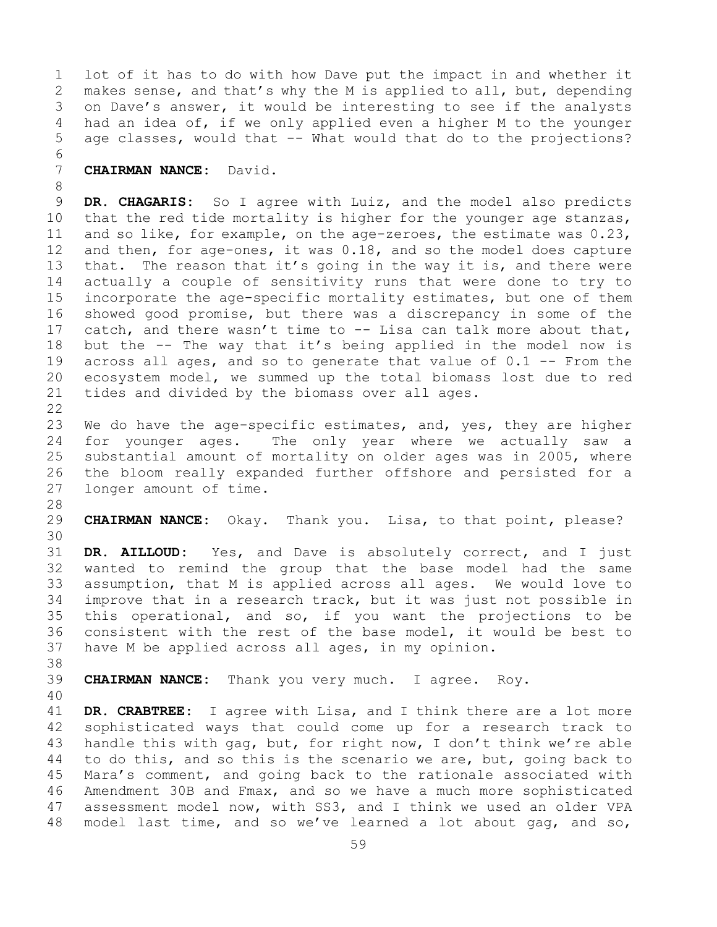1 lot of it has to do with how Dave put the impact in and whether it<br>2 makes sense, and that's why the M is applied to all, but, depending 2 makes sense, and that's why the M is applied to all, but, depending<br>3 on Dave's answer, it would be interesting to see if the analysts 3 on Dave's answer, it would be interesting to see if the analysts<br>4 had an idea of, if we only applied even a higher M to the younger had an idea of, if we only applied even a higher M to the younger 5 age classes, would that -- What would that do to the projections?

## 6<br>7 7 **CHAIRMAN NANCE:** David.

8 9 **DR. CHAGARIS:** So I agree with Luiz, and the model also predicts<br>10 that the red tide mortality is higher for the younger age stanzas, 10 that the red tide mortality is higher for the younger age stanzas,<br>11 and so like, for example, on the age-zeroes, the estimate was 0.23, 11 and so like, for example, on the age-zeroes, the estimate was 0.23,<br>12 and then, for age-ones, it was 0.18, and so the model does capture 12 and then, for age-ones, it was 0.18, and so the model does capture<br>13 that. The reason that it's going in the way it is, and there were that. The reason that it's going in the way it is, and there were 14 actually a couple of sensitivity runs that were done to try to<br>15 incorporate the age-specific mortality estimates, but one of them 15 incorporate the age-specific mortality estimates, but one of them<br>16 showed good promise, but there was a discrepancy in some of the 16 showed good promise, but there was a discrepancy in some of the<br>17 catch, and there wasn't time to -- Lisa can talk more about that, 17 catch, and there wasn't time to  $-$ - Lisa can talk more about that,<br>18 but the  $-$ - The way that it's being applied in the model now is 18 but the  $-$ - The way that it's being applied in the model now is 19 across all ages, and so to generate that value of 0.1  $-$ - From the 19 across all ages, and so to generate that value of  $0.1$  -- From the 20 ecosystem model, we summed up the total biomass lost due to red 20 ecosystem model, we summed up the total biomass lost due to red<br>21 tides and divided by the biomass over all ages. tides and divided by the biomass over all ages.

- $\begin{array}{c} 22 \\ 23 \end{array}$ 23 We do have the age-specific estimates, and, yes, they are higher<br>24 for younger ages. The only year where we actually saw a 24 for younger ages. The only year where we actually saw a<br>25 substantial amount of mortality on older ages was in 2005, where 25 substantial amount of mortality on older ages was in 2005, where<br>26 the bloom really expanded further offshore and persisted for a 26 the bloom really expanded further offshore and persisted for a<br>27 longer amount of time. longer amount of time.
- 28<br>29

CHAIRMAN NANCE: Okay. Thank you. Lisa, to that point, please?

30<br>31 31 **DR. AILLOUD:** Yes, and Dave is absolutely correct, and I just wanted to remind the group that the base model had the same 33 assumption, that M is applied across all ages. We would love to<br>34 improve that in a research track, but it was just not possible in 34 improve that in a research track, but it was just not possible in<br>35 this operational, and so, if you want the projections to be 35 this operational, and so, if you want the projections to be<br>36 consistent with the rest of the base model, it would be best to 36 consistent with the rest of the base model, it would be best to<br>37 have M be applied across all ages, in my opinion. have M be applied across all ages, in my opinion.

38<br>39

39 **CHAIRMAN NANCE:** Thank you very much. I agree. Roy.

40

41 **DR. CRABTREE:** I agree with Lisa, and I think there are a lot more 42 sophisticated ways that could come up for a research track to<br>43 handle this with gag, but, for right now, I don't think we're able 43 handle this with gag, but, for right now, I don't think we're able<br>44 to do this, and so this is the scenario we are, but, going back to to do this, and so this is the scenario we are, but, going back to 45 Mara's comment, and going back to the rationale associated with 46 Amendment 30B and Fmax, and so we have a much more sophisticated<br>47 assessment model now, with SS3, and I think we used an older VPA 47 assessment model now, with SS3, and I think we used an older VPA<br>48 model last time, and so we've learned a lot about gag, and so, model last time, and so we've learned a lot about gag, and so,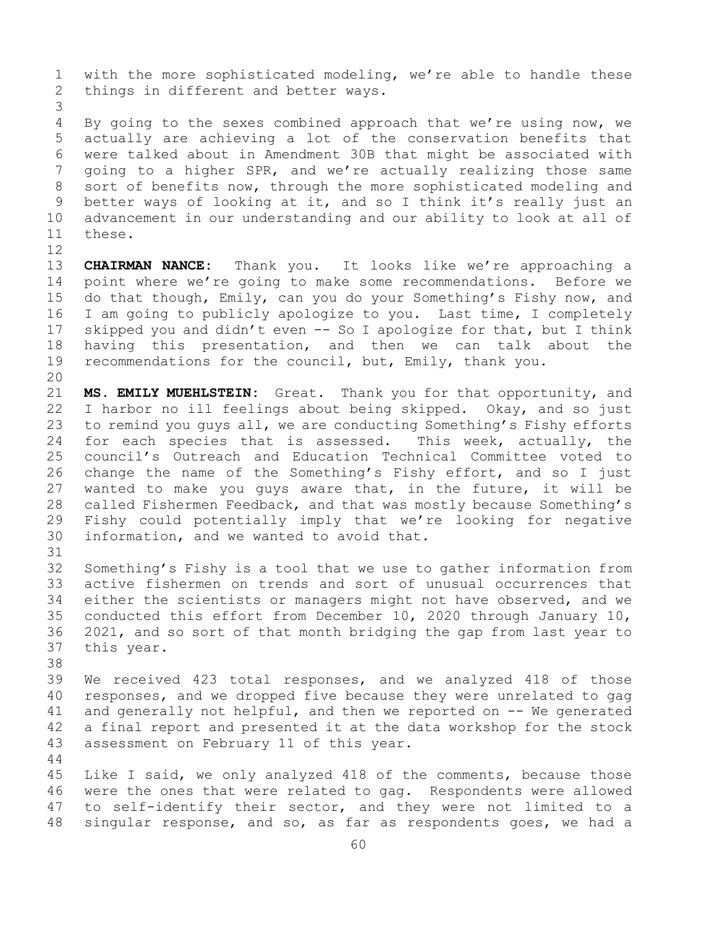1 with the more sophisticated modeling, we're able to handle these<br>2 things in different and better ways. things in different and better ways.

3 By going to the sexes combined approach that we're using now, we 5 actually are achieving a lot of the conservation benefits that 6 were talked about in Amendment 30B that might be associated with 7 going to a higher SPR, and we're actually realizing those same<br>8 sort of benefits now, through the more sophisticated modeling and 8 sort of benefits now, through the more sophisticated modeling and<br>9 better ways of looking at it, and so I think it's really just an 9 better ways of looking at it, and so I think it's really just an<br>10 advancement in our understanding and our ability to look at all of 10 advancement in our understanding and our ability to look at all of these. these.

12<br>13 CHAIRMAN NANCE: Thank you. It looks like we're approaching a 14 point where we're going to make some recommendations. Before we<br>15 do that though, Emily, can you do your Something's Fishy now, and 15 do that though, Emily, can you do your Something's Fishy now, and<br>16 I am going to publicly apologize to you. Last time, I completely 16 I am going to publicly apologize to you. Last time, I completely<br>17 skipped you and didn't even -- So I apologize for that, but I think 17 skipped you and didn't even -- So I apologize for that, but I think<br>18 having this presentation, and then we can talk about the 18 having this presentation, and then we can talk about the<br>19 recommendations for the council, but, Emily, thank you. recommendations for the council, but, Emily, thank you.

20<br>21 21 **MS. EMILY MUEHLSTEIN:** Great. Thank you for that opportunity, and<br>22 I harbor no ill feelings about being skipped. Okay, and so just 22 I harbor no ill feelings about being skipped. Okay, and so just<br>23 to remind you quys all, we are conducting Something's Fishy efforts 23 to remind you guys all, we are conducting Something's Fishy efforts<br>24 for each species that is assessed. This week, actually, the 24 for each species that is assessed.<br>25 council's Outreach and Education Te 25 council's Outreach and Education Technical Committee voted to<br>26 change the name of the Something's Fishy effort, and so I just 26 change the name of the Something's Fishy effort, and so I just<br>27 wanted to make you quys aware that, in the future, it will be wanted to make you guys aware that, in the future, it will be 28 called Fishermen Feedback, and that was mostly because Something's<br>29 Fishy could potentially imply that we're looking for negative 29 Fishy could potentially imply that we're looking for negative<br>30 information, and we wanted to avoid that. information, and we wanted to avoid that.

31<br>32 32 Something's Fishy is a tool that we use to gather information from<br>33 active fishermen on trends and sort of unusual occurrences that 33 active fishermen on trends and sort of unusual occurrences that<br>34 either the scientists or managers might not have observed, and we 34 either the scientists or managers might not have observed, and we<br>35 conducted this effort from December 10, 2020 through January 10, 35 conducted this effort from December 10, 2020 through January 10,<br>36 2021, and so sort of that month bridging the gap from last year to 36 2021, and so sort of that month bridging the gap from last year to this year. this year.

38<br>39 39 We received 423 total responses, and we analyzed 418 of those<br>40 responses, and we dropped five because they were unrelated to gag 40 responses, and we dropped five because they were unrelated to gag<br>41 and generally not helpful, and then we reported on  $-$ - We generated 41 and generally not helpful, and then we reported on  $-$ - We generated 42 a final report and presented it at the data workshop for the stock 42 a final report and presented it at the data workshop for the stock<br>43 assessment on February 11 of this year. assessment on February 11 of this year.

45 Like I said, we only analyzed 418 of the comments, because those 46 were the ones that were related to gag. Respondents were allowed<br>47 to self-identify their sector, and they were not limited to a 47 to self-identify their sector, and they were not limited to a<br>48 singular response, and so, as far as respondents goes, we had a singular response, and so, as far as respondents goes, we had a

44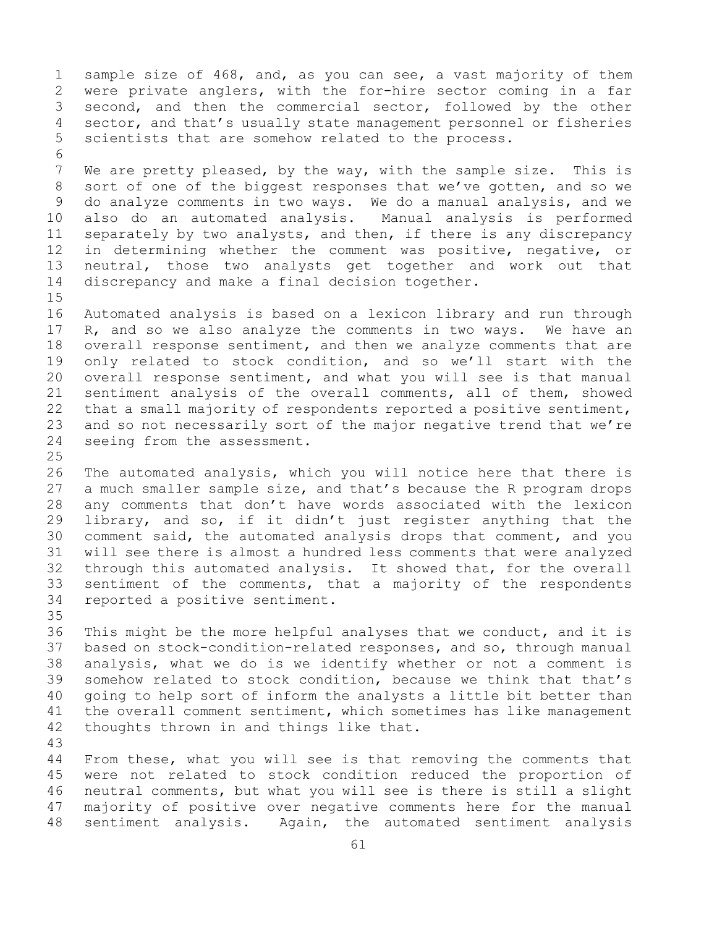1 sample size of 468, and, as you can see, a vast majority of them<br>2 were private anglers, with the for-hire sector coming in a far 2 were private anglers, with the for-hire sector coming in a far<br>3 second, and then the commercial sector, followed by the other 3 second, and then the commercial sector, followed by the other<br>4 sector, and that's usually state management personnel or fisheries sector, and that's usually state management personnel or fisheries 5 scientists that are somehow related to the process.

6<br>7 7 We are pretty pleased, by the way, with the sample size. This is<br>8 sort of one of the biggest responses that we've gotten, and so we 8 sort of one of the biggest responses that we've gotten, and so we<br>9 do analyze comments in two ways. We do a manual analysis, and we 9 do analyze comments in two ways. We do a manual analysis, and we<br>10 also do an automated analysis. Manual analysis is performed 10 also do an automated analysis. Manual analysis is performed<br>11 separately by two analysts, and then, if there is any discrepancy 11 separately by two analysts, and then, if there is any discrepancy<br>12 in determining whether the comment was positive, negative, or 12 in determining whether the comment was positive, negative, or<br>13 neutral, those two analysts get together and work out that neutral, those two analysts get together and work out that 14 discrepancy and make a final decision together.

 $15$ <br> $16$ 16 Automated analysis is based on a lexicon library and run through<br>17 R, and so we also analyze the comments in two ways. We have an 17 R, and so we also analyze the comments in two ways. We have an<br>18 overall response sentiment, and then we analyze comments that are 18 overall response sentiment, and then we analyze comments that are<br>19 only related to stock condition, and so we'll start with the 19 only related to stock condition, and so we'll start with the<br>20 overall response sentiment, and what you will see is that manual 20 overall response sentiment, and what you will see is that manual<br>21 sentiment analysis of the overall comments, all of them, showed 21 sentiment analysis of the overall comments, all of them, showed<br>22 that a small majority of respondents reported a positive sentiment, 22 that a small majority of respondents reported a positive sentiment,<br>23 and so not necessarily sort of the major negative trend that we're 23 and so not necessarily sort of the major negative trend that we're<br>24 seeing from the assessment. seeing from the assessment.

 $\frac{25}{26}$ 26 The automated analysis, which you will notice here that there is<br>27 a much smaller sample size, and that's because the R program drops 27 a much smaller sample size, and that's because the R program drops<br>28 any comments that don't have words associated with the lexicon 28 any comments that don't have words associated with the lexicon<br>29 library, and so, if it didn't just register anything that the 29 library, and so, if it didn't just register anything that the<br>30 comment said, the automated analysis drops that comment, and you 30 comment said, the automated analysis drops that comment, and you<br>31 will see there is almost a hundred less comments that were analyzed 31 will see there is almost a hundred less comments that were analyzed<br>32 through this automated analysis. It showed that, for the overall 32 through this automated analysis. It showed that, for the overall<br>33 sentiment of the comments, that a majority of the respondents 33 sentiment of the comments, that a majority of the respondents<br>34 reported a positive sentiment. reported a positive sentiment.

35<br>36 36 This might be the more helpful analyses that we conduct, and it is<br>37 based on stock-condition-related responses, and so, through manual based on stock-condition-related responses, and so, through manual 38 analysis, what we do is we identify whether or not a comment is<br>39 somehow related to stock condition, because we think that that's 39 somehow related to stock condition, because we think that that's<br>40 qoing to help sort of inform the analysts a little bit better than 40 going to help sort of inform the analysts a little bit better than<br>41 the overall comment sentiment, which sometimes has like management 41 the overall comment sentiment, which sometimes has like management<br>42 thoughts thrown in and things like that. thoughts thrown in and things like that.

43

From these, what you will see is that removing the comments that 45 were not related to stock condition reduced the proportion of 46 neutral comments, but what you will see is there is still a slight<br>47 majority of positive over negative comments here for the manual 47 majority of positive over negative comments here for the manual<br>48 sentiment analysis. Again, the automated sentiment analysis Again, the automated sentiment analysis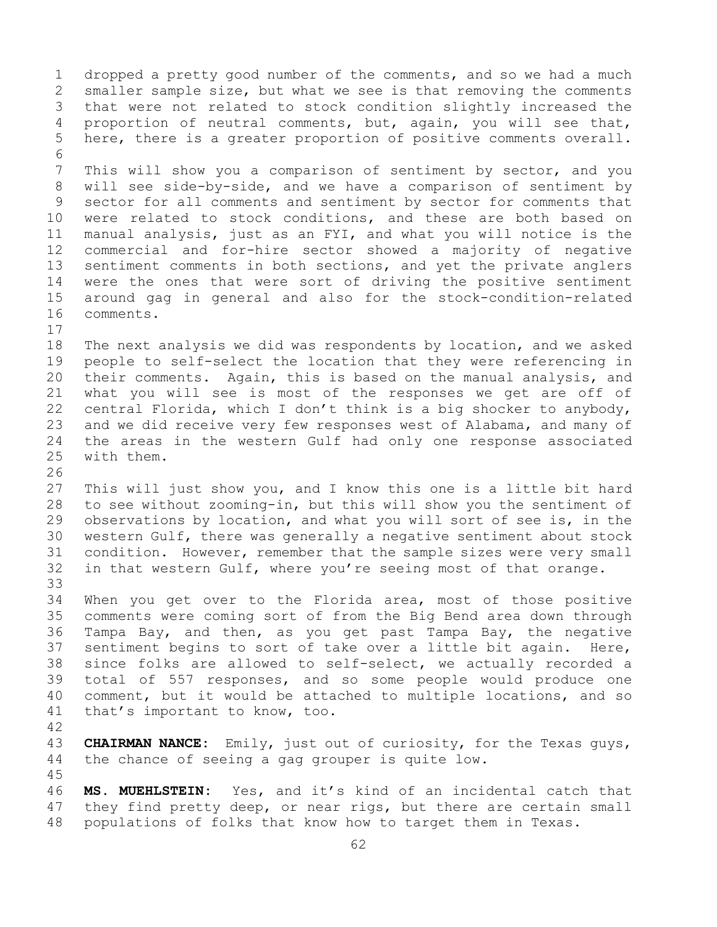1 dropped a pretty good number of the comments, and so we had a much<br>2 smaller sample size, but what we see is that removing the comments 2 smaller sample size, but what we see is that removing the comments<br>3 that were not related to stock condition slightly increased the 3 that were not related to stock condition slightly increased the<br>4 proportion of neutral comments, but, again, you will see that, proportion of neutral comments, but, again, you will see that, 5 here, there is a greater proportion of positive comments overall. 6<br>7 7 This will show you a comparison of sentiment by sector, and you<br>8 will see side-by-side, and we have a comparison of sentiment by 8 will see side-by-side, and we have a comparison of sentiment by<br>9 sector for all comments and sentiment by sector for comments that 9 sector for all comments and sentiment by sector for comments that<br>10 were related to stock conditions, and these are both based on 10 were related to stock conditions, and these are both based on<br>11 manual analysis, just as an FYI, and what you will notice is the 11 manual analysis, just as an FYI, and what you will notice is the<br>12 commercial and for-hire sector showed a majority of negative 12 commercial and for-hire sector showed a majority of negative<br>13 sentiment comments in both sections, and yet the private anglers sentiment comments in both sections, and yet the private anglers 14 were the ones that were sort of driving the positive sentiment<br>15 around gag in general and also for the stock-condition-related 15 around gag in general and also for the stock-condition-related comments.  $\begin{array}{c} 17 \\ 18 \end{array}$ 18 The next analysis we did was respondents by location, and we asked<br>19 people to self-select the location that they were referencing in 19 people to self-select the location that they were referencing in<br>20 their comments. Again, this is based on the manual analysis, and 20 their comments. Again, this is based on the manual analysis, and<br>21 what you will see is most of the responses we get are off of 21 what you will see is most of the responses we get are off of<br>22 central Florida, which I don't think is a big shocker to anybody, 22 central Florida, which I don't think is a big shocker to anybody,<br>23 and we did receive very few responses west of Alabama, and many of 23 and we did receive very few responses west of Alabama, and many of<br>24 the areas in the western Gulf had only one response associated 24 the areas in the western Gulf had only one response associated<br>25 with them. with them. 26<br>27 This will just show you, and I know this one is a little bit hard 28 to see without zooming-in, but this will show you the sentiment of<br>29 observations by location, and what you will sort of see is, in the 29 observations by location, and what you will sort of see is, in the<br>30 western Gulf, there was generally a negative sentiment about stock 30 western Gulf, there was generally a negative sentiment about stock<br>31 condition. However, remember that the sample sizes were very small 31 condition. However, remember that the sample sizes were very small<br>32 in that western Gulf, where you're seeing most of that orange. in that western Gulf, where you're seeing most of that orange. 33<br>34 34 When you get over to the Florida area, most of those positive<br>35 comments were coming sort of from the Big Bend area down through 35 comments were coming sort of from the Big Bend area down through<br>36 Tampa Bav, and then, as you get past Tampa Bay, the negative Tampa Bay, and then, as you get past Tampa Bay, the negative 37 sentiment begins to sort of take over a little bit again. Here, 38 since folks are allowed to self-select, we actually recorded a<br>39 total of 557 responses, and so some people would produce one 39 total of 557 responses, and so some people would produce one<br>40 comment, but it would be attached to multiple locations, and so 40 comment, but it would be attached to multiple locations, and so<br>41 that's important to know, too. that's important to know, too. 42 43 **CHAIRMAN NANCE:** Emily, just out of curiosity, for the Texas guys,<br>44 the chance of seeing a gag grouper is quite low. the chance of seeing a gag grouper is quite low. 45 46 **MS. MUEHLSTEIN:** Yes, and it's kind of an incidental catch that<br>47 they find pretty deep, or near rigs, but there are certain small 47 they find pretty deep, or near rigs, but there are certain small<br>48 populations of folks that know how to target them in Texas. populations of folks that know how to target them in Texas.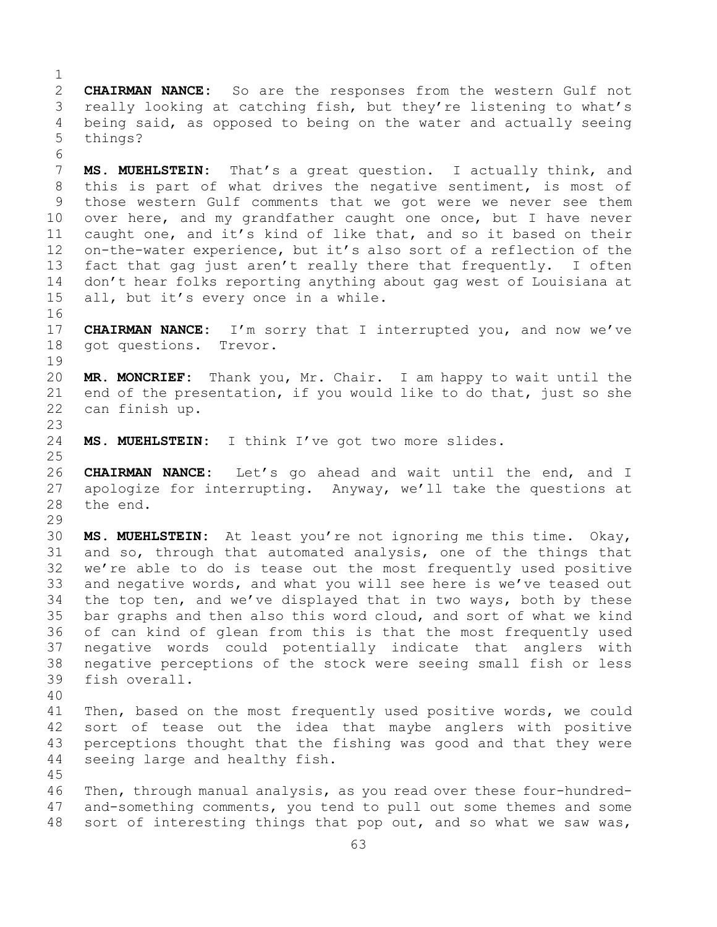$\frac{1}{2}$ 2 **CHAIRMAN NANCE:** So are the responses from the western Gulf not<br>3 really looking at catching fish, but they're listening to what's 3 really looking at catching fish, but they're listening to what's<br>4 being said, as opposed to being on the water and actually seeing being said, as opposed to being on the water and actually seeing 5 things?

6<br>7 7 **MS. MUEHLSTEIN:** That's a great question. I actually think, and<br>8 this is part of what drives the negative sentiment, is most of 8 this is part of what drives the negative sentiment, is most of<br>9 those western Gulf comments that we got were we never see them 9 those western Gulf comments that we got were we never see them<br>10 over here, and my grandfather caught one once, but I have never 10 over here, and my grandfather caught one once, but I have never<br>11 caught one, and it's kind of like that, and so it based on their 11 caught one, and it's kind of like that, and so it based on their<br>12 on-the-water experience, but it's also sort of a reflection of the on-the-water experience, but it's also sort of a reflection of the 13 fact that gag just aren't really there that frequently. I often 14 don't hear folks reporting anything about gag west of Louisiana at<br>15 all, but it's everv once in a while. all, but it's every once in a while.

16<br>17 17 **CHAIRMAN NANCE:** I'm sorry that I interrupted you, and now we've 18 qot questions. Trevor. got questions. Trevor.

 $\begin{array}{c} 19 \\ 20 \end{array}$ 20 **MR. MONCRIEF:** Thank you, Mr. Chair. I am happy to wait until the 21 end of the presentation, if you would like to do that, just so she<br>22 can finish up. can finish up.

 $\frac{23}{24}$ MS. MUEHLSTEIN: I think I've got two more slides.

45

 $\frac{25}{26}$ 26 **CHAIRMAN NANCE:** Let's go ahead and wait until the end, and I 27 apologize for interrupting. Anyway, we'll take the questions at 28 the end. the end.

29<br>30 30 **MS. MUEHLSTEIN:** At least you're not ignoring me this time. Okay, 31 and so, through that automated analysis, one of the things that<br>32 we're able to do is tease out the most frequently used positive we're able to do is tease out the most frequently used positive 33 and negative words, and what you will see here is we've teased out<br>34 the top ten, and we've displayed that in two ways, both by these 34 the top ten, and we've displayed that in two ways, both by these<br>35 bar graphs and then also this word cloud, and sort of what we kind 35 bar graphs and then also this word cloud, and sort of what we kind<br>36 of can kind of glean from this is that the most frequently used of can kind of glean from this is that the most frequently used 37 negative words could potentially indicate that anglers with 38 negative perceptions of the stock were seeing small fish or less<br>39 fish overall. fish overall.

40 41 Then, based on the most frequently used positive words, we could<br>42 sort of tease out the idea that maybe anglers with positive 42 sort of tease out the idea that maybe anglers with positive<br>43 perceptions thought that the fishing was good and that they were 43 perceptions thought that the fishing was good and that they were<br>44 seeing large and healthy fish. seeing large and healthy fish.

46 Then, through manual analysis, as you read over these four-hundred-<br>47 and-something comments, you tend to pull out some themes and some 47 and-something comments, you tend to pull out some themes and some<br>48 sort of interesting things that pop out, and so what we saw was, sort of interesting things that pop out, and so what we saw was,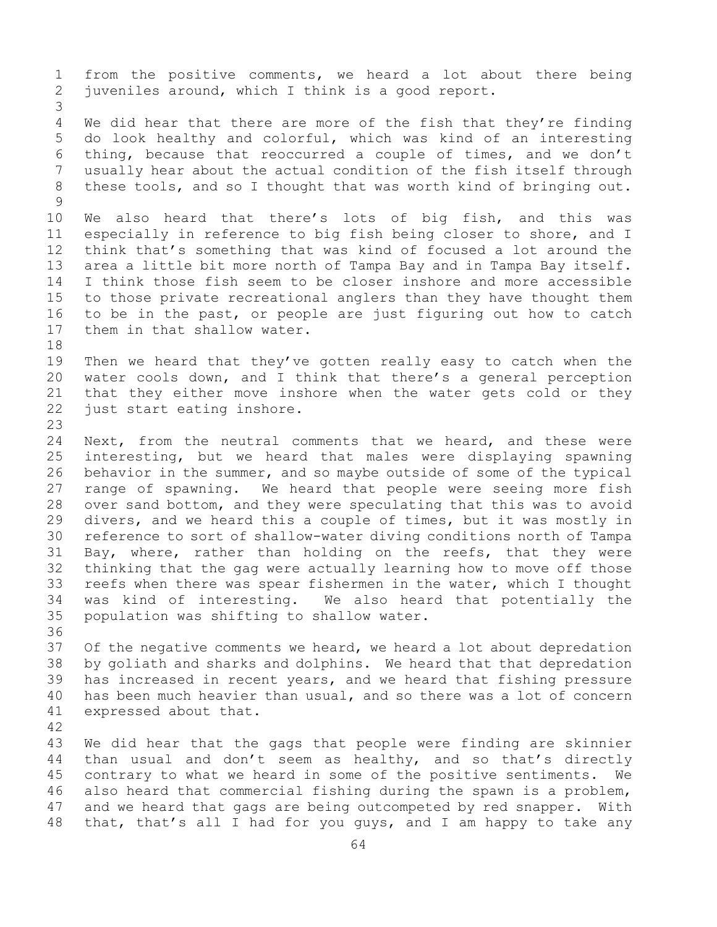1 from the positive comments, we heard a lot about there being<br>2 juveniles around, which I think is a good report. juveniles around, which I think is a good report.

3 We did hear that there are more of the fish that they're finding 5 do look healthy and colorful, which was kind of an interesting 6 thing, because that reoccurred a couple of times, and we don't<br>7 usually hear about the actual condition of the fish itself through 7 usually hear about the actual condition of the fish itself through<br>8 these tools, and so I thought that was worth kind of bringing out. these tools, and so I thought that was worth kind of bringing out.

 $\frac{9}{10}$ 10 We also heard that there's lots of big fish, and this was<br>11 especially in reference to big fish being closer to shore, and I 11 especially in reference to big fish being closer to shore, and I<br>12 think that's something that was kind of focused a lot around the 12 think that's something that was kind of focused a lot around the<br>13 area a little bit more north of Tampa Bay and in Tampa Bay itself. area a little bit more north of Tampa Bay and in Tampa Bay itself. 14 I think those fish seem to be closer inshore and more accessible<br>15 to those private recreational anglers than thev have thought them 15 to those private recreational anglers than they have thought them<br>16 to be in the past, or people are just figuring out how to catch 16 to be in the past, or people are just figuring out how to catch<br>17 them in that shallow water. them in that shallow water.

18<br>19 19 Then we heard that they've gotten really easy to catch when the<br>20 water cools down, and I think that there's a general perception 20 water cools down, and I think that there's a general perception<br>21 that they either move inshore when the water gets cold or they 21 that they either move inshore when the water gets cold or they<br>22 just start eating inshore. just start eating inshore.

23 24 Next, from the neutral comments that we heard, and these were<br>25 interesting, but we heard that males were displaying spawning 25 interesting, but we heard that males were displaying spawning<br>26 behavior in the summer, and so maybe outside of some of the typical 26 behavior in the summer, and so maybe outside of some of the typical<br>27 range of spawning. We heard that people were seeing more fish 27 range of spawning. We heard that people were seeing more fish<br>28 over sand bottom, and they were speculating that this was to avoid 28 over sand bottom, and they were speculating that this was to avoid<br>29 divers, and we heard this a couple of times, but it was mostly in 29 divers, and we heard this a couple of times, but it was mostly in<br>30 reference to sort of shallow-water diving conditions north of Tampa 30 reference to sort of shallow-water diving conditions north of Tampa<br>31 Bay, where, rather than holding on the reefs, that they were 31 Bay, where, rather than holding on the reefs, that they were<br>32 thinking that the gag were actually learning how to move off those 32 thinking that the gag were actually learning how to move off those<br>33 reefs when there was spear fishermen in the water, which I thought 33 reefs when there was spear fishermen in the water, which I thought<br>34 was kind of interesting. We also heard that potentially the 34 was kind of interesting. We also heard that potentially the<br>35 population was shifting to shallow water. population was shifting to shallow water.

36<br>37 Of the negative comments we heard, we heard a lot about depredation 38 by goliath and sharks and dolphins. We heard that that depredation<br>39 has increased in recent years, and we heard that fishing pressure 39 has increased in recent years, and we heard that fishing pressure<br>40 has been much heavier than usual, and so there was a lot of concern 40 has been much heavier than usual, and so there was a lot of concern<br>41 expressed about that. expressed about that.

42

43 We did hear that the gags that people were finding are skinnier<br>44 than usual and don't seem as healthy, and so that's directly than usual and don't seem as healthy, and so that's directly 45 contrary to what we heard in some of the positive sentiments. We 46 also heard that commercial fishing during the spawn is a problem,<br>47 and we heard that gags are being outcompeted by red snapper. With 47 and we heard that gags are being outcompeted by red snapper. With<br>48 that, that's all I had for you quys, and I am happy to take any that, that's all I had for you guys, and I am happy to take any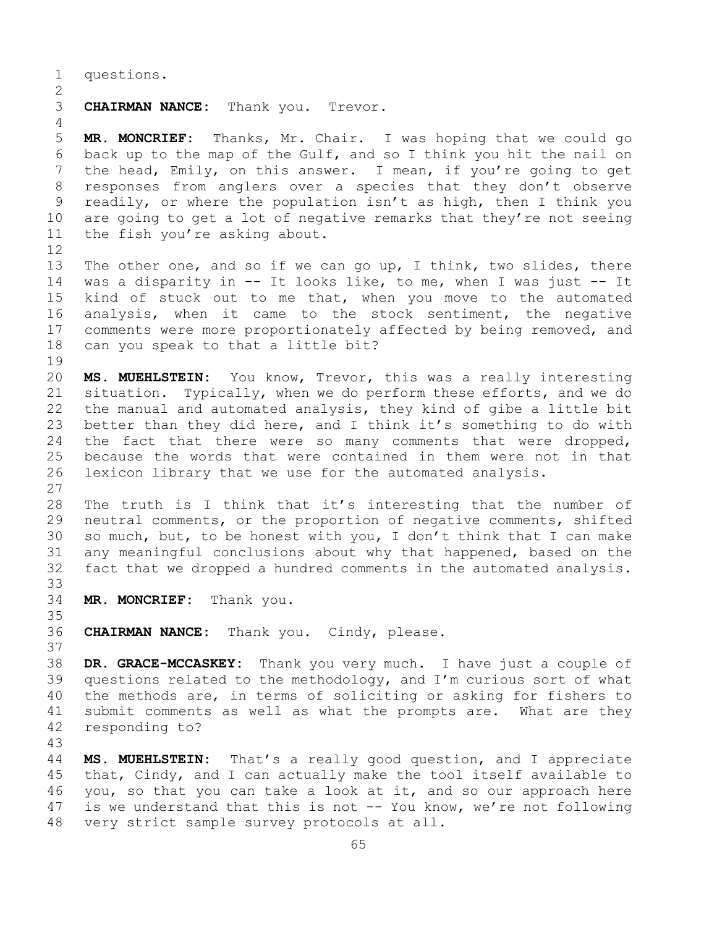1 questions.

## $\frac{2}{3}$ CHAIRMAN NANCE: Thank you. Trevor.

5 **MR. MONCRIEF:** Thanks, Mr. Chair. I was hoping that we could go 6 back up to the map of the Gulf, and so I think you hit the nail on<br>7 the head, Emily, on this answer. I mean, if you're going to get 7 the head, Emily, on this answer. I mean, if you're going to get<br>8 responses from anglers over a species that they don't observe 8 responses from anglers over a species that they don't observe<br>9 readily, or where the population isn't as high, then I think you 9 readily, or where the population isn't as high, then I think you<br>10 are going to get a lot of negative remarks that they're not seeing 10 are going to get a lot of negative remarks that they're not seeing<br>11 the fish you're asking about. the fish you're asking about.

12<br>13

4

The other one, and so if we can go up, I think, two slides, there 14 was a disparity in -- It looks like, to me, when I was just -- It<br>15 kind of stuck out to me that, when you move to the automated 15 kind of stuck out to me that, when you move to the automated<br>16 analysis, when it came to the stock sentiment, the negative 16 analysis, when it came to the stock sentiment, the negative<br>17 comments were more proportionately affected by being removed, and 17 comments were more proportionately affected by being removed, and<br>18 can you speak to that a little bit? can you speak to that a little bit?

19<br>20

20 **MS. MUEHLSTEIN:** You know, Trevor, this was a really interesting<br>21 situation. Typically, when we do perform these efforts, and we do 21 situation. Typically, when we do perform these efforts, and we do<br>22 the manual and automated analysis, they kind of gibe a little bit 22 the manual and automated analysis, they kind of gibe a little bit<br>23 better than they did here, and I think it's something to do with 23 better than they did here, and I think it's something to do with<br>24 the fact that there were so many comments that were dropped, 24 the fact that there were so many comments that were dropped,<br>25 because the words that were contained in them were not in that 25 because the words that were contained in them were not in that<br>26 lexicon library that we use for the automated analysis. lexicon library that we use for the automated analysis.

 $\frac{27}{28}$ 28 The truth is I think that it's interesting that the number of<br>29 neutral comments, or the proportion of negative comments, shifted 29 neutral comments, or the proportion of negative comments, shifted<br>30 so much, but, to be honest with you, I don't think that I can make 30 so much, but, to be honest with you, I don't think that I can make<br>31 any meaningful conclusions about why that happened, based on the 31 any meaningful conclusions about why that happened, based on the<br>32 fact that we dropped a hundred comments in the automated analysis. fact that we dropped a hundred comments in the automated analysis.

33<br>34 MR. MONCRIEF: Thank you.

35<br>36 CHAIRMAN NANCE: Thank you. Cindy, please.

37

38 **DR. GRACE-MCCASKEY:** Thank you very much. I have just a couple of 39 questions related to the methodology, and I'm curious sort of what<br>40 the methods are, in terms of soliciting or asking for fishers to 40 the methods are, in terms of soliciting or asking for fishers to<br>41 submit comments as well as what the prompts are. What are they 41 submit comments as well as what the prompts are. What are they<br>42 responding to? responding to?

43 MS. MUEHLSTEIN: That's a really good question, and I appreciate 45 that, Cindy, and I can actually make the tool itself available to 46 you, so that you can take a look at it, and so our approach here  $47$  is we understand that this is not  $-$  You know, we're not following 47 is we understand that this is not  $-$ - You know, we're not following 48 very strict sample survey protocols at all. very strict sample survey protocols at all.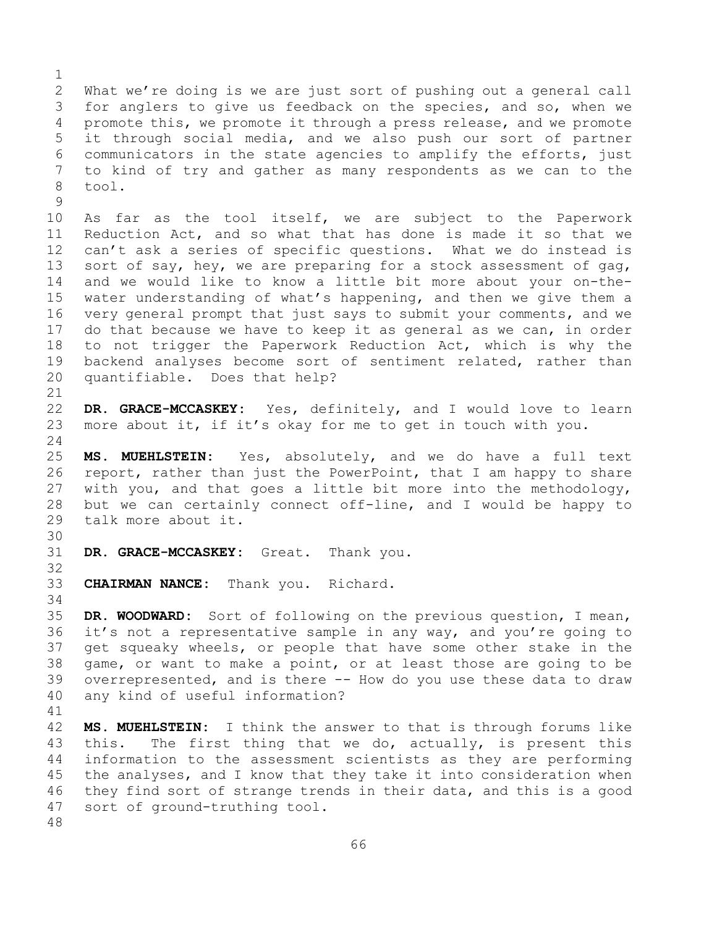$\frac{1}{2}$ 2 What we're doing is we are just sort of pushing out a general call<br>3 for anglers to give us feedback on the species, and so, when we 3 for anglers to give us feedback on the species, and so, when we<br>4 promote this, we promote it through a press release, and we promote promote this, we promote it through a press release, and we promote 5 it through social media, and we also push our sort of partner 6 communicators in the state agencies to amplify the efforts, just<br>7 to kind of try and gather as many respondents as we can to the 7 to kind of try and gather as many respondents as we can to the tool.

 $\begin{array}{c} 9 \\ 10 \end{array}$ 10 As far as the tool itself, we are subject to the Paperwork<br>11 Reduction Act, and so what that has done is made it so that we 11 Reduction Act, and so what that has done is made it so that we<br>12 can't ask a series of specific questions. What we do instead is can't ask a series of specific questions. What we do instead is 13 sort of say, hey, we are preparing for a stock assessment of gag, 14 and we would like to know a little bit more about your on-the-<br>15 water understanding of what's happening, and then we give them a 15 water understanding of what's happening, and then we give them a<br>16 very general prompt that just says to submit your comments, and we 16 very general prompt that just says to submit your comments, and we<br>17 do that because we have to keep it as general as we can, in order 17 do that because we have to keep it as general as we can, in order<br>18 to not trigger the Paperwork Reduction Act, which is why the 18 to not trigger the Paperwork Reduction Act, which is why the<br>19 backend analyses become sort of sentiment related, rather than 19 backend analyses become sort of sentiment related, rather than<br>20 quantifiable. Does that help? quantifiable. Does that help?

21<br>22 22 **DR. GRACE-MCCASKEY:** Yes, definitely, and I would love to learn<br>23 more about it, if it's okay for me to get in touch with you. more about it, if it's okay for me to get in touch with you.

 $\frac{24}{25}$ 25 **MS. MUEHLSTEIN:** Yes, absolutely, and we do have a full text 26 report, rather than just the PowerPoint, that I am happy to share<br>27 with you, and that goes a little bit more into the methodology, with you, and that goes a little bit more into the methodology, 28 but we can certainly connect off-line, and I would be happy to <br>29 talk more about it. talk more about it.

30<br>31 DR. GRACE-MCCASKEY: Great. Thank you.

33 **CHAIRMAN NANCE:** Thank you. Richard.

34<br>35 35 **DR. WOODWARD:** Sort of following on the previous question, I mean,<br>36 it's not a representative sample in any way, and you're going to it's not a representative sample in any way, and you're going to 37 get squeaky wheels, or people that have some other stake in the 38 game, or want to make a point, or at least those are going to be<br>39 overrepresented, and is there -- How do you use these data to draw 39 overrepresented, and is there -- How do you use these data to draw<br>40 any kind of useful information? any kind of useful information?

41<br>42 42 **MS. MUEHLSTEIN:** I think the answer to that is through forums like<br>43 this. The first thing that we do, actually, is present this 43 this. The first thing that we do, actually, is present this<br>44 information to the assessment scientists as they are performing information to the assessment scientists as they are performing 45 the analyses, and I know that they take it into consideration when 46 they find sort of strange trends in their data, and this is a good<br>47 sort of ground-truthing tool. sort of ground-truthing tool.

48

32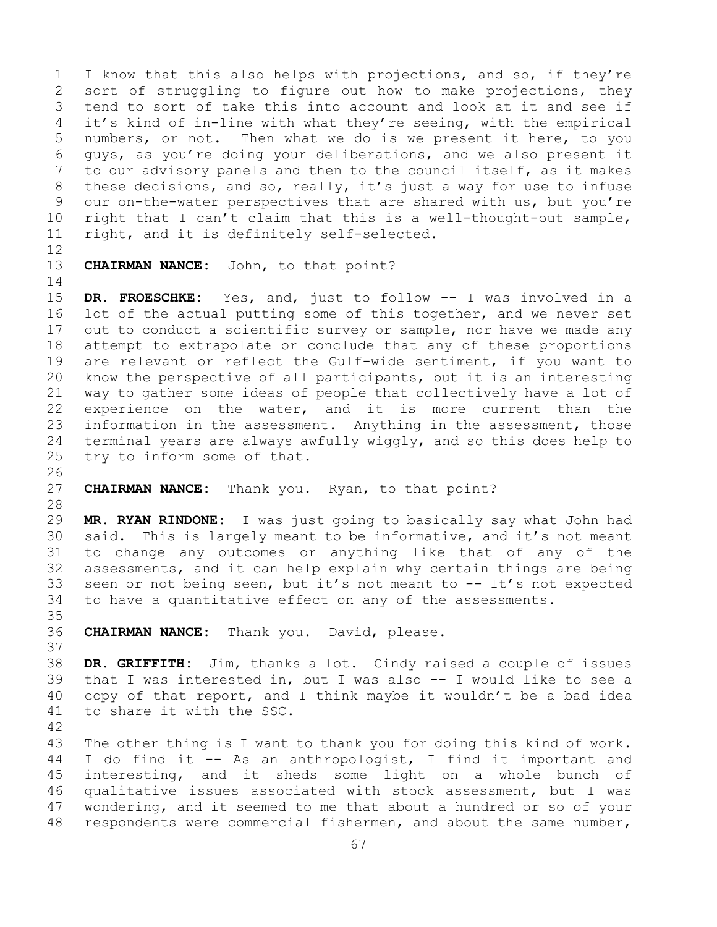1 I know that this also helps with projections, and so, if they're<br>2 sort of struggling to figure out how to make projections, they 2 sort of struggling to figure out how to make projections, they<br>3 tend to sort of take this into account and look at it and see if 3 tend to sort of take this into account and look at it and see if<br>4 it's kind of in-line with what they're seeing, with the empirical it's kind of in-line with what they're seeing, with the empirical 5 numbers, or not. Then what we do is we present it here, to you 6 guys, as you're doing your deliberations, and we also present it 7 to our advisory panels and then to the council itself, as it makes<br>8 these decisions, and so, really, it's just a way for use to infuse 8 these decisions, and so, really, it's just a way for use to infuse<br>9 our on-the-water perspectives that are shared with us, but you're 9 our on-the-water perspectives that are shared with us, but you're<br>10 right that I can't claim that this is a well-thought-out sample, 10 right that I can't claim that this is a well-thought-out sample,<br>11 right, and it is definitely self-selected. right, and it is definitely self-selected.

- 12<br>13
	- CHAIRMAN NANCE: John, to that point?

 $\begin{array}{c} 14 \\ 15 \end{array}$ 15 DR. FROESCHKE: Yes, and, just to follow -- I was involved in a<br>16 lot of the actual putting some of this together, and we never set 16 lot of the actual putting some of this together, and we never set<br>17 out to conduct a scientific survey or sample, nor have we made any 17 out to conduct a scientific survey or sample, nor have we made any<br>18 attempt to extrapolate or conclude that any of these proportions 18 attempt to extrapolate or conclude that any of these proportions<br>19 are relevant or reflect the Gulf-wide sentiment, if you want to 19 are relevant or reflect the Gulf-wide sentiment, if you want to<br>20 know the perspective of all participants, but it is an interesting 20 know the perspective of all participants, but it is an interesting<br>21 way to gather some ideas of people that collectively have a lot of 21 way to gather some ideas of people that collectively have a lot of<br>22 experience on the water, and it is more current than the 22 experience on the water, and it is more current than the<br>23 information in the assessment. Anything in the assessment, those 23 information in the assessment. Anything in the assessment, those<br>24 terminal years are always awfully wiggly, and so this does help to 24 terminal years are always awfully wiggly, and so this does help to<br>25 try to inform some of that. try to inform some of that.

- 26<br>27 **CHAIRMAN NANCE:** Thank you. Ryan, to that point?
- 28<br>29

37

29 **MR. RYAN RINDONE:** I was just going to basically say what John had 30 said. This is largely meant to be informative, and it's not meant<br>31 to change any outcomes or anything like that of any of the 31 to change any outcomes or anything like that of any of the<br>32 assessments, and it can help explain why certain things are being assessments, and it can help explain why certain things are being 33 seen or not being seen, but it's not meant to  $-$  It's not expected to have a quantitative effect on any of the assessments. to have a quantitative effect on any of the assessments.

35<br>36 CHAIRMAN NANCE: Thank you. David, please.

38 **DR. GRIFFITH:** Jim, thanks a lot. Cindy raised a couple of issues 39 that I was interested in, but I was also  $-$  I would like to see a 40 copy of that report, and I think maybe it wouldn't be a bad idea 40 copy of that report, and I think maybe it wouldn't be a bad idea<br>41 to share it with the SSC. to share it with the SSC.

42 43 The other thing is I want to thank you for doing this kind of work.<br>44 I do find it -- As an anthropologist, I find it important and I do find it -- As an anthropologist, I find it important and 45 interesting, and it sheds some light on a whole bunch of 46 qualitative issues associated with stock assessment, but I was<br>47 wondering, and it seemed to me that about a hundred or so of your 47 wondering, and it seemed to me that about a hundred or so of your<br>48 respondents were commercial fishermen, and about the same number, respondents were commercial fishermen, and about the same number,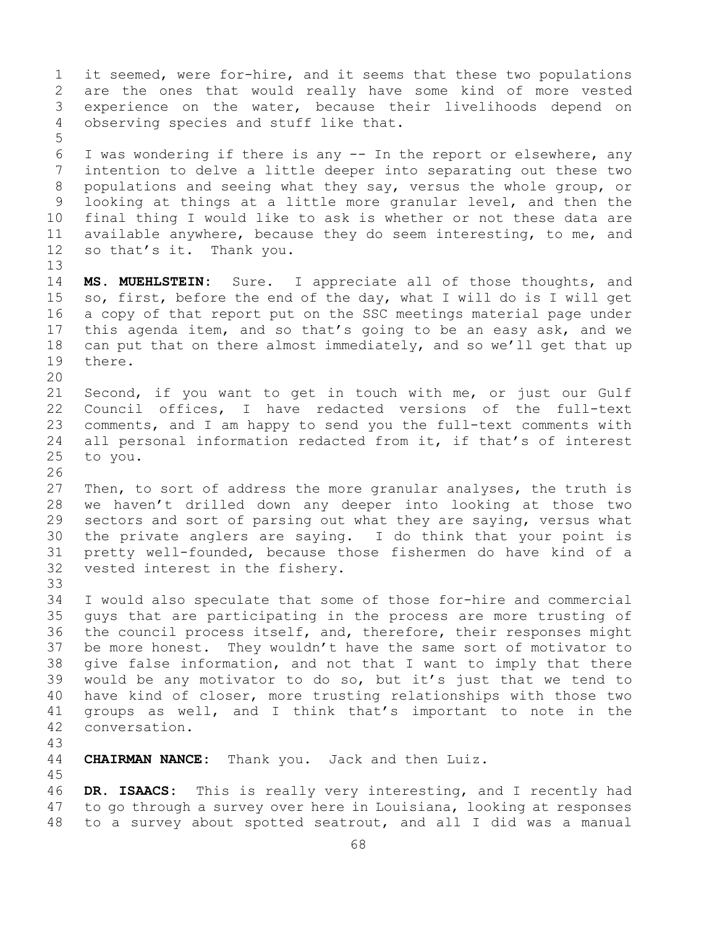1 it seemed, were for-hire, and it seems that these two populations<br>2 are the ones that would really have some kind of more vested 2 are the ones that would really have some kind of more vested<br>3 experience on the water, because their livelihoods depend on 3 experience on the water, because their livelihoods depend on<br>4 observing species and stuff like that. observing species and stuff like that. 5 6 I was wondering if there is any -- In the report or elsewhere, any<br>7 intention to delve a little deeper into separating out these two 7 intention to delve a little deeper into separating out these two<br>8 populations and seeing what they say, versus the whole group, or 8 populations and seeing what they say, versus the whole group, or<br>9 looking at things at a little more granular level, and then the 9 looking at things at a little more granular level, and then the<br>10 final thing I would like to ask is whether or not these data are 10 final thing I would like to ask is whether or not these data are<br>11 available anvwhere, because they do seem interesting, to me, and 11 available anywhere, because they do seem interesting, to me, and<br>12 so that's it. Thank you. so that's it. Thank you. 13 14 **MS. MUEHLSTEIN:** Sure. I appreciate all of those thoughts, and<br>15 so, first, before the end of the dav, what I will do is I will get 15 so, first, before the end of the day, what I will do is I will get<br>16 a copy of that report put on the SSC meetings material page under 16 a copy of that report put on the SSC meetings material page under<br>17 this agenda item, and so that's going to be an easy ask, and we 17 this agenda item, and so that's going to be an easy ask, and we<br>18 can put that on there almost immediately, and so we'll get that up 18 can put that on there almost immediately, and so we'll get that up<br>19 there. there. 20<br>21 21 Second, if you want to get in touch with me, or just our Gulf<br>22 Council offices, I have redacted versions of the full-text 22 Council offices, I have redacted versions of the full-text<br>23 comments, and I am happy to send you the full-text comments with 23 comments, and I am happy to send you the full-text comments with<br>24 all personal information redacted from it, if that's of interest 24 all personal information redacted from it, if that's of interest<br>25 to you. to you. 26<br>27 Then, to sort of address the more granular analyses, the truth is 28 we haven't drilled down any deeper into looking at those two<br>29 sectors and sort of parsing out what they are saying, versus what 29 sectors and sort of parsing out what they are saying, versus what<br>30 the private anglers are saving. I do think that your point is 30 the private anglers are saying. I do think that your point is<br>31 pretty well-founded, because those fishermen do have kind of a 31 pretty well-founded, because those fishermen do have kind of a<br>32 vested interest in the fishery. vested interest in the fishery. 33<br>34 34 I would also speculate that some of those for-hire and commercial<br>35 quys that are participating in the process are more trusting of 35 guys that are participating in the process are more trusting of<br>36 the council process itself, and, therefore, their responses might 36 the council process itself, and, therefore, their responses might<br>37 be more honest. They wouldn't have the same sort of motivator to be more honest. They wouldn't have the same sort of motivator to 38 give false information, and not that I want to imply that there<br>39 would be any motivator to do so, but it's just that we tend to 39 would be any motivator to do so, but it's just that we tend to<br>40 have kind of closer, more trusting relationships with those two 40 have kind of closer, more trusting relationships with those two<br>41 qroups as well, and I think that's important to note in the 41 groups as well, and I think that's important to note in the 42 conversation. conversation. 43 **CHAIRMAN NANCE:** Thank you. Jack and then Luiz. 45 46 **DR. ISAACS:** This is really very interesting, and I recently had<br>47 to go through a survey over here in Louisiana, looking at responses 47 to go through a survey over here in Louisiana, looking at responses<br>48 to a survey about spotted seatrout, and all I did was a manual 48 to a survey about spotted seatrout, and all I did was a manual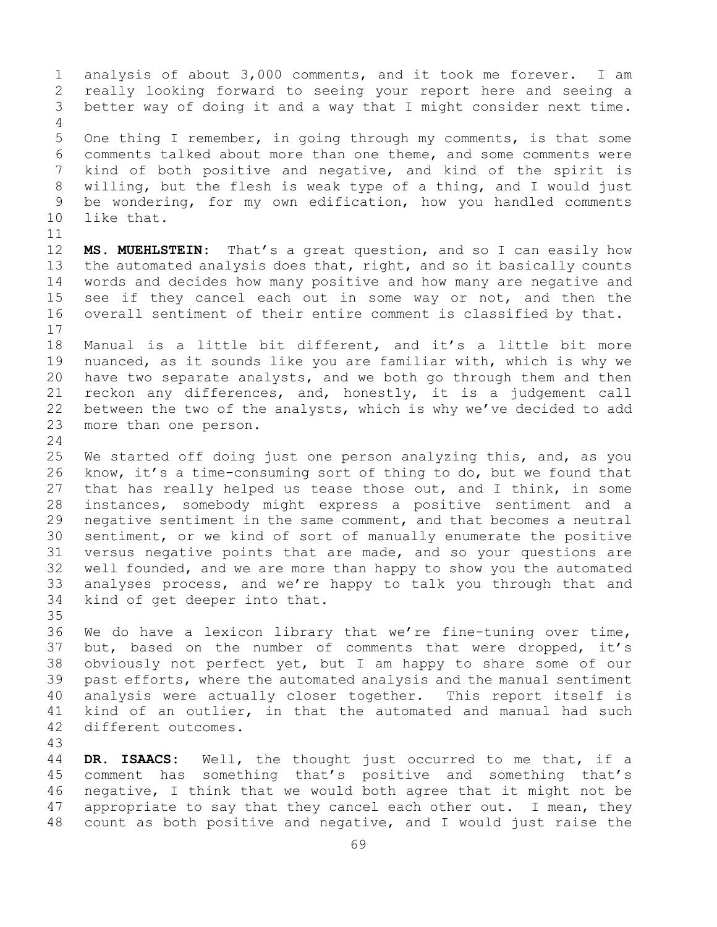1 analysis of about 3,000 comments, and it took me forever. I am<br>2 really looking forward to seeing your report here and seeing a 2 really looking forward to seeing your report here and seeing a<br>3 better way of doing it and a way that I might consider next time. better way of doing it and a way that I might consider next time. 4 5 One thing I remember, in going through my comments, is that some 6 comments talked about more than one theme, and some comments were<br>7 kind of both positive and negative, and kind of the spirit is 7 kind of both positive and negative, and kind of the spirit is<br>8 willing, but the flesh is weak type of a thing, and I would just 8 willing, but the flesh is weak type of a thing, and I would just<br>9 be wondering, for my own edification, how you handled comments 9 be wondering, for my own edification, how you handled comments<br>10 like that. like that. 11<br>12 MS. MUEHLSTEIN: That's a great question, and so I can easily how 13 the automated analysis does that, right, and so it basically counts 14 words and decides how many positive and how many are negative and<br>15 see if thev cancel each out in some way or not, and then the 15 see if they cancel each out in some way or not, and then the<br>16 overall sentiment of their entire comment is classified by that. overall sentiment of their entire comment is classified by that.  $\begin{array}{c} 17 \\ 18 \end{array}$ 18 Manual is a little bit different, and it's a little bit more<br>19 nuanced, as it sounds like you are familiar with, which is why we 19 nuanced, as it sounds like you are familiar with, which is why we<br>20 have two separate analysts, and we both go through them and then 20 have two separate analysts, and we both go through them and then<br>21 reckon any differences, and, honestly, it is a judgement call 21 reckon any differences, and, honestly, it is a judgement call<br>22 between the two of the analysts, which is why we've decided to add 22 between the two of the analysts, which is why we've decided to add 23 more than one person. more than one person.  $\frac{24}{25}$ 25 We started off doing just one person analyzing this, and, as you<br>26 know, it's a time-consuming sort of thing to do, but we found that 26 know, it's a time-consuming sort of thing to do, but we found that<br>27 that has really helped us tease those out, and I think, in some that has really helped us tease those out, and I think, in some 28 instances, somebody might express a positive sentiment and a<br>29 negative sentiment in the same comment, and that becomes a neutral 29 negative sentiment in the same comment, and that becomes a neutral<br>30 sentiment, or we kind of sort of manually enumerate the positive 30 sentiment, or we kind of sort of manually enumerate the positive<br>31 versus negative points that are made, and so your questions are 31 versus negative points that are made, and so your questions are<br>32 well founded, and we are more than happy to show you the automated well founded, and we are more than happy to show you the automated 33 analyses process, and we're happy to talk you through that and<br>34 kind of get deeper into that. kind of get deeper into that. 35<br>36 We do have a lexicon library that we're fine-tuning over time, 37 but, based on the number of comments that were dropped, it's 38 obviously not perfect yet, but I am happy to share some of our<br>39 past efforts, where the automated analysis and the manual sentiment 39 past efforts, where the automated analysis and the manual sentiment<br>40 analysis were actually closer together. This report itself is 40 analysis were actually closer together. This report itself is<br>41 kind of an outlier, in that the automated and manual had such 41 kind of an outlier, in that the automated and manual had such<br>42 different outcomes. different outcomes.

43 DR. ISAACS: Well, the thought just occurred to me that, if a 45 comment has something that's positive and something that's 46 negative, I think that we would both agree that it might not be<br>47 appropriate to say that they cancel each other out. I mean, they 47 appropriate to say that they cancel each other out. I mean, they<br>48 count as both positive and negative, and I would just raise the count as both positive and negative, and I would just raise the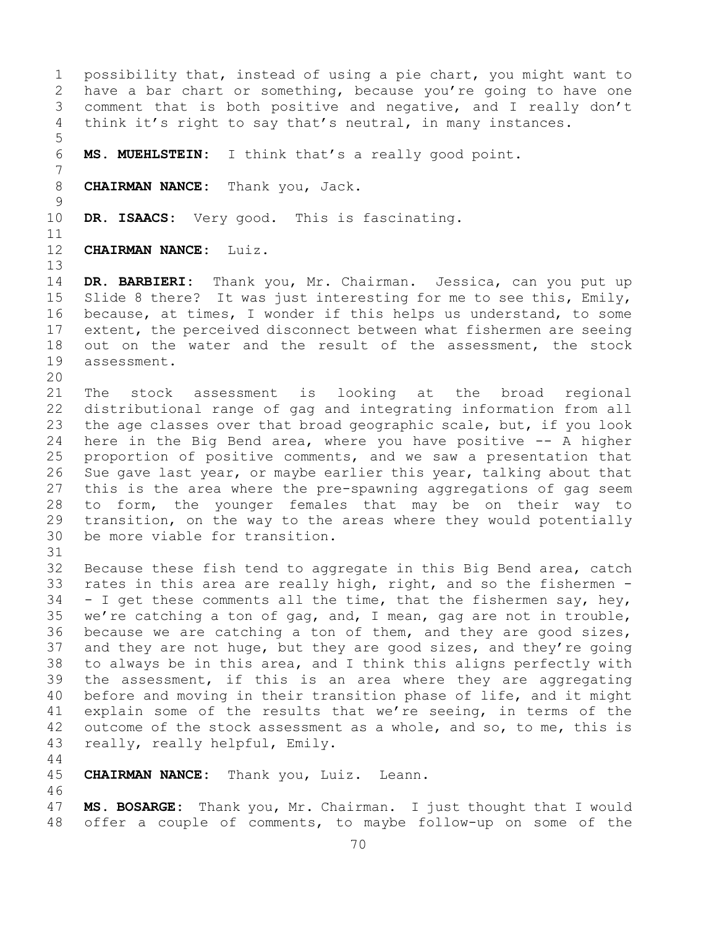1 possibility that, instead of using a pie chart, you might want to<br>2 have a bar chart or something, because you're going to have one 2 have a bar chart or something, because you're going to have one<br>3 comment that is both positive and negative, and I really don't 3 comment that is both positive and negative, and I really don't<br>4 think it's right to say that's neutral, in many instances. think it's right to say that's neutral, in many instances. 5 MS. MUEHLSTEIN: I think that's a really good point. 7 8 **CHAIRMAN NANCE:** Thank you, Jack.  $\frac{9}{10}$ DR. ISAACS: Very good. This is fascinating. 11<br>12 12 **CHAIRMAN NANCE:** Luiz. 13 14 **DR. BARBIERI:** Thank you, Mr. Chairman. Jessica, can you put up 15 Slide 8 there? It was just interesting for me to see this, Emily,<br>16 because, at times, I wonder if this helps us understand, to some 16 because, at times, I wonder if this helps us understand, to some<br>17 extent, the perceived disconnect between what fishermen are seeing 17 extent, the perceived disconnect between what fishermen are seeing<br>18 out on the water and the result of the assessment, the stock 18 out on the water and the result of the assessment, the stock<br>19 assessment. assessment. 20<br>21 21 The stock assessment is looking at the broad regional<br>22 distributional range-of-gag-and-integrating-information-from-all 22 distributional range of gag and integrating information from all<br>23 the age classes over that broad geographic scale, but, if you look 23 the age classes over that broad geographic scale, but, if you look<br>24 here in the Big Bend area, where you have positive -- A higher 24 here in the Big Bend area, where you have positive -- A higher<br>25 proportion of positive comments, and we saw a presentation that 25 proportion of positive comments, and we saw a presentation that<br>26 Sue gave last year, or maybe earlier this year, talking about that 26 Sue gave last year, or maybe earlier this year, talking about that<br>27 this is the area where the pre-spawning aggregations of gag seem 27 this is the area where the pre-spawning aggregations of gag seem<br>28 to form, the younger females that may be on their way to 28 to form, the younger females that may be on their way to<br>29 transition, on the way to the areas where they would potentially 29 transition, on the way to the areas where they would potentially<br>30 be more viable for transition. be more viable for transition. 31<br>32 Because these fish tend to aggregate in this Big Bend area, catch 33 rates in this area are really high, right, and so the fishermen  $-$  34  $-$  I get these comments all the time, that the fishermen say, hey,  $34$  - I get these comments all the time, that the fishermen say, hey,<br>35 we're catching a ton of gag, and, I mean, gag are not in trouble, 35 we're catching a ton of gag, and, I mean, gag are not in trouble,  $\overline{36}$  because we are catching a ton of them, and they are good sizes, because we are catching a ton of them, and they are good sizes, 37 and they are not huge, but they are good sizes, and they're going 38 to always be in this area, and I think this aligns perfectly with<br>39 the assessment, if this is an area where they are aggregating 39 the assessment, if this is an area where they are aggregating<br>40 before and moving in their transition phase of life, and it might 40 before and moving in their transition phase of life, and it might<br>41 explain some of the results that we're seeing, in terms of the 41 explain some of the results that we're seeing, in terms of the<br>42 outcome of the stock assessment as a whole, and so, to me, this is 42 outcome of the stock assessment as a whole, and so, to me, this is  $13$  really, really helpful, Emily. really, really helpful, Emily. 44 45 **CHAIRMAN NANCE:** Thank you, Luiz. Leann. 46<br>47 47 **MS. BOSARGE:** Thank you, Mr. Chairman. I just thought that I would offer a couple of comments, to maybe follow-up on some of the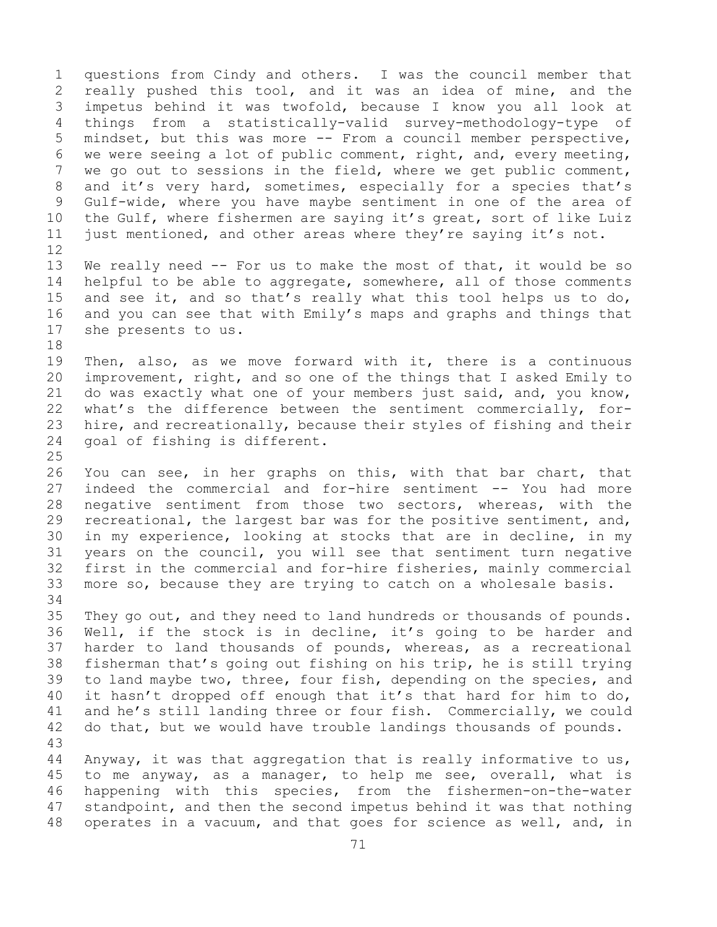1 questions from Cindy and others. I was the council member that<br>2 really pushed this tool, and it was an idea of mine, and the 2 really pushed this tool, and it was an idea of mine, and the<br>3 impetus behind it was twofold, because I know you all look at 3 impetus behind it was twofold, because I know you all look at<br>4 things from a statistically-valid survey-methodology-type of 4 things from a statistically-valid survey-methodology-type of 5 mindset, but this was more -- From a council member perspective, 6 we were seeing a lot of public comment, right, and, every meeting,<br>7 we go out to sessions in the field, where we get public comment, 7 we go out to sessions in the field, where we get public comment,<br>8 and it's very hard, sometimes, especially for a species that's 8 and it's very hard, sometimes, especially for a species that's<br>9 Gulf-wide, where you have maybe sentiment in one of the area of 9 Gulf-wide, where you have maybe sentiment in one of the area of<br>10 the Gulf, where fishermen are saving it's great, sort of like Luiz 10 the Gulf, where fishermen are saying it's great, sort of like Luiz<br>11 just mentioned, and other areas where they're saying it's not. just mentioned, and other areas where they're saying it's not. 12<br>13

We really need -- For us to make the most of that, it would be so 14 helpful to be able to aggregate, somewhere, all of those comments<br>15 and see it, and so that's really what this tool helps us to do, 15 and see it, and so that's really what this tool helps us to do,<br>16 and you can see that with Emily's maps and graphs and things that 16 and you can see that with Emily's maps and graphs and things that<br>17 she presents to us. she presents to us.

18<br>19 19 Then, also, as we move forward with it, there is a continuous<br>20 improvement, right, and so one of the things that I asked Emily to 20 improvement, right, and so one of the things that I asked Emily to<br>21 do was exactly what one of your members just said, and, you know, 21 do was exactly what one of your members just said, and, you know,<br>22 what's the difference between the sentiment commercially, for-22 what's the difference between the sentiment commercially, for-<br>23 hire, and recreationally, because their styles of fishing and their 23 hire, and recreationally, because their styles of fishing and their<br>24 qoal of fishing is different. goal of fishing is different.

 $\frac{25}{26}$ 26 You can see, in her graphs on this, with that bar chart, that<br>27 indeed the commercial and for-hire sentiment -- You had more 27 indeed the commercial and for-hire sentiment -- You had more<br>28 negative sentiment from those two sectors, whereas, with the 28 negative sentiment from those two sectors, whereas, with the<br>29 recreational, the largest bar was for the positive sentiment, and, 29 recreational, the largest bar was for the positive sentiment, and,<br>30 in my experience, looking at stocks that are in decline, in my 30 in my experience, looking at stocks that are in decline, in my<br>31 years on the council, you will see that sentiment turn negative 31 years on the council, you will see that sentiment turn negative<br>32 first in the commercial and for-hire fisheries, mainly commercial 32 first in the commercial and for-hire fisheries, mainly commercial<br>33 more so, because they are trying to catch on a wholesale basis. more so, because they are trying to catch on a wholesale basis.

34<br>35 35 They go out, and they need to land hundreds or thousands of pounds.<br>36 Well, if the stock is in decline, it's going to be harder and 36 Well, if the stock is in decline, it's going to be harder and<br>37 harder to land thousands of pounds, whereas, as a recreational harder to land thousands of pounds, whereas, as a recreational 38 fisherman that's going out fishing on his trip, he is still trying<br>39 to land maybe two, three, four fish, depending on the species, and 39 to land maybe two, three, four fish, depending on the species, and<br>40 it hasn't dropped off enough that it's that hard for him to do, 40 it hasn't dropped off enough that it's that hard for him to do,<br>41 and he's still landing three or four fish. Commercially, we could 41 and he's still landing three or four fish. Commercially, we could<br>42 do that, but we would have trouble landings thousands of pounds. do that, but we would have trouble landings thousands of pounds.

43 Anyway, it was that aggregation that is really informative to us, 45 to me anyway, as a manager, to help me see, overall, what is 46 happening with this species, from the fishermen-on-the-water<br>47 standpoint, and then the second impetus behind it was that nothing 47 standpoint, and then the second impetus behind it was that nothing<br>48 operates in a vacuum, and that goes for science as well, and, in operates in a vacuum, and that goes for science as well, and, in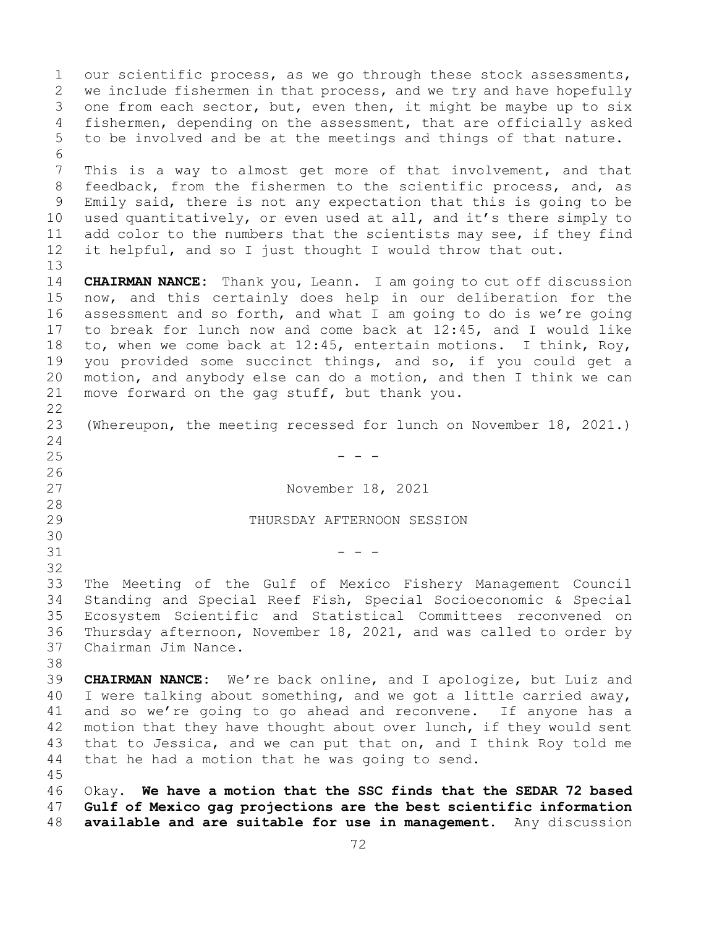1 our scientific process, as we go through these stock assessments,<br>2 we include fishermen in that process, and we try and have hopefully 2 we include fishermen in that process, and we try and have hopefully<br>3 one from each sector, but, even then, it might be maybe up to six 3 one from each sector, but, even then, it might be maybe up to six<br>4 fishermen, depending on the assessment, that are officially asked fishermen, depending on the assessment, that are officially asked 5 to be involved and be at the meetings and things of that nature. 6<br>7 7 This is a way to almost get more of that involvement, and that<br>8 feedback, from the fishermen to the scientific process, and, as 8 feedback, from the fishermen to the scientific process, and, as<br>9 Emily said, there is not any expectation that this is going to be 9 Emily said, there is not any expectation that this is going to be<br>10 used quantitatively, or even used at all, and it's there simply to 10 used quantitatively, or even used at all, and it's there simply to<br>11 add color to the numbers that the scientists may see, if they find 11 add color to the numbers that the scientists may see, if they find<br>12 it helpful, and so I just thought I would throw that out. it helpful, and so I just thought I would throw that out. 13 14 **CHAIRMAN NANCE:** Thank you, Leann. I am going to cut off discussion 15 now, and this certainly does help in our deliberation for the<br>16 assessment and so forth, and what I am going to do is we're going 16 assessment and so forth, and what I am going to do is we're going<br>17 to break for lunch now and come back at 12:45, and I would like 17 to break for lunch now and come back at 12:45, and I would like<br>18 to, when we come back at 12:45, entertain motions. I think, Roy, 18 to, when we come back at 12:45, entertain motions. I think, Roy,<br>19 you provided some succinct things, and so, if you could get a 19 you provided some succinct things, and so, if you could get a<br>20 motion, and anybody else can do a motion, and then I think we can 20 motion, and anybody else can do a motion, and then I think we can<br>21 move forward on the qaq stuff, but thank you. move forward on the gag stuff, but thank you.  $\begin{array}{c} 22 \\ 23 \end{array}$ (Whereupon, the meeting recessed for lunch on November 18, 2021.)  $\frac{24}{25}$  $25$  - - -26<br>27 November 18, 2021  $\begin{array}{c} 28 \\ 29 \end{array}$ THURSDAY AFTERNOON SESSION 30<br>31  $31$  - - -32 33 The Meeting of the Gulf of Mexico Fishery Management Council<br>34 Standing and Special Reef Fish, Special Socioeconomic & Special 34 Standing and Special Reef Fish, Special Socioeconomic & Special 35 Ecosystem Scientific and Statistical Committees reconvened on<br>36 Thursday afternoon, November 18, 2021, and was called to order by 36 Thursday afternoon, November 18, 2021, and was called to order by Chairman Jim Nance. 38<br>39 39 **CHAIRMAN NANCE:** We're back online, and I apologize, but Luiz and<br>40 I were talking about something, and we got a little carried away, 40 I were talking about something, and we got a little carried away,<br>41 and so we're going to go ahead and reconvene. If anyone has a 41 and so we're going to go ahead and reconvene. If anyone has a<br>42 motion that they have thought about over lunch, if they would sent 42 motion that they have thought about over lunch, if they would sent<br>43 that to Jessica, and we can put that on, and I think Roy told me 43 that to Jessica, and we can put that on, and I think Roy told me<br>44 that he had a motion that he was going to send. that he had a motion that he was going to send. 45 46 Okay. **We have a motion that the SSC finds that the SEDAR 72 based**  47 **Gulf of Mexico gag projections are the best scientific information**  48 **available and are suitable for use in management.** Any discussion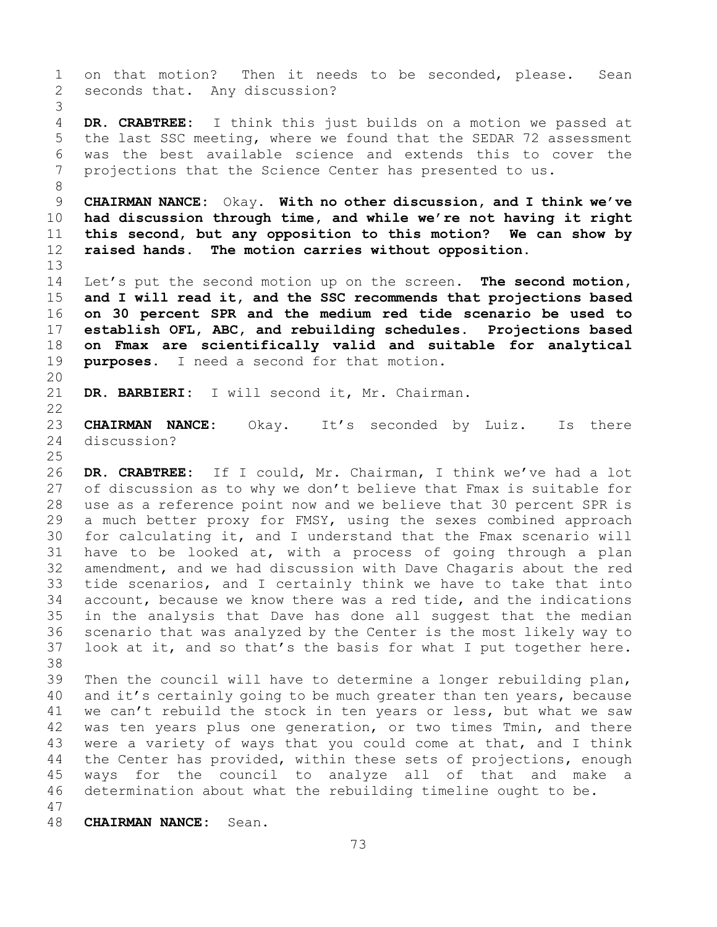73 1 on that motion? Then it needs to be seconded, please. Sean<br>2 seconds that. Any discussion? seconds that. Any discussion? 3 DR. CRABTREE: I think this just builds on a motion we passed at 5 the last SSC meeting, where we found that the SEDAR 72 assessment 6 was the best available science and extends this to cover the<br>7 projections that the Science Center has presented to us. projections that the Science Center has presented to us. 8 9 **CHAIRMAN NANCE:** Okay. **With no other discussion, and I think we've**  10 **had discussion through time, and while we're not having it right**  11 **this second, but any opposition to this motion? We can show by**  12 **raised hands. The motion carries without opposition.**  13 14 Let's put the second motion up on the screen. **The second motion,**<br>15 and I will read it, and the SSC recommends that projections based 15 **and I will read it, and the SSC recommends that projections based**  16 **on 30 percent SPR and the medium red tide scenario be used to**  17 **establish OFL, ABC, and rebuilding schedules. Projections based**  18 **on Fmax are scientifically valid and suitable for analytical**  purposes. I need a second for that motion. 20<br>21 DR. BARBIERI: I will second it, Mr. Chairman.  $\begin{array}{c} 22 \\ 23 \end{array}$ 23 **CHAIRMAN NANCE:** Okay. It's seconded by Luiz. Is there<br>24 discussion? discussion?  $\frac{25}{26}$ 26 **DR. CRABTREE:** If I could, Mr. Chairman, I think we've had a lot of discussion as to why we don't believe that Fmax is suitable for 28 use as a reference point now and we believe that 30 percent SPR is<br>29 a much better proxy for FMSY, using the sexes combined approach 29 a much better proxy for FMSY, using the sexes combined approach<br>30 for calculating it, and I understand that the Fmax scenario will 30 for calculating it, and I understand that the Fmax scenario will<br>31 have to be looked at, with a process of going through a plan 31 have to be looked at, with a process of going through a plan<br>32 amendment, and we had discussion with Dave Chagaris about the red amendment, and we had discussion with Dave Chagaris about the red 33 tide scenarios, and I certainly think we have to take that into<br>34 account, because we know there was a red tide, and the indications 34 account, because we know there was a red tide, and the indications<br>35 in the analysis that Dave has done all suggest that the median 35 in the analysis that Dave has done all suggest that the median<br>36 scenario that was analyzed by the Center is the most likely way to 36 scenario that was analyzed by the Center is the most likely way to<br>37 look at it, and so that's the basis for what I put together here. look at it, and so that's the basis for what I put together here. 38<br>39 39 Then the council will have to determine a longer rebuilding plan,<br>40 and it's certainly going to be much greater than ten years, because 40 and it's certainly going to be much greater than ten years, because<br>41 we can't rebuild the stock in ten vears or less, but what we saw 41 we can't rebuild the stock in ten years or less, but what we saw<br>42 was ten vears plus one generation, or two times Tmin, and there 42 was ten years plus one generation, or two times Tmin, and there<br>43 were a variety of ways that you could come at that, and I think 43 were a variety of ways that you could come at that, and I think<br>44 the Center has provided, within these sets of projections, enough the Center has provided, within these sets of projections, enough 45 ways for the council to analyze all of that and make a 46 determination about what the rebuilding timeline ought to be. 47 48 **CHAIRMAN NANCE:** Sean.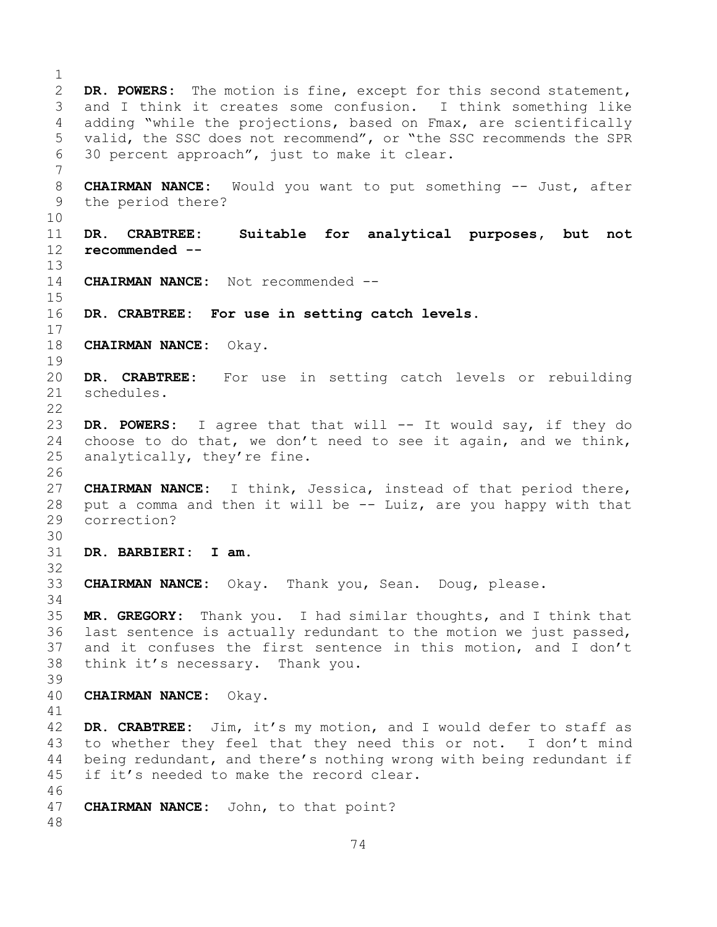$\frac{1}{2}$ 2 **DR. POWERS:** The motion is fine, except for this second statement,<br>3 and I think it creates some confusion. I think something like 3 and I think it creates some confusion. I think something like<br>4 adding "while the projections, based on Fmax, are scientifically adding "while the projections, based on Fmax, are scientifically 5 valid, the SSC does not recommend", or "the SSC recommends the SPR 6 30 percent approach", just to make it clear. 7 8 **CHAIRMAN NANCE:** Would you want to put something -- Just, after<br>9 the period there? the period there? 10<br>11 11 **DR. CRABTREE: Suitable for analytical purposes, but not**  12 **recommended --** 13 14 **CHAIRMAN NANCE:** Not recommended --  $\frac{15}{16}$ DR. CRABTREE: For use in setting catch levels.  $\frac{17}{18}$ 18 **CHAIRMAN NANCE:** Okay.  $\frac{19}{20}$ DR. CRABTREE: For use in setting catch levels or rebuilding 21 schedules.  $\begin{array}{c} 22 \\ 23 \end{array}$ 23 **DR. POWERS:** I agree that that will -- It would say, if they do 24 choose to do that, we don't need to see it again, and we think,<br>25 analytically, they're fine. analytically, they're fine. 26<br>27 27 **CHAIRMAN NANCE:** I think, Jessica, instead of that period there, 28 put a comma and then it will be -- Luiz, are you happy with that correction? 30<br>31 31 **DR. BARBIERI: I am.** 32 33 **CHAIRMAN NANCE:** Okay. Thank you, Sean. Doug, please. 34 35 **MR. GREGORY:** Thank you. I had similar thoughts, and I think that last sentence is actually redundant to the motion we just passed, 37 and it confuses the first sentence in this motion, and I don't 38 think it's necessary. Thank you. 39 40 **CHAIRMAN NANCE:** Okay. 41<br>42 42 **DR. CRABTREE:** Jim, it's my motion, and I would defer to staff as 43 to whether they feel that they need this or not. I don't mind<br>44 being redundant, and there's nothing wrong with being redundant if being redundant, and there's nothing wrong with being redundant if 45 if it's needed to make the record clear. 46<br>47 CHAIRMAN NANCE: John, to that point? 48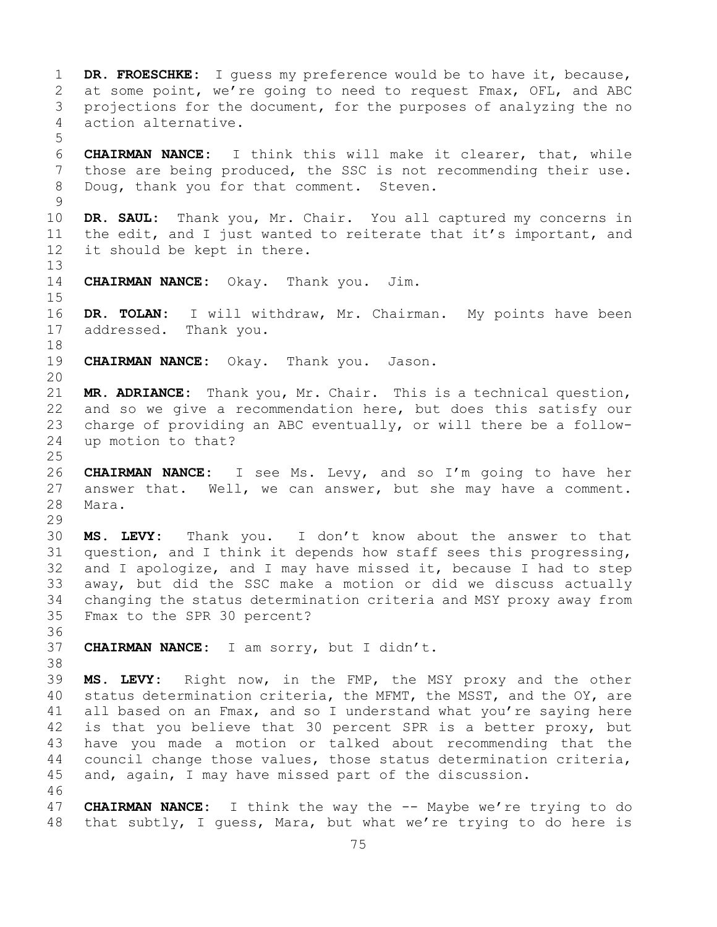1 **DR. FROESCHKE:** I guess my preference would be to have it, because,<br>2 at some point, we're going to need to request Fmax, OFL, and ABC 2 at some point, we're going to need to request Fmax, OFL, and ABC<br>3 projections for the document, for the purposes of analyzing the no 3 projections for the document, for the purposes of analyzing the no<br>4 action alternative. action alternative. 5 6 **CHAIRMAN NANCE:** I think this will make it clearer, that, while 7 those are being produced, the SSC is not recommending their use.<br>8 Doug, thank you for that comment. Steven. Doug, thank you for that comment. Steven.  $\frac{9}{10}$ 10 **DR. SAUL:** Thank you, Mr. Chair. You all captured my concerns in<br>11 the edit, and I just wanted to reiterate that it's important, and 11 the edit, and I just wanted to reiterate that it's important, and<br>12 it should be kept in there. it should be kept in there. 13 14 **CHAIRMAN NANCE:** Okay. Thank you. Jim.  $15$ <br> $16$ 16 **DR. TOLAN:** I will withdraw, Mr. Chairman. My points have been addressed. Thank you. 18<br>19 CHAIRMAN NANCE: Okay. Thank you. Jason. 20 21 **MR. ADRIANCE:** Thank you, Mr. Chair. This is a technical question,<br>22 and so we give a recommendation here, but does this satisfy our 22 and so we give a recommendation here, but does this satisfy our<br>23 charge of providing an ABC eventually, or will there be a follow-23 charge of providing an ABC eventually, or will there be a follow-<br>24 up motion to that? up motion to that?  $\frac{25}{26}$ 26 **CHAIRMAN NANCE:** I see Ms. Levy, and so I'm going to have her answer that. Well, we can answer, but she may have a comment. 28 Mara. 29<br>30 30 **MS. LEVY:** Thank you. I don't know about the answer to that<br>31 question, and I think it depends how staff sees this progressing, 31 question, and I think it depends how staff sees this progressing,<br>32 and I apologize, and I may have missed it, because I had to step and I apologize, and I may have missed it, because I had to step 33 away, but did the SSC make a motion or did we discuss actually 34 changing the status determination criteria and MSY proxy away from<br>35 Fmax to the SPR 30 percent? Fmax to the SPR 30 percent? 36<br>37 37 **CHAIRMAN NANCE:** I am sorry, but I didn't. 38<br>39 39 **MS. LEVY:** Right now, in the FMP, the MSY proxy and the other 40 status determination criteria, the MFMT, the MSST, and the OY, are<br>41 all based on an Fmax, and so I understand what you're saying here 41 all based on an Fmax, and so I understand what you're saying here<br>42 is that you believe that 30 percent SPR is a better proxy, but 42 is that you believe that 30 percent SPR is a better proxy, but<br>43 have you made a motion or talked about recommending that the 43 have you made a motion or talked about recommending that the<br>44 council change those values, those status determination criteria, council change those values, those status determination criteria, 45 and, again, I may have missed part of the discussion. 46<br>47 47 **CHAIRMAN NANCE:** I think the way the -- Maybe we're trying to do<br>48 that subtly, I quess, Mara, but what we're trying to do here is that subtly, I guess, Mara, but what we're trying to do here is

75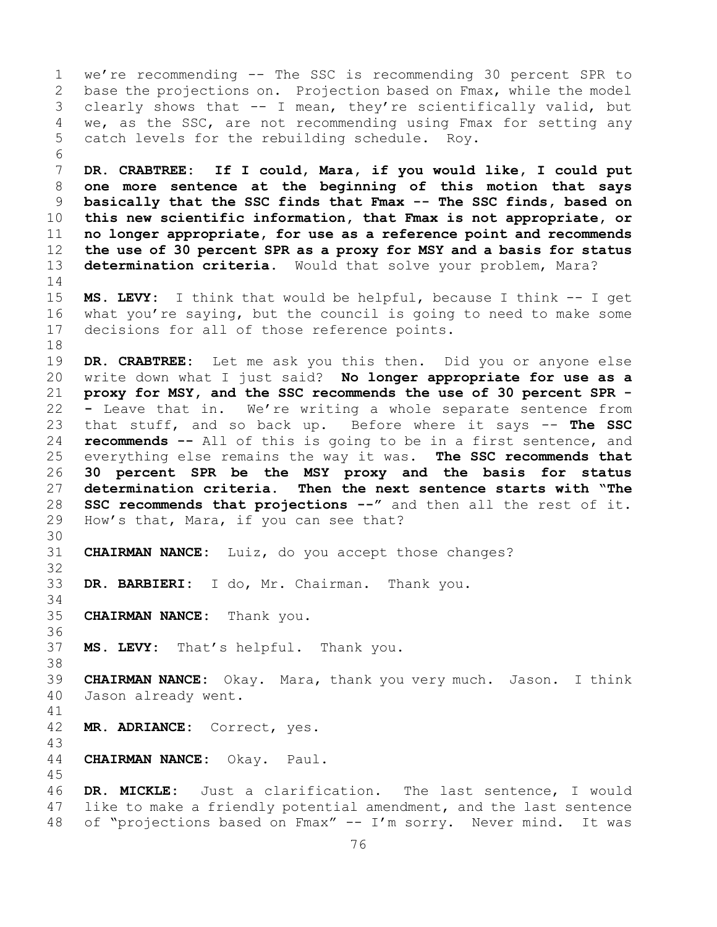1 we're recommending -- The SSC is recommending 30 percent SPR to<br>2 base the projections on. Projection based on Fmax, while the model 2 base the projections on. Projection based on Fmax, while the model<br>3 clearly shows that -- I mean, they're scientifically valid, but 3 clearly shows that -- I mean, they're scientifically valid, but<br>4 we, as the SSC, are not recommending using Fmax for setting any we, as the SSC, are not recommending using Fmax for setting any 5 catch levels for the rebuilding schedule. Roy. 6<br>7 7 **DR. CRABTREE: If I could, Mara, if you would like, I could put**  8 **one more sentence at the beginning of this motion that says**  9 **basically that the SSC finds that Fmax -- The SSC finds, based on**  10 **this new scientific information, that Fmax is not appropriate, or**  11 **no longer appropriate, for use as a reference point and recommends**  12 **the use of 30 percent SPR as a proxy for MSY and a basis for status**  13 **determination criteria.** Would that solve your problem, Mara?  $\frac{14}{15}$ 15 **MS. LEVY:** I think that would be helpful, because I think -- I get<br>16 what you're saying, but the council is going to need to make some 16 what you're saying, but the council is going to need to make some<br>17 decisions for all of those reference points. decisions for all of those reference points. 18<br>19 19 **DR. CRABTREE:** Let me ask you this then. Did you or anyone else write down what I just said? No longer appropriate for use as a 21 **proxy for MSY, and the SSC recommends the use of 30 percent SPR -** 22 **-** Leave that in. We're writing a whole separate sentence from 23 that stuff, and so back up. Before where it says -- **The SSC**  24 **recommends --** All of this is going to be in a first sentence, and<br>25 everything else remains the way it was. The SSC recommends that 25 everything else remains the way it was. **The SSC recommends that**  26 **30 percent SPR be the MSY proxy and the basis for status**  Then the next sentence starts with "The 28 **SSC recommends that projections --"** and then all the rest of it.<br>29 How's that, Mara, if you can see that? How's that, Mara, if you can see that? 30<br>31 CHAIRMAN NANCE: Luiz, do you accept those changes? 32 33 **DR. BARBIERI:** I do, Mr. Chairman. Thank you. 34<br>35 **CHAIRMAN NANCE:** Thank you. 36 37 **MS. LEVY:** That's helpful. Thank you. 38<br>39 39 **CHAIRMAN NANCE:** Okay. Mara, thank you very much. Jason. I think Jason already went. 41<br>42 MR. ADRIANCE: Correct, yes. 43 44 **CHAIRMAN NANCE:** Okay. Paul. 45 46 **DR. MICKLE:** Just a clarification. The last sentence, I would 47 like to make a friendly potential amendment, and the last sentence<br>48 of "projections based on Fmax" -- I'm sorry. Never mind. It was of "projections based on Fmax" -- I'm sorry. Never mind. It was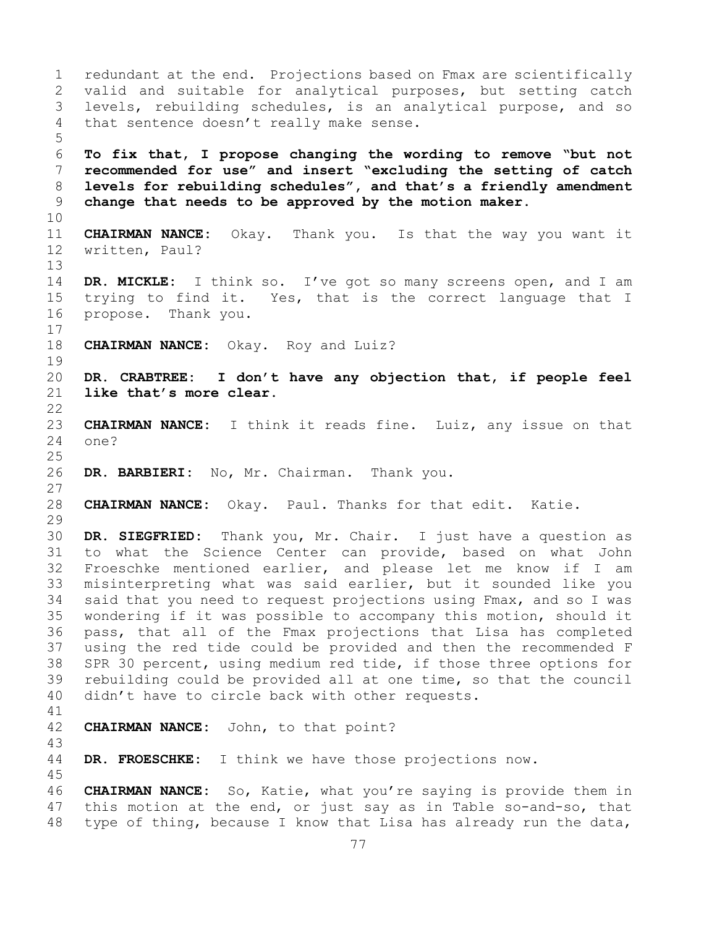1 redundant at the end. Projections based on Fmax are scientifically<br>2 valid and suitable for analytical purposes, but setting catch 2 valid and suitable for analytical purposes, but setting catch<br>3 levels, rebuilding schedules, is an analytical purpose, and so 3 levels, rebuilding schedules, is an analytical purpose, and so<br>4 that sentence doesn't really make sense. that sentence doesn't really make sense. 5 6 **To fix that, I propose changing the wording to remove "but not**  7 **recommended for use" and insert "excluding the setting of catch**  8 **levels for rebuilding schedules", and that's a friendly amendment**  9 **change that needs to be approved by the motion maker.** 10<br>11 11 **CHAIRMAN NANCE:** Okay. Thank you. Is that the way you want it written, Paul? 13 14 **DR. MICKLE:** I think so. I've got so many screens open, and I am<br>15 trying to find it. Yes, that is the correct language that I 15 trying to find it. Yes, that is the correct language that I<br>16 propose. Thank you. propose. Thank you.  $\begin{array}{c} 17 \\ 18 \end{array}$ **CHAIRMAN NANCE:** Okay. Roy and Luiz?  $\begin{array}{c} 19 \\ 20 \end{array}$ 20 **DR. CRABTREE: I don't have any objection that, if people feel**  like that's more clear.  $\begin{array}{c} 22 \\ 23 \end{array}$ 23 **CHAIRMAN NANCE:** I think it reads fine. Luiz, any issue on that one?  $\frac{25}{26}$ DR. BARBIERI: No, Mr. Chairman. Thank you. 27 28 **CHAIRMAN NANCE:** Okay. Paul. Thanks for that edit. Katie. 29<br>30 30 **DR. SIEGFRIED:** Thank you, Mr. Chair. I just have a question as 31 to what the Science Center can provide, based on what John<br>32 Froeschke mentioned earlier, and please let me know if I am Froeschke mentioned earlier, and please let me know if I am 33 misinterpreting what was said earlier, but it sounded like you<br>34 said that you need to request projections using Fmax, and so I was 34 said that you need to request projections using Fmax, and so I was<br>35 wondering if it was possible to accompany this motion, should it 35 wondering if it was possible to accompany this motion, should it<br>36 pass, that all of the Fmax projections that Lisa has completed pass, that all of the Fmax projections that Lisa has completed 37 using the red tide could be provided and then the recommended F 38 SPR 30 percent, using medium red tide, if those three options for<br>39 rebuilding could be provided all at one time, so that the council 39 rebuilding could be provided all at one time, so that the council<br>40 didn't have to circle back with other requests. didn't have to circle back with other requests. 41<br>42 **CHAIRMAN NANCE:** John, to that point? 43 DR. FROESCHKE: I think we have those projections now. 45 46 **CHAIRMAN NANCE:** So, Katie, what you're saying is provide them in<br>47 this motion at the end, or just sav as in Table so-and-so, that 47 this motion at the end, or just say as in Table so-and-so, that<br>48 type of thing, because I know that Lisa has already run the data, type of thing, because I know that Lisa has already run the data,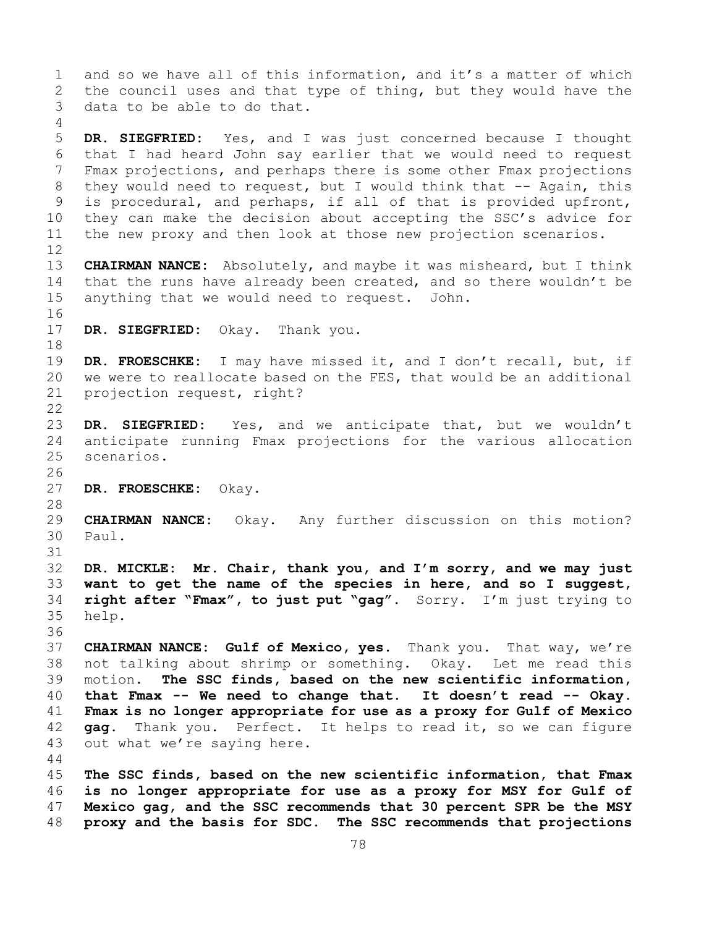1 and so we have all of this information, and it's a matter of which<br>2 the council uses and that type of thing, but they would have the 2 the council uses and that type of thing, but they would have the<br>3 data to be able to do that. data to be able to do that. 4 5 **DR. SIEGFRIED:** Yes, and I was just concerned because I thought 6 that I had heard John say earlier that we would need to request<br>7 Fmax projections, and perhaps there is some other Fmax projections 7 Fmax projections, and perhaps there is some other Fmax projections<br>8 they would need to request, but I would think that -- Again, this 8 they would need to request, but I would think that -- Again, this<br>9 is procedural, and perhaps, if all of that is provided upfront, 9 is procedural, and perhaps, if all of that is provided upfront,<br>10 they can make the decision about accepting the SSC's advice for 10 they can make the decision about accepting the SSC's advice for<br>11 the new proxy and then look at those new projection scenarios. the new proxy and then look at those new projection scenarios. 12<br>13 13 **CHAIRMAN NANCE:** Absolutely, and maybe it was misheard, but I think 14 that the runs have already been created, and so there wouldn't be 15 anything that we would need to request. John. anything that we would need to request. John. 16<br>17 DR. SIEGFRIED: Okay. Thank you. 18<br>19 19 **DR. FROESCHKE:** I may have missed it, and I don't recall, but, if<br>20 we were to reallocate based on the FES, that would be an additional 20 we were to reallocate based on the FES, that would be an additional 21 projection request, right? projection request, right?  $\begin{array}{c} 22 \\ 23 \end{array}$ 23 **DR. SIEGFRIED:** Yes, and we anticipate that, but we wouldn't<br>24 anticipate running Fmax projections for the various allocation 24 anticipate running Fmax projections for the various allocation scenarios. 26<br>27 DR. FROESCHKE: Okay. 28<br>29 29 **CHAIRMAN NANCE:** Okay. Any further discussion on this motion? Paul. 31<br>32 DR. MICKLE: Mr. Chair, thank you, and I'm sorry, and we may just 33 want to get the name of the species in here, and so I suggest,<br>34 right after "Fmax", to just put "gag". Sorry. I'm just trying to 34 **right after "Fmax", to just put "gag".** Sorry. I'm just trying to help. 36 37 **CHAIRMAN NANCE: Gulf of Mexico, yes.** Thank you. That way, we're 38 not talking about shrimp or something. Okay. Let me read this<br>39 motion. The SSC finds, based on the new scientific information, 39 motion. **The SSC finds, based on the new scientific information,**<br>40 **that Fmax -- We need to change that. It doesn't read -- Okay.** 40 **that Fmax -- We need to change that. It doesn't read -- Okay.**  41 **Fmax is no longer appropriate for use as a proxy for Gulf of Mexico**  42 **gag.** Thank you. Perfect. It helps to read it, so we can figure<br>43 out what we're saving here. out what we're saying here. 44 45 **The SSC finds, based on the new scientific information, that Fmax**  46 **is no longer appropriate for use as a proxy for MSY for Gulf of**  47 **Mexico gag, and the SSC recommends that 30 percent SPR be the MSY**  48 **proxy and the basis for SDC. The SSC recommends that projections**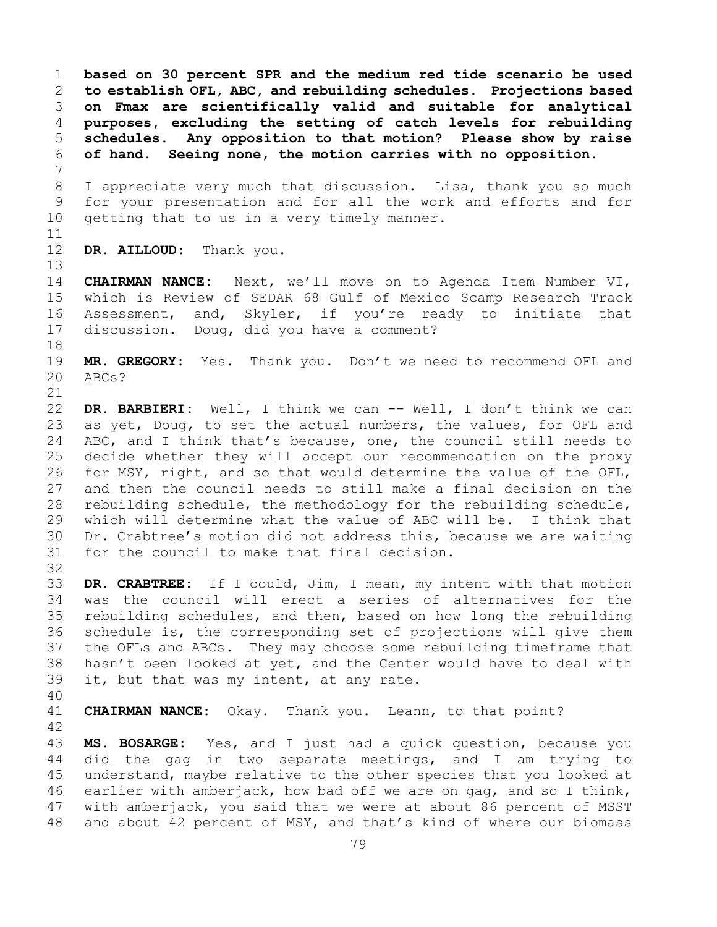**based on 30 percent SPR and the medium red tide scenario be used to establish OFL, ABC, and rebuilding schedules. Projections based on Fmax are scientifically valid and suitable for analytical purposes, excluding the setting of catch levels for rebuilding schedules. Any opposition to that motion? Please show by raise of hand. Seeing none, the motion carries with no opposition.**

7 8 I appreciate very much that discussion. Lisa, thank you so much<br>9 for your presentation and for all the work and efforts and for 9 for your presentation and for all the work and efforts and for<br>10 getting that to us in a very timely manner. getting that to us in a very timely manner.

11<br>12

13

DR. AILLOUD: Thank you.

14 **CHAIRMAN NANCE:** Next, we'll move on to Agenda Item Number VI, 15 which is Review of SEDAR 68 Gulf of Mexico Scamp Research Track<br>16 Assessment, and, Skyler, if you're ready to initiate that 16 Assessment, and, Skyler, if you're ready to initiate that<br>17 discussion. Doug, did you have a comment? discussion. Doug, did you have a comment?

18<br>19 19 **MR. GREGORY:** Yes. Thank you. Don't we need to recommend OFL and 20 ABCs? ABCs?

21<br>22 22 **DR. BARBIERI:** Well, I think we can -- Well, I don't think we can 23 as yet, Doug, to set the actual numbers, the values, for OFL and<br>24 ABC, and I think that's because, one, the council still needs to 24 ABC, and I think that's because, one, the council still needs to<br>25 decide whether they will accept our recommendation on the proxy 25 decide whether they will accept our recommendation on the proxy<br>26 for MSY, right, and so that would determine the value of the OFL, 26 for MSY, right, and so that would determine the value of the OFL,<br>27 and then the council needs to still make a final decision on the and then the council needs to still make a final decision on the 28 rebuilding schedule, the methodology for the rebuilding schedule,<br>29 which will determine what the value of ABC will be. I think that 29 which will determine what the value of ABC will be. I think that<br>30 Dr. Crabtree's motion did not address this, because we are waiting 30 Dr. Crabtree's motion did not address this, because we are waiting<br>31 for the council to make that final decision. for the council to make that final decision. 32

33 **DR. CRABTREE:** If I could, Jim, I mean, my intent with that motion 34 was the council will erect a series of alternatives for the<br>35 rebuilding schedules, and then, based on how long the rebuilding 35 rebuilding schedules, and then, based on how long the rebuilding<br>36 schedule is, the corresponding set of projections will give them schedule is, the corresponding set of projections will give them 37 the OFLs and ABCs. They may choose some rebuilding timeframe that 38 hasn't been looked at yet, and the Center would have to deal with 39 it, but that was my intent, at any rate. it, but that was my intent, at any rate.

40

**CHAIRMAN NANCE:** Okay. Thank you. Leann, to that point?

42 43 **MS. BOSARGE:** Yes, and I just had a quick question, because you did the gag in two separate meetings, and I am trying to 45 understand, maybe relative to the other species that you looked at 46 earlier with amberjack, how bad off we are on gag, and so I think,<br>47 with amberjack, you said that we were at about 86 percent of MSST 47 with amberjack, you said that we were at about 86 percent of MSST<br>48 and about 42 percent of MSY, and that's kind of where our biomass and about 42 percent of MSY, and that's kind of where our biomass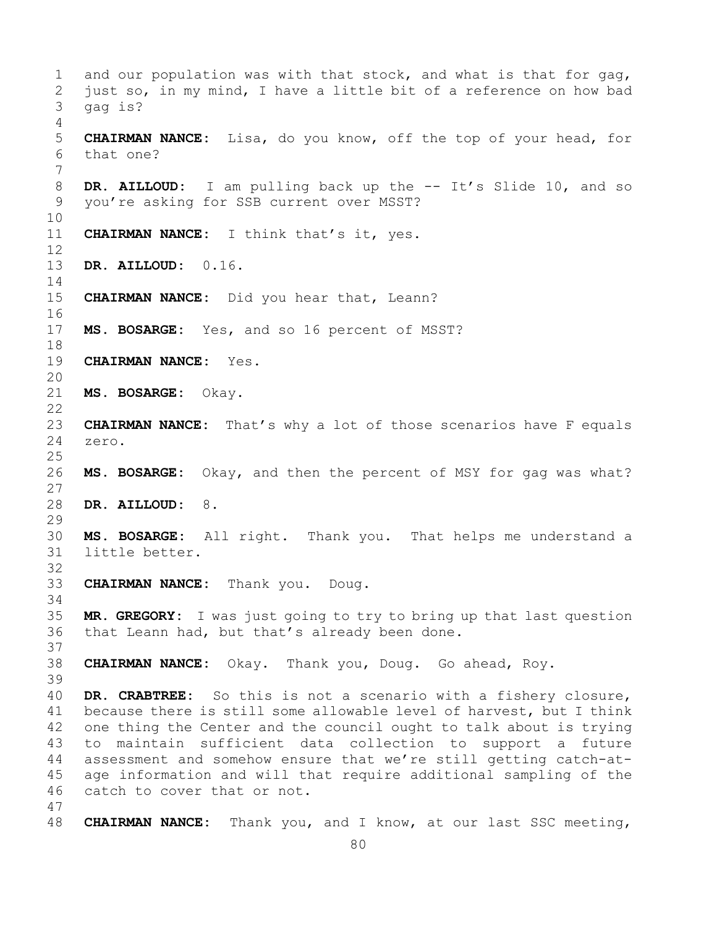1 and our population was with that stock, and what is that for gag,<br>2 just so, in my mind, I have a little bit of a reference on how bad 2 just so, in my mind, I have a little bit of a reference on how bad<br>3 qaq is? gag is? 4 5 **CHAIRMAN NANCE:** Lisa, do you know, off the top of your head, for 6 that one? 7 8 **DR. AILLOUD:** I am pulling back up the -- It's Slide 10, and so you're asking for SSB current over MSST? you're asking for SSB current over MSST? 10<br>11 **CHAIRMAN NANCE:** I think that's it, yes. 12 13 **DR. AILLOUD:** 0.16.  $\frac{14}{15}$ **CHAIRMAN NANCE:** Did you hear that, Leann? 16<br>17 MS. BOSARGE: Yes, and so 16 percent of MSST? 18<br>19 **CHAIRMAN NANCE:** Yes. 20<br>21 21 **MS. BOSARGE:** Okay.  $\begin{array}{c} 22 \\ 23 \end{array}$ 23 **CHAIRMAN NANCE:** That's why a lot of those scenarios have F equals 24 zero. zero.  $\frac{25}{26}$ MS. BOSARGE: Okay, and then the percent of MSY for gag was what? 27 28 **DR. AILLOUD:** 8. 29<br>30 30 **MS. BOSARGE:** All right. Thank you. That helps me understand a little better. 32 33 **CHAIRMAN NANCE:** Thank you. Doug. 34<br>35 35 **MR. GREGORY:** I was just going to try to bring up that last question that Leann had, but that's already been done. 37 38 **CHAIRMAN NANCE:** Okay. Thank you, Doug. Go ahead, Roy. 39 40 **DR. CRABTREE:** So this is not a scenario with a fishery closure, 41 because there is still some allowable level of harvest, but I think<br>42 one thing the Center and the council ought to talk about is trying 42 one thing the Center and the council ought to talk about is trying<br>43 to maintain sufficient data collection to support a future 43 to maintain sufficient data collection to support a future<br>44 assessment and somehow ensure that we're still getting catch-atassessment and somehow ensure that we're still getting catch-at-45 age information and will that require additional sampling of the 46 catch to cover that or not. 47 48 **CHAIRMAN NANCE:** Thank you, and I know, at our last SSC meeting,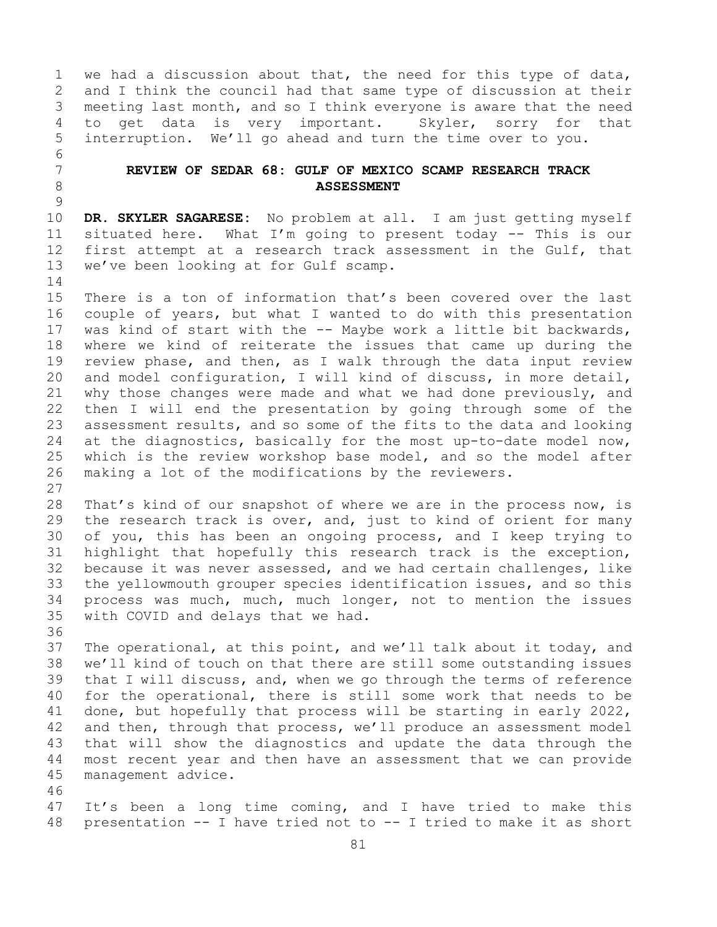1 we had a discussion about that, the need for this type of data,<br>2 and I think the council had that same type of discussion at their 2 and I think the council had that same type of discussion at their<br>3 meeting last month, and so I think everyone is aware that the need 3 meeting last month, and so I think everyone is aware that the need<br>4 to get data is very important. Skyler, sorry for that 4 to get data is very important.<br>5 interruption. We'll go ahead and tu interruption. We'll go ahead and turn the time over to you.

## 7 **REVIEW OF SEDAR 68: GULF OF MEXICO SCAMP RESEARCH TRACK**  8 **ASSESSMENT**

 $\frac{9}{10}$ 10 **DR. SKYLER SAGARESE:** No problem at all. I am just getting myself 11 situated here. What I'm going to present today -- This is our<br>12 first attempt at a research track assessment in the Gulf, that 12 first attempt at a research track assessment in the Gulf, that<br>13 we've been looking at for Gulf scamp. we've been looking at for Gulf scamp.

 $\frac{14}{15}$ 15 There is a ton of information that's been covered over the last<br>16 couple of years, but what I wanted to do with this presentation 16 couple of years, but what I wanted to do with this presentation<br>17 was kind of start with the -- Maybe work a little bit backwards, 17 was kind of start with the -- Maybe work a little bit backwards,<br>18 where we kind of reiterate the issues that came up during the 18 where we kind of reiterate the issues that came up during the<br>19 review phase, and then, as I walk through the data input review 19 review phase, and then, as I walk through the data input review<br>20 and model configuration, I will kind of discuss, in more detail, 20 and model configuration, I will kind of discuss, in more detail,<br>21 why those changes were made and what we had done previously, and 21 why those changes were made and what we had done previously, and<br>22 then I will end the presentation by going through some of the 22 then I will end the presentation by going through some of the<br>23 assessment results, and so some of the fits to the data and looking 23 assessment results, and so some of the fits to the data and looking<br>24 at the diagnostics, basically for the most up-to-date model now, 24 at the diagnostics, basically for the most up-to-date model now,<br>25 which is the review workshop base model, and so the model after 25 which is the review workshop base model, and so the model after<br>26 making a lot of the modifications by the reviewers. making a lot of the modifications by the reviewers.

 $\begin{array}{c} 27 \\ 28 \end{array}$ 28 That's kind of our snapshot of where we are in the process now, is<br>29 the research track is over, and, just to kind of orient for many 29 the research track is over, and, just to kind of orient for many<br>30 of you, this has been an ongoing process, and I keep trying to 30 of you, this has been an ongoing process, and I keep trying to<br>31 highlight that hopefully this research track is the exception, 31 highlight that hopefully this research track is the exception,<br>32 because it was never assessed, and we had certain challenges, like 32 because it was never assessed, and we had certain challenges, like<br>33 the yellowmouth grouper species identification issues, and so this 33 the yellowmouth grouper species identification issues, and so this<br>34 process was much, much, much longer, not to mention the issues 34 process was much, much, much longer, not to mention the issues<br>35 with COVID and delays that we had. with COVID and delays that we had.

6<br>7

36<br>37 37 The operational, at this point, and we'll talk about it today, and<br>38 we'll kind of touch on that there are still some outstanding issues 38 we'll kind of touch on that there are still some outstanding issues<br>39 that I will discuss, and, when we go through the terms of reference 39 that I will discuss, and, when we go through the terms of reference<br>40 for the operational, there is still some work that needs to be 40 for the operational, there is still some work that needs to be<br>41 done, but hopefully that process will be starting in early 2022, 41 done, but hopefully that process will be starting in early 2022,<br>42 and then, through that process, we'll produce an assessment model 42 and then, through that process, we'll produce an assessment model<br>43 that will show the diagnostics and update the data through the 43 that will show the diagnostics and update the data through the<br>44 most recent year and then have an assessment that we can provide most recent year and then have an assessment that we can provide 45 management advice.

46<br>47 47 It's been a long time coming, and I have tried to make this<br>48 presentation -- I have tried not to -- I tried to make it as short presentation -- I have tried not to -- I tried to make it as short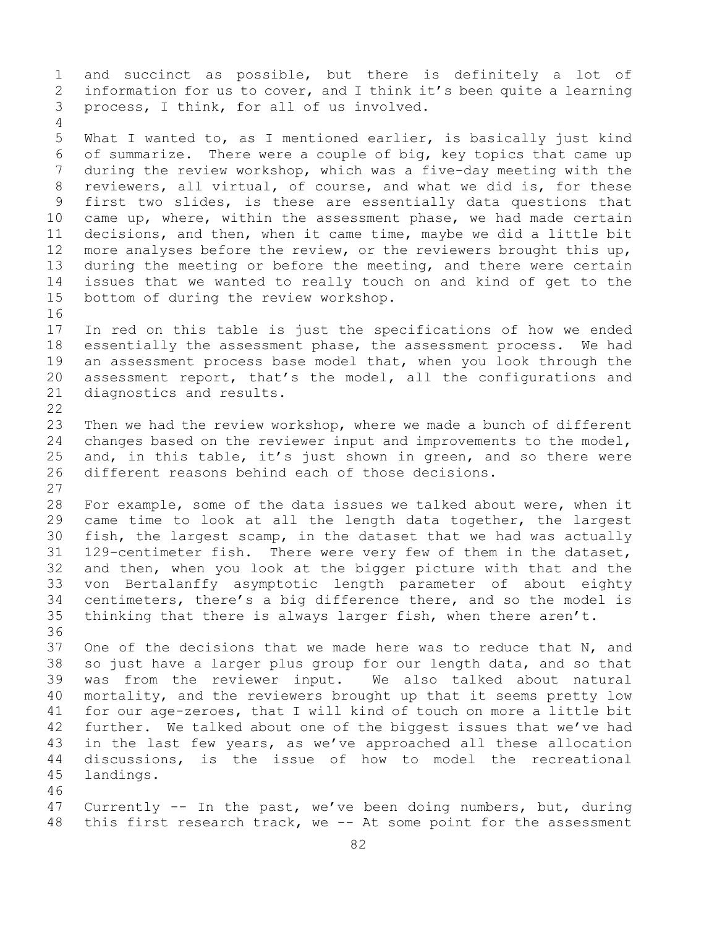1 and succinct as possible, but there is definitely a lot of<br>2 information for us to cover, and I think it's been quite a learning 2 information for us to cover, and I think it's been quite a learning<br>3 process, I think, for all of us involved. process, I think, for all of us involved. 4 5 What I wanted to, as I mentioned earlier, is basically just kind 6 of summarize. There were a couple of big, key topics that came up<br>7 during the review workshop, which was a five-dav meeting with the 7 during the review workshop, which was a five-day meeting with the<br>8 reviewers, all virtual, of course, and what we did is, for these 8 reviewers, all virtual, of course, and what we did is, for these<br>9 first two slides, is these are essentially data questions that 9 first two slides, is these are essentially data questions that<br>10 came up, where, within the assessment phase, we had made certain 10 came up, where, within the assessment phase, we had made certain<br>11 decisions, and then, when it came time, maybe we did a little bit 11 decisions, and then, when it came time, maybe we did a little bit<br>12 more analyses before the review, or the reviewers brought this up, 12 more analyses before the review, or the reviewers brought this up,<br>13 during the meeting or before the meeting, and there were certain during the meeting or before the meeting, and there were certain 14 issues that we wanted to really touch on and kind of get to the<br>15 bottom of during the review workshop. bottom of during the review workshop. 16<br>17 17 In red on this table is just the specifications of how we ended<br>18 essentially the assessment phase, the assessment process. We had 18 essentially the assessment phase, the assessment process. We had<br>19 an assessment process base model that, when you look through the 19 an assessment process base model that, when you look through the<br>20 assessment report, that's the model, all the configurations and 20 assessment report, that's the model, all the configurations and<br>21 diagnostics and results. diagnostics and results.  $\begin{array}{c} 22 \\ 23 \end{array}$ 23 Then we had the review workshop, where we made a bunch of different<br>24 changes based on the reviewer input and improvements to the model, 24 changes based on the reviewer input and improvements to the model,<br>25 and, in this table, it's just shown in green, and so there were 25 and, in this table, it's just shown in green, and so there were<br>26 different reasons behind each of those decisions. different reasons behind each of those decisions.  $\begin{array}{c} 27 \\ 28 \end{array}$ 28 For example, some of the data issues we talked about were, when it<br>29 came time to look at all the length data together, the largest 29 came time to look at all the length data together, the largest<br>30 fish, the largest scamp, in the dataset that we had was actually 30 fish, the largest scamp, in the dataset that we had was actually<br>31 129-centimeter fish. There were very few of them in the dataset, 31 129-centimeter fish. There were very few of them in the dataset,<br>32 and then, when vou look at the bigger picture with that and the 32 and then, when you look at the bigger picture with that and the<br>33 von Bertalanffy asymptotic length parameter of about eighty 33 von Bertalanffy asymptotic length parameter of about eighty<br>34 centimeters, there's a big difference there, and so the model is 34 centimeters, there's a big difference there, and so the model is<br>35 thinking that there is always larger fish, when there aren't. thinking that there is always larger fish, when there aren't. 36<br>37 One of the decisions that we made here was to reduce that  $N$ , and 38 so just have a larger plus group for our length data, and so that<br>39 was from the reviewer input. We also talked about natural 39 was from the reviewer input. We also talked about natural<br>40 mortality, and the reviewers brought up that it seems pretty low 40 mortality, and the reviewers brought up that it seems pretty low<br>41 for our age-zeroes, that I will kind of touch on more a little bit 41 for our age-zeroes, that I will kind of touch on more a little bit<br>42 further. We talked about one of the biggest issues that we've had 42 further. We talked about one of the biggest issues that we've had<br>43 in the last few years, as we've approached all these allocation 43 in the last few years, as we've approached all these allocation<br>44 discussions, is the issue of how to model the recreational discussions, is the issue of how to model the recreational 45 landings. 46<br>47 47 Currently -- In the past, we've been doing numbers, but, during<br>48 this first research track, we -- At some point for the assessment this first research track, we  $-$ - At some point for the assessment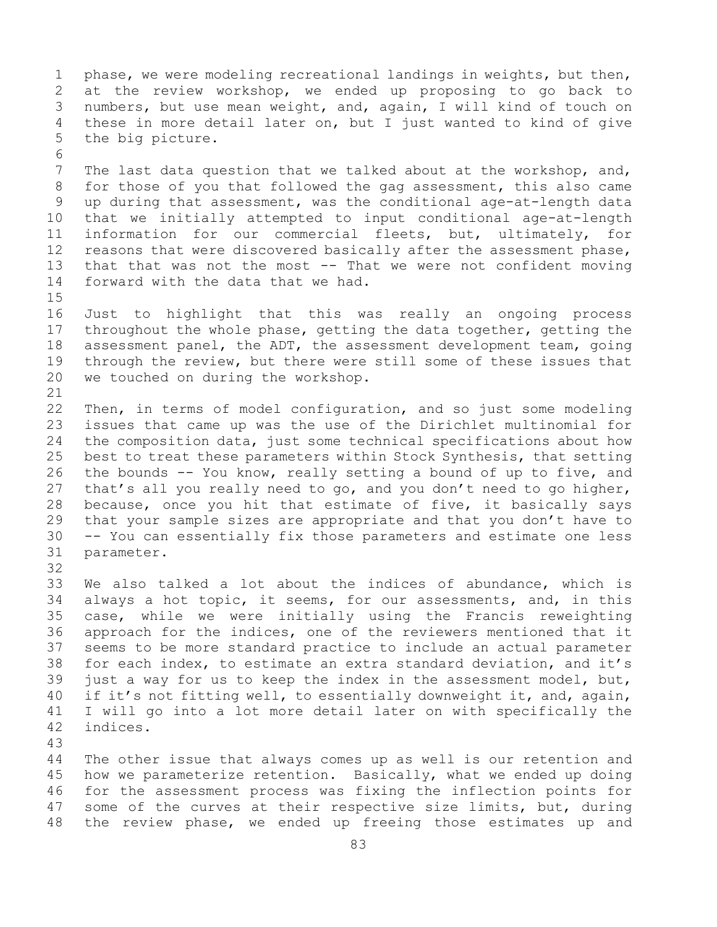1 phase, we were modeling recreational landings in weights, but then,<br>2 at the review workshop, we ended up proposing to go back to 2 at the review workshop, we ended up proposing to go back to<br>3 numbers, but use mean weight, and, again, I will kind of touch on 3 numbers, but use mean weight, and, again, I will kind of touch on<br>4 these in more detail later on, but I just wanted to kind of give these in more detail later on, but I just wanted to kind of give 5 the big picture.

6<br>7 7 The last data question that we talked about at the workshop, and,<br>8 for those of you that followed the gag assessment, this also came 8 for those of you that followed the gag assessment, this also came<br>9 up during that assessment, was the conditional age-at-length data 9 up during that assessment, was the conditional age-at-length data<br>10 that we initially attempted to input conditional age-at-length 10 that we initially attempted to input conditional age-at-length<br>11 information for our commercial fleets, but, ultimately, for 11 information for our commercial fleets, but, ultimately, for<br>12 reasons that were discovered basically after the assessment phase, 12 reasons that were discovered basically after the assessment phase,<br>13 that that was not the most -- That we were not confident moving that that was not the most  $--$  That we were not confident moving 14 forward with the data that we had.

 $15$ <br> $16$ 16 Just to highlight that this was really an ongoing process<br>17 throughout the whole phase, getting the data together, getting the 17 throughout the whole phase, getting the data together, getting the<br>18 assessment panel, the ADT, the assessment development team, going 18 assessment panel, the ADT, the assessment development team, going<br>19 through the review, but there were still some of these issues that 19 through the review, but there were still some of these issues that<br>20 we touched on during the workshop. we touched on during the workshop.

21<br>22 22 Then, in terms of model configuration, and so just some modeling<br>23 issues that came up was the use of the Dirichlet multinomial for 23 issues that came up was the use of the Dirichlet multinomial for<br>24 the composition data, just some technical specifications about how 24 the composition data, just some technical specifications about how<br>25 best to treat these parameters within Stock Synthesis, that setting 25 best to treat these parameters within Stock Synthesis, that setting<br>26 the bounds -- You know, really setting a bound of up to five, and 26 the bounds -- You know, really setting a bound of up to five, and<br>27 that's all you really need to go, and you don't need to go higher, that's all you really need to go, and you don't need to go higher, 28 because, once you hit that estimate of five, it basically says<br>29 that your sample sizes are appropriate and that you don't have to 29 that your sample sizes are appropriate and that you don't have to<br>30 -- You can essentially fix those parameters and estimate one less 30 -- You can essentially fix those parameters and estimate one less<br>31 parameter. parameter.

33 We also talked a lot about the indices of abundance, which is<br>34 always a hot topic, it seems, for our assessments, and, in this 34 always a hot topic, it seems, for our assessments, and, in this<br>35 case, while we were initially using the Francis reweighting 35 case, while we were initially using the Francis reweighting<br>36 approach for the indices, one of the reviewers mentioned that it approach for the indices, one of the reviewers mentioned that it 37 seems to be more standard practice to include an actual parameter 38 for each index, to estimate an extra standard deviation, and it's<br>39 just a way for us to keep the index in the assessment model, but, 39 just a way for us to keep the index in the assessment model, but,<br>40 if it's not fitting well, to essentially downweight it, and, again, 40 if it's not fitting well, to essentially downweight it, and, again,<br>41 I will go into a lot more detail later on with specifically the 41 I will go into a lot more detail later on with specifically the 42 indices. indices.

43

32

The other issue that always comes up as well is our retention and 45 how we parameterize retention. Basically, what we ended up doing 46 for the assessment process was fixing the inflection points for<br>47 some of the curves at their respective size limits, but, during 47 some of the curves at their respective size limits, but, during<br>48 the review phase, we ended up freeing those estimates up and the review phase, we ended up freeing those estimates up and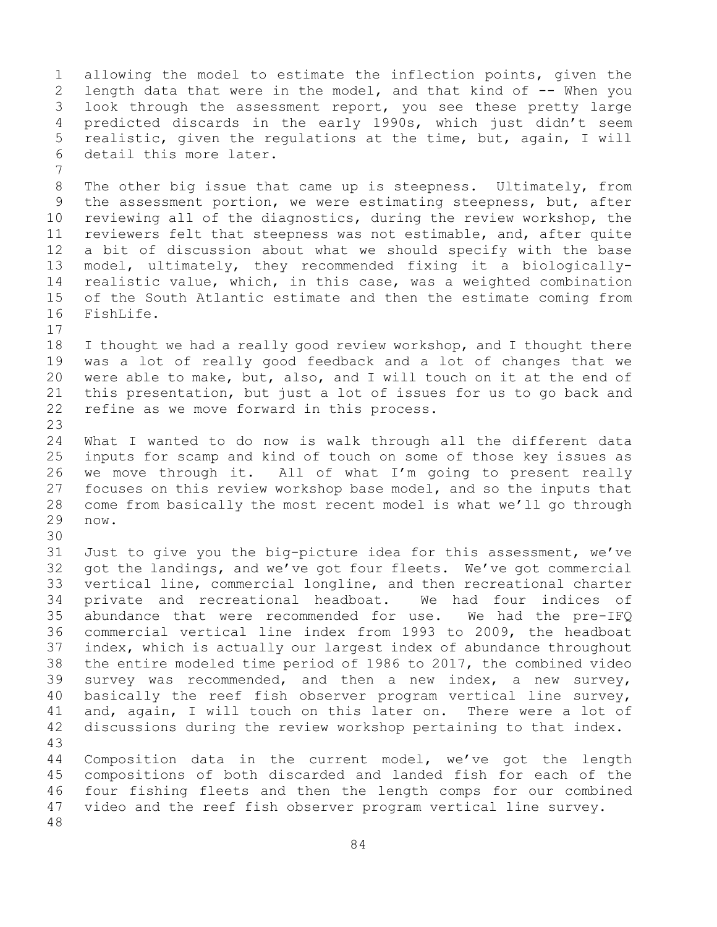1 allowing the model to estimate the inflection points, given the<br>2 length data that were in the model, and that kind of -- When you 2 length data that were in the model, and that kind of -- When you<br>3 look through the assessment report, you see these pretty large 3 look through the assessment report, you see these pretty large<br>4 predicted discards in the early 1990s, which just didn't seem 4 predicted discards in the early 1990s, which just didn't seem<br>5 realistic, given the regulations at the time, but, again, I will realistic, given the regulations at the time, but, again, I will 6 detail this more later. 7 8 The other big issue that came up is steepness. Ultimately, from<br>9 the assessment portion, we were estimating steepness, but, after 9 the assessment portion, we were estimating steepness, but, after<br>10 reviewing all of the diagnostics, during the review workshop, the 10 reviewing all of the diagnostics, during the review workshop, the<br>11 reviewers felt that steepness was not estimable, and, after quite 11 reviewers felt that steepness was not estimable, and, after quite<br>12 a bit of discussion about what we should specify with the base a bit of discussion about what we should specify with the base 13 model, ultimately, they recommended fixing it a biologically-14 realistic value, which, in this case, was a weighted combination<br>15 of the South Atlantic estimate and then the estimate coming from 15 of the South Atlantic estimate and then the estimate coming from<br>16 FishLife. FishLife.  $17$ <br> $18$ 18 I thought we had a really good review workshop, and I thought there<br>19 was a lot of really good feedback and a lot of changes that we 19 was a lot of really good feedback and a lot of changes that we<br>20 were able to make, but, also, and I will touch on it at the end of 20 were able to make, but, also, and I will touch on it at the end of<br>21 this presentation, but just a lot of issues for us to go back and 21 this presentation, but just a lot of issues for us to go back and<br>22 refine as we move forward in this process. refine as we move forward in this process. 23 24 What I wanted to do now is walk through all the different data<br>25 inputs for scamp and kind of touch on some of those key issues as 25 inputs for scamp and kind of touch on some of those key issues as<br>26 we move through it. All of what I'm going to present really 26 we move through it. All of what I'm going to present really<br>27 focuses on this review workshop base model, and so the inputs that 27 focuses on this review workshop base model, and so the inputs that<br>28 come from basically the most recent model is what we'll go through 28 come from basically the most recent model is what we'll go through<br>29 now. now. 30<br>31 31 Just to give you the big-picture idea for this assessment, we've<br>32 got the landings, and we've got four fleets. We've got commercial 32 got the landings, and we've got four fleets. We've got commercial<br>33 vertical line, commercial longline, and then recreational charter 33 vertical line, commercial longline, and then recreational charter<br>34 private and recreational headboat. We had four indices of 34 private and recreational headboat. We had four indices of<br>35 abundance that were recommended for use. We had the pre-IFO 35 abundance that were recommended for use.<br>36 commercial vertical line index from 1993 t commercial vertical line index from 1993 to 2009, the headboat 37 index, which is actually our largest index of abundance throughout 38 the entire modeled time period of 1986 to 2017, the combined video<br>39 survey was recommended, and then a new index, a new survey, 39 survey was recommended, and then a new index, a new survey,<br>40 basically the reef fish observer program vertical line survey, 40 basically the reef fish observer program vertical line survey,<br>41 and, again, I will touch on this later on. There were a lot of 41 and, again, I will touch on this later on.<br>42 discussions during the review workshop pertai discussions during the review workshop pertaining to that index. 43 Composition data in the current model, we've got the length 45 compositions of both discarded and landed fish for each of the 46 four fishing fleets and then the length comps for our combined<br>47 video and the reef fish observer program vertical line survey. video and the reef fish observer program vertical line survey. 48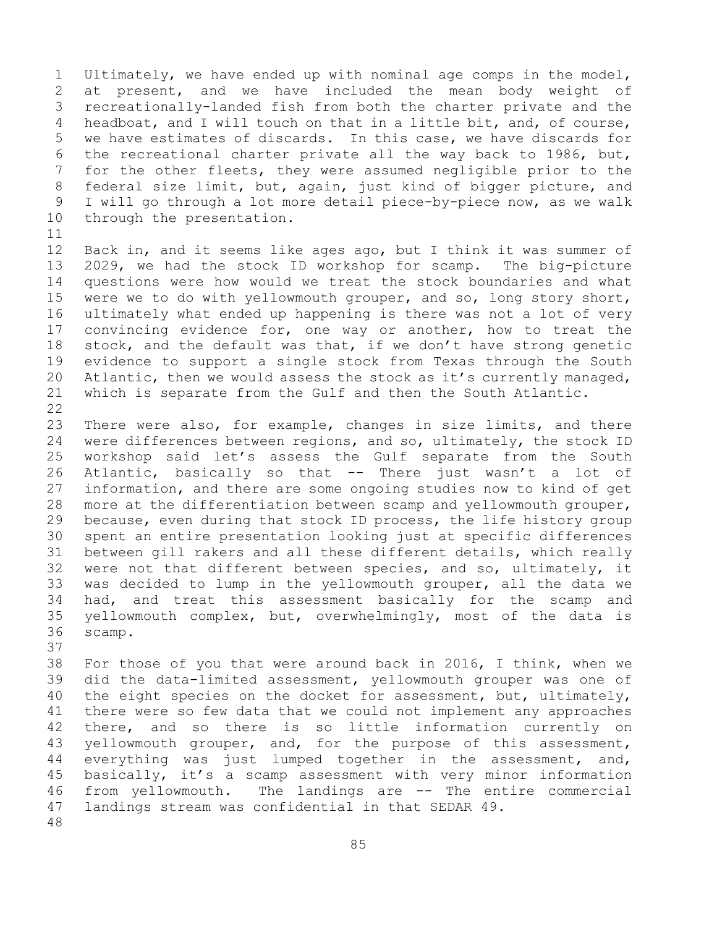1 Ultimately, we have ended up with nominal age comps in the model,<br>2 at present, and we have included the mean body weight of 2 at present, and we have included the mean body weight of<br>3 recreationally-landed fish from both the charter private and the 3 recreationally-landed fish from both the charter private and the<br>4 headboat, and I will touch on that in a little bit, and, of course, headboat, and I will touch on that in a little bit, and, of course, 5 we have estimates of discards. In this case, we have discards for 6 the recreational charter private all the way back to 1986, but,<br>7 for the other fleets, thev were assumed negligible prior to the 7 for the other fleets, they were assumed negligible prior to the<br>8 federal size limit, but, again, just kind of bigger picture, and 8 federal size limit, but, again, just kind of bigger picture, and<br>9 I will go through a lot more detail piece-by-piece now, as we walk 9 I will go through a lot more detail piece-by-piece now, as we walk<br>10 through the presentation. through the presentation.

11<br>12 12 Back in, and it seems like ages ago, but I think it was summer of<br>13 2029, we had the stock ID workshop for scamp. The big-picture 2029, we had the stock ID workshop for scamp. 14 questions were how would we treat the stock boundaries and what<br>15 were we to do with vellowmouth grouper, and so, long story short, 15 were we to do with yellowmouth grouper, and so, long story short,<br>16 ultimately what ended up happening is there was not a lot of very 16 ultimately what ended up happening is there was not a lot of very<br>17 convincing evidence for, one way or another, how to treat the 17 convincing evidence for, one way or another, how to treat the<br>18 stock, and the default was that, if we don't have strong genetic 18 stock, and the default was that, if we don't have strong genetic<br>19 evidence to support a single stock from Texas through the South 19 evidence to support a single stock from Texas through the South<br>20 Atlantic, then we would assess the stock as it's currently managed, 20 Atlantic, then we would assess the stock as it's currently managed,<br>21 which is separate from the Gulf and then the South Atlantic. which is separate from the Gulf and then the South Atlantic.

 $\begin{array}{c} 22 \\ 23 \end{array}$ 23 There were also, for example, changes in size limits, and there<br>24 were differences between regions, and so, ultimately, the stock ID 24 were differences between regions, and so, ultimately, the stock ID<br>25 workshop said let's assess the Gulf separate from the South 25 workshop said let's assess the Gulf separate from the South<br>26 Atlantic, basically so that -- There just wasn't a lot of 26 Atlantic, basically so that -- There just wasn't a lot of<br>27 information, and there are some ongoing studies now to kind of get 27 information, and there are some ongoing studies now to kind of get<br>28 more at the differentiation between scamp and yellowmouth grouper, 28 more at the differentiation between scamp and yellowmouth grouper,<br>29 because, even during that stock ID process, the life history group 29 because, even during that stock ID process, the life history group<br>30 spent an entire presentation looking just at specific differences 30 spent an entire presentation looking just at specific differences<br>31 between gill rakers and all these different details, which really 31 between gill rakers and all these different details, which really<br>32 were not that different between species, and so, ultimately, it 32 were not that different between species, and so, ultimately, it<br>33 was decided to lump in the yellowmouth grouper, all the data we 33 was decided to lump in the yellowmouth grouper, all the data we<br>34 had, and treat this assessment basically for the scamp and 34 had, and treat this assessment basically for the scamp and<br>35 yellowmouth complex, but, overwhelmingly, most of the data is 35 yellowmouth complex, but, overwhelmingly, most of the data is<br>36 scamp. scamp.

37<br>38

38 For those of you that were around back in 2016, I think, when we<br>39 did the data-limited assessment, yellowmouth grouper was one of 39 did the data-limited assessment, yellowmouth grouper was one of<br>40 the eight species on the docket for assessment, but, ultimately, 40 the eight species on the docket for assessment, but, ultimately,<br>41 there were so few data that we could not implement any approaches 41 there were so few data that we could not implement any approaches<br>42 there, and so there is so little information currently on 42 there, and so there is so little information currently<br>43 vellowmouth grouper, and, for the purpose of this assessmer 43 yellowmouth grouper, and, for the purpose of this assessment,<br>44 everything was just lumped together in the assessment, and, everything was just lumped together in the assessment, and, 45 basically, it's a scamp assessment with very minor information 46 from yellowmouth. The landings are -- The entire commercial<br>47 landings stream was confidential in that SEDAR 49. landings stream was confidential in that SEDAR 49. 48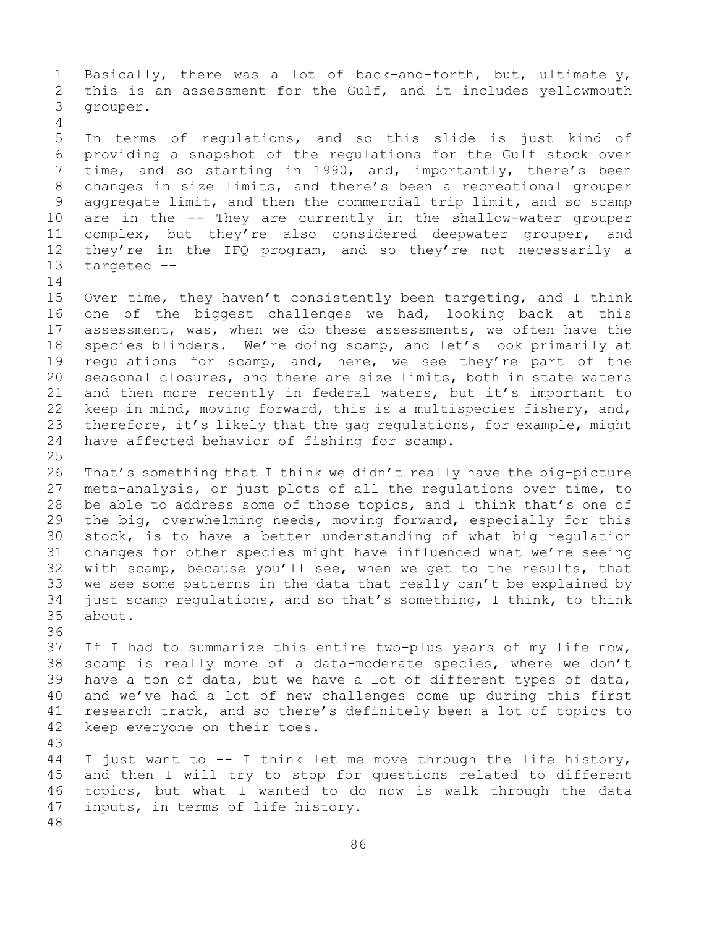1 Basically, there was a lot of back-and-forth, but, ultimately,<br>2 this is an assessment for the Gulf, and it includes yellowmouth 2 this is an assessment for the Gulf, and it includes yellowmouth<br>3 qrouper. grouper. 4 5 In terms of regulations, and so this slide is just kind of 6 providing a snapshot of the regulations for the Gulf stock over<br>7 time, and so starting in 1990, and, importantly, there's been 7 time, and so starting in 1990, and, importantly, there's been<br>8 changes in size limits, and there's been a recreational grouper 8 changes in size limits, and there's been a recreational grouper<br>9 aggregate limit, and then the commercial trip limit, and so scamp 9 aggregate limit, and then the commercial trip limit, and so scamp<br>10 are in the -- They are currently in the shallow-water grouper 10 are in the -- They are currently in the shallow-water grouper<br>11 complex, but thev're also considered deepwater grouper, and 11 complex, but they're also considered deepwater grouper, and<br>12 they're in the IFO program, and so they're not necessarily a 12 they're in the IFQ program, and so they're not necessarily a<br>13 targeted - $targeted$  -- $\frac{14}{15}$ 15 Over time, they haven't consistently been targeting, and I think<br>16 one of the biggest challenges we had, looking back at this 16 one of the biggest challenges we had, looking back at this<br>17 assessment, was, when we do these assessments, we often have the 17 assessment, was, when we do these assessments, we often have the<br>18 species blinders. We're doing scamp, and let's look primarily at 18 species blinders. We're doing scamp, and let's look primarily at<br>19 regulations for scamp, and, here, we see they're part of the 19 regulations for scamp, and, here, we see they're part of the<br>20 seasonal closures, and there are size limits, both in state waters 20 seasonal closures, and there are size limits, both in state waters<br>21 and then more recently in federal waters, but it's important to 21 and then more recently in federal waters, but it's important to<br>22 keep in mind, moving forward, this is a multispecies fishery, and, 22 keep in mind, moving forward, this is a multispecies fishery, and,<br>23 therefore, it's likely that the gag regulations, for example, might 23 therefore, it's likely that the gag regulations, for example, might<br>24 have affected behavior of fishing for scamp. have affected behavior of fishing for scamp.  $\frac{25}{26}$ 26 That's something that I think we didn't really have the big-picture<br>27 meta-analysis, or just plots of all the requlations over time, to 27 meta-analysis, or just plots of all the regulations over time, to<br>28 be able to address some of those topics, and I think that's one of 28 be able to address some of those topics, and I think that's one of<br>29 the big, overwhelming needs, moving forward, especially for this 29 the big, overwhelming needs, moving forward, especially for this<br>30 stock, is to have a better understanding of what big regulation 30 stock, is to have a better understanding of what big regulation<br>31 changes for other species might have influenced what we're seeing 31 changes for other species might have influenced what we're seeing<br>32 with scamp, because you'll see, when we get to the results, that 32 with scamp, because you'll see, when we get to the results, that<br>33 we see some patterns in the data that really can't be explained by 33 we see some patterns in the data that really can't be explained by<br>34 just scamp requlations, and so that's something, I think, to think 34 just scamp regulations, and so that's something, I think, to think<br>35 about. about. 36<br>37 If I had to summarize this entire two-plus years of my life now, 38 scamp is really more of a data-moderate species, where we don't<br>39 have a ton of data, but we have a lot of different types of data, 39 have a ton of data, but we have a lot of different types of data,<br>40 and we've had a lot of new challenges come up during this first 40 and we've had a lot of new challenges come up during this first<br>41 research track, and so there's definitely been a lot of topics to 41 research track, and so there's definitely been a lot of topics to<br>42 keep everyone on their toes. keep everyone on their toes. 43 I just want to  $-$ - I think let me move through the life history, 45 and then I will try to stop for questions related to different 46 topics, but what I wanted to do now is walk through the data<br>47 inputs, in terms of life history. inputs, in terms of life history. 48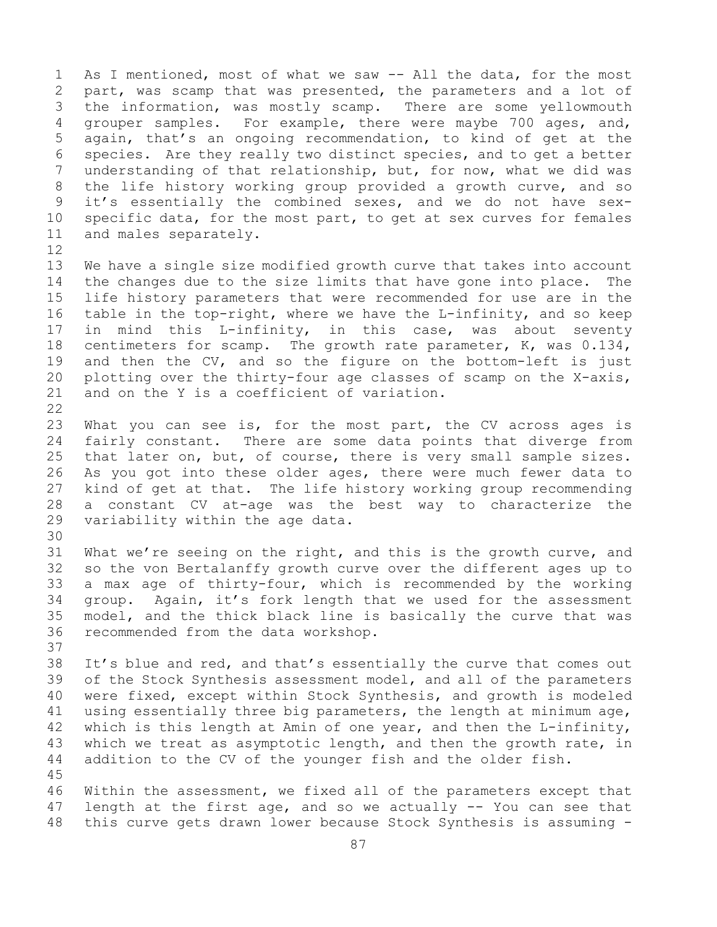1 As I mentioned, most of what we saw -- All the data, for the most<br>2 part, was scamp that was presented, the parameters and a lot of 2 part, was scamp that was presented, the parameters and a lot of<br>3 the information, was mostly scamp. There are some vellowmouth 3 the information, was mostly scamp. There are some yellowmouth<br>4 qrouper samples. For example, there were maybe 700 ages, and, For example, there were maybe 700 ages, and, 5 again, that's an ongoing recommendation, to kind of get at the 6 species. Are they really two distinct species, and to get a better<br>7 understanding of that relationship, but, for now, what we did was 7 understanding of that relationship, but, for now, what we did was<br>8 the life history working group provided a growth curve, and so 8 the life history working group provided a growth curve, and so<br>9 it's essentially the combined sexes, and we do not have sex-9 it's essentially the combined sexes, and we do not have sex-<br>10 specific data, for the most part, to get at sex curves for females 10 specific data, for the most part, to get at sex curves for females 11 and males separately. and males separately.

- 12<br>13 We have a single size modified growth curve that takes into account 14 the changes due to the size limits that have gone into place. The<br>15 life history parameters that were recommended for use are in the 15 life history parameters that were recommended for use are in the<br>16 table in the top-right, where we have the L-infinity, and so keep 16 table in the top-right, where we have the L-infinity, and so keep<br>17 in mind this L-infinity, in this case, was about seventy 17 in mind this L-infinity, in this case, was about seventy<br>18 centimeters for scamp. The growth rate parameter, K, was 0.134, 18 centimeters for scamp. The growth rate parameter, K, was 0.134,<br>19 and then the CV, and so the figure on the bottom-left is just 19 and then the CV, and so the figure on the bottom-left is just<br>20 plotting over the thirty-four age classes of scamp on the X-axis, 20 plotting over the thirty-four age classes of scamp on the X-axis,<br>21 and on the Y is a coefficient of variation. and on the Y is a coefficient of variation.
- $\begin{array}{c} 22 \\ 23 \end{array}$ 23 What you can see is, for the most part, the CV across ages is<br>24 fairly constant. There are some data points that diverge from 24 fairly constant. There are some data points that diverge from<br>25 that later on, but, of course, there is very small sample sizes. 25 that later on, but, of course, there is very small sample sizes.<br>26 As you got into these older ages, there were much fewer data to 26 As you got into these older ages, there were much fewer data to<br>27 kind of get at that. The life history working group recommending 27 kind of get at that. The life history working group recommending<br>28 a constant CV at-age was the best way to characterize the 28 a constant CV at-age was the best way to characterize the<br>29 variability within the age data. variability within the age data.

30<br>31 31 What we're seeing on the right, and this is the growth curve, and<br>32 so the von Bertalanffy growth curve over the different ages up to so the von Bertalanffy growth curve over the different ages up to 33 a max age of thirty-four, which is recommended by the working<br>34 qroup. Again, it's fork length that we used for the assessment 34 group. Again, it's fork length that we used for the assessment<br>35 model, and the thick black line is basically the curve that was 35 model, and the thick black line is basically the curve that was<br>36 recommended from the data workshop. recommended from the data workshop. 37

- 38 It's blue and red, and that's essentially the curve that comes out<br>39 of the Stock Synthesis assessment model, and all of the parameters 39 of the Stock Synthesis assessment model, and all of the parameters<br>40 were fixed, except within Stock Synthesis, and growth is modeled 40 were fixed, except within Stock Synthesis, and growth is modeled<br>41 using essentially three big parameters, the length at minimum age, 41 using essentially three big parameters, the length at minimum age,<br>42 which is this length at Amin of one year, and then the L-infinity, 42 which is this length at Amin of one year, and then the L-infinity,<br>43 which we treat as asymptotic length, and then the growth rate, in 43 which we treat as asymptotic length, and then the growth rate, in<br>44 addition to the CV of the younger fish and the older fish. addition to the CV of the younger fish and the older fish. 45
- 46 Within the assessment, we fixed all of the parameters except that<br>47 length at the first age, and so we actually -- You can see that 47 length at the first age, and so we actually  $-$  You can see that 48 this curve gets drawn lower because Stock Synthesis is assuming  $$ this curve gets drawn lower because Stock Synthesis is assuming -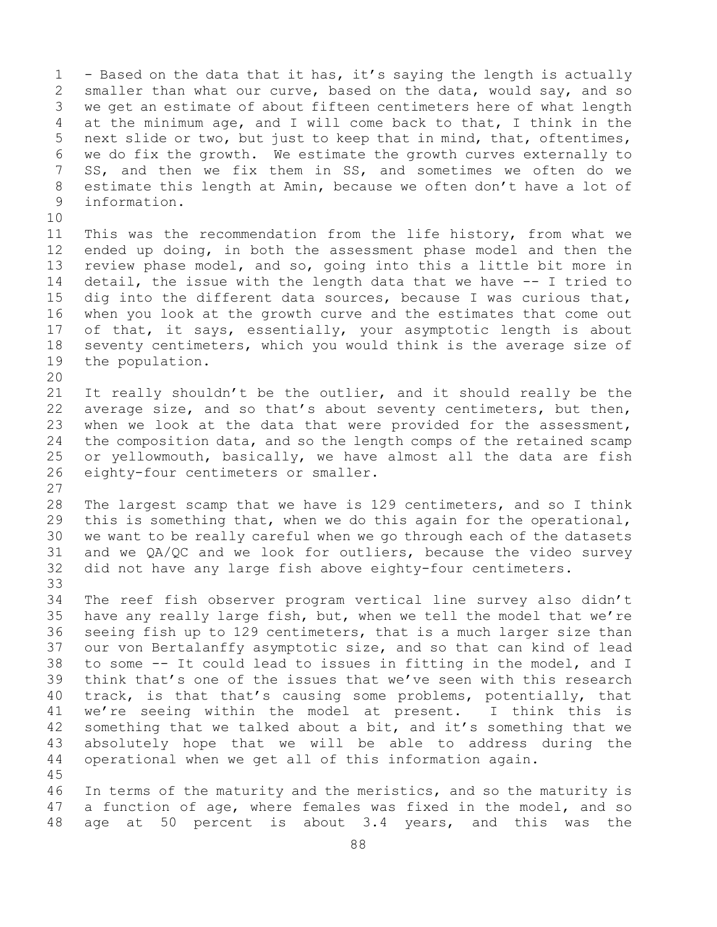1 - Based on the data that it has, it's saying the length is actually<br>2 smaller than what our curve, based on the data, would say, and so 2 smaller than what our curve, based on the data, would say, and so<br>3 we get an estimate of about fifteen centimeters here of what length 3 we get an estimate of about fifteen centimeters here of what length<br>4 at the minimum age, and I will come back to that, I think in the at the minimum age, and I will come back to that, I think in the 5 next slide or two, but just to keep that in mind, that, oftentimes, 6 we do fix the growth. We estimate the growth curves externally to<br>7 SS, and then we fix them in SS, and sometimes we often do we 7 SS, and then we fix them in SS, and sometimes we often do we<br>8 estimate this length at Amin, because we often don't have a lot of 8 estimate this length at Amin, because we often don't have a lot of<br>9 information. 9 information. 10<br>11 11 This was the recommendation from the life history, from what we<br>12 ended up doing, in both the assessment phase model and then the ended up doing, in both the assessment phase model and then the 13 review phase model, and so, going into this a little bit more in 14 detail, the issue with the length data that we have -- I tried to<br>15 dig into the different data sources, because I was curious that, 15 dig into the different data sources, because I was curious that,<br>16 when you look at the growth curve and the estimates that come out 16 when you look at the growth curve and the estimates that come out<br>17 of that, it says, essentially, your asymptotic length is about 17 of that, it says, essentially, your asymptotic length is about<br>18 seventy centimeters, which you would think is the average size of 18 seventy centimeters, which you would think is the average size of<br>19 the population. the population. 20<br>21 21 It really shouldn't be the outlier, and it should really be the<br>22 average size, and so that's about seventy centimeters, but then, 22 average size, and so that's about seventy centimeters, but then,<br>23 when we look at the data that were provided for the assessment, 23 when we look at the data that were provided for the assessment,<br>24 the composition data, and so the length comps of the retained scamp 24 the composition data, and so the length comps of the retained scamp<br>25 or yellowmouth, basically, we have almost all the data are fish 25 or yellowmouth, basically, we have almost all the data are fish<br>26 eighty-four centimeters or smaller. eighty-four centimeters or smaller.  $\frac{27}{28}$ 28 The largest scamp that we have is 129 centimeters, and so I think<br>29 this is something that, when we do this again for the operational, 29 this is something that, when we do this again for the operational,<br>30 we want to be really careful when we go through each of the datasets 30 we want to be really careful when we go through each of the datasets<br>31 and we QA/QC and we look for outliers, because the video survey 31 and we  $QA/QC$  and we look for outliers, because the video survey<br>32 did not have any large fish above eighty-four centimeters. did not have any large fish above eighty-four centimeters. 33<br>34 34 The reef fish observer program vertical line survey also didn't<br>35 have any really large fish, but, when we tell the model that we're 35 have any really large fish, but, when we tell the model that we're<br>36 seeing fish up to 129 centimeters, that is a much larger size than 36 seeing fish up to 129 centimeters, that is a much larger size than<br>37 our von Bertalanffy asymptotic size, and so that can kind of lead our von Bertalanffy asymptotic size, and so that can kind of lead 38 to some -- It could lead to issues in fitting in the model, and I<br>39 think that's one of the issues that we've seen with this research 39 think that's one of the issues that we've seen with this research<br>40 track, is that that's causing some problems, potentially, that 40 track, is that that's causing some problems, potentially, that<br>41 we're seeing within the model at present. I think this is 41 we're seeing within the model at present.<br>42 something that we talked about a bit, and it's 42 something that we talked about a bit, and it's something that we<br>43 absolutely hope that we will be able to address during the 43 absolutely hope that we will be able to address during the<br>44 operational when we get all of this information again. operational when we get all of this information again. 45 46 In terms of the maturity and the meristics, and so the maturity is<br>47 a function of age, where females was fixed in the model, and so

47 a function of age, where females was fixed in the model, and so<br>48 age at 50 percent is about 3.4 years, and this was the age at 50 percent is about 3.4 years, and this was the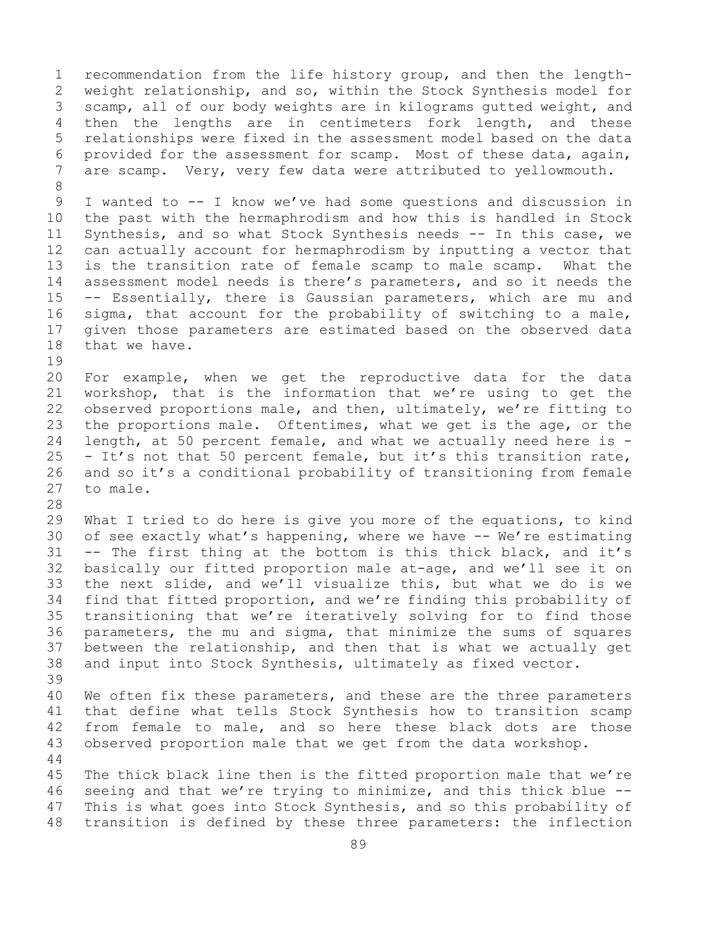1 recommendation from the life history group, and then the length-<br>2 weight relationship, and so, within the Stock Synthesis model for 2 weight relationship, and so, within the Stock Synthesis model for<br>3 scamp, all of our body weights are in kilograms gutted weight, and 3 scamp, all of our body weights are in kilograms gutted weight, and<br>4 then the lengths are in centimeters fork length, and these 4 then the lengths are in centimeters fork length,<br>5 relationships were fixed in the assessment model based o 5 relationships were fixed in the assessment model based on the data 6 provided for the assessment for scamp. Most of these data, again,<br>7 are scamp. Verv, verv few data were attributed to vellowmouth. are scamp. Very, very few data were attributed to yellowmouth. 8 9 I wanted to -- I know we've had some questions and discussion in<br>10 the past with the hermaphrodism and how this is handled in Stock 10 the past with the hermaphrodism and how this is handled in Stock<br>11 Svnthesis, and so what Stock Synthesis needs -- In this case, we 11 Synthesis, and so what Stock Synthesis needs -- In this case, we<br>12 can actually account for hermaphrodism by inputting a vector that 12 can actually account for hermaphrodism by inputting a vector that<br>13 is the transition rate of female scamp to male scamp. What the is the transition rate of female scamp to male scamp. What the 14 assessment model needs is there's parameters, and so it needs the<br>15 -- Essentially, there is Gaussian parameters, which are mu and 15 -- Essentially, there is Gaussian parameters, which are mu and<br>16 sigma, that account for the probability of switching to a male,

16 sigma, that account for the probability of switching to a male,<br>17 qiven those parameters are estimated based on the observed data 17 given those parameters are estimated based on the observed data<br>18 that we have. that we have.

19<br>20 20 For example, when we get the reproductive data for the data<br>21 workshop, that is the information that we're using to get the 21 workshop, that is the information that we're using to get the<br>22 observed proportions male, and then, ultimately, we're fitting to 22 observed proportions male, and then, ultimately, we're fitting to<br>23 the proportions male. Oftentimes, what we get is the age, or the 23 the proportions male. Oftentimes, what we get is the age, or the<br>24 length, at 50 percent female, and what we actually need here is -24 length, at 50 percent female, and what we actually need here is  $-$  25  $-$  It's not that 50 percent female, but it's this transition rate, 25 - It's not that 50 percent female, but it's this transition rate,<br>26 and so it's a conditional probability of transitioning from female 26 and so it's a conditional probability of transitioning from female<br>27 to male. to male.

28<br>29 29 What I tried to do here is give you more of the equations, to kind<br>30 of see exactly what's happening, where we have -- We're estimating 30 of see exactly what's happening, where we have  $-$  We're estimating<br>31 -- The first thing at the bottom is this thick black, and it's 31 -- The first thing at the bottom is this thick black, and it's<br>32 basically our fitted proportion male at-age, and we'll see it on basically our fitted proportion male at-age, and we'll see it on 33 the next slide, and we'll visualize this, but what we do is we<br>34 find that fitted proportion, and we're finding this probability of 34 find that fitted proportion, and we're finding this probability of<br>35 transitioning that we're iteratively solving for to find those 35 transitioning that we're iteratively solving for to find those<br>36 parameters, the mu and sigma, that minimize the sums of squares 36 parameters, the mu and sigma, that minimize the sums of squares<br>37 between the relationship, and then that is what we actually get 37 between the relationship, and then that is what we actually get<br>38 and input into Stock Synthesis, ultimately as fixed vector. and input into Stock Synthesis, ultimately as fixed vector.

39 40 We often fix these parameters, and these are the three parameters<br>41 that define what tells Stock Synthesis how to transition scamp 41 that define what tells Stock Synthesis how to transition scamp<br>42 from female to male, and so here these black dots are those 42 from female to male, and so here these black dots are those<br>43 observed proportion male that we get from the data workshop. observed proportion male that we get from the data workshop.

44

45 The thick black line then is the fitted proportion male that we're 46 seeing and that we're trying to minimize, and this thick blue --<br>47 This is what goes into Stock Synthesis, and so this probability of 47 This is what goes into Stock Synthesis, and so this probability of<br>48 transition is defined by these three parameters: the inflection transition is defined by these three parameters: the inflection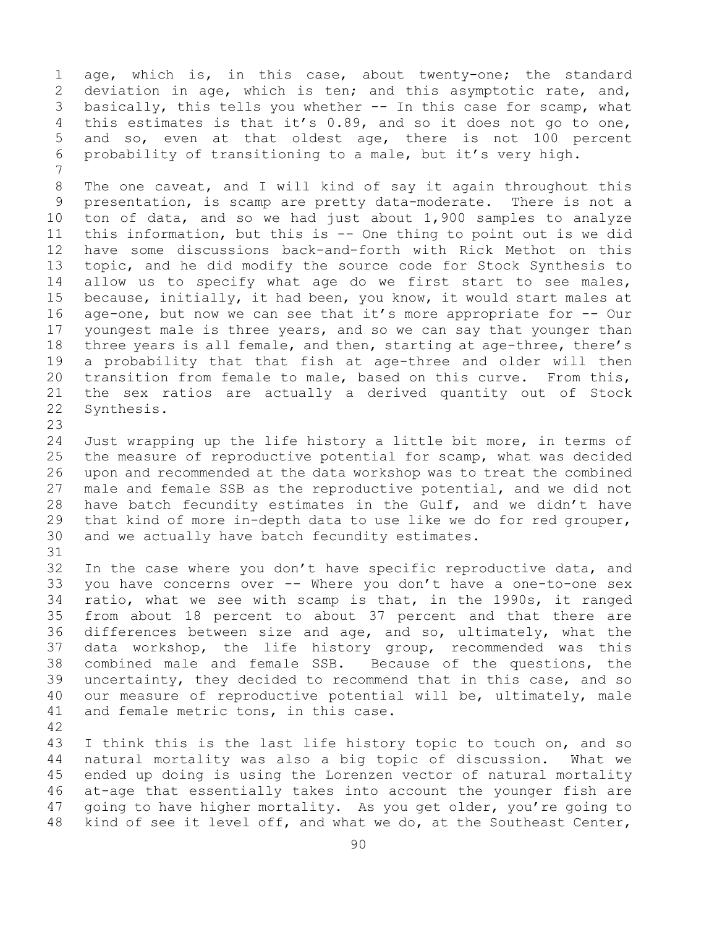1 age, which is, in this case, about twenty-one; the standard<br>2 deviation in age, which is ten; and this asymptotic rate, and, 2 deviation in age, which is ten; and this asymptotic rate, and,<br>3 basically, this tells you whether -- In this case for scamp, what 3 basically, this tells you whether -- In this case for scamp, what<br>4 this estimates is that it's 0.89, and so it does not go to one, 4 this estimates is that it's 0.89, and so it does not go to one,<br>5 and so, even at that oldest age, there is not 100 percent and so, even at that oldest age, there is not 100 percent 6 probability of transitioning to a male, but it's very high.

7 8 The one caveat, and I will kind of say it again throughout this<br>9 presentation, is scamp are pretty data-moderate. There is not a 9 presentation, is scamp are pretty data-moderate. There is not a<br>10 ton of data, and so we had just about 1,900 samples to analyze 10 ton of data, and so we had just about 1,900 samples to analyze<br>11 this information, but this is -- One thing to point out is we did 11 this information, but this is -- One thing to point out is we did<br>12 have some discussions back-and-forth with Rick Methot on this 12 have some discussions back-and-forth with Rick Methot on this<br>13 topic, and he did modify the source code for Stock Synthesis to topic, and he did modify the source code for Stock Synthesis to 14 allow us to specify what age do we first start to see males,<br>15 because, initially, it had been, you know, it would start males at 15 because, initially, it had been, you know, it would start males at<br>16 age-one, but now we can see that it's more appropriate for -- Our 16 age-one, but now we can see that it's more appropriate for  $-$  Our 17 youngest male is three years, and so we can say that younger than 17 youngest male is three years, and so we can say that younger than<br>18 three years is all female, and then, starting at age-three, there's 18 three years is all female, and then, starting at age-three, there's<br>19 a probability that that fish at age-three and older will then 19 a probability that that fish at age-three and older will then<br>20 transition from female to male, based on this curve. From this, 20 transition from female to male, based on this curve. From this,<br>21 the sex ratios are actually a derived quantity out of Stock 21 the sex ratios are actually a derived quantity out of Stock<br>22 Synthesis. Synthesis.

23 24 Just wrapping up the life history a little bit more, in terms of<br>25 the measure of reproductive potential for scamp, what was decided 25 the measure of reproductive potential for scamp, what was decided<br>26 upon and recommended at the data workshop was to treat the combined 26 upon and recommended at the data workshop was to treat the combined<br>27 male and female SSB as the reproductive potential, and we did not male and female SSB as the reproductive potential, and we did not 28 have batch fecundity estimates in the Gulf, and we didn't have<br>29 that kind of more in-depth data to use like we do for red grouper, 29 that kind of more in-depth data to use like we do for red grouper,<br>30 and we actually have batch fecundity estimates. and we actually have batch fecundity estimates.

31<br>32

In the case where you don't have specific reproductive data, and 33 you have concerns over -- Where you don't have a one-to-one sex<br>34 ratio, what we see with scamp is that, in the 1990s, it ranged 34 ratio, what we see with scamp is that, in the 1990s, it ranged<br>35 from about 18 percent to about 37 percent and that there are 35 from about 18 percent to about 37 percent and that there are<br>36 differences between size and age, and so, ultimately, what the 36 differences between size and age, and so, ultimately, what the<br>37 data workshop, the life history group, recommended was this data workshop, the life history group, recommended was this 38 combined male and female SSB. Because of the questions, the<br>39 uncertainty, they decided to recommend that in this case, and so 39 uncertainty, they decided to recommend that in this case, and so<br>40 our measure of reproductive potential will be, ultimately, male 40 our measure of reproductive potential will be, ultimately, male<br>41 and female metric tons, in this case. and female metric tons, in this case.

42 43 I think this is the last life history topic to touch on, and so<br>44 natural mortality was also a big topic of discussion. What we natural mortality was also a big topic of discussion. What we 45 ended up doing is using the Lorenzen vector of natural mortality 46 at-age that essentially takes into account the younger fish are<br>47 qoing to have higher mortality. As you get older, you're going to 47 going to have higher mortality. As you get older, you're going to<br>48 kind of see it level off, and what we do, at the Southeast Center, kind of see it level off, and what we do, at the Southeast Center,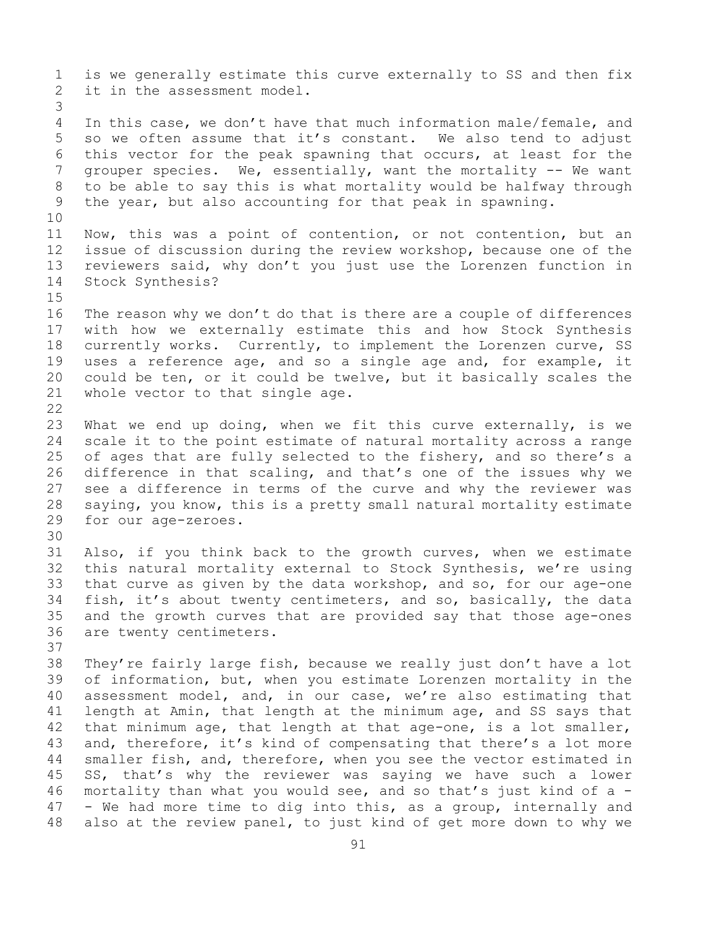1 is we generally estimate this curve externally to SS and then fix<br>2 it in the assessment model. it in the assessment model. 3 In this case, we don't have that much information male/female, and 5 so we often assume that it's constant. We also tend to adjust 6 this vector for the peak spawning that occurs, at least for the  $\overline{a}$  arouper species. We, essentially, want the mortality  $\overline{a}$  = We want 7 grouper species. We, essentially, want the mortality -- We want<br>8 to be able to say this is what mortality would be halfway through 8 to be able to say this is what mortality would be halfway through<br>9 the year, but also accounting for that peak in spawning. the year, but also accounting for that peak in spawning. 10<br>11 11 Now, this was a point of contention, or not contention, but an<br>12 issue of discussion during the review workshop, because one of the 12 issue of discussion during the review workshop, because one of the<br>13 reviewers said, why don't you just use the Lorenzen function in reviewers said, why don't you just use the Lorenzen function in 14 Stock Synthesis?  $15$ <br> $16$ 16 The reason why we don't do that is there are a couple of differences<br>17 with how we externally estimate this and how Stock Synthesis 17 with how we externally estimate this and how Stock Synthesis<br>18 currently works. Currently, to implement the Lorenzen curve, SS 18 currently works. Currently, to implement the Lorenzen curve, SS<br>19 uses a reference age, and so a single age and, for example, it 19 uses a reference age, and so a single age and, for example, it<br>20 could be ten, or it could be twelve, but it basically scales the 20 could be ten, or it could be twelve, but it basically scales the  $21$  whole vector to that single age. whole vector to that single age.  $\begin{array}{c} 22 \\ 23 \end{array}$ 23 What we end up doing, when we fit this curve externally, is we<br>24 scale it to the point estimate of natural mortality across a range 24 scale it to the point estimate of natural mortality across a range<br>25 of ages that are fully selected to the fishery, and so there's a 25 of ages that are fully selected to the fishery, and so there's a<br>26 difference in that scaling, and that's one of the issues why we 26 difference in that scaling, and that's one of the issues why we<br>27 see a difference in terms of the curve and why the reviewer was see a difference in terms of the curve and why the reviewer was 28 saying, you know, this is a pretty small natural mortality estimate<br>29 for our age-zeroes. for our age-zeroes. 30<br>31 31 Also, if you think back to the growth curves, when we estimate<br>32 this natural mortality external to Stock Synthesis, we're using this natural mortality external to Stock Synthesis, we're using 33 that curve as given by the data workshop, and so, for our age-one<br>34 fish, it's about twenty centimeters, and so, basically, the data 34 fish, it's about twenty centimeters, and so, basically, the data<br>35 and the growth curves that are provided say that those age-ones 35 and the growth curves that are provided say that those age-ones<br>36 are twenty centimeters. are twenty centimeters. 37<br>38 38 They're fairly large fish, because we really just don't have a lot<br>39 of information, but, when you estimate Lorenzen mortality in the 39 of information, but, when you estimate Lorenzen mortality in the<br>40 assessment model, and, in our case, we're also estimating that 40 assessment model, and, in our case, we're also estimating that<br>41 length at Amin, that length at the minimum age, and SS says that 41 length at Amin, that length at the minimum age, and SS says that<br>42 that minimum age, that length at that age-one, is a lot smaller, 42 that minimum age, that length at that age-one, is a lot smaller,<br>43 and, therefore, it's kind of compensating that there's a lot more 43 and, therefore, it's kind of compensating that there's a lot more<br>44 smaller fish, and, therefore, when you see the vector estimated in smaller fish, and, therefore, when you see the vector estimated in 45 SS, that's why the reviewer was saying we have such a lower 46 mortality than what you would see, and so that's just kind of a  $-$  47  $-$  We had more time to dig into this, as a group, internally and 47 - We had more time to dig into this, as a group, internally and<br>48 also at the review panel, to just kind of get more down to why we also at the review panel, to just kind of get more down to why we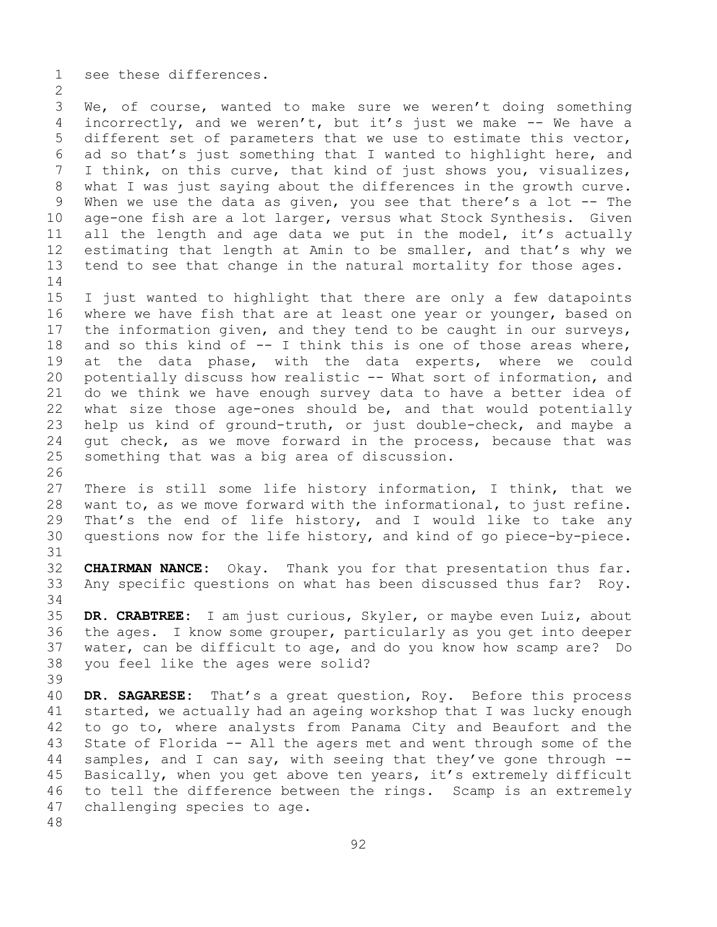1 see these differences.

 $\frac{2}{3}$ 3 We, of course, wanted to make sure we weren't doing something<br>4 incorrectly, and we weren't, but it's just we make -- We have a incorrectly, and we weren't, but it's just we make  $-$ - We have a 5 different set of parameters that we use to estimate this vector, 6 ad so that's just something that I wanted to highlight here, and<br>7 I think, on this curve, that kind of just shows you, visualizes, 7 I think, on this curve, that kind of just shows you, visualizes,<br>8 what I was just saying about the differences in the growth curve. 8 what I was just saying about the differences in the growth curve.<br>9 When we use the data as given, you see that there's a lot -- The 9 When we use the data as given, you see that there's a lot -- The<br>10 age-one fish are a lot larger, versus what Stock Synthesis. Given 10 age-one fish are a lot larger, versus what Stock Synthesis. Given<br>11 all the length and age data we put in the model, it's actually 11 all the length and age data we put in the model, it's actually<br>12 estimating that length at Amin to be smaller, and that's why we 12 estimating that length at Amin to be smaller, and that's why we<br>13 tend to see that change in the natural mortality for those ages. tend to see that change in the natural mortality for those ages.

 $\frac{14}{15}$ 15 I just wanted to highlight that there are only a few datapoints<br>16 where we have fish that are at least one year or younger, based on 16 where we have fish that are at least one year or younger, based on<br>17 the information given, and they tend to be caught in our surveys, 17 the information given, and they tend to be caught in our surveys,<br>18 and so this kind of -- I think this is one of those areas where, 18 and so this kind of  $-$  I think this is one of those areas where,<br>19 at the data phase, with the data experts, where we could 19 at the data phase, with the data experts, where we could<br>20 potentially discuss how realistic -- What sort of information, and 20 potentially discuss how realistic -- What sort of information, and<br>21 do we think we have enough survey data to have a better idea of 21 do we think we have enough survey data to have a better idea of<br>22 what size those age-ones should be, and that would potentially 22 what size those age-ones should be, and that would potentially<br>23 help us kind of ground-truth, or just double-check, and maybe a 23 help us kind of ground-truth, or just double-check, and maybe a<br>24 qut check, as we move forward in the process, because that was 24 gut check, as we move forward in the process, because that was<br>25 something that was a big area of discussion. something that was a big area of discussion.

26<br>27 There is still some life history information, I think, that we 28 want to, as we move forward with the informational, to just refine.<br>29 That's the end of life history, and I would like to take any 29 That's the end of life history, and I would like to take any<br>30 questions now for the life history, and kind of go piece-by-piece. questions now for the life history, and kind of go piece-by-piece.

31<br>32 **CHAIRMAN NANCE:** Okay. Thank you for that presentation thus far. 33 Any specific questions on what has been discussed thus far? Roy.

34<br>35 35 **DR. CRABTREE:** I am just curious, Skyler, or maybe even Luiz, about 36 the ages. I know some grouper, particularly as you get into deeper<br>37 water, can be difficult to age, and do you know how scamp are? Do water, can be difficult to age, and do you know how scamp are? Do 38 you feel like the ages were solid?

39 40 **DR. SAGARESE:** That's a great question, Roy. Before this process 41 started, we actually had an ageing workshop that I was lucky enough<br>42 to go to, where analysts from Panama City and Beaufort and the 42 to go to, where analysts from Panama City and Beaufort and the<br>43 State of Florida -- All the agers met and went through some of the 43 State of Florida -- All the agers met and went through some of the<br>44 samples, and I can say, with seeing that they've gone through -samples, and I can say, with seeing that they've gone through  $-$ -45 Basically, when you get above ten years, it's extremely difficult 46 to tell the difference between the rings. Scamp is an extremely<br>47 challenging species to age. challenging species to age.

48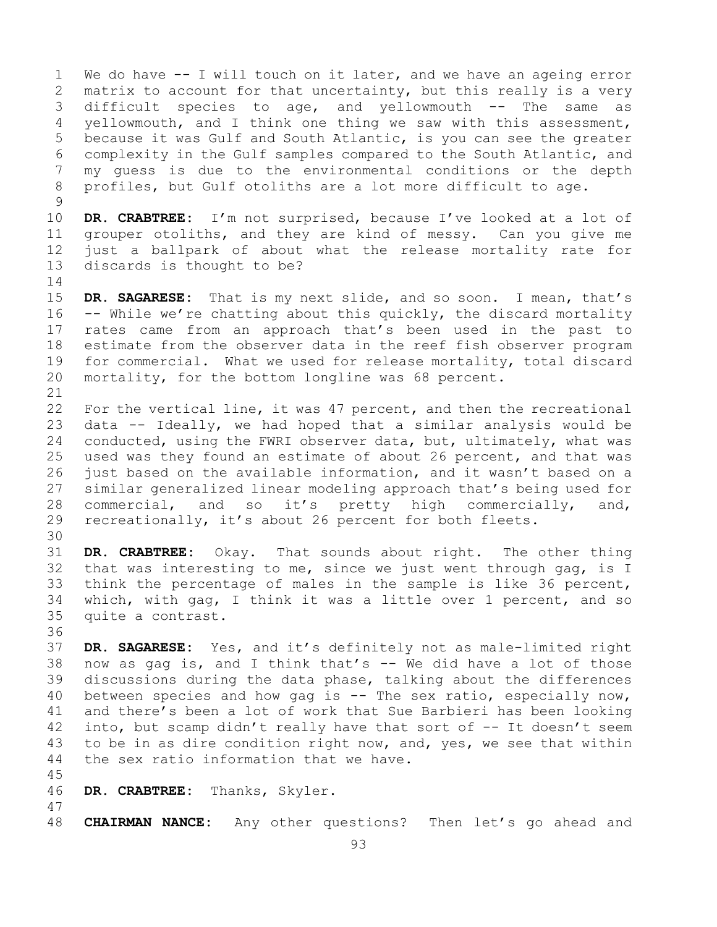1 We do have -- I will touch on it later, and we have an ageing error<br>2 matrix to account for that uncertainty, but this really is a very 2 matrix to account for that uncertainty, but this really is a very<br>3 difficult species to age, and vellowmouth -- The same as 3 difficult species to age, and yellowmouth -- The same as<br>4 vellowmouth, and I think one thing we saw with this assessment, yellowmouth, and I think one thing we saw with this assessment, 5 because it was Gulf and South Atlantic, is you can see the greater 6 complexity in the Gulf samples compared to the South Atlantic, and<br>7 my quess is due to the environmental conditions or the depth 7 my guess is due to the environmental conditions or the depth<br>8 profiles, but Gulf otoliths are a lot more difficult to age. profiles, but Gulf otoliths are a lot more difficult to age.

 $\frac{9}{10}$ 10 **DR. CRABTREE:** I'm not surprised, because I've looked at a lot of 11 qrouper otoliths, and they are kind of messy. Can you give me 11 grouper otoliths, and they are kind of messy. Can you give me<br>12 just a ballpark of about what the release mortality rate for 12 just a ballpark of about what the release mortality rate for discards is thought to be?

 $\frac{14}{15}$ 15 **DR. SAGARESE:** That is my next slide, and so soon. I mean, that's 16 -- While we're chatting about this quickly, the discard mortality 16 -- While we're chatting about this quickly, the discard mortality<br>17 rates came from an approach that's been used in the past to 17 rates came from an approach that's been used in the past to<br>18 estimate from the observer data in the reef fish observer program 18 estimate from the observer data in the reef fish observer program<br>19 for commercial. What we used for release mortality, total discard 19 for commercial. What we used for release mortality, total discard<br>20 mortality, for the bottom longline was 68 percent. mortality, for the bottom longline was 68 percent.

21<br>22 22 For the vertical line, it was 47 percent, and then the recreational<br>23 data -- Ideally, we had hoped that a similar analysis would be 23 data -- Ideally, we had hoped that a similar analysis would be<br>24 conducted, using the FWRI observer data, but, ultimately, what was 24 conducted, using the FWRI observer data, but, ultimately, what was<br>25 used was they found an estimate of about 26 percent, and that was 25 used was they found an estimate of about 26 percent, and that was<br>26 iust based on the available information, and it wasn't based on a 26 just based on the available information, and it wasn't based on a<br>27 similar generalized linear modeling approach that's being used for 27 similar generalized linear modeling approach that's being used for<br>28 commercial, and so it's pretty high commercially, and, 28 commercial, and so it's pretty high commercially, and,<br>29 recreationally, it's about 26 percent for both fleets. recreationally, it's about 26 percent for both fleets.

30<br>31

31 **DR. CRABTREE:** Okay. That sounds about right. The other thing that was interesting to me, since we just went through gag, is I 33 think the percentage of males in the sample is like 36 percent,<br>34 which, with gag, I think it was a little over 1 percent, and so 34 which, with gag, I think it was a little over 1 percent, and so<br>35 quite a contrast. quite a contrast.

36<br>37

DR. SAGARESE: Yes, and it's definitely not as male-limited right 38 now as gag is, and I think that's  $-$  We did have a lot of those<br>39 discussions during the data phase, talking about the differences 39 discussions during the data phase, talking about the differences<br>40 between species and how gag is  $-$  The sex ratio, especially now, 40 between species and how gag is  $-$  The sex ratio, especially now,<br>41 and there's been a lot of work that Sue Barbieri has been looking 41 and there's been a lot of work that Sue Barbieri has been looking<br>42 into, but scamp didn't really have that sort of -- It doesn't seem 42 into, but scamp didn't really have that sort of  $-$ - It doesn't seem<br>43 to be in as dire condition right now, and, yes, we see that within 43 to be in as dire condition right now, and, yes, we see that within<br>44 the sex ratio information that we have. the sex ratio information that we have.

- 45
- 46 **DR. CRABTREE:** Thanks, Skyler.
- 47 48 **CHAIRMAN NANCE:** Any other questions? Then let's go ahead and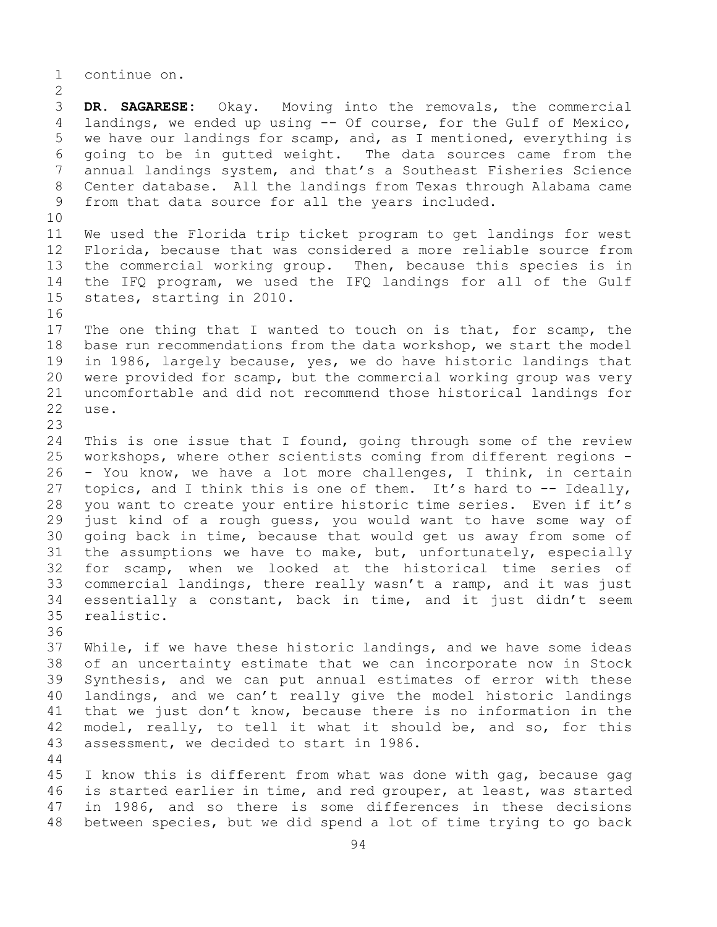1 continue on.

 $\frac{2}{3}$ 3 **DR. SAGARESE:** Okay. Moving into the removals, the commercial landings, we ended up using -- Of course, for the Gulf of Mexico, landings, we ended up using  $-$  Of course, for the Gulf of Mexico, 5 we have our landings for scamp, and, as I mentioned, everything is 6 going to be in gutted weight. The data sources came from the<br>7 annual landings system, and that's a Southeast Fisheries Science 7 annual landings system, and that's a Southeast Fisheries Science<br>8 Center database. All the landings from Texas through Alabama came 8 Center database. All the landings from Texas through Alabama came<br>9 from that data source for all the years included. from that data source for all the years included.

10<br>11 11 We used the Florida trip ticket program to get landings for west<br>12 Florida, because that was considered a more reliable source from Florida, because that was considered a more reliable source from 13 the commercial working group. Then, because this species is in 14 the IFQ program, we used the IFQ landings for all of the Gulf<br>15 states, starting in 2010. states, starting in 2010.

16<br>17 17 The one thing that I wanted to touch on is that, for scamp, the<br>18 base run recommendations from the data workshop, we start the model 18 base run recommendations from the data workshop, we start the model<br>19 in 1986, largely because, yes, we do have historic landings that 19 in 1986, largely because, yes, we do have historic landings that<br>20 were provided for scamp, but the commercial working group was very 20 were provided for scamp, but the commercial working group was very<br>21 uncomfortable and did not recommend those historical landings for 21 uncomfortable and did not recommend those historical landings for use.

23 24 This is one issue that I found, going through some of the review<br>25 workshops, where other scientists coming from different regions -25 workshops, where other scientists coming from different regions -<br>26 - You know, we have a lot more challenges, I think, in certain 26 - You know, we have a lot more challenges, I think, in certain<br>27 topics, and I think this is one of them. It's hard to -- Ideally, topics, and I think this is one of them. It's hard to  $-$  Ideally, 28 you want to create your entire historic time series. Even if it's<br>29 just kind of a rough quess, you would want to have some way of 29 just kind of a rough guess, you would want to have some way of<br>30 qoing back in time, because that would get us away from some of 30 going back in time, because that would get us away from some of<br>31 the assumptions we have to make, but, unfortunately, especially 31 the assumptions we have to make, but, unfortunately, especially<br>32 for scamp, when we looked at the historical time series of for scamp, when we looked at the historical time series of 33 commercial landings, there really wasn't a ramp, and it was just<br>34 essentially a constant, back in time, and it just didn't seem 34 essentially a constant, back in time, and it just didn't seem<br>35 realistic. realistic.

36

44

37 While, if we have these historic landings, and we have some ideas 38 of an uncertainty estimate that we can incorporate now in Stock<br>39 Synthesis, and we can put annual estimates of error with these 39 Synthesis, and we can put annual estimates of error with these<br>40 landings, and we can't really give the model historic landings 40 landings, and we can't really give the model historic landings<br>41 that we just don't know, because there is no information in the 41 that we just don't know, because there is no information in the<br>42 model, really, to tell it what it should be, and so, for this 42 model, really, to tell it what it should be, and so, for this<br>43 assessment, we decided to start in 1986. assessment, we decided to start in 1986.

45 I know this is different from what was done with gag, because gag 46 is started earlier in time, and red grouper, at least, was started<br>47 in 1986, and so there is some differences in these decisions 47 in 1986, and so there is some differences in these decisions<br>48 between species, but we did spend a lot of time trying to go back between species, but we did spend a lot of time trying to go back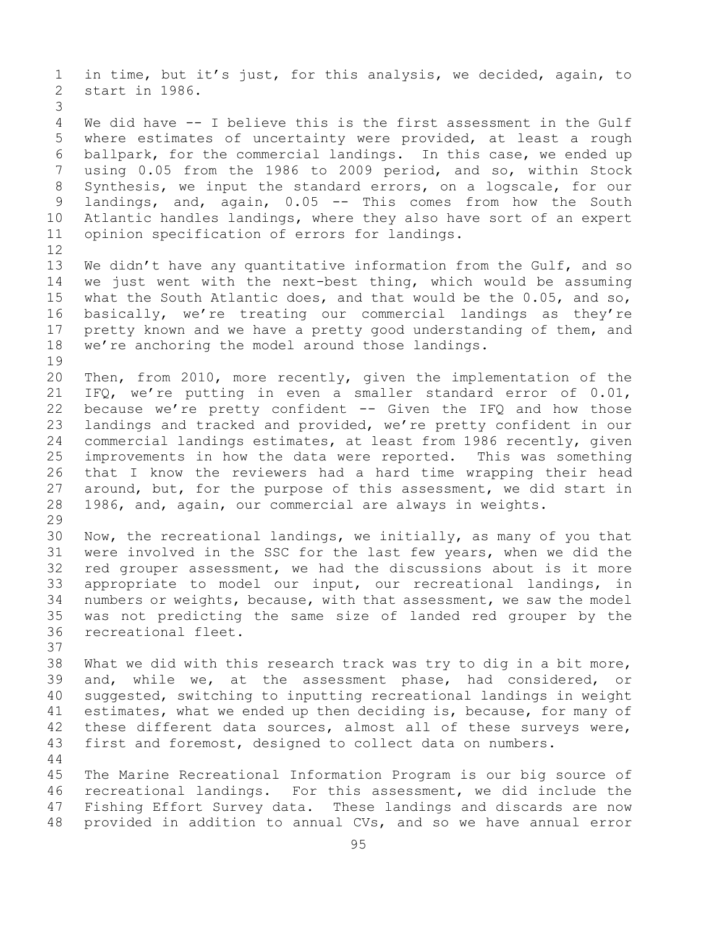1 in time, but it's just, for this analysis, we decided, again, to start in 1986. 3 We did have -- I believe this is the first assessment in the Gulf 5 where estimates of uncertainty were provided, at least a rough 6 ballpark, for the commercial landings. In this case, we ended up 7 using 0.05 from the 1986 to 2009 period, and so, within Stock<br>8 Synthesis, we input the standard errors, on a logscale, for our 8 Synthesis, we input the standard errors, on a logscale, for our<br>9 landings, and, again, 0.05 -- This comes from how the South 9 landings, and, again, 0.05 -- This comes from how the South<br>10 Atlantic handles landings, where they also have sort of an expert 10 Atlantic handles landings, where they also have sort of an expert<br>11 opinion specification of errors for landings. opinion specification of errors for landings. 12<br>13 We didn't have any quantitative information from the Gulf, and so 14 we just went with the next-best thing, which would be assuming<br>15 what the South Atlantic does, and that would be the 0.05, and so, 15 what the South Atlantic does, and that would be the 0.05, and so,<br>16 basically, we're treating our commercial landings as they're 16 basically, we're treating our commercial landings as they're<br>17 pretty known and we have a pretty good understanding of them, and 17 pretty known and we have a pretty good understanding of them, and<br>18 we're anchoring the model around those landings. we're anchoring the model around those landings. 19<br>20 20 Then, from 2010, more recently, given the implementation of the<br>21 IFQ, we're putting in even a smaller standard error of 0.01, 21 IFQ, we're putting in even a smaller standard error of  $0.01$ ,<br>22 because we're pretty confident -- Given the IFQ and how those 22 because we're pretty confident  $--$  Given the IFQ and how those<br>23 landings and tracked and provided, we're pretty confident in our 23 landings and tracked and provided, we're pretty confident in our<br>24 commercial landings estimates, at least from 1986 recently, given 24 commercial landings estimates, at least from 1986 recently, given<br>25 improvements in how the data were reported. This was something 25 improvements in how the data were reported.<br>26 that I know the reviewers had a hard time 26 that I know the reviewers had a hard time wrapping their head<br>27 around, but, for the purpose of this assessment, we did start in 27 around, but, for the purpose of this assessment, we did start in<br>28 1986, and, again, our commercial are always in weights. 1986, and, again, our commercial are always in weights. 29<br>30 30 Now, the recreational landings, we initially, as many of you that<br>31 were involved in the SSC for the last few years, when we did the 31 were involved in the SSC for the last few years, when we did the<br>32 red grouper assessment, we had the discussions about is it more red grouper assessment, we had the discussions about is it more 33 appropriate to model our input, our recreational landings, in<br>34 numbers or weights, because, with that assessment, we saw the model 34 numbers or weights, because, with that assessment, we saw the model<br>35 was not predicting the same size of landed red grouper by the 35 was not predicting the same size of landed red grouper by the recreational fleet. 37 38 What we did with this research track was try to dig in a bit more,<br>39 and, while we, at the assessment phase, had considered, or 39 and, while we, at the assessment phase, had considered, or<br>40 suggested, switching to inputting recreational landings in weight 40 suggested, switching to inputting recreational landings in weight<br>41 estimates, what we ended up then deciding is, because, for many of 41 estimates, what we ended up then deciding is, because, for many of 42 these different data sources, almost all of these surveys were, 42 these different data sources, almost all of these surveys were,<br>43 first and foremost, designed to collect data on numbers. first and foremost, designed to collect data on numbers. 44 45 The Marine Recreational Information Program is our big source of 46 recreational landings. For this assessment, we did include the<br>47 Fishing Effort Survey data. These landings and discards are now 47 Fishing Effort Survey data. These landings and discards are now<br>48 provided in addition to annual CVs, and so we have annual error provided in addition to annual CVs, and so we have annual error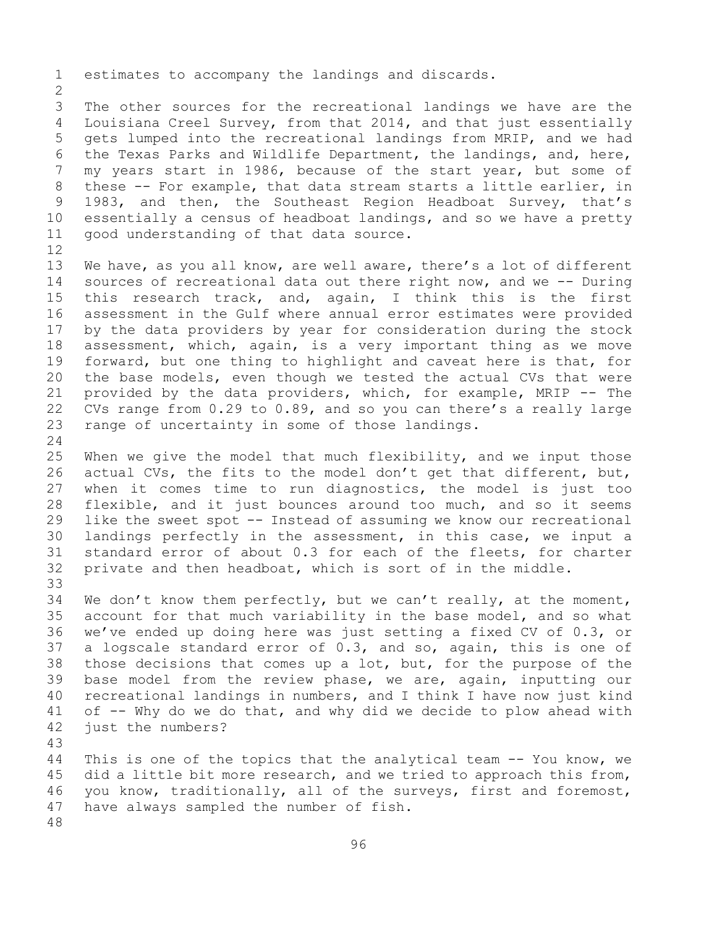1 estimates to accompany the landings and discards.

 $\frac{2}{3}$ 3 The other sources for the recreational landings we have are the<br>4 Louisiana Creel Survey, from that 2014, and that just essentially Louisiana Creel Survey, from that 2014, and that just essentially 5 gets lumped into the recreational landings from MRIP, and we had 6 the Texas Parks and Wildlife Department, the landings, and, here,<br>7 my vears start in 1986, because of the start vear, but some of 7 my years start in 1986, because of the start year, but some of<br>8 these -- For example, that data stream starts a little earlier, in 8 these -- For example, that data stream starts a little earlier, in<br>9 1983, and then, the Southeast Region Headboat Survey, that's 9 1983, and then, the Southeast Region Headboat Survey, that's<br>10 essentially a census of headboat landings, and so we have a pretty 10 essentially a census of headboat landings, and so we have a pretty good understanding of that data source.

12<br>13 We have, as you all know, are well aware, there's a lot of different 14 sources of recreational data out there right now, and we -- During<br>15 this research track, and, again, I think this is the first 15 this research track, and, again, I think this is the first<br>16 assessment in the Gulf where annual error estimates were provided 16 assessment in the Gulf where annual error estimates were provided<br>17 by the data providers by year for consideration during the stock 17 by the data providers by year for consideration during the stock<br>18 assessment, which, again, is a very important thing as we move 18 assessment, which, again, is a very important thing as we move<br>19 forward, but one thing to highlight and caveat here is that, for 19 forward, but one thing to highlight and caveat here is that, for<br>20 the base models, even though we tested the actual CVs that were the base models, even though we tested the actual CVs that were 21 provided by the data providers, which, for example, MRIP -- The<br>22 CVs range from 0.29 to 0.89, and so you can there's a really large 22 CVs range from 0.29 to 0.89, and so you can there's a really large<br>23 range of uncertainty in some of those landings. range of uncertainty in some of those landings.

 $\frac{24}{25}$ 25 When we give the model that much flexibility, and we input those<br>26 actual CVs, the fits to the model don't get that different, but, 26 actual CVs, the fits to the model don't get that different, but,<br>27 when it comes time to run diagnostics, the model is just too when it comes time to run diagnostics, the model is just too 28 flexible, and it just bounces around too much, and so it seems<br>29 like the sweet spot -- Instead of assuming we know our recreational like the sweet spot -- Instead of assuming we know our recreational 30 landings perfectly in the assessment, in this case, we input a<br>31 standard error of about 0.3 for each of the fleets, for charter 31 standard error of about 0.3 for each of the fleets, for charter<br>32 private and then headboat, which is sort of in the middle. private and then headboat, which is sort of in the middle.

33<br>34 34 We don't know them perfectly, but we can't really, at the moment,<br>35 account for that much variability in the base model, and so what 35 account for that much variability in the base model, and so what<br>36 we've ended up doing here was just setting a fixed CV of 0.3, or we've ended up doing here was just setting a fixed CV of 0.3, or 37 a logscale standard error of 0.3, and so, again, this is one of 38 those decisions that comes up a lot, but, for the purpose of the<br>39 base model from the review phase, we are, again, inputting our 39 base model from the review phase, we are, again, inputting our<br>40 recreational landings in numbers, and I think I have now just kind 40 recreational landings in numbers, and I think I have now just kind<br>41 of -- Why do we do that, and why did we decide to plow ahead with 41 of  $-$ - Why do we do that, and why did we decide to plow ahead with 42 just the numbers? just the numbers?

43

This is one of the topics that the analytical team -- You know, we 45 did a little bit more research, and we tried to approach this from, 46 you know, traditionally, all of the surveys, first and foremost,<br>47 have always sampled the number of fish. have always sampled the number of fish.

48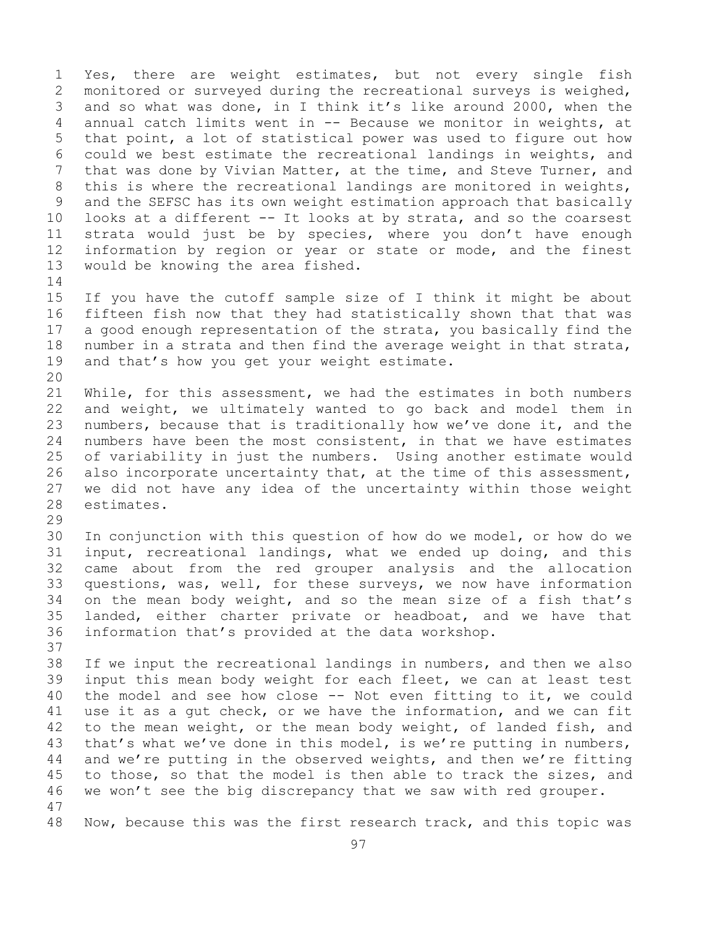1 Yes, there are weight estimates, but not every single fish<br>2 monitored or surveyed during the recreational surveys is weighed, 2 monitored or surveyed during the recreational surveys is weighed,<br>3 and so what was done, in I think it's like around 2000, when the 3 and so what was done, in I think it's like around 2000, when the<br>4 annual catch limits went in -- Because we monitor in weights, at annual catch limits went in  $-$  Because we monitor in weights, at 5 that point, a lot of statistical power was used to figure out how 6 could we best estimate the recreational landings in weights, and<br>7 that was done by Vivian Matter, at the time, and Steve Turner, and 7 that was done by Vivian Matter, at the time, and Steve Turner, and<br>8 this is where the recreational landings are monitored in weights, 8 this is where the recreational landings are monitored in weights,<br>9 and the SEFSC has its own weight estimation approach that basically 9 and the SEFSC has its own weight estimation approach that basically<br>10 looks at a different -- It looks at by strata, and so the coarsest 10 looks at a different -- It looks at by strata, and so the coarsest<br>11 strata would just be by species, where you don't have enough 11 strata would just be by species, where you don't have enough<br>12 information by region or year or state or mode, and the finest 12 information by region or year or state or mode, and the finest<br>13 would be knowing the area fished. would be knowing the area fished.

 $\frac{14}{15}$ 15 If you have the cutoff sample size of I think it might be about<br>16 fifteen fish now that they had statistically shown that that was 16 fifteen fish now that they had statistically shown that that was<br>17 a good enough representation of the strata, you basically find the 17 a good enough representation of the strata, you basically find the<br>18 number in a strata and then find the average weight in that strata, 18 number in a strata and then find the average weight in that strata,<br>19 and that's how you get your weight estimate. and that's how you get your weight estimate.

20<br>21 21 While, for this assessment, we had the estimates in both numbers<br>22 and weight, we ultimately wanted to go back and model them in 22 and weight, we ultimately wanted to go back and model them in<br>23 numbers, because that is traditionally how we've done it, and the 23 numbers, because that is traditionally how we've done it, and the<br>24 numbers have been the most consistent, in that we have estimates 24 numbers have been the most consistent, in that we have estimates<br>25 of variability in just the numbers. Using another estimate would 25 of variability in just the numbers. Using another estimate would<br>26 also incorporate uncertainty that, at the time of this assessment, 26 also incorporate uncertainty that, at the time of this assessment,<br>27 we did not have any idea of the uncertainty within those weight 27 we did not have any idea of the uncertainty within those weight estimates.

29<br>30

30 In conjunction with this question of how do we model, or how do we<br>31 input, recreational landings, what we ended up doing, and this 31 input, recreational landings, what we ended up doing, and this<br>32 came about from the red grouper analysis and the allocation came about from the red grouper analysis and the allocation 33 questions, was, well, for these surveys, we now have information<br>34 on the mean body weight, and so the mean size of a fish that's 34 on the mean body weight, and so the mean size of a fish that's<br>35 landed, either charter private or headboat, and we have that 35 landed, either charter private or headboat, and we have that<br>36 information that's provided at the data workshop. information that's provided at the data workshop.

37

38 If we input the recreational landings in numbers, and then we also<br>39 input this mean body weight for each fleet, we can at least test 39 input this mean body weight for each fleet, we can at least test<br>40 the model and see how close -- Not even fitting to it, we could 40 the model and see how close  $-$  Not even fitting to it, we could 41 use it as a qut check, or we have the information, and we can fit 41 use it as a gut check, or we have the information, and we can fit<br>42 to the mean weight, or the mean body weight, of landed fish, and 42 to the mean weight, or the mean body weight, of landed fish, and<br>43 that's what we've done in this model, is we're putting in numbers, 43 that's what we've done in this model, is we're putting in numbers,<br>44 and we're putting in the observed weights, and then we're fitting and we're putting in the observed weights, and then we're fitting 45 to those, so that the model is then able to track the sizes, and 46 we won't see the big discrepancy that we saw with red grouper.

47 Now, because this was the first research track, and this topic was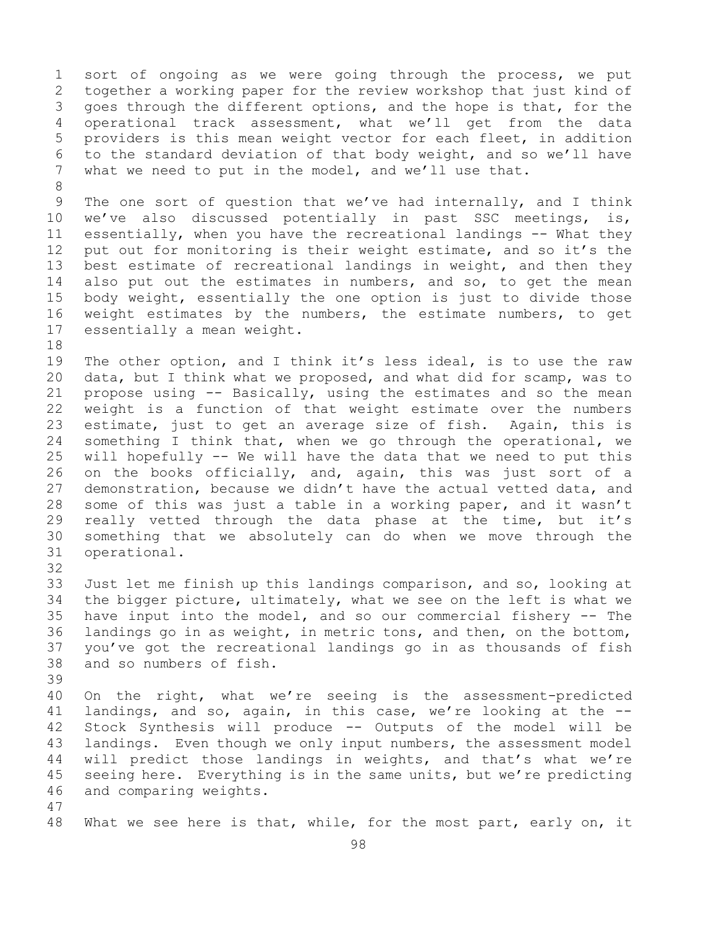1 sort of ongoing as we were going through the process, we put<br>2 together a working paper for the review workshop that just kind of 2 together a working paper for the review workshop that just kind of<br>3 qoes through the different options, and the hope is that, for the 3 goes through the different options, and the hope is that, for the<br>4 operational track assessment, what we'll get from the data operational track assessment, what we'll get from the data 5 providers is this mean weight vector for each fleet, in addition 6 to the standard deviation of that body weight, and so we'll have<br>7 what we need to put in the model, and we'll use that. what we need to put in the model, and we'll use that.

8<br>9 9 The one sort of question that we've had internally, and I think<br>10 we've also discussed potentially in past SSC meetings, is, 10 we've also discussed potentially in past SSC meetings,<br>11 essentially, when you have the recreational landings -- What t 11 essentially, when you have the recreational landings -- What they<br>12 put out for monitoring is their weight estimate, and so it's the 12 put out for monitoring is their weight estimate, and so it's the<br>13 best estimate of recreational landings in weight, and then they best estimate of recreational landings in weight, and then they 14 also put out the estimates in numbers, and so, to get the mean<br>15 body weight, essentially the one option is just to divide those 15 body weight, essentially the one option is just to divide those<br>16 weight estimates by the numbers, the estimate numbers, to get 16 weight estimates by the numbers, the estimate numbers, to get<br>17 essentially a mean weight. essentially a mean weight.

18<br>19 19 The other option, and I think it's less ideal, is to use the raw<br>20 data, but I think what we proposed, and what did for scamp, was to 20 data, but I think what we proposed, and what did for scamp, was to<br>21 propose using -- Basically, using the estimates and so the mean 21 propose using -- Basically, using the estimates and so the mean<br>22 weight is a function of that weight estimate over the numbers 22 weight is a function of that weight estimate over the numbers<br>23 estimate, just to get an average size of fish. Again, this is 23 estimate, just to get an average size of fish.<br>24 something I think that, when we go through the 24 something I think that, when we go through the operational, we<br>25 will hopefully -- We will have the data that we need to put this 25 will hopefully -- We will have the data that we need to put this<br>26 on the books officially, and, again, this was just sort of a 26 on the books officially, and, again, this was just sort of a<br>27 demonstration, because we didn't have the actual vetted data, and demonstration, because we didn't have the actual vetted data, and 28 some of this was just a table in a working paper, and it wasn't<br>29 really vetted through the data phase at the time, but it's 29 really vetted through the data phase at the time, but it's<br>30 something that we absolutely can do when we move through the 30 something that we absolutely can do when we move through the operational.

32

33 Just let me finish up this landings comparison, and so, looking at<br>34 the bigger picture, ultimately, what we see on the left is what we 34 the bigger picture, ultimately, what we see on the left is what we<br>35 have input into the model, and so our commercial fishery -- The 35 have input into the model, and so our commercial fishery -- The<br>36 landings go in as weight, in metric tons, and then, on the bottom, 36 landings go in as weight, in metric tons, and then, on the bottom,<br>37 you've got the recreational landings go in as thousands of fish you've got the recreational landings go in as thousands of fish 38 and so numbers of fish.

39

40 On the right, what we're seeing is the assessment-predicted<br>41 landings, and so, again, in this case, we're looking at the --41 landings, and so, again, in this case, we're looking at the --<br>42 Stock Synthesis will produce -- Outputs of the model will be 42 Stock Synthesis will produce -- Outputs of the model will be<br>43 landings. Even though we only input numbers, the assessment model 43 landings. Even though we only input numbers, the assessment model<br>44 will predict those landings in weights, and that's what we're will predict those landings in weights, and that's what we're 45 seeing here. Everything is in the same units, but we're predicting 46 and comparing weights.

47

What we see here is that, while, for the most part, early on, it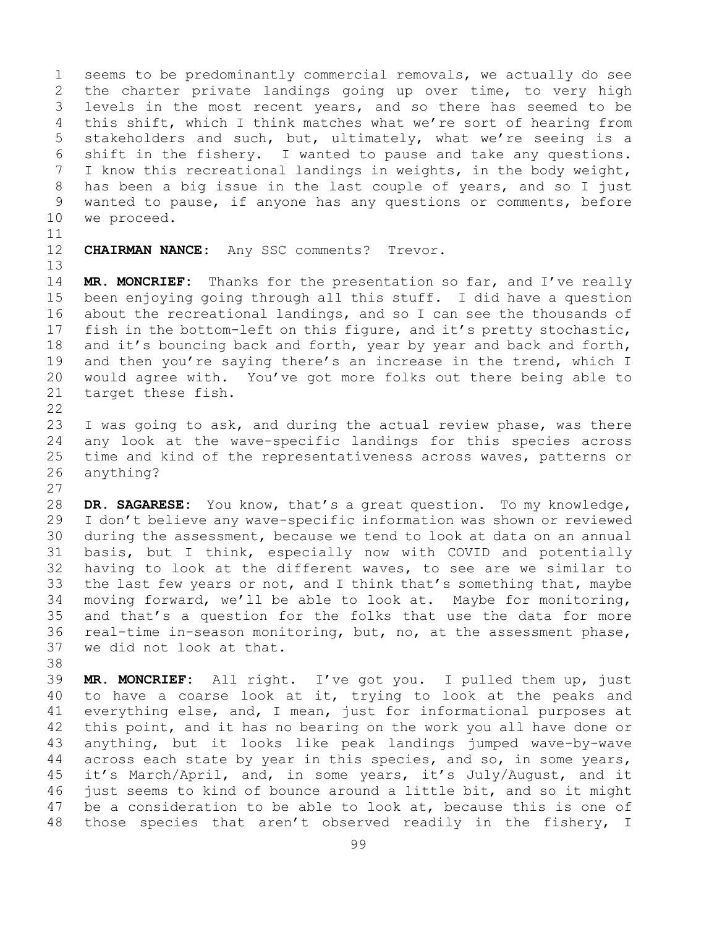1 seems to be predominantly commercial removals, we actually do see<br>2 the charter private landings going up over time, to very high 2 the charter private landings going up over time, to very high<br>3 levels in the most recent vears, and so there has seemed to be 3 levels in the most recent years, and so there has seemed to be<br>4 this shift, which I think matches what we're sort of hearing from this shift, which I think matches what we're sort of hearing from 5 stakeholders and such, but, ultimately, what we're seeing is a 6 shift in the fishery. I wanted to pause and take any questions.<br>7 I know this recreational landings in weights, in the body weight, 7 I know this recreational landings in weights, in the body weight,<br>8 has been a big issue in the last couple of years, and so I just 8 has been a big issue in the last couple of years, and so I just<br>9 wanted to pause, if anyone has any questions or comments, before 9 wanted to pause, if anyone has any questions or comments, before<br>10 we proceed. we proceed.

11<br>12

CHAIRMAN NANCE: Any SSC comments? Trevor.

13

14 **MR. MONCRIEF:** Thanks for the presentation so far, and I've really 15 been enjoying going through all this stuff. I did have a question<br>16 about the recreational landings, and so I can see the thousands of 16 about the recreational landings, and so I can see the thousands of<br>17 fish in the bottom-left on this figure, and it's pretty stochastic, 17 fish in the bottom-left on this figure, and it's pretty stochastic,<br>18 and it's bouncing back and forth, year by year and back and forth, 18 and it's bouncing back and forth, year by year and back and forth,<br>19 and then you're saving there's an increase in the trend, which I 19 and then you're saying there's an increase in the trend, which I<br>20 would agree with. You've got more folks out there being able to 20 would agree with. You've got more folks out there being able to<br>21 target these fish. target these fish.

 $\begin{array}{c} 22 \\ 23 \end{array}$ 

23 I was going to ask, and during the actual review phase, was there<br>24 any look at the wave-specific landings for this species across 24 any look at the wave-specific landings for this species across<br>25 time and kind of the representativeness across waves, patterns or 25 time and kind of the representativeness across waves, patterns or<br>26 anything? anything?

 $\frac{27}{28}$ 28 **DR. SAGARESE:** You know, that's a great question. To my knowledge,<br>29 I don't believe any wave-specific information was shown or reviewed 29 I don't believe any wave-specific information was shown or reviewed<br>30 during the assessment, because we tend to look at data on an annual 30 during the assessment, because we tend to look at data on an annual<br>31 basis, but I think, especially now with COVID and potentially 31 basis, but I think, especially now with COVID and potentially<br>32 having to look at the different waves, to see are we similar to having to look at the different waves, to see are we similar to 33 the last few years or not, and I think that's something that, maybe<br>34 moving forward, we'll be able to look at. Maybe for monitoring, 34 moving forward, we'll be able to look at. Maybe for monitoring,<br>35 and that's a question for the folks that use the data for more 35 and that's a question for the folks that use the data for more<br>36 real-time in-season monitoring, but, no, at the assessment phase, 36 real-time in-season monitoring, but, no, at the assessment phase,<br>37 we did not look at that. we did not look at that.

38<br>39

39 **MR. MONCRIEF:** All right. I've got you. I pulled them up, just 40 to have a coarse look at it, trying to look at the peaks and<br>41 everything else, and, I mean, just for informational purposes at 41 everything else, and, I mean, just for informational purposes at<br>42 this point, and it has no bearing on the work you all have done or 42 this point, and it has no bearing on the work you all have done or<br>43 anything, but it looks like peak landings jumped wave-by-wave 43 anything, but it looks like peak landings jumped wave-by-wave<br>44 across each state by year in this species, and so, in some years, across each state by year in this species, and so, in some years, 45 it's March/April, and, in some years, it's July/August, and it 46 just seems to kind of bounce around a little bit, and so it might<br>47 be a consideration to be able to look at, because this is one of 47 be a consideration to be able to look at, because this is one of<br>48 those species that aren't observed readily in the fishery, I those species that aren't observed readily in the fishery, I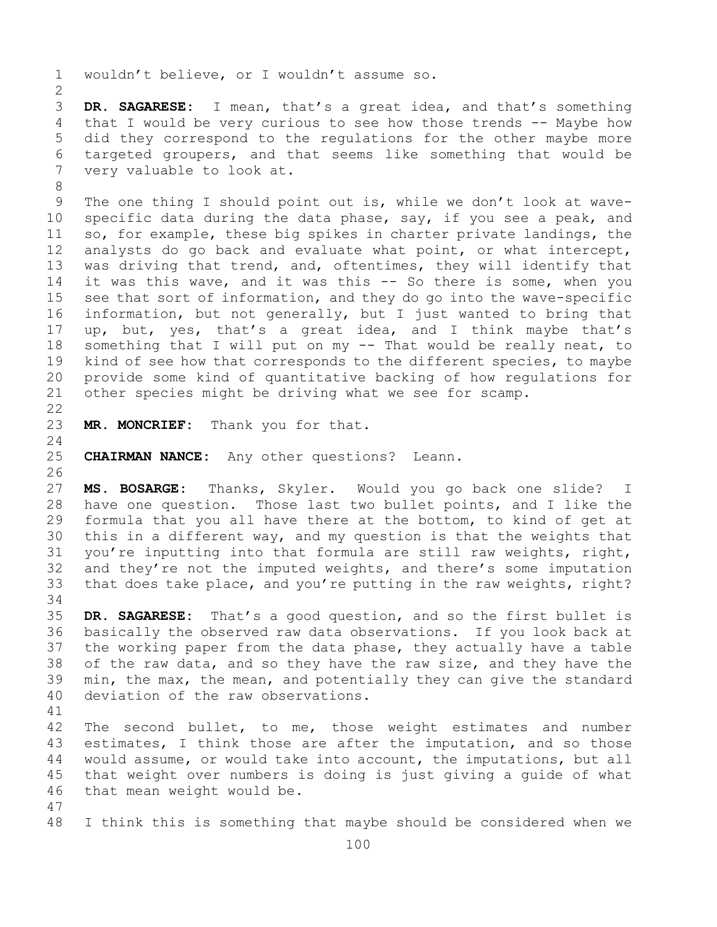1 wouldn't believe, or I wouldn't assume so.  $\frac{2}{3}$ 3 **DR. SAGARESE:** I mean, that's a great idea, and that's something that I would be very curious to see how those trends -- Maybe how 5 did they correspond to the regulations for the other maybe more 6 targeted groupers, and that seems like something that would be very valuable to look at. very valuable to look at. 8<br>9 9 The one thing I should point out is, while we don't look at wave-<br>10 specific data during the data phase, sav, if you see a peak, and 10 specific data during the data phase, say, if you see a peak, and<br>11 so, for example, these big spikes in charter private landings, the 11 so, for example, these big spikes in charter private landings, the<br>12 analysts do go back and evaluate what point, or what intercept, analysts do go back and evaluate what point, or what intercept, 13 was driving that trend, and, oftentimes, they will identify that 14 it was this wave, and it was this -- So there is some, when you<br>15 see that sort of information, and thev do go into the wave-specific 15 see that sort of information, and they do go into the wave-specific<br>16 information, but not generally, but I just wanted to bring that 16 information, but not generally, but I just wanted to bring that<br>17 up, but, yes, that's a great idea, and I think maybe that's 17 up, but, yes, that's a great idea, and I think maybe that's<br>18 something that I will put on my -- That would be really neat, to 18 something that I will put on my -- That would be really neat, to<br>19 kind of see how that corresponds to the different species, to maybe 19 kind of see how that corresponds to the different species, to maybe<br>20 provide some kind of quantitative backing of how requlations for 20 provide some kind of quantitative backing of how regulations for<br>21 other species might be driving what we see for scamp. other species might be driving what we see for scamp.  $\begin{array}{c} 22 \\ 23 \end{array}$ MR. MONCRIEF: Thank you for that.  $\frac{24}{25}$ **CHAIRMAN NANCE:** Any other questions? Leann. 26<br>27 27 **MS. BOSARGE:** Thanks, Skyler. Would you go back one slide? I 28 have one question. Those last two bullet points, and I like the<br>29 formula that you all have there at the bottom, to kind of get at 29 formula that you all have there at the bottom, to kind of get at<br>30 this in a different way, and my question is that the weights that 30 this in a different way, and my question is that the weights that<br>31 you're inputting into that formula are still raw weights, right, 31 you're inputting into that formula are still raw weights, right,<br>32 and they're not the imputed weights, and there's some imputation 32 and they're not the imputed weights, and there's some imputation<br>33 that does take place, and you're putting in the raw weights, right? that does take place, and you're putting in the raw weights, right? 34<br>35 35 **DR. SAGARESE:** That's a good question, and so the first bullet is basically the observed raw data observations. If you look back at

37 the working paper from the data phase, they actually have a table 38 of the raw data, and so they have the raw size, and they have the<br>39 min, the max, the mean, and potentially they can give the standard 39 min, the max, the mean, and potentially they can give the standard<br>40 deviation of the raw observations. deviation of the raw observations.

41<br>42 42 The second bullet, to me, those weight estimates and number<br>43 estimates, I think those are after the imputation, and so those 43 estimates, I think those are after the imputation, and so those<br>44 would assume, or would take into account, the imputations, but all would assume, or would take into account, the imputations, but all 45 that weight over numbers is doing is just giving a guide of what 46 that mean weight would be.

47 I think this is something that maybe should be considered when we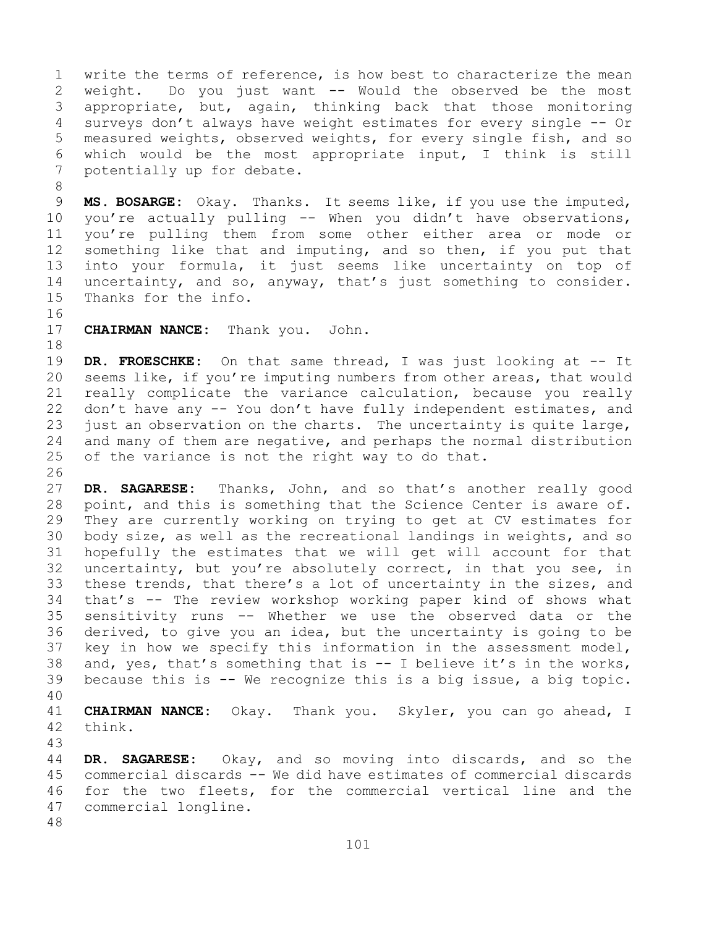1 write the terms of reference, is how best to characterize the mean<br>2 weight. Do you just want -- Would the observed be the most 2 weight. Do you just want -- Would the observed be the most<br>3 appropriate, but, again, thinking back that those monitoring 3 appropriate, but, again, thinking back that those monitoring<br>4 surveys don't always have weight estimates for every single -- Or surveys don't always have weight estimates for every single -- Or 5 measured weights, observed weights, for every single fish, and so 6 which would be the most appropriate input, I think is still  $\overline{z}$ potentially up for debate.

8<br>9 9 **MS. BOSARGE:** Okay. Thanks. It seems like, if you use the imputed,<br>10 vou're actually pulling -- When you didn't have observations, 10 you're actually pulling -- When you didn't have observations,<br>11 you're pulling them from some other either area or mode or 11 you're pulling them from some other either area or mode or<br>12 something like that and imputing, and so then, if you put that something like that and imputing, and so then, if you put that 13 into your formula, it just seems like uncertainty on top of 14 uncertainty, and so, anyway, that's just something to consider.<br>15 Thanks for the info. Thanks for the info.

16<br>17

**CHAIRMAN NANCE:** Thank you. John.

18<br>19 19 **DR. FROESCHKE:** On that same thread, I was just looking at -- It<br>20 seems like, if you're imputing numbers from other areas, that would seems like, if you're imputing numbers from other areas, that would 21 really complicate the variance calculation, because you really<br>22 don't have any -- You don't have fully independent estimates, and 22 don't have any -- You don't have fully independent estimates, and<br>23 just an observation on the charts. The uncertainty is quite large, 23 just an observation on the charts. The uncertainty is quite large,<br>24 and many of them are negative, and perhaps the normal distribution 24 and many of them are negative, and perhaps the normal distribution<br>25 of the variance is not the right way to do that. of the variance is not the right way to do that.

26<br>27 DR. SAGARESE: Thanks, John, and so that's another really good 28 point, and this is something that the Science Center is aware of.<br>29 They are currently working on trying to get at CV estimates for 29 They are currently working on trying to get at CV estimates for<br>30 body size, as well as the recreational landings in weights, and so 30 body size, as well as the recreational landings in weights, and so<br>31 hopefully the estimates that we will get will account for that 31 hopefully the estimates that we will get will account for that<br>32 uncertainty, but you're absolutely correct, in that you see, in uncertainty, but you're absolutely correct, in that you see, in 33 these trends, that there's a lot of uncertainty in the sizes, and<br>34 that's -- The review workshop working paper kind of shows what 34 that's -- The review workshop working paper kind of shows what<br>35 sensitivity runs -- Whether we use the observed data or the 35 sensitivity runs -- Whether we use the observed data or the<br>36 derived, to give you an idea, but the uncertainty is going to be derived, to give you an idea, but the uncertainty is going to be 37 key in how we specify this information in the assessment model, 38 and, yes, that's something that is  $-$  I believe it's in the works,<br>39 because this is  $-$  We recognize this is a big issue, a big topic. because this is  $-$  We recognize this is a big issue, a big topic.

40

41 **CHAIRMAN NANCE:** Okay. Thank you. Skyler, you can go ahead, I think.

43

DR. SAGARESE: Okay, and so moving into discards, and so the 45 commercial discards -- We did have estimates of commercial discards 46 for the two fleets, for the commercial vertical line and the 47 commercial longline. commercial longline.

48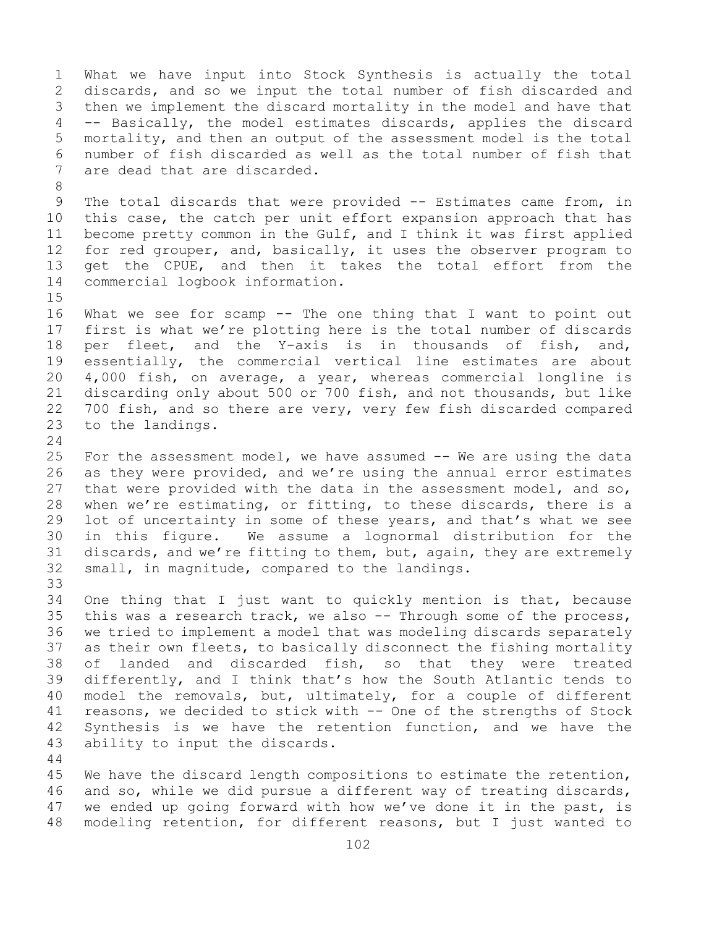1 What we have input into Stock Synthesis is actually the total<br>2 discards, and so we input the total number of fish discarded and 2 discards, and so we input the total number of fish discarded and<br>3 then we implement the discard mortality in the model and have that 3 then we implement the discard mortality in the model and have that<br>4 -- Basically, the model estimates discards, applies the discard -- Basically, the model estimates discards, applies the discard 5 mortality, and then an output of the assessment model is the total 6 number of fish discarded as well as the total number of fish that<br>7 are dead that are discarded. are dead that are discarded.

8 9 The total discards that were provided -- Estimates came from, in<br>10 this case, the catch per unit effort expansion approach that has 10 this case, the catch per unit effort expansion approach that has<br>11 become pretty common in the Gulf, and I think it was first applied 11 become pretty common in the Gulf, and I think it was first applied<br>12 for red grouper, and, basically, it uses the observer program to 12 for red grouper, and, basically, it uses the observer program to<br>13 get the CPUE, and then it takes the total effort from the get the CPUE, and then it takes the total effort from the 14 commercial logbook information.

 $15$ <br> $16$ 16 What we see for scamp -- The one thing that I want to point out<br>17 first is what we're plotting here is the total number of discards 17 first is what we're plotting here is the total number of discards<br>18 per fleet, and the Y-axis is in thousands of fish, and, 18 per fleet, and the Y-axis is in thousands of fish, and,<br>19 essentially, the commercial vertical line estimates are about 19 essentially, the commercial vertical line estimates are about<br>20 4,000 fish, on average, a year, whereas commercial longline is 20 4,000 fish, on average, a year, whereas commercial longline is<br>21 discarding only about 500 or 700 fish, and not thousands, but like 21 discarding only about 500 or 700 fish, and not thousands, but like<br>22 700 fish, and so there are very, very few fish discarded compared 22 700 fish, and so there are very, very few fish discarded compared<br>23 to the landings. to the landings.

 $\frac{24}{25}$ 25 For the assessment model, we have assumed -- We are using the data<br>26 as they were provided, and we're using the annual error estimates 26 as they were provided, and we're using the annual error estimates<br>27 that were provided with the data in the assessment model, and so, that were provided with the data in the assessment model, and so, 28 when we're estimating, or fitting, to these discards, there is a<br>29 lot of uncertainty in some of these years, and that's what we see 29 lot of uncertainty in some of these years, and that's what we see<br>30 in this figure. We assume a lognormal distribution for the 30 in this figure. We assume a lognormal distribution for the<br>31 discards, and we're fitting to them, but, again, they are extremely 31 discards, and we're fitting to them, but, again, they are extremely<br>32 small, in magnitude, compared to the landings. small, in magnitude, compared to the landings.

33<br>34 34 One thing that I just want to quickly mention is that, because<br>35 this was a research track, we also -- Through some of the process, 35 this was a research track, we also -- Through some of the process,<br>36 we tried to implement a model that was modeling discards separately 36 we tried to implement a model that was modeling discards separately<br>37 as their own fleets, to basically disconnect the fishing mortality as their own fleets, to basically disconnect the fishing mortality 38 of landed and discarded fish, so that they were treated<br>39 differently, and I think that's how the South Atlantic tends to 39 differently, and I think that's how the South Atlantic tends to<br>40 model the removals, but, ultimately, for a couple of different 40 model the removals, but, ultimately, for a couple of different<br>41 reasons, we decided to stick with -- One of the strengths of Stock 41 reasons, we decided to stick with -- One of the strengths of Stock<br>42 Synthesis is we have the retention function, and we have the 42 Synthesis is we have the retention function, and we have the 43 ability to input the discards. ability to input the discards.

45 We have the discard length compositions to estimate the retention, 46 and so, while we did pursue a different way of treating discards,<br>47 we ended up going forward with how we've done it in the past, is 47 we ended up going forward with how we've done it in the past, is<br>48 modeling retention, for different reasons, but I just wanted to modeling retention, for different reasons, but I just wanted to

44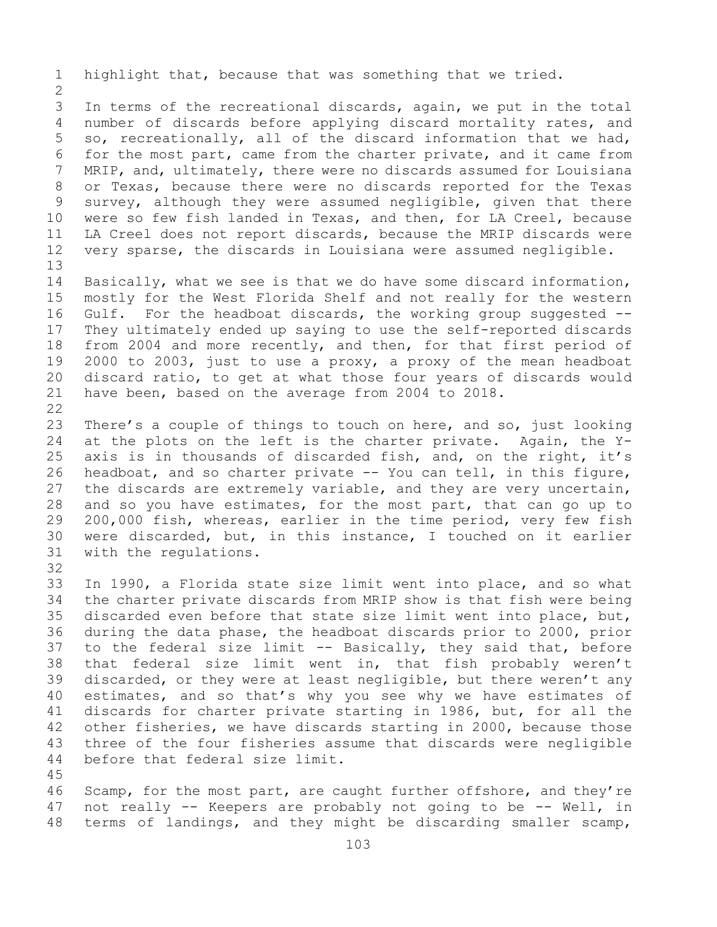1 highlight that, because that was something that we tried.

 $\frac{2}{3}$ 3 In terms of the recreational discards, again, we put in the total<br>4 number of discards before applying discard mortality rates, and number of discards before applying discard mortality rates, and 5 so, recreationally, all of the discard information that we had, 6 for the most part, came from the charter private, and it came from<br>7 MRIP, and, ultimately, there were no discards assumed for Louisiana 7 MRIP, and, ultimately, there were no discards assumed for Louisiana<br>8 or Texas, because there were no discards reported for the Texas 8 or Texas, because there were no discards reported for the Texas<br>9 survey, although they were assumed negligible, given that there 9 survey, although they were assumed negligible, given that there<br>10 were so few fish landed in Texas, and then, for LA Creel, because 10 were so few fish landed in Texas, and then, for LA Creel, because<br>11 LA Creel does not report discards, because the MRIP discards were 11 LA Creel does not report discards, because the MRIP discards were<br>12 very sparse, the discards in Louisiana were assumed negligible. very sparse, the discards in Louisiana were assumed negligible. 13

14 Basically, what we see is that we do have some discard information,<br>15 mostly for the West Florida Shelf and not really for the western 15 mostly for the West Florida Shelf and not really for the western<br>16 Gulf. For the headboat discards, the working group suggested --16 Gulf. For the headboat discards, the working group suggested --<br>17 They ultimately ended up saying to use the self-reported discards 17 They ultimately ended up saying to use the self-reported discards<br>18 from 2004 and more recently, and then, for that first period of 18 from 2004 and more recently, and then, for that first period of<br>19 2000 to 2003, just to use a proxy, a proxy of the mean headboat 19 2000 to 2003, just to use a proxy, a proxy of the mean headboat<br>20 discard ratio, to get at what those four years of discards would 20 discard ratio, to get at what those four years of discards would<br>21 have been, based on the average from 2004 to 2018. have been, based on the average from 2004 to 2018.

 $\begin{array}{c} 22 \\ 23 \end{array}$ 23 There's a couple of things to touch on here, and so, just looking<br>24 at the plots on the left is the charter private. Again, the Y-24 at the plots on the left is the charter private. Again, the Y-<br>25 axis is in thousands of discarded fish, and, on the right, it's 25 axis is in thousands of discarded fish, and, on the right, it's<br>26 headboat, and so charter private -- You can tell, in this figure, 26 headboat, and so charter private -- You can tell, in this figure,<br>27 the discards are extremely variable, and they are very uncertain, the discards are extremely variable, and they are very uncertain, 28 and so you have estimates, for the most part, that can go up to<br>29 200,000 fish, whereas, earlier in the time period, very few fish 29 200,000 fish, whereas, earlier in the time period, very few fish<br>30 were discarded, but, in this instance, I touched on it earlier 30 were discarded, but, in this instance, I touched on it earlier<br>31 with the requlations. with the regulations.

32

33 In 1990, a Florida state size limit went into place, and so what<br>34 the charter private discards from MRIP show is that fish were being 34 the charter private discards from MRIP show is that fish were being<br>35 discarded even before that state size limit went into place, but, 35 discarded even before that state size limit went into place, but,<br>36 during the data phase, the headboat discards prior to 2000, prior 36 during the data phase, the headboat discards prior to 2000, prior<br>37 to the federal size limit -- Basically, they said that, before to the federal size limit -- Basically, they said that, before 38 that federal size limit went in, that fish probably weren't<br>39 discarded, or they were at least negligible, but there weren't any 39 discarded, or they were at least negligible, but there weren't any<br>40 estimates, and so that's why you see why we have estimates of 40 estimates, and so that's why you see why we have estimates of<br>41 discards for charter private starting in 1986, but, for all the 41 discards for charter private starting in 1986, but, for all the<br>42 other fisheries, we have discards starting in 2000, because those 42 other fisheries, we have discards starting in 2000, because those<br>43 three of the four fisheries assume that discards were negligible 43 three of the four fisheries assume that discards were negligible<br>44 before that federal size limit. before that federal size limit.

45

46 Scamp, for the most part, are caught further offshore, and they're<br>47 not really -- Keepers are probably not going to be -- Well, in 47 not really -- Keepers are probably not going to be -- Well, in<br>48 terms of landings, and they might be discarding smaller scamp, terms of landings, and they might be discarding smaller scamp,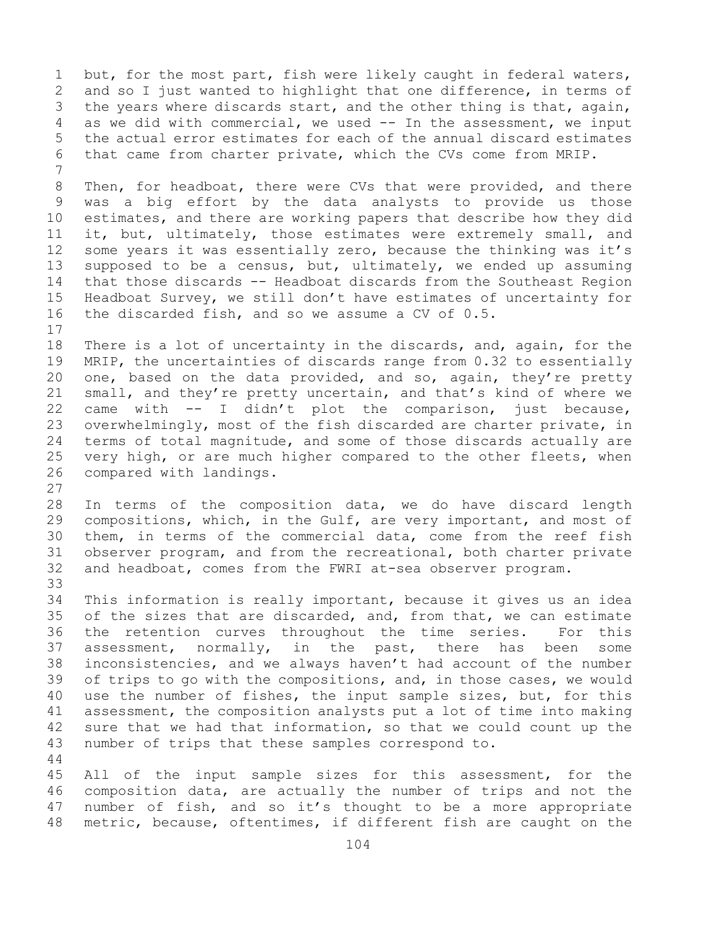1 but, for the most part, fish were likely caught in federal waters,<br>2 and so I just wanted to highlight that one difference, in terms of 2 and so I just wanted to highlight that one difference, in terms of<br>3 the years where discards start, and the other thing is that, again, 3 the years where discards start, and the other thing is that, again,<br>4 as we did with commercial, we used -- In the assessment, we input as we did with commercial, we used  $-$  In the assessment, we input 5 the actual error estimates for each of the annual discard estimates 6 that came from charter private, which the CVs come from MRIP.

7 8 Then, for headboat, there were CVs that were provided, and there<br>9 was a big effort by the data analysts to provide us those 9 was a big effort by the data analysts to provide us those<br>10 estimates, and there are working papers that describe how they did 10 estimates, and there are working papers that describe how they did<br>11 it, but, ultimately, those estimates were extremely small, and 11 it, but, ultimately, those estimates were extremely small, and<br>12 some vears it was essentially zero, because the thinking was it's some years it was essentially zero, because the thinking was it's 13 supposed to be a census, but, ultimately, we ended up assuming 14 that those discards -- Headboat discards from the Southeast Region<br>15 Headboat Survey, we still don't have estimates of uncertainty for 15 Headboat Survey, we still don't have estimates of uncertainty for<br>16 the discarded fish, and so we assume a CV of 0.5. the discarded fish, and so we assume a CV of  $0.5$ .

 $\begin{array}{c} 17 \\ 18 \end{array}$ 18 There is a lot of uncertainty in the discards, and, again, for the<br>19 MRIP, the uncertainties of discards range from 0.32 to essentially 19 MRIP, the uncertainties of discards range from 0.32 to essentially<br>20 one, based on the data provided, and so, again, they're pretty 20 one, based on the data provided, and so, again, they're pretty<br>21 small, and they're pretty uncertain, and that's kind of where we 21 small, and they're pretty uncertain, and that's kind of where we<br>22 came with  $--$  I didn't plot the comparison, just because, 22 came with -- I didn't plot the comparison, just because,<br>23 overwhelmingly, most of the fish discarded are charter private, in 23 overwhelmingly, most of the fish discarded are charter private, in<br>24 terms of total magnitude, and some of those discards actually are 24 terms of total magnitude, and some of those discards actually are<br>25 very high, or are much higher compared to the other fleets, when 25 very high, or are much higher compared to the other fleets, when<br>26 compared with landings. compared with landings.

 $\frac{27}{28}$ 28 In terms of the composition data, we do have discard length<br>29 compositions, which, in the Gulf, are very important, and most of 29 compositions, which, in the Gulf, are very important, and most of<br>30 them, in terms of the commercial data, come from the reef fish 30 them, in terms of the commercial data, come from the reef fish<br>31 observer program, and from the recreational, both charter private 31 observer program, and from the recreational, both charter private<br>32 and headboat, comes from the FWRI at-sea observer program. and headboat, comes from the FWRI at-sea observer program.

33<br>34 34 This information is really important, because it gives us an idea<br>35 of the sizes that are discarded, and, from that, we can estimate 35 of the sizes that are discarded, and, from that, we can estimate<br>36 the retention curves throughout the time series. For this the retention curves throughout the time series.<br>assessment, normally, in the past, there has 37 assessment, normally, in the past, there has been some 38 inconsistencies, and we always haven't had account of the number<br>39 of trips to go with the compositions, and, in those cases, we would 39 of trips to go with the compositions, and, in those cases, we would<br>40 use the number of fishes, the input sample sizes, but, for this 40 use the number of fishes, the input sample sizes, but, for this<br>41 assessment, the composition analysts put a lot of time into making 41 assessment, the composition analysts put a lot of time into making<br>42 sure that we had that information, so that we could count up the 42 sure that we had that information, so that we could count up the 43 number of trips that these samples correspond to. number of trips that these samples correspond to. 44

45 All of the input sample sizes for this assessment, for the 46 composition data, are actually the number of trips and not the<br>47 number of fish, and so it's thought to be a more appropriate 47 number of fish, and so it's thought to be a more appropriate<br>48 metric, because, oftentimes, if different fish are caught on the metric, because, oftentimes, if different fish are caught on the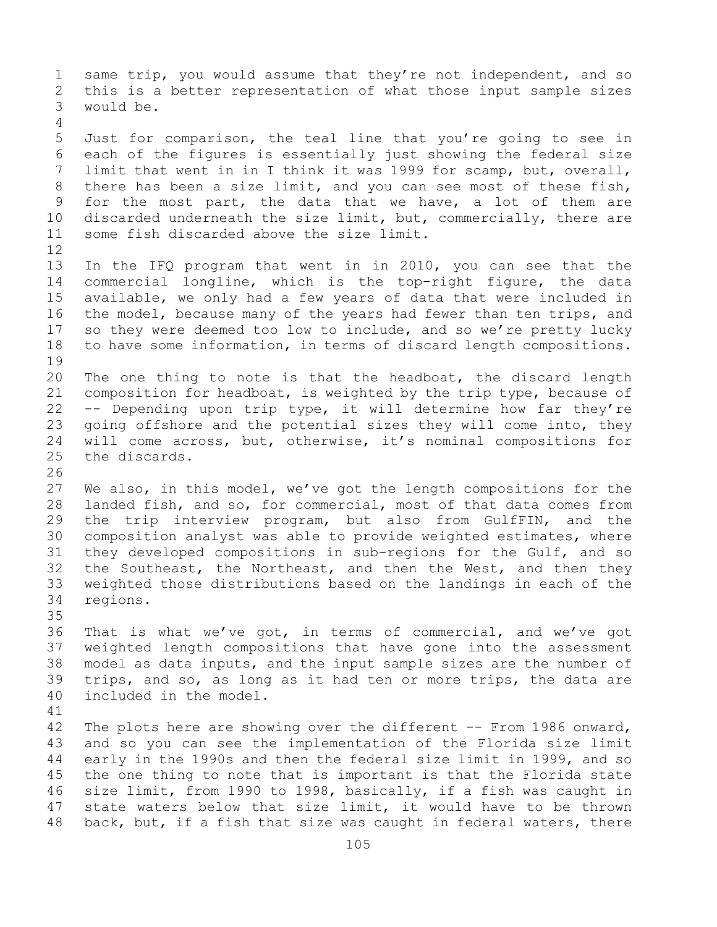1 same trip, you would assume that they're not independent, and so<br>2 this is a better representation of what those input sample sizes 2 this is a better representation of what those input sample sizes<br>3 would be. would be. 4 5 Just for comparison, the teal line that you're going to see in 6 each of the figures is essentially just showing the federal size<br>7 limit that went in in I think it was 1999 for scamp, but, overall, 7 limit that went in in I think it was 1999 for scamp, but, overall,<br>8 there has been a size limit, and you can see most of these fish, 8 there has been a size limit, and you can see most of these fish,<br>9 for the most part, the data that we have, a lot of them are 9 for the most part, the data that we have, a lot of them are<br>10 discarded underneath the size limit, but, commercially, there are 10 discarded underneath the size limit, but, commercially, there are<br>11 some fish discarded above the size limit. some fish discarded above the size limit. 12<br>13 In the IFQ program that went in in 2010, you can see that the 14 commercial longline, which is the top-right figure, the data<br>15 available, we only had a few vears of data that were included in 15 available, we only had a few years of data that were included in<br>16 the model, because many of the years had fewer than ten trips, and 16 the model, because many of the years had fewer than ten trips, and<br>17 so they were deemed too low to include, and so we're pretty lucky 17 so they were deemed too low to include, and so we're pretty lucky<br>18 to have some information, in terms of discard length compositions. to have some information, in terms of discard length compositions. 19<br>20 20 The one thing to note is that the headboat, the discard length<br>21 composition for headboat, is weighted by the trip type, because of 21 composition for headboat, is weighted by the trip type, because of  $22$  -- Depending upon trip type, it will determine how far they're 22 -- Depending upon trip type, it will determine how far they're<br>23 qoing offshore and the potential sizes they will come into, they 23 going offshore and the potential sizes they will come into, they<br>24 will come across, but, otherwise, it's nominal compositions for 24 will come across, but, otherwise, it's nominal compositions for<br>25 the discards. the discards. 26<br>27 We also, in this model, we've got the length compositions for the 28 landed fish, and so, for commercial, most of that data comes from<br>29 the trip interview program, but also from GulfFIN, and the 29 the trip interview program, but also from GulfFIN, and the<br>30 composition analyst was able to provide weighted estimates, where 30 composition analyst was able to provide weighted estimates, where<br>31 they developed compositions in sub-regions for the Gulf, and so 31 they developed compositions in sub-regions for the Gulf, and so<br>32 the Southeast, the Northeast, and then the West, and then they 32 the Southeast, the Northeast, and then the West, and then they<br>33 weighted those distributions based on the landings in each of the 33 weighted those distributions based on the landings in each of the regions. 35<br>36 36 That is what we've got, in terms of commercial, and we've got<br>37 weighted length compositions that have gone into the assessment weighted length compositions that have gone into the assessment 38 model as data inputs, and the input sample sizes are the number of<br>39 trips, and so, as long as it had ten or more trips, the data are 39 trips, and so, as long as it had ten or more trips, the data are included in the model. included in the model. 41<br>42 42 The plots here are showing over the different -- From 1986 onward,<br>43 and so you can see the implementation of the Florida size limit 43 and so you can see the implementation of the Florida size limit<br>44 early in the 1990s and then the federal size limit in 1999, and so early in the 1990s and then the federal size limit in 1999, and so 45 the one thing to note that is important is that the Florida state 46 size limit, from 1990 to 1998, basically, if a fish was caught in<br>47 state waters below that size limit, it would have to be thrown 47 state waters below that size limit, it would have to be thrown<br>48 back, but, if a fish that size was caught in federal waters, there back, but, if a fish that size was caught in federal waters, there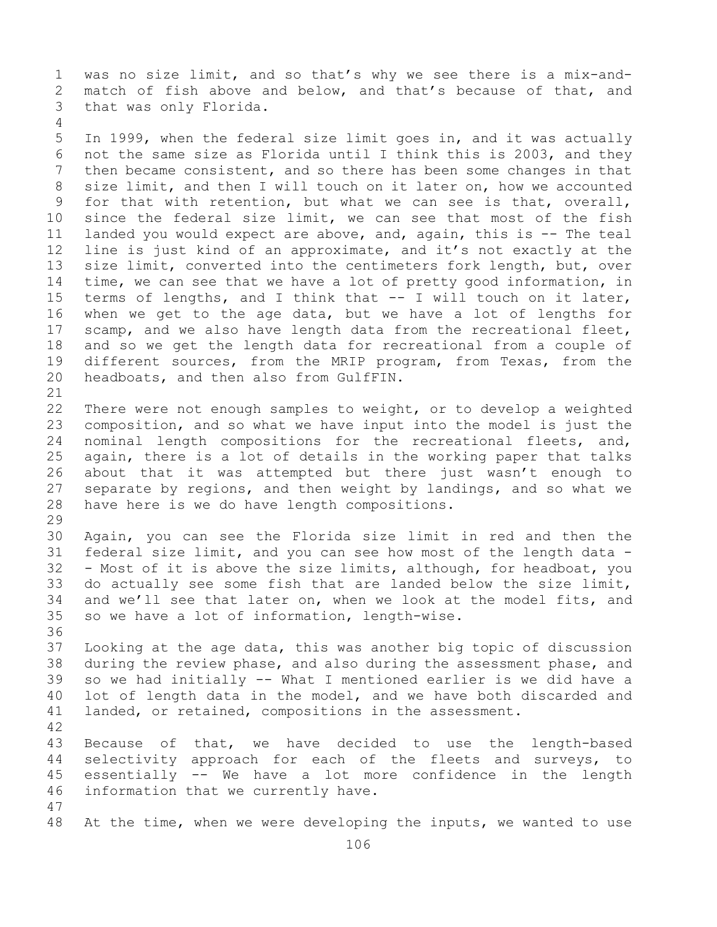1 was no size limit, and so that's why we see there is a mix-and-<br>2 match of fish above and below, and that's because of that, and 2 match of fish above and below, and that's because of that, and<br>3 that was only Florida. that was only Florida. 4

5 In 1999, when the federal size limit goes in, and it was actually 6 not the same size as Florida until I think this is 2003, and they 7 then became consistent, and so there has been some changes in that<br>8 size limit, and then I will touch on it later on, how we accounted 8 size limit, and then I will touch on it later on, how we accounted<br>9 for that with retention, but what we can see is that, overall, 9 for that with retention, but what we can see is that, overall,<br>10 since the federal size limit, we can see that most of the fish 10 since the federal size limit, we can see that most of the fish<br>11 landed you would expect are above, and, again, this is -- The teal 11 landed you would expect are above, and, again, this is -- The teal<br>12 line is just kind of an approximate, and it's not exactly at the 12 line is just kind of an approximate, and it's not exactly at the<br>13 size limit, converted into the centimeters fork length, but, over size limit, converted into the centimeters fork length, but, over 14 time, we can see that we have a lot of pretty good information, in<br>15 terms of lengths, and I think that -- I will touch on it later, 15 terms of lengths, and I think that -- I will touch on it later,<br>16 when we get to the age data, but we have a lot of lengths for 16 when we get to the age data, but we have a lot of lengths for<br>17 scamp, and we also have length data from the recreational fleet, 17 scamp, and we also have length data from the recreational fleet,<br>18 and so we get the length data for recreational from a couple of 18 and so we get the length data for recreational from a couple of<br>19 different sources, from the MRIP program, from Texas, from the 19 different sources, from the MRIP program, from Texas, from the<br>20 headboats, and then also from GulfFIN. headboats, and then also from GulfFIN.

21<br>22 22 There were not enough samples to weight, or to develop a weighted<br>23 composition, and so what we have input into the model is just the 23 composition, and so what we have input into the model is just the<br>24 nominal length compositions for the recreational fleets, and, 24 nominal length compositions for the recreational fleets, and,<br>25 again, there is a lot of details in the working paper that talks 25 again, there is a lot of details in the working paper that talks<br>26 about that it was attempted but there just wasn't enough to 26 about that it was attempted but there just wasn't enough to<br>27 separate by regions, and then weight by landings, and so what we 27 separate by regions, and then weight by landings, and so what we<br>28 have here is we do have length compositions. have here is we do have length compositions.

29<br>30 30 Again, you can see the Florida size limit in red and then the<br>31 federal size limit, and you can see how most of the length data -31 federal size limit, and you can see how most of the length data -<br>32 - Most of it is above the size limits, although, for headboat, you - Most of it is above the size limits, although, for headboat, you 33 do actually see some fish that are landed below the size limit,<br>34 and we'll see that later on, when we look at the model fits, and 34 and we'll see that later on, when we look at the model fits, and<br>35 so we have a lot of information, length-wise. so we have a lot of information, length-wise.

36<br>37 Looking at the age data, this was another big topic of discussion 38 during the review phase, and also during the assessment phase, and<br>39 so we had initially -- What I mentioned earlier is we did have a 39 so we had initially -- What I mentioned earlier is we did have a<br>40 lot of length data in the model, and we have both discarded and 40 lot of length data in the model, and we have both discarded and<br>41 landed, or retained, compositions in the assessment. landed, or retained, compositions in the assessment.

42 43 Because of that, we have decided to use the length-based<br>44 selectivity approach for each of the fleets and surveys, to selectivity approach for each of the fleets and surveys, to 45 essentially -- We have a lot more confidence in the length 46 information that we currently have.

47 At the time, when we were developing the inputs, we wanted to use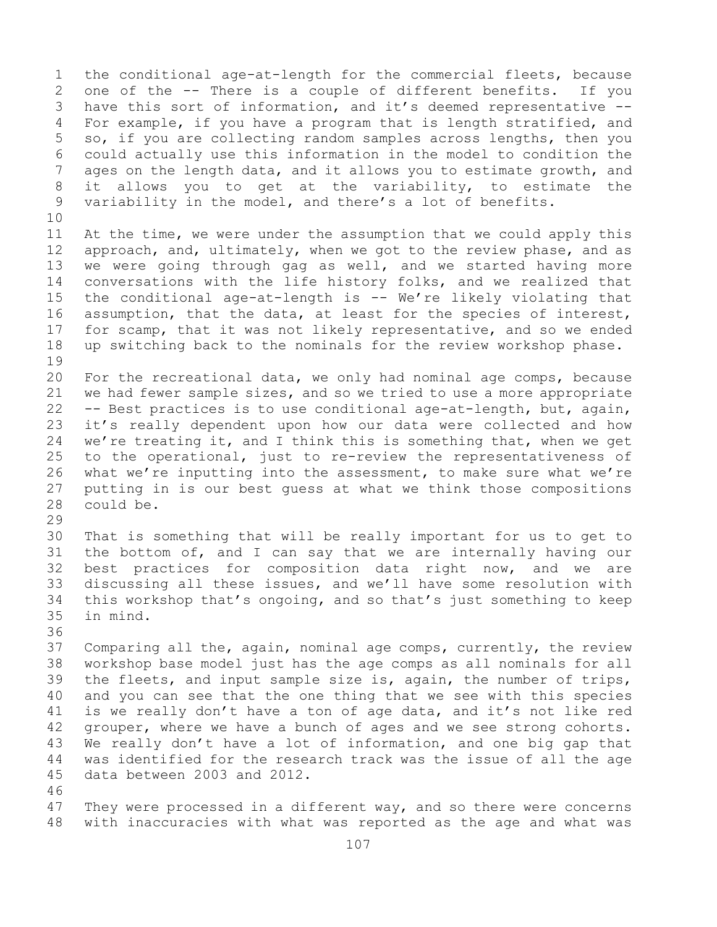1 the conditional age-at-length for the commercial fleets, because<br>2 one of the -- There is a couple of different benefits. If you 2 one of the -- There is a couple of different benefits.<br>3 have this sort of information, and it's deemed represent 3 have this sort of information, and it's deemed representative --<br>4 For example, if you have a program that is length stratified, and For example, if you have a program that is length stratified, and 5 so, if you are collecting random samples across lengths, then you 6 could actually use this information in the model to condition the 7 ages on the length data, and it allows you to estimate growth, and<br>8 it allows you to get at the variability, to estimate the 8 it allows you to get at the variability, to estimate the<br>9 variability in the model, and there's a lot of benefits. variability in the model, and there's a lot of benefits.

10<br>11 11 At the time, we were under the assumption that we could apply this<br>12 approach, and, ultimately, when we got to the review phase, and as 12 approach, and, ultimately, when we got to the review phase, and as<br>13 we were going through gag as well, and we started having more we were going through gag as well, and we started having more 14 conversations with the life history folks, and we realized that<br>15 the conditional age-at-length is -- We're likely violating that 15 the conditional age-at-length is  $-$  We're likely violating that<br>16 assumption, that the data, at least for the species of interest, 16 assumption, that the data, at least for the species of interest,<br>17 for scamp, that it was not likely representative, and so we ended 17 for scamp, that it was not likely representative, and so we ended<br>18 up switching back to the nominals for the review workshop phase. up switching back to the nominals for the review workshop phase.

19<br>20 20 For the recreational data, we only had nominal age comps, because<br>21 we had fewer sample sizes, and so we tried to use a more appropriate 21 we had fewer sample sizes, and so we tried to use a more appropriate<br>22 -- Best practices is to use conditional age-at-length, but, again, 22 -- Best practices is to use conditional age-at-length, but, again,<br>23 it's really dependent upon how our data were collected and how 23 it's really dependent upon how our data were collected and how<br>24 we're treating it, and I think this is something that, when we get 24 we're treating it, and I think this is something that, when we get<br>25 to the operational, just to re-review the representativeness of 25 to the operational, just to re-review the representativeness of<br>26 what we're inputting into the assessment, to make sure what we're 26 what we're inputting into the assessment, to make sure what we're<br>27 putting in is our best quess at what we think those compositions 27 putting in is our best guess at what we think those compositions<br>28 could be. could be.

29<br>30 30 That is something that will be really important for us to get to<br>31 the bottom of, and I can say that we are internally having our 31 the bottom of, and I can say that we are internally having our<br>32 best practices for composition data right now, and we are best practices for composition data right now, and we are 33 discussing all these issues, and we'll have some resolution with<br>34 this workshop that's ongoing, and so that's just something to keep 34 this workshop that's ongoing, and so that's just something to keep<br>35 in mind. in mind.

36<br>37

Comparing all the, again, nominal age comps, currently, the review 38 workshop base model just has the age comps as all nominals for all<br>39 the fleets, and input sample size is, again, the number of trips, 39 the fleets, and input sample size is, again, the number of trips,<br>40 and you can see that the one thing that we see with this species 40 and you can see that the one thing that we see with this species<br>41 is we really don't have a ton of age data, and it's not like red 41 is we really don't have a ton of age data, and it's not like red<br>42 qrouper, where we have a bunch of ages and we see strong cohorts. 42 grouper, where we have a bunch of ages and we see strong cohorts.<br>43 We really don't have a lot of information, and one big gap that 43 We really don't have a lot of information, and one big gap that<br>44 was identified for the research track was the issue of all the age was identified for the research track was the issue of all the age 45 data between 2003 and 2012.

46<br>47 47 They were processed in a different way, and so there were concerns<br>48 with inaccuracies with what was reported as the age and what was with inaccuracies with what was reported as the age and what was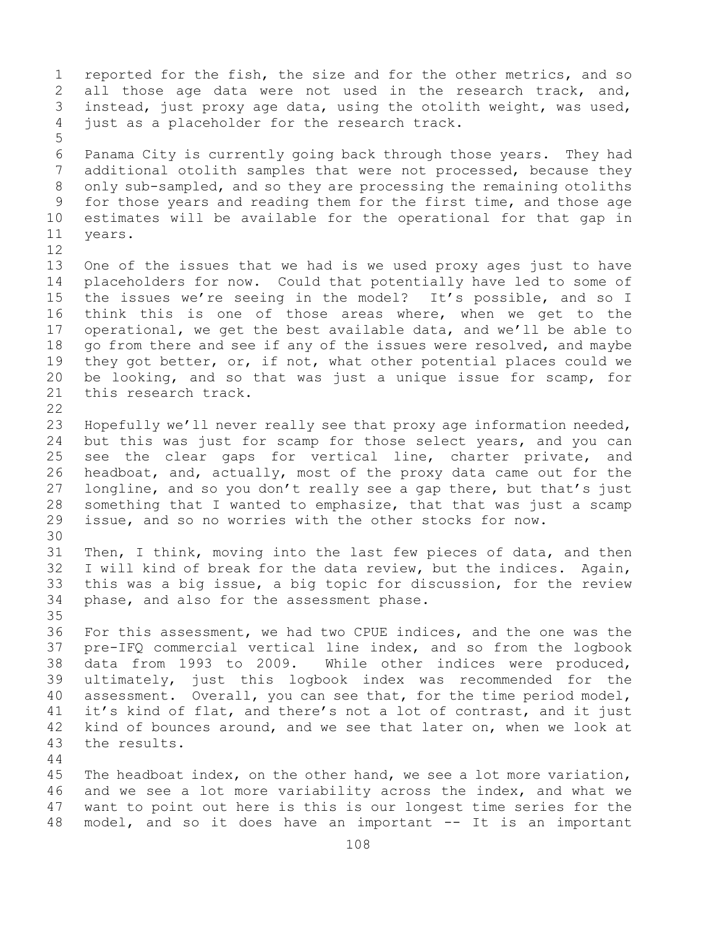1 reported for the fish, the size and for the other metrics, and so<br>2 all those age data were not used in the research track, and, 2 all those age data were not used in the research track, and,<br>3 instead, just proxy age data, using the otolith weight, was used, 3 instead, just proxy age data, using the otolith weight, was used,<br>4 just as a placeholder for the research track. just as a placeholder for the research track. 5 6 Panama City is currently going back through those years. They had<br>7 additional otolith samples that were not processed, because they 7 additional otolith samples that were not processed, because they<br>8 only sub-sampled, and so they are processing the remaining otoliths 8 only sub-sampled, and so they are processing the remaining otoliths<br>9 for those years and reading them for the first time, and those age 9 for those years and reading them for the first time, and those age<br>10 estimates will be available for the operational for that gap in 10 estimates will be available for the operational for that gap in vears. 12<br>13 One of the issues that we had is we used proxy ages just to have 14 placeholders for now. Could that potentially have led to some of<br>15 the issues we're seeing in the model? It's possible, and so I 15 the issues we're seeing in the model? It's possible, and so I<br>16 think this is one of those areas where, when we get to the 16 think this is one of those areas where, when we get to the<br>17 operational, we get the best available data, and we'll be able to 17 operational, we get the best available data, and we'll be able to<br>18 qo from there and see if any of the issues were resolved, and maybe 18 go from there and see if any of the issues were resolved, and maybe 19 they got better, or, if not, what other potential places could we 19 they got better, or, if not, what other potential places could we<br>20 be looking, and so that was just a unique issue for scamp, for 20 be looking, and so that was just a unique issue for scamp, for 21 this research track. this research track.  $\begin{array}{c} 22 \\ 23 \end{array}$ 23 Hopefully we'll never really see that proxy age information needed,<br>24 but this was just for scamp for those select years, and you can 24 but this was just for scamp for those select years, and you can<br>25 see the clear gaps for vertical line, charter private, and 25 see the clear gaps for vertical line, charter private,<br>26 headboat, and, actually, most of the proxy data came out for 26 headboat, and, actually, most of the proxy data came out for the<br>27 longline, and so you don't really see a gap there, but that's just 27 longline, and so you don't really see a gap there, but that's just<br>28 something that I wanted to emphasize, that that was just a scamp 28 something that I wanted to emphasize, that that was just a scamp<br>29 issue, and so no worries with the other stocks for now. issue, and so no worries with the other stocks for now. 30<br>31 31 Then, I think, moving into the last few pieces of data, and then<br>32 I will kind of break for the data review, but the indices. Again, I will kind of break for the data review, but the indices. Again, 33 this was a big issue, a big topic for discussion, for the review<br>34 phase, and also for the assessment phase. phase, and also for the assessment phase. 35<br>36 36 For this assessment, we had two CPUE indices, and the one was the<br>37 pre-IFQ commercial vertical line index, and so from the logbook pre-IFQ commercial vertical line index, and so from the logbook 38 data from 1993 to 2009. While other indices were produced,<br>39 ultimately, just this logbook index was recommended for the 39 ultimately, just this logbook index was recommended for the<br>40 assessment. Overall, you can see that, for the time period model, 40 assessment. Overall, you can see that, for the time period model,<br>41 it's kind of flat, and there's not a lot of contrast, and it just 41 it's kind of flat, and there's not a lot of contrast, and it just<br>42 kind of bounces around, and we see that later on, when we look at 42 kind of bounces around, and we see that later on, when we look at 43 the results. the results. 44 45 The headboat index, on the other hand, we see a lot more variation, 46 and we see a lot more variability across the index, and what we<br>47 want to point out here is this is our longest time series for the 47 want to point out here is this is our longest time series for the<br>48 model, and so it does have an important -- It is an important model, and so it does have an important -- It is an important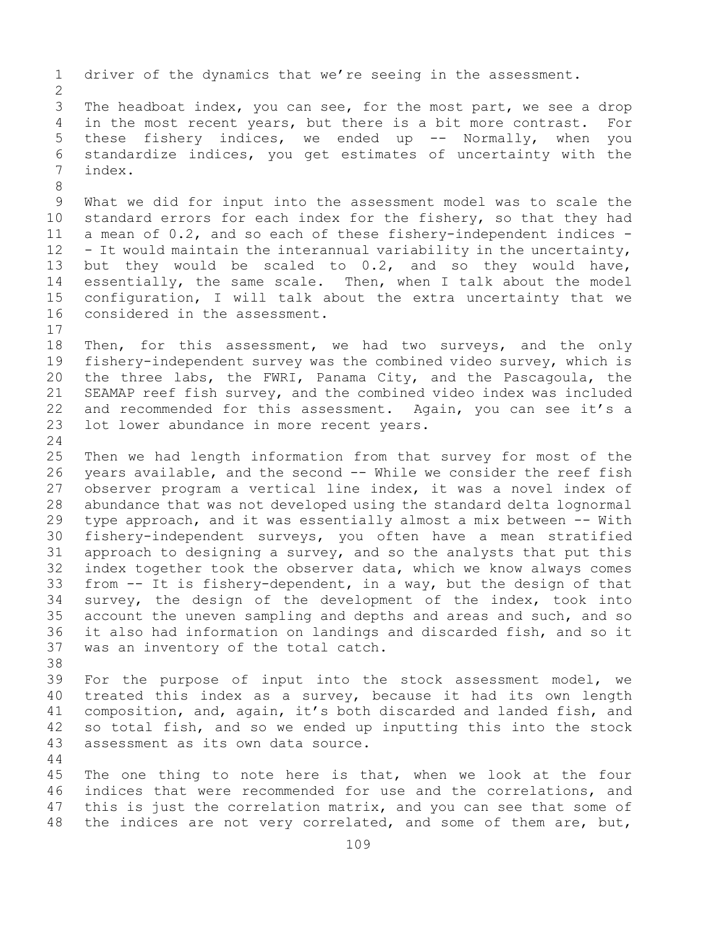1 driver of the dynamics that we're seeing in the assessment.  $\frac{2}{3}$ 3 The headboat index, you can see, for the most part, we see a drop<br>4 in the most recent vears, but there is a bit more contrast. For in the most recent years, but there is a bit more contrast. For 5 these fishery indices, we ended up -- Normally, when you 6 standardize indices, you get estimates of uncertainty with the index. 8<br>9 9 What we did for input into the assessment model was to scale the<br>10 standard errors for each index for the fishery, so that they had 10 standard errors for each index for the fishery, so that they had<br>11 a mean of 0.2, and so each of these fisherv-independent indices -11 a mean of  $0.2$ , and so each of these fishery-independent indices  $-$  12 - It would maintain the interannual variability in the uncertainty,  $-$  It would maintain the interannual variability in the uncertainty, 13 but they would be scaled to 0.2, and so they would have, 14 essentially, the same scale. Then, when I talk about the model<br>15 configuration, I will talk about the extra uncertainty that we 15 configuration, I will talk about the extra uncertainty that we<br>16 considered in the assessment. considered in the assessment.  $17$ <br> $18$ 18 Then, for this assessment, we had two surveys, and the only<br>19 fisherv-independent survey was the combined video survey, which is 19 fishery-independent survey was the combined video survey, which is<br>20 the three labs, the FWRI, Panama City, and the Pascagoula, the 20 the three labs, the FWRI, Panama City, and the Pascagoula, the<br>21 SEAMAP reef fish survey, and the combined video index was included 21 SEAMAP reef fish survey, and the combined video index was included<br>22 and recommended for this assessment. Again, you can see it's a 22 and recommended for this assessment. Again, you can see it's a<br>23 lot lower abundance in more recent years. lot lower abundance in more recent years.  $\frac{24}{25}$ 25 Then we had length information from that survey for most of the<br>26 years available, and the second -- While we consider the reef fish 26 years available, and the second -- While we consider the reef fish<br>27 observer program a vertical line index, it was a novel index of observer program a vertical line index, it was a novel index of 28 abundance that was not developed using the standard delta lognormal<br>29 type approach, and it was essentially almost a mix between -- With 29 type approach, and it was essentially almost a mix between -- With<br>30 fisherv-independent surveys, you often have a mean stratified 30 fishery-independent surveys, you often have a mean stratified<br>31 approach to designing a survey, and so the analysts that put this 31 approach to designing a survey, and so the analysts that put this<br>32 index together took the observer data, which we know always comes index together took the observer data, which we know always comes 33 from -- It is fishery-dependent, in a way, but the design of that<br>34 survey, the design of the development of the index, took into 34 survey, the design of the development of the index, took into<br>35 account the uneven sampling and depths and areas and such, and so 35 account the uneven sampling and depths and areas and such, and so<br>36 it also had information on landings and discarded fish, and so it 36 it also had information on landings and discarded fish, and so it<br>37 was an inventory of the total catch. was an inventory of the total catch. 38<br>39 39 For the purpose of input into the stock assessment model, we<br>40 treated this index as a survey, because it had its own length 40 treated this index as a survey, because it had its own length<br>41 composition, and, again, it's both discarded and landed fish, and 41 composition, and, again, it's both discarded and landed fish, and<br>42 so total fish, and so we ended up inputting this into the stock 42 so total fish, and so we ended up inputting this into the stock<br>43 assessment as its own data source. assessment as its own data source. 44 45 The one thing to note here is that, when we look at the four 46 indices that were recommended for use and the correlations, and<br>47 this is just the correlation matrix, and you can see that some of 47 this is just the correlation matrix, and you can see that some of<br>48 the indices are not very correlated, and some of them are, but, the indices are not very correlated, and some of them are, but,

109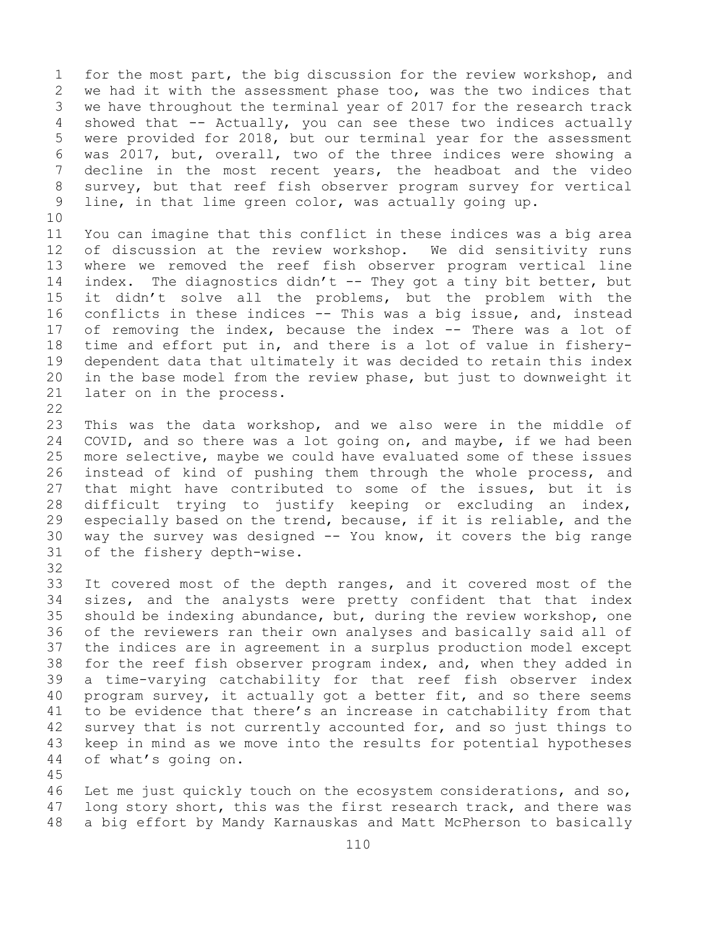1 for the most part, the big discussion for the review workshop, and<br>2 we had it with the assessment phase too, was the two indices that 2 we had it with the assessment phase too, was the two indices that<br>3 we have throughout the terminal year of 2017 for the research track 3 we have throughout the terminal year of 2017 for the research track<br>4 showed that -- Actually, you can see these two indices actually showed that  $-$  Actually, you can see these two indices actually 5 were provided for 2018, but our terminal year for the assessment 6 was 2017, but, overall, two of the three indices were showing a<br>7 decline in the most recent vears, the headboat and the video 7 decline in the most recent years, the headboat and the video<br>8 survey, but that reef fish observer program survey for vertical 8 survey, but that reef fish observer program survey for vertical<br>9 line, in that lime green color, was actually going up. line, in that lime green color, was actually going up.

10<br>11

11 You can imagine that this conflict in these indices was a big area<br>12 of discussion at the review workshop. We did sensitivity runs of discussion at the review workshop. We did sensitivity runs 13 where we removed the reef fish observer program vertical line 14 index. The diagnostics didn't -- They got a tiny bit better, but<br>15 it didn't solve all the problems, but the problem with the 15 it didn't solve all the problems, but the problem with the<br>16 conflicts in these indices -- This was a big issue, and, instead 16 conflicts in these indices -- This was a big issue, and, instead<br>17 of removing the index, because the index -- There was a lot of 17 of removing the index, because the index -- There was a lot of<br>18 time and effort put in, and there is a lot of value in fishery-18 time and effort put in, and there is a lot of value in fishery-<br>19 dependent data that ultimately it was decided to retain this index 19 dependent data that ultimately it was decided to retain this index<br>20 in the base model from the review phase, but just to downweight it 20 in the base model from the review phase, but just to downweight it<br>21 later on in the process. later on in the process.

 $\begin{array}{c} 22 \\ 23 \end{array}$ 

23 This was the data workshop, and we also were in the middle of<br>24 COVID, and so there was a lot going on, and maybe, if we had been 24 COVID, and so there was a lot going on, and maybe, if we had been<br>25 more selective, maybe we could have evaluated some of these issues 25 more selective, maybe we could have evaluated some of these issues<br>26 instead of kind of pushing them through the whole process, and 26 instead of kind of pushing them through the whole process, and<br>27 that might have contributed to some of the issues, but it is that might have contributed to some of the issues, but it is 28 difficult trying to justify keeping or excluding an index,<br>29 especially based on the trend, because, if it is reliable, and the 29 especially based on the trend, because, if it is reliable, and the<br>30 way the survey was designed -- You know, it covers the big range 30 way the survey was designed  $--$  You know, it covers the big range 31 of the fishery depth-wise. of the fishery depth-wise.

32

33 It covered most of the depth ranges, and it covered most of the<br>34 sizes, and the analysts were pretty confident that that index 34 sizes, and the analysts were pretty confident that that index<br>35 should be indexing abundance, but, during the review workshop, one 35 should be indexing abundance, but, during the review workshop, one<br>36 of the reviewers ran their own analyses and basically said all of of the reviewers ran their own analyses and basically said all of 37 the indices are in agreement in a surplus production model except 38 for the reef fish observer program index, and, when they added in<br>39 a time-varying catchability for that reef fish observer index 39 a time-varying catchability for that reef fish observer index<br>40 program survey, it actually got a better fit, and so there seems 40 program survey, it actually got a better fit, and so there seems<br>41 to be evidence that there's an increase in catchability from that 41 to be evidence that there's an increase in catchability from that<br>42 survey that is not currently accounted for, and so just things to 42 survey that is not currently accounted for, and so just things to<br>43 keep in mind as we move into the results for potential hypotheses 43 keep in mind as we move into the results for potential hypotheses<br>44 of what's going on. of what's going on.

45

46 Let me just quickly touch on the ecosystem considerations, and so,<br>47 long story short, this was the first research track, and there was 47 long story short, this was the first research track, and there was<br>48 a big effort by Mandy Karnauskas and Matt McPherson to basically a big effort by Mandy Karnauskas and Matt McPherson to basically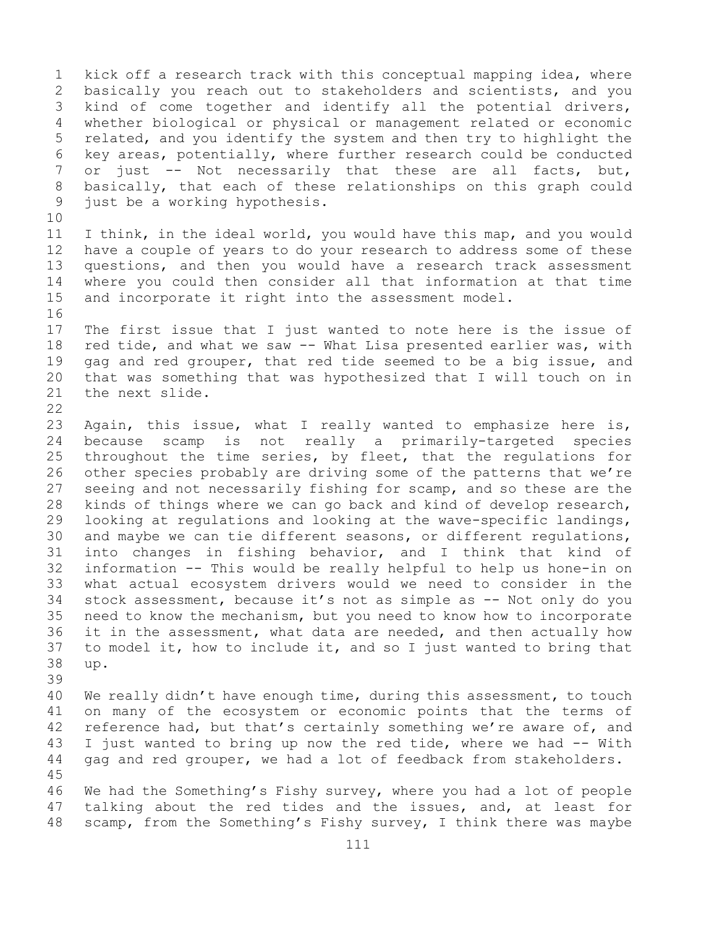1 kick off a research track with this conceptual mapping idea, where<br>2 basically you reach out to stakeholders and scientists, and you 2 basically you reach out to stakeholders and scientists, and you<br>3 kind of come together and identify all the potential drivers, 3 kind of come together and identify all the potential drivers,<br>4 whether biological or physical or management related or economic whether biological or physical or management related or economic 5 related, and you identify the system and then try to highlight the 6 key areas, potentially, where further research could be conducted<br>7 or just -- Not necessarily that these are all facts, but, 7 or just -- Not necessarily that these are all facts, but,<br>8 basically, that each of these relationships on this graph could 8 basically, that each of these relationships on this graph could<br>9 just be a working hypothesis. just be a working hypothesis. 10<br>11 11 I think, in the ideal world, you would have this map, and you would<br>12 have a couple of years to do your research to address some of these 12 have a couple of years to do your research to address some of these<br>13 questions, and then you would have a research track assessment questions, and then you would have a research track assessment 14 where you could then consider all that information at that time<br>15 and incorporate it right into the assessment model. and incorporate it right into the assessment model. 16<br>17 17 The first issue that I just wanted to note here is the issue of<br>18 red tide, and what we saw -- What Lisa presented earlier was, with 18 red tide, and what we saw -- What Lisa presented earlier was, with<br>19 gag and red grouper, that red tide seemed to be a big issue, and 19 gag and red grouper, that red tide seemed to be a big issue, and<br>20 that was something that was hypothesized that I will touch on in 20 that was something that was hypothesized that I will touch on in the next slide.  $\begin{array}{c} 22 \\ 23 \end{array}$ 23 Again, this issue, what I really wanted to emphasize here is,<br>24 because scamp is not really a primarily-targeted species 24 because scamp is not really a primarily-targeted species<br>25 throughout the time series, by fleet, that the regulations for 25 throughout the time series, by fleet, that the regulations for<br>26 other species probably are driving some of the patterns that we're 26 other species probably are driving some of the patterns that we're<br>27 seeing and not necessarily fishing for scamp, and so these are the 27 seeing and not necessarily fishing for scamp, and so these are the<br>28 kinds of things where we can go back and kind of develop research, 28 kinds of things where we can go back and kind of develop research,<br>29 looking at regulations and looking at the wave-specific landings, 29 looking at regulations and looking at the wave-specific landings,<br>30 and maybe we can tie different seasons, or different regulations, 30 and maybe we can tie different seasons, or different regulations,<br>31 into changes in fishing behavior, and I think that kind of 31 into changes in fishing behavior, and I think that kind of<br>32 information -- This would be really helpful to help us hone-in on information -- This would be really helpful to help us hone-in on 33 what actual ecosystem drivers would we need to consider in the<br>34 stock assessment, because it's not as simple as -- Not only do you 34 stock assessment, because it's not as simple as -- Not only do you<br>35 need to know the mechanism, but you need to know how to incorporate 35 need to know the mechanism, but you need to know how to incorporate<br>36 it in the assessment, what data are needed, and then actually how 36 it in the assessment, what data are needed, and then actually how<br>37 to model it, how to include it, and so I just wanted to bring that to model it, how to include it, and so I just wanted to bring that 38 up. 39 40 We really didn't have enough time, during this assessment, to touch<br>41 on many of the ecosystem or economic points that the terms of 41 on many of the ecosystem or economic points that the terms of<br>42 reference had, but that's certainly something we're aware of, and 42 reference had, but that's certainly something we're aware of, and<br>43 I just wanted to bring up now the red tide, where we had -- With 43 I just wanted to bring up now the red tide, where we had -- With<br>44 qaq and red grouper, we had a lot of feedback from stakeholders. gag and red grouper, we had a lot of feedback from stakeholders. 45

46 We had the Something's Fishy survey, where you had a lot of people<br>47 talking about the red tides and the issues, and, at least for 47 talking about the red tides and the issues, and, at least for<br>48 scamp, from the Something's Fishy survey, I think there was maybe scamp, from the Something's Fishy survey, I think there was maybe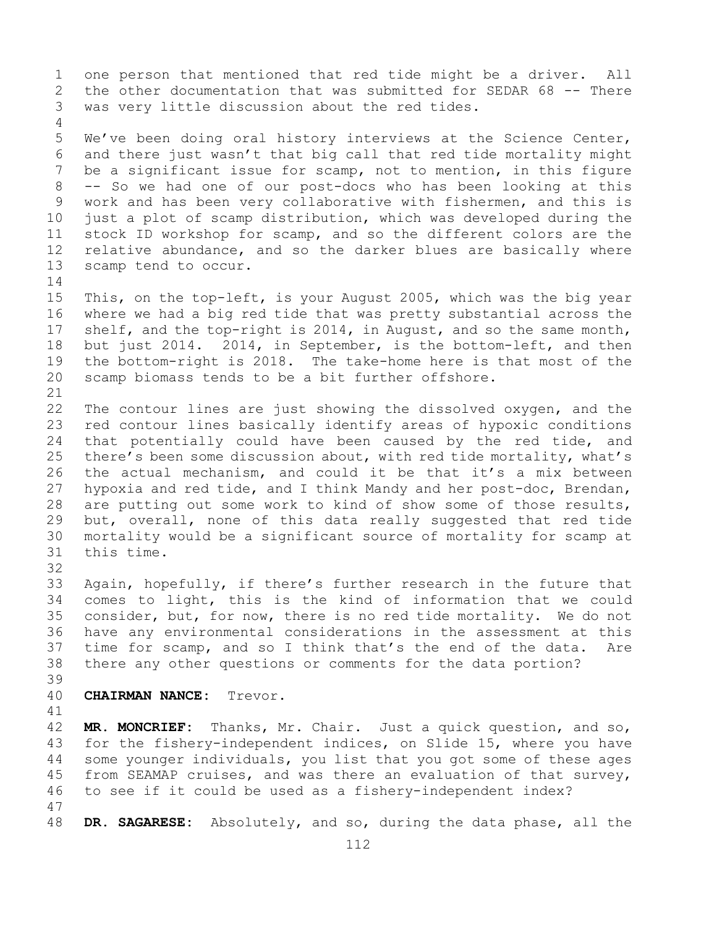1 one person that mentioned that red tide might be a driver. All<br>2 the other documentation that was submitted for SEDAR 68 -- There 2 the other documentation that was submitted for SEDAR 68 -- There<br>3 was very little discussion about the red tides. was very little discussion about the red tides.

5 We've been doing oral history interviews at the Science Center, 6 and there just wasn't that big call that red tide mortality might<br>7 be a significant issue for scamp, not to mention, in this figure 7 be a significant issue for scamp, not to mention, in this figure<br>8 -- So we had one of our post-docs who has been looking at this 8 -- So we had one of our post-docs who has been looking at this<br>9 work and has been very collaborative with fishermen, and this is 9 work and has been very collaborative with fishermen, and this is<br>10 just a plot of scamp distribution, which was developed during the 10 just a plot of scamp distribution, which was developed during the<br>11 stock ID workshop for scamp, and so the different colors are the 11 stock ID workshop for scamp, and so the different colors are the<br>12 relative abundance, and so the darker blues are basically where 12 relative abundance, and so the darker blues are basically where<br>13 scamp tend to occur. scamp tend to occur.

 $\frac{14}{15}$ 15 This, on the top-left, is your August 2005, which was the big year<br>16 where we had a big red tide that was pretty substantial across the 16 where we had a big red tide that was pretty substantial across the<br>17 shelf, and the top-right is 2014, in August, and so the same month, 17 shelf, and the top-right is 2014, in August, and so the same month,<br>18 but just 2014. 2014, in September, is the bottom-left, and then 18 but just 2014. 2014, in September, is the bottom-left, and then<br>19 the bottom-right is 2018. The take-home here is that most of the 19 the bottom-right is 2018. The take-home here is that most of the<br>20 scamp biomass tends to be a bit further offshore. scamp biomass tends to be a bit further offshore.

4

21<br>22 22 The contour lines are just showing the dissolved oxygen, and the<br>23 red contour lines basically identify areas of hypoxic conditions 23 red contour lines basically identify areas of hypoxic conditions<br>24 that potentially could have been caused by the red tide, and 24 that potentially could have been caused by the red tide, and<br>25 there's been some discussion about, with red tide mortality, what's 25 there's been some discussion about, with red tide mortality, what's<br>26 the actual mechanism, and could it be that it's a mix between 26 the actual mechanism, and could it be that it's a mix between<br>27 hypoxia and red tide, and I think Mandy and her post-doc, Brendan, hypoxia and red tide, and I think Mandy and her post-doc, Brendan, 28 are putting out some work to kind of show some of those results,<br>29 but, overall, none of this data really suggested that red tide 29 but, overall, none of this data really suggested that red tide<br>30 mortality would be a significant source of mortality for scamp at 30 mortality would be a significant source of mortality for scamp at this time. 32

33 Again, hopefully, if there's further research in the future that<br>34 comes to light, this is the kind of information that we could 34 comes to light, this is the kind of information that we could<br>35 consider, but, for now, there is no red tide mortality. We do not 35 consider, but, for now, there is no red tide mortality. We do not<br>36 have any environmental considerations in the assessment at this have any environmental considerations in the assessment at this 37 time for scamp, and so I think that's the end of the data. Are 38 there any other questions or comments for the data portion?

39

40 **CHAIRMAN NANCE:** Trevor.

41<br>42

42 **MR. MONCRIEF:** Thanks, Mr. Chair. Just a quick question, and so,<br>43 for the fishery-independent indices, on Slide 15, where you have 43 for the fishery-independent indices, on Slide 15, where you have<br>44 some younger individuals, you list that you got some of these ages some younger individuals, you list that you got some of these ages 45 from SEAMAP cruises, and was there an evaluation of that survey, 46 to see if it could be used as a fishery-independent index?

47 DR. SAGARESE: Absolutely, and so, during the data phase, all the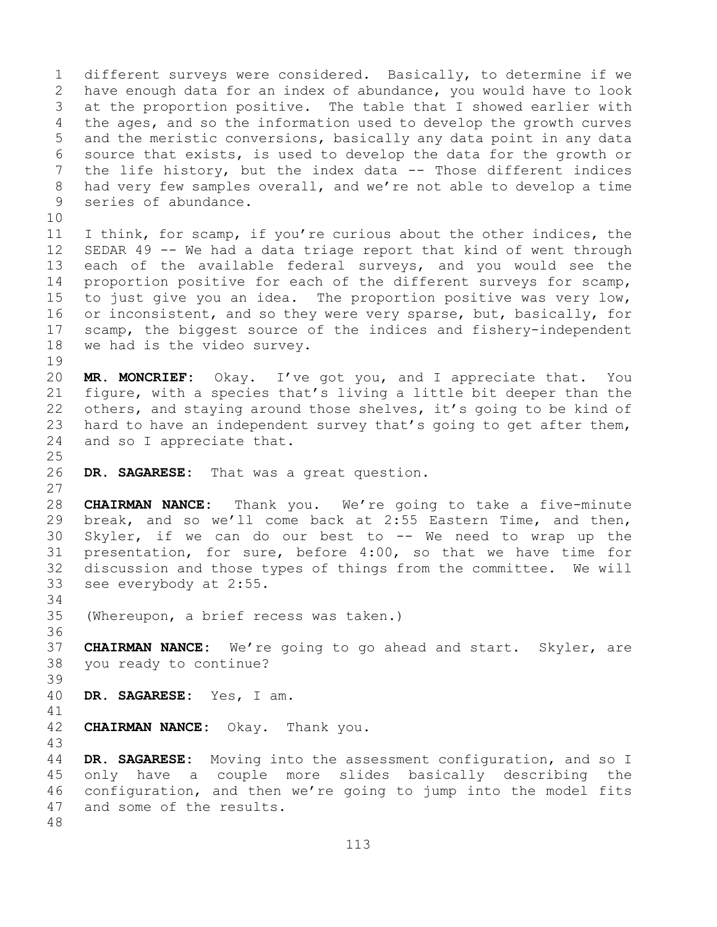1 different surveys were considered. Basically, to determine if we<br>2 have enough data for an index of abundance, you would have to look 2 have enough data for an index of abundance, you would have to look<br>3 at the proportion positive. The table that I showed earlier with 3 at the proportion positive. The table that I showed earlier with<br>4 the ages, and so the information used to develop the growth curves the ages, and so the information used to develop the growth curves 5 and the meristic conversions, basically any data point in any data 6 source that exists, is used to develop the data for the growth or<br>7 the life history, but the index data -- Those different indices 7 the life history, but the index data -- Those different indices<br>8 had very few samples overall, and we're not able to develop a time 8 had very few samples overall, and we're not able to develop a time<br>9 series of abundance. series of abundance.

10<br>11 11 I think, for scamp, if you're curious about the other indices, the<br>12 SEDAR 49 -- We had a data triage report that kind of went through SEDAR 49  $-$  We had a data triage report that kind of went through 13 each of the available federal surveys, and you would see the 14 proportion positive for each of the different surveys for scamp,<br>15 to just give vou an idea. The proportion positive was verv low, 15 to just give you an idea. The proportion positive was very low,<br>16 or inconsistent, and so they were very sparse, but, basically, for 16 or inconsistent, and so they were very sparse, but, basically, for<br>17 scamp, the biggest source of the indices and fishery-independent 17 scamp, the biggest source of the indices and fishery-independent<br>18 we had is the video survey. we had is the video survey.

 $\begin{array}{c} 19 \\ 20 \end{array}$ MR. MONCRIEF: Okay. I've got you, and I appreciate that. You 21 figure, with a species that's living a little bit deeper than the<br>22 others, and staying around those shelves, it's going to be kind of 22 others, and staying around those shelves, it's going to be kind of<br>23 hard to have an independent survey that's going to get after them, 23 hard to have an independent survey that's going to get after them,<br>24 and so I appreciate that. and so I appreciate that.

 $\frac{25}{26}$ DR. SAGARESE: That was a great question.

28 **CHAIRMAN NANCE:** Thank you. We're going to take a five-minute break, and so we'll come back at 2:55 Eastern Time, and then, 30 Skyler, if we can do our best to -- We need to wrap up the<br>31 presentation, for sure, before 4:00, so that we have time for 31 presentation, for sure, before 4:00, so that we have time for<br>32 discussion and those types of things from the committee. We will discussion and those types of things from the committee. We will 33 see everybody at 2:55.

34<br>35 (Whereupon, a brief recess was taken.)

36<br>37 37 **CHAIRMAN NANCE:** We're going to go ahead and start. Skyler, are 38 you ready to continue?

39

27

DR. SAGARESE: Yes, I am.

41<br>42 **CHAIRMAN NANCE:** Okay. Thank you.

43

DR. SAGARESE: Moving into the assessment configuration, and so I 45 only have a couple more slides basically describing the 46 configuration, and then we're going to jump into the model fits<br>47 and some of the results. and some of the results.

48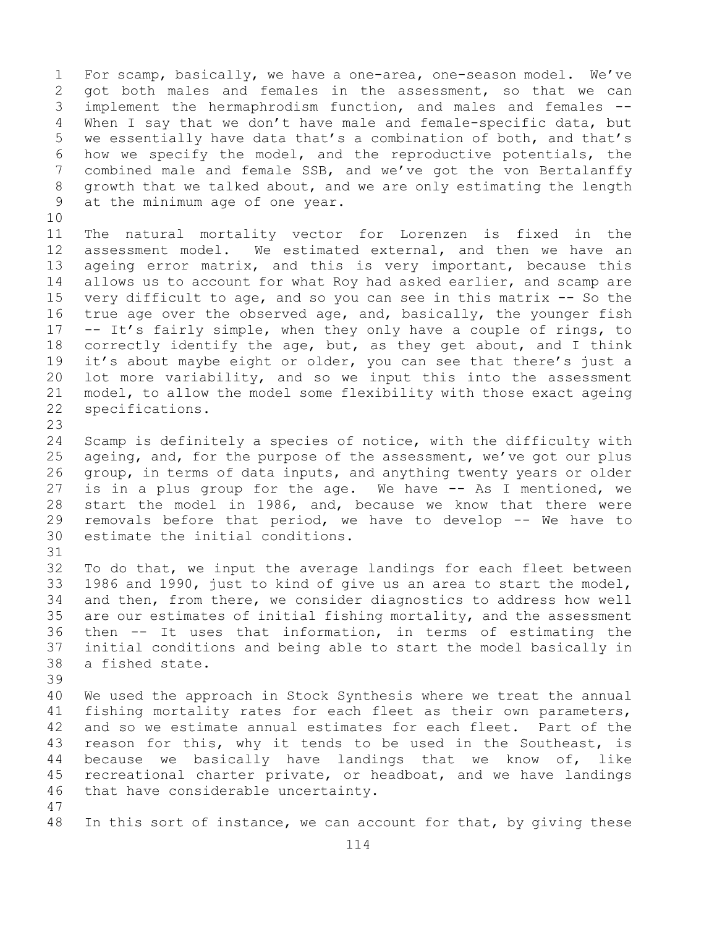1 For scamp, basically, we have a one-area, one-season model. We've<br>2 qot both males and females in the assessment, so that we can 2 got both males and females in the assessment, so that we can<br>3 implement the hermaphrodism function, and males and females --3 implement the hermaphrodism function, and males and females --<br>4 When I say that we don't have male and female-specific data, but When I say that we don't have male and female-specific data, but 5 we essentially have data that's a combination of both, and that's 6 how we specify the model, and the reproductive potentials, the<br>7 combined male and female SSB, and we've got the von Bertalanffy 7 combined male and female SSB, and we've got the von Bertalanffy<br>8 qrowth that we talked about, and we are only estimating the length 8 growth that we talked about, and we are only estimating the length<br>9 at the minimum age of one year. at the minimum age of one year.

10<br>11 11 The natural mortality vector for Lorenzen is fixed in the<br>12 assessment model. We estimated external, and then we have an assessment model. We estimated external, and then we have an 13 ageing error matrix, and this is very important, because this 14 allows us to account for what Roy had asked earlier, and scamp are<br>15 verv difficult to age, and so vou can see in this matrix -- So the 15 very difficult to age, and so you can see in this matrix  $-$  So the 16 true age over the observed age, and, basically, the younger fish 16 true age over the observed age, and, basically, the younger fish<br>17 -- It's fairly simple, when they only have a couple of rings, to 17 -- It's fairly simple, when they only have a couple of rings, to<br>18 correctly identify the age, but, as they get about, and I think 18 correctly identify the age, but, as they get about, and I think<br>19 it's about maybe eight or older, you can see that there's just a 19 it's about maybe eight or older, you can see that there's just a<br>20 lot more variability, and so we input this into the assessment 20 lot more variability, and so we input this into the assessment<br>21 model, to allow the model some flexibility with those exact ageing 21 model, to allow the model some flexibility with those exact ageing<br>22 specifications. specifications.

23

24 Scamp is definitely a species of notice, with the difficulty with<br>25 ageing, and, for the purpose of the assessment, we've got our plus 25 ageing, and, for the purpose of the assessment, we've got our plus<br>26 qroup, in terms of data inputs, and anything twenty years or older 26 group, in terms of data inputs, and anything twenty years or older<br>27 is in a plus group for the age. We have -- As I mentioned, we is in a plus group for the age. We have -- As I mentioned, we 28 start the model in 1986, and, because we know that there were<br>29 removals before that period, we have to develop -- We have to 29 removals before that period, we have to develop -- We have to estimate the initial conditions.

31<br>32 To do that, we input the average landings for each fleet between 33 1986 and 1990, just to kind of give us an area to start the model,<br>34 and then, from there, we consider diagnostics to address how well 34 and then, from there, we consider diagnostics to address how well<br>35 are our estimates of initial fishing mortality, and the assessment 35 are our estimates of initial fishing mortality, and the assessment<br>36 then -- It uses that information, in terms of estimating the then -- It uses that information, in terms of estimating the 37 initial conditions and being able to start the model basically in 38 a fished state.

39 40 We used the approach in Stock Synthesis where we treat the annual<br>41 fishing mortality rates for each fleet as their own parameters, 41 fishing mortality rates for each fleet as their own parameters,<br>42 and so we estimate annual estimates for each fleet. Part of the 42 and so we estimate annual estimates for each fleet. Part of the<br>43 reason for this, why it tends to be used in the Southeast, is 43 reason for this, why it tends to be used in the Southeast, is<br>44 because we basically have landings that we know of, like because we basically have landings that we know of, like 45 recreational charter private, or headboat, and we have landings 46 that have considerable uncertainty.

47

In this sort of instance, we can account for that, by giving these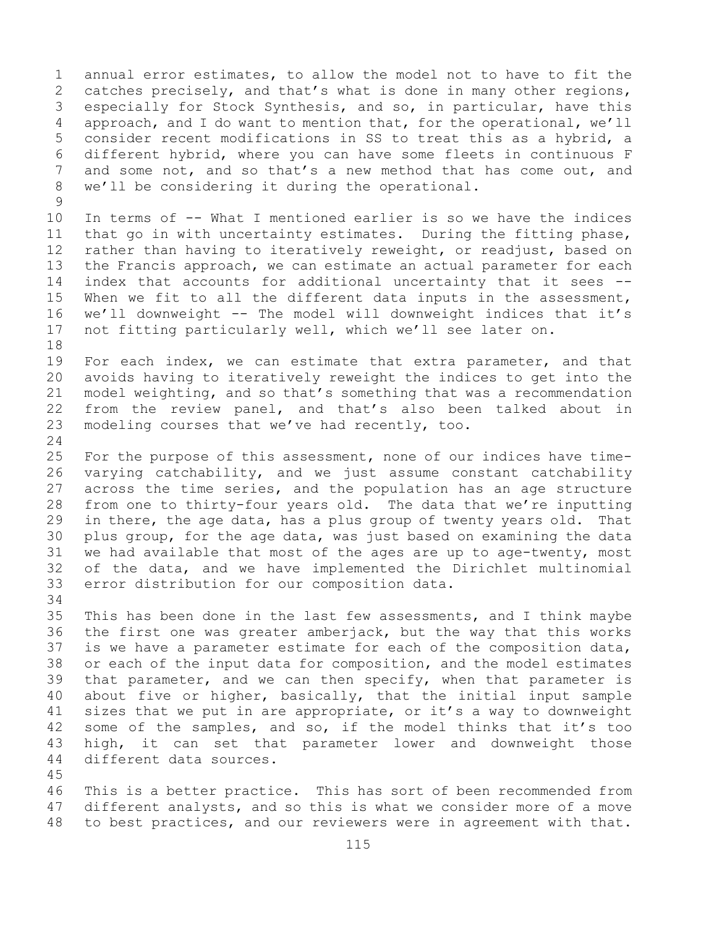1 annual error estimates, to allow the model not to have to fit the<br>2 catches precisely, and that's what is done in many other regions, 2 catches precisely, and that's what is done in many other regions,<br>3 especially for Stock Synthesis, and so, in particular, have this 3 especially for Stock Synthesis, and so, in particular, have this<br>4 approach, and I do want to mention that, for the operational, we'll approach, and I do want to mention that, for the operational, we'll 5 consider recent modifications in SS to treat this as a hybrid, a 6 different hybrid, where you can have some fleets in continuous F<br>7 and some not, and so that's a new method that has come out, and 7 and some not, and so that's a new method that has come out, and<br>8 we'll be considering it during the operational. we'll be considering it during the operational.

 $\begin{array}{c} 9 \\ 10 \end{array}$ 10 In terms of -- What I mentioned earlier is so we have the indices<br>11 that go in with uncertainty estimates. During the fitting phase, 11 that go in with uncertainty estimates. During the fitting phase,<br>12 rather than having to iteratively reweight, or readjust, based on rather than having to iteratively reweight, or readjust, based on 13 the Francis approach, we can estimate an actual parameter for each 14 index that accounts for additional uncertainty that it sees --<br>15 When we fit to all the different data inputs in the assessment, 15 When we fit to all the different data inputs in the assessment,<br>16 we'll downweight -- The model will downweight indices that it's 16 we'll downweight -- The model will downweight indices that it's<br>17 not fitting particularly well, which we'll see later on. not fitting particularly well, which we'll see later on.

18<br>19 19 For each index, we can estimate that extra parameter, and that<br>20 avoids having to iteratively reweight the indices to get into the avoids having to iteratively reweight the indices to get into the 21 model weighting, and so that's something that was a recommendation<br>22 from the review panel, and that's also been talked about in 22 from the review panel, and that's also been talked about in<br>23 modeling courses that we've had recently, too. modeling courses that we've had recently, too.

 $\frac{24}{25}$ 25 For the purpose of this assessment, none of our indices have time-<br>26 varying catchability, and we just assume constant catchability 26 varying catchability, and we just assume constant catchability<br>27 across the time series, and the population has an age structure across the time series, and the population has an age structure 28 from one to thirty-four years old. The data that we're inputting<br>29 in there, the age data, has a plus group of twenty years old. That 29 in there, the age data, has a plus group of twenty years old. That<br>30 plus group, for the age data, was just based on examining the data 30 plus group, for the age data, was just based on examining the data<br>31 we had available that most of the ages are up to age-twenty, most 31 we had available that most of the ages are up to age-twenty, most<br>32 of the data, and we have implemented the Dirichlet multinomial of the data, and we have implemented the Dirichlet multinomial 33 error distribution for our composition data.

34<br>35 35 This has been done in the last few assessments, and I think maybe<br>36 the first one was greater amberjack, but the way that this works 36 the first one was greater amberjack, but the way that this works<br>37 is we have a parameter estimate for each of the composition data, is we have a parameter estimate for each of the composition data, 38 or each of the input data for composition, and the model estimates<br>39 that parameter, and we can then specify, when that parameter is 39 that parameter, and we can then specify, when that parameter is<br>40 about five or higher, basically, that the initial input sample 40 about five or higher, basically, that the initial input sample<br>41 sizes that we put in are appropriate, or it's a way to downweight 41 sizes that we put in are appropriate, or it's a way to downweight<br>42 some of the samples, and so, if the model thinks that it's too 42 some of the samples, and so, if the model thinks that it's too<br>43 high, it can set that parameter lower and downweight those 43 high, it can set that parameter lower and downweight those<br>44 different data sources. different data sources.

45

46 This is a better practice. This has sort of been recommended from<br>47 different analysts, and so this is what we consider more of a move 47 different analysts, and so this is what we consider more of a move<br>48 to best practices, and our reviewers were in agreement with that. to best practices, and our reviewers were in agreement with that.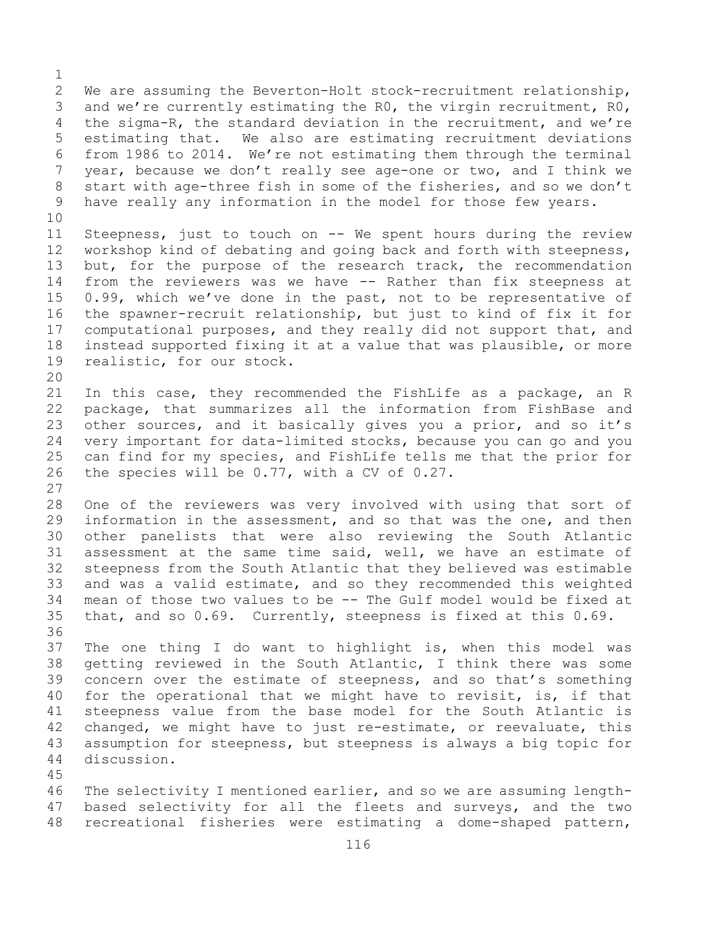$\frac{1}{2}$ 2 We are assuming the Beverton-Holt stock-recruitment relationship,<br>3 and we're currently estimating the RO, the virgin recruitment, RO, 3 and we're currently estimating the RO, the virgin recruitment, RO,<br>4 the sigma-R, the standard deviation in the recruitment, and we're the sigma-R, the standard deviation in the recruitment, and we're 5 estimating that. We also are estimating recruitment deviations 6 from 1986 to 2014. We're not estimating them through the terminal<br>7 vear, because we don't really see age-one or two, and I think we 7 year, because we don't really see age-one or two, and I think we<br>8 start with age-three fish in some of the fisheries, and so we don't 8 start with age-three fish in some of the fisheries, and so we don't<br>9 have really any information in the model for those few years. have really any information in the model for those few years. 10<br>11 11 Steepness, just to touch on  $-$  We spent hours during the review<br>12 workshop kind of debating and going back and forth with steepness, workshop kind of debating and going back and forth with steepness, 13 but, for the purpose of the research track, the recommendation 14 from the reviewers was we have -- Rather than fix steepness at<br>15 0.99, which we've done in the past, not to be representative of 15 0.99, which we've done in the past, not to be representative of<br>16 the spawner-recruit relationship, but just to kind of fix it for 16 the spawner-recruit relationship, but just to kind of fix it for<br>17 computational purposes, and they really did not support that, and 17 computational purposes, and they really did not support that, and<br>18 instead supported fixing it at a value that was plausible, or more 18 instead supported fixing it at a value that was plausible, or more<br>19 realistic, for our stock. realistic, for our stock. 20<br>21 21 In this case, they recommended the FishLife as a package, an R<br>22 package, that summarizes all the information from FishBase and 22 package, that summarizes all the information from FishBase and<br>23 other sources, and it basically gives you a prior, and so it's 23 other sources, and it basically gives you a prior, and so it's<br>24 verv important for data-limited stocks, because you can go and you 24 very important for data-limited stocks, because you can go and you<br>25 can find for my species, and FishLife tells me that the prior for 25 can find for my species, and FishLife tells me that the prior for<br>26 the species will be  $0.77$ , with a CV of  $0.27$ . the species will be  $0.77$ , with a CV of  $0.27$ .  $\frac{27}{28}$ 28 One of the reviewers was very involved with using that sort of<br>29 information in the assessment, and so that was the one, and then 29 information in the assessment, and so that was the one, and then<br>30 other panelists that were also reviewing the South Atlantic 30 other panelists that were also reviewing the South Atlantic<br>31 assessment at the same time said, well, we have an estimate of 31 assessment at the same time said, well, we have an estimate of<br>32 steepness from the South Atlantic that they believed was estimable steepness from the South Atlantic that they believed was estimable 33 and was a valid estimate, and so they recommended this weighted<br>34 mean of those two values to be -- The Gulf model would be fixed at 34 mean of those two values to be  $-$ - The Gulf model would be fixed at  $35$  that, and so  $0.69$ . Currently, steepness is fixed at this  $0.69$ . that, and so 0.69. Currently, steepness is fixed at this 0.69. 36<br>37 The one thing I do want to highlight is, when this model was 38 getting reviewed in the South Atlantic, I think there was some<br>39 concern over the estimate of steepness, and so that's something 39 concern over the estimate of steepness, and so that's something<br>40 for the operational that we might have to revisit, is, if that 40 for the operational that we might have to revisit, is, if that<br>41 steepness value from the base model for the South Atlantic is 41 steepness value from the base model for the South Atlantic is<br>42 changed, we might have to just re-estimate, or reevaluate, this 42 changed, we might have to just re-estimate, or reevaluate, this<br>43 assumption for steepness, but steepness is always a big topic for 43 assumption for steepness, but steepness is always a big topic for discussion. 45 46 The selectivity I mentioned earlier, and so we are assuming length-<br>47 based selectivity for all the fleets and surveys, and the two

47 based selectivity for all the fleets and surveys, and the two<br>48 recreational fisheries were estimating a dome-shaped pattern, recreational fisheries were estimating a dome-shaped pattern,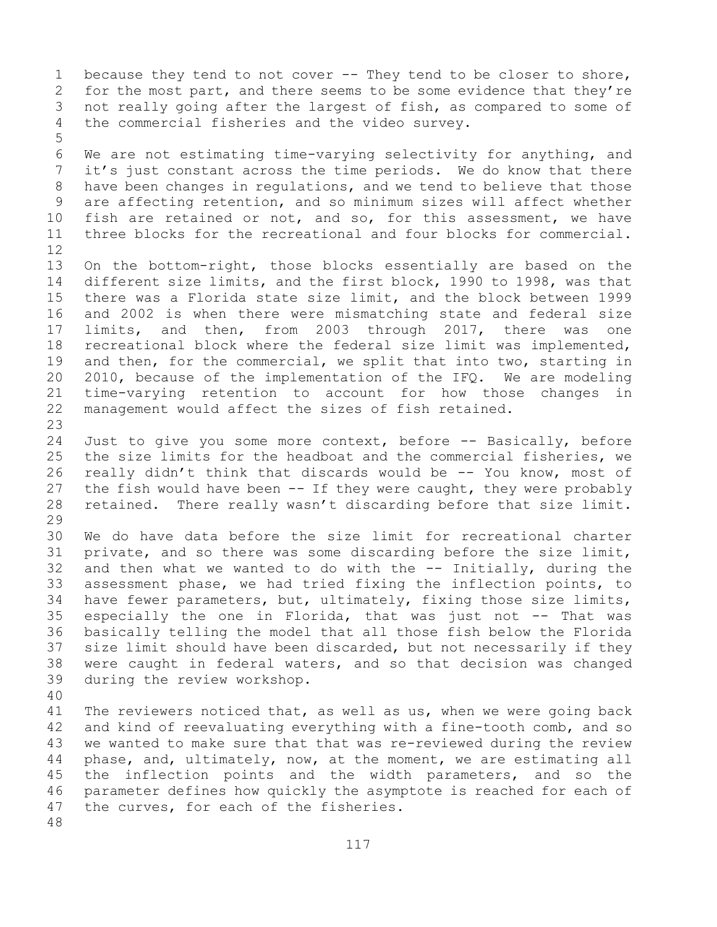1 because they tend to not cover -- They tend to be closer to shore,<br>2 for the most part, and there seems to be some evidence that they're 2 for the most part, and there seems to be some evidence that they're<br>3 not really going after the largest of fish, as compared to some of 3 not really going after the largest of fish, as compared to some of<br>4 the commercial fisheries and the video survey. the commercial fisheries and the video survey.

5

6 We are not estimating time-varying selectivity for anything, and<br>7 it's just constant across the time periods. We do know that there 7 it's just constant across the time periods. We do know that there<br>8 have been changes in regulations, and we tend to believe that those 8 have been changes in regulations, and we tend to believe that those<br>9 are affecting retention, and so minimum sizes will affect whether 9 are affecting retention, and so minimum sizes will affect whether<br>10 fish are retained or not, and so, for this assessment, we have 10 fish are retained or not, and so, for this assessment, we have<br>11 three blocks for the recreational and four blocks for commercial. three blocks for the recreational and four blocks for commercial.

12<br>13 On the bottom-right, those blocks essentially are based on the 14 different size limits, and the first block, 1990 to 1998, was that<br>15 there was a Florida state size limit, and the block between 1999 15 there was a Florida state size limit, and the block between 1999<br>16 and 2002 is when there were mismatching state and federal size 16 and 2002 is when there were mismatching state and federal size<br>17 limits, and then, from 2003 through 2017, there was one 17 limits, and then, from 2003 through 2017, there was<br>18 recreational block where the federal size limit was implement 18 recreational block where the federal size limit was implemented,<br>19 and then, for the commercial, we split that into two, starting in 19 and then, for the commercial, we split that into two, starting in<br>20 2010, because of the implementation of the IFO. We are modeling 20 2010, because of the implementation of the IFQ. We are modeling<br>21 time-varying retention to account for how those changes in 21 time-varying retention to account for how those changes in<br>22 management would affect the sizes of fish retained. management would affect the sizes of fish retained.

23 24 Just to give you some more context, before -- Basically, before<br>25 the size limits for the headboat and the commercial fisheries, we 25 the size limits for the headboat and the commercial fisheries, we<br>26 really didn't think that discards would be -- You know, most of 26 really didn't think that discards would be -- You know, most of<br>27 the fish would have been -- If they were caught, they were probably the fish would have been  $-$  If they were caught, they were probably 28 retained. There really wasn't discarding before that size limit.

29<br>30 30 We do have data before the size limit for recreational charter<br>31 private, and so there was some discarding before the size limit, 31 private, and so there was some discarding before the size limit,<br>32 and then what we wanted to do with the -- Initially, during the and then what we wanted to do with the  $-$ - Initially, during the 33 assessment phase, we had tried fixing the inflection points, to<br>34 have fewer parameters, but, ultimately, fixing those size limits, 34 have fewer parameters, but, ultimately, fixing those size limits,<br>35 especially the one in Florida, that was just not -- That was 35 especially the one in Florida, that was just not -- That was<br>36 basically telling the model that all those fish below the Florida 36 basically telling the model that all those fish below the Florida<br>37 size limit should have been discarded, but not necessarily if they size limit should have been discarded, but not necessarily if they 38 were caught in federal waters, and so that decision was changed<br>39 during the review workshop. during the review workshop.

40 41 The reviewers noticed that, as well as us, when we were going back<br>42 and kind of reevaluating everything with a fine-tooth comb, and so 42 and kind of reevaluating everything with a fine-tooth comb, and so<br>43 we wanted to make sure that that was re-reviewed during the review 43 we wanted to make sure that that was re-reviewed during the review<br>44 phase, and, ultimately, now, at the moment, we are estimating all phase, and, ultimately, now, at the moment, we are estimating all 45 the inflection points and the width parameters, and so the 46 parameter defines how quickly the asymptote is reached for each of<br>47 the curves, for each of the fisheries. the curves, for each of the fisheries. 48

117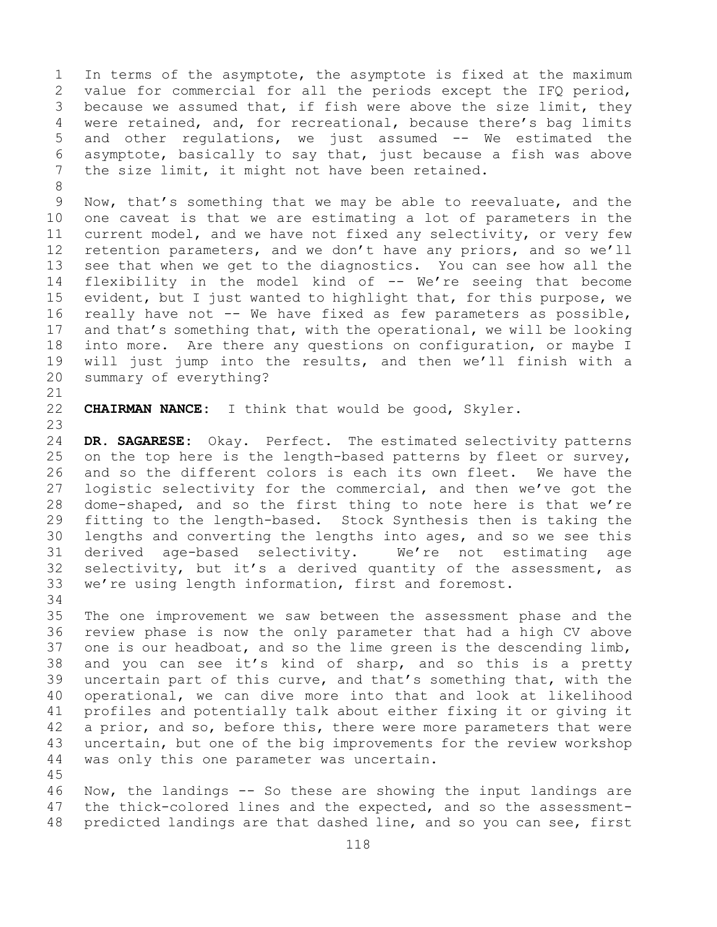1 In terms of the asymptote, the asymptote is fixed at the maximum<br>2 value for commercial for all the periods except the IFQ period, 2 value for commercial for all the periods except the IFQ period,<br>3 because we assumed that, if fish were above the size limit, they 3 because we assumed that, if fish were above the size limit, they<br>4 were retained, and, for recreational, because there's bag limits were retained, and, for recreational, because there's bag limits 5 and other regulations, we just assumed -- We estimated the 6 asymptote, basically to say that, just because a fish was above<br>7 the size limit, it might not have been retained. the size limit, it might not have been retained.

8<br>9 9 Now, that's something that we may be able to reevaluate, and the<br>10 one caveat is that we are estimating a lot of parameters in the 10 one caveat is that we are estimating a lot of parameters in the<br>11 current model, and we have not fixed any selectivity, or very few 11 current model, and we have not fixed any selectivity, or very few<br>12 retention parameters, and we don't have any priors, and so we'll 12 retention parameters, and we don't have any priors, and so we'll<br>13 see that when we get to the diagnostics. You can see how all the see that when we get to the diagnostics. You can see how all the 14 flexibility in the model kind of -- We're seeing that become<br>15 evident, but I just wanted to highlight that, for this purpose, we 15 evident, but I just wanted to highlight that, for this purpose, we<br>16 really have not -- We have fixed as few parameters as possible, 16 really have not -- We have fixed as few parameters as possible,<br>17 and that's something that, with the operational, we will be looking 17 and that's something that, with the operational, we will be looking<br>18 into more. Are there any questions on configuration, or maybe I 18 into more. Are there any questions on configuration, or maybe I<br>19 will just jump into the results, and then we'll finish with a 19 will just jump into the results, and then we'll finish with a<br>20 summary of everything? summary of everything?

21<br>22 CHAIRMAN NANCE: I think that would be good, Skyler.

23 24 **DR. SAGARESE:** Okay. Perfect. The estimated selectivity patterns<br>25 on the top here is the length-based patterns by fleet or survey, 25 on the top here is the length-based patterns by fleet or survey,<br>26 and so the different colors is each its own fleet. We have the 26 and so the different colors is each its own fleet. We have the<br>27 logistic selectivity for the commercial, and then we've got the logistic selectivity for the commercial, and then we've got the 28 dome-shaped, and so the first thing to note here is that we're<br>29 fitting to the length-based. Stock Synthesis then is taking the 29 fitting to the length-based. Stock Synthesis then is taking the<br>30 lengths and converting the lengths into ages, and so we see this 30 lengths and converting the lengths into ages, and so we see this<br>31 derived age-based selectivity. We're not estimating age 31 derived age-based selectivity. We're not estimating<br>32 selectivity, but it's a derived quantity of the assessment, 32 selectivity, but it's a derived quantity of the assessment, as<br>33 we're using length information, first and foremost. we're using length information, first and foremost.

34<br>35 35 The one improvement we saw between the assessment phase and the<br>36 review phase is now the only parameter that had a high CV above 36 review phase is now the only parameter that had a high CV above<br>37 one is our headboat, and so the lime green is the descending limb, one is our headboat, and so the lime green is the descending limb, 38 and you can see it's kind of sharp, and so this is a pretty<br>39 uncertain part of this curve, and that's something that, with the 39 uncertain part of this curve, and that's something that, with the<br>40 operational, we can dive more into that and look at likelihood 40 operational, we can dive more into that and look at likelihood<br>41 profiles and potentially talk about either fixing it or giving it 41 profiles and potentially talk about either fixing it or giving it<br>42 a prior, and so, before this, there were more parameters that were 42 a prior, and so, before this, there were more parameters that were<br>43 uncertain, but one of the big improvements for the review workshop 43 uncertain, but one of the big improvements for the review workshop<br>44 was only this one parameter was uncertain. was only this one parameter was uncertain. 45

46 Now, the landings -- So these are showing the input landings are<br>47 the thick-colored lines and the expected, and so the assessment-47 the thick-colored lines and the expected, and so the assessment-<br>48 predicted landings are that dashed line, and so you can see, first predicted landings are that dashed line, and so you can see, first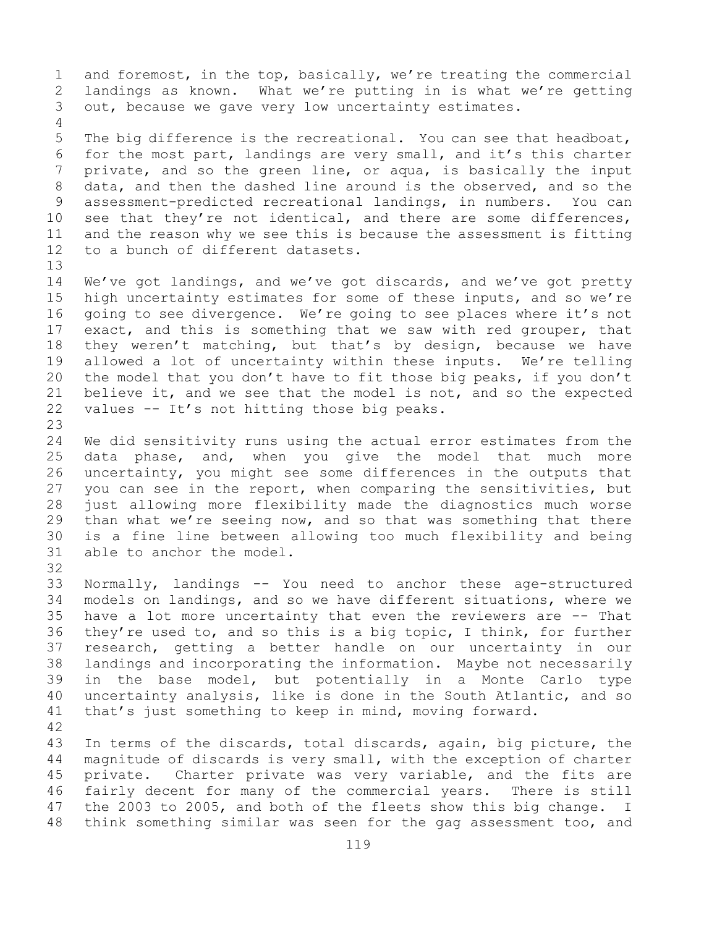1 and foremost, in the top, basically, we're treating the commercial<br>2 landings as known. What we're putting in is what we're getting 2 landings as known. What we're putting in is what we're getting<br>3 out, because we gave very low uncertainty estimates. out, because we gave very low uncertainty estimates. 4

5 The big difference is the recreational. You can see that headboat, 6 for the most part, landings are very small, and it's this charter<br>7 private, and so the green line, or agua, is basically the input 7 private, and so the green line, or aqua, is basically the input<br>8 data, and then the dashed line around is the observed, and so the 8 data, and then the dashed line around is the observed, and so the<br>9 assessment-predicted recreational landings, in numbers. You can 9 assessment-predicted recreational landings, in numbers.<br>10 see that they're not identical, and there are some dif 10 see that they're not identical, and there are some differences,<br>11 and the reason why we see this is because the assessment is fitting 11 and the reason why we see this is because the assessment is fitting<br>12 to a bunch of different datasets. to a bunch of different datasets.

14 We've got landings, and we've got discards, and we've got pretty<br>15 high uncertainty estimates for some of these inputs, and so we're 15 high uncertainty estimates for some of these inputs, and so we're<br>16 qoing to see divergence. We're going to see places where it's not 16 going to see divergence. We're going to see places where it's not<br>17 exact, and this is something that we saw with red grouper, that 17 exact, and this is something that we saw with red grouper, that<br>18 they weren't matching, but that's by design, because we have 18 they weren't matching, but that's by design, because we have<br>19 allowed a lot of uncertainty within these inputs. We're telling 19 allowed a lot of uncertainty within these inputs. We're telling<br>20 the model that you don't have to fit those big peaks, if you don't 20 the model that you don't have to fit those big peaks, if you don't<br>21 believe it, and we see that the model is not, and so the expected 21 believe it, and we see that the model is not, and so the expected values  $-$ - It's not hitting those big peaks. values -- It's not hitting those big peaks.

23 24 We did sensitivity runs using the actual error estimates from the<br>25 data phase, and, when you give the model that much more 25 data phase, and, when you give the model that much more<br>26 uncertainty, you might see some differences in the outputs that 26 uncertainty, you might see some differences in the outputs that<br>27 you can see in the report, when comparing the sensitivities, but you can see in the report, when comparing the sensitivities, but 28 just allowing more flexibility made the diagnostics much worse<br>29 than what we're seeing now, and so that was something that there 29 than what we're seeing now, and so that was something that there<br>30 is a fine line between allowing too much flexibility and being 30 is a fine line between allowing too much flexibility and being<br>31 able to anchor the model. able to anchor the model.

32

13

33 Normally, landings -- You need to anchor these age-structured 34 models on landings, and so we have different situations, where we<br>35 have a lot more uncertainty that even the reviewers are -- That 35 have a lot more uncertainty that even the reviewers are  $-$ - That 36 they're used to, and so this is a big topic, I think, for further they're used to, and so this is a big topic, I think, for further 37 research, getting a better handle on our uncertainty in our 38 landings and incorporating the information. Maybe not necessarily<br>39 in the base model, but potentially in a Monte Carlo type 39 in the base model, but potentially in a Monte Carlo type<br>40 uncertainty analysis, like is done in the South Atlantic, and so 40 uncertainty analysis, like is done in the South Atlantic, and so<br>41 that's just something to keep in mind, moving forward. that's just something to keep in mind, moving forward.

42 43 In terms of the discards, total discards, again, big picture, the<br>44 magnitude of discards is very small, with the exception of charter magnitude of discards is very small, with the exception of charter 45 private. Charter private was very variable, and the fits are 46 fairly decent for many of the commercial years. There is still<br>47 the 2003 to 2005, and both of the fleets show this big change. I 47 the 2003 to 2005, and both of the fleets show this big change. I<br>48 think something similar was seen for the gag assessment too, and think something similar was seen for the gag assessment too, and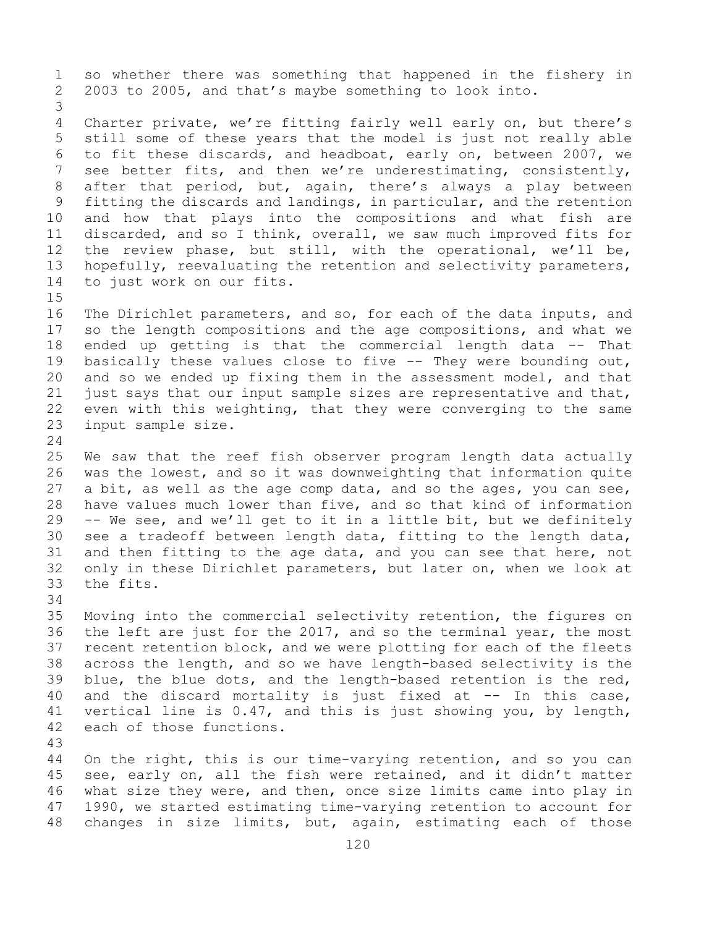1 so whether there was something that happened in the fishery in<br>2 2003 to 2005, and that's maybe something to look into. 2 2003 to 2005, and that's maybe something to look into. 3 Charter private, we're fitting fairly well early on, but there's 5 still some of these years that the model is just not really able 6 to fit these discards, and headboat, early on, between 2007, we<br>7 see better fits, and then we're underestimating, consistently, 7 see better fits, and then we're underestimating, consistently,<br>8 after that period, but, again, there's always a play between 8 after that period, but, again, there's always a play between<br>9 fitting the discards and landings, in particular, and the retention 9 fitting the discards and landings, in particular, and the retention<br>10 and how that plays into the compositions and what fish are 10 and how that plays into the compositions and what fish are<br>11 discarded, and so I think, overall, we saw much improved fits for 11 discarded, and so I think, overall, we saw much improved fits for<br>12 the review phase, but still, with the operational, we'll be, 12 the review phase, but still, with the operational, we'll be,<br>13 hopefully, reevaluating the retention and selectivity parameters, hopefully, reevaluating the retention and selectivity parameters, 14 to just work on our fits.

 $15$ <br> $16$ 16 The Dirichlet parameters, and so, for each of the data inputs, and<br>17 so the length compositions and the age compositions, and what we 17 so the length compositions and the age compositions, and what we<br>18 ended up getting is that the commercial length data -- That 18 ended up getting is that the commercial length data -- That<br>19 basically these values close to five -- They were bounding out, 19 basically these values close to five -- They were bounding out,<br>20 and so we ended up fixing them in the assessment model, and that 20 and so we ended up fixing them in the assessment model, and that<br>21 just says that our input sample sizes are representative and that, 21 just says that our input sample sizes are representative and that,<br>22 even with this weighting, that they were converging to the same 22 even with this weighting, that they were converging to the same<br>23 input sample size. input sample size.

 $\frac{24}{25}$ 25 We saw that the reef fish observer program length data actually<br>26 was the lowest, and so it was downweighting that information quite 26 was the lowest, and so it was downweighting that information quite<br>27 a bit, as well as the age comp data, and so the ages, you can see, a bit, as well as the age comp data, and so the ages, you can see, 28 have values much lower than five, and so that kind of information<br>29 -- We see, and we'll get to it in a little bit, but we definitely -- We see, and we'll get to it in a little bit, but we definitely 30 see a tradeoff between length data, fitting to the length data,<br>31 and then fitting to the age data, and you can see that here, not 31 and then fitting to the age data, and you can see that here, not<br>32 only in these Dirichlet parameters, but later on, when we look at only in these Dirichlet parameters, but later on, when we look at 33 the fits.

34<br>35

35 Moving into the commercial selectivity retention, the figures on<br>36 the left are just for the 2017, and so the terminal year, the most 36 the left are just for the 2017, and so the terminal year, the most<br>37 recent retention block, and we were plotting for each of the fleets recent retention block, and we were plotting for each of the fleets 38 across the length, and so we have length-based selectivity is the 1993 blue, the blue dots, and the length-based retention is the red, 39 blue, the blue dots, and the length-based retention is the red,<br>40 and the discard mortality is just fixed at -- In this case, 40 and the discard mortality is just fixed at  $--$  In this case,<br>41 vertical line is 0.47, and this is just showing you, by length, 41 vertical line is 0.47, and this is just showing you, by length,<br>42 each of those functions. each of those functions.

43

On the right, this is our time-varying retention, and so you can 45 see, early on, all the fish were retained, and it didn't matter 46 what size they were, and then, once size limits came into play in<br>47 1990, we started estimating time-varying retention to account for 47 1990, we started estimating time-varying retention to account for<br>48 changes in size limits, but, again, estimating each of those changes in size limits, but, again, estimating each of those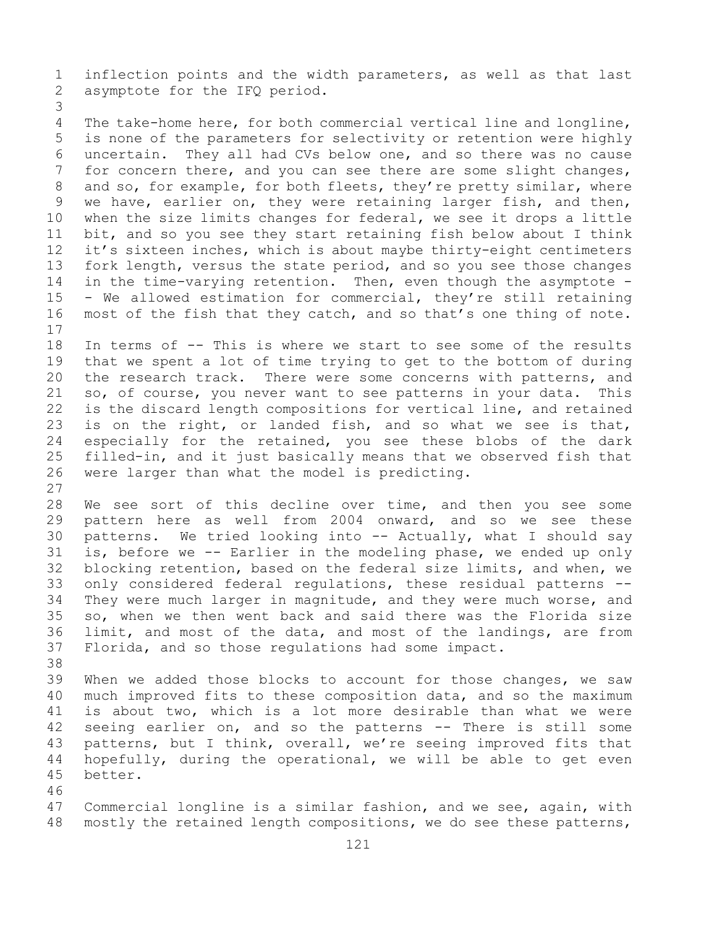1 inflection points and the width parameters, as well as that last<br>2 asymptote for the IFQ period. asymptote for the IFQ period.

3 The take-home here, for both commercial vertical line and longline, 5 is none of the parameters for selectivity or retention were highly 6 uncertain. They all had CVs below one, and so there was no cause<br>7 for concern there, and vou can see there are some slight changes, 7 for concern there, and you can see there are some slight changes,<br>8 and so, for example, for both fleets, they're pretty similar, where 8 and so, for example, for both fleets, they're pretty similar, where<br>9 we have, earlier on, they were retaining larger fish, and then, 9 we have, earlier on, they were retaining larger fish, and then,<br>10 when the size limits changes for federal, we see it drops a little 10 when the size limits changes for federal, we see it drops a little<br>11 bit, and so you see they start retaining fish below about I think 11 bit, and so you see they start retaining fish below about I think<br>12 it's sixteen inches, which is about maybe thirty-eight centimeters it's sixteen inches, which is about maybe thirty-eight centimeters 13 fork length, versus the state period, and so you see those changes 14 in the time-varying retention. Then, even though the asymptote -<br>15 - We allowed estimation for commercial, thev're still retaining 15 - We allowed estimation for commercial, they're still retaining<br>16 most of the fish that they catch, and so that's one thing of note. most of the fish that they catch, and so that's one thing of note.

 $\begin{array}{c} 17 \\ 18 \end{array}$ 18 In terms of -- This is where we start to see some of the results<br>19 that we spent a lot of time trying to get to the bottom of during 19 that we spent a lot of time trying to get to the bottom of during<br>20 the research track. There were some concerns with patterns, and 20 the research track. There were some concerns with patterns, and<br>21 so, of course, you never want to see patterns in your data. This 21 so, of course, you never want to see patterns in your data. This<br>22 is the discard length compositions for vertical line, and retained 22 is the discard length compositions for vertical line, and retained<br>23 is on the right, or landed fish, and so what we see is that, 23 is on the right, or landed fish, and so what we see is that,<br>24 especially for the retained, you see these blobs of the dark 24 especially for the retained, you see these blobs of the dark<br>25 filled-in, and it just basically means that we observed fish that 25 filled-in, and it just basically means that we observed fish that<br>26 were larger than what the model is predicting. were larger than what the model is predicting.

 $\frac{27}{28}$ 28 We see sort of this decline over time, and then you see some<br>29 pattern here as well from 2004 onward, and so we see these 29 pattern here as well from 2004 onward, and so we see these<br>30 patterns. We tried looking into -- Actually, what I should say 30 patterns. We tried looking into  $-$  Actually, what I should say<br>31 is, before we  $-$  Earlier in the modeling phase, we ended up only 31 is, before we -- Earlier in the modeling phase, we ended up only<br>32 blocking retention, based on the federal size limits, and when, we blocking retention, based on the federal size limits, and when, we 33 only considered federal regulations, these residual patterns --<br>34 They were much larger in magnitude, and they were much worse, and 34 They were much larger in magnitude, and they were much worse, and<br>35 so, when we then went back and said there was the Florida size 35 so, when we then went back and said there was the Florida size<br>36 limit, and most of the data, and most of the landings, are from 36 limit, and most of the data, and most of the landings, are from<br>37 Florida, and so those regulations had some impact. Florida, and so those regulations had some impact.

38<br>39 39 When we added those blocks to account for those changes, we saw<br>40 much improved fits to these composition data, and so the maximum 40 much improved fits to these composition data, and so the maximum<br>41 is about two, which is a lot more desirable than what we were 41 is about two, which is a lot more desirable than what we were<br>42 seeing earlier on, and so the patterns -- There is still some 42 seeing earlier on, and so the patterns -- There is still some<br>43 patterns, but I think, overall, we're seeing improved fits that 43 patterns, but I think, overall, we're seeing improved fits that<br>44 hopefully, during the operational, we will be able to get even hopefully, during the operational, we will be able to get even 45 better.

46<br>47 47 Commercial longline is a similar fashion, and we see, again, with<br>48 mostly the retained length compositions, we do see these patterns, mostly the retained length compositions, we do see these patterns,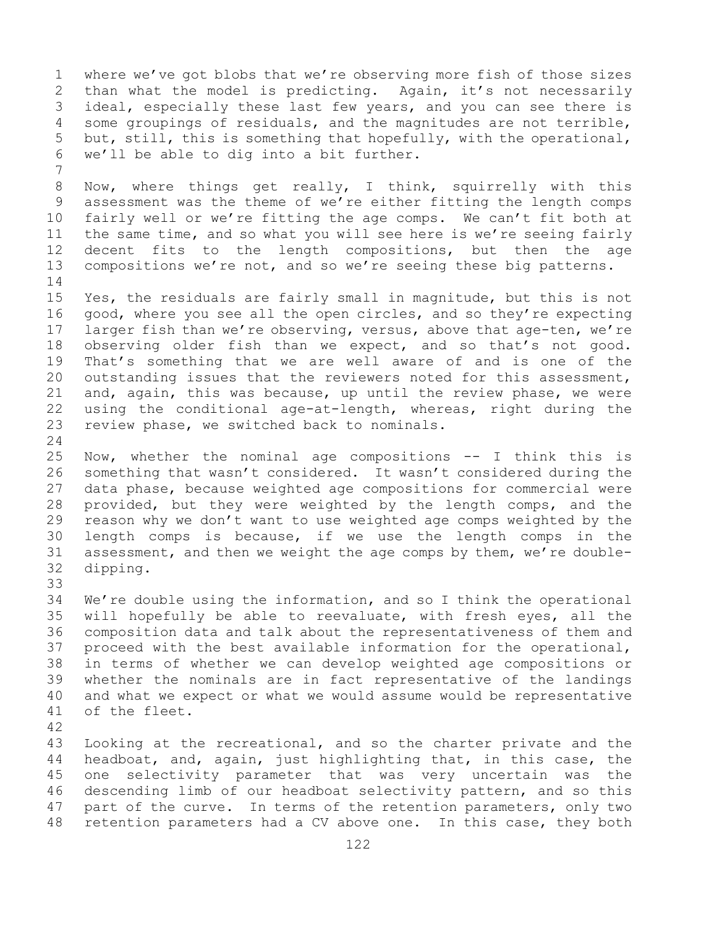1 where we've got blobs that we're observing more fish of those sizes<br>2 than what the model is predicting. Again, it's not necessarily 2 than what the model is predicting. Again, it's not necessarily<br>3 ideal, especially these last few years, and you can see there is 3 ideal, especially these last few years, and you can see there is<br>4 some groupings of residuals, and the magnitudes are not terrible, 4 some groupings of residuals, and the magnitudes are not terrible,<br>5 but, still, this is something that hopefully, with the operational, but, still, this is something that hopefully, with the operational, 6 we'll be able to dig into a bit further.

7 8 Now, where things get really, I think, squirrelly with this<br>9 assessment was the theme of we're either fitting the length comps 9 assessment was the theme of we're either fitting the length comps<br>10 fairly well or we're fitting the age comps. We can't fit both at 10 fairly well or we're fitting the age comps. We can't fit both at<br>11 the same time, and so what you will see here is we're seeing fairly 11 the same time, and so what you will see here is we're seeing fairly<br>12 decent fits to the length compositions, but then the age 12 decent fits to the length compositions, but then the age<br>13 compositions we're not, and so we're seeing these big patterns. compositions we're not, and so we're seeing these big patterns.

 $\frac{14}{15}$ 15 Yes, the residuals are fairly small in magnitude, but this is not<br>16 good, where you see all the open circles, and so they're expecting 16 good, where you see all the open circles, and so they're expecting<br>17 larger fish than we're observing, versus, above that age-ten, we're 17 larger fish than we're observing, versus, above that age-ten, we're<br>18 observing older fish than we expect, and so that's not good. 18 observing older fish than we expect, and so that's not good.<br>19 That's something that we are well aware of and is one of the 19 That's something that we are well aware of and is one of the<br>20 outstanding issues that the reviewers noted for this assessment, 20 outstanding issues that the reviewers noted for this assessment,<br>21 and, again, this was because, up until the review phase, we were 21 and, again, this was because, up until the review phase, we were<br>22 using the conditional age-at-length, whereas, right during the 22 using the conditional age-at-length, whereas, right during the<br>23 review phase, we switched back to nominals. review phase, we switched back to nominals.

 $\frac{24}{25}$ 25 Now, whether the nominal age compositions -- I think this is<br>26 something that wasn't considered. It wasn't considered during the 26 something that wasn't considered. It wasn't considered during the<br>27 data phase, because weighted age compositions for commercial were 27 data phase, because weighted age compositions for commercial were<br>28 provided, but they were weighted by the length comps, and the 28 provided, but they were weighted by the length comps, and the<br>29 reason why we don't want to use weighted age comps weighted by the 29 reason why we don't want to use weighted age comps weighted by the<br>30 length comps is because, if we use the length comps in the 30 length comps is because, if we use the length comps in the<br>31 assessment, and then we weight the age comps by them, we're double-31 assessment, and then we weight the age comps by them, we're double-<br>32 dipping. dipping.

33<br>34

34 We're double using the information, and so I think the operational<br>35 will hopefully be able to reevaluate, with fresh eves, all the 35 will hopefully be able to reevaluate, with fresh eyes, all the<br>36 composition data and talk about the representativeness of them and 36 composition data and talk about the representativeness of them and<br>37 proceed with the best available information for the operational, proceed with the best available information for the operational, 38 in terms of whether we can develop weighted age compositions or<br>39 whether the nominals are in fact representative of the landings 39 whether the nominals are in fact representative of the landings<br>40 and what we expect or what we would assume would be representative 40 and what we expect or what we would assume would be representative<br>41 of the fleet. of the fleet.

42

43 Looking at the recreational, and so the charter private and the<br>44 headboat, and, again, just highlighting that, in this case, the headboat, and, again, just highlighting that, in this case, the 45 one selectivity parameter that was very uncertain was the 46 descending limb of our headboat selectivity pattern, and so this<br>47 part of the curve. In terms of the retention parameters, only two 47 part of the curve. In terms of the retention parameters, only two<br>48 retention parameters had a CV above one. In this case, they both retention parameters had a CV above one. In this case, they both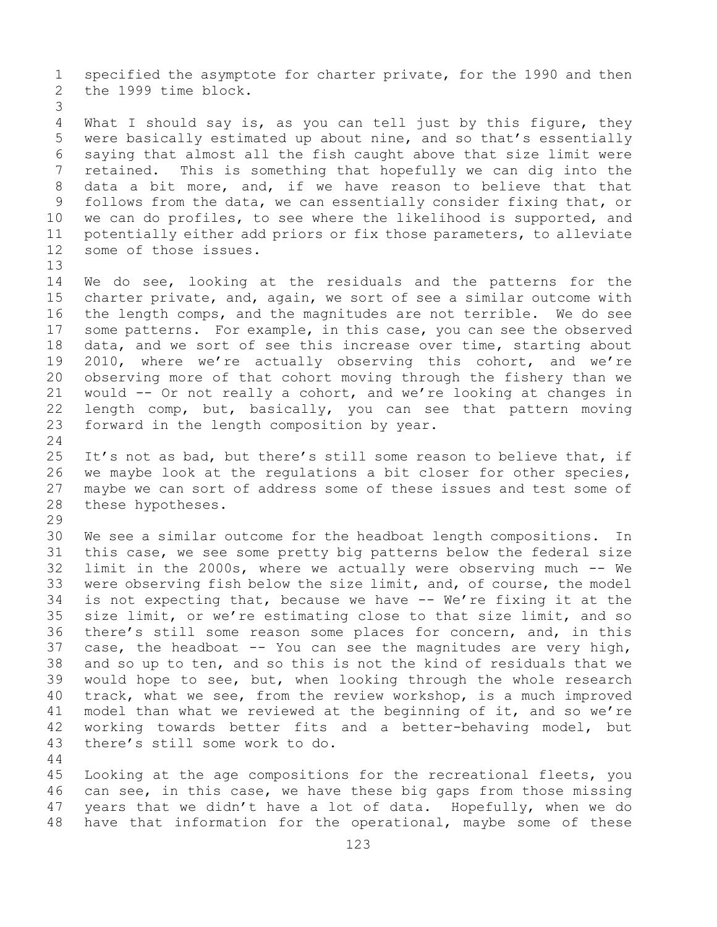1 specified the asymptote for charter private, for the 1990 and then<br>2 the 1999 time block. the 1999 time block.

3 What I should say is, as you can tell just by this figure, they 5 were basically estimated up about nine, and so that's essentially 6 saying that almost all the fish caught above that size limit were<br>7 retained. This is something that hopefully we can dig into the 7 retained. This is something that hopefully we can dig into the<br>8 data a bit more, and, if we have reason to believe that that 8 data a bit more, and, if we have reason to believe that that<br>9 follows from the data, we can essentially consider fixing that, or 9 follows from the data, we can essentially consider fixing that, or<br>10 we can do profiles, to see where the likelihood is supported, and 10 we can do profiles, to see where the likelihood is supported, and<br>11 potentially either add priors or fix those parameters, to alleviate 11 potentially either add priors or fix those parameters, to alleviate<br>12 some of those issues. some of those issues.

13

14 We do see, looking at the residuals and the patterns for the<br>15 charter private, and, again, we sort of see a similar outcome with 15 charter private, and, again, we sort of see a similar outcome with<br>16 the length comps, and the magnitudes are not terrible. We do see 16 the length comps, and the magnitudes are not terrible. We do see<br>17 some patterns. For example, in this case, you can see the observed 17 some patterns. For example, in this case, you can see the observed<br>18 data, and we sort of see this increase over time, starting about 18 data, and we sort of see this increase over time, starting about<br>19 2010, where we're actually observing this cohort, and we're 19 2010, where we're actually observing this cohort, and we're<br>20 observing more of that cohort moving through the fishery than we 20 observing more of that cohort moving through the fishery than we<br>21 would  $-$  Or not really a cohort, and we're looking at changes in 21 would -- Or not really a cohort, and we're looking at changes in<br>22 length comp, but, basically, you can see that pattern moving 22 length comp, but, basically, you can see that pattern moving<br>23 forward in the length composition by year. forward in the length composition by year.

 $\frac{24}{25}$ 25 It's not as bad, but there's still some reason to believe that, if<br>26 we maybe look at the requlations a bit closer for other species, 26 we maybe look at the regulations a bit closer for other species,<br>27 maybe we can sort of address some of these issues and test some of 27 maybe we can sort of address some of these issues and test some of 28 these hypotheses. these hypotheses.

29<br>30

30 We see a similar outcome for the headboat length compositions. In<br>31 this case, we see some pretty big patterns below the federal size 31 this case, we see some pretty big patterns below the federal size<br>32 limit in the 2000s, where we actually were observing much -- We 32 limit in the 2000s, where we actually were observing much -- We<br>33 were observing fish below the size limit, and, of course, the model 33 were observing fish below the size limit, and, of course, the model<br>34 is not expecting that, because we have -- We're fixing it at the 34 is not expecting that, because we have -- We're fixing it at the<br>35 size limit, or we're estimating close to that size limit, and so 35 size limit, or we're estimating close to that size limit, and so<br>36 there's still some reason some places for concern, and, in this 36 there's still some reason some places for concern, and, in this<br>37 case, the headboat -- You can see the magnitudes are very high, 37 case, the headboat  $-$ - You can see the magnitudes are very high, 38 and so up to ten, and so this is not the kind of residuals that we 38 and so up to ten, and so this is not the kind of residuals that we<br>39 would hope to see, but, when looking through the whole research 39 would hope to see, but, when looking through the whole research<br>40 track, what we see, from the review workshop, is a much improved 40 track, what we see, from the review workshop, is a much improved<br>41 model than what we reviewed at the beginning of it, and so we're 41 model than what we reviewed at the beginning of it, and so we're<br>42 working towards better fits and a better-behaving model, but 42 working towards better fits and a better-behaving model, but<br>43 there's still some work to do. there's still some work to do.

44

45 Looking at the age compositions for the recreational fleets, you 46 can see, in this case, we have these big gaps from those missing<br>47 years that we didn't have a lot of data. Hopefully, when we do 47 years that we didn't have a lot of data. Hopefully, when we do<br>48 have that information for the operational, maybe some of these have that information for the operational, maybe some of these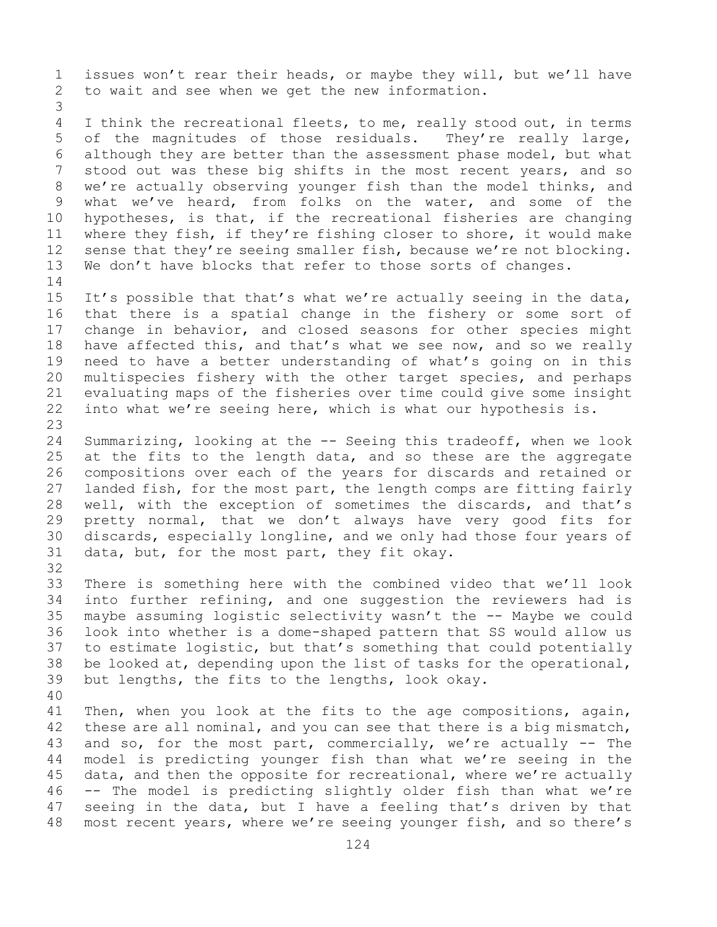1 issues won't rear their heads, or maybe they will, but we'll have<br>2 to wait and see when we get the new information. to wait and see when we get the new information.

3 I think the recreational fleets, to me, really stood out, in terms 5 of the magnitudes of those residuals. They're really large, 6 although they are better than the assessment phase model, but what<br>7 stood out was these big shifts in the most recent vears, and so 7 stood out was these big shifts in the most recent years, and so<br>8 we're actually observing younger fish than the model thinks, and 8 we're actually observing younger fish than the model thinks, and<br>9 what we've heard, from folks on the water, and some of the 9 what we've heard, from folks on the water, and some of the<br>10 hypotheses, is that, if the recreational fisheries are changing 10 hypotheses, is that, if the recreational fisheries are changing<br>11 where thev fish, if they're fishing closer to shore, it would make 11 where they fish, if they're fishing closer to shore, it would make<br>12 sense that they're seeing smaller fish, because we're not blocking. 12 sense that they're seeing smaller fish, because we're not blocking.<br>13 We don't have blocks that refer to those sorts of changes. We don't have blocks that refer to those sorts of changes.

- $\frac{14}{15}$ 15 It's possible that that's what we're actually seeing in the data,<br>16 that there is a spatial change in the fishery or some sort of 16 that there is a spatial change in the fishery or some sort of<br>17 change in behavior, and closed seasons for other species might 17 change in behavior, and closed seasons for other species might<br>18 have affected this, and that's what we see now, and so we really 18 have affected this, and that's what we see now, and so we really<br>19 need to have a better understanding of what's going on in this 19 need to have a better understanding of what's going on in this<br>20 multispecies fishery with the other target species, and perhaps 20 multispecies fishery with the other target species, and perhaps<br>21 evaluating maps of the fisheries over time could give some insight 21 evaluating maps of the fisheries over time could give some insight<br>22 into what we're seeing here, which is what our hypothesis is. into what we're seeing here, which is what our hypothesis is.
- 23 24 Summarizing, looking at the -- Seeing this tradeoff, when we look<br>25 at the fits to the length data, and so these are the aggregate 25 at the fits to the length data, and so these are the aggregate<br>26 compositions over each of the years for discards and retained or 26 compositions over each of the years for discards and retained or<br>27 landed fish, for the most part, the length comps are fitting fairly 27 landed fish, for the most part, the length comps are fitting fairly<br>28 well, with the exception of sometimes the discards, and that's 28 well, with the exception of sometimes the discards, and that's<br>29 pretty normal, that we don't always have very good fits for 29 pretty normal, that we don't always have very good fits for<br>30 discards, especially longline, and we only had those four years of 30 discards, especially longline, and we only had those four years of<br>31 data, but, for the most part, they fit okay. data, but, for the most part, they fit okay.
- 32<br>33

33 There is something here with the combined video that we'll look<br>34 into further refining, and one suggestion the reviewers had is 34 into further refining, and one suggestion the reviewers had is<br>35 maybe assuming logistic selectivity wasn't the -- Maybe we could 35 maybe assuming logistic selectivity wasn't the -- Maybe we could<br>36 look into whether is a dome-shaped pattern that SS would allow us 36 look into whether is a dome-shaped pattern that SS would allow us<br>37 to estimate logistic, but that's something that could potentially 37 to estimate logistic, but that's something that could potentially<br>38 be looked at, depending upon the list of tasks for the operational, 38 be looked at, depending upon the list of tasks for the operational,<br>39 but lengths, the fits to the lengths, look okay. but lengths, the fits to the lengths, look okay.

40 41 Then, when you look at the fits to the age compositions, again,<br>42 these are all nominal, and you can see that there is a big mismatch, 42 these are all nominal, and you can see that there is a big mismatch,<br>43 and so, for the most part, commercially, we're actually -- The 43 and so, for the most part, commercially, we're actually  $-$  The 44 model is predicting younger fish than what we're seeing in the model is predicting younger fish than what we're seeing in the 45 data, and then the opposite for recreational, where we're actually 46 -- The model is predicting slightly older fish than what we're<br>47 seeing in the data, but I have a feeling that's driven by that 47 seeing in the data, but I have a feeling that's driven by that<br>48 most recent years, where we're seeing younger fish, and so there's most recent years, where we're seeing younger fish, and so there's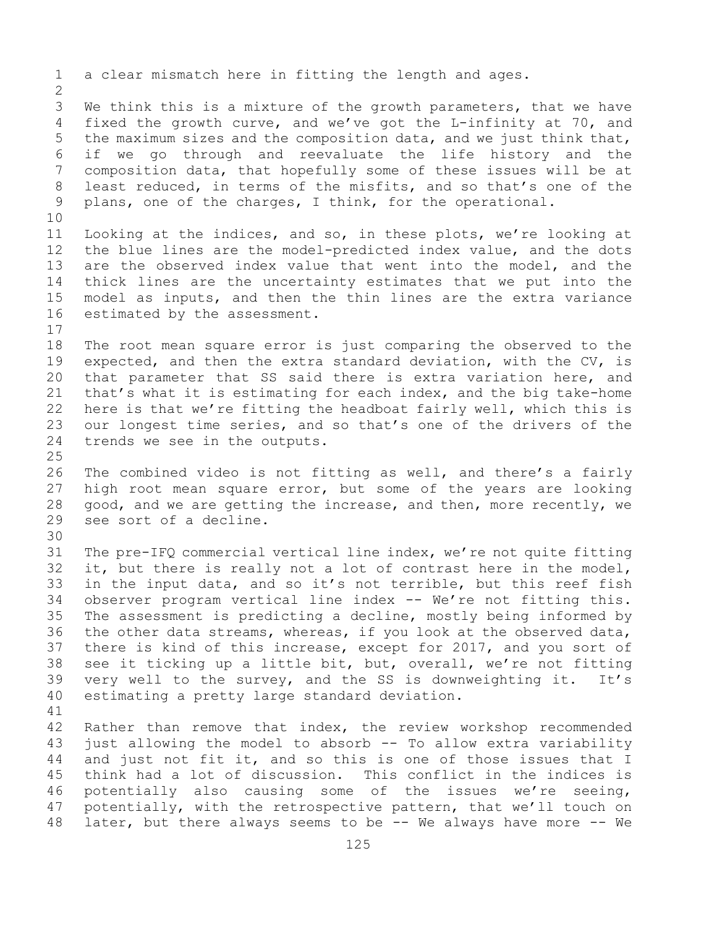1 a clear mismatch here in fitting the length and ages.  $\frac{2}{3}$ 3 We think this is a mixture of the growth parameters, that we have<br>4 fixed the growth curve, and we've got the L-infinity at 70, and fixed the growth curve, and we've got the L-infinity at 70, and 5 the maximum sizes and the composition data, and we just think that, 6 if we go through and reevaluate the life history and the 7 composition data, that hopefully some of these issues will be at<br>8 least reduced, in terms of the misfits, and so that's one of the 8 least reduced, in terms of the misfits, and so that's one of the<br>9 plans, one of the charges, I think, for the operational. plans, one of the charges, I think, for the operational. 10<br>11 11 Looking at the indices, and so, in these plots, we're looking at<br>12 the blue lines are the model-predicted index value, and the dots the blue lines are the model-predicted index value, and the dots 13 are the observed index value that went into the model, and the 14 thick lines are the uncertainty estimates that we put into the<br>15 model as inputs, and then the thin lines are the extra variance 15 model as inputs, and then the thin lines are the extra variance<br>16 estimated by the assessment. estimated by the assessment.  $\begin{array}{c} 17 \\ 18 \end{array}$ 18 The root mean square error is just comparing the observed to the<br>19 expected, and then the extra standard deviation, with the CV, is 19 expected, and then the extra standard deviation, with the CV, is<br>20 that parameter that SS said there is extra variation here, and 20 that parameter that SS said there is extra variation here, and<br>21 that's what it is estimating for each index, and the big take-home 21 that's what it is estimating for each index, and the big take-home<br>22 here is that we're fitting the headboat fairly well, which this is 22 here is that we're fitting the headboat fairly well, which this is<br>23 our longest time series, and so that's one of the drivers of the 23 our longest time series, and so that's one of the drivers of the 24 trends we see in the outputs. trends we see in the outputs.  $\frac{25}{26}$ 26 The combined video is not fitting as well, and there's a fairly<br>27 high root mean square error, but some of the years are looking high root mean square error, but some of the years are looking 28 good, and we are getting the increase, and then, more recently, we<br>29 see sort of a decline. see sort of a decline. 30<br>31 31 The pre-IFQ commercial vertical line index, we're not quite fitting<br>32 it, but there is really not a lot of contrast here in the model, it, but there is really not a lot of contrast here in the model, 33 in the input data, and so it's not terrible, but this reef fish<br>34 observer program vertical line index -- We're not fitting this. 34 observer program vertical line index -- We're not fitting this.<br>35 The assessment is predicting a decline, mostly being informed by 35 The assessment is predicting a decline, mostly being informed by<br>36 the other data streams, whereas, if you look at the observed data, the other data streams, whereas, if you look at the observed data, 37 there is kind of this increase, except for 2017, and you sort of 38 see it ticking up a little bit, but, overall, we're not fitting<br>39 very well to the survey, and the SS is downweighting it. It's 39 very well to the survey, and the SS is downweighting it. It's<br>40 estimating a pretty large standard deviation. estimating a pretty large standard deviation. 41<br>42 42 Rather than remove that index, the review workshop recommended<br>43 just allowing the model to absorb -- To allow extra variability 43 just allowing the model to absorb -- To allow extra variability<br>44 and just not fit it, and so this is one of those issues that I and just not fit it, and so this is one of those issues that I 45 think had a lot of discussion. This conflict in the indices is 46 potentially also causing some of the issues we're seeing,<br>47 potentially, with the retrospective pattern, that we'll touch on 47 potentially, with the retrospective pattern, that we'll touch on<br>48 later, but there always seems to be -- We always have more -- We later, but there always seems to be -- We always have more -- We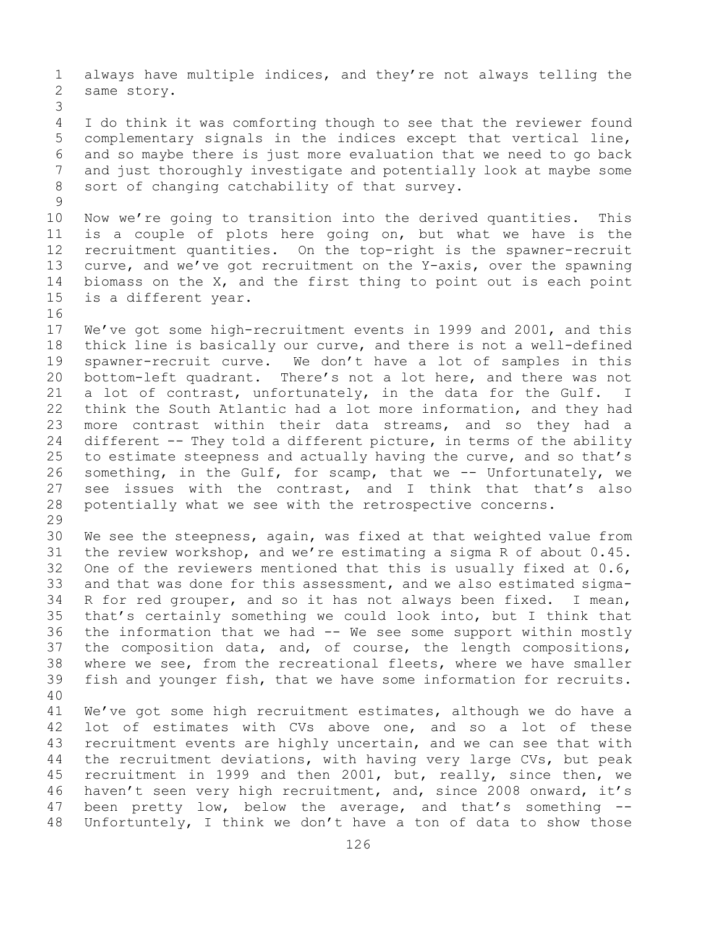1 always have multiple indices, and they're not always telling the<br>2 same story. same story.

3 I do think it was comforting though to see that the reviewer found 5 complementary signals in the indices except that vertical line, 6 and so maybe there is just more evaluation that we need to go back 7 and just thoroughly investigate and potentially look at maybe some<br>8 sort of changing catchability of that survey. sort of changing catchability of that survey.

 $\begin{array}{c} 9 \\ 10 \end{array}$ 10 Now we're going to transition into the derived quantities. This<br>11 is a couple of plots here going on, but what we have is the 11 is a couple of plots here going on, but what we have is the<br>12 recruitment quantities. On the top-right is the spawner-recruit 12 recruitment quantities. On the top-right is the spawner-recruit<br>13 curve, and we've got recruitment on the Y-axis, over the spawning curve, and we've got recruitment on the Y-axis, over the spawning 14 biomass on the X, and the first thing to point out is each point<br>15 is a different year. is a different year.

16<br>17 17 We've got some high-recruitment events in 1999 and 2001, and this<br>18 thick line is basically our curve, and there is not a well-defined 18 thick line is basically our curve, and there is not a well-defined<br>19 spawner-recruit curve. We don't have a lot of samples in this 19 spawner-recruit curve. We don't have a lot of samples in this<br>20 bottom-left quadrant. There's not a lot here, and there was not 20 bottom-left quadrant. There's not a lot here, and there was not<br>21 a lot of contrast, unfortunately, in the data for the Gulf. I 21 a lot of contrast, unfortunately, in the data for the Gulf. I<br>22 think the South Atlantic had a lot more information, and they had 22 think the South Atlantic had a lot more information, and they had<br>23 more contrast within their data streams, and so they had a 23 more contrast within their data streams, and so they had a<br>24 different -- They told a different picture, in terms of the ability 24 different -- They told a different picture, in terms of the ability<br>25 to estimate steepness and actually having the curve, and so that's 25 to estimate steepness and actually having the curve, and so that's<br>26 something, in the Gulf, for scamp, that we -- Unfortunately, we 26 something, in the Gulf, for scamp, that we -- Unfortunately, we<br>27 see issues with the contrast, and I think that that's also 27 see issues with the contrast, and I think that that's also<br>28 potentially what we see with the retrospective concerns. potentially what we see with the retrospective concerns.

29<br>30 30 We see the steepness, again, was fixed at that weighted value from<br>31 the review workshop, and we're estimating a sigma R of about 0.45. 31 the review workshop, and we're estimating a sigma R of about 0.45.<br>32 One of the reviewers mentioned that this is usually fixed at 0.6, One of the reviewers mentioned that this is usually fixed at  $0.6$ , 33 and that was done for this assessment, and we also estimated sigma-<br>34 R for red grouper, and so it has not always been fixed. I mean, 34 R for red grouper, and so it has not always been fixed. I mean,<br>35 that's certainly something we could look into, but I think that 35 that's certainly something we could look into, but I think that<br>36 the information that we had  $-$  We see some support within mostly 36 the information that we had  $-$  We see some support within mostly<br>37 the composition data, and, of course, the length compositions, the composition data, and, of course, the length compositions, 38 where we see, from the recreational fleets, where we have smaller<br>39 fish and younger fish, that we have some information for recruits. fish and younger fish, that we have some information for recruits.

40 41 We've got some high recruitment estimates, although we do have a<br>42 lot of estimates with CVs above one, and so a lot of these 42 lot of estimates with CVs above one, and so a lot of these<br>43 recruitment events are highly uncertain, and we can see that with 43 recruitment events are highly uncertain, and we can see that with<br>44 the recruitment deviations, with having very large CVs, but peak the recruitment deviations, with having very large CVs, but peak 45 recruitment in 1999 and then 2001, but, really, since then, we 46 haven't seen very high recruitment, and, since 2008 onward, it's<br>47 been pretty low, below the average, and that's something --47 been pretty low, below the average, and that's something<br>48 Unfortuntely, I think we don't have a ton of data to show tho Unfortuntely, I think we don't have a ton of data to show those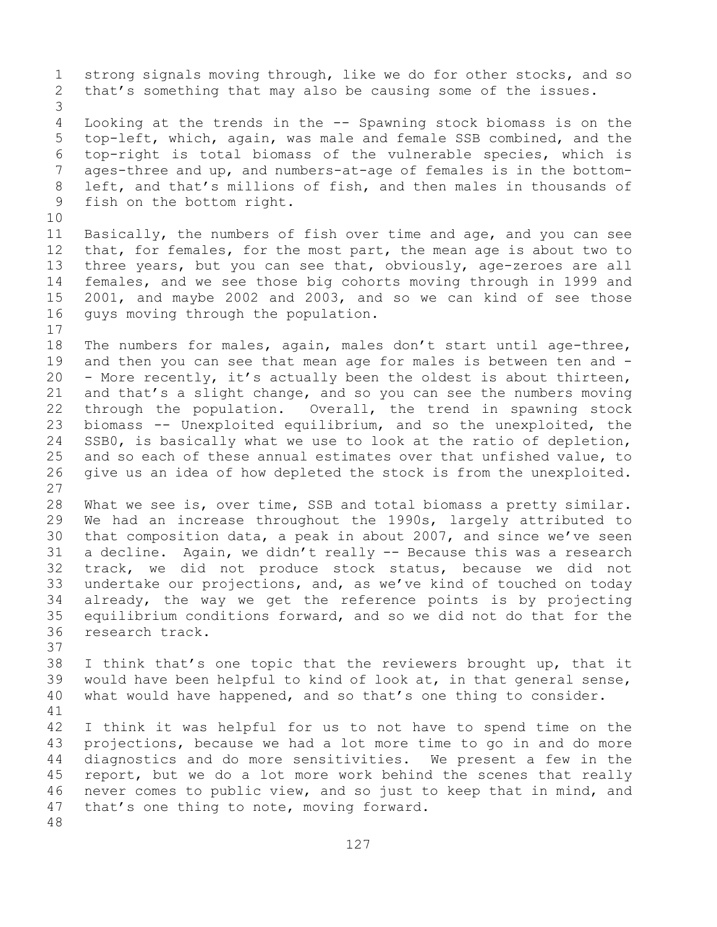1 strong signals moving through, like we do for other stocks, and so<br>2 that's something that may also be causing some of the issues. that's something that may also be causing some of the issues. 3 Looking at the trends in the -- Spawning stock biomass is on the 5 top-left, which, again, was male and female SSB combined, and the 6 top-right is total biomass of the vulnerable species, which is 7 ages-three and up, and numbers-at-age of females is in the bottom-<br>8 left, and that's millions of fish, and then males in thousands of 8 left, and that's millions of fish, and then males in thousands of<br>9 fish on the bottom right. fish on the bottom right. 10<br>11 11 Basically, the numbers of fish over time and age, and you can see<br>12 that, for females, for the most part, the mean age is about two to that, for females, for the most part, the mean age is about two to 13 three years, but you can see that, obviously, age-zeroes are all 14 females, and we see those big cohorts moving through in 1999 and<br>15 2001, and mavbe 2002 and 2003, and so we can kind of see those 15 2001, and maybe 2002 and 2003, and so we can kind of see those<br>16 quys moving through the population. guys moving through the population.  $17$ <br> $18$ 18 The numbers for males, again, males don't start until age-three,<br>19 and then you can see that mean age for males is between ten and -19 and then you can see that mean age for males is between ten and -<br>20 - More recently, it's actually been the oldest is about thirteen, - More recently, it's actually been the oldest is about thirteen, 21 and that's a slight change, and so you can see the numbers moving<br>22 through the population. Overall, the trend in spawning stock 22 through the population. Overall, the trend in spawning stock<br>23 biomass -- Unexploited equilibrium, and so the unexploited, the 23 biomass -- Unexploited equilibrium, and so the unexploited, the<br>24 SSB0, is basically what we use to look at the ratio of depletion, 24 SSB0, is basically what we use to look at the ratio of depletion,<br>25 and so each of these annual estimates over that unfished value, to 25 and so each of these annual estimates over that unfished value, to<br>26 qive us an idea of how depleted the stock is from the unexploited. give us an idea of how depleted the stock is from the unexploited. 27 28 What we see is, over time, SSB and total biomass a pretty similar.<br>29 We had an increase throughout the 1990s, largely attributed to 29 We had an increase throughout the 1990s, largely attributed to<br>30 that composition data, a peak in about 2007, and since we've seen 30 that composition data, a peak in about 2007, and since we've seen<br>31 a decline. Again, we didn't really -- Because this was a research 31 a decline. Again, we didn't really -- Because this was a research<br>32 track, we did not produce stock status, because we did not track, we did not produce stock status, because we did not 33 undertake our projections, and, as we've kind of touched on today<br>34 already, the way we get the reference points is by projecting 34 already, the way we get the reference points is by projecting<br>35 equilibrium conditions forward, and so we did not do that for the 35 equilibrium conditions forward, and so we did not do that for the 36 research track. research track. 37 38 I think that's one topic that the reviewers brought up, that it<br>39 would have been helpful to kind of look at, in that general sense, 39 would have been helpful to kind of look at, in that general sense,<br>40 what would have happened, and so that's one thing to consider. what would have happened, and so that's one thing to consider. 41<br>42 42 I think it was helpful for us to not have to spend time on the<br>43 projections, because we had a lot more time to go in and do more 43 projections, because we had a lot more time to go in and do more<br>44 diagnostics and do more sensitivities. We present a few in the diagnostics and do more sensitivities. We present a few in the 45 report, but we do a lot more work behind the scenes that really 46 never comes to public view, and so just to keep that in mind, and<br>47 that's one thing to note, moving forward. that's one thing to note, moving forward. 48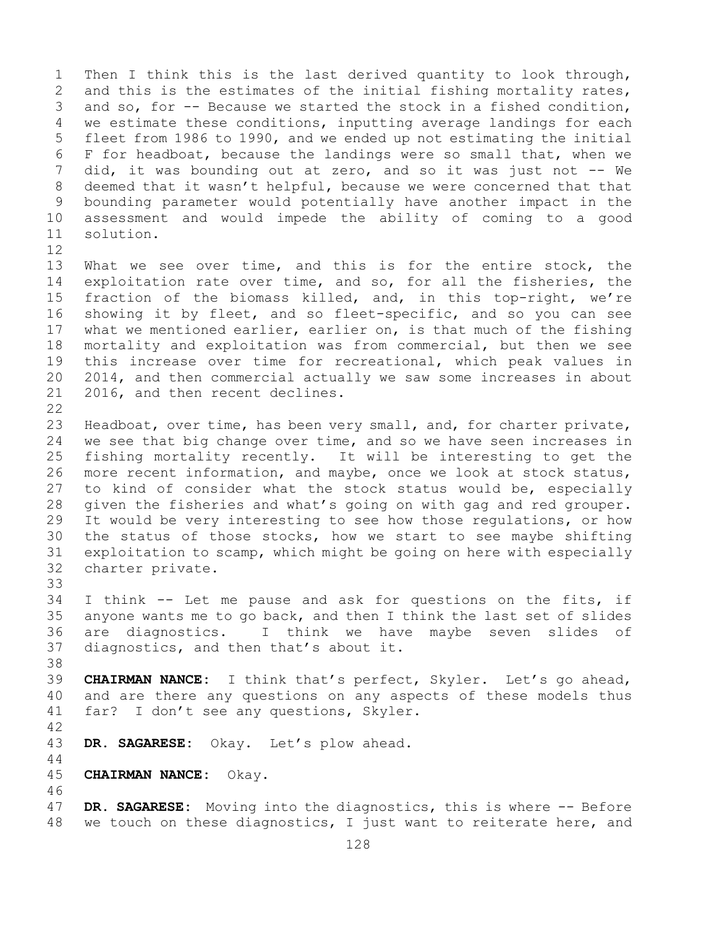1 Then I think this is the last derived quantity to look through,<br>2 and this is the estimates of the initial fishing mortality rates, 2 and this is the estimates of the initial fishing mortality rates,<br>3 and so, for -- Because we started the stock in a fished condition, 3 and so, for -- Because we started the stock in a fished condition,<br>4 we estimate these conditions, inputting average landings for each we estimate these conditions, inputting average landings for each 5 fleet from 1986 to 1990, and we ended up not estimating the initial 6 F for headboat, because the landings were so small that, when we<br>7 did, it was bounding out at zero, and so it was just not -- We 7 did, it was bounding out at zero, and so it was just not -- We<br>8 deemed that it wasn't helpful, because we were concerned that that 8 deemed that it wasn't helpful, because we were concerned that that<br>9 bounding parameter would potentially have another impact in the 9 bounding parameter would potentially have another impact in the<br>10 assessment and would impede the ability of coming to a good 10 assessment and would impede the ability of coming to a good solution.

- 12<br>13 What we see over time, and this is for the entire stock, the 14 exploitation rate over time, and so, for all the fisheries, the<br>15 fraction of the biomass killed, and, in this top-right, we're 15 fraction of the biomass killed, and, in this top-right, we're<br>16 showing it by fleet, and so fleet-specific, and so you can see 16 showing it by fleet, and so fleet-specific, and so you can see<br>17 what we mentioned earlier, earlier on, is that much of the fishing 17 what we mentioned earlier, earlier on, is that much of the fishing<br>18 mortality and exploitation was from commercial, but then we see 18 mortality and exploitation was from commercial, but then we see<br>19 this increase over time for recreational, which peak values in 19 this increase over time for recreational, which peak values in<br>20 2014, and then commercial actually we saw some increases in about 20 2014, and then commercial actually we saw some increases in about<br>21 2016, and then recent declines. 2016, and then recent declines.
- $\begin{array}{c} 22 \\ 23 \end{array}$ 23 Headboat, over time, has been very small, and, for charter private,<br>24 we see that big change over time, and so we have seen increases in 24 we see that big change over time, and so we have seen increases in<br>25 fishing mortality recently. It will be interesting to get the 25 fishing mortality recently. It will be interesting to get the<br>26 more recent information, and maybe, once we look at stock status, 26 more recent information, and maybe, once we look at stock status,<br>27 to kind of consider what the stock status would be, especially to kind of consider what the stock status would be, especially 28 given the fisheries and what's going on with gag and red grouper.<br>29 It would be very interesting to see how those requlations, or how 29 It would be very interesting to see how those regulations, or how<br>30 the status of those stocks, how we start to see maybe shifting 30 the status of those stocks, how we start to see maybe shifting<br>31 exploitation to scamp, which might be going on here with especially 31 exploitation to scamp, which might be going on here with especially<br>32 charter private. charter private.
- 33<br>34 34 I think -- Let me pause and ask for questions on the fits, if<br>35 anyone wants me to go back, and then I think the last set of slides 35 anyone wants me to go back, and then I think the last set of slides<br>36 are diagnostics. I think we have maybe seven slides of 36 are diagnostics. I think we have maybe seven slides of<br>37 diagnostics, and then that's about it. diagnostics, and then that's about it.
- 38<br>39
- 39 **CHAIRMAN NANCE:** I think that's perfect, Skyler. Let's go ahead,<br>40 and are there any questions on any aspects of these models thus 40 and are there any questions on any aspects of these models thus<br>41 far? I don't see any questions, Skyler. far? I don't see any questions, Skyler.
- 42

44

DR. SAGARESE: Okay. Let's plow ahead.

- 45 **CHAIRMAN NANCE:** Okay.
- 46<br>47 47 **DR. SAGARESE:** Moving into the diagnostics, this is where -- Before<br>48 we touch on these diagnostics, I just want to reiterate here, and we touch on these diagnostics, I just want to reiterate here, and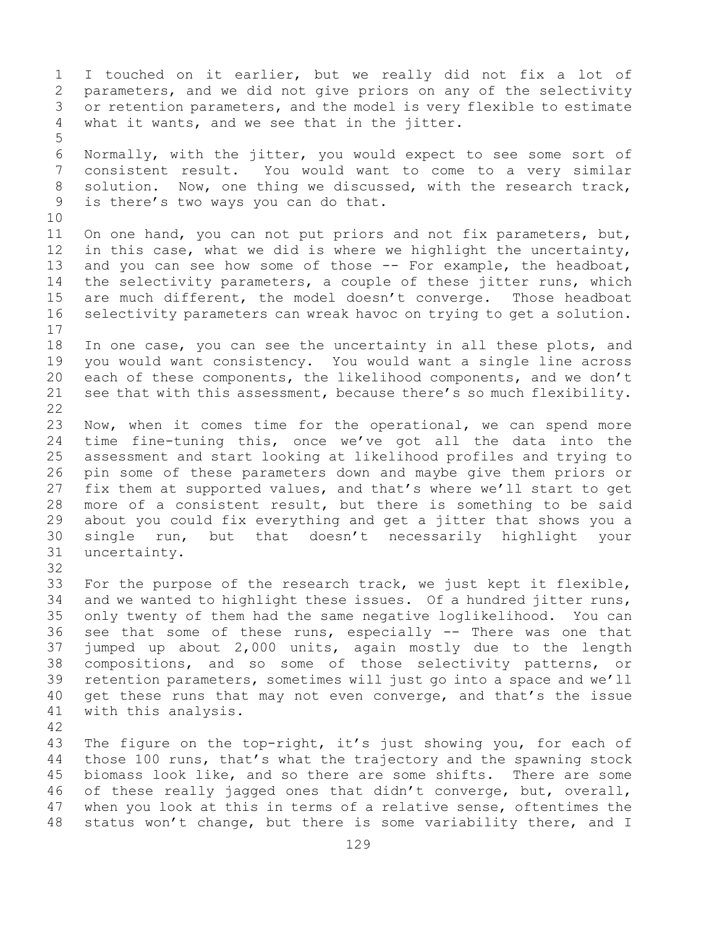1 I touched on it earlier, but we really did not fix a lot of<br>2 parameters, and we did not give priors on any of the selectivity 2 parameters, and we did not give priors on any of the selectivity<br>3 or retention parameters, and the model is very flexible to estimate 3 or retention parameters, and the model is very flexible to estimate<br>4 what it wants, and we see that in the jitter. what it wants, and we see that in the jitter. 5 6 Normally, with the jitter, you would expect to see some sort of<br>7 consistent result. You would want to come to a verv similar 7 consistent result. You would want to come to a very similar<br>8 solution. Now, one thing we discussed, with the research track, 8 solution. Now, one thing we discussed, with the research track,<br>9 is there's two ways you can do that. is there's two ways you can do that. 10<br>11 11 On one hand, you can not put priors and not fix parameters, but,<br>12 in this case, what we did is where we highlight the uncertainty, in this case, what we did is where we highlight the uncertainty, 13 and you can see how some of those -- For example, the headboat, 14 the selectivity parameters, a couple of these jitter runs, which<br>15 are much different, the model doesn't converge. Those headboat 15 are much different, the model doesn't converge. Those headboat<br>16 selectivity parameters can wreak havoc on trying to get a solution. selectivity parameters can wreak havoc on trying to get a solution.  $\begin{array}{c} 17 \\ 18 \end{array}$ 18 In one case, you can see the uncertainty in all these plots, and<br>19 you would want consistency. You would want a single line across 19 you would want consistency. You would want a single line across<br>20 each of these components, the likelihood components, and we don't 20 each of these components, the likelihood components, and we don't<br>21 see that with this assessment, because there's so much flexibility. see that with this assessment, because there's so much flexibility.  $\begin{array}{c} 22 \\ 23 \end{array}$ 23 Now, when it comes time for the operational, we can spend more<br>24 time fine-tuning this, once we've got all the data into the 24 time fine-tuning this, once we've got all the data into the<br>25 assessment and start looking at likelihood profiles and trying to 25 assessment and start looking at likelihood profiles and trying to<br>26 pin some of these parameters down and maybe give them priors or 26 pin some of these parameters down and maybe give them priors or<br>27 fix them at supported values, and that's where we'll start to get fix them at supported values, and that's where we'll start to get 28 more of a consistent result, but there is something to be said<br>29 about you could fix everything and get a jitter that shows you a 29 about you could fix everything and get a jitter that shows you a<br>30 single run, but that doesn't necessarily highlight your 30 single run, but that doesn't necessarily highlight your<br>31 uncertainty. uncertainty. 32 33 For the purpose of the research track, we just kept it flexible,<br>34 and we wanted to highlight these issues. Of a hundred jitter runs, 34 and we wanted to highlight these issues. Of a hundred jitter runs,<br>35 only twenty of them had the same negative loglikelihood. You can 35 only twenty of them had the same negative loglikelihood. You can<br>36 see that some of these runs, especially -- There was one that 36 see that some of these runs, especially  $-$  There was one that<br>37 jumped up about 2,000 units, again mostly due to the length jumped up about  $2,000$  units, again mostly due to the length 38 compositions, and so some of those selectivity patterns, or<br>39 retention parameters, sometimes will just go into a space and we'll 39 retention parameters, sometimes will just go into a space and we'll<br>40 get these runs that may not even converge, and that's the issue 40 get these runs that may not even converge, and that's the issue<br>41 with this analysis. with this analysis. 42 43 The figure on the top-right, it's just showing you, for each of<br>44 those 100 runs, that's what the trajectory and the spawning stock those 100 runs, that's what the trajectory and the spawning stock 45 biomass look like, and so there are some shifts. There are some

46 of these really jagged ones that didn't converge, but, overall,<br>47 when you look at this in terms of a relative sense, oftentimes the 47 when you look at this in terms of a relative sense, oftentimes the<br>48 status won't change, but there is some variability there, and I status won't change, but there is some variability there, and I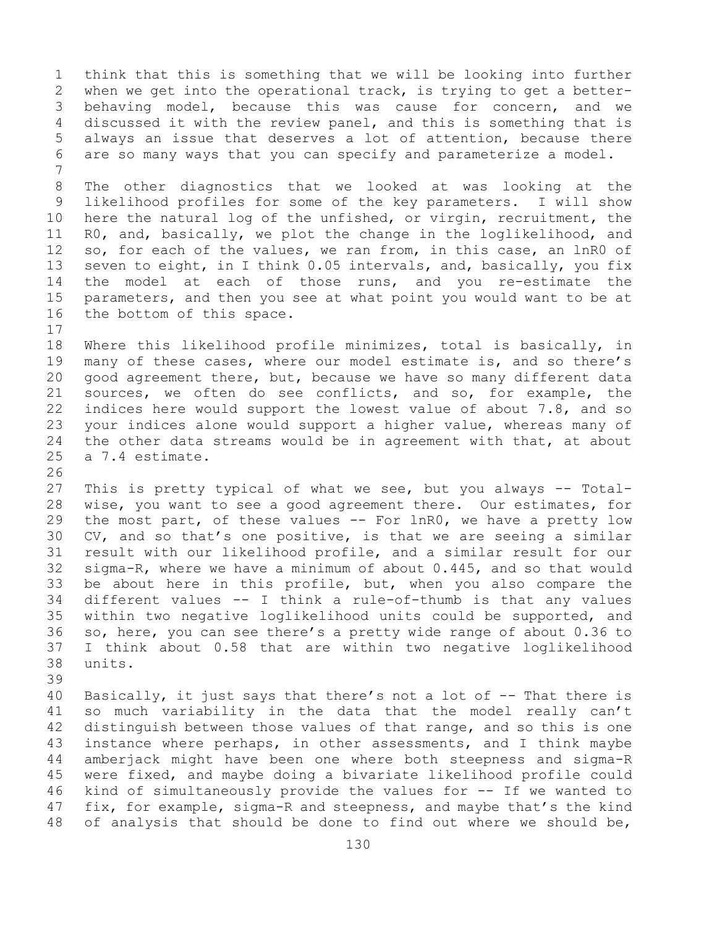1 think that this is something that we will be looking into further<br>2 when we get into the operational track, is trying to get a better-2 when we get into the operational track, is trying to get a better-<br>3 behaving model, because this was cause for concern, and we 3 behaving model, because this was cause for concern, and we<br>4 discussed it with the review panel, and this is something that is discussed it with the review panel, and this is something that is 5 always an issue that deserves a lot of attention, because there 6 are so many ways that you can specify and parameterize a model. 7 8 The other diagnostics that we looked at was looking at the<br>9 likelihood profiles for some of the key parameters. I will show 9 likelihood profiles for some of the key parameters.<br>10 here the natural log of the unfished, or virgin, recr 10 here the natural log of the unfished, or virgin, recruitment, the<br>11 RO, and, basically, we plot the change in the loglikelihood, and 11 RO, and, basically, we plot the change in the loglikelihood, and<br>12 so, for each of the values, we ran from, in this case, an lnRO of so, for each of the values, we ran from, in this case, an lnR0 of 13 seven to eight, in I think 0.05 intervals, and, basically, you fix 14 the model at each of those runs, and you re-estimate the<br>15 parameters, and then you see at what point you would want to be at 15 parameters, and then you see at what point you would want to be at 16 the bottom of this space. the bottom of this space.  $\begin{array}{c} 17 \\ 18 \end{array}$ 18 Where this likelihood profile minimizes, total is basically, in<br>19 many of these cases, where our model estimate is, and so there's 19 many of these cases, where our model estimate is, and so there's<br>20 qood agreement there, but, because we have so many different data 20 good agreement there, but, because we have so many different data<br>21 sources, we often do see conflicts, and so, for example, the 21 sources, we often do see conflicts, and so, for example, the<br>22 indices here would support the lowest value of about 7.8, and so 22 indices here would support the lowest value of about 7.8, and so<br>23 your indices alone would support a higher value, whereas many of 23 your indices alone would support a higher value, whereas many of<br>24 the other data streams would be in agreement with that, at about 24 the other data streams would be in agreement with that, at about<br>25 a 7.4 estimate. a 7.4 estimate. 26<br>27 This is pretty typical of what we see, but you always -- Total-28 wise, you want to see a good agreement there. Our estimates, for<br>29 the most part, of these values -- For lnRO, we have a pretty low 29 the most part, of these values -- For lnR0, we have a pretty low<br>30 CV, and so that's one positive, is that we are seeing a similar 30 CV, and so that's one positive, is that we are seeing a similar<br>31 result with our likelihood profile, and a similar result for our 31 result with our likelihood profile, and a similar result for our<br>32 sigma-R, where we have a minimum of about 0.445, and so that would 32 sigma-R, where we have a minimum of about 0.445, and so that would<br>33 be about here in this profile, but, when you also compare the 33 be about here in this profile, but, when you also compare the  $34$  different values  $--$  I think a rule-of-thumb is that any values 34 different values -- I think a rule-of-thumb is that any values<br>35 within two negative loglikelihood units could be supported, and 35 within two negative loglikelihood units could be supported, and<br>36 so, here, you can see there's a pretty wide range of about 0.36 to 36 so, here, you can see there's a pretty wide range of about 0.36 to<br>37 I think about 0.58 that are within two negative loglikelihood I think about 0.58 that are within two negative loglikelihood 38 units. 39 40 Basically, it just says that there's not a lot of  $-$ - That there is 41 so much variability in the data that the model really can't 41 so much variability in the data that the model really can't<br>42 distinguish between those values of that range, and so this is one 42 distinguish between those values of that range, and so this is one<br>43 instance where perhaps, in other assessments, and I think maybe 43 instance where perhaps, in other assessments, and I think maybe<br>44 amberjack might have been one where both steepness and sigma-R amberjack might have been one where both steepness and sigma-R 45 were fixed, and maybe doing a bivariate likelihood profile could 46 kind of simultaneously provide the values for  $-$ - If we wanted to  $47$  fix, for example, sigma-R and steepness, and maybe that's the kind 47 fix, for example, sigma-R and steepness, and maybe that's the kind<br>48 of analysis that should be done to find out where we should be, of analysis that should be done to find out where we should be,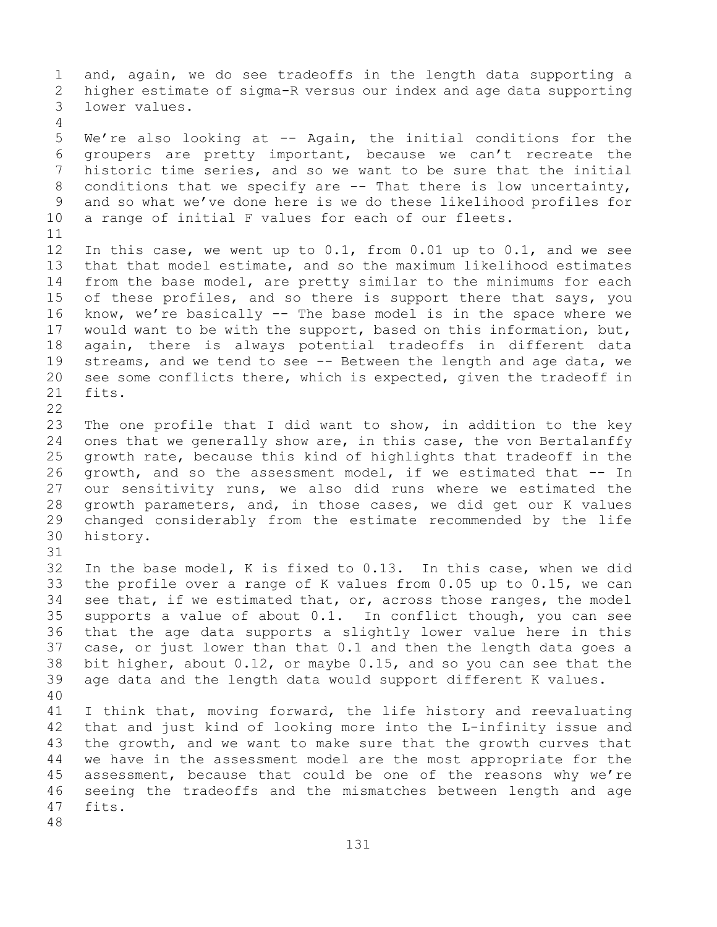1 and, again, we do see tradeoffs in the length data supporting a<br>2 higher estimate of sigma-R versus our index and age data supporting 2 higher estimate of sigma-R versus our index and age data supporting<br>3 lower values. lower values. 4 5 We're also looking at -- Again, the initial conditions for the 6 groupers are pretty important, because we can't recreate the<br>7 historic time series, and so we want to be sure that the initial 7 historic time series, and so we want to be sure that the initial<br>8 conditions that we specify are -- That there is low uncertainty, 8 conditions that we specify are -- That there is low uncertainty,<br>9 and so what we've done here is we do these likelihood profiles for 9 and so what we've done here is we do these likelihood profiles for<br>10 a range of initial F values for each of our fleets. a range of initial F values for each of our fleets. 11<br>12 In this case, we went up to  $0.1$ , from  $0.01$  up to  $0.1$ , and we see 13 that that model estimate, and so the maximum likelihood estimates 14 from the base model, are pretty similar to the minimums for each<br>15 of these profiles, and so there is support there that savs, you 15 of these profiles, and so there is support there that says, you<br>16 know, we're basically -- The base model is in the space where we 16 know, we're basically -- The base model is in the space where we<br>17 would want to be with the support, based on this information, but, 17 would want to be with the support, based on this information, but,<br>18 again, there is always potential tradeoffs in different data 18 again, there is always potential tradeoffs in different data<br>19 streams, and we tend to see -- Between the length and age data, we 19 streams, and we tend to see -- Between the length and age data, we<br>20 see some conflicts there, which is expected, given the tradeoff in 20 see some conflicts there, which is expected, given the tradeoff in  $21$  fits. fits.  $\begin{array}{c} 22 \\ 23 \end{array}$ 23 The one profile that I did want to show, in addition to the key<br>24 ones that we generally show are, in this case, the von Bertalanffy 24 ones that we generally show are, in this case, the von Bertalanffy<br>25 qrowth rate, because this kind of highlights that tradeoff in the 25 growth rate, because this kind of highlights that tradeoff in the<br>26 growth, and so the assessment model, if we estimated that -- In 26 growth, and so the assessment model, if we estimated that -- In<br>27 our sensitivity runs, we also did runs where we estimated the our sensitivity runs, we also did runs where we estimated the 28 growth parameters, and, in those cases, we did get our K values<br>29 changed considerably from the estimate recommended by the life 29 changed considerably from the estimate recommended by the life<br>30 history. history. 31<br>32 In the base model, K is fixed to 0.13. In this case, when we did 33 the profile over a range of K values from 0.05 up to 0.15, we can<br>34 see that, if we estimated that, or, across those ranges, the model 34 see that, if we estimated that, or, across those ranges, the model  $35$  supports a value of about 0.1. In conflict though, you can see 35 supports a value of about 0.1. In conflict though, you can see<br>36 that the age data supports a slightly lower value here in this that the age data supports a slightly lower value here in this 37 case, or just lower than that 0.1 and then the length data goes a 38 bit higher, about 0.12, or maybe 0.15, and so you can see that the<br>39 age data and the length data would support different K values. age data and the length data would support different K values. 40 41 I think that, moving forward, the life history and reevaluating<br>42 that and just kind of looking more into the L-infinity issue and 42 that and just kind of looking more into the L-infinity issue and<br>43 the growth, and we want to make sure that the growth curves that 43 the growth, and we want to make sure that the growth curves that<br>44 we have in the assessment model are the most appropriate for the we have in the assessment model are the most appropriate for the 45 assessment, because that could be one of the reasons why we're 46 seeing the tradeoffs and the mismatches between length and age<br>47 fits. fits. 48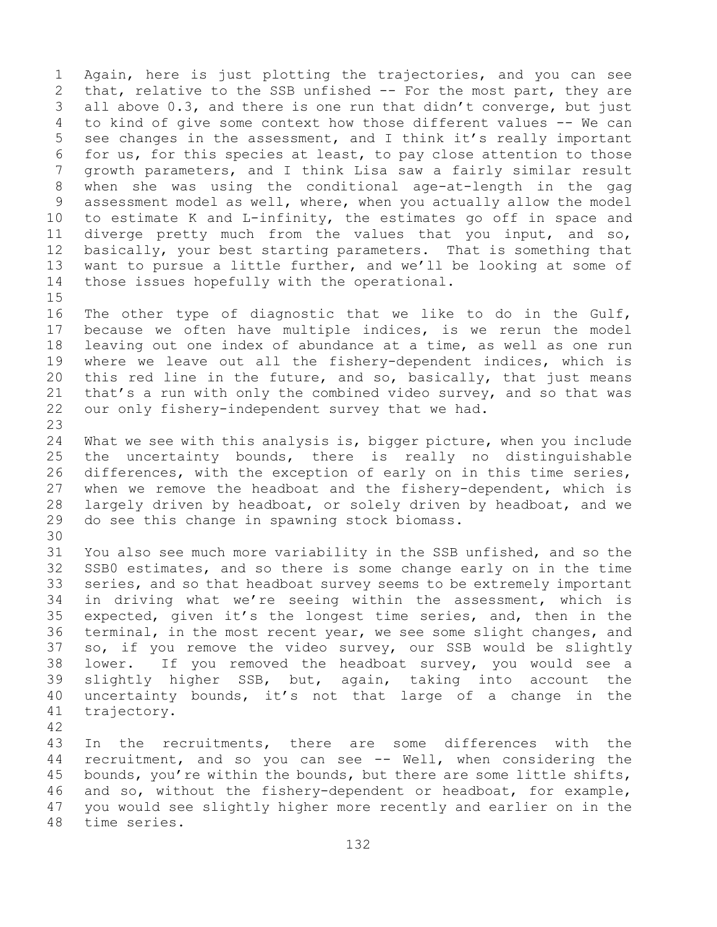1 Again, here is just plotting the trajectories, and you can see<br>2 that, relative to the SSB unfished -- For the most part, they are 2 that, relative to the SSB unfished -- For the most part, they are<br>3 all above 0.3, and there is one run that didn't converge, but just 3 all above 0.3, and there is one run that didn't converge, but just<br>4 to kind of give some context how those different values -- We can to kind of give some context how those different values -- We can 5 see changes in the assessment, and I think it's really important 6 for us, for this species at least, to pay close attention to those<br>7 arowth parameters, and I think Lisa saw a fairly similar result 7 growth parameters, and I think Lisa saw a fairly similar result<br>8 when she was using the conditional age-at-length in the gag 8 when she was using the conditional age-at-length in the gag<br>9 assessment model as well, where, when you actually allow the model 9 assessment model as well, where, when you actually allow the model<br>10 to estimate K and L-infinity, the estimates go off in space and 10 to estimate K and L-infinity, the estimates go off in space and<br>11 diverge pretty much from the values that you input, and so, 11 diverge pretty much from the values that you input, and so,<br>12 basically, your best starting parameters. That is something that 12 basically, your best starting parameters. That is something that<br>13 want to pursue a little further, and we'll be looking at some of want to pursue a little further, and we'll be looking at some of 14 those issues hopefully with the operational.

 $15$ <br> $16$ 16 The other type of diagnostic that we like to do in the Gulf,<br>17 because we often have multiple indices, is we rerun the model 17 because we often have multiple indices, is we rerun the model<br>18 leaving out one index of abundance at a time, as well as one run 18 leaving out one index of abundance at a time, as well as one run<br>19 where we leave out all the fishery-dependent indices, which is 19 where we leave out all the fishery-dependent indices, which is<br>20 this red line in the future, and so, basically, that just means 20 this red line in the future, and so, basically, that just means<br>21 that's a run with only the combined video survey, and so that was 21 that's a run with only the combined video survey, and so that was<br>22 our only fishery-independent survey that we had. our only fishery-independent survey that we had.

23 24 What we see with this analysis is, bigger picture, when you include<br>25 the uncertainty bounds, there is really no distinguishable 25 the uncertainty bounds, there is really no distinguishable<br>26 differences, with the exception of early on in this time series, 26 differences, with the exception of early on in this time series,<br>27 when we remove the headboat and the fishery-dependent, which is when we remove the headboat and the fishery-dependent, which is 28 largely driven by headboat, or solely driven by headboat, and we<br>29 do see this change in spawning stock biomass. do see this change in spawning stock biomass.

30<br>31 31 You also see much more variability in the SSB unfished, and so the<br>32 SSB0 estimates, and so there is some change early on in the time SSB0 estimates, and so there is some change early on in the time 33 series, and so that headboat survey seems to be extremely important<br>34 in driving what we're seeing within the assessment, which is 34 in driving what we're seeing within the assessment, which is<br>35 expected, given it's the longest time series, and, then in the 35 expected, given it's the longest time series, and, then in the<br>36 terminal, in the most recent year, we see some slight changes, and terminal, in the most recent year, we see some slight changes, and 37 so, if you remove the video survey, our SSB would be slightly 38 lower. If you removed the headboat survey, you would see a<br>39 slightly higher SSB, but, again, taking into account the 39 slightly higher SSB, but, again, taking into account the<br>40 uncertainty bounds, it's not that large of a change in the 40 uncertainty bounds, it's not that large of a change in the  $41$  trajectory. trajectory.

42

43 In the recruitments, there are some differences with the<br>44 recruitment, and so you can see -- Well, when considering the recruitment, and so you can see -- Well, when considering the 45 bounds, you're within the bounds, but there are some little shifts, 46 and so, without the fishery-dependent or headboat, for example,<br>47 you would see slightly higher more recently and earlier on in the 47 you would see slightly higher more recently and earlier on in the time series.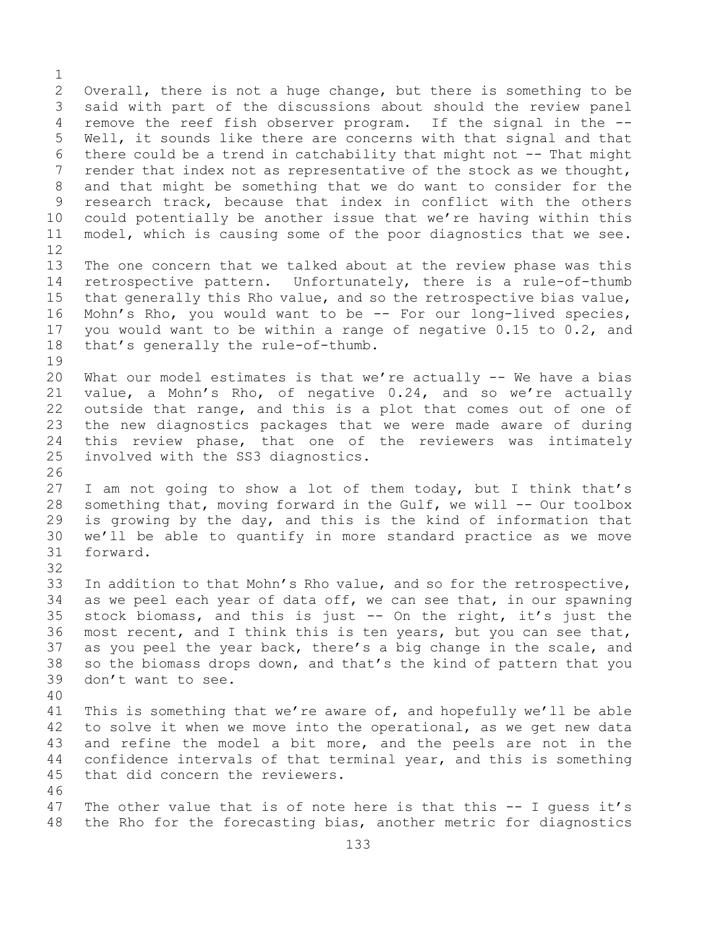$\frac{1}{2}$ 2 Overall, there is not a huge change, but there is something to be<br>3 said with part of the discussions about should the review panel 3 said with part of the discussions about should the review panel<br>4 remove the reef fish observer program. If the signal in the -remove the reef fish observer program. If the signal in the --5 Well, it sounds like there are concerns with that signal and that 6 there could be a trend in catchability that might not  $-$ - That might<br>7 render that index not as representative of the stock as we thought, 7 render that index not as representative of the stock as we thought,<br>8 and that might be something that we do want to consider for the 8 and that might be something that we do want to consider for the<br>9 research track, because that index in conflict with the others 9 research track, because that index in conflict with the others<br>10 could potentially be another issue that we're having within this 10 could potentially be another issue that we're having within this<br>11 model, which is causing some of the poor diagnostics that we see. model, which is causing some of the poor diagnostics that we see. 12<br>13 The one concern that we talked about at the review phase was this 14 retrospective pattern. Unfortunately, there is a rule-of-thumb<br>15 that generally this Rho value, and so the retrospective bias value, 15 that generally this Rho value, and so the retrospective bias value,<br>16 Mohn's Rho, you would want to be -- For our long-lived species, 16 Mohn's Rho, you would want to be -- For our long-lived species,<br>17 you would want to be within a range of negative 0.15 to 0.2, and 17 you would want to be within a range of negative 0.15 to 0.2, and<br>18 that's generally the rule-of-thumb. that's generally the rule-of-thumb.  $\begin{array}{c} 19 \\ 20 \end{array}$ What our model estimates is that we're actually  $-$ - We have a bias 21 value, a Mohn's Rho, of negative 0.24, and so we're actually<br>22 outside that range, and this is a plot that comes out of one of 22 outside that range, and this is a plot that comes out of one of<br>23 the new diagnostics packages that we were made aware of during 23 the new diagnostics packages that we were made aware of during<br>24 this review phase, that one of the reviewers was intimately 24 this review phase, that one of the reviewers was intimately<br>25 involved with the SS3 diagnostics. involved with the SS3 diagnostics. 26<br>27 I am not going to show a lot of them today, but I think that's 28 something that, moving forward in the Gulf, we will  $--$  Our toolbox<br>29 is growing by the day, and this is the kind of information that 29 is growing by the day, and this is the kind of information that<br>30 we'll be able to quantify in more standard practice as we move 30 we'll be able to quantify in more standard practice as we move forward. 32 33 In addition to that Mohn's Rho value, and so for the retrospective,<br>34 as we peel each year of data off, we can see that, in our spawning 34 as we peel each year of data off, we can see that, in our spawning<br>35 stock biomass, and this is just -- On the right, it's just the 35 stock biomass, and this is just  $-$  On the right, it's just the 36 most recent, and I think this is ten years, but you can see that, most recent, and I think this is ten years, but you can see that, 37 as you peel the year back, there's a big change in the scale, and 38 so the biomass drops down, and that's the kind of pattern that you<br>39 don't want to see. don't want to see. 40 41 This is something that we're aware of, and hopefully we'll be able<br>42 to solve it when we move into the operational, as we get new data 42 to solve it when we move into the operational, as we get new data<br>43 and refine the model a bit more, and the peels are not in the 43 and refine the model a bit more, and the peels are not in the<br>44 confidence intervals of that terminal year, and this is something confidence intervals of that terminal year, and this is something 45 that did concern the reviewers. 46<br>47 47 The other value that is of note here is that this -- I guess it's<br>48 the Rho for the forecasting bias, another metric for diagnostics the Rho for the forecasting bias, another metric for diagnostics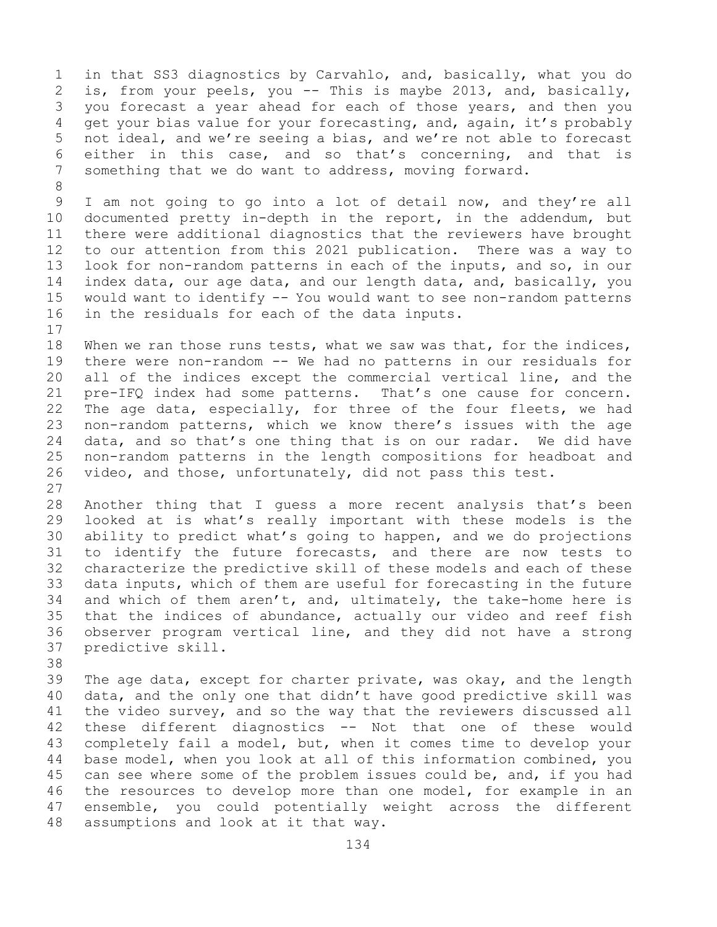1 in that SS3 diagnostics by Carvahlo, and, basically, what you do<br>2 is, from your peels, you -- This is maybe 2013, and, basically, 2 is, from your peels, you -- This is maybe 2013, and, basically,<br>3 you forecast a year ahead for each of those years, and then you 3 you forecast a year ahead for each of those years, and then you<br>4 qet your bias value for your forecasting, and, again, it's probably get your bias value for your forecasting, and, again, it's probably 5 not ideal, and we're seeing a bias, and we're not able to forecast 6 either in this case, and so that's concerning, and that is<br>7 something that we do want to address, moving forward. something that we do want to address, moving forward.

8 9 I am not going to go into a lot of detail now, and they're all<br>10 documented pretty in-depth in the report, in the addendum, but 10 documented pretty in-depth in the report, in the addendum, but<br>11 there were additional diagnostics that the reviewers have brought 11 there were additional diagnostics that the reviewers have brought<br>12 to our attention from this 2021 publication. There was a way to to our attention from this 2021 publication. There was a way to 13 look for non-random patterns in each of the inputs, and so, in our 14 index data, our age data, and our length data, and, basically, you<br>15 would want to identify -- You would want to see non-random patterns 15 would want to identify -- You would want to see non-random patterns<br>16 in the residuals for each of the data inputs. in the residuals for each of the data inputs.

 $17$ <br> $18$ 18 When we ran those runs tests, what we saw was that, for the indices,<br>19 there were non-random -- We had no patterns in our residuals for 19 there were non-random -- We had no patterns in our residuals for<br>20 all of the indices except the commercial vertical line, and the all of the indices except the commercial vertical line, and the 21 pre-IFQ index had some patterns. That's one cause for concern.<br>22 The age data, especially, for three of the four fleets, we had 22 The age data, especially, for three of the four fleets, we had<br>23 non-random patterns, which we know there's issues with the age 23 non-random patterns, which we know there's issues with the age<br>24 data, and so that's one thing that is on our radar. We did have 24 data, and so that's one thing that is on our radar. We did have<br>25 non-random patterns in the length compositions for headboat and 25 non-random patterns in the length compositions for headboat and<br>26 video, and those, unfortunately, did not pass this test. video, and those, unfortunately, did not pass this test.

 $\frac{27}{28}$ 28 Another thing that I guess a more recent analysis that's been<br>29 looked at is what's really important with these models is the 29 looked at is what's really important with these models is the<br>30 ability to predict what's going to happen, and we do projections 30 ability to predict what's going to happen, and we do projections<br>31 to identify the future forecasts, and there are now tests to 31 to identify the future forecasts, and there are now tests to<br>32 characterize the predictive skill of these models and each of these characterize the predictive skill of these models and each of these 33 data inputs, which of them are useful for forecasting in the future<br>34 and which of them aren't, and, ultimately, the take-home here is 34 and which of them aren't, and, ultimately, the take-home here is  $35$  that the indices of abundance, actually our video and reef fish 35 that the indices of abundance, actually our video and reef fish<br>36 observer program vertical line, and they did not have a strong 36 observer program vertical line, and they did not have a strong<br>37 predictive skill. predictive skill.

38<br>39

39 The age data, except for charter private, was okay, and the length<br>40 data, and the only one that didn't have good predictive skill was 40 data, and the only one that didn't have good predictive skill was<br>41 the video survey, and so the way that the reviewers discussed all 41 the video survey, and so the way that the reviewers discussed all<br>42 these different diagnostics -- Not that one of these would 42 these different diagnostics -- Not that one of these would<br>43 completely fail a model, but, when it comes time to develop your 43 completely fail a model, but, when it comes time to develop your<br>44 base model, when you look at all of this information combined, you base model, when you look at all of this information combined, you 45 can see where some of the problem issues could be, and, if you had 46 the resources to develop more than one model, for example in an<br>47 ensemble, you could potentially weight across the different 47 ensemble, you could potentially weight across the different<br>48 assumptions and look at it that way. assumptions and look at it that way.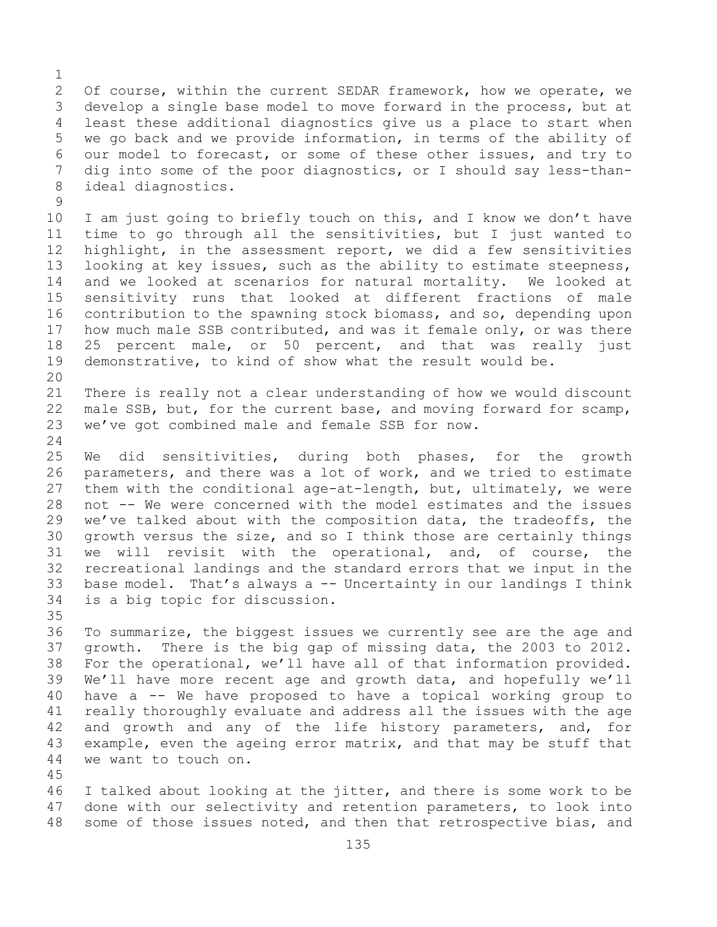$\frac{1}{2}$ 2 Of course, within the current SEDAR framework, how we operate, we<br>3 develop a single base model to move forward in the process, but at 3 develop a single base model to move forward in the process, but at<br>4 least these additional diagnostics give us a place to start when least these additional diagnostics give us a place to start when 5 we go back and we provide information, in terms of the ability of 6 our model to forecast, or some of these other issues, and try to<br>7 dig into some of the poor diagnostics, or I should sav less-than-7 dig into some of the poor diagnostics, or I should say less-than-<br>8 ideal diagnostics. ideal diagnostics.

 $\begin{array}{c} 9 \\ 10 \end{array}$ 10 I am just going to briefly touch on this, and I know we don't have<br>11 time to go through all the sensitivities, but I just wanted to 11 time to go through all the sensitivities, but I just wanted to<br>12 highlight, in the assessment report, we did a few sensitivities highlight, in the assessment report, we did a few sensitivities 13 looking at key issues, such as the ability to estimate steepness, 14 and we looked at scenarios for natural mortality. We looked at<br>15 sensitivity runs that looked at different fractions of male 15 sensitivity runs that looked at different fractions of male<br>16 contribution to the spawning stock biomass, and so, depending upon 16 contribution to the spawning stock biomass, and so, depending upon<br>17 how much male SSB contributed, and was it female only, or was there 17 how much male SSB contributed, and was it female only, or was there<br>18 25 percent male, or 50 percent, and that was really just 18 25 percent male, or 50 percent, and that was really just<br>19 demonstrative, to kind of show what the result would be. demonstrative, to kind of show what the result would be.

20<br>21 21 There is really not a clear understanding of how we would discount<br>22 male SSB, but, for the current base, and moving forward for scamp, 22 male SSB, but, for the current base, and moving forward for scamp,<br>23 we've got combined male and female SSB for now. we've got combined male and female SSB for now.

 $\frac{24}{25}$ 25 We did sensitivities, during both phases, for the growth<br>26 parameters, and there was a lot of work, and we tried to estimate 26 parameters, and there was a lot of work, and we tried to estimate<br>27 them with the conditional age-at-length, but, ultimately, we were them with the conditional age-at-length, but, ultimately, we were 28 not -- We were concerned with the model estimates and the issues<br>29 we've talked about with the composition data, the tradeoffs, the we've talked about with the composition data, the tradeoffs, the 30 growth versus the size, and so I think those are certainly things<br>31 we will revisit with the operational, and, of course, the 31 we will revisit with the operational, and, of course, the<br>32 recreational landings and the standard errors that we input in the recreational landings and the standard errors that we input in the 33 base model. That's always a  $-$  Uncertainty in our landings I think<br>34 is a big topic for discussion. is a big topic for discussion.

35<br>36 To summarize, the biggest issues we currently see are the age and 37 growth. There is the big gap of missing data, the 2003 to 2012. 38 For the operational, we'll have all of that information provided.<br>39 We'll have more recent age and growth data, and hopefully we'll 39 We'll have more recent age and growth data, and hopefully we'll<br>40 have a -- We have proposed to have a topical working group to 40 have a -- We have proposed to have a topical working group to<br>41 really thoroughly evaluate and address all the issues with the age 41 really thoroughly evaluate and address all the issues with the age<br>42 and growth and any of the life history parameters, and, for 42 and growth and any of the life history parameters, and, for<br>43 example, even the ageing error matrix, and that may be stuff that 43 example, even the ageing error matrix, and that may be stuff that<br>44 we want to touch on. we want to touch on.

45

46 I talked about looking at the jitter, and there is some work to be<br>47 done with our selectivity and retention parameters, to look into 47 done with our selectivity and retention parameters, to look into<br>48 some of those issues noted, and then that retrospective bias, and some of those issues noted, and then that retrospective bias, and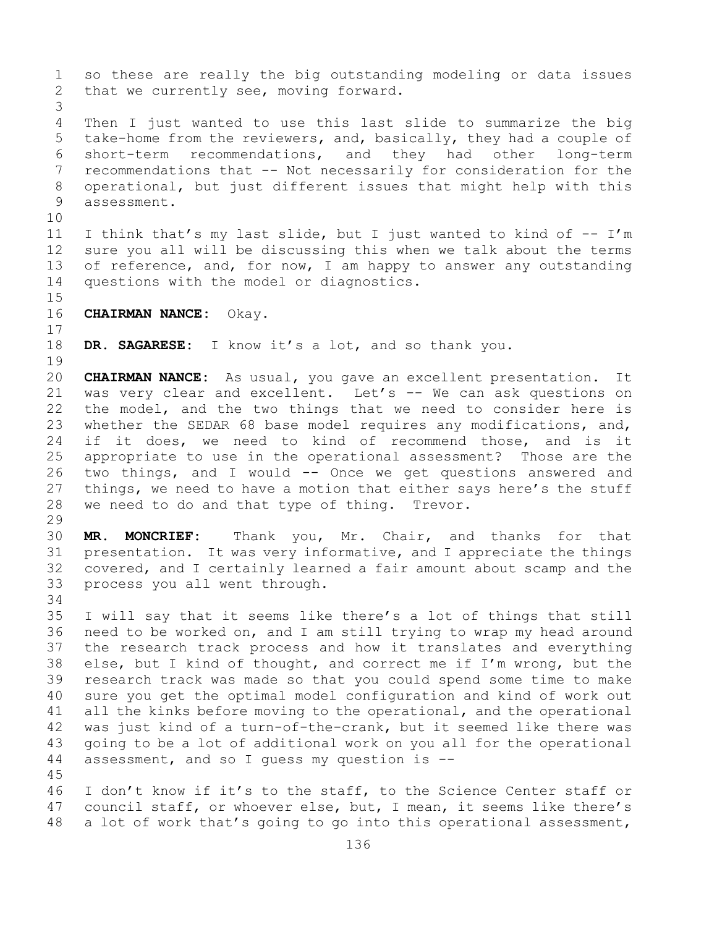1 so these are really the big outstanding modeling or data issues<br>2 that we currently see, moving forward. that we currently see, moving forward. 3 Then I just wanted to use this last slide to summarize the big 5 take-home from the reviewers, and, basically, they had a couple of 6 short-term recommendations, and they had other long-term 7 recommendations that -- Not necessarily for consideration for the<br>8 operational, but just different issues that might help with this 8 operational, but just different issues that might help with this assessment. 10<br>11 11 I think that's my last slide, but I just wanted to kind of  $-- I'm$ <br>12 sure you all will be discussing this when we talk about the terms sure you all will be discussing this when we talk about the terms 13 of reference, and, for now, I am happy to answer any outstanding 14 questions with the model or diagnostics.  $15$ <br> $16$ 16 **CHAIRMAN NANCE:** Okay.  $\begin{array}{c} 17 \\ 18 \end{array}$ DR. SAGARESE: I know it's a lot, and so thank you.  $\begin{array}{c} 19 \\ 20 \end{array}$ 20 **CHAIRMAN NANCE:** As usual, you gave an excellent presentation. It<br>21 was very clear and excellent. Let's -- We can ask questions on 21 was very clear and excellent. Let's -- We can ask questions on<br>22 the model, and the two things that we need to consider here is 22 the model, and the two things that we need to consider here is<br>23 whether the SEDAR 68 base model requires any modifications, and, 23 whether the SEDAR 68 base model requires any modifications, and,<br>24 if it does, we need to kind of recommend those, and is it 24 if it does, we need to kind of recommend those, and is it<br>25 appropriate to use in the operational assessment? Those are the 25 appropriate to use in the operational assessment? Those are the<br>26 two things, and I would -- Once we get questions answered and 26 two things, and I would -- Once we get questions answered and<br>27 things, we need to have a motion that either says here's the stuff things, we need to have a motion that either says here's the stuff 28 we need to do and that type of thing. Trevor. 29<br>30 30 **MR. MONCRIEF:** Thank you, Mr. Chair, and thanks for that 31 presentation. It was very informative, and I appreciate the things<br>32 covered, and I certainly learned a fair amount about scamp and the covered, and I certainly learned a fair amount about scamp and the 33 process you all went through. 34<br>35 35 I will say that it seems like there's a lot of things that still<br>36 need to be worked on, and I am still trying to wrap my head around 36 need to be worked on, and I am still trying to wrap my head around<br>37 the research track process and how it translates and everything the research track process and how it translates and everything 38 else, but I kind of thought, and correct me if I'm wrong, but the  $39$  research track was made so that you could spend some time to make 39 research track was made so that you could spend some time to make<br>40 sure you get the optimal model configuration and kind of work out 40 sure you get the optimal model configuration and kind of work out<br>41 all the kinks before moving to the operational, and the operational 41 all the kinks before moving to the operational, and the operational<br>42 was just kind of a turn-of-the-crank, but it seemed like there was 42 was just kind of a turn-of-the-crank, but it seemed like there was<br>43 qoing to be a lot of additional work on you all for the operational 43 going to be a lot of additional work on you all for the operational<br>44 assessment, and so I quess my question is -assessment, and so I quess my question is  $-$ 45 46 I don't know if it's to the staff, to the Science Center staff or<br>47 council staff, or whoever else, but, I mean, it seems like there's 47 council staff, or whoever else, but, I mean, it seems like there's<br>48 a lot of work that's going to go into this operational assessment, a lot of work that's going to go into this operational assessment,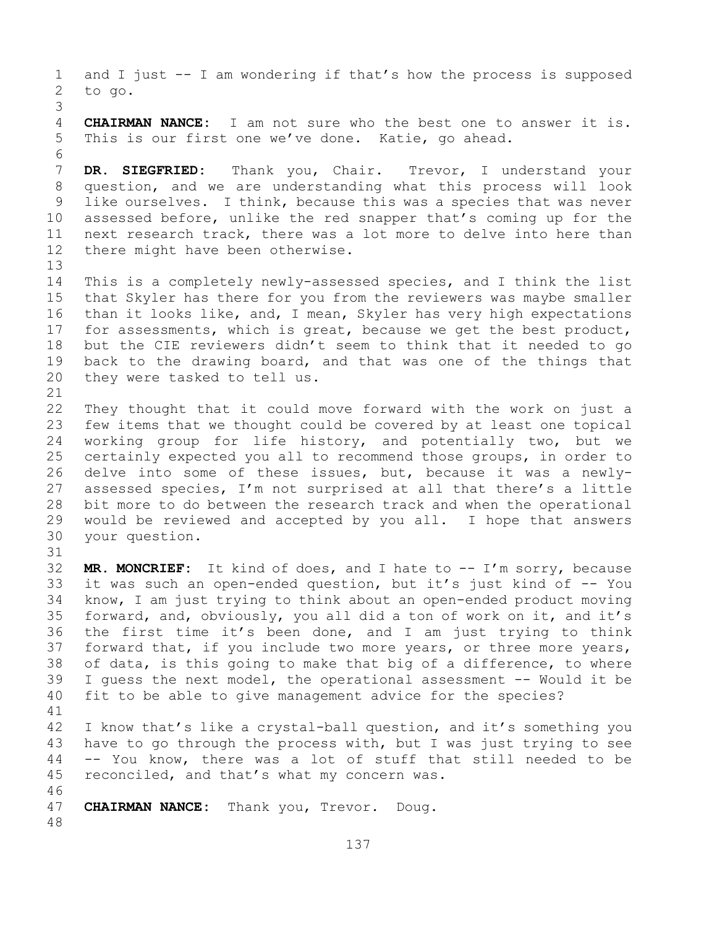1 and I just -- I am wondering if that's how the process is supposed<br>2 to go. to go. 3 **CHAIRMAN NANCE:** I am not sure who the best one to answer it is. 5 This is our first one we've done. Katie, go ahead. 6<br>7 7 **DR. SIEGFRIED:** Thank you, Chair. Trevor, I understand your<br>8 question, and we are understanding what this process will look 8 question, and we are understanding what this process will look<br>9 like ourselves. I think, because this was a species that was never 9 like ourselves. I think, because this was a species that was never<br>10 assessed before, unlike the red snapper that's coming up for the 10 assessed before, unlike the red snapper that's coming up for the<br>11 next research track, there was a lot more to delve into here than 11 next research track, there was a lot more to delve into here than<br>12 there might have been otherwise. there might have been otherwise. 13 14 This is a completely newly-assessed species, and I think the list<br>15 that Skyler has there for you from the reviewers was maybe smaller 15 that Skyler has there for you from the reviewers was maybe smaller<br>16 than it looks like, and, I mean, Skyler has very high expectations 16 than it looks like, and, I mean, Skyler has very high expectations<br>17 for assessments, which is great, because we get the best product, 17 for assessments, which is great, because we get the best product,<br>18 but the CIE reviewers didn't seem to think that it needed to go 18 but the CIE reviewers didn't seem to think that it needed to go<br>19 back to the drawing board, and that was one of the things that 19 back to the drawing board, and that was one of the things that<br>20 they were tasked to tell us. they were tasked to tell us. 21<br>22 22 They thought that it could move forward with the work on just a<br>23 few items that we thought could be covered by at least one topical 23 few items that we thought could be covered by at least one topical<br>24 working group for life history, and potentially two, but we 24 working group for life history, and potentially two, but we<br>25 certainly expected you all to recommend those groups, in order to 25 certainly expected you all to recommend those groups, in order to<br>26 delve into some of these issues, but, because it was a newly-26 delve into some of these issues, but, because it was a newly-<br>27 assessed species, I'm not surprised at all that there's a little assessed species, I'm not surprised at all that there's a little 28 bit more to do between the research track and when the operational<br>29 would be reviewed and accepted by you all. I hope that answers 29 would be reviewed and accepted by you all. I hope that answers<br>30 your question. your question. 31<br>32 MR. MONCRIEF: It kind of does, and I hate to -- I'm sorry, because 33 it was such an open-ended question, but it's just kind of -- You<br>34 know, I am just trying to think about an open-ended product moving 34 know, I am just trying to think about an open-ended product moving<br>35 forward, and, obviously, you all did a ton of work on it, and it's 35 forward, and, obviously, you all did a ton of work on it, and it's<br>36 the first time it's been done, and I am just trying to think 36 the first time it's been done, and I am just trying to think<br>37 forward that, if you include two more years, or three more years, forward that, if you include two more years, or three more years, 38 of data, is this going to make that big of a difference, to where<br>39 I quess the next model, the operational assessment -- Would it be 39 I guess the next model, the operational assessment -- Would it be<br>40 fit to be able to give management advice for the species? fit to be able to give management advice for the species? 41<br>42 42 I know that's like a crystal-ball question, and it's something you<br>43 have to go through the process with, but I was just trying to see 43 have to go through the process with, but I was just trying to see<br>44 -- You know, there was a lot of stuff that still needed to be 44 -- You know, there was a lot of stuff that still needed to be 45 reconciled, and that's what my concern was. 46<br>47 CHAIRMAN NANCE: Thank you, Trevor. Doug. 48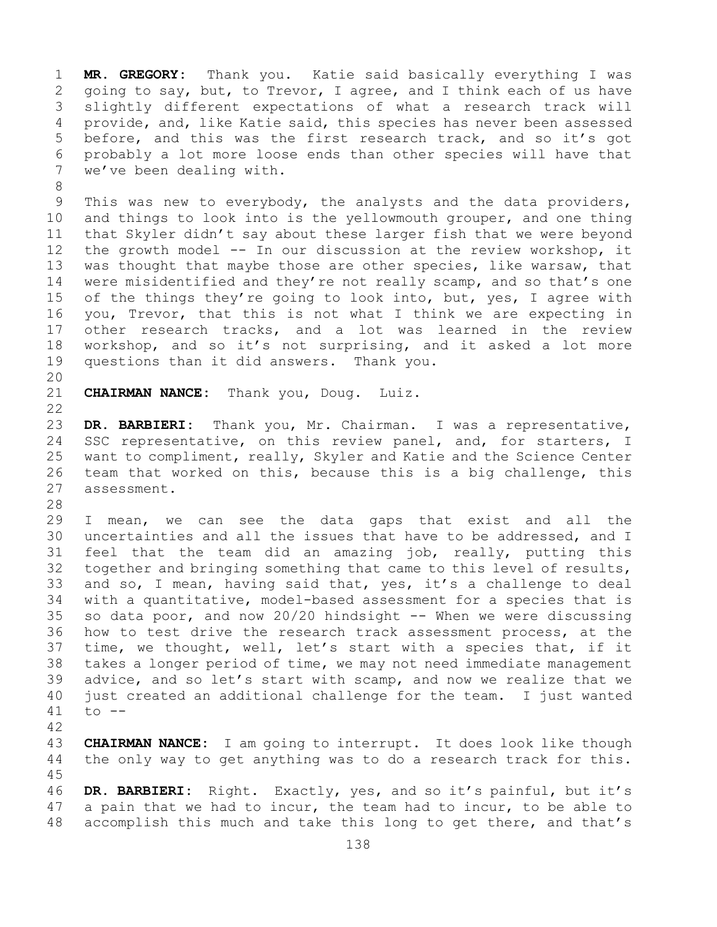1 **MR. GREGORY:** Thank you. Katie said basically everything I was 2 going to say, but, to Trevor, I agree, and I think each of us have<br>3 slightly different expectations of what a research track will 3 slightly different expectations of what a research track will<br>4 provide, and, like Katie said, this species has never been assessed provide, and, like Katie said, this species has never been assessed 5 before, and this was the first research track, and so it's got 6 probably a lot more loose ends than other species will have that<br>7 we've been dealing with. we've been dealing with.

8<br>9 9 This was new to everybody, the analysts and the data providers,<br>10 and things to look into is the yellowmouth grouper, and one thing 10 and things to look into is the yellowmouth grouper, and one thing<br>11 that Skyler didn't say about these larger fish that we were beyond 11 that Skyler didn't say about these larger fish that we were beyond<br>12 the growth model -- In our discussion at the review workshop, it 12 the growth model -- In our discussion at the review workshop, it<br>13 was thought that maybe those are other species, like warsaw, that was thought that maybe those are other species, like warsaw, that 14 were misidentified and they're not really scamp, and so that's one<br>15 of the things they're going to look into, but, yes, I agree with 15 of the things they're going to look into, but, yes, I agree with<br>16 you, Trevor, that this is not what I think we are expecting in 16 you, Trevor, that this is not what I think we are expecting in<br>17 other research tracks, and a lot was learned in the review 17 other research tracks, and a lot was learned in the review<br>18 workshop, and so it's not surprising, and it asked a lot more 18 workshop, and so it's not surprising, and it asked a lot more<br>19 questions than it did answers. Thank you. questions than it did answers. Thank you.

20<br>21

**CHAIRMAN NANCE:** Thank you, Doug. Luiz.

 $\begin{array}{c} 22 \\ 23 \end{array}$ 23 DR. BARBIERI: Thank you, Mr. Chairman. I was a representative,<br>24 SSC representative, on this review panel, and, for starters, I 24 SSC representative, on this review panel, and, for starters, I<br>25 want to compliment, really, Skyler and Katie and the Science Center 25 want to compliment, really, Skyler and Katie and the Science Center<br>26 team that worked on this, because this is a big challenge, this 26 team that worked on this, because this is a big challenge, this<br>27 assessment. assessment.

28<br>29

29 I mean, we can see the data gaps that exist and all the<br>30 uncertainties and all the issues that have to be addressed, and I 30 uncertainties and all the issues that have to be addressed, and I<br>31 feel that the team did an amazing job, really, putting this 31 feel that the team did an amazing job, really, putting this<br>32 together and bringing something that came to this level of results, together and bringing something that came to this level of results, 33 and so, I mean, having said that, yes, it's a challenge to deal<br>34 with a quantitative, model-based assessment for a species that is 34 with a quantitative, model-based assessment for a species that is<br>35 so data poor, and now 20/20 hindsight -- When we were discussing 35 so data poor, and now 20/20 hindsight -- When we were discussing<br>36 how to test drive the research track assessment process, at the 36 how to test drive the research track assessment process, at the<br>37 time, we thought, well, let's start with a species that, if it time, we thought, well, let's start with a species that, if it 38 takes a longer period of time, we may not need immediate management<br>39 advice, and so let's start with scamp, and now we realize that we 39 advice, and so let's start with scamp, and now we realize that we<br>40 just created an additional challenge for the team. I just wanted 40 just created an additional challenge for the team. I just wanted  $41$  to  $$  $to$   $--$ 

42 43 **CHAIRMAN NANCE:** I am going to interrupt. It does look like though<br>44 the only way to get anything was to do a research track for this. the only way to get anything was to do a research track for this. 45

46 **DR. BARBIERI:** Right. Exactly, yes, and so it's painful, but it's 47 a pain that we had to incur, the team had to incur, to be able to 48 accomplish this much and take this long to get there, and that's accomplish this much and take this long to get there, and that's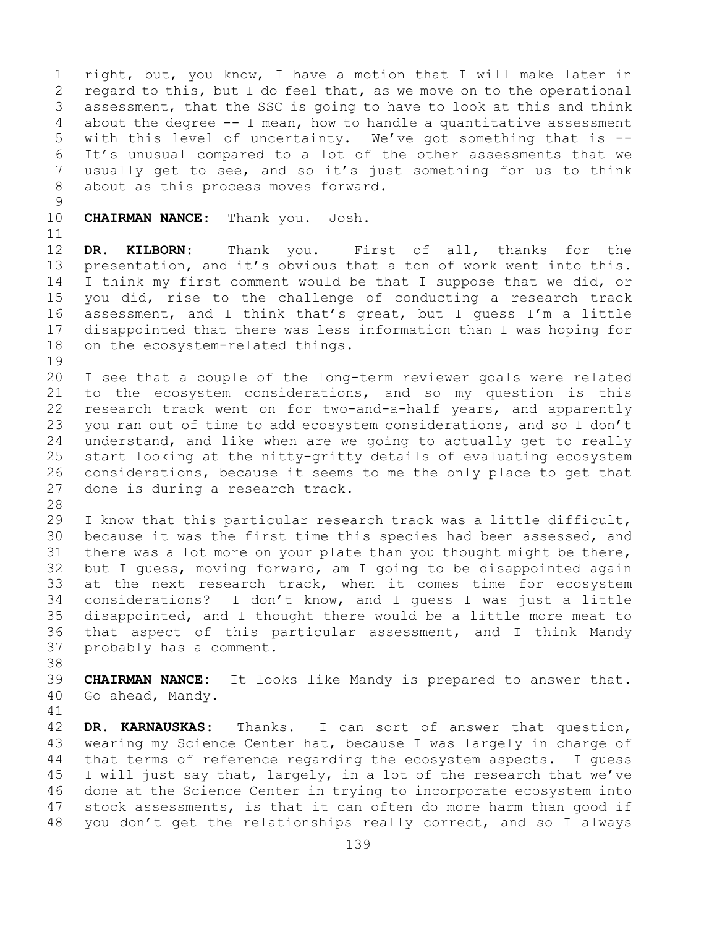1 right, but, you know, I have a motion that I will make later in<br>2 regard to this, but I do feel that, as we move on to the operational 2 regard to this, but I do feel that, as we move on to the operational<br>3 assessment, that the SSC is going to have to look at this and think 3 assessment, that the SSC is going to have to look at this and think<br>4 about the degree -- I mean, how to handle a quantitative assessment about the degree  $-$ - I mean, how to handle a quantitative assessment 5 with this level of uncertainty. We've got something that is -- 6 It's unusual compared to a lot of the other assessments that we<br>7 usually get to see, and so it's just something for us to think 7 usually get to see, and so it's just something for us to think<br>8 about as this process moves forward. about as this process moves forward.

 $\frac{9}{10}$ 

**CHAIRMAN NANCE:** Thank you. Josh.

11<br>12

DR. KILBORN: Thank you. First of all, thanks for the 13 presentation, and it's obvious that a ton of work went into this. 14 I think my first comment would be that I suppose that we did, or<br>15 vou did, rise to the challenge of conducting a research track 15 you did, rise to the challenge of conducting a research track<br>16 assessment, and I think that's great, but I quess I'm a little 16 assessment, and I think that's great, but I guess I'm a little<br>17 disappointed that there was less information than I was hoping for 17 disappointed that there was less information than I was hoping for<br>18 on the ecosystem-related things. on the ecosystem-related things.

19<br>20 20 I see that a couple of the long-term reviewer goals were related<br>21 to the ecosystem considerations, and so my question is this 21 to the ecosystem considerations, and so my question is this<br>22 research track went on for two-and-a-half years, and apparently 22 research track went on for two-and-a-half years, and apparently<br>23 you ran out of time to add ecosystem considerations, and so I don't 23 you ran out of time to add ecosystem considerations, and so I don't<br>24 understand, and like when are we going to actually get to really 24 understand, and like when are we going to actually get to really<br>25 start looking at the nitty-gritty details of evaluating ecosystem 25 start looking at the nitty-gritty details of evaluating ecosystem<br>26 considerations, because it seems to me the only place to get that 26 considerations, because it seems to me the only place to get that<br>27 done is during a research track. done is during a research track.

28<br>29

29 I know that this particular research track was a little difficult,<br>30 because it was the first time this species had been assessed, and 30 because it was the first time this species had been assessed, and<br>31 there was a lot more on your plate than you thought might be there, 31 there was a lot more on your plate than you thought might be there,<br>32 but I quess, moving forward, am I going to be disappointed again but I guess, moving forward, am I going to be disappointed again 33 at the next research track, when it comes time for ecosystem<br>34 considerations? I don't know, and I quess I was just a little 34 considerations? I don't know, and I guess I was just a little<br>35 disappointed, and I thought there would be a little more meat to 35 disappointed, and I thought there would be a little more meat to<br>36 that aspect of this particular assessment, and I think Mandy 36 that aspect of this particular assessment, and I think Mandy<br>37 probably has a comment. probably has a comment.

38<br>39

39 **CHAIRMAN NANCE:** It looks like Mandy is prepared to answer that.<br>40 Go ahead, Mandy. Go ahead, Mandy.

41<br>42 42 **DR. KARNAUSKAS:** Thanks. I can sort of answer that question,<br>43 wearing my Science Center hat, because I was largely in charge of 43 wearing my Science Center hat, because I was largely in charge of<br>44 that terms of reference regarding the ecosystem aspects. I quess that terms of reference regarding the ecosystem aspects. I quess 45 I will just say that, largely, in a lot of the research that we've 46 done at the Science Center in trying to incorporate ecosystem into<br>47 stock assessments, is that it can often do more harm than good if 47 stock assessments, is that it can often do more harm than good if<br>48 you don't get the relationships really correct, and so I always you don't get the relationships really correct, and so I always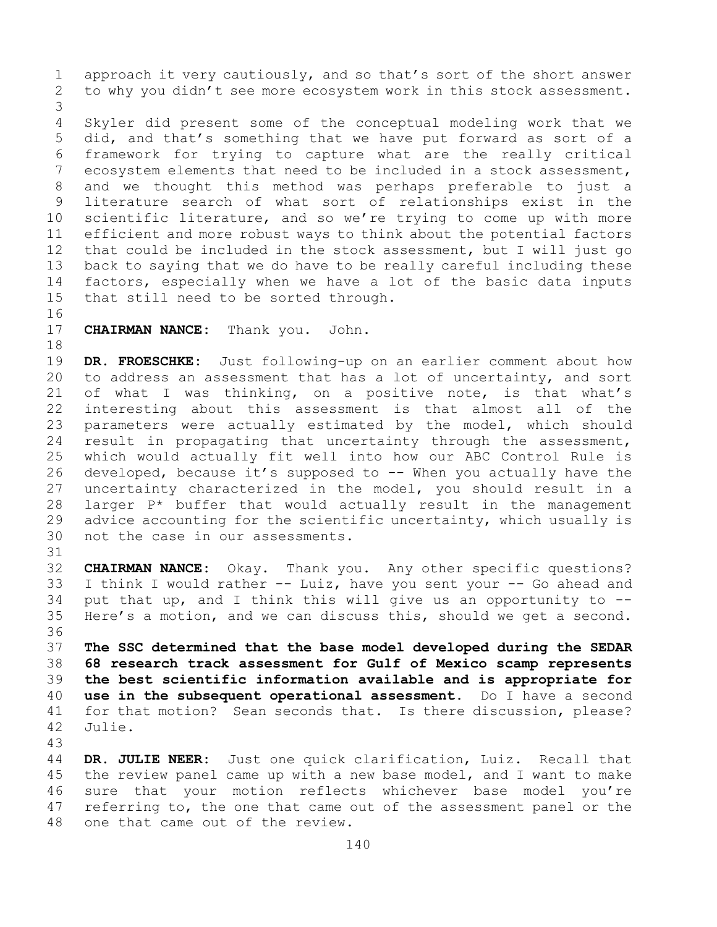1 approach it very cautiously, and so that's sort of the short answer<br>2 to why you didn't see more ecosystem work in this stock assessment. to why you didn't see more ecosystem work in this stock assessment.

3 Skyler did present some of the conceptual modeling work that we 5 did, and that's something that we have put forward as sort of a 6 framework for trying to capture what are the really critical<br>7 ecosvstem elements that need to be included in a stock assessment. 7 ecosystem elements that need to be included in a stock assessment,<br>8 and we thought this method was perhaps preferable to just a 8 and we thought this method was perhaps preferable to just a<br>9 literature search of what sort of relationships exist in the 9 literature search of what sort of relationships exist in the<br>10 scientific literature, and so we're trying to come up with more 10 scientific literature, and so we're trying to come up with more<br>11 efficient and more robust ways to think about the potential factors 11 efficient and more robust ways to think about the potential factors<br>12 that could be included in the stock assessment, but I will just go that could be included in the stock assessment, but I will just go 13 back to saying that we do have to be really careful including these 14 factors, especially when we have a lot of the basic data inputs<br>15 that still need to be sorted through. that still need to be sorted through.

16<br>17

**CHAIRMAN NANCE:** Thank you. John.

18<br>19 19 **DR. FROESCHKE:** Just following-up on an earlier comment about how<br>20 to address an assessment that has a lot of uncertainty, and sort to address an assessment that has a lot of uncertainty, and sort 21 of what I was thinking, on a positive note, is that what's<br>22 interesting about this assessment is that almost all of the 22 interesting about this assessment is that almost all of the<br>23 parameters were actually estimated by the model, which should 23 parameters were actually estimated by the model, which should<br>24 result in propagating that uncertainty through the assessment, 24 result in propagating that uncertainty through the assessment,<br>25 which would actually fit well into how our ABC Control Rule is 25 which would actually fit well into how our ABC Control Rule is<br>26 developed, because it's supposed to -- When you actually have the 26 developed, because it's supposed to -- When you actually have the<br>27 uncertainty characterized in the model, you should result in a uncertainty characterized in the model, you should result in a 28 larger  $P^*$  buffer that would actually result in the management<br>29 advice accounting for the scientific uncertainty, which usually is 29 advice accounting for the scientific uncertainty, which usually is<br>30 not the case in our assessments. not the case in our assessments.

31<br>32 CHAIRMAN NANCE: Okay. Thank you. Any other specific questions? 33 I think I would rather  $--$  Luiz, have you sent your  $--$  Go ahead and 34 put that up, and I think this will give us an opportunity to  $--$ 34 put that up, and I think this will give us an opportunity to  $-$ -<br>35 Here's a motion, and we can discuss this, should we get a second. Here's a motion, and we can discuss this, should we get a second. 36<br>37

 **The SSC determined that the base model developed during the SEDAR 68 research track assessment for Gulf of Mexico scamp represents the best scientific information available and is appropriate for use in the subsequent operational assessment.** Do I have a second 41 for that motion? Sean seconds that. Is there discussion, please?<br>42 Julie. Julie.

43

DR. JULIE NEER: Just one quick clarification, Luiz. Recall that 45 the review panel came up with a new base model, and I want to make 46 sure that your motion reflects whichever base model you're<br>47 referring to, the one that came out of the assessment panel or the 47 referring to, the one that came out of the assessment panel or the 48 one that came out of the review. one that came out of the review.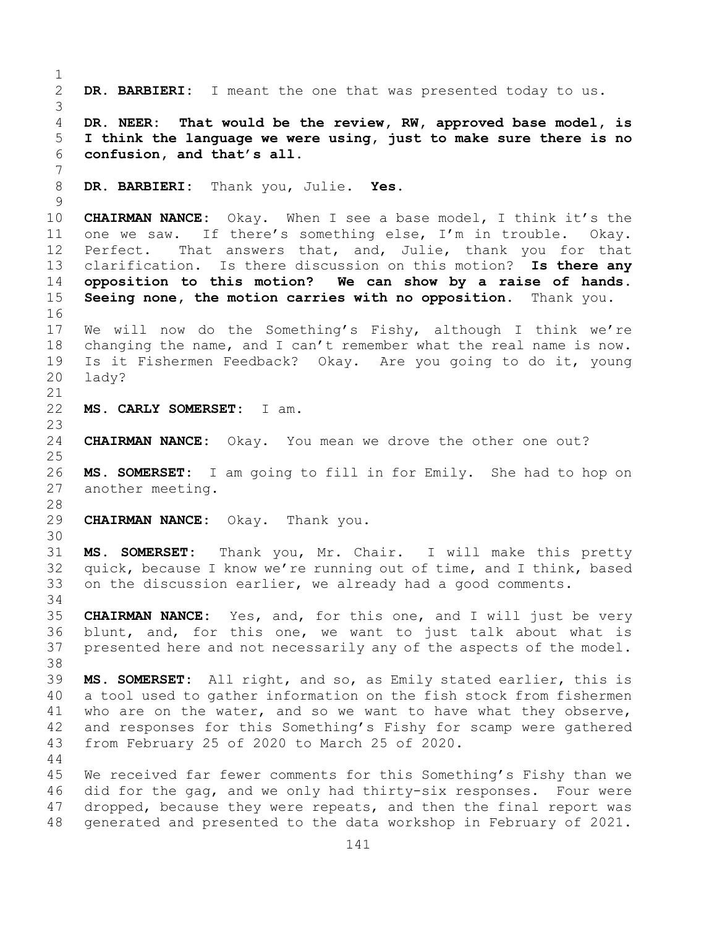$\frac{1}{2}$ DR. BARBIERI: I meant the one that was presented today to us. 3 4 **DR. NEER: That would be the review, RW, approved base model, is**  5 **I think the language we were using, just to make sure there is no**  6 **confusion, and that's all.** 7 8 **DR. BARBIERI:** Thank you, Julie. **Yes.**  $\frac{9}{10}$ 10 **CHAIRMAN NANCE:** Okay. When I see a base model, I think it's the<br>11 one we saw. If there's something else. I'm in trouble. Okay. 11 one we saw. If there's something else, I'm in trouble. Okay.<br>12 Perfect. That answers that, and, Julie, thank you for that That answers that, and, Julie, thank you for that 13 clarification. Is there discussion on this motion? **Is there any**  14 **opposition to this motion? We can show by a raise of hands.**  Seeing none, the motion carries with no opposition. Thank you. 16<br>17 17 We will now do the Something's Fishy, although I think we're<br>18 changing the name, and I can't remember what the real name is now. 18 changing the name, and I can't remember what the real name is now.<br>19 Is it Fishermen Feedback? Okay. Are you going to do it, young 19 Is it Fishermen Feedback? Okay. Are you going to do it, young lady? 21<br>22 22 **MS. CARLY SOMERSET:** I am.  $\frac{23}{24}$ CHAIRMAN NANCE: Okay. You mean we drove the other one out? 25 26 **MS. SOMERSET:** I am going to fill in for Emily. She had to hop on another meeting. 28<br>29 29 **CHAIRMAN NANCE:** Okay. Thank you. 30<br>31 31 **MS. SOMERSET:** Thank you, Mr. Chair. I will make this pretty quick, because I know we're running out of time, and I think, based 33 on the discussion earlier, we already had a good comments. 34<br>35 35 **CHAIRMAN NANCE:** Yes, and, for this one, and I will just be very blunt, and, for this one, we want to just talk about what is 37 presented here and not necessarily any of the aspects of the model. 38<br>39 39 **MS. SOMERSET:** All right, and so, as Emily stated earlier, this is 40 a tool used to gather information on the fish stock from fishermen<br>41 who are on the water, and so we want to have what they observe, 41 who are on the water, and so we want to have what they observe,<br>42 and responses for this Something's Fishy for scamp were gathered 42 and responses for this Something's Fishy for scamp were gathered<br>43 from February 25 of 2020 to March 25 of 2020. from February 25 of 2020 to March 25 of 2020. 44 45 We received far fewer comments for this Something's Fishy than we 46 did for the gag, and we only had thirty-six responses. Four were<br>47 dropped, because they were repeats, and then the final report was 47 dropped, because they were repeats, and then the final report was<br>48 qenerated and presented to the data workshop in February of 2021. generated and presented to the data workshop in February of 2021.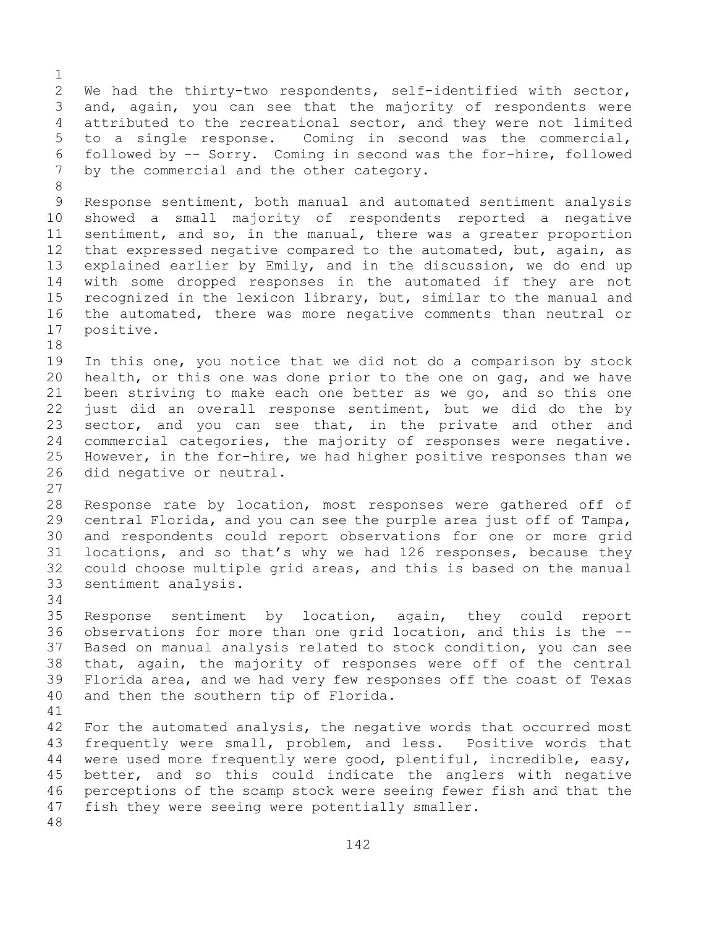$\frac{1}{2}$ 2 We had the thirty-two respondents, self-identified with sector,<br>3 and, again, you can see that the majority of respondents were 3 and, again, you can see that the majority of respondents were<br>4 attributed to the recreational sector, and they were not limited attributed to the recreational sector, and they were not limited 5 to a single response. Coming in second was the commercial, 6 followed by  $-$  Sorry. Coming in second was the for-hire, followed<br>7 by the commercial and the other category. by the commercial and the other category. 8<br>9

9 Response sentiment, both manual and automated sentiment analysis<br>10 showed a small majority of respondents reported a negative 10 showed a small majority of respondents reported a negative<br>11 sentiment, and so, in the manual, there was a greater proportion 11 sentiment, and so, in the manual, there was a greater proportion<br>12 that expressed negative compared to the automated, but, again, as that expressed negative compared to the automated, but, again, as 13 explained earlier by Emily, and in the discussion, we do end up 14 with some dropped responses in the automated if they are not<br>15 recognized in the lexicon library, but, similar to the manual and 15 recognized in the lexicon library, but, similar to the manual and<br>16 the automated, there was more negative comments than neutral or 16 the automated, there was more negative comments than neutral or<br>17 positive. positive.

18<br>19 19 In this one, you notice that we did not do a comparison by stock<br>20 health, or this one was done prior to the one on gag, and we have health, or this one was done prior to the one on gag, and we have 21 been striving to make each one better as we go, and so this one<br>22 just did an overall response sentiment, but we did do the by 22 just did an overall response sentiment, but we did do the by<br>23 sector, and you can see that, in the private and other and 23 sector, and you can see that, in the private and other and<br>24 commercial categories, the majority of responses were negative. 24 commercial categories, the majority of responses were negative.<br>25 However, in the for-hire, we had higher positive responses than we 25 However, in the for-hire, we had higher positive responses than we<br>26 did negative or neutral. did negative or neutral.

 $\frac{27}{28}$ 28 Response rate by location, most responses were gathered off of<br>29 central Florida, and you can see the purple area just off of Tampa, 29 central Florida, and you can see the purple area just off of Tampa,<br>30 and respondents could report observations for one or more grid 30 and respondents could report observations for one or more grid<br>31 locations, and so that's why we had 126 responses, because they 31 locations, and so that's why we had 126 responses, because they<br>32 could choose multiple grid areas, and this is based on the manual could choose multiple grid areas, and this is based on the manual 33 sentiment analysis.

34<br>35

35 Response sentiment by location, again, they could report<br>36 observations for more than one grid location, and this is the --36 observations for more than one grid location, and this is the --<br>37 Based on manual analysis related to stock condition, you can see Based on manual analysis related to stock condition, you can see 38 that, again, the majority of responses were off of the central<br>39 Florida area, and we had very few responses off the coast of Texas 39 Florida area, and we had very few responses off the coast of Texas<br>40 and then the southern tip of Florida. and then the southern tip of Florida.

41<br>42 42 For the automated analysis, the negative words that occurred most<br>43 frequently were small, problem, and less. Positive words that 43 frequently were small, problem, and less. Positive words that<br>44 were used more frequently were good, plentiful, incredible, easy, were used more frequently were good, plentiful, incredible, easy, 45 better, and so this could indicate the anglers with negative 46 perceptions of the scamp stock were seeing fewer fish and that the<br>47 fish thev were seeing were potentially smaller. fish they were seeing were potentially smaller.

48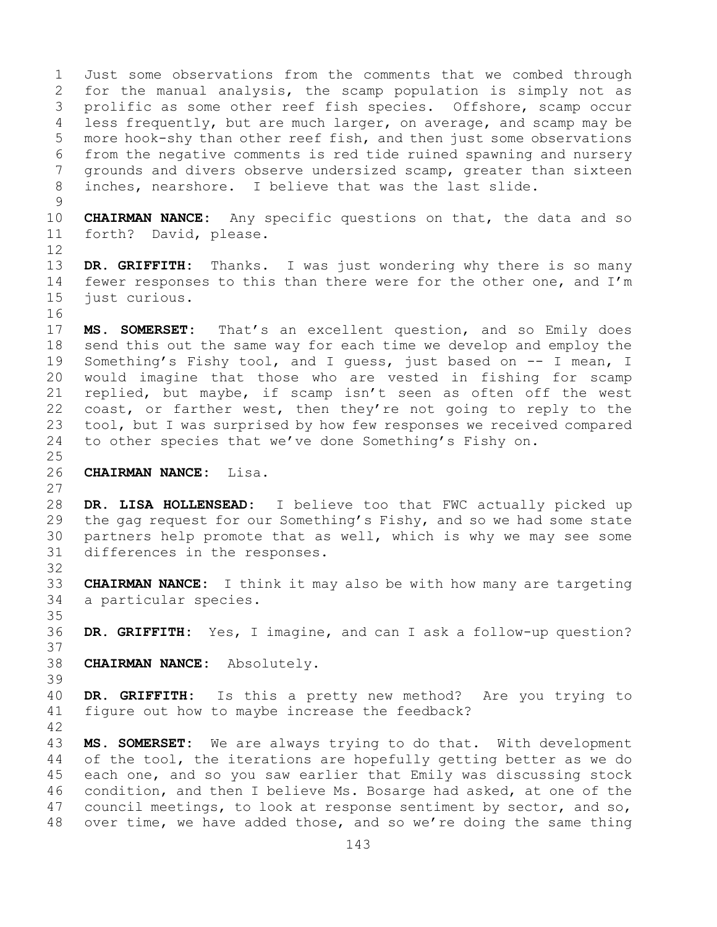1 Just some observations from the comments that we combed through<br>2 for the manual analysis, the scamp population is simply not as 2 for the manual analysis, the scamp population is simply not as<br>3 prolific as some other reef fish species. Offshore, scamp occur 3 prolific as some other reef fish species. Offshore, scamp occur<br>4 less frequently, but are much larger, on average, and scamp may be less frequently, but are much larger, on average, and scamp may be 5 more hook-shy than other reef fish, and then just some observations 6 from the negative comments is red tide ruined spawning and nursery<br>7 arounds and divers observe undersized scamp, greater than sixteen 7 grounds and divers observe undersized scamp, greater than sixteen<br>8 inches, nearshore. I believe that was the last slide. inches, nearshore. I believe that was the last slide.  $\frac{9}{10}$ 10 **CHAIRMAN NANCE:** Any specific questions on that, the data and so<br>11 forth? David, please. forth? David, please. 12 13 **DR. GRIFFITH:** Thanks. I was just wondering why there is so many 14 fewer responses to this than there were for the other one, and I'm<br>15 iust curious. just curious. 16<br>17 17 **MS. SOMERSET:** That's an excellent question, and so Emily does<br>18 send this out the same way for each time we develop and employ the 18 send this out the same way for each time we develop and employ the<br>19 Something's Fishy tool, and I quess, just based on -- I mean, I 19 Something's Fishy tool, and I guess, just based on -- I mean, I<br>20 would imagine that those who are vested in fishing for scamp would imagine that those who are vested in fishing for scamp 21 replied, but maybe, if scamp isn't seen as often off the west<br>22 coast, or farther west, then they're not going to reply to the 22 coast, or farther west, then they're not going to reply to the<br>23 tool, but I was surprised by how few responses we received compared 23 tool, but I was surprised by how few responses we received compared<br>24 to other species that we've done Something's Fishy on. to other species that we've done Something's Fishy on.  $\frac{25}{26}$ 26 **CHAIRMAN NANCE:** Lisa. 27 28 **DR. LISA HOLLENSEAD:** I believe too that FWC actually picked up<br>29 the qaq request for our Something's Fishy, and so we had some state the gag request for our Something's Fishy, and so we had some state 30 partners help promote that as well, which is why we may see some 31 differences in the responses. differences in the responses. 32 33 **CHAIRMAN NANCE:** I think it may also be with how many are targeting a particular species. 35<br>36 DR. GRIFFITH: Yes, I imagine, and can I ask a follow-up question? 37 38 **CHAIRMAN NANCE:** Absolutely. 39 40 **DR. GRIFFITH:** Is this a pretty new method? Are you trying to figure out how to maybe increase the feedback? 42 43 **MS. SOMERSET:** We are always trying to do that. With development 44 of the tool, the iterations are hopefully getting better as we do of the tool, the iterations are hopefully getting better as we do 45 each one, and so you saw earlier that Emily was discussing stock 46 condition, and then I believe Ms. Bosarge had asked, at one of the<br>47 council meetings, to look at response sentiment by sector, and so, 47 council meetings, to look at response sentiment by sector, and so,<br>48 over time, we have added those, and so we're doing the same thing over time, we have added those, and so we're doing the same thing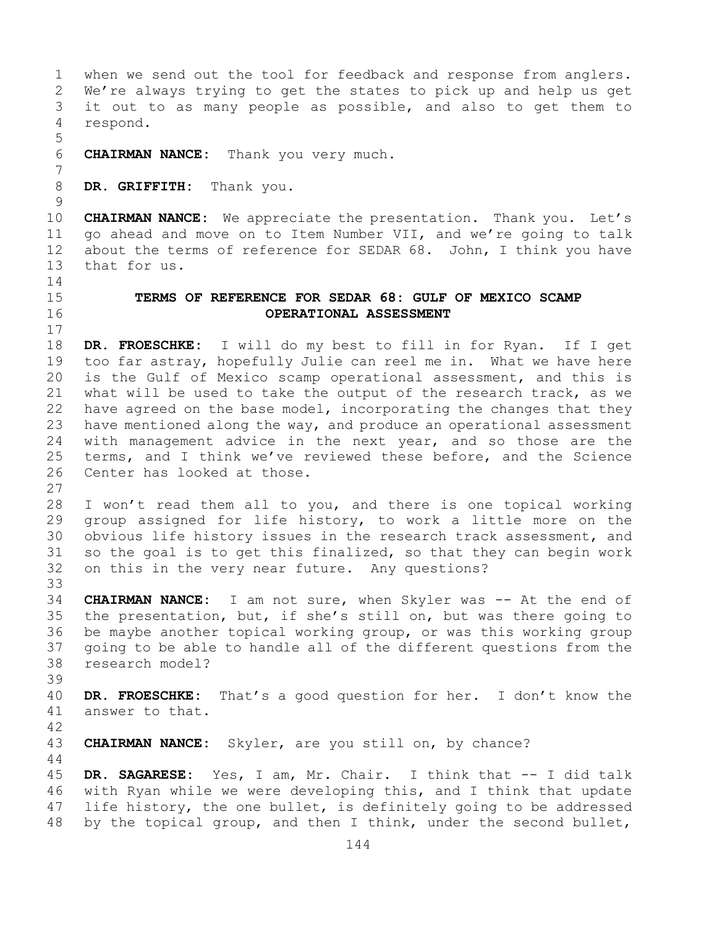1 when we send out the tool for feedback and response from anglers.<br>2 We're always trying to get the states to pick up and help us get 2 We're always trying to get the states to pick up and help us get<br>3 it out to as many people as possible, and also to get them to 3 it out to as many people as possible, and also to get them to respond. respond. 5 6 **CHAIRMAN NANCE:** Thank you very much. 7 DR. GRIFFITH: Thank you.  $\begin{array}{c} 9 \\ 10 \end{array}$ 10 **CHAIRMAN NANCE:** We appreciate the presentation. Thank you. Let's 11 go ahead and move on to Item Number VII, and we're going to talk<br>12 about the terms of reference for SEDAR 68. John, I think you have about the terms of reference for SEDAR 68. John, I think you have 13 that for us.  $\frac{14}{15}$ 15 **TERMS OF REFERENCE FOR SEDAR 68: GULF OF MEXICO SCAMP**  16 **OPERATIONAL ASSESSMENT**  $\begin{array}{c} 17 \\ 18 \end{array}$ 18 **DR. FROESCHKE:** I will do my best to fill in for Ryan. If I get 19 too far astray, hopefully Julie can reel me in. What we have here<br>20 is the Gulf of Mexico scamp operational assessment, and this is 20 is the Gulf of Mexico scamp operational assessment, and this is<br>21 what will be used to take the output of the research track, as we 21 what will be used to take the output of the research track, as we<br>22 have agreed on the base model, incorporating the changes that they 22 have agreed on the base model, incorporating the changes that they<br>23 have mentioned along the way, and produce an operational assessment 23 have mentioned along the way, and produce an operational assessment<br>24 with management advice in the next vear, and so those are the 24 with management advice in the next year, and so those are the<br>25 terms, and I think we've reviewed these before, and the Science 25 terms, and I think we've reviewed these before, and the Science<br>26 Center has looked at those. Center has looked at those. 27 28 I won't read them all to you, and there is one topical working<br>29 group assigned for life history, to work a little more on the 29 group assigned for life history, to work a little more on the<br>30 obvious life history issues in the research track assessment, and 30 obvious life history issues in the research track assessment, and<br>31 so the goal is to get this finalized, so that they can begin work 31 so the goal is to get this finalized, so that they can begin work<br>32 on this in the verv near future. Anv questions? on this in the very near future. Any questions? 33<br>34 34 **CHAIRMAN NANCE:** I am not sure, when Skyler was -- At the end of<br>35 the presentation, but, if she's still on, but was there going to 35 the presentation, but, if she's still on, but was there going to<br>36 be maybe another topical working group, or was this working group 36 be maybe another topical working group, or was this working group<br>37 qoing to be able to handle all of the different questions from the going to be able to handle all of the different questions from the 38 research model? 39 40 **DR. FROESCHKE:** That's a good question for her. I don't know the answer to that.  $42$ <br> $43$ 43 **CHAIRMAN NANCE:** Skyler, are you still on, by chance? 44 45 **DR. SAGARESE:** Yes, I am, Mr. Chair. I think that -- I did talk 46 with Ryan while we were developing this, and I think that update<br>47 life history, the one bullet, is definitely going to be addressed 47 life history, the one bullet, is definitely going to be addressed<br>48 by the topical group, and then I think, under the second bullet, by the topical group, and then I think, under the second bullet,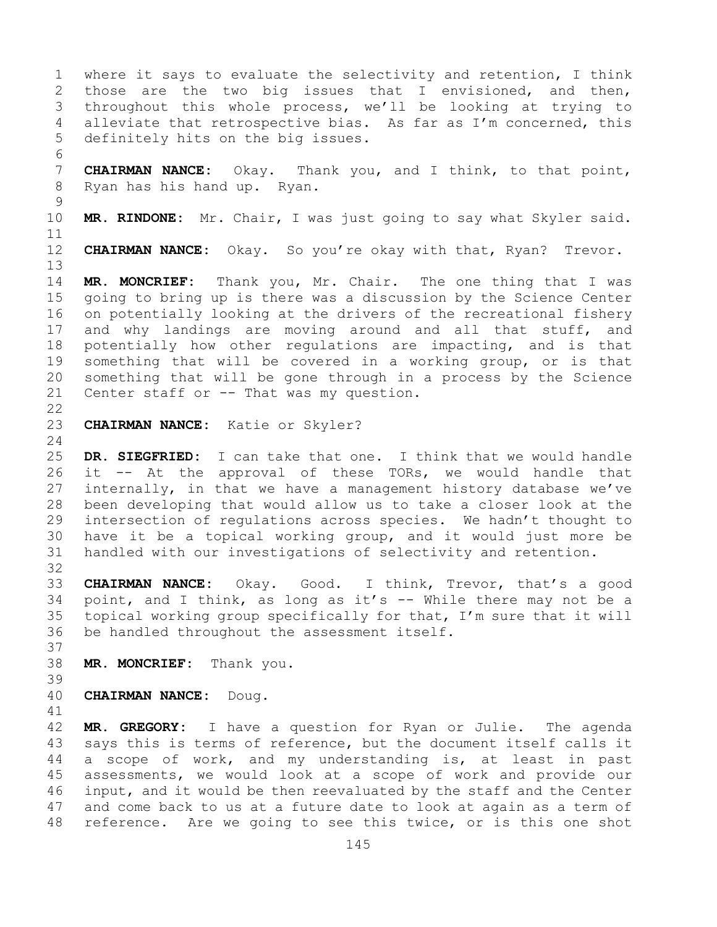1 where it says to evaluate the selectivity and retention, I think<br>2 those are the two big issues that I envisioned, and then, 2 those are the two big issues that I envisioned, and then,<br>3 throughout this whole process, we'll be looking at trying to 3 throughout this whole process, we'll be looking at trying to<br>4 alleviate that retrospective bias. As far as I'm concerned, this alleviate that retrospective bias. As far as I'm concerned, this 5 definitely hits on the big issues.

6<br>7 7 **CHAIRMAN NANCE:** Okay. Thank you, and I think, to that point,<br>8 Ryan has his hand up. Ryan. Ryan has his hand up. Ryan.

 $\frac{9}{10}$ MR. RINDONE: Mr. Chair, I was just going to say what Skyler said.

11<br>12

13

CHAIRMAN NANCE: Okay. So you're okay with that, Ryan? Trevor.

14 **MR. MONCRIEF:** Thank you, Mr. Chair. The one thing that I was 15 going to bring up is there was a discussion by the Science Center<br>16 on potentially looking at the drivers of the recreational fishery 16 on potentially looking at the drivers of the recreational fishery<br>17 and why landings are moving around and all that stuff, and 17 and why landings are moving around and all that stuff, and<br>18 potentially how other requlations are impacting, and is that 18 potentially how other regulations are impacting, and is that<br>19 something that will be covered in a working group, or is that 19 something that will be covered in a working group, or is that<br>20 something that will be gone through in a process by the Science 20 something that will be gone through in a process by the Science  $21$  Center staff or  $-$ - That was my question. Center staff or  $--$  That was my question.

 $\begin{array}{c} 22 \\ 23 \end{array}$ 

## CHAIRMAN NANCE: Katie or Skyler?

 $\frac{24}{25}$ 25 **DR. SIEGFRIED:** I can take that one. I think that we would handle 26 it -- At the approval of these TORs, we would handle that<br>27 internally, in that we have a management history database we've internally, in that we have a management history database we've 28 been developing that would allow us to take a closer look at the<br>29 intersection of regulations across species. We hadn't thought to 29 intersection of regulations across species. We hadn't thought to<br>30 have it be a topical working group, and it would just more be 30 have it be a topical working group, and it would just more be<br>31 handled with our investigations of selectivity and retention. handled with our investigations of selectivity and retention.

32<br>33

33 **CHAIRMAN NANCE:** Okay. Good. I think, Trevor, that's a good<br>34 point, and I think, as long as it's -- While there may not be a 34 point, and I think, as long as it's  $-$  While there may not be a<br>35 topical working group specifically for that, I'm sure that it will 35 topical working group specifically for that, I'm sure that it will<br>36 be handled throughout the assessment itself. be handled throughout the assessment itself.

37

38 **MR. MONCRIEF:** Thank you.

39

40 **CHAIRMAN NANCE:** Doug.

41<br>42 42 **MR. GREGORY:** I have a question for Ryan or Julie. The agenda<br>43 savs this is terms of reference, but the document itself calls it 43 says this is terms of reference, but the document itself calls it<br>44 a scope of work, and my understanding is, at least in past a scope of work, and my understanding is, at least in past 45 assessments, we would look at a scope of work and provide our 46 input, and it would be then reevaluated by the staff and the Center<br>47 and come back to us at a future date to look at again as a term of 47 and come back to us at a future date to look at again as a term of<br>48 reference. Are we going to see this twice, or is this one shot reference. Are we going to see this twice, or is this one shot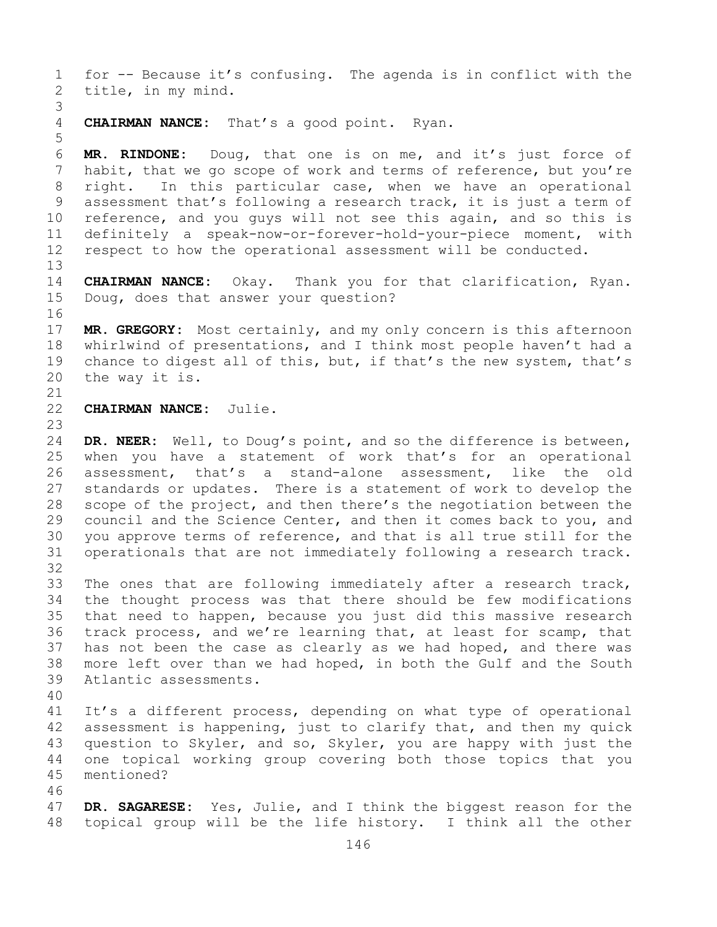1 for -- Because it's confusing. The agenda is in conflict with the<br>2 title, in my mind. title, in my mind. 3 4 **CHAIRMAN NANCE:** That's a good point. Ryan. 5 6 **MR. RINDONE:** Doug, that one is on me, and it's just force of 7 habit, that we go scope of work and terms of reference, but you're<br>8 right. In this particular case, when we have an operational 8 right. In this particular case, when we have an operational<br>9 assessment that's following a research track, it is just a term of 9 assessment that's following a research track, it is just a term of<br>10 reference, and you quys will not see this again, and so this is 10 reference, and you guys will not see this again, and so this is<br>11 definitely a speak-now-or-forever-hold-vour-piece moment, with 11 definitely a speak-now-or-forever-hold-your-piece moment, with<br>12 respect to how the operational assessment will be conducted. respect to how the operational assessment will be conducted. 13 14 **CHAIRMAN NANCE:** Okay. Thank you for that clarification, Ryan. Doug, does that answer your question? 16<br>17 17 **MR. GREGORY:** Most certainly, and my only concern is this afternoon<br>18 whirlwind of presentations, and I think most people haven't had a 18 whirlwind of presentations, and I think most people haven't had a<br>19 chance to digest all of this, but, if that's the new system, that's 19 chance to digest all of this, but, if that's the new system, that's 20 the way it is. the way it is. 21<br>22 CHAIRMAN NANCE: Julie. 23 24 **DR. NEER:** Well, to Doug's point, and so the difference is between,<br>25 when you have a statement of work that's for an operational 25 when you have a statement of work that's for an operational<br>26 assessment, that's a stand-alone assessment, like the old 26 assessment, that's a stand-alone assessment, like the old<br>27 standards or updates. There is a statement of work to develop the standards or updates. There is a statement of work to develop the 28 scope of the project, and then there's the negotiation between the<br>29 council and the Science Center, and then it comes back to you, and 29 council and the Science Center, and then it comes back to you, and<br>30 you approve terms of reference, and that is all true still for the 30 you approve terms of reference, and that is all true still for the<br>31 operationals that are not immediately following a research track. operationals that are not immediately following a research track. 32<br>33 33 The ones that are following immediately after a research track,<br>34 the thought process was that there should be few modifications 34 the thought process was that there should be few modifications<br>35 that need to happen, because you just did this massive research 35 that need to happen, because you just did this massive research<br>36 track process, and we're learning that, at least for scamp, that 36 track process, and we're learning that, at least for scamp, that<br>37 has not been the case as clearly as we had hoped, and there was has not been the case as clearly as we had hoped, and there was 38 more left over than we had hoped, in both the Gulf and the South 39 Atlantic assessments. Atlantic assessments. 40 41 It's a different process, depending on what type of operational<br>42 assessment is happening, just to clarify that, and then my quick 42 assessment is happening, just to clarify that, and then my quick<br>43 question to Skyler, and so, Skyler, you are happy with just the 43 question to Skyler, and so, Skyler, you are happy with just the<br>44 one topical working group covering both those topics that you one topical working group covering both those topics that you 45 mentioned? 46<br>47 47 **DR. SAGARESE:** Yes, Julie, and I think the biggest reason for the topical group will be the life history. I think all the other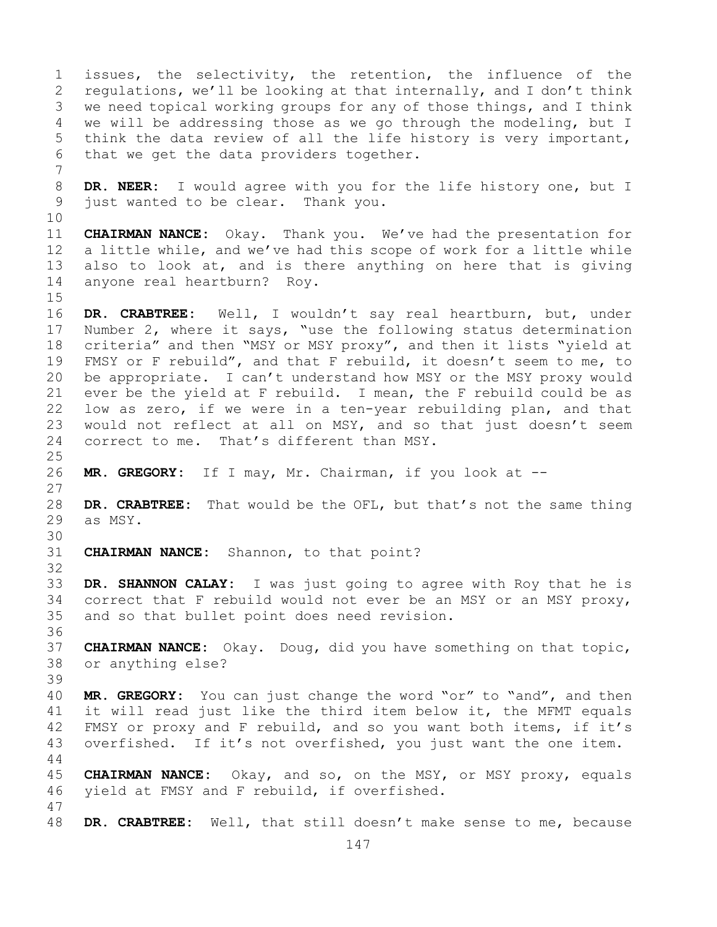1 issues, the selectivity, the retention, the influence of the<br>2 requlations, we'll be looking at that internally, and I don't think 2 regulations, we'll be looking at that internally, and I don't think<br>3 we need topical working groups for any of those things, and I think 3 we need topical working groups for any of those things, and I think<br>4 we will be addressing those as we go through the modeling, but I we will be addressing those as we go through the modeling, but I 5 think the data review of all the life history is very important, 6 that we get the data providers together. 7 8 **DR. NEER:** I would agree with you for the life history one, but I<br>9 just wanted to be clear. Thank you. just wanted to be clear. Thank you. 10<br>11 11 **CHAIRMAN NANCE:** Okay. Thank you. We've had the presentation for a little while, and we've had this scope of work for a little while 13 also to look at, and is there anything on here that is giving 14 anyone real heartburn? Roy.  $15$ <br> $16$ 16 DR. CRABTREE: Well, I wouldn't say real heartburn, but, under<br>17 Number 2, where it says, "use the following status determination 17 Number 2, where it says, "use the following status determination<br>18 criteria" and then "MSY or MSY proxy", and then it lists "yield at 18 criteria" and then "MSY or MSY proxy", and then it lists "yield at<br>19 FMSY or F rebuild", and that F rebuild, it doesn't seem to me, to 19 FMSY or F rebuild", and that F rebuild, it doesn't seem to me, to<br>20 be appropriate. I can't understand how MSY or the MSY proxy would be appropriate. I can't understand how MSY or the MSY proxy would 21 ever be the yield at F rebuild. I mean, the F rebuild could be as<br>22 low as zero, if we were in a ten-year rebuilding plan, and that 22 low as zero, if we were in a ten-year rebuilding plan, and that<br>23 would not reflect at all on MSY, and so that just doesn't seem 23 would not reflect at all on MSY, and so that just doesn't seem<br>24 correct to me. That's different than MSY. correct to me. That's different than MSY.  $\frac{25}{26}$ MR. GREGORY: If I may, Mr. Chairman, if you look at --27 28 **DR. CRABTREE:** That would be the OFL, but that's not the same thing as MSY. 30<br>31 **CHAIRMAN NANCE:** Shannon, to that point? 32 33 **DR. SHANNON CALAY:** I was just going to agree with Roy that he is 34 correct that F rebuild would not ever be an MSY or an MSY proxy, 34 correct that F rebuild would not ever be an MSY or an MSY proxy,<br>35 and so that bullet point does need revision. and so that bullet point does need revision. 36 37 **CHAIRMAN NANCE:** Okay. Doug, did you have something on that topic, 38 or anything else? 39 40 **MR. GREGORY:** You can just change the word "or" to "and", and then<br>41 it will read just like the third item below it, the MFMT equals 41 it will read just like the third item below it, the MFMT equals<br>42 FMSY or proxy and F rebuild, and so you want both items, if it's 42 FMSY or proxy and F rebuild, and so you want both items, if it's<br>43 overfished. If it's not overfished, you just want the one item. overfished. If it's not overfished, you just want the one item. 44 45 **CHAIRMAN NANCE:** Okay, and so, on the MSY, or MSY proxy, equals 46 yield at FMSY and F rebuild, if overfished. 47 DR. CRABTREE: Well, that still doesn't make sense to me, because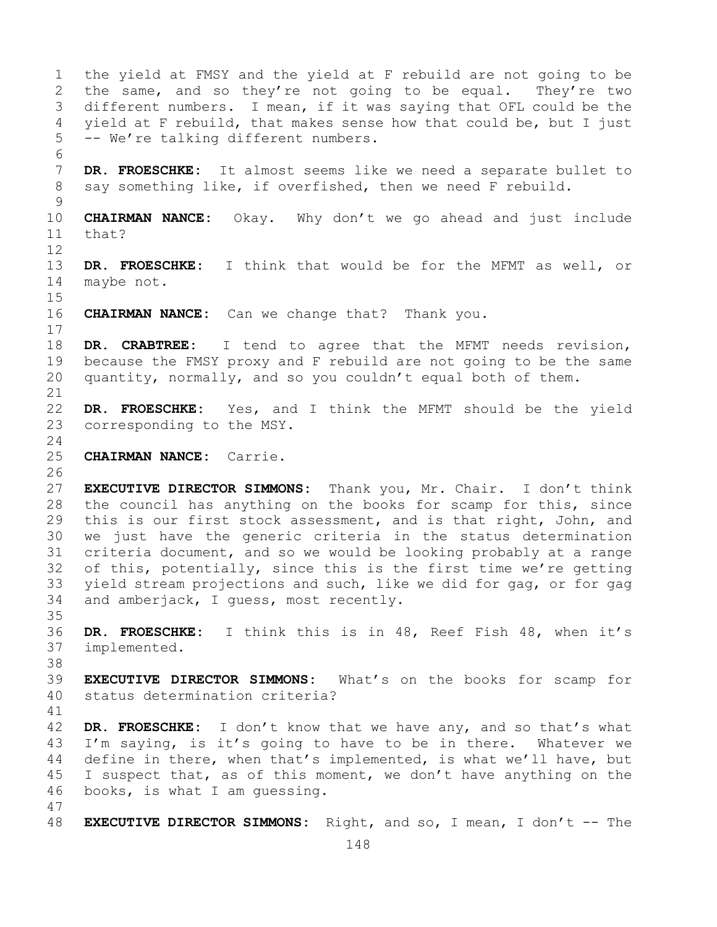1 the yield at FMSY and the yield at F rebuild are not going to be<br>2 the same, and so they're not going to be equal. They're two 2 the same, and so they're not going to be equal.<br>3 different numbers. I mean, if it was saving that OF. 3 different numbers. I mean, if it was saying that OFL could be the<br>4 vield at F rebuild, that makes sense how that could be, but I just yield at F rebuild, that makes sense how that could be, but I just 5 -- We're talking different numbers. 6<br>7 7 **DR. FROESCHKE:** It almost seems like we need a separate bullet to say something like, if overfished, then we need F rebuild. say something like, if overfished, then we need F rebuild.  $\begin{array}{c} 9 \\ 10 \end{array}$ 10 **CHAIRMAN NANCE:** Okay. Why don't we go ahead and just include that? 12 13 **DR. FROESCHKE:** I think that would be for the MFMT as well, or 14 maybe not.  $15$ <br> $16$ **CHAIRMAN NANCE:** Can we change that? Thank you.  $\begin{array}{c} 17 \\ 18 \end{array}$ 18 **DR. CRABTREE:** I tend to agree that the MFMT needs revision,<br>19 because the FMSY proxy and F rebuild are not going to be the same 19 because the FMSY proxy and F rebuild are not going to be the same<br>20 quantity, normally, and so you couldn't equal both of them. quantity, normally, and so you couldn't equal both of them. 21<br>22 22 **DR. FROESCHKE:** Yes, and I think the MFMT should be the yield corresponding to the MSY.  $\frac{24}{25}$ 25 **CHAIRMAN NANCE:** Carrie.  $\frac{26}{27}$ 27 **EXECUTIVE DIRECTOR SIMMONS:** Thank you, Mr. Chair. I don't think 28 the council has anything on the books for scamp for this, since<br>29 this is our first stock assessment, and is that right, John, and 29 this is our first stock assessment, and is that right, John, and<br>30 we just have the generic criteria in the status determination 30 we just have the generic criteria in the status determination<br>31 criteria document, and so we would be looking probably at a range 31 criteria document, and so we would be looking probably at a range<br>32 of this, potentially, since this is the first time we're getting of this, potentially, since this is the first time we're getting 33 yield stream projections and such, like we did for gag, or for gag<br>34 and amberjack, I quess, most recently. and amberjack, I guess, most recently. 35<br>36 36 **DR. FROESCHKE:** I think this is in 48, Reef Fish 48, when it's implemented. 38<br>39 39 **EXECUTIVE DIRECTOR SIMMONS:** What's on the books for scamp for status determination criteria? 41<br>42 42 **DR. FROESCHKE:** I don't know that we have any, and so that's what<br>43 I'm saying, is it's going to have to be in there. Whatever we 43 I'm saying, is it's going to have to be in there. Whatever we<br>44 define in there, when that's implemented, is what we'll have, but define in there, when that's implemented, is what we'll have, but 45 I suspect that, as of this moment, we don't have anything on the 46 books, is what I am guessing. 47 48 **EXECUTIVE DIRECTOR SIMMONS:** Right, and so, I mean, I don't -- The

148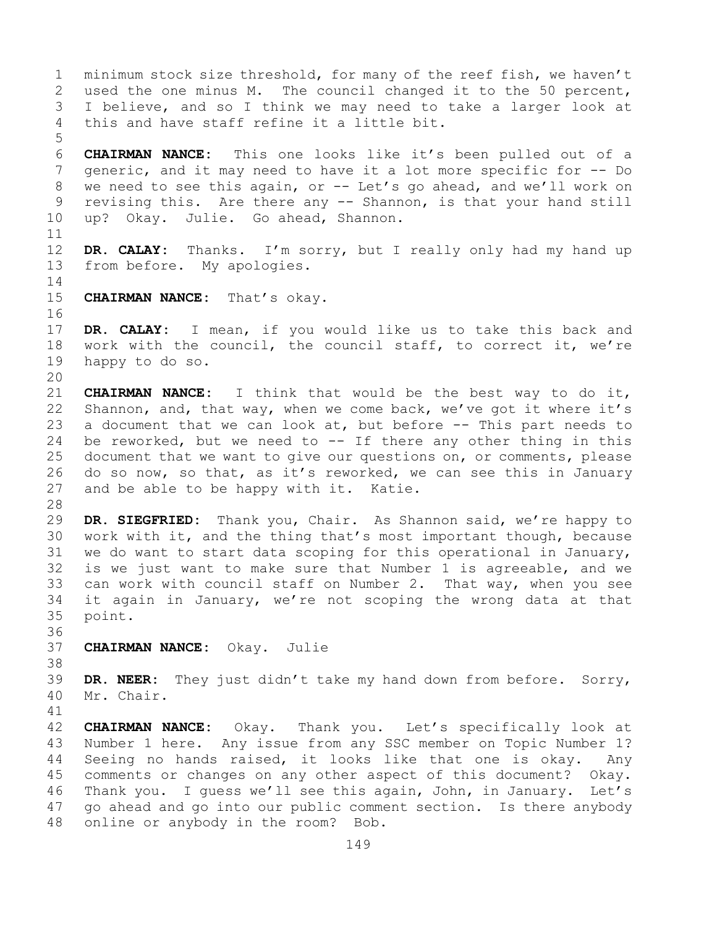1 minimum stock size threshold, for many of the reef fish, we haven't<br>2 used the one minus M. The council changed it to the 50 percent, 2 used the one minus M. The council changed it to the 50 percent,<br>3 I believe, and so I think we may need to take a larger look at 3 I believe, and so I think we may need to take a larger look at<br>4 this and have staff refine it a little bit. this and have staff refine it a little bit. 5 6 **CHAIRMAN NANCE:** This one looks like it's been pulled out of a 7 generic, and it may need to have it a lot more specific for -- Do<br>8 we need to see this again, or -- Let's go ahead, and we'll work on 8 we need to see this again, or -- Let's go ahead, and we'll work on<br>9 revising this. Are there any -- Shannon, is that your hand still 9 revising this. Are there any -- Shannon, is that your hand still<br>10 up? Okav. Julie. Go ahead, Shannon. up? Okay. Julie. Go ahead, Shannon. 11<br>12 12 **DR. CALAY:** Thanks. I'm sorry, but I really only had my hand up from before. My apologies. from before. My apologies.  $\frac{14}{15}$ CHAIRMAN NANCE: That's okay. 16<br>17 17 **DR. CALAY:** I mean, if you would like us to take this back and<br>18 work with the council, the council staff, to correct it, we're 18 work with the council, the council staff, to correct it, we're  $19$  happy to do so. happy to do so. 20<br>21 21 **CHAIRMAN NANCE:** I think that would be the best way to do it,<br>22 Shannon, and, that way, when we come back, we've got it where it's 22 Shannon, and, that way, when we come back, we've got it where it's<br>23 a document that we can look at, but before -- This part needs to 23 a document that we can look at, but before  $-$ - This part needs to 24 be reworked, but we need to  $-$ - If there any other thing in this 24 be reworked, but we need to  $-$  If there any other thing in this  $25$  document that we want to give our questions on, or comments, please 25 document that we want to give our questions on, or comments, please<br>26 do so now, so that, as it's reworked, we can see this in January 26 do so now, so that, as it's reworked, we can see this in January<br>27 and be able to be happy with it. Katie. and be able to be happy with it. 28<br>29 29 **DR. SIEGFRIED:** Thank you, Chair. As Shannon said, we're happy to 30 work with it, and the thing that's most important though, because<br>31 we do want to start data scoping for this operational in January, 31 we do want to start data scoping for this operational in January,<br>32 is we just want to make sure that Number 1 is agreeable, and we is we just want to make sure that Number 1 is agreeable, and we 33 can work with council staff on Number 2. That way, when you see<br>34 it again in January, we're not scoping the wrong data at that 34 it again in January, we're not scoping the wrong data at that<br>35 point. point. 36<br>37 37 **CHAIRMAN NANCE:** Okay. Julie 38<br>39 39 **DR. NEER:** They just didn't take my hand down from before. Sorry, Mr. Chair. 41<br>42 42 **CHAIRMAN NANCE:** Okay. Thank you. Let's specifically look at 43 Number 1 here. Any issue from any SSC member on Topic Number 1? 43 Number 1 here. Any issue from any SSC member on Topic Number 1?<br>44 Seeing no hands raised, it looks like that one is okay. Any Seeing no hands raised, it looks like that one is okay. Any 45 comments or changes on any other aspect of this document? Okay. 46 Thank you. I guess we'll see this again, John, in January. Let's<br>47 ao ahead and go into our public comment section. Is there anvbody 47 go ahead and go into our public comment section. Is there anybody<br>48 online or anybody in the room? Bob. online or anybody in the room? Bob.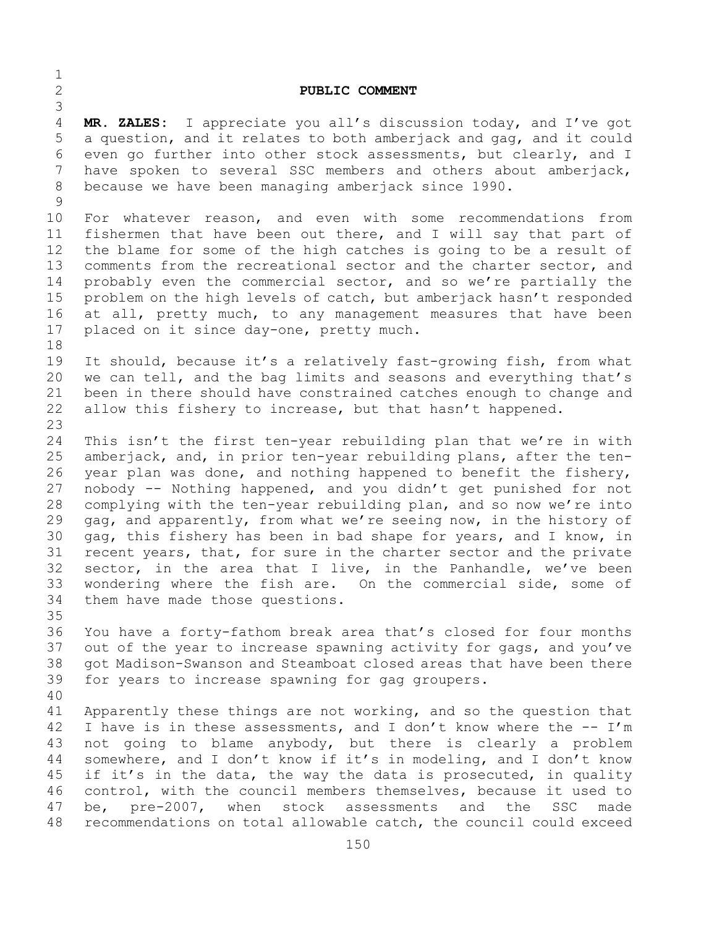## 2 **PUBLIC COMMENT**

3 MR. ZALES: I appreciate you all's discussion today, and I've got 5 a question, and it relates to both amberjack and gag, and it could 6 even go further into other stock assessments, but clearly, and I<br>7 have spoken to several SSC members and others about amberiack, 7 have spoken to several SSC members and others about amberjack,<br>8 because we have been managing amberjack since 1990. because we have been managing amberjack since 1990.

 $\frac{1}{2}$ 

 $\begin{array}{c} 9 \\ 10 \end{array}$ 10 For whatever reason, and even with some recommendations from<br>11 fishermen that have been out there, and I will say that part of 11 fishermen that have been out there, and I will say that part of<br>12 the blame for some of the high catches is going to be a result of the blame for some of the high catches is going to be a result of 13 comments from the recreational sector and the charter sector, and 14 probably even the commercial sector, and so we're partially the<br>15 problem on the high levels of catch, but amberiack hasn't responded 15 problem on the high levels of catch, but amberjack hasn't responded<br>16 at all, pretty much, to any management measures that have been 16 at all, pretty much, to any management measures that have been<br>17 placed on it since day-one, pretty much. placed on it since day-one, pretty much.

18<br>19 19 It should, because it's a relatively fast-growing fish, from what<br>20 we can tell, and the bag limits and seasons and everything that's we can tell, and the bag limits and seasons and everything that's 21 been in there should have constrained catches enough to change and<br>22 allow this fishery to increase, but that hasn't happened. allow this fishery to increase, but that hasn't happened.

23 24 This isn't the first ten-year rebuilding plan that we're in with<br>25 amberjack, and, in prior ten-year rebuilding plans, after the ten-25 amberjack, and, in prior ten-year rebuilding plans, after the ten-<br>26 year plan was done, and nothing happened to benefit the fishery, 26 year plan was done, and nothing happened to benefit the fishery,<br>27 nobody -- Nothing happened, and you didn't get punished for not 27 nobody -- Nothing happened, and you didn't get punished for not 28 complying with the ten-year rebuilding plan, and so now we're into<br>29 qaq, and apparently, from what we're seeing now, in the history of 29 gag, and apparently, from what we're seeing now, in the history of<br>30 gag, this fishery has been in bad shape for years, and I know, in 30 gag, this fishery has been in bad shape for years, and I know, in<br>31 recent years, that, for sure in the charter sector and the private 31 recent years, that, for sure in the charter sector and the private<br>32 sector, in the area that I live, in the Panhandle, we've been sector, in the area that I live, in the Panhandle, we've been 33 wondering where the fish are. On the commercial side, some of<br>34 them have made those questions. them have made those questions.

35<br>36 You have a forty-fathom break area that's closed for four months 37 out of the year to increase spawning activity for gags, and you've 38 got Madison-Swanson and Steamboat closed areas that have been there<br>39 for years to increase spawning for gag groupers. for years to increase spawning for gag groupers.

40 41 Apparently these things are not working, and so the question that<br>42 I have is in these assessments, and I don't know where the -- I'm 42 I have is in these assessments, and I don't know where the  $-- I'm$ <br>43 not going to blame anybody, but there is clearly a problem 43 not going to blame anybody, but there is clearly a problem<br>44 somewhere, and I don't know if it's in modeling, and I don't know somewhere, and I don't know if it's in modeling, and I don't know 45 if it's in the data, the way the data is prosecuted, in quality 46 control, with the council members themselves, because it used to<br>47 be, pre-2007, when stock assessments and the SSC made 47 be, pre-2007, when stock assessments and the SSC made<br>48 recommendations on total allowable catch, the council could exceed recommendations on total allowable catch, the council could exceed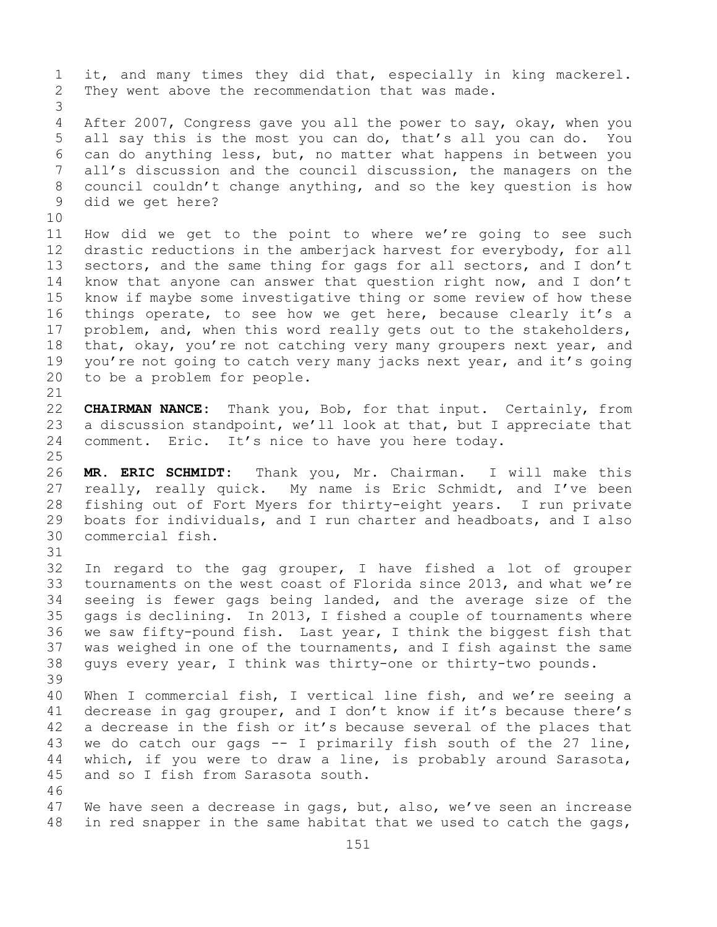1 it, and many times they did that, especially in king mackerel.<br>2 They went above the recommendation that was made. They went above the recommendation that was made. 3 After 2007, Congress gave you all the power to say, okay, when you 5 all say this is the most you can do, that's all you can do. You 6 can do anything less, but, no matter what happens in between you 7 all's discussion and the council discussion, the managers on the<br>8 council couldn't change anything, and so the key question is how 8 council couldn't change anything, and so the key question is how<br>9 did we get here? did we get here? 10<br>11 11 How did we get to the point to where we're going to see such<br>12 drastic reductions in the amberjack harvest for everybody, for all drastic reductions in the amberjack harvest for everybody, for all 13 sectors, and the same thing for gags for all sectors, and I don't 14 know that anyone can answer that question right now, and I don't<br>15 know if mavbe some investigative thing or some review of how these 15 know if maybe some investigative thing or some review of how these<br>16 things operate, to see how we get here, because clearly it's a 16 things operate, to see how we get here, because clearly it's a<br>17 problem, and, when this word really gets out to the stakeholders, 17 problem, and, when this word really gets out to the stakeholders,<br>18 that, okay, you're not catching very many groupers next year, and 18 that, okay, you're not catching very many groupers next year, and<br>19 vou're not going to catch very many jacks next year, and it's going 19 you're not going to catch very many jacks next year, and it's going<br>20 to be a problem for people. to be a problem for people. 21<br>22 22 **CHAIRMAN NANCE:** Thank you, Bob, for that input. Certainly, from<br>23 a discussion standpoint, we'll look at that, but I appreciate that 23 a discussion standpoint, we'll look at that, but I appreciate that<br>24 comment. Eric. It's nice to have you here today. comment. Eric. It's nice to have you here today.  $\frac{25}{26}$ 26 **MR. ERIC SCHMIDT:** Thank you, Mr. Chairman. I will make this My name is Eric Schmidt, and I've been 28 fishing out of Fort Myers for thirty-eight years. I run private<br>29 boats for individuals, and I run charter and headboats, and I also 29 boats for individuals, and I run charter and headboats, and I also<br>30 commercial fish. commercial fish. 31<br>32 In regard to the gag grouper, I have fished a lot of grouper 33 tournaments on the west coast of Florida since 2013, and what we're<br>34 seeing is fewer gags being landed, and the average size of the 34 seeing is fewer gags being landed, and the average size of the<br>35 qags is declining. In 2013, I fished a couple of tournaments where 35 gags is declining. In 2013, I fished a couple of tournaments where<br>36 we saw fifty-pound fish. Last year, I think the biggest fish that we saw fifty-pound fish. Last year, I think the biggest fish that 37 was weighed in one of the tournaments, and I fish against the same 38 guys every year, I think was thirty-one or thirty-two pounds. 39 40 When I commercial fish, I vertical line fish, and we're seeing a<br>41 decrease in gag grouper, and I don't know if it's because there's 41 decrease in gag grouper, and I don't know if it's because there's<br>42 a decrease in the fish or it's because several of the places that 42 a decrease in the fish or it's because several of the places that  $43$  we do catch our gags  $--$  I primarily fish south of the 27 line, 43 we do catch our gags -- I primarily fish south of the 27 line,<br>44 which, if you were to draw a line, is probably around Sarasota, which, if you were to draw a line, is probably around Sarasota, 45 and so I fish from Sarasota south. 46<br>47 47 We have seen a decrease in gags, but, also, we've seen an increase<br>48 in red snapper in the same habitat that we used to catch the gags, in red snapper in the same habitat that we used to catch the gags,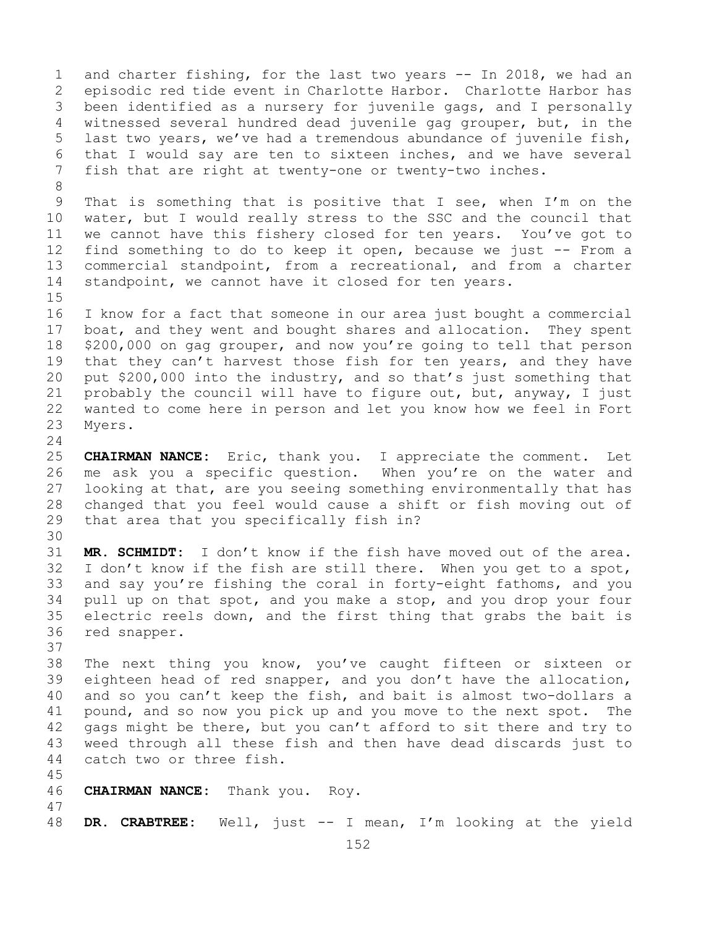1 and charter fishing, for the last two years -- In 2018, we had an<br>2 episodic red tide event in Charlotte Harbor. Charlotte Harbor has 2 episodic red tide event in Charlotte Harbor. Charlotte Harbor has<br>3 been identified as a nursery for juvenile gags, and I personally 3 been identified as a nursery for juvenile gags, and I personally<br>4 witnessed several hundred dead juvenile gag grouper, but, in the witnessed several hundred dead juvenile gag grouper, but, in the 5 last two years, we've had a tremendous abundance of juvenile fish, 6 that I would say are ten to sixteen inches, and we have several<br>7 fish that are right at twentv-one or twentv-two inches. fish that are right at twenty-one or twenty-two inches.

8<br>9 9 That is something that is positive that I see, when I'm on the<br>10 water, but I would really stress to the SSC and the council that 10 water, but I would really stress to the SSC and the council that<br>11 we cannot have this fishery closed for ten years. You've got to 11 we cannot have this fishery closed for ten years. You've got to<br>12 find something to do to keep it open, because we just -- From a 12 find something to do to keep it open, because we just -- From a<br>13 commercial standpoint, from a recreational, and from a charter commercial standpoint, from a recreational, and from a charter 14 standpoint, we cannot have it closed for ten years.

 $15$ <br> $16$ 16 I know for a fact that someone in our area just bought a commercial<br>17 boat, and they went and bought shares and allocation. They spent 17 boat, and they went and bought shares and allocation. They spent<br>18 \$200,000 on gag grouper, and now you're going to tell that person 18 \$200,000 on gag grouper, and now you're going to tell that person<br>19 that they can't harvest those fish for ten years, and they have 19 that they can't harvest those fish for ten years, and they have<br>20 put \$200,000 into the industry, and so that's just something that 20 put \$200,000 into the industry, and so that's just something that<br>21 probably the council will have to figure out, but, anyway, I just 21 probably the council will have to figure out, but, anyway, I just<br>22 wanted to come here in person and let you know how we feel in Fort 22 wanted to come here in person and let you know how we feel in Fort<br>23 Myers. Myers.

 $\frac{24}{25}$ 25 **CHAIRMAN NANCE:** Eric, thank you. I appreciate the comment. Let 26 me ask you a specific question. When you're on the water and<br>27 looking at that, are you seeing something environmentally that has looking at that, are you seeing something environmentally that has 28 changed that you feel would cause a shift or fish moving out of<br>29 that area that you specifically fish in? that area that you specifically fish in?

30<br>31 31 **MR. SCHMIDT:** I don't know if the fish have moved out of the area. I don't know if the fish are still there. When you get to a spot, 33 and say you're fishing the coral in forty-eight fathoms, and you<br>34 pull up on that spot, and you make a stop, and you drop your four 34 pull up on that spot, and you make a stop, and you drop your four<br>35 electric reels down, and the first thing that grabs the bait is 35 electric reels down, and the first thing that grabs the bait is 36 red snapper. red snapper.

37

38 The next thing you know, you've caught fifteen or sixteen or<br>39 eighteen head of red snapper, and you don't have the allocation, 39 eighteen head of red snapper, and you don't have the allocation,<br>40 and so you can't keep the fish, and bait is almost two-dollars a 40 and so you can't keep the fish, and bait is almost two-dollars a<br>41 pound, and so now you pick up and you move to the next spot. The 41 pound, and so now you pick up and you move to the next spot. The<br>42 qaqs might be there, but you can't afford to sit there and try to 42 gags might be there, but you can't afford to sit there and try to<br>43 weed through all these fish and then have dead discards just to 43 weed through all these fish and then have dead discards just to<br>44 catch two or three fish. catch two or three fish.

45

```
46 CHAIRMAN NANCE: Thank you. Roy.
```
47 48 **DR. CRABTREE:** Well, just -- I mean, I'm looking at the yield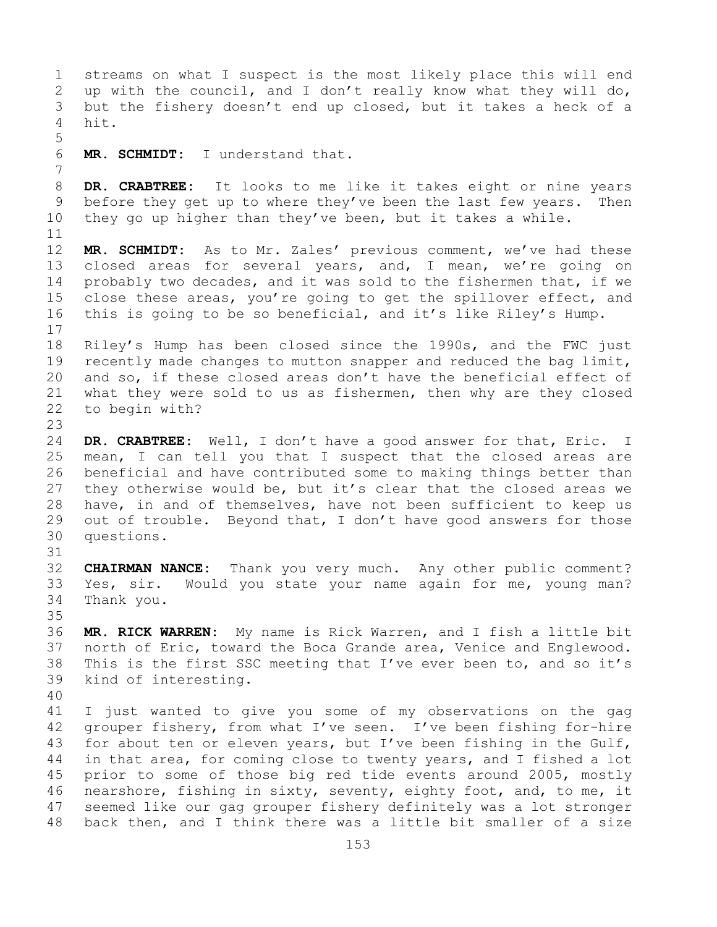1 streams on what I suspect is the most likely place this will end<br>2 up with the council, and I don't really know what they will do, 2 up with the council, and I don't really know what they will do,<br>3 but the fishery doesn't end up closed, but it takes a heck of a 3 but the fishery doesn't end up closed, but it takes a heck of a hit. 5 MR. SCHMIDT: I understand that. 7 8 **DR. CRABTREE:** It looks to me like it takes eight or nine years<br>9 before they get up to where they've been the last few years. Then 9 before they get up to where they've been the last few years.<br>10 they go up higher than they've been, but it takes a while. they go up higher than they've been, but it takes a while. 11<br>12 MR. SCHMIDT: As to Mr. Zales' previous comment, we've had these 13 closed areas for several years, and, I mean, we're going on 14 probably two decades, and it was sold to the fishermen that, if we<br>15 close these areas, vou're going to get the spillover effect, and 15 close these areas, you're going to get the spillover effect, and<br>16 this is going to be so beneficial, and it's like Riley's Hump. this is going to be so beneficial, and it's like Riley's Hump.  $\begin{array}{c} 17 \\ 18 \end{array}$ 18 Riley's Hump has been closed since the 1990s, and the FWC just<br>19 recently made changes to mutton snapper and reduced the bag limit, 19 recently made changes to mutton snapper and reduced the bag limit,<br>20 and so, if these closed areas don't have the beneficial effect of 20 and so, if these closed areas don't have the beneficial effect of<br>21 what they were sold to us as fishermen, then why are they closed 21 what they were sold to us as fishermen, then why are they closed<br>22 to begin with? to begin with?  $\frac{23}{24}$ 24 DR. CRABTREE: Well, I don't have a good answer for that, Eric. I<br>25 mean, I can tell you that I suspect that the closed areas are 25 mean, I can tell you that I suspect that the closed areas are<br>26 beneficial and have contributed some to making things better than 26 beneficial and have contributed some to making things better than<br>27 they otherwise would be, but it's clear that the closed areas we they otherwise would be, but it's clear that the closed areas we 28 have, in and of themselves, have not been sufficient to keep us<br>29 out of trouble. Beyond that, I don't have good answers for those 29 out of trouble. Beyond that, I don't have good answers for those<br>30 questions. questions. 31<br>32 **CHAIRMAN NANCE:** Thank you very much. Any other public comment? 33 Yes, sir. Would you state your name again for me, young man?<br>34 Thank you. Thank you. 35<br>36 MR. RICK WARREN: My name is Rick Warren, and I fish a little bit 37 north of Eric, toward the Boca Grande area, Venice and Englewood. 38 This is the first SSC meeting that I've ever been to, and so it's 39 kind of interesting. kind of interesting. 40 41 I just wanted to give you some of my observations on the gag<br>42 grouper fishery, from what I've seen. I've been fishing for-hire 42 grouper fishery, from what I've seen. I've been fishing for-hire<br>43 for about ten or eleven vears, but I've been fishing in the Gulf, 43 for about ten or eleven years, but I've been fishing in the Gulf,<br>44 in that area, for coming close to twenty years, and I fished a lot in that area, for coming close to twenty years, and I fished a lot 45 prior to some of those big red tide events around 2005, mostly 46 nearshore, fishing in sixty, seventy, eighty foot, and, to me, it<br>47 seemed like our gag grouper fishery definitely was a lot stronger 47 seemed like our gag grouper fishery definitely was a lot stronger<br>48 back then, and I think there was a little bit smaller of a size back then, and I think there was a little bit smaller of a size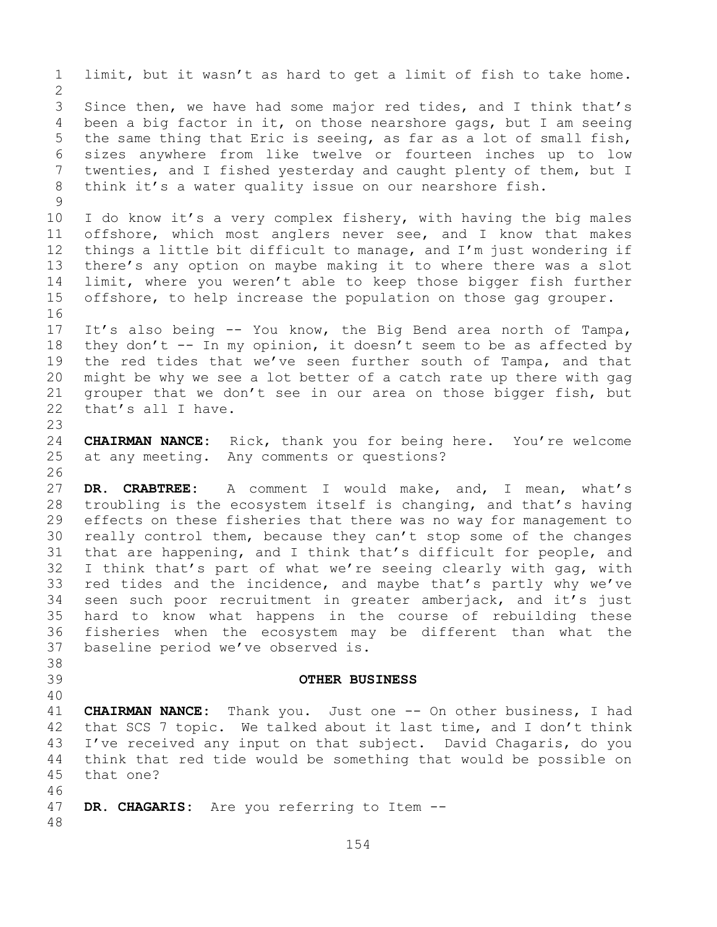1 limit, but it wasn't as hard to get a limit of fish to take home.  $\frac{2}{3}$ 3 Since then, we have had some major red tides, and I think that's<br>4 been a big factor in it, on those nearshore gags, but I am seeing been a big factor in it, on those nearshore gags, but I am seeing 5 the same thing that Eric is seeing, as far as a lot of small fish, 6 sizes anywhere from like twelve or fourteen inches up to low<br>7 twenties, and I fished vesterdav and caught plenty of them, but I 7 twenties, and I fished yesterday and caught plenty of them, but I<br>8 think it's a water quality issue on our nearshore fish. think it's a water quality issue on our nearshore fish.  $\begin{array}{c} 9 \\ 10 \end{array}$ 10 I do know it's a very complex fishery, with having the big males<br>11 offshore, which most anglers never see, and I know that makes 11 offshore, which most anglers never see, and I know that makes<br>12 things a little bit difficult to manage, and I'm just wondering if 12 things a little bit difficult to manage, and I'm just wondering if<br>13 there's any option on maybe making it to where there was a slot there's any option on maybe making it to where there was a slot 14 limit, where you weren't able to keep those bigger fish further<br>15 offshore, to help increase the population on those gag grouper. offshore, to help increase the population on those gag grouper. 16<br>17 17 It's also being -- You know, the Big Bend area north of Tampa,<br>18 they don't -- In my opinion, it doesn't seem to be as affected by 18 they don't -- In my opinion, it doesn't seem to be as affected by<br>19 the red tides that we've seen further south of Tampa, and that 19 the red tides that we've seen further south of Tampa, and that<br>20 might be why we see a lot better of a catch rate up there with gag 20 might be why we see a lot better of a catch rate up there with gag<br>21 qrouper that we don't see in our area on those bigger fish, but 21 grouper that we don't see in our area on those bigger fish, but<br>22 that's all I have. that's all I have. 23 24 **CHAIRMAN NANCE:** Rick, thank you for being here. You're welcome<br>25 at any meeting. Any comments or questions? at any meeting. Any comments or questions? 26<br>27 DR. CRABTREE: A comment I would make, and, I mean, what's 28 troubling is the ecosystem itself is changing, and that's having<br>29 effects on these fisheries that there was no way for management to 29 effects on these fisheries that there was no way for management to<br>30 really control them, because they can't stop some of the changes 30 really control them, because they can't stop some of the changes<br>31 that are happening, and I think that's difficult for people, and 31 that are happening, and I think that's difficult for people, and<br>32 I think that's part of what we're seeing clearly with gag, with I think that's part of what we're seeing clearly with gag, with 33 red tides and the incidence, and maybe that's partly why we've<br>34 seen such poor recruitment in greater amberjack, and it's just 34 seen such poor recruitment in greater amberjack, and it's just<br>35 hard to know what happens in the course of rebuilding these 35 hard to know what happens in the course of rebuilding these<br>36 fisheries when the ecosystem may be different than what the 36 fisheries when the ecosystem may be different than what the<br>37 baseline period we've observed is. baseline period we've observed is. 38<br>39 39 **OTHER BUSINESS** 40 41 **CHAIRMAN NANCE:** Thank you. Just one -- On other business, I had<br>42 that SCS 7 topic. We talked about it last time, and I don't think 42 that SCS 7 topic. We talked about it last time, and I don't think<br>43 I've received any input on that subject. David Chagaris, do you 43 I've received any input on that subject. David Chagaris, do you<br>44 think that red tide would be something that would be possible on think that red tide would be something that would be possible on 45 that one? 46<br>47 DR. CHAGARIS: Are you referring to Item --48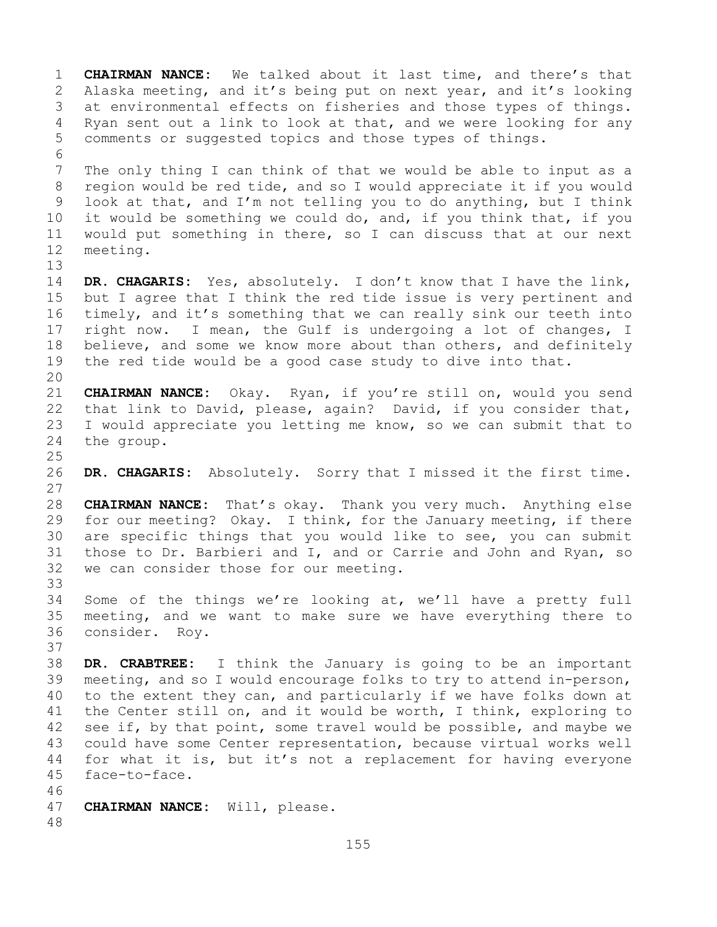1 **CHAIRMAN NANCE:** We talked about it last time, and there's that<br>2 Alaska meeting, and it's being put on next year, and it's looking 2 Alaska meeting, and it's being put on next year, and it's looking<br>3 at environmental effects on fisheries and those types of things. 3 at environmental effects on fisheries and those types of things.<br>4 Ryan sent out a link to look at that, and we were looking for any Ryan sent out a link to look at that, and we were looking for any 5 comments or suggested topics and those types of things. 6<br>7 7 The only thing I can think of that we would be able to input as a<br>8 region would be red tide, and so I would appreciate it if you would 8 region would be red tide, and so I would appreciate it if you would<br>9 look at that, and I'm not telling you to do anything, but I think 9 look at that, and I'm not telling you to do anything, but I think<br>10 it would be something we could do, and, if you think that, if you 10 it would be something we could do, and, if you think that, if you<br>11 would put something in there, so I can discuss that at our next 11 would put something in there, so I can discuss that at our next<br>12 meeting. meeting. 13 14 **DR. CHAGARIS:** Yes, absolutely. I don't know that I have the link,<br>15 but I agree that I think the red tide issue is verv pertinent and 15 but I agree that I think the red tide issue is very pertinent and<br>16 timely, and it's something that we can really sink our teeth into 16 timely, and it's something that we can really sink our teeth into<br>17 right now. I mean, the Gulf is undergoing a lot of changes, I 17 right now. I mean, the Gulf is undergoing a lot of changes, I<br>18 believe, and some we know more about than others, and definitely 18 believe, and some we know more about than others, and definitely<br>19 the red tide would be a good case study to dive into that. the red tide would be a good case study to dive into that. 20<br>21 21 **CHAIRMAN NANCE:** Okay. Ryan, if you're still on, would you send 22 that link to David, please, again? David, if you consider that,<br>23 I would appreciate you letting me know, so we can submit that to 23 I would appreciate you letting me know, so we can submit that to  $24$  the group. the group.  $\frac{25}{26}$ 26 **DR. CHAGARIS:** Absolutely. Sorry that I missed it the first time.  $\begin{array}{c} 27 \\ 28 \end{array}$ 28 **CHAIRMAN NANCE:** That's okay. Thank you very much. Anything else<br>29 for our meeting? Okay. I think, for the January meeting, if there 29 for our meeting? Okay. I think, for the January meeting, if there<br>30 are specific things that you would like to see, you can submit 30 are specific things that you would like to see, you can submit<br>31 those to Dr. Barbieri and I, and or Carrie and John and Ryan, so 31 those to Dr. Barbieri and I, and or Carrie and John and Ryan, so<br>32 we can consider those for our meeting. we can consider those for our meeting. 33<br>34 34 Some of the things we're looking at, we'll have a pretty full<br>35 meeting, and we want to make sure we have everything there to 35 meeting, and we want to make sure we have everything there to 36 consider. Rov. consider. Roy. 37 38 **DR. CRABTREE:** I think the January is going to be an important 39 meeting, and so I would encourage folks to try to attend in-person,<br>40 to the extent they can, and particularly if we have folks down at 40 to the extent they can, and particularly if we have folks down at<br>41 the Center still on, and it would be worth, I think, exploring to 41 the Center still on, and it would be worth, I think, exploring to<br>42 see if, by that point, some travel would be possible, and maybe we 42 see if, by that point, some travel would be possible, and maybe we<br>43 could have some Center representation, because virtual works well 43 could have some Center representation, because virtual works well<br>44 for what it is, but it's not a replacement for having everyone for what it is, but it's not a replacement for having everyone 45 face-to-face. 46<br>47 CHAIRMAN NANCE: Will, please. 48